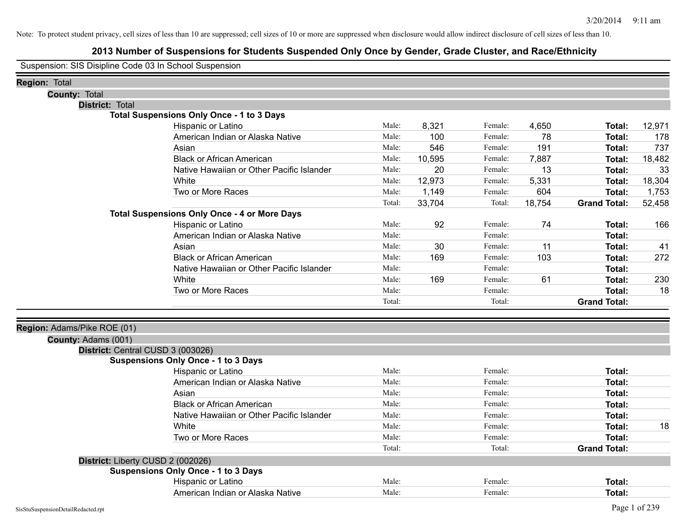# **2013 Number of Suspensions for Students Suspended Only Once by Gender, Grade Cluster, and Race/Ethnicity**

Suspension: SIS Disipline Code 03 In School Suspension

| <b>Region: Total</b>              |                                                     |        |        |         |        |                     |        |
|-----------------------------------|-----------------------------------------------------|--------|--------|---------|--------|---------------------|--------|
| <b>County: Total</b>              |                                                     |        |        |         |        |                     |        |
| <b>District: Total</b>            |                                                     |        |        |         |        |                     |        |
|                                   | <b>Total Suspensions Only Once - 1 to 3 Days</b>    |        |        |         |        |                     |        |
|                                   | Hispanic or Latino                                  | Male:  | 8,321  | Female: | 4,650  | Total:              | 12,971 |
|                                   | American Indian or Alaska Native                    | Male:  | 100    | Female: | 78     | <b>Total:</b>       | 178    |
|                                   | Asian                                               | Male:  | 546    | Female: | 191    | Total:              | 737    |
|                                   | <b>Black or African American</b>                    | Male:  | 10,595 | Female: | 7,887  | Total:              | 18,482 |
|                                   | Native Hawaiian or Other Pacific Islander           | Male:  | 20     | Female: | 13     | <b>Total:</b>       | 33     |
|                                   | White                                               | Male:  | 12,973 | Female: | 5,331  | <b>Total:</b>       | 18,304 |
|                                   | Two or More Races                                   | Male:  | 1,149  | Female: | 604    | <b>Total:</b>       | 1,753  |
|                                   |                                                     | Total: | 33,704 | Total:  | 18,754 | <b>Grand Total:</b> | 52,458 |
|                                   | <b>Total Suspensions Only Once - 4 or More Days</b> |        |        |         |        |                     |        |
|                                   | Hispanic or Latino                                  | Male:  | 92     | Female: | 74     | Total:              | 166    |
|                                   | American Indian or Alaska Native                    | Male:  |        | Female: |        | <b>Total:</b>       |        |
|                                   | Asian                                               | Male:  | 30     | Female: | 11     | <b>Total:</b>       | 41     |
|                                   | <b>Black or African American</b>                    | Male:  | 169    | Female: | 103    | Total:              | 272    |
|                                   | Native Hawaiian or Other Pacific Islander           | Male:  |        | Female: |        | <b>Total:</b>       |        |
|                                   | White                                               | Male:  | 169    | Female: | 61     | <b>Total:</b>       | 230    |
|                                   | Two or More Races                                   | Male:  |        | Female: |        | <b>Total:</b>       | 18     |
|                                   |                                                     | Total: |        | Total:  |        | <b>Grand Total:</b> |        |
| Region: Adams/Pike ROE (01)       |                                                     |        |        |         |        |                     |        |
| County: Adams (001)               |                                                     |        |        |         |        |                     |        |
| District: Central CUSD 3 (003026) |                                                     |        |        |         |        |                     |        |
|                                   | <b>Suspensions Only Once - 1 to 3 Days</b>          |        |        |         |        |                     |        |
|                                   | Hispanic or Latino                                  | Male:  |        | Female: |        | Total:              |        |
|                                   | American Indian or Alaska Native                    | Male:  |        | Female: |        | Total:              |        |
|                                   | Asian                                               | Male:  |        | Female: |        | <b>Total:</b>       |        |
|                                   | <b>Black or African American</b>                    | Male:  |        | Female: |        | <b>Total:</b>       |        |
|                                   | Native Hawaiian or Other Pacific Islander           | Male:  |        | Female: |        | <b>Total:</b>       |        |
|                                   | White                                               | Male:  |        | Female: |        | <b>Total:</b>       | 18     |
|                                   | Two or More Races                                   | Male:  |        | Female: |        | <b>Total:</b>       |        |
|                                   |                                                     | Total: |        | Total:  |        | <b>Grand Total:</b> |        |
| District: Liberty CUSD 2 (002026) |                                                     |        |        |         |        |                     |        |
|                                   | <b>Suspensions Only Once - 1 to 3 Days</b>          |        |        |         |        |                     |        |
|                                   | Hispanic or Latino                                  | Male:  |        | Female: |        | <b>Total:</b>       |        |
|                                   | American Indian or Alaska Native                    | Male:  |        | Female: |        | Total:              |        |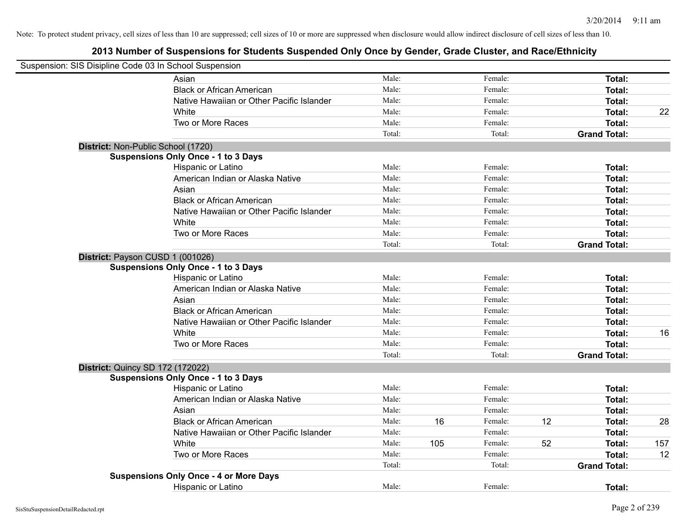| Suspension: SIS Disipline Code 03 In School Suspension |                                               |        |     |         |    |                     |     |
|--------------------------------------------------------|-----------------------------------------------|--------|-----|---------|----|---------------------|-----|
|                                                        | Asian                                         | Male:  |     | Female: |    | Total:              |     |
|                                                        | <b>Black or African American</b>              | Male:  |     | Female: |    | Total:              |     |
|                                                        | Native Hawaiian or Other Pacific Islander     | Male:  |     | Female: |    | Total:              |     |
|                                                        | White                                         | Male:  |     | Female: |    | Total:              | 22  |
|                                                        | Two or More Races                             | Male:  |     | Female: |    | Total:              |     |
|                                                        |                                               | Total: |     | Total:  |    | <b>Grand Total:</b> |     |
|                                                        | District: Non-Public School (1720)            |        |     |         |    |                     |     |
|                                                        | <b>Suspensions Only Once - 1 to 3 Days</b>    |        |     |         |    |                     |     |
|                                                        | Hispanic or Latino                            | Male:  |     | Female: |    | Total:              |     |
|                                                        | American Indian or Alaska Native              | Male:  |     | Female: |    | Total:              |     |
|                                                        | Asian                                         | Male:  |     | Female: |    | Total:              |     |
|                                                        | <b>Black or African American</b>              | Male:  |     | Female: |    | Total:              |     |
|                                                        | Native Hawaiian or Other Pacific Islander     | Male:  |     | Female: |    | Total:              |     |
|                                                        | White                                         | Male:  |     | Female: |    | Total:              |     |
|                                                        | Two or More Races                             | Male:  |     | Female: |    | Total:              |     |
|                                                        |                                               | Total: |     | Total:  |    | <b>Grand Total:</b> |     |
|                                                        | District: Payson CUSD 1 (001026)              |        |     |         |    |                     |     |
|                                                        | <b>Suspensions Only Once - 1 to 3 Days</b>    |        |     |         |    |                     |     |
|                                                        | Hispanic or Latino                            | Male:  |     | Female: |    | Total:              |     |
|                                                        | American Indian or Alaska Native              | Male:  |     | Female: |    | Total:              |     |
|                                                        | Asian                                         | Male:  |     | Female: |    | Total:              |     |
|                                                        | <b>Black or African American</b>              | Male:  |     | Female: |    | Total:              |     |
|                                                        | Native Hawaiian or Other Pacific Islander     | Male:  |     | Female: |    | Total:              |     |
|                                                        | White                                         | Male:  |     | Female: |    | Total:              | 16  |
|                                                        | Two or More Races                             | Male:  |     | Female: |    | Total:              |     |
|                                                        |                                               | Total: |     | Total:  |    | <b>Grand Total:</b> |     |
| <b>District: Quincy SD 172 (172022)</b>                |                                               |        |     |         |    |                     |     |
|                                                        | <b>Suspensions Only Once - 1 to 3 Days</b>    |        |     |         |    |                     |     |
|                                                        | Hispanic or Latino                            | Male:  |     | Female: |    | Total:              |     |
|                                                        | American Indian or Alaska Native              | Male:  |     | Female: |    | Total:              |     |
|                                                        | Asian                                         | Male:  |     | Female: |    | Total:              |     |
|                                                        | <b>Black or African American</b>              | Male:  | 16  | Female: | 12 | Total:              | 28  |
|                                                        | Native Hawaiian or Other Pacific Islander     | Male:  |     | Female: |    | Total:              |     |
|                                                        | White                                         | Male:  | 105 | Female: | 52 | Total:              | 157 |
|                                                        | Two or More Races                             | Male:  |     | Female: |    | Total:              | 12  |
|                                                        |                                               | Total: |     | Total:  |    | <b>Grand Total:</b> |     |
|                                                        | <b>Suspensions Only Once - 4 or More Days</b> |        |     |         |    |                     |     |
|                                                        | <b>Hispanic or Latino</b>                     | Male:  |     | Female: |    | Total:              |     |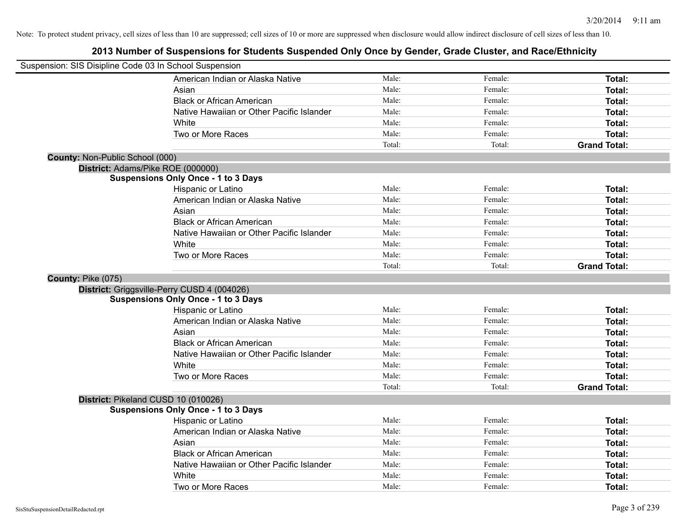| Suspension: SIS Disipline Code 03 In School Suspension |                                             |        |         |                     |
|--------------------------------------------------------|---------------------------------------------|--------|---------|---------------------|
|                                                        | American Indian or Alaska Native            | Male:  | Female: | Total:              |
|                                                        | Asian                                       | Male:  | Female: | Total:              |
|                                                        | <b>Black or African American</b>            | Male:  | Female: | Total:              |
|                                                        | Native Hawaiian or Other Pacific Islander   | Male:  | Female: | Total:              |
|                                                        | White                                       | Male:  | Female: | Total:              |
|                                                        | Two or More Races                           | Male:  | Female: | Total:              |
|                                                        |                                             | Total: | Total:  | <b>Grand Total:</b> |
| County: Non-Public School (000)                        |                                             |        |         |                     |
|                                                        | District: Adams/Pike ROE (000000)           |        |         |                     |
|                                                        | <b>Suspensions Only Once - 1 to 3 Days</b>  |        |         |                     |
|                                                        | Hispanic or Latino                          | Male:  | Female: | Total:              |
|                                                        | American Indian or Alaska Native            | Male:  | Female: | Total:              |
|                                                        | Asian                                       | Male:  | Female: | Total:              |
|                                                        | <b>Black or African American</b>            | Male:  | Female: | <b>Total:</b>       |
|                                                        | Native Hawaiian or Other Pacific Islander   | Male:  | Female: | Total:              |
|                                                        | White                                       | Male:  | Female: | Total:              |
|                                                        | Two or More Races                           | Male:  | Female: | Total:              |
|                                                        |                                             | Total: | Total:  | <b>Grand Total:</b> |
| County: Pike (075)                                     |                                             |        |         |                     |
|                                                        | District: Griggsville-Perry CUSD 4 (004026) |        |         |                     |
|                                                        | <b>Suspensions Only Once - 1 to 3 Days</b>  |        |         |                     |
|                                                        | Hispanic or Latino                          | Male:  | Female: | Total:              |
|                                                        | American Indian or Alaska Native            | Male:  | Female: | Total:              |
|                                                        | Asian                                       | Male:  | Female: | Total:              |
|                                                        | <b>Black or African American</b>            | Male:  | Female: | Total:              |
|                                                        | Native Hawaiian or Other Pacific Islander   | Male:  | Female: | Total:              |
|                                                        | White                                       | Male:  | Female: | Total:              |
|                                                        | Two or More Races                           | Male:  | Female: | Total:              |
|                                                        |                                             | Total: | Total:  | <b>Grand Total:</b> |
|                                                        | District: Pikeland CUSD 10 (010026)         |        |         |                     |
|                                                        | <b>Suspensions Only Once - 1 to 3 Days</b>  |        |         |                     |
|                                                        | Hispanic or Latino                          | Male:  | Female: | Total:              |
|                                                        | American Indian or Alaska Native            | Male:  | Female: | Total:              |
|                                                        | Asian                                       | Male:  | Female: | Total:              |
|                                                        | <b>Black or African American</b>            | Male:  | Female: | Total:              |
|                                                        | Native Hawaiian or Other Pacific Islander   | Male:  | Female: | Total:              |
|                                                        | White                                       | Male:  | Female: | <b>Total:</b>       |
|                                                        | Two or More Races                           | Male:  | Female: | Total:              |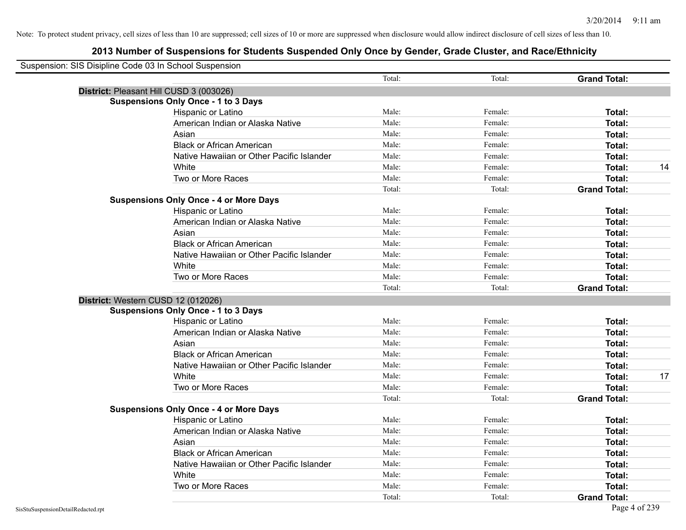| Suspension: SIS Disipline Code 03 In School Suspension |                                           |        |         |                     |    |
|--------------------------------------------------------|-------------------------------------------|--------|---------|---------------------|----|
|                                                        |                                           | Total: | Total:  | <b>Grand Total:</b> |    |
| District: Pleasant Hill CUSD 3 (003026)                |                                           |        |         |                     |    |
| <b>Suspensions Only Once - 1 to 3 Days</b>             |                                           |        |         |                     |    |
| Hispanic or Latino                                     |                                           | Male:  | Female: | Total:              |    |
|                                                        | American Indian or Alaska Native          | Male:  | Female: | Total:              |    |
| Asian                                                  |                                           | Male:  | Female: | Total:              |    |
|                                                        | <b>Black or African American</b>          | Male:  | Female: | Total:              |    |
|                                                        | Native Hawaiian or Other Pacific Islander | Male:  | Female: | Total:              |    |
| White                                                  |                                           | Male:  | Female: | Total:              | 14 |
| Two or More Races                                      |                                           | Male:  | Female: | Total:              |    |
|                                                        |                                           | Total: | Total:  | <b>Grand Total:</b> |    |
| <b>Suspensions Only Once - 4 or More Days</b>          |                                           |        |         |                     |    |
| Hispanic or Latino                                     |                                           | Male:  | Female: | Total:              |    |
|                                                        | American Indian or Alaska Native          | Male:  | Female: | Total:              |    |
| Asian                                                  |                                           | Male:  | Female: | Total:              |    |
|                                                        | <b>Black or African American</b>          | Male:  | Female: | Total:              |    |
|                                                        | Native Hawaiian or Other Pacific Islander | Male:  | Female: | Total:              |    |
| White                                                  |                                           | Male:  | Female: | Total:              |    |
| Two or More Races                                      |                                           | Male:  | Female: | Total:              |    |
|                                                        |                                           | Total: | Total:  | <b>Grand Total:</b> |    |
| District: Western CUSD 12 (012026)                     |                                           |        |         |                     |    |
| <b>Suspensions Only Once - 1 to 3 Days</b>             |                                           |        |         |                     |    |
| Hispanic or Latino                                     |                                           | Male:  | Female: | Total:              |    |
|                                                        | American Indian or Alaska Native          | Male:  | Female: | Total:              |    |
| Asian                                                  |                                           | Male:  | Female: | Total:              |    |
|                                                        | <b>Black or African American</b>          | Male:  | Female: | Total:              |    |
|                                                        | Native Hawaiian or Other Pacific Islander | Male:  | Female: | Total:              |    |
| White                                                  |                                           | Male:  | Female: | Total:              | 17 |
| Two or More Races                                      |                                           | Male:  | Female: | Total:              |    |
|                                                        |                                           | Total: | Total:  | <b>Grand Total:</b> |    |
| <b>Suspensions Only Once - 4 or More Days</b>          |                                           |        |         |                     |    |
| Hispanic or Latino                                     |                                           | Male:  | Female: | Total:              |    |
|                                                        | American Indian or Alaska Native          | Male:  | Female: | Total:              |    |
| Asian                                                  |                                           | Male:  | Female: | Total:              |    |
|                                                        | <b>Black or African American</b>          | Male:  | Female: | Total:              |    |
|                                                        | Native Hawaiian or Other Pacific Islander | Male:  | Female: | Total:              |    |
| White                                                  |                                           | Male:  | Female: | Total:              |    |
| Two or More Races                                      |                                           | Male:  | Female: | Total:              |    |
|                                                        |                                           | Total: | Total:  | <b>Grand Total:</b> |    |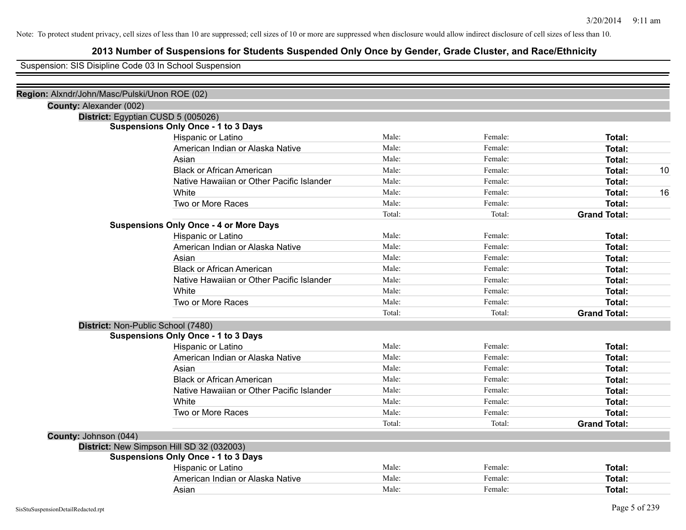# **2013 Number of Suspensions for Students Suspended Only Once by Gender, Grade Cluster, and Race/Ethnicity**

Suspension: SIS Disipline Code 03 In School Suspension

| Region: Alxndr/John/Masc/Pulski/Unon ROE (02) |                                               |        |         |                     |    |
|-----------------------------------------------|-----------------------------------------------|--------|---------|---------------------|----|
| County: Alexander (002)                       |                                               |        |         |                     |    |
|                                               | District: Egyptian CUSD 5 (005026)            |        |         |                     |    |
|                                               | <b>Suspensions Only Once - 1 to 3 Days</b>    |        |         |                     |    |
|                                               | Hispanic or Latino                            | Male:  | Female: | Total:              |    |
|                                               | American Indian or Alaska Native              | Male:  | Female: | Total:              |    |
|                                               | Asian                                         | Male:  | Female: | Total:              |    |
|                                               | <b>Black or African American</b>              | Male:  | Female: | Total:              | 10 |
|                                               | Native Hawaiian or Other Pacific Islander     | Male:  | Female: | Total:              |    |
|                                               | White                                         | Male:  | Female: | Total:              | 16 |
|                                               | Two or More Races                             | Male:  | Female: | <b>Total:</b>       |    |
|                                               |                                               | Total: | Total:  | <b>Grand Total:</b> |    |
|                                               | <b>Suspensions Only Once - 4 or More Days</b> |        |         |                     |    |
|                                               | Hispanic or Latino                            | Male:  | Female: | Total:              |    |
|                                               | American Indian or Alaska Native              | Male:  | Female: | Total:              |    |
|                                               | Asian                                         | Male:  | Female: | Total:              |    |
|                                               | <b>Black or African American</b>              | Male:  | Female: | Total:              |    |
|                                               | Native Hawaiian or Other Pacific Islander     | Male:  | Female: | Total:              |    |
|                                               | White                                         | Male:  | Female: | Total:              |    |
|                                               | Two or More Races                             | Male:  | Female: | Total:              |    |
|                                               |                                               | Total: | Total:  | <b>Grand Total:</b> |    |
|                                               | District: Non-Public School (7480)            |        |         |                     |    |
|                                               | <b>Suspensions Only Once - 1 to 3 Days</b>    |        |         |                     |    |
|                                               | Hispanic or Latino                            | Male:  | Female: | Total:              |    |
|                                               | American Indian or Alaska Native              | Male:  | Female: | Total:              |    |
|                                               | Asian                                         | Male:  | Female: | Total:              |    |
|                                               | <b>Black or African American</b>              | Male:  | Female: | Total:              |    |
|                                               | Native Hawaiian or Other Pacific Islander     | Male:  | Female: | Total:              |    |
|                                               | White                                         | Male:  | Female: | Total:              |    |
|                                               | Two or More Races                             | Male:  | Female: | Total:              |    |
|                                               |                                               | Total: | Total:  | <b>Grand Total:</b> |    |
| County: Johnson (044)                         |                                               |        |         |                     |    |
|                                               | District: New Simpson Hill SD 32 (032003)     |        |         |                     |    |
|                                               | <b>Suspensions Only Once - 1 to 3 Days</b>    |        |         |                     |    |
|                                               | Hispanic or Latino                            | Male:  | Female: | Total:              |    |
|                                               | American Indian or Alaska Native              | Male:  | Female: | Total:              |    |
|                                               | Asian                                         | Male:  | Female: | Total:              |    |
|                                               |                                               |        |         |                     |    |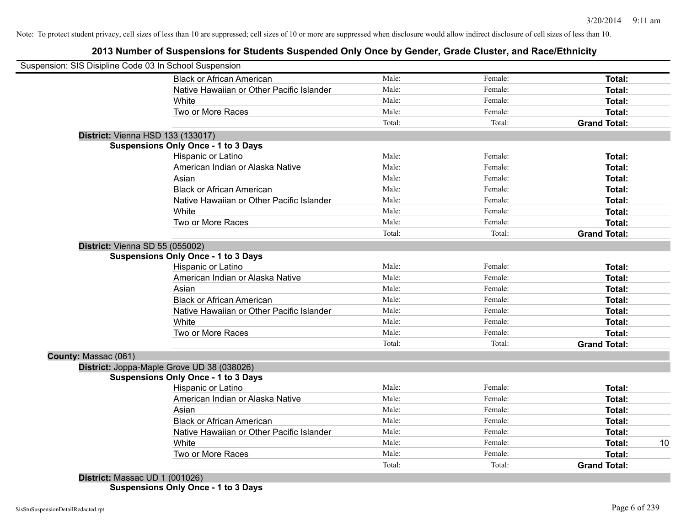# **2013 Number of Suspensions for Students Suspended Only Once by Gender, Grade Cluster, and Race/Ethnicity**

| Male:  | Female:                                            | Total:              |    |
|--------|----------------------------------------------------|---------------------|----|
|        |                                                    |                     |    |
|        |                                                    |                     |    |
| Male:  | Female:                                            | Total:              |    |
| Male:  | Female:                                            | Total:              |    |
| Male:  | Female:                                            | Total:              |    |
| Total: | Total:                                             | <b>Grand Total:</b> |    |
|        |                                                    |                     |    |
|        |                                                    |                     |    |
| Male:  | Female:                                            | Total:              |    |
| Male:  | Female:                                            | Total:              |    |
| Male:  | Female:                                            | Total:              |    |
| Male:  | Female:                                            | Total:              |    |
| Male:  | Female:                                            | Total:              |    |
| Male:  | Female:                                            | Total:              |    |
| Male:  | Female:                                            | Total:              |    |
| Total: | Total:                                             | <b>Grand Total:</b> |    |
|        |                                                    |                     |    |
|        |                                                    |                     |    |
| Male:  | Female:                                            | Total:              |    |
| Male:  | Female:                                            | Total:              |    |
| Male:  | Female:                                            | Total:              |    |
| Male:  | Female:                                            | Total:              |    |
| Male:  | Female:                                            | Total:              |    |
| Male:  | Female:                                            | Total:              |    |
| Male:  | Female:                                            | Total:              |    |
| Total: | Total:                                             | <b>Grand Total:</b> |    |
|        |                                                    |                     |    |
|        |                                                    |                     |    |
|        |                                                    |                     |    |
|        |                                                    | Total:              |    |
|        | Female:                                            | Total:              |    |
|        | Female:                                            | Total:              |    |
|        | Female:                                            | Total:              |    |
| Male:  | Female:                                            | Total:              |    |
|        |                                                    | Total:              | 10 |
|        | Female:                                            | <b>Total:</b>       |    |
| Total: | Total:                                             | <b>Grand Total:</b> |    |
|        | Male:<br>Male:<br>Male:<br>Male:<br>Male:<br>Male: | Female:<br>Female:  |    |

**Suspensions Only Once - 1 to 3 Days**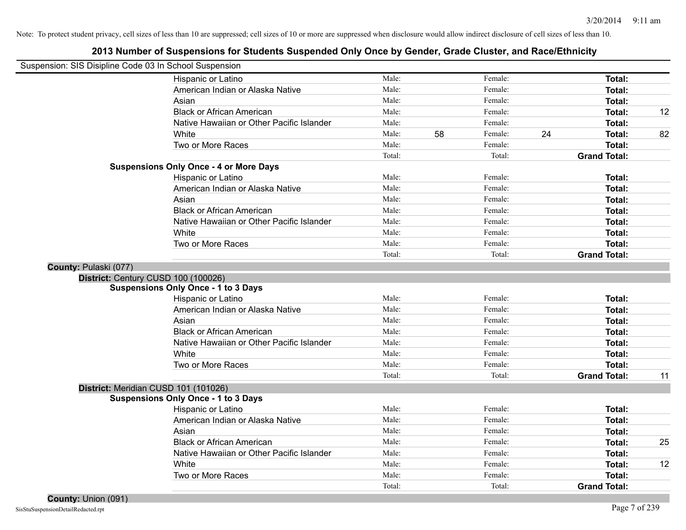| Suspension: SIS Disipline Code 03 In School Suspension |                                               |        |    |         |                     |    |
|--------------------------------------------------------|-----------------------------------------------|--------|----|---------|---------------------|----|
|                                                        | Hispanic or Latino                            | Male:  |    | Female: | Total:              |    |
|                                                        | American Indian or Alaska Native              | Male:  |    | Female: | Total:              |    |
|                                                        | Asian                                         | Male:  |    | Female: | Total:              |    |
|                                                        | <b>Black or African American</b>              | Male:  |    | Female: | Total:              | 12 |
|                                                        | Native Hawaiian or Other Pacific Islander     | Male:  |    | Female: | Total:              |    |
|                                                        | White                                         | Male:  | 58 | Female: | 24<br>Total:        | 82 |
|                                                        | Two or More Races                             | Male:  |    | Female: | Total:              |    |
|                                                        |                                               | Total: |    | Total:  | <b>Grand Total:</b> |    |
|                                                        | <b>Suspensions Only Once - 4 or More Days</b> |        |    |         |                     |    |
|                                                        | Hispanic or Latino                            | Male:  |    | Female: | Total:              |    |
|                                                        | American Indian or Alaska Native              | Male:  |    | Female: | Total:              |    |
|                                                        | Asian                                         | Male:  |    | Female: | Total:              |    |
|                                                        | <b>Black or African American</b>              | Male:  |    | Female: | Total:              |    |
|                                                        | Native Hawaiian or Other Pacific Islander     | Male:  |    | Female: | Total:              |    |
|                                                        | White                                         | Male:  |    | Female: | Total:              |    |
|                                                        | Two or More Races                             | Male:  |    | Female: | Total:              |    |
|                                                        |                                               | Total: |    | Total:  | <b>Grand Total:</b> |    |
| County: Pulaski (077)                                  |                                               |        |    |         |                     |    |
|                                                        | District: Century CUSD 100 (100026)           |        |    |         |                     |    |
|                                                        | <b>Suspensions Only Once - 1 to 3 Days</b>    |        |    |         |                     |    |
|                                                        | Hispanic or Latino                            | Male:  |    | Female: | Total:              |    |
|                                                        | American Indian or Alaska Native              | Male:  |    | Female: | Total:              |    |
|                                                        | Asian                                         | Male:  |    | Female: | Total:              |    |
|                                                        | <b>Black or African American</b>              | Male:  |    | Female: | Total:              |    |
|                                                        | Native Hawaiian or Other Pacific Islander     | Male:  |    | Female: | Total:              |    |
|                                                        | White                                         | Male:  |    | Female: | Total:              |    |
|                                                        | Two or More Races                             | Male:  |    | Female: | Total:              |    |
|                                                        |                                               | Total: |    | Total:  | <b>Grand Total:</b> | 11 |
|                                                        | District: Meridian CUSD 101 (101026)          |        |    |         |                     |    |
|                                                        | <b>Suspensions Only Once - 1 to 3 Days</b>    |        |    |         |                     |    |
|                                                        | Hispanic or Latino                            | Male:  |    | Female: | Total:              |    |
|                                                        | American Indian or Alaska Native              | Male:  |    | Female: | Total:              |    |
|                                                        | Asian                                         | Male:  |    | Female: | Total:              |    |
|                                                        | <b>Black or African American</b>              | Male:  |    | Female: | Total:              | 25 |
|                                                        | Native Hawaiian or Other Pacific Islander     | Male:  |    | Female: | Total:              |    |
|                                                        | White                                         | Male:  |    | Female: | Total:              | 12 |
|                                                        | Two or More Races                             | Male:  |    | Female: | Total:              |    |
|                                                        |                                               | Total: |    | Total:  | <b>Grand Total:</b> |    |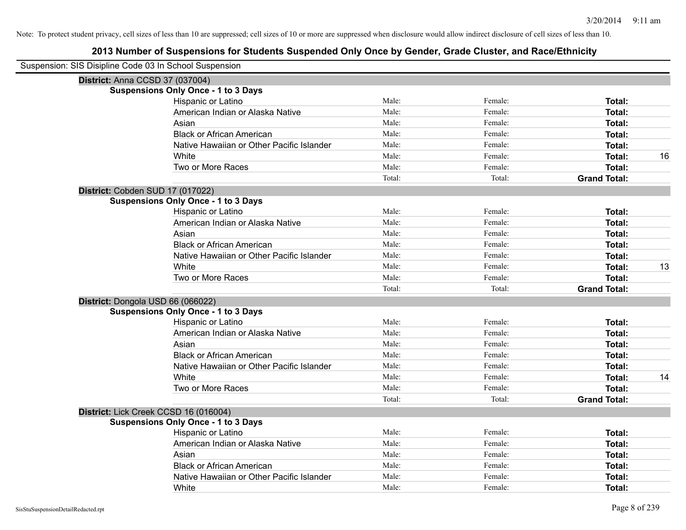| Suspension: SIS Disipline Code 03 In School Suspension |                                            |        |         |                     |    |
|--------------------------------------------------------|--------------------------------------------|--------|---------|---------------------|----|
|                                                        | District: Anna CCSD 37 (037004)            |        |         |                     |    |
|                                                        | <b>Suspensions Only Once - 1 to 3 Days</b> |        |         |                     |    |
|                                                        | Hispanic or Latino                         | Male:  | Female: | Total:              |    |
|                                                        | American Indian or Alaska Native           | Male:  | Female: | Total:              |    |
|                                                        | Asian                                      | Male:  | Female: | Total:              |    |
|                                                        | <b>Black or African American</b>           | Male:  | Female: | Total:              |    |
|                                                        | Native Hawaiian or Other Pacific Islander  | Male:  | Female: | Total:              |    |
|                                                        | White                                      | Male:  | Female: | Total:              | 16 |
|                                                        | Two or More Races                          | Male:  | Female: | Total:              |    |
|                                                        |                                            | Total: | Total:  | <b>Grand Total:</b> |    |
|                                                        | District: Cobden SUD 17 (017022)           |        |         |                     |    |
|                                                        | <b>Suspensions Only Once - 1 to 3 Days</b> |        |         |                     |    |
|                                                        | Hispanic or Latino                         | Male:  | Female: | Total:              |    |
|                                                        | American Indian or Alaska Native           | Male:  | Female: | Total:              |    |
|                                                        | Asian                                      | Male:  | Female: | Total:              |    |
|                                                        | <b>Black or African American</b>           | Male:  | Female: | <b>Total:</b>       |    |
|                                                        | Native Hawaiian or Other Pacific Islander  | Male:  | Female: | Total:              |    |
|                                                        | White                                      | Male:  | Female: | Total:              | 13 |
|                                                        | Two or More Races                          | Male:  | Female: | Total:              |    |
|                                                        |                                            | Total: | Total:  | <b>Grand Total:</b> |    |
|                                                        | District: Dongola USD 66 (066022)          |        |         |                     |    |
|                                                        | <b>Suspensions Only Once - 1 to 3 Days</b> |        |         |                     |    |
|                                                        | Hispanic or Latino                         | Male:  | Female: | Total:              |    |
|                                                        | American Indian or Alaska Native           | Male:  | Female: | Total:              |    |
|                                                        | Asian                                      | Male:  | Female: | Total:              |    |
|                                                        | <b>Black or African American</b>           | Male:  | Female: | <b>Total:</b>       |    |
|                                                        | Native Hawaiian or Other Pacific Islander  | Male:  | Female: | Total:              |    |
|                                                        | White                                      | Male:  | Female: | Total:              | 14 |
|                                                        | Two or More Races                          | Male:  | Female: | <b>Total:</b>       |    |
|                                                        |                                            | Total: | Total:  | <b>Grand Total:</b> |    |
|                                                        | District: Lick Creek CCSD 16 (016004)      |        |         |                     |    |
|                                                        | <b>Suspensions Only Once - 1 to 3 Days</b> |        |         |                     |    |
|                                                        | Hispanic or Latino                         | Male:  | Female: | Total:              |    |
|                                                        | American Indian or Alaska Native           | Male:  | Female: | Total:              |    |
|                                                        | Asian                                      | Male:  | Female: | Total:              |    |
|                                                        | <b>Black or African American</b>           | Male:  | Female: | <b>Total:</b>       |    |
|                                                        | Native Hawaiian or Other Pacific Islander  | Male:  | Female: | Total:              |    |
|                                                        | White                                      | Male:  | Female: | Total:              |    |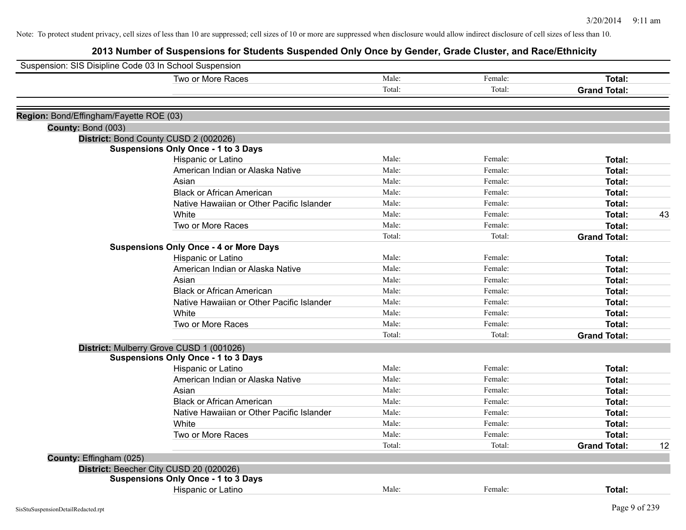| Suspension: SIS Disipline Code 03 In School Suspension |                                               |        |         |                     |    |
|--------------------------------------------------------|-----------------------------------------------|--------|---------|---------------------|----|
|                                                        | Two or More Races                             | Male:  | Female: | <b>Total:</b>       |    |
|                                                        |                                               | Total: | Total:  | <b>Grand Total:</b> |    |
| Region: Bond/Effingham/Fayette ROE (03)                |                                               |        |         |                     |    |
| County: Bond (003)                                     |                                               |        |         |                     |    |
|                                                        | District: Bond County CUSD 2 (002026)         |        |         |                     |    |
|                                                        | <b>Suspensions Only Once - 1 to 3 Days</b>    |        |         |                     |    |
|                                                        | Hispanic or Latino                            | Male:  | Female: | Total:              |    |
|                                                        | American Indian or Alaska Native              | Male:  | Female: | Total:              |    |
|                                                        | Asian                                         | Male:  | Female: | <b>Total:</b>       |    |
|                                                        | <b>Black or African American</b>              | Male:  | Female: | Total:              |    |
|                                                        | Native Hawaiian or Other Pacific Islander     | Male:  | Female: | Total:              |    |
|                                                        | White                                         | Male:  | Female: | Total:              | 43 |
|                                                        | Two or More Races                             | Male:  | Female: | Total:              |    |
|                                                        |                                               | Total: | Total:  | <b>Grand Total:</b> |    |
|                                                        | <b>Suspensions Only Once - 4 or More Days</b> |        |         |                     |    |
|                                                        | Hispanic or Latino                            | Male:  | Female: | Total:              |    |
|                                                        | American Indian or Alaska Native              | Male:  | Female: | Total:              |    |
|                                                        | Asian                                         | Male:  | Female: | Total:              |    |
|                                                        | <b>Black or African American</b>              | Male:  | Female: | <b>Total:</b>       |    |
|                                                        | Native Hawaiian or Other Pacific Islander     | Male:  | Female: | <b>Total:</b>       |    |
|                                                        | White                                         | Male:  | Female: | Total:              |    |
|                                                        | Two or More Races                             | Male:  | Female: | Total:              |    |
|                                                        |                                               | Total: | Total:  | <b>Grand Total:</b> |    |
|                                                        | District: Mulberry Grove CUSD 1 (001026)      |        |         |                     |    |
|                                                        | <b>Suspensions Only Once - 1 to 3 Days</b>    |        |         |                     |    |
|                                                        | Hispanic or Latino                            | Male:  | Female: | Total:              |    |
|                                                        | American Indian or Alaska Native              | Male:  | Female: | Total:              |    |
|                                                        | Asian                                         | Male:  | Female: | Total:              |    |
|                                                        | <b>Black or African American</b>              | Male:  | Female: | Total:              |    |
|                                                        | Native Hawaiian or Other Pacific Islander     | Male:  | Female: | Total:              |    |
|                                                        | White                                         | Male:  | Female: | <b>Total:</b>       |    |
|                                                        | Two or More Races                             | Male:  | Female: | Total:              |    |
|                                                        |                                               | Total: | Total:  | <b>Grand Total:</b> | 12 |
| County: Effingham (025)                                |                                               |        |         |                     |    |
|                                                        | District: Beecher City CUSD 20 (020026)       |        |         |                     |    |
|                                                        | <b>Suspensions Only Once - 1 to 3 Days</b>    |        |         |                     |    |
|                                                        | Hispanic or Latino                            | Male:  | Female: | Total:              |    |
| SisStuSuspensionDetailRedacted.rpt                     |                                               |        |         | Page 9 of 239       |    |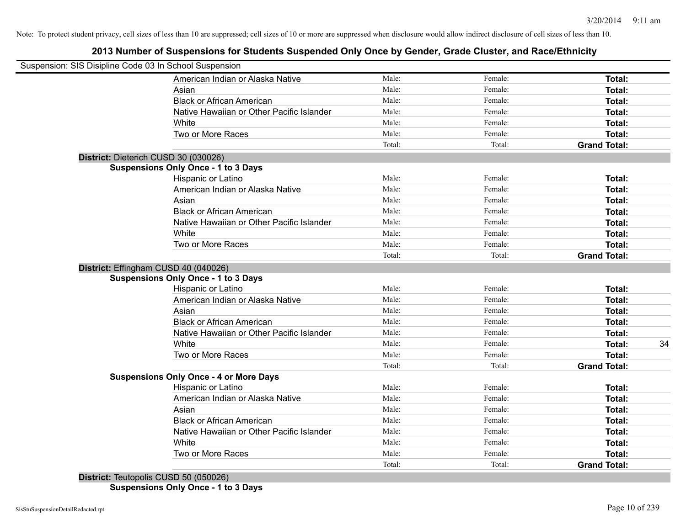# **2013 Number of Suspensions for Students Suspended Only Once by Gender, Grade Cluster, and Race/Ethnicity**

| Suspension: SIS Disipline Code 03 In School Suspension |        |         |                     |    |
|--------------------------------------------------------|--------|---------|---------------------|----|
| American Indian or Alaska Native                       | Male:  | Female: | <b>Total:</b>       |    |
| Asian                                                  | Male:  | Female: | Total:              |    |
| <b>Black or African American</b>                       | Male:  | Female: | Total:              |    |
| Native Hawaiian or Other Pacific Islander              | Male:  | Female: | Total:              |    |
| White                                                  | Male:  | Female: | Total:              |    |
| Two or More Races                                      | Male:  | Female: | Total:              |    |
|                                                        | Total: | Total:  | <b>Grand Total:</b> |    |
| District: Dieterich CUSD 30 (030026)                   |        |         |                     |    |
| <b>Suspensions Only Once - 1 to 3 Days</b>             |        |         |                     |    |
| Hispanic or Latino                                     | Male:  | Female: | Total:              |    |
| American Indian or Alaska Native                       | Male:  | Female: | Total:              |    |
| Asian                                                  | Male:  | Female: | Total:              |    |
| <b>Black or African American</b>                       | Male:  | Female: | Total:              |    |
| Native Hawaiian or Other Pacific Islander              | Male:  | Female: | Total:              |    |
| White                                                  | Male:  | Female: | Total:              |    |
| Two or More Races                                      | Male:  | Female: | Total:              |    |
|                                                        | Total: | Total:  | <b>Grand Total:</b> |    |
| District: Effingham CUSD 40 (040026)                   |        |         |                     |    |
| <b>Suspensions Only Once - 1 to 3 Days</b>             |        |         |                     |    |
| Hispanic or Latino                                     | Male:  | Female: | Total:              |    |
| American Indian or Alaska Native                       | Male:  | Female: | Total:              |    |
| Asian                                                  | Male:  | Female: | Total:              |    |
| <b>Black or African American</b>                       | Male:  | Female: | Total:              |    |
| Native Hawaiian or Other Pacific Islander              | Male:  | Female: | Total:              |    |
| White                                                  | Male:  | Female: | Total:              | 34 |
| Two or More Races                                      | Male:  | Female: | Total:              |    |
|                                                        | Total: | Total:  | <b>Grand Total:</b> |    |
| <b>Suspensions Only Once - 4 or More Days</b>          |        |         |                     |    |
| Hispanic or Latino                                     | Male:  | Female: | Total:              |    |
| American Indian or Alaska Native                       | Male:  | Female: | Total:              |    |
| Asian                                                  | Male:  | Female: | Total:              |    |
| <b>Black or African American</b>                       | Male:  | Female: | Total:              |    |
| Native Hawaiian or Other Pacific Islander              | Male:  | Female: | Total:              |    |
| White                                                  | Male:  | Female: | Total:              |    |
| Two or More Races                                      | Male:  | Female: | Total:              |    |
|                                                        | Total: | Total:  | <b>Grand Total:</b> |    |
| $D_{i}$                                                |        |         |                     |    |

**District:** leutopolis CUSD 50 (050026) **Suspensions Only Once - 1 to 3 Days**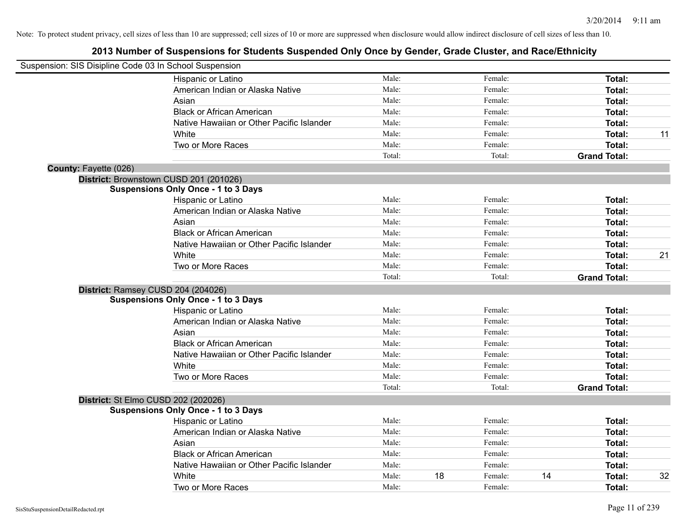| Suspension: SIS Disipline Code 03 In School Suspension |                                            |        |    |         |                     |    |
|--------------------------------------------------------|--------------------------------------------|--------|----|---------|---------------------|----|
|                                                        | Hispanic or Latino                         | Male:  |    | Female: | Total:              |    |
|                                                        | American Indian or Alaska Native           | Male:  |    | Female: | Total:              |    |
|                                                        | Asian                                      | Male:  |    | Female: | Total:              |    |
|                                                        | <b>Black or African American</b>           | Male:  |    | Female: | <b>Total:</b>       |    |
|                                                        | Native Hawaiian or Other Pacific Islander  | Male:  |    | Female: | Total:              |    |
|                                                        | White                                      | Male:  |    | Female: | Total:              | 11 |
|                                                        | Two or More Races                          | Male:  |    | Female: | <b>Total:</b>       |    |
|                                                        |                                            | Total: |    | Total:  | <b>Grand Total:</b> |    |
| County: Fayette (026)                                  |                                            |        |    |         |                     |    |
|                                                        | District: Brownstown CUSD 201 (201026)     |        |    |         |                     |    |
|                                                        | <b>Suspensions Only Once - 1 to 3 Days</b> |        |    |         |                     |    |
|                                                        | Hispanic or Latino                         | Male:  |    | Female: | Total:              |    |
|                                                        | American Indian or Alaska Native           | Male:  |    | Female: | Total:              |    |
|                                                        | Asian                                      | Male:  |    | Female: | Total:              |    |
|                                                        | <b>Black or African American</b>           | Male:  |    | Female: | Total:              |    |
|                                                        | Native Hawaiian or Other Pacific Islander  | Male:  |    | Female: | Total:              |    |
|                                                        | White                                      | Male:  |    | Female: | Total:              | 21 |
|                                                        | Two or More Races                          | Male:  |    | Female: | <b>Total:</b>       |    |
|                                                        |                                            | Total: |    | Total:  | <b>Grand Total:</b> |    |
|                                                        | District: Ramsey CUSD 204 (204026)         |        |    |         |                     |    |
|                                                        | <b>Suspensions Only Once - 1 to 3 Days</b> |        |    |         |                     |    |
|                                                        | Hispanic or Latino                         | Male:  |    | Female: | Total:              |    |
|                                                        | American Indian or Alaska Native           | Male:  |    | Female: | Total:              |    |
|                                                        | Asian                                      | Male:  |    | Female: | Total:              |    |
|                                                        | <b>Black or African American</b>           | Male:  |    | Female: | Total:              |    |
|                                                        | Native Hawaiian or Other Pacific Islander  | Male:  |    | Female: | Total:              |    |
|                                                        | White                                      | Male:  |    | Female: | Total:              |    |
|                                                        | Two or More Races                          | Male:  |    | Female: | Total:              |    |
|                                                        |                                            | Total: |    | Total:  | <b>Grand Total:</b> |    |
|                                                        | District: St Elmo CUSD 202 (202026)        |        |    |         |                     |    |
|                                                        | <b>Suspensions Only Once - 1 to 3 Days</b> |        |    |         |                     |    |
|                                                        | Hispanic or Latino                         | Male:  |    | Female: | Total:              |    |
|                                                        | American Indian or Alaska Native           | Male:  |    | Female: | Total:              |    |
|                                                        | Asian                                      | Male:  |    | Female: | Total:              |    |
|                                                        | <b>Black or African American</b>           | Male:  |    | Female: | Total:              |    |
|                                                        | Native Hawaiian or Other Pacific Islander  | Male:  |    | Female: | Total:              |    |
|                                                        | White                                      | Male:  | 18 | Female: | 14<br><b>Total:</b> | 32 |
|                                                        | Two or More Races                          | Male:  |    | Female: | Total:              |    |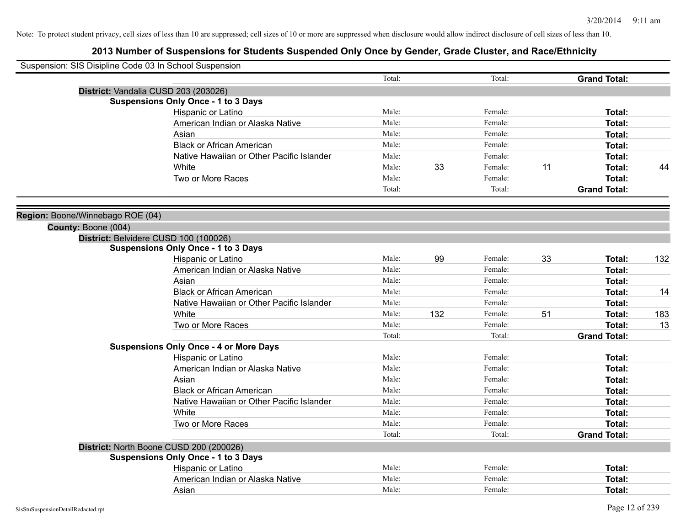| Suspension: SIS Disipline Code 03 In School Suspension |                                                                                     |        |     |         |    |                     |     |
|--------------------------------------------------------|-------------------------------------------------------------------------------------|--------|-----|---------|----|---------------------|-----|
|                                                        |                                                                                     | Total: |     | Total:  |    | <b>Grand Total:</b> |     |
|                                                        | District: Vandalia CUSD 203 (203026)                                                |        |     |         |    |                     |     |
|                                                        | <b>Suspensions Only Once - 1 to 3 Days</b>                                          |        |     |         |    |                     |     |
|                                                        | Hispanic or Latino                                                                  | Male:  |     | Female: |    | Total:              |     |
|                                                        | American Indian or Alaska Native                                                    | Male:  |     | Female: |    | Total:              |     |
|                                                        | Asian                                                                               | Male:  |     | Female: |    | Total:              |     |
|                                                        | <b>Black or African American</b>                                                    | Male:  |     | Female: |    | Total:              |     |
|                                                        | Native Hawaiian or Other Pacific Islander                                           | Male:  |     | Female: |    | Total:              |     |
|                                                        | White                                                                               | Male:  | 33  | Female: | 11 | Total:              | 44  |
|                                                        | Two or More Races                                                                   | Male:  |     | Female: |    | Total:              |     |
|                                                        |                                                                                     | Total: |     | Total:  |    | <b>Grand Total:</b> |     |
|                                                        |                                                                                     |        |     |         |    |                     |     |
| Region: Boone/Winnebago ROE (04)                       |                                                                                     |        |     |         |    |                     |     |
| County: Boone (004)                                    |                                                                                     |        |     |         |    |                     |     |
|                                                        | District: Belvidere CUSD 100 (100026)<br><b>Suspensions Only Once - 1 to 3 Days</b> |        |     |         |    |                     |     |
|                                                        | Hispanic or Latino                                                                  | Male:  | 99  | Female: | 33 | Total:              | 132 |
|                                                        | American Indian or Alaska Native                                                    | Male:  |     | Female: |    | Total:              |     |
|                                                        | Asian                                                                               | Male:  |     | Female: |    | Total:              |     |
|                                                        | <b>Black or African American</b>                                                    | Male:  |     | Female: |    | Total:              | 14  |
|                                                        | Native Hawaiian or Other Pacific Islander                                           | Male:  |     | Female: |    | Total:              |     |
|                                                        | White                                                                               | Male:  | 132 | Female: | 51 |                     |     |
|                                                        |                                                                                     | Male:  |     | Female: |    | Total:              | 183 |
|                                                        | Two or More Races                                                                   |        |     |         |    | Total:              | 13  |
|                                                        |                                                                                     | Total: |     | Total:  |    | <b>Grand Total:</b> |     |
|                                                        | <b>Suspensions Only Once - 4 or More Days</b>                                       | Male:  |     | Female: |    |                     |     |
|                                                        | Hispanic or Latino<br>American Indian or Alaska Native                              | Male:  |     | Female: |    | Total:              |     |
|                                                        |                                                                                     | Male:  |     | Female: |    | Total:              |     |
|                                                        | Asian                                                                               | Male:  |     |         |    | Total:              |     |
|                                                        | <b>Black or African American</b>                                                    |        |     | Female: |    | Total:              |     |
|                                                        | Native Hawaiian or Other Pacific Islander                                           | Male:  |     | Female: |    | Total:              |     |
|                                                        | White                                                                               | Male:  |     | Female: |    | Total:              |     |
|                                                        | Two or More Races                                                                   | Male:  |     | Female: |    | Total:              |     |
|                                                        |                                                                                     | Total: |     | Total:  |    | <b>Grand Total:</b> |     |
|                                                        | District: North Boone CUSD 200 (200026)                                             |        |     |         |    |                     |     |
|                                                        | <b>Suspensions Only Once - 1 to 3 Days</b>                                          |        |     |         |    |                     |     |
|                                                        | Hispanic or Latino                                                                  | Male:  |     | Female: |    | Total:              |     |
|                                                        | American Indian or Alaska Native                                                    | Male:  |     | Female: |    | Total:              |     |
|                                                        | Asian                                                                               | Male:  |     | Female: |    | Total:              |     |
| SisStuSuspensionDetailRedacted.rpt                     |                                                                                     |        |     |         |    | Page 12 of 239      |     |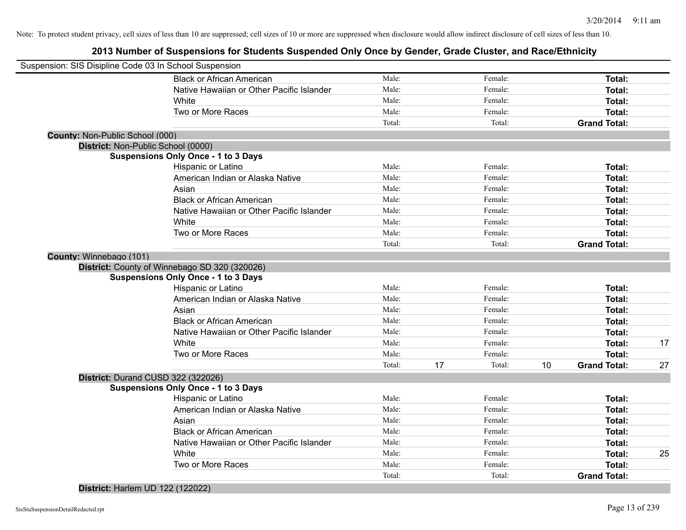**2013 Number of Suspensions for Students Suspended Only Once by Gender, Grade Cluster, and Race/Ethnicity**

|                                           | Total:                                                                                                                                                                                                                                                                                                                                                                                                                                                                                                                                                                                                                                                                                                |                                                                                                                                       | Total:  |                                                                                                           | <b>Grand Total:</b> |                                                                                                                                                                                               |
|-------------------------------------------|-------------------------------------------------------------------------------------------------------------------------------------------------------------------------------------------------------------------------------------------------------------------------------------------------------------------------------------------------------------------------------------------------------------------------------------------------------------------------------------------------------------------------------------------------------------------------------------------------------------------------------------------------------------------------------------------------------|---------------------------------------------------------------------------------------------------------------------------------------|---------|-----------------------------------------------------------------------------------------------------------|---------------------|-----------------------------------------------------------------------------------------------------------------------------------------------------------------------------------------------|
| Two or More Races                         | Male:                                                                                                                                                                                                                                                                                                                                                                                                                                                                                                                                                                                                                                                                                                 |                                                                                                                                       | Female: |                                                                                                           | Total:              |                                                                                                                                                                                               |
| White                                     | Male:                                                                                                                                                                                                                                                                                                                                                                                                                                                                                                                                                                                                                                                                                                 |                                                                                                                                       | Female: |                                                                                                           | Total:              | 25                                                                                                                                                                                            |
| Native Hawaiian or Other Pacific Islander | Male:                                                                                                                                                                                                                                                                                                                                                                                                                                                                                                                                                                                                                                                                                                 |                                                                                                                                       | Female: |                                                                                                           | Total:              |                                                                                                                                                                                               |
| <b>Black or African American</b>          | Male:                                                                                                                                                                                                                                                                                                                                                                                                                                                                                                                                                                                                                                                                                                 |                                                                                                                                       | Female: |                                                                                                           | Total:              |                                                                                                                                                                                               |
| Asian                                     | Male:                                                                                                                                                                                                                                                                                                                                                                                                                                                                                                                                                                                                                                                                                                 |                                                                                                                                       | Female: |                                                                                                           | Total:              |                                                                                                                                                                                               |
| American Indian or Alaska Native          | Male:                                                                                                                                                                                                                                                                                                                                                                                                                                                                                                                                                                                                                                                                                                 |                                                                                                                                       | Female: |                                                                                                           | Total:              |                                                                                                                                                                                               |
| Hispanic or Latino                        | Male:                                                                                                                                                                                                                                                                                                                                                                                                                                                                                                                                                                                                                                                                                                 |                                                                                                                                       | Female: |                                                                                                           | Total:              |                                                                                                                                                                                               |
|                                           |                                                                                                                                                                                                                                                                                                                                                                                                                                                                                                                                                                                                                                                                                                       |                                                                                                                                       |         |                                                                                                           |                     |                                                                                                                                                                                               |
|                                           |                                                                                                                                                                                                                                                                                                                                                                                                                                                                                                                                                                                                                                                                                                       |                                                                                                                                       |         |                                                                                                           |                     |                                                                                                                                                                                               |
|                                           | Total:                                                                                                                                                                                                                                                                                                                                                                                                                                                                                                                                                                                                                                                                                                | 17                                                                                                                                    | Total:  | 10                                                                                                        |                     | 27                                                                                                                                                                                            |
|                                           |                                                                                                                                                                                                                                                                                                                                                                                                                                                                                                                                                                                                                                                                                                       |                                                                                                                                       | Female: |                                                                                                           |                     |                                                                                                                                                                                               |
|                                           | Male:                                                                                                                                                                                                                                                                                                                                                                                                                                                                                                                                                                                                                                                                                                 |                                                                                                                                       | Female: |                                                                                                           |                     | 17                                                                                                                                                                                            |
|                                           |                                                                                                                                                                                                                                                                                                                                                                                                                                                                                                                                                                                                                                                                                                       |                                                                                                                                       | Female: |                                                                                                           |                     |                                                                                                                                                                                               |
|                                           |                                                                                                                                                                                                                                                                                                                                                                                                                                                                                                                                                                                                                                                                                                       |                                                                                                                                       | Female: |                                                                                                           |                     |                                                                                                                                                                                               |
|                                           |                                                                                                                                                                                                                                                                                                                                                                                                                                                                                                                                                                                                                                                                                                       |                                                                                                                                       | Female: |                                                                                                           |                     |                                                                                                                                                                                               |
|                                           |                                                                                                                                                                                                                                                                                                                                                                                                                                                                                                                                                                                                                                                                                                       |                                                                                                                                       |         |                                                                                                           |                     |                                                                                                                                                                                               |
|                                           |                                                                                                                                                                                                                                                                                                                                                                                                                                                                                                                                                                                                                                                                                                       |                                                                                                                                       |         |                                                                                                           |                     |                                                                                                                                                                                               |
|                                           |                                                                                                                                                                                                                                                                                                                                                                                                                                                                                                                                                                                                                                                                                                       |                                                                                                                                       |         |                                                                                                           |                     |                                                                                                                                                                                               |
|                                           |                                                                                                                                                                                                                                                                                                                                                                                                                                                                                                                                                                                                                                                                                                       |                                                                                                                                       |         |                                                                                                           |                     |                                                                                                                                                                                               |
|                                           |                                                                                                                                                                                                                                                                                                                                                                                                                                                                                                                                                                                                                                                                                                       |                                                                                                                                       |         |                                                                                                           |                     |                                                                                                                                                                                               |
|                                           |                                                                                                                                                                                                                                                                                                                                                                                                                                                                                                                                                                                                                                                                                                       |                                                                                                                                       |         |                                                                                                           |                     |                                                                                                                                                                                               |
|                                           |                                                                                                                                                                                                                                                                                                                                                                                                                                                                                                                                                                                                                                                                                                       |                                                                                                                                       |         |                                                                                                           |                     |                                                                                                                                                                                               |
|                                           |                                                                                                                                                                                                                                                                                                                                                                                                                                                                                                                                                                                                                                                                                                       |                                                                                                                                       |         |                                                                                                           |                     |                                                                                                                                                                                               |
|                                           |                                                                                                                                                                                                                                                                                                                                                                                                                                                                                                                                                                                                                                                                                                       |                                                                                                                                       |         |                                                                                                           |                     |                                                                                                                                                                                               |
|                                           |                                                                                                                                                                                                                                                                                                                                                                                                                                                                                                                                                                                                                                                                                                       |                                                                                                                                       |         |                                                                                                           |                     |                                                                                                                                                                                               |
|                                           |                                                                                                                                                                                                                                                                                                                                                                                                                                                                                                                                                                                                                                                                                                       |                                                                                                                                       |         |                                                                                                           |                     |                                                                                                                                                                                               |
|                                           |                                                                                                                                                                                                                                                                                                                                                                                                                                                                                                                                                                                                                                                                                                       |                                                                                                                                       |         |                                                                                                           |                     |                                                                                                                                                                                               |
|                                           |                                                                                                                                                                                                                                                                                                                                                                                                                                                                                                                                                                                                                                                                                                       |                                                                                                                                       |         |                                                                                                           |                     |                                                                                                                                                                                               |
|                                           |                                                                                                                                                                                                                                                                                                                                                                                                                                                                                                                                                                                                                                                                                                       |                                                                                                                                       |         |                                                                                                           |                     |                                                                                                                                                                                               |
|                                           |                                                                                                                                                                                                                                                                                                                                                                                                                                                                                                                                                                                                                                                                                                       |                                                                                                                                       |         |                                                                                                           |                     |                                                                                                                                                                                               |
|                                           |                                                                                                                                                                                                                                                                                                                                                                                                                                                                                                                                                                                                                                                                                                       |                                                                                                                                       | Total:  |                                                                                                           | <b>Grand Total:</b> |                                                                                                                                                                                               |
| Two or More Races                         | Male:                                                                                                                                                                                                                                                                                                                                                                                                                                                                                                                                                                                                                                                                                                 |                                                                                                                                       | Female: |                                                                                                           | Total:              |                                                                                                                                                                                               |
| White                                     | Male:                                                                                                                                                                                                                                                                                                                                                                                                                                                                                                                                                                                                                                                                                                 |                                                                                                                                       | Female: |                                                                                                           | Total:              |                                                                                                                                                                                               |
| Native Hawaiian or Other Pacific Islander | Male:                                                                                                                                                                                                                                                                                                                                                                                                                                                                                                                                                                                                                                                                                                 |                                                                                                                                       | Female: |                                                                                                           | Total:              |                                                                                                                                                                                               |
| <b>Black or African American</b>          | Male:                                                                                                                                                                                                                                                                                                                                                                                                                                                                                                                                                                                                                                                                                                 |                                                                                                                                       | Female: |                                                                                                           | <b>Total:</b>       |                                                                                                                                                                                               |
|                                           | County: Non-Public School (000)<br>District: Non-Public School (0000)<br><b>Suspensions Only Once - 1 to 3 Days</b><br>Hispanic or Latino<br>American Indian or Alaska Native<br>Asian<br><b>Black or African American</b><br>Native Hawaiian or Other Pacific Islander<br>White<br>Two or More Races<br>County: Winnebago (101)<br>District: County of Winnebago SD 320 (320026)<br><b>Suspensions Only Once - 1 to 3 Days</b><br>Hispanic or Latino<br>American Indian or Alaska Native<br>Asian<br><b>Black or African American</b><br>Native Hawaiian or Other Pacific Islander<br>White<br>Two or More Races<br>District: Durand CUSD 322 (322026)<br><b>Suspensions Only Once - 1 to 3 Days</b> | Total:<br>Male:<br>Male:<br>Male:<br>Male:<br>Male:<br>Male:<br>Male:<br>Total:<br>Male:<br>Male:<br>Male:<br>Male:<br>Male:<br>Male: |         | Female:<br>Female:<br>Female:<br>Female:<br>Female:<br>Female:<br>Female:<br>Total:<br>Female:<br>Female: |                     | Total:<br>Total:<br>Total:<br>Total:<br>Total:<br>Total:<br>Total:<br><b>Grand Total:</b><br>Total:<br>Total:<br>Total:<br>Total:<br>Total:<br>Total:<br><b>Total:</b><br><b>Grand Total:</b> |

**District:** Harlem UD 122 (122022)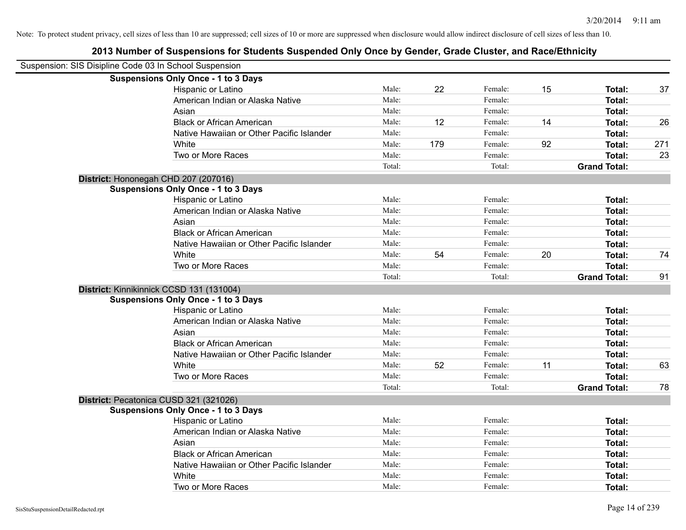| Suspension: SIS Disipline Code 03 In School Suspension |                                            |        |     |         |    |                     |     |
|--------------------------------------------------------|--------------------------------------------|--------|-----|---------|----|---------------------|-----|
|                                                        | <b>Suspensions Only Once - 1 to 3 Days</b> |        |     |         |    |                     |     |
|                                                        | Hispanic or Latino                         | Male:  | 22  | Female: | 15 | Total:              | 37  |
|                                                        | American Indian or Alaska Native           | Male:  |     | Female: |    | Total:              |     |
|                                                        | Asian                                      | Male:  |     | Female: |    | Total:              |     |
|                                                        | <b>Black or African American</b>           | Male:  | 12  | Female: | 14 | Total:              | 26  |
|                                                        | Native Hawaiian or Other Pacific Islander  | Male:  |     | Female: |    | Total:              |     |
|                                                        | White                                      | Male:  | 179 | Female: | 92 | Total:              | 271 |
|                                                        | Two or More Races                          | Male:  |     | Female: |    | Total:              | 23  |
|                                                        |                                            | Total: |     | Total:  |    | <b>Grand Total:</b> |     |
|                                                        | District: Hononegah CHD 207 (207016)       |        |     |         |    |                     |     |
|                                                        | <b>Suspensions Only Once - 1 to 3 Days</b> |        |     |         |    |                     |     |
|                                                        | Hispanic or Latino                         | Male:  |     | Female: |    | Total:              |     |
|                                                        | American Indian or Alaska Native           | Male:  |     | Female: |    | Total:              |     |
|                                                        | Asian                                      | Male:  |     | Female: |    | Total:              |     |
|                                                        | <b>Black or African American</b>           | Male:  |     | Female: |    | Total:              |     |
|                                                        | Native Hawaiian or Other Pacific Islander  | Male:  |     | Female: |    | Total:              |     |
|                                                        | White                                      | Male:  | 54  | Female: | 20 | Total:              | 74  |
|                                                        | Two or More Races                          | Male:  |     | Female: |    | Total:              |     |
|                                                        |                                            | Total: |     | Total:  |    | <b>Grand Total:</b> | 91  |
|                                                        | District: Kinnikinnick CCSD 131 (131004)   |        |     |         |    |                     |     |
|                                                        | <b>Suspensions Only Once - 1 to 3 Days</b> |        |     |         |    |                     |     |
|                                                        | Hispanic or Latino                         | Male:  |     | Female: |    | Total:              |     |
|                                                        | American Indian or Alaska Native           | Male:  |     | Female: |    | Total:              |     |
|                                                        | Asian                                      | Male:  |     | Female: |    | Total:              |     |
|                                                        | <b>Black or African American</b>           | Male:  |     | Female: |    | Total:              |     |
|                                                        | Native Hawaiian or Other Pacific Islander  | Male:  |     | Female: |    | Total:              |     |
|                                                        | White                                      | Male:  | 52  | Female: | 11 | Total:              | 63  |
|                                                        | Two or More Races                          | Male:  |     | Female: |    | Total:              |     |
|                                                        |                                            | Total: |     | Total:  |    | <b>Grand Total:</b> | 78  |
|                                                        | District: Pecatonica CUSD 321 (321026)     |        |     |         |    |                     |     |
|                                                        | <b>Suspensions Only Once - 1 to 3 Days</b> |        |     |         |    |                     |     |
|                                                        | Hispanic or Latino                         | Male:  |     | Female: |    | Total:              |     |
|                                                        | American Indian or Alaska Native           | Male:  |     | Female: |    | Total:              |     |
|                                                        | Asian                                      | Male:  |     | Female: |    | Total:              |     |
|                                                        | <b>Black or African American</b>           | Male:  |     | Female: |    | Total:              |     |
|                                                        | Native Hawaiian or Other Pacific Islander  | Male:  |     | Female: |    | Total:              |     |
|                                                        | White                                      | Male:  |     | Female: |    | Total:              |     |
|                                                        | Two or More Races                          | Male:  |     | Female: |    | Total:              |     |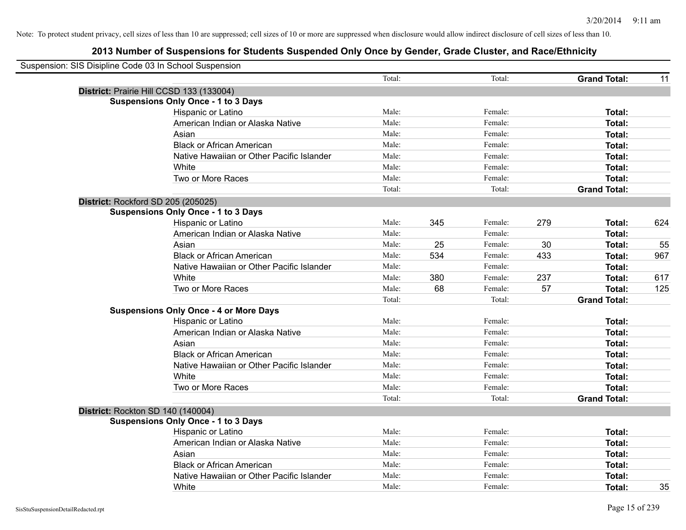| Suspension: SIS Disipline Code 03 In School Suspension |                                               |        |     |         |     |                     |     |
|--------------------------------------------------------|-----------------------------------------------|--------|-----|---------|-----|---------------------|-----|
|                                                        |                                               | Total: |     | Total:  |     | <b>Grand Total:</b> | 11  |
|                                                        | District: Prairie Hill CCSD 133 (133004)      |        |     |         |     |                     |     |
|                                                        | <b>Suspensions Only Once - 1 to 3 Days</b>    |        |     |         |     |                     |     |
|                                                        | Hispanic or Latino                            | Male:  |     | Female: |     | Total:              |     |
|                                                        | American Indian or Alaska Native              | Male:  |     | Female: |     | Total:              |     |
|                                                        | Asian                                         | Male:  |     | Female: |     | Total:              |     |
|                                                        | <b>Black or African American</b>              | Male:  |     | Female: |     | Total:              |     |
|                                                        | Native Hawaiian or Other Pacific Islander     | Male:  |     | Female: |     | Total:              |     |
|                                                        | White                                         | Male:  |     | Female: |     | Total:              |     |
|                                                        | Two or More Races                             | Male:  |     | Female: |     | Total:              |     |
|                                                        |                                               | Total: |     | Total:  |     | <b>Grand Total:</b> |     |
|                                                        | District: Rockford SD 205 (205025)            |        |     |         |     |                     |     |
|                                                        | <b>Suspensions Only Once - 1 to 3 Days</b>    |        |     |         |     |                     |     |
|                                                        | Hispanic or Latino                            | Male:  | 345 | Female: | 279 | Total:              | 624 |
|                                                        | American Indian or Alaska Native              | Male:  |     | Female: |     | Total:              |     |
|                                                        | Asian                                         | Male:  | 25  | Female: | 30  | Total:              | 55  |
|                                                        | <b>Black or African American</b>              | Male:  | 534 | Female: | 433 | Total:              | 967 |
|                                                        | Native Hawaiian or Other Pacific Islander     | Male:  |     | Female: |     | Total:              |     |
|                                                        | White                                         | Male:  | 380 | Female: | 237 | Total:              | 617 |
|                                                        | Two or More Races                             | Male:  | 68  | Female: | 57  | Total:              | 125 |
|                                                        |                                               | Total: |     | Total:  |     | <b>Grand Total:</b> |     |
|                                                        | <b>Suspensions Only Once - 4 or More Days</b> |        |     |         |     |                     |     |
|                                                        | Hispanic or Latino                            | Male:  |     | Female: |     | Total:              |     |
|                                                        | American Indian or Alaska Native              | Male:  |     | Female: |     | Total:              |     |
|                                                        | Asian                                         | Male:  |     | Female: |     | <b>Total:</b>       |     |
|                                                        | <b>Black or African American</b>              | Male:  |     | Female: |     | Total:              |     |
|                                                        | Native Hawaiian or Other Pacific Islander     | Male:  |     | Female: |     | Total:              |     |
|                                                        | White                                         | Male:  |     | Female: |     | Total:              |     |
|                                                        | Two or More Races                             | Male:  |     | Female: |     | Total:              |     |
|                                                        |                                               | Total: |     | Total:  |     | <b>Grand Total:</b> |     |
|                                                        | District: Rockton SD 140 (140004)             |        |     |         |     |                     |     |
|                                                        | <b>Suspensions Only Once - 1 to 3 Days</b>    |        |     |         |     |                     |     |
|                                                        | Hispanic or Latino                            | Male:  |     | Female: |     | Total:              |     |
|                                                        | American Indian or Alaska Native              | Male:  |     | Female: |     | Total:              |     |
|                                                        | Asian                                         | Male:  |     | Female: |     | Total:              |     |
|                                                        | <b>Black or African American</b>              | Male:  |     | Female: |     | Total:              |     |
|                                                        | Native Hawaiian or Other Pacific Islander     | Male:  |     | Female: |     | <b>Total:</b>       |     |
|                                                        | White                                         | Male:  |     | Female: |     | Total:              | 35  |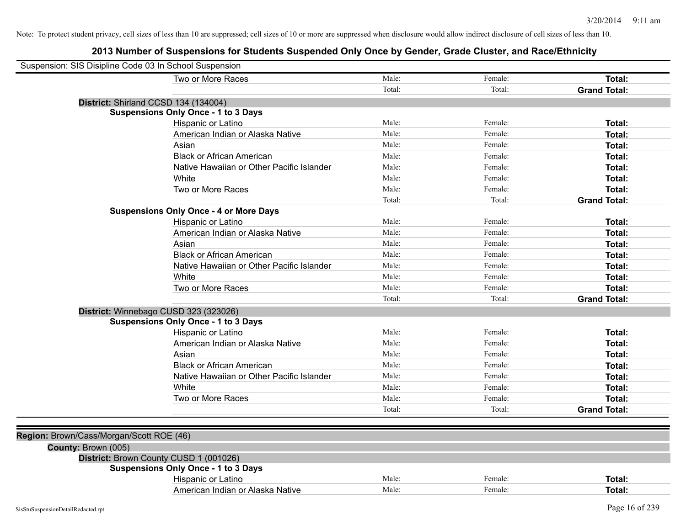|                                          | Two or More Races                             | Male:  | Female: | <b>Total:</b>       |
|------------------------------------------|-----------------------------------------------|--------|---------|---------------------|
|                                          |                                               | Total: | Total:  | <b>Grand Total:</b> |
|                                          | District: Shirland CCSD 134 (134004)          |        |         |                     |
|                                          | <b>Suspensions Only Once - 1 to 3 Days</b>    |        |         |                     |
|                                          | Hispanic or Latino                            | Male:  | Female: | Total:              |
|                                          | American Indian or Alaska Native              | Male:  | Female: | Total:              |
|                                          | Asian                                         | Male:  | Female: | Total:              |
|                                          | <b>Black or African American</b>              | Male:  | Female: | <b>Total:</b>       |
|                                          | Native Hawaiian or Other Pacific Islander     | Male:  | Female: | <b>Total:</b>       |
|                                          | White                                         | Male:  | Female: | Total:              |
|                                          | Two or More Races                             | Male:  | Female: | Total:              |
|                                          |                                               | Total: | Total:  | <b>Grand Total:</b> |
|                                          | <b>Suspensions Only Once - 4 or More Days</b> |        |         |                     |
|                                          | Hispanic or Latino                            | Male:  | Female: | Total:              |
|                                          | American Indian or Alaska Native              | Male:  | Female: | Total:              |
|                                          | Asian                                         | Male:  | Female: | <b>Total:</b>       |
|                                          | <b>Black or African American</b>              | Male:  | Female: | <b>Total:</b>       |
|                                          | Native Hawaiian or Other Pacific Islander     | Male:  | Female: | <b>Total:</b>       |
|                                          | White                                         | Male:  | Female: | <b>Total:</b>       |
|                                          | Two or More Races                             | Male:  | Female: | <b>Total:</b>       |
|                                          |                                               | Total: | Total:  | <b>Grand Total:</b> |
|                                          | District: Winnebago CUSD 323 (323026)         |        |         |                     |
|                                          | <b>Suspensions Only Once - 1 to 3 Days</b>    |        |         |                     |
|                                          | Hispanic or Latino                            | Male:  | Female: | <b>Total:</b>       |
|                                          | American Indian or Alaska Native              | Male:  | Female: | <b>Total:</b>       |
|                                          | Asian                                         | Male:  | Female: | <b>Total:</b>       |
|                                          | <b>Black or African American</b>              | Male:  | Female: | <b>Total:</b>       |
|                                          | Native Hawaiian or Other Pacific Islander     | Male:  | Female: | <b>Total:</b>       |
|                                          | White                                         | Male:  | Female: | Total:              |
|                                          | Two or More Races                             | Male:  | Female: | <b>Total:</b>       |
|                                          |                                               | Total: | Total:  | <b>Grand Total:</b> |
|                                          |                                               |        |         |                     |
| Region: Brown/Cass/Morgan/Scott ROE (46) |                                               |        |         |                     |
| County: Brown (005)                      |                                               |        |         |                     |
|                                          | District: Brown County CUSD 1 (001026)        |        |         |                     |
|                                          | <b>Suspensions Only Once - 1 to 3 Days</b>    |        |         |                     |
|                                          | Hispanic or Latino                            | Male:  | Female: | Total:              |
|                                          | American Indian or Alaska Native              | Male:  | Female: | <b>Total:</b>       |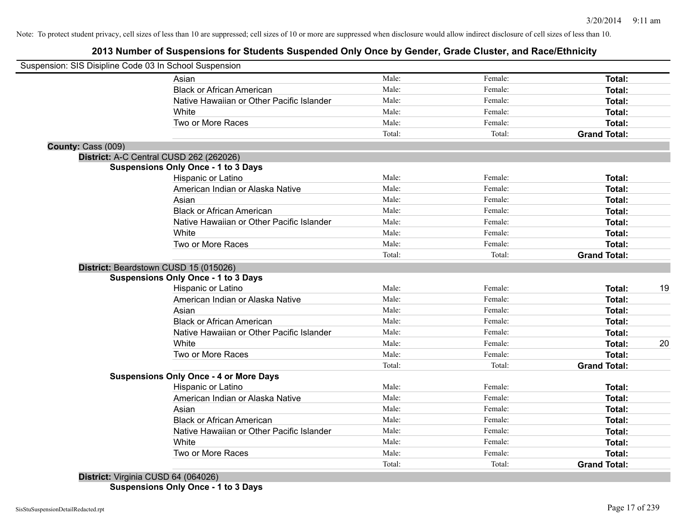# **2013 Number of Suspensions for Students Suspended Only Once by Gender, Grade Cluster, and Race/Ethnicity**

|                    | Suspension: SIS Disipline Code 03 In School Suspension |        |         |                     |    |
|--------------------|--------------------------------------------------------|--------|---------|---------------------|----|
|                    | Asian                                                  | Male:  | Female: | Total:              |    |
|                    | <b>Black or African American</b>                       | Male:  | Female: | Total:              |    |
|                    | Native Hawaiian or Other Pacific Islander              | Male:  | Female: | Total:              |    |
|                    | White                                                  | Male:  | Female: | <b>Total:</b>       |    |
|                    | Two or More Races                                      | Male:  | Female: | <b>Total:</b>       |    |
|                    |                                                        | Total: | Total:  | <b>Grand Total:</b> |    |
| County: Cass (009) |                                                        |        |         |                     |    |
|                    | District: A-C Central CUSD 262 (262026)                |        |         |                     |    |
|                    | <b>Suspensions Only Once - 1 to 3 Days</b>             |        |         |                     |    |
|                    | Hispanic or Latino                                     | Male:  | Female: | Total:              |    |
|                    | American Indian or Alaska Native                       | Male:  | Female: | <b>Total:</b>       |    |
|                    | Asian                                                  | Male:  | Female: | Total:              |    |
|                    | <b>Black or African American</b>                       | Male:  | Female: | Total:              |    |
|                    | Native Hawaiian or Other Pacific Islander              | Male:  | Female: | Total:              |    |
|                    | White                                                  | Male:  | Female: | <b>Total:</b>       |    |
|                    | Two or More Races                                      | Male:  | Female: | Total:              |    |
|                    |                                                        | Total: | Total:  | <b>Grand Total:</b> |    |
|                    | District: Beardstown CUSD 15 (015026)                  |        |         |                     |    |
|                    | <b>Suspensions Only Once - 1 to 3 Days</b>             |        |         |                     |    |
|                    | Hispanic or Latino                                     | Male:  | Female: | <b>Total:</b>       | 19 |
|                    | American Indian or Alaska Native                       | Male:  | Female: | <b>Total:</b>       |    |
|                    | Asian                                                  | Male:  | Female: | Total:              |    |
|                    | <b>Black or African American</b>                       | Male:  | Female: | Total:              |    |
|                    | Native Hawaiian or Other Pacific Islander              | Male:  | Female: | <b>Total:</b>       |    |
|                    | White                                                  | Male:  | Female: | <b>Total:</b>       | 20 |
|                    | Two or More Races                                      | Male:  | Female: | <b>Total:</b>       |    |
|                    |                                                        | Total: | Total:  | <b>Grand Total:</b> |    |
|                    | <b>Suspensions Only Once - 4 or More Days</b>          |        |         |                     |    |
|                    | Hispanic or Latino                                     | Male:  | Female: | <b>Total:</b>       |    |
|                    | American Indian or Alaska Native                       | Male:  | Female: | Total:              |    |
|                    | Asian                                                  | Male:  | Female: | Total:              |    |
|                    | <b>Black or African American</b>                       | Male:  | Female: | Total:              |    |
|                    | Native Hawaiian or Other Pacific Islander              | Male:  | Female: | Total:              |    |
|                    | White                                                  | Male:  | Female: | Total:              |    |
|                    | Two or More Races                                      | Male:  | Female: | Total:              |    |
|                    |                                                        | Total: | Total:  | <b>Grand Total:</b> |    |

**Suspensions Only Once - 1 to 3 Days**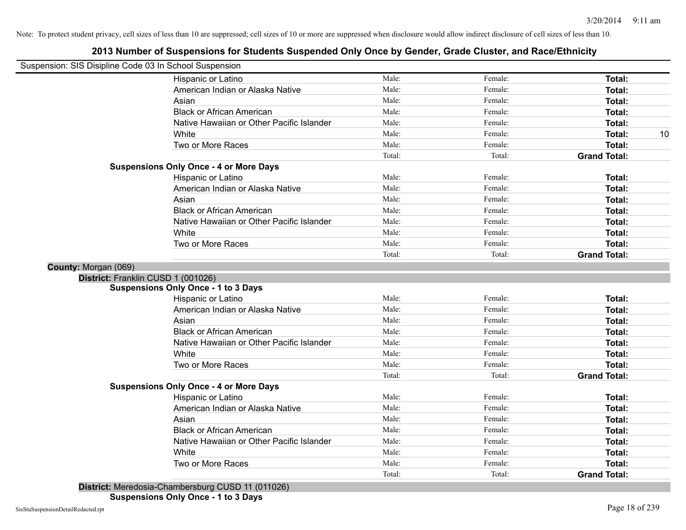# **2013 Number of Suspensions for Students Suspended Only Once by Gender, Grade Cluster, and Race/Ethnicity**

| Suspension: SIS Disipline Code 03 In School Suspension |                                               |        |         |                     |
|--------------------------------------------------------|-----------------------------------------------|--------|---------|---------------------|
|                                                        | Hispanic or Latino                            | Male:  | Female: | <b>Total:</b>       |
|                                                        | American Indian or Alaska Native              | Male:  | Female: | Total:              |
|                                                        | Asian                                         | Male:  | Female: | <b>Total:</b>       |
|                                                        | <b>Black or African American</b>              | Male:  | Female: | Total:              |
|                                                        | Native Hawaiian or Other Pacific Islander     | Male:  | Female: | Total:              |
|                                                        | White                                         | Male:  | Female: | Total:<br>10        |
|                                                        | Two or More Races                             | Male:  | Female: | Total:              |
|                                                        |                                               | Total: | Total:  | <b>Grand Total:</b> |
|                                                        | <b>Suspensions Only Once - 4 or More Days</b> |        |         |                     |
|                                                        | Hispanic or Latino                            | Male:  | Female: | <b>Total:</b>       |
|                                                        | American Indian or Alaska Native              | Male:  | Female: | <b>Total:</b>       |
|                                                        | Asian                                         | Male:  | Female: | <b>Total:</b>       |
|                                                        | <b>Black or African American</b>              | Male:  | Female: | <b>Total:</b>       |
|                                                        | Native Hawaiian or Other Pacific Islander     | Male:  | Female: | <b>Total:</b>       |
|                                                        | White                                         | Male:  | Female: | Total:              |
|                                                        | Two or More Races                             | Male:  | Female: | <b>Total:</b>       |
|                                                        |                                               | Total: | Total:  | <b>Grand Total:</b> |
| County: Morgan (069)                                   |                                               |        |         |                     |
| District: Franklin CUSD 1 (001026)                     |                                               |        |         |                     |
|                                                        | <b>Suspensions Only Once - 1 to 3 Days</b>    |        |         |                     |
|                                                        | Hispanic or Latino                            | Male:  | Female: | Total:              |
|                                                        | American Indian or Alaska Native              | Male:  | Female: | <b>Total:</b>       |
|                                                        | Asian                                         | Male:  | Female: | <b>Total:</b>       |
|                                                        | <b>Black or African American</b>              | Male:  | Female: | <b>Total:</b>       |
|                                                        | Native Hawaiian or Other Pacific Islander     | Male:  | Female: | <b>Total:</b>       |
|                                                        | White                                         | Male:  | Female: | <b>Total:</b>       |
|                                                        | Two or More Races                             | Male:  | Female: | <b>Total:</b>       |
|                                                        |                                               | Total: | Total:  | <b>Grand Total:</b> |
|                                                        | <b>Suspensions Only Once - 4 or More Days</b> |        |         |                     |
|                                                        | Hispanic or Latino                            | Male:  | Female: | Total:              |
|                                                        | American Indian or Alaska Native              | Male:  | Female: | Total:              |
|                                                        | Asian                                         | Male:  | Female: | <b>Total:</b>       |
|                                                        | <b>Black or African American</b>              | Male:  | Female: | Total:              |
|                                                        | Native Hawaiian or Other Pacific Islander     | Male:  | Female: | <b>Total:</b>       |
|                                                        | White                                         | Male:  | Female: | <b>Total:</b>       |
|                                                        | Two or More Races                             | Male:  | Female: | <b>Total:</b>       |
|                                                        |                                               | Total: | Total:  | <b>Grand Total:</b> |

**District:** Meredosia-Chambersburg CUSD 11 (011026)

**Suspensions Only Once - 1 to 3 Days**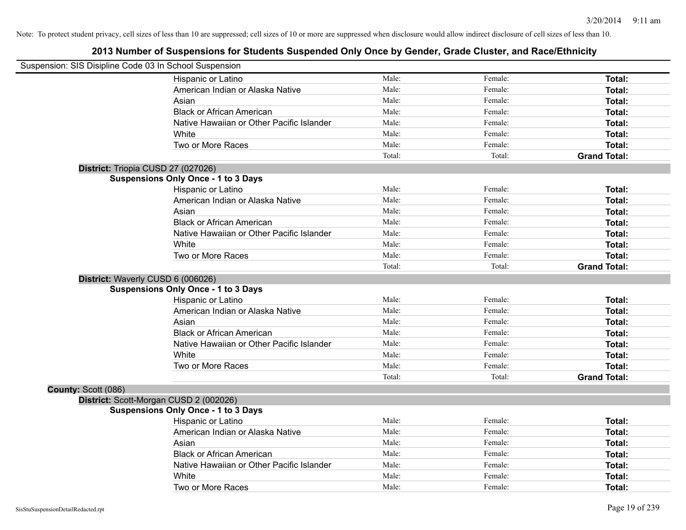| Suspension: SIS Disipline Code 03 In School Suspension |                                            |        |         |                     |
|--------------------------------------------------------|--------------------------------------------|--------|---------|---------------------|
|                                                        | Hispanic or Latino                         | Male:  | Female: | Total:              |
|                                                        | American Indian or Alaska Native           | Male:  | Female: | Total:              |
|                                                        | Asian                                      | Male:  | Female: | Total:              |
|                                                        | <b>Black or African American</b>           | Male:  | Female: | Total:              |
|                                                        | Native Hawaiian or Other Pacific Islander  | Male:  | Female: | Total:              |
|                                                        | White                                      | Male:  | Female: | Total:              |
|                                                        | Two or More Races                          | Male:  | Female: | Total:              |
|                                                        |                                            | Total: | Total:  | <b>Grand Total:</b> |
| District: Triopia CUSD 27 (027026)                     |                                            |        |         |                     |
|                                                        | <b>Suspensions Only Once - 1 to 3 Days</b> |        |         |                     |
|                                                        | Hispanic or Latino                         | Male:  | Female: | Total:              |
|                                                        | American Indian or Alaska Native           | Male:  | Female: | Total:              |
|                                                        | Asian                                      | Male:  | Female: | Total:              |
|                                                        | <b>Black or African American</b>           | Male:  | Female: | Total:              |
|                                                        | Native Hawaiian or Other Pacific Islander  | Male:  | Female: | Total:              |
|                                                        | White                                      | Male:  | Female: | Total:              |
|                                                        | Two or More Races                          | Male:  | Female: | Total:              |
|                                                        |                                            | Total: | Total:  | <b>Grand Total:</b> |
| District: Waverly CUSD 6 (006026)                      |                                            |        |         |                     |
|                                                        | <b>Suspensions Only Once - 1 to 3 Days</b> |        |         |                     |
|                                                        | Hispanic or Latino                         | Male:  | Female: | Total:              |
|                                                        | American Indian or Alaska Native           | Male:  | Female: | Total:              |
|                                                        | Asian                                      | Male:  | Female: | Total:              |
|                                                        | <b>Black or African American</b>           | Male:  | Female: | Total:              |
|                                                        | Native Hawaiian or Other Pacific Islander  | Male:  | Female: | Total:              |
|                                                        | White                                      | Male:  | Female: | Total:              |
|                                                        | Two or More Races                          | Male:  | Female: | Total:              |
|                                                        |                                            | Total: | Total:  | <b>Grand Total:</b> |
| County: Scott (086)                                    |                                            |        |         |                     |
|                                                        | District: Scott-Morgan CUSD 2 (002026)     |        |         |                     |
|                                                        | <b>Suspensions Only Once - 1 to 3 Days</b> |        |         |                     |
|                                                        | Hispanic or Latino                         | Male:  | Female: | Total:              |
|                                                        | American Indian or Alaska Native           | Male:  | Female: | Total:              |
|                                                        | Asian                                      | Male:  | Female: | Total:              |
|                                                        | <b>Black or African American</b>           | Male:  | Female: | Total:              |
|                                                        | Native Hawaiian or Other Pacific Islander  | Male:  | Female: | Total:              |
|                                                        | White                                      | Male:  | Female: | Total:              |
|                                                        | Two or More Races                          | Male:  | Female: | Total:              |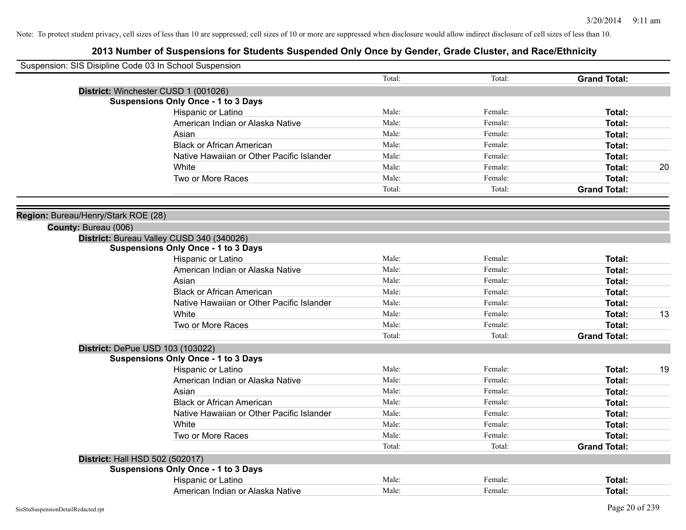| Suspension: SIS Disipline Code 03 In School Suspension |                                            |        |         |                     |    |
|--------------------------------------------------------|--------------------------------------------|--------|---------|---------------------|----|
|                                                        |                                            | Total: | Total:  | <b>Grand Total:</b> |    |
|                                                        | District: Winchester CUSD 1 (001026)       |        |         |                     |    |
|                                                        | <b>Suspensions Only Once - 1 to 3 Days</b> |        |         |                     |    |
|                                                        | Hispanic or Latino                         | Male:  | Female: | Total:              |    |
|                                                        | American Indian or Alaska Native           | Male:  | Female: | Total:              |    |
|                                                        | Asian                                      | Male:  | Female: | Total:              |    |
|                                                        | <b>Black or African American</b>           | Male:  | Female: | Total:              |    |
|                                                        | Native Hawaiian or Other Pacific Islander  | Male:  | Female: | <b>Total:</b>       |    |
|                                                        | White                                      | Male:  | Female: | Total:              | 20 |
|                                                        | Two or More Races                          | Male:  | Female: | <b>Total:</b>       |    |
|                                                        |                                            | Total: | Total:  | <b>Grand Total:</b> |    |
| Region: Bureau/Henry/Stark ROE (28)                    |                                            |        |         |                     |    |
| County: Bureau (006)                                   |                                            |        |         |                     |    |
|                                                        | District: Bureau Valley CUSD 340 (340026)  |        |         |                     |    |
|                                                        | <b>Suspensions Only Once - 1 to 3 Days</b> |        |         |                     |    |
|                                                        | Hispanic or Latino                         | Male:  | Female: | Total:              |    |
|                                                        | American Indian or Alaska Native           | Male:  | Female: | Total:              |    |
|                                                        | Asian                                      | Male:  | Female: | Total:              |    |
|                                                        | <b>Black or African American</b>           | Male:  | Female: | <b>Total:</b>       |    |
|                                                        | Native Hawaiian or Other Pacific Islander  | Male:  | Female: | Total:              |    |
|                                                        | White                                      | Male:  | Female: | Total:              | 13 |
|                                                        | Two or More Races                          | Male:  | Female: | Total:              |    |
|                                                        |                                            | Total: | Total:  | <b>Grand Total:</b> |    |
|                                                        | District: DePue USD 103 (103022)           |        |         |                     |    |
|                                                        | <b>Suspensions Only Once - 1 to 3 Days</b> |        |         |                     |    |
|                                                        | Hispanic or Latino                         | Male:  | Female: | Total:              | 19 |
|                                                        | American Indian or Alaska Native           | Male:  | Female: | <b>Total:</b>       |    |
|                                                        | Asian                                      | Male:  | Female: | Total:              |    |
|                                                        | <b>Black or African American</b>           | Male:  | Female: | <b>Total:</b>       |    |
|                                                        | Native Hawaiian or Other Pacific Islander  | Male:  | Female: | Total:              |    |
|                                                        | White                                      | Male:  | Female: | Total:              |    |
|                                                        | Two or More Races                          | Male:  | Female: | <b>Total:</b>       |    |
|                                                        |                                            | Total: | Total:  | <b>Grand Total:</b> |    |
| District: Hall HSD 502 (502017)                        |                                            |        |         |                     |    |
|                                                        | <b>Suspensions Only Once - 1 to 3 Days</b> |        |         |                     |    |
|                                                        | Hispanic or Latino                         | Male:  | Female: | <b>Total:</b>       |    |
|                                                        | American Indian or Alaska Native           | Male:  | Female: | Total:              |    |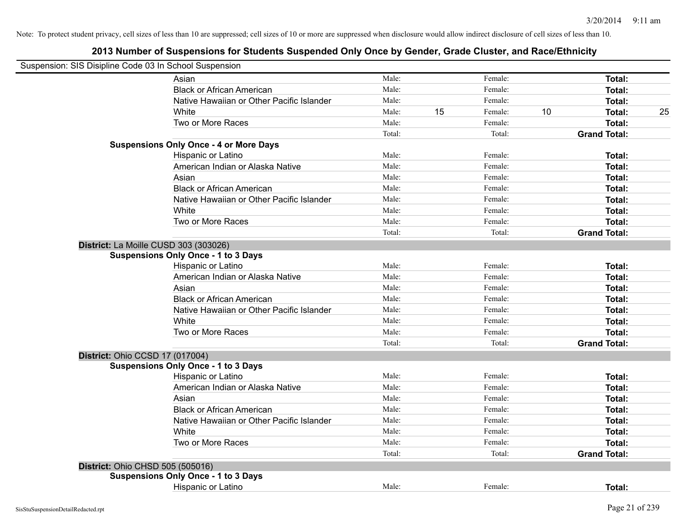| Suspension: SIS Disipline Code 03 In School Suspension |                                               |        |    |         |    |                     |    |
|--------------------------------------------------------|-----------------------------------------------|--------|----|---------|----|---------------------|----|
|                                                        | Asian                                         | Male:  |    | Female: |    | Total:              |    |
|                                                        | <b>Black or African American</b>              | Male:  |    | Female: |    | Total:              |    |
|                                                        | Native Hawaiian or Other Pacific Islander     | Male:  |    | Female: |    | Total:              |    |
|                                                        | White                                         | Male:  | 15 | Female: | 10 | Total:              | 25 |
|                                                        | Two or More Races                             | Male:  |    | Female: |    | Total:              |    |
|                                                        |                                               | Total: |    | Total:  |    | <b>Grand Total:</b> |    |
|                                                        | <b>Suspensions Only Once - 4 or More Days</b> |        |    |         |    |                     |    |
|                                                        | Hispanic or Latino                            | Male:  |    | Female: |    | Total:              |    |
|                                                        | American Indian or Alaska Native              | Male:  |    | Female: |    | Total:              |    |
|                                                        | Asian                                         | Male:  |    | Female: |    | Total:              |    |
|                                                        | <b>Black or African American</b>              | Male:  |    | Female: |    | Total:              |    |
|                                                        | Native Hawaiian or Other Pacific Islander     | Male:  |    | Female: |    | Total:              |    |
|                                                        | White                                         | Male:  |    | Female: |    | Total:              |    |
|                                                        | Two or More Races                             | Male:  |    | Female: |    | Total:              |    |
|                                                        |                                               | Total: |    | Total:  |    | <b>Grand Total:</b> |    |
|                                                        | District: La Moille CUSD 303 (303026)         |        |    |         |    |                     |    |
|                                                        | <b>Suspensions Only Once - 1 to 3 Days</b>    |        |    |         |    |                     |    |
|                                                        | Hispanic or Latino                            | Male:  |    | Female: |    | Total:              |    |
|                                                        | American Indian or Alaska Native              | Male:  |    | Female: |    | Total:              |    |
|                                                        | Asian                                         | Male:  |    | Female: |    | Total:              |    |
|                                                        | <b>Black or African American</b>              | Male:  |    | Female: |    | Total:              |    |
|                                                        | Native Hawaiian or Other Pacific Islander     | Male:  |    | Female: |    | Total:              |    |
|                                                        | White                                         | Male:  |    | Female: |    | Total:              |    |
|                                                        | Two or More Races                             | Male:  |    | Female: |    | Total:              |    |
|                                                        |                                               | Total: |    | Total:  |    | <b>Grand Total:</b> |    |
| <b>District: Ohio CCSD 17 (017004)</b>                 |                                               |        |    |         |    |                     |    |
|                                                        | <b>Suspensions Only Once - 1 to 3 Days</b>    |        |    |         |    |                     |    |
|                                                        | Hispanic or Latino                            | Male:  |    | Female: |    | Total:              |    |
|                                                        | American Indian or Alaska Native              | Male:  |    | Female: |    | Total:              |    |
|                                                        | Asian                                         | Male:  |    | Female: |    | Total:              |    |
|                                                        | <b>Black or African American</b>              | Male:  |    | Female: |    | Total:              |    |
|                                                        | Native Hawaiian or Other Pacific Islander     | Male:  |    | Female: |    | Total:              |    |
|                                                        | White                                         | Male:  |    | Female: |    | Total:              |    |
|                                                        | Two or More Races                             | Male:  |    | Female: |    | Total:              |    |
|                                                        |                                               | Total: |    | Total:  |    | <b>Grand Total:</b> |    |
| District: Ohio CHSD 505 (505016)                       |                                               |        |    |         |    |                     |    |
|                                                        | <b>Suspensions Only Once - 1 to 3 Days</b>    |        |    |         |    |                     |    |
|                                                        | Hispanic or Latino                            | Male:  |    | Female: |    | Total:              |    |
|                                                        |                                               |        |    |         |    |                     |    |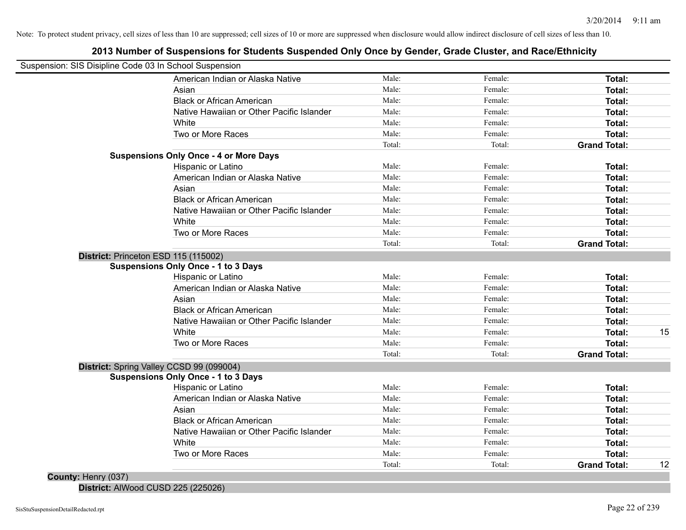# **2013 Number of Suspensions for Students Suspended Only Once by Gender, Grade Cluster, and Race/Ethnicity**

| Suspension: SIS Disipline Code 03 In School Suspension |                                               |        |         |                     |    |
|--------------------------------------------------------|-----------------------------------------------|--------|---------|---------------------|----|
|                                                        | American Indian or Alaska Native              | Male:  | Female: | Total:              |    |
|                                                        | Asian                                         | Male:  | Female: | Total:              |    |
|                                                        | <b>Black or African American</b>              | Male:  | Female: | Total:              |    |
|                                                        | Native Hawaiian or Other Pacific Islander     | Male:  | Female: | Total:              |    |
|                                                        | White                                         | Male:  | Female: | Total:              |    |
|                                                        | Two or More Races                             | Male:  | Female: | Total:              |    |
|                                                        |                                               | Total: | Total:  | <b>Grand Total:</b> |    |
|                                                        | <b>Suspensions Only Once - 4 or More Days</b> |        |         |                     |    |
|                                                        | Hispanic or Latino                            | Male:  | Female: | Total:              |    |
|                                                        | American Indian or Alaska Native              | Male:  | Female: | Total:              |    |
|                                                        | Asian                                         | Male:  | Female: | Total:              |    |
|                                                        | <b>Black or African American</b>              | Male:  | Female: | Total:              |    |
|                                                        | Native Hawaiian or Other Pacific Islander     | Male:  | Female: | Total:              |    |
|                                                        | White                                         | Male:  | Female: | Total:              |    |
|                                                        | Two or More Races                             | Male:  | Female: | Total:              |    |
|                                                        |                                               | Total: | Total:  | <b>Grand Total:</b> |    |
| District: Princeton ESD 115 (115002)                   |                                               |        |         |                     |    |
|                                                        | <b>Suspensions Only Once - 1 to 3 Days</b>    |        |         |                     |    |
|                                                        | Hispanic or Latino                            | Male:  | Female: | Total:              |    |
|                                                        | American Indian or Alaska Native              | Male:  | Female: | Total:              |    |
|                                                        | Asian                                         | Male:  | Female: | Total:              |    |
|                                                        | <b>Black or African American</b>              | Male:  | Female: | Total:              |    |
|                                                        | Native Hawaiian or Other Pacific Islander     | Male:  | Female: | Total:              |    |
|                                                        | White                                         | Male:  | Female: | Total:              | 15 |
|                                                        | Two or More Races                             | Male:  | Female: | <b>Total:</b>       |    |
|                                                        |                                               | Total: | Total:  | <b>Grand Total:</b> |    |
|                                                        | District: Spring Valley CCSD 99 (099004)      |        |         |                     |    |
|                                                        | <b>Suspensions Only Once - 1 to 3 Days</b>    |        |         |                     |    |
|                                                        | Hispanic or Latino                            | Male:  | Female: | Total:              |    |
|                                                        | American Indian or Alaska Native              | Male:  | Female: | Total:              |    |
|                                                        | Asian                                         | Male:  | Female: | Total:              |    |
|                                                        | <b>Black or African American</b>              | Male:  | Female: | Total:              |    |
|                                                        | Native Hawaiian or Other Pacific Islander     | Male:  | Female: | Total:              |    |
|                                                        | White                                         | Male:  | Female: | Total:              |    |
|                                                        | Two or More Races                             | Male:  | Female: | Total:              |    |
|                                                        |                                               | Total: | Total:  | <b>Grand Total:</b> | 12 |

**District:** AlWood CUSD 225 (225026)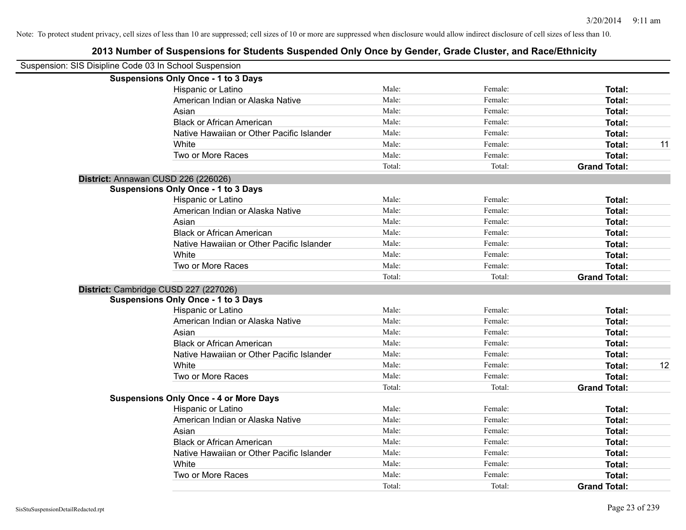| Suspension: SIS Disipline Code 03 In School Suspension |                                               |        |         |                     |    |
|--------------------------------------------------------|-----------------------------------------------|--------|---------|---------------------|----|
|                                                        | <b>Suspensions Only Once - 1 to 3 Days</b>    |        |         |                     |    |
|                                                        | Hispanic or Latino                            | Male:  | Female: | Total:              |    |
|                                                        | American Indian or Alaska Native              | Male:  | Female: | Total:              |    |
|                                                        | Asian                                         | Male:  | Female: | Total:              |    |
|                                                        | <b>Black or African American</b>              | Male:  | Female: | Total:              |    |
|                                                        | Native Hawaiian or Other Pacific Islander     | Male:  | Female: | Total:              |    |
|                                                        | White                                         | Male:  | Female: | Total:              | 11 |
|                                                        | Two or More Races                             | Male:  | Female: | Total:              |    |
|                                                        |                                               | Total: | Total:  | <b>Grand Total:</b> |    |
|                                                        | District: Annawan CUSD 226 (226026)           |        |         |                     |    |
|                                                        | <b>Suspensions Only Once - 1 to 3 Days</b>    |        |         |                     |    |
|                                                        | Hispanic or Latino                            | Male:  | Female: | Total:              |    |
|                                                        | American Indian or Alaska Native              | Male:  | Female: | Total:              |    |
|                                                        | Asian                                         | Male:  | Female: | Total:              |    |
|                                                        | <b>Black or African American</b>              | Male:  | Female: | Total:              |    |
|                                                        | Native Hawaiian or Other Pacific Islander     | Male:  | Female: | Total:              |    |
|                                                        | White                                         | Male:  | Female: | Total:              |    |
|                                                        | Two or More Races                             | Male:  | Female: | Total:              |    |
|                                                        |                                               | Total: | Total:  | <b>Grand Total:</b> |    |
|                                                        | District: Cambridge CUSD 227 (227026)         |        |         |                     |    |
|                                                        | <b>Suspensions Only Once - 1 to 3 Days</b>    |        |         |                     |    |
|                                                        | Hispanic or Latino                            | Male:  | Female: | <b>Total:</b>       |    |
|                                                        | American Indian or Alaska Native              | Male:  | Female: | Total:              |    |
|                                                        | Asian                                         | Male:  | Female: | Total:              |    |
|                                                        | <b>Black or African American</b>              | Male:  | Female: | Total:              |    |
|                                                        | Native Hawaiian or Other Pacific Islander     | Male:  | Female: | Total:              |    |
|                                                        | White                                         | Male:  | Female: | Total:              | 12 |
|                                                        | Two or More Races                             | Male:  | Female: | Total:              |    |
|                                                        |                                               | Total: | Total:  | <b>Grand Total:</b> |    |
|                                                        | <b>Suspensions Only Once - 4 or More Days</b> |        |         |                     |    |
|                                                        | Hispanic or Latino                            | Male:  | Female: | Total:              |    |
|                                                        | American Indian or Alaska Native              | Male:  | Female: | Total:              |    |
|                                                        | Asian                                         | Male:  | Female: | Total:              |    |
|                                                        | <b>Black or African American</b>              | Male:  | Female: | Total:              |    |
|                                                        | Native Hawaiian or Other Pacific Islander     | Male:  | Female: | Total:              |    |
|                                                        | White                                         | Male:  | Female: | Total:              |    |
|                                                        | Two or More Races                             | Male:  | Female: | Total:              |    |
|                                                        |                                               | Total: | Total:  | <b>Grand Total:</b> |    |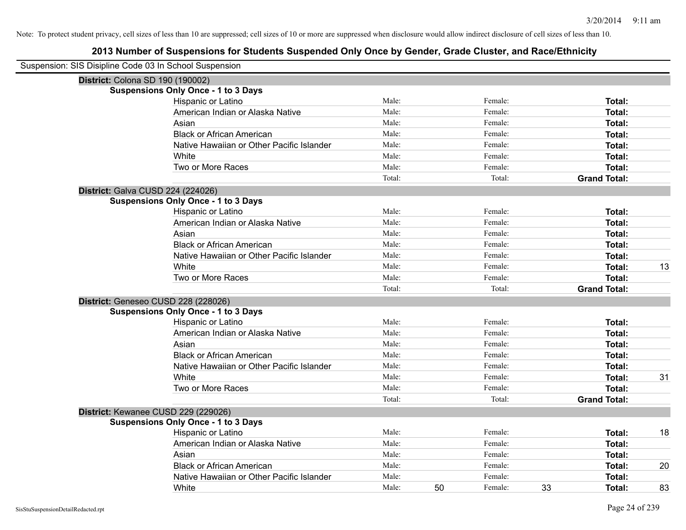| Suspension: SIS Disipline Code 03 In School Suspension |                                            |        |    |         |    |                     |    |
|--------------------------------------------------------|--------------------------------------------|--------|----|---------|----|---------------------|----|
| District: Colona SD 190 (190002)                       |                                            |        |    |         |    |                     |    |
|                                                        | <b>Suspensions Only Once - 1 to 3 Days</b> |        |    |         |    |                     |    |
|                                                        | Hispanic or Latino                         | Male:  |    | Female: |    | Total:              |    |
|                                                        | American Indian or Alaska Native           | Male:  |    | Female: |    | Total:              |    |
|                                                        | Asian                                      | Male:  |    | Female: |    | Total:              |    |
|                                                        | <b>Black or African American</b>           | Male:  |    | Female: |    | Total:              |    |
|                                                        | Native Hawaiian or Other Pacific Islander  | Male:  |    | Female: |    | Total:              |    |
|                                                        | White                                      | Male:  |    | Female: |    | Total:              |    |
|                                                        | Two or More Races                          | Male:  |    | Female: |    | Total:              |    |
|                                                        |                                            | Total: |    | Total:  |    | <b>Grand Total:</b> |    |
| District: Galva CUSD 224 (224026)                      |                                            |        |    |         |    |                     |    |
|                                                        | <b>Suspensions Only Once - 1 to 3 Days</b> |        |    |         |    |                     |    |
|                                                        | Hispanic or Latino                         | Male:  |    | Female: |    | Total:              |    |
|                                                        | American Indian or Alaska Native           | Male:  |    | Female: |    | Total:              |    |
|                                                        | Asian                                      | Male:  |    | Female: |    | Total:              |    |
|                                                        | <b>Black or African American</b>           | Male:  |    | Female: |    | Total:              |    |
|                                                        | Native Hawaiian or Other Pacific Islander  | Male:  |    | Female: |    | Total:              |    |
|                                                        | White                                      | Male:  |    | Female: |    | Total:              | 13 |
|                                                        | Two or More Races                          | Male:  |    | Female: |    | Total:              |    |
|                                                        |                                            | Total: |    | Total:  |    | <b>Grand Total:</b> |    |
|                                                        | District: Geneseo CUSD 228 (228026)        |        |    |         |    |                     |    |
|                                                        | <b>Suspensions Only Once - 1 to 3 Days</b> |        |    |         |    |                     |    |
|                                                        | Hispanic or Latino                         | Male:  |    | Female: |    | Total:              |    |
|                                                        | American Indian or Alaska Native           | Male:  |    | Female: |    | Total:              |    |
|                                                        | Asian                                      | Male:  |    | Female: |    | Total:              |    |
|                                                        | <b>Black or African American</b>           | Male:  |    | Female: |    | Total:              |    |
|                                                        | Native Hawaiian or Other Pacific Islander  | Male:  |    | Female: |    | Total:              |    |
|                                                        | White                                      | Male:  |    | Female: |    | Total:              | 31 |
|                                                        | Two or More Races                          | Male:  |    | Female: |    | Total:              |    |
|                                                        |                                            | Total: |    | Total:  |    | <b>Grand Total:</b> |    |
|                                                        | District: Kewanee CUSD 229 (229026)        |        |    |         |    |                     |    |
|                                                        | <b>Suspensions Only Once - 1 to 3 Days</b> |        |    |         |    |                     |    |
|                                                        | Hispanic or Latino                         | Male:  |    | Female: |    | Total:              | 18 |
|                                                        | American Indian or Alaska Native           | Male:  |    | Female: |    | Total:              |    |
|                                                        | Asian                                      | Male:  |    | Female: |    | Total:              |    |
|                                                        | <b>Black or African American</b>           | Male:  |    | Female: |    | Total:              | 20 |
|                                                        | Native Hawaiian or Other Pacific Islander  | Male:  |    | Female: |    | Total:              |    |
|                                                        | White                                      | Male:  | 50 | Female: | 33 | Total:              | 83 |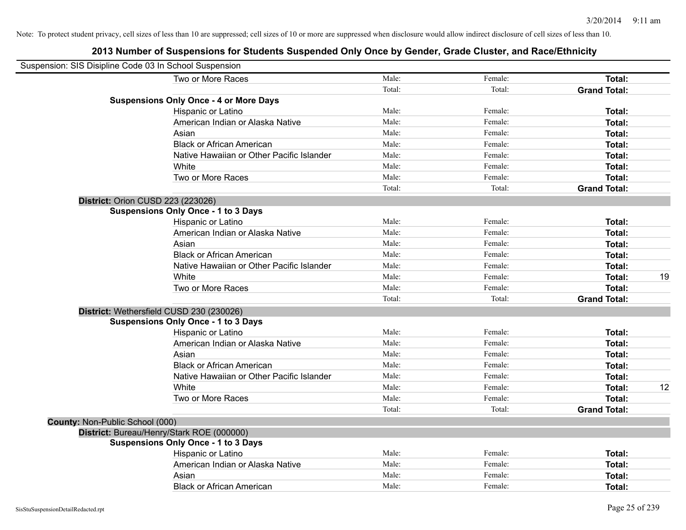|                                 | Suspension: SIS Disipline Code 03 In School Suspension |        |         |                     |    |
|---------------------------------|--------------------------------------------------------|--------|---------|---------------------|----|
|                                 | Two or More Races                                      | Male:  | Female: | Total:              |    |
|                                 |                                                        | Total: | Total:  | <b>Grand Total:</b> |    |
|                                 | <b>Suspensions Only Once - 4 or More Days</b>          |        |         |                     |    |
|                                 | Hispanic or Latino                                     | Male:  | Female: | Total:              |    |
|                                 | American Indian or Alaska Native                       | Male:  | Female: | Total:              |    |
|                                 | Asian                                                  | Male:  | Female: | Total:              |    |
|                                 | <b>Black or African American</b>                       | Male:  | Female: | Total:              |    |
|                                 | Native Hawaiian or Other Pacific Islander              | Male:  | Female: | Total:              |    |
|                                 | White                                                  | Male:  | Female: | Total:              |    |
|                                 | Two or More Races                                      | Male:  | Female: | Total:              |    |
|                                 |                                                        | Total: | Total:  | <b>Grand Total:</b> |    |
|                                 | District: Orion CUSD 223 (223026)                      |        |         |                     |    |
|                                 | <b>Suspensions Only Once - 1 to 3 Days</b>             |        |         |                     |    |
|                                 | Hispanic or Latino                                     | Male:  | Female: | Total:              |    |
|                                 | American Indian or Alaska Native                       | Male:  | Female: | Total:              |    |
|                                 | Asian                                                  | Male:  | Female: | Total:              |    |
|                                 | <b>Black or African American</b>                       | Male:  | Female: | Total:              |    |
|                                 | Native Hawaiian or Other Pacific Islander              | Male:  | Female: | Total:              |    |
|                                 | White                                                  | Male:  | Female: | Total:              | 19 |
|                                 | Two or More Races                                      | Male:  | Female: | Total:              |    |
|                                 |                                                        | Total: | Total:  | <b>Grand Total:</b> |    |
|                                 | District: Wethersfield CUSD 230 (230026)               |        |         |                     |    |
|                                 | <b>Suspensions Only Once - 1 to 3 Days</b>             |        |         |                     |    |
|                                 | Hispanic or Latino                                     | Male:  | Female: | Total:              |    |
|                                 | American Indian or Alaska Native                       | Male:  | Female: | Total:              |    |
|                                 | Asian                                                  | Male:  | Female: | Total:              |    |
|                                 | <b>Black or African American</b>                       | Male:  | Female: | Total:              |    |
|                                 | Native Hawaiian or Other Pacific Islander              | Male:  | Female: | Total:              |    |
|                                 | White                                                  | Male:  | Female: | Total:              | 12 |
|                                 | Two or More Races                                      | Male:  | Female: | Total:              |    |
|                                 |                                                        | Total: | Total:  | <b>Grand Total:</b> |    |
| County: Non-Public School (000) |                                                        |        |         |                     |    |
|                                 | District: Bureau/Henry/Stark ROE (000000)              |        |         |                     |    |
|                                 | <b>Suspensions Only Once - 1 to 3 Days</b>             |        |         |                     |    |
|                                 | Hispanic or Latino                                     | Male:  | Female: | Total:              |    |
|                                 | American Indian or Alaska Native                       | Male:  | Female: | Total:              |    |
|                                 | Asian                                                  | Male:  | Female: | Total:              |    |
|                                 | <b>Black or African American</b>                       | Male:  | Female: | Total:              |    |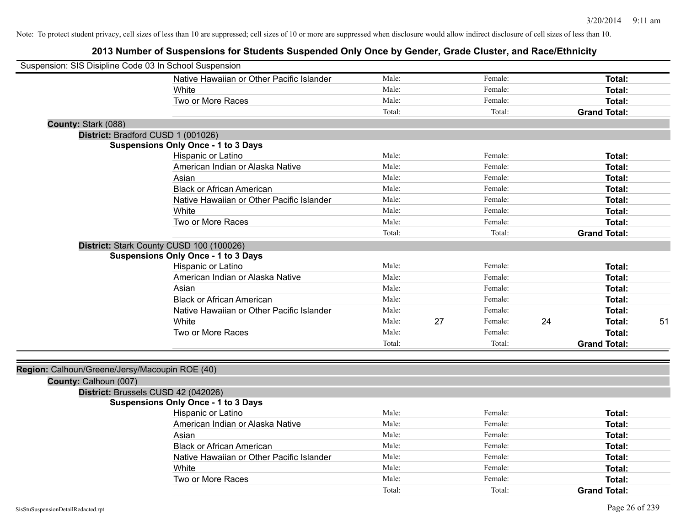| Suspension: SIS Disipline Code 03 In School Suspension |                                            |        |    |         |    |                     |    |
|--------------------------------------------------------|--------------------------------------------|--------|----|---------|----|---------------------|----|
|                                                        | Native Hawaiian or Other Pacific Islander  | Male:  |    | Female: |    | Total:              |    |
|                                                        | White                                      | Male:  |    | Female: |    | Total:              |    |
|                                                        | Two or More Races                          | Male:  |    | Female: |    | Total:              |    |
|                                                        |                                            | Total: |    | Total:  |    | <b>Grand Total:</b> |    |
| County: Stark (088)                                    |                                            |        |    |         |    |                     |    |
|                                                        | District: Bradford CUSD 1 (001026)         |        |    |         |    |                     |    |
|                                                        | <b>Suspensions Only Once - 1 to 3 Days</b> |        |    |         |    |                     |    |
|                                                        | Hispanic or Latino                         | Male:  |    | Female: |    | Total:              |    |
|                                                        | American Indian or Alaska Native           | Male:  |    | Female: |    | Total:              |    |
|                                                        | Asian                                      | Male:  |    | Female: |    | Total:              |    |
|                                                        | <b>Black or African American</b>           | Male:  |    | Female: |    | Total:              |    |
|                                                        | Native Hawaiian or Other Pacific Islander  | Male:  |    | Female: |    | Total:              |    |
|                                                        | White                                      | Male:  |    | Female: |    | Total:              |    |
|                                                        | Two or More Races                          | Male:  |    | Female: |    | Total:              |    |
|                                                        |                                            | Total: |    | Total:  |    | <b>Grand Total:</b> |    |
|                                                        | District: Stark County CUSD 100 (100026)   |        |    |         |    |                     |    |
|                                                        | <b>Suspensions Only Once - 1 to 3 Days</b> |        |    |         |    |                     |    |
|                                                        | Hispanic or Latino                         | Male:  |    | Female: |    | Total:              |    |
|                                                        | American Indian or Alaska Native           | Male:  |    | Female: |    | Total:              |    |
|                                                        | Asian                                      | Male:  |    | Female: |    | <b>Total:</b>       |    |
|                                                        | <b>Black or African American</b>           | Male:  |    | Female: |    | Total:              |    |
|                                                        | Native Hawaiian or Other Pacific Islander  | Male:  |    | Female: |    | Total:              |    |
|                                                        | White                                      | Male:  | 27 | Female: | 24 | Total:              | 51 |
|                                                        | Two or More Races                          | Male:  |    | Female: |    | Total:              |    |
|                                                        |                                            | Total: |    | Total:  |    | <b>Grand Total:</b> |    |
|                                                        |                                            |        |    |         |    |                     |    |
| Region: Calhoun/Greene/Jersy/Macoupin ROE (40)         |                                            |        |    |         |    |                     |    |
| County: Calhoun (007)                                  |                                            |        |    |         |    |                     |    |
|                                                        | District: Brussels CUSD 42 (042026)        |        |    |         |    |                     |    |
|                                                        | <b>Suspensions Only Once - 1 to 3 Days</b> |        |    |         |    |                     |    |
|                                                        | Hispanic or Latino                         | Male:  |    | Female: |    | Total:              |    |
|                                                        | American Indian or Alaska Native           | Male:  |    | Female: |    | Total:              |    |
|                                                        | Asian                                      | Male:  |    | Female: |    | Total:              |    |
|                                                        | <b>Black or African American</b>           | Male:  |    | Female: |    | Total:              |    |
|                                                        | Native Hawaiian or Other Pacific Islander  | Male:  |    | Female: |    | Total:              |    |
|                                                        | White                                      | Male:  |    | Female: |    | Total:              |    |
|                                                        | Two or More Races                          | Male:  |    | Female: |    | Total:              |    |
|                                                        |                                            | Total: |    | Total:  |    | <b>Grand Total:</b> |    |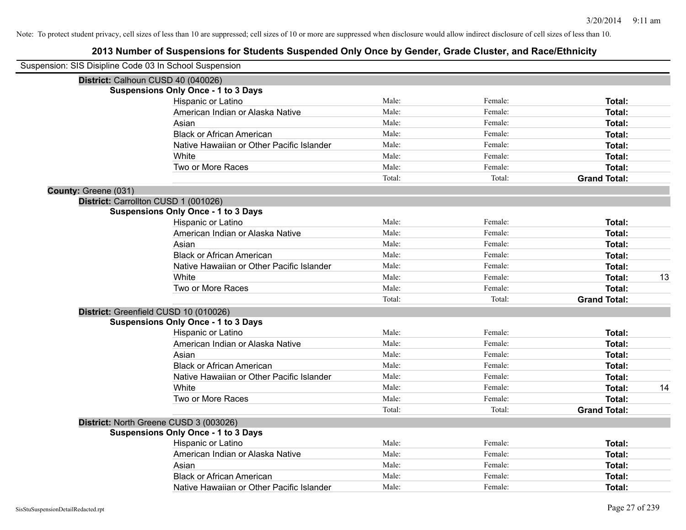| Suspension: SIS Disipline Code 03 In School Suspension |                                            |        |         |                     |    |
|--------------------------------------------------------|--------------------------------------------|--------|---------|---------------------|----|
|                                                        | District: Calhoun CUSD 40 (040026)         |        |         |                     |    |
|                                                        | <b>Suspensions Only Once - 1 to 3 Days</b> |        |         |                     |    |
|                                                        | Hispanic or Latino                         | Male:  | Female: | Total:              |    |
|                                                        | American Indian or Alaska Native           | Male:  | Female: | Total:              |    |
|                                                        | Asian                                      | Male:  | Female: | Total:              |    |
|                                                        | <b>Black or African American</b>           | Male:  | Female: | Total:              |    |
|                                                        | Native Hawaiian or Other Pacific Islander  | Male:  | Female: | Total:              |    |
|                                                        | White                                      | Male:  | Female: | Total:              |    |
|                                                        | Two or More Races                          | Male:  | Female: | Total:              |    |
|                                                        |                                            | Total: | Total:  | <b>Grand Total:</b> |    |
| County: Greene (031)                                   |                                            |        |         |                     |    |
|                                                        | District: Carrollton CUSD 1 (001026)       |        |         |                     |    |
|                                                        | <b>Suspensions Only Once - 1 to 3 Days</b> |        |         |                     |    |
|                                                        | Hispanic or Latino                         | Male:  | Female: | Total:              |    |
|                                                        | American Indian or Alaska Native           | Male:  | Female: | Total:              |    |
|                                                        | Asian                                      | Male:  | Female: | Total:              |    |
|                                                        | <b>Black or African American</b>           | Male:  | Female: | Total:              |    |
|                                                        | Native Hawaiian or Other Pacific Islander  | Male:  | Female: | Total:              |    |
|                                                        | White                                      | Male:  | Female: | Total:              | 13 |
|                                                        | Two or More Races                          | Male:  | Female: | Total:              |    |
|                                                        |                                            | Total: | Total:  | <b>Grand Total:</b> |    |
|                                                        | District: Greenfield CUSD 10 (010026)      |        |         |                     |    |
|                                                        | <b>Suspensions Only Once - 1 to 3 Days</b> |        |         |                     |    |
|                                                        | Hispanic or Latino                         | Male:  | Female: | Total:              |    |
|                                                        | American Indian or Alaska Native           | Male:  | Female: | Total:              |    |
|                                                        | Asian                                      | Male:  | Female: | Total:              |    |
|                                                        | <b>Black or African American</b>           | Male:  | Female: | Total:              |    |
|                                                        | Native Hawaiian or Other Pacific Islander  | Male:  | Female: | Total:              |    |
|                                                        | <b>White</b>                               | Male:  | Female: | Total:              | 14 |
|                                                        | Two or More Races                          | Male:  | Female: | Total:              |    |
|                                                        |                                            | Total: | Total:  | <b>Grand Total:</b> |    |
|                                                        | District: North Greene CUSD 3 (003026)     |        |         |                     |    |
|                                                        | <b>Suspensions Only Once - 1 to 3 Days</b> |        |         |                     |    |
|                                                        | Hispanic or Latino                         | Male:  | Female: | Total:              |    |
|                                                        | American Indian or Alaska Native           | Male:  | Female: | Total:              |    |
|                                                        | Asian                                      | Male:  | Female: | Total:              |    |
|                                                        | <b>Black or African American</b>           | Male:  | Female: | Total:              |    |
|                                                        | Native Hawaiian or Other Pacific Islander  | Male:  | Female: | Total:              |    |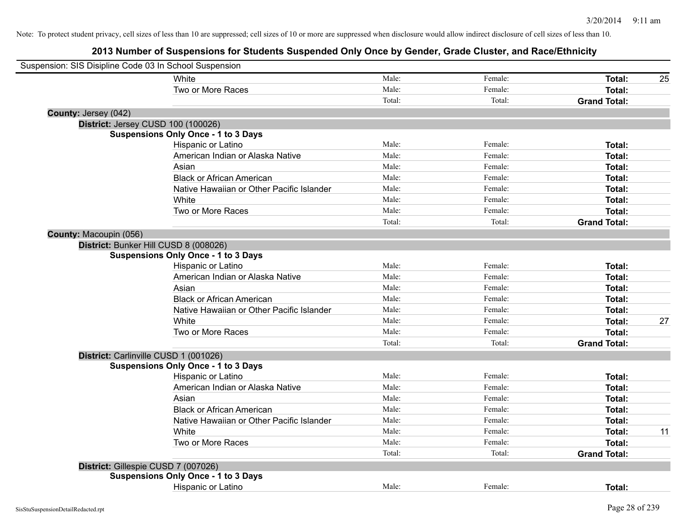| Suspension: SIS Disipline Code 03 In School Suspension |                                            |        |         |                     |    |
|--------------------------------------------------------|--------------------------------------------|--------|---------|---------------------|----|
|                                                        | White                                      | Male:  | Female: | Total:              | 25 |
|                                                        | Two or More Races                          | Male:  | Female: | <b>Total:</b>       |    |
|                                                        |                                            | Total: | Total:  | <b>Grand Total:</b> |    |
| County: Jersey (042)                                   |                                            |        |         |                     |    |
| District: Jersey CUSD 100 (100026)                     |                                            |        |         |                     |    |
|                                                        | <b>Suspensions Only Once - 1 to 3 Days</b> |        |         |                     |    |
|                                                        | Hispanic or Latino                         | Male:  | Female: | Total:              |    |
|                                                        | American Indian or Alaska Native           | Male:  | Female: | Total:              |    |
|                                                        | Asian                                      | Male:  | Female: | <b>Total:</b>       |    |
|                                                        | <b>Black or African American</b>           | Male:  | Female: | <b>Total:</b>       |    |
|                                                        | Native Hawaiian or Other Pacific Islander  | Male:  | Female: | <b>Total:</b>       |    |
|                                                        | White                                      | Male:  | Female: | <b>Total:</b>       |    |
|                                                        | Two or More Races                          | Male:  | Female: | <b>Total:</b>       |    |
|                                                        |                                            | Total: | Total:  | <b>Grand Total:</b> |    |
| County: Macoupin (056)                                 |                                            |        |         |                     |    |
| District: Bunker Hill CUSD 8 (008026)                  |                                            |        |         |                     |    |
|                                                        | <b>Suspensions Only Once - 1 to 3 Days</b> |        |         |                     |    |
|                                                        | Hispanic or Latino                         | Male:  | Female: | Total:              |    |
|                                                        | American Indian or Alaska Native           | Male:  | Female: | Total:              |    |
|                                                        | Asian                                      | Male:  | Female: | Total:              |    |
|                                                        | <b>Black or African American</b>           | Male:  | Female: | Total:              |    |
|                                                        | Native Hawaiian or Other Pacific Islander  | Male:  | Female: | <b>Total:</b>       |    |
|                                                        | White                                      | Male:  | Female: | <b>Total:</b>       | 27 |
|                                                        | Two or More Races                          | Male:  | Female: | <b>Total:</b>       |    |
|                                                        |                                            | Total: | Total:  | <b>Grand Total:</b> |    |
| District: Carlinville CUSD 1 (001026)                  |                                            |        |         |                     |    |
|                                                        | <b>Suspensions Only Once - 1 to 3 Days</b> |        |         |                     |    |
|                                                        | Hispanic or Latino                         | Male:  | Female: | Total:              |    |
|                                                        | American Indian or Alaska Native           | Male:  | Female: | Total:              |    |
|                                                        | Asian                                      | Male:  | Female: | Total:              |    |
|                                                        | <b>Black or African American</b>           | Male:  | Female: | <b>Total:</b>       |    |
|                                                        | Native Hawaiian or Other Pacific Islander  | Male:  | Female: | <b>Total:</b>       |    |
|                                                        | White                                      | Male:  | Female: | <b>Total:</b>       | 11 |
|                                                        | Two or More Races                          | Male:  | Female: | <b>Total:</b>       |    |
|                                                        |                                            | Total: | Total:  | <b>Grand Total:</b> |    |
| District: Gillespie CUSD 7 (007026)                    |                                            |        |         |                     |    |
|                                                        | <b>Suspensions Only Once - 1 to 3 Days</b> |        |         |                     |    |
|                                                        | Hispanic or Latino                         | Male:  | Female: | Total:              |    |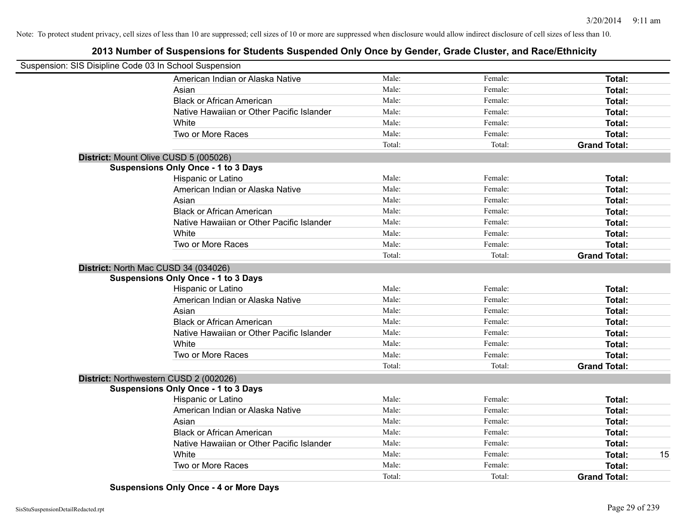# **2013 Number of Suspensions for Students Suspended Only Once by Gender, Grade Cluster, and Race/Ethnicity**

| Suspension: SIS Disipline Code 03 In School Suspension |                                            |        |         |                     |    |
|--------------------------------------------------------|--------------------------------------------|--------|---------|---------------------|----|
|                                                        | American Indian or Alaska Native           | Male:  | Female: | Total:              |    |
|                                                        | Asian                                      | Male:  | Female: | Total:              |    |
|                                                        | <b>Black or African American</b>           | Male:  | Female: | Total:              |    |
|                                                        | Native Hawaiian or Other Pacific Islander  | Male:  | Female: | Total:              |    |
|                                                        | White                                      | Male:  | Female: | Total:              |    |
|                                                        | Two or More Races                          | Male:  | Female: | Total:              |    |
|                                                        |                                            | Total: | Total:  | <b>Grand Total:</b> |    |
|                                                        | District: Mount Olive CUSD 5 (005026)      |        |         |                     |    |
|                                                        | <b>Suspensions Only Once - 1 to 3 Days</b> |        |         |                     |    |
|                                                        | Hispanic or Latino                         | Male:  | Female: | Total:              |    |
|                                                        | American Indian or Alaska Native           | Male:  | Female: | Total:              |    |
|                                                        | Asian                                      | Male:  | Female: | Total:              |    |
|                                                        | <b>Black or African American</b>           | Male:  | Female: | Total:              |    |
|                                                        | Native Hawaiian or Other Pacific Islander  | Male:  | Female: | Total:              |    |
|                                                        | White                                      | Male:  | Female: | Total:              |    |
|                                                        | Two or More Races                          | Male:  | Female: | Total:              |    |
|                                                        |                                            | Total: | Total:  | <b>Grand Total:</b> |    |
|                                                        | District: North Mac CUSD 34 (034026)       |        |         |                     |    |
|                                                        | <b>Suspensions Only Once - 1 to 3 Days</b> |        |         |                     |    |
|                                                        | Hispanic or Latino                         | Male:  | Female: | Total:              |    |
|                                                        | American Indian or Alaska Native           | Male:  | Female: | Total:              |    |
|                                                        | Asian                                      | Male:  | Female: | Total:              |    |
|                                                        | <b>Black or African American</b>           | Male:  | Female: | Total:              |    |
|                                                        | Native Hawaiian or Other Pacific Islander  | Male:  | Female: | Total:              |    |
|                                                        | White                                      | Male:  | Female: | Total:              |    |
|                                                        | Two or More Races                          | Male:  | Female: | Total:              |    |
|                                                        |                                            | Total: | Total:  | <b>Grand Total:</b> |    |
|                                                        | District: Northwestern CUSD 2 (002026)     |        |         |                     |    |
|                                                        | <b>Suspensions Only Once - 1 to 3 Days</b> |        |         |                     |    |
|                                                        | Hispanic or Latino                         | Male:  | Female: | Total:              |    |
|                                                        | American Indian or Alaska Native           | Male:  | Female: | Total:              |    |
|                                                        | Asian                                      | Male:  | Female: | Total:              |    |
|                                                        | <b>Black or African American</b>           | Male:  | Female: | Total:              |    |
|                                                        | Native Hawaiian or Other Pacific Islander  | Male:  | Female: | Total:              |    |
|                                                        | White                                      | Male:  | Female: | Total:              | 15 |
|                                                        | Two or More Races                          | Male:  | Female: | Total:              |    |
|                                                        |                                            | Total: | Total:  | <b>Grand Total:</b> |    |

**Suspensions Only Once - 4 or More Days**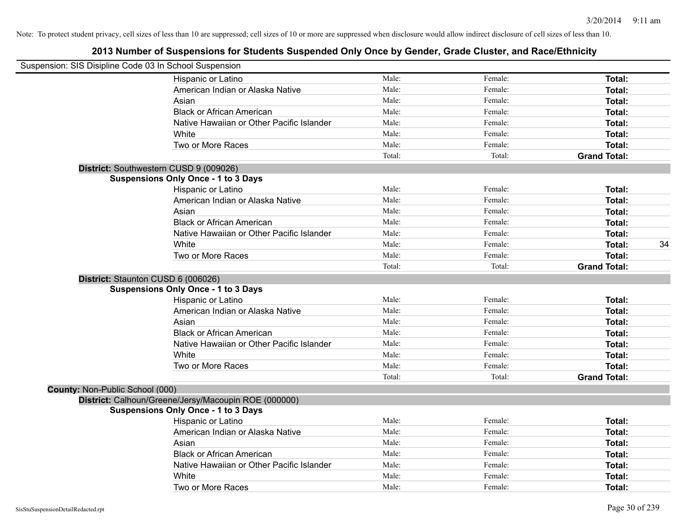| Suspension: SIS Disipline Code 03 In School Suspension |        |         |                     |
|--------------------------------------------------------|--------|---------|---------------------|
| Hispanic or Latino                                     | Male:  | Female: | Total:              |
| American Indian or Alaska Native                       | Male:  | Female: | <b>Total:</b>       |
| Asian                                                  | Male:  | Female: | <b>Total:</b>       |
| <b>Black or African American</b>                       | Male:  | Female: | Total:              |
| Native Hawaiian or Other Pacific Islander              | Male:  | Female: | <b>Total:</b>       |
| White                                                  | Male:  | Female: | <b>Total:</b>       |
| Two or More Races                                      | Male:  | Female: | <b>Total:</b>       |
|                                                        | Total: | Total:  | <b>Grand Total:</b> |
| District: Southwestern CUSD 9 (009026)                 |        |         |                     |
| <b>Suspensions Only Once - 1 to 3 Days</b>             |        |         |                     |
| Hispanic or Latino                                     | Male:  | Female: | Total:              |
| American Indian or Alaska Native                       | Male:  | Female: | <b>Total:</b>       |
| Asian                                                  | Male:  | Female: | <b>Total:</b>       |
| <b>Black or African American</b>                       | Male:  | Female: | <b>Total:</b>       |
| Native Hawaiian or Other Pacific Islander              | Male:  | Female: | Total:              |
| White                                                  | Male:  | Female: | 34<br><b>Total:</b> |
| Two or More Races                                      | Male:  | Female: | <b>Total:</b>       |
|                                                        | Total: | Total:  | <b>Grand Total:</b> |
| District: Staunton CUSD 6 (006026)                     |        |         |                     |
| <b>Suspensions Only Once - 1 to 3 Days</b>             |        |         |                     |
| Hispanic or Latino                                     | Male:  | Female: | Total:              |
| American Indian or Alaska Native                       | Male:  | Female: | Total:              |
| Asian                                                  | Male:  | Female: | <b>Total:</b>       |
| <b>Black or African American</b>                       | Male:  | Female: | Total:              |
| Native Hawaiian or Other Pacific Islander              | Male:  | Female: | Total:              |
| White                                                  | Male:  | Female: | <b>Total:</b>       |
| Two or More Races                                      | Male:  | Female: | Total:              |
|                                                        | Total: | Total:  | <b>Grand Total:</b> |
| <b>County: Non-Public School (000)</b>                 |        |         |                     |
| District: Calhoun/Greene/Jersy/Macoupin ROE (000000)   |        |         |                     |
| <b>Suspensions Only Once - 1 to 3 Days</b>             |        |         |                     |
| Hispanic or Latino                                     | Male:  | Female: | Total:              |
| American Indian or Alaska Native                       | Male:  | Female: | <b>Total:</b>       |
| Asian                                                  | Male:  | Female: | Total:              |
| <b>Black or African American</b>                       | Male:  | Female: | <b>Total:</b>       |
| Native Hawaiian or Other Pacific Islander              | Male:  | Female: | <b>Total:</b>       |
| White                                                  | Male:  | Female: | <b>Total:</b>       |
| Two or More Races                                      | Male:  | Female: | Total:              |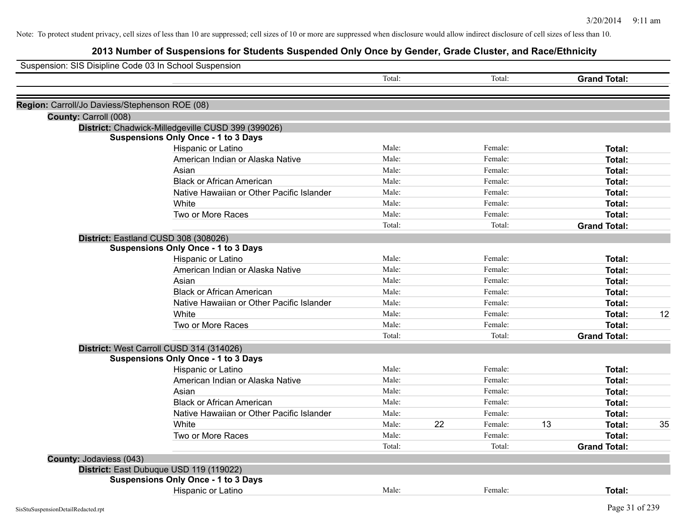| Suspension: SIS Disipline Code 03 In School Suspension |        |    |         |    |                     |    |
|--------------------------------------------------------|--------|----|---------|----|---------------------|----|
|                                                        | Total: |    | Total:  |    | <b>Grand Total:</b> |    |
|                                                        |        |    |         |    |                     |    |
| Region: Carroll/Jo Daviess/Stephenson ROE (08)         |        |    |         |    |                     |    |
| County: Carroll (008)                                  |        |    |         |    |                     |    |
| District: Chadwick-Milledgeville CUSD 399 (399026)     |        |    |         |    |                     |    |
| <b>Suspensions Only Once - 1 to 3 Days</b>             |        |    |         |    |                     |    |
| Hispanic or Latino                                     | Male:  |    | Female: |    | Total:              |    |
| American Indian or Alaska Native                       | Male:  |    | Female: |    | Total:              |    |
| Asian                                                  | Male:  |    | Female: |    | Total:              |    |
| <b>Black or African American</b>                       | Male:  |    | Female: |    | Total:              |    |
| Native Hawaiian or Other Pacific Islander              | Male:  |    | Female: |    | Total:              |    |
| White                                                  | Male:  |    | Female: |    | Total:              |    |
| Two or More Races                                      | Male:  |    | Female: |    | Total:              |    |
|                                                        | Total: |    | Total:  |    | <b>Grand Total:</b> |    |
| District: Eastland CUSD 308 (308026)                   |        |    |         |    |                     |    |
| <b>Suspensions Only Once - 1 to 3 Days</b>             |        |    |         |    |                     |    |
| Hispanic or Latino                                     | Male:  |    | Female: |    | Total:              |    |
| American Indian or Alaska Native                       | Male:  |    | Female: |    | Total:              |    |
| Asian                                                  | Male:  |    | Female: |    | Total:              |    |
| <b>Black or African American</b>                       | Male:  |    | Female: |    | Total:              |    |
| Native Hawaiian or Other Pacific Islander              | Male:  |    | Female: |    | Total:              |    |
| White                                                  | Male:  |    | Female: |    | Total:              | 12 |
| Two or More Races                                      | Male:  |    | Female: |    | Total:              |    |
|                                                        | Total: |    | Total:  |    | <b>Grand Total:</b> |    |
| District: West Carroll CUSD 314 (314026)               |        |    |         |    |                     |    |
| <b>Suspensions Only Once - 1 to 3 Days</b>             |        |    |         |    |                     |    |
| Hispanic or Latino                                     | Male:  |    | Female: |    | Total:              |    |
| American Indian or Alaska Native                       | Male:  |    | Female: |    | Total:              |    |
| Asian                                                  | Male:  |    | Female: |    | Total:              |    |
| <b>Black or African American</b>                       | Male:  |    | Female: |    | Total:              |    |
| Native Hawaiian or Other Pacific Islander              | Male:  |    | Female: |    | Total:              |    |
| White                                                  | Male:  | 22 | Female: | 13 | Total:              | 35 |
| Two or More Races                                      | Male:  |    | Female: |    | Total:              |    |
|                                                        | Total: |    | Total:  |    | <b>Grand Total:</b> |    |
| <b>County: Jodaviess (043)</b>                         |        |    |         |    |                     |    |
| District: East Dubuque USD 119 (119022)                |        |    |         |    |                     |    |
| <b>Suspensions Only Once - 1 to 3 Days</b>             |        |    |         |    |                     |    |
| Hispanic or Latino                                     | Male:  |    | Female: |    | Total:              |    |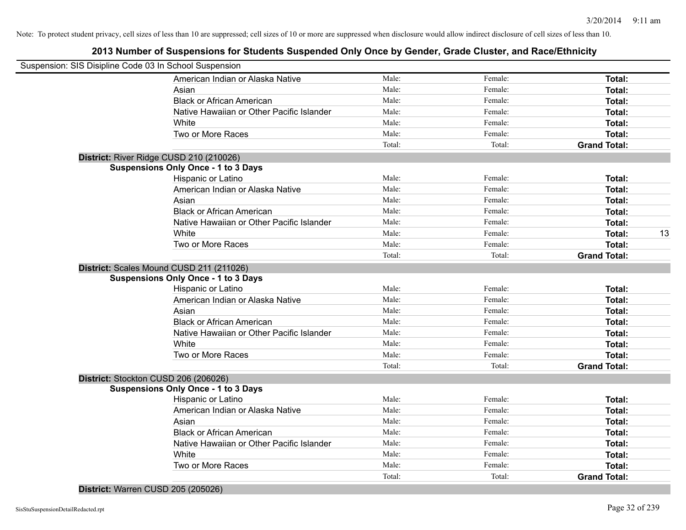# **2013 Number of Suspensions for Students Suspended Only Once by Gender, Grade Cluster, and Race/Ethnicity**

| Suspension: SIS Disipline Code 03 In School Suspension |        |         |                     |    |
|--------------------------------------------------------|--------|---------|---------------------|----|
| American Indian or Alaska Native                       | Male:  | Female: | Total:              |    |
| Asian                                                  | Male:  | Female: | Total:              |    |
| <b>Black or African American</b>                       | Male:  | Female: | Total:              |    |
| Native Hawaiian or Other Pacific Islander              | Male:  | Female: | Total:              |    |
| White                                                  | Male:  | Female: | Total:              |    |
| Two or More Races                                      | Male:  | Female: | Total:              |    |
|                                                        | Total: | Total:  | <b>Grand Total:</b> |    |
| District: River Ridge CUSD 210 (210026)                |        |         |                     |    |
| <b>Suspensions Only Once - 1 to 3 Days</b>             |        |         |                     |    |
| Hispanic or Latino                                     | Male:  | Female: | Total:              |    |
| American Indian or Alaska Native                       | Male:  | Female: | Total:              |    |
| Asian                                                  | Male:  | Female: | Total:              |    |
| <b>Black or African American</b>                       | Male:  | Female: | Total:              |    |
| Native Hawaiian or Other Pacific Islander              | Male:  | Female: | Total:              |    |
| White                                                  | Male:  | Female: | Total:              | 13 |
| Two or More Races                                      | Male:  | Female: | Total:              |    |
|                                                        | Total: | Total:  | <b>Grand Total:</b> |    |
| District: Scales Mound CUSD 211 (211026)               |        |         |                     |    |
| <b>Suspensions Only Once - 1 to 3 Days</b>             |        |         |                     |    |
| Hispanic or Latino                                     | Male:  | Female: | Total:              |    |
| American Indian or Alaska Native                       | Male:  | Female: | Total:              |    |
| Asian                                                  | Male:  | Female: | Total:              |    |
| <b>Black or African American</b>                       | Male:  | Female: | Total:              |    |
| Native Hawaiian or Other Pacific Islander              | Male:  | Female: | Total:              |    |
| White                                                  | Male:  | Female: | Total:              |    |
| Two or More Races                                      | Male:  | Female: | Total:              |    |
|                                                        | Total: | Total:  | <b>Grand Total:</b> |    |
| District: Stockton CUSD 206 (206026)                   |        |         |                     |    |
| <b>Suspensions Only Once - 1 to 3 Days</b>             |        |         |                     |    |
| Hispanic or Latino                                     | Male:  | Female: | Total:              |    |
| American Indian or Alaska Native                       | Male:  | Female: | Total:              |    |
| Asian                                                  | Male:  | Female: | Total:              |    |
| <b>Black or African American</b>                       | Male:  | Female: | Total:              |    |
| Native Hawaiian or Other Pacific Islander              | Male:  | Female: | Total:              |    |
| White                                                  | Male:  | Female: | Total:              |    |
| Two or More Races                                      | Male:  | Female: | Total:              |    |
|                                                        | Total: | Total:  | <b>Grand Total:</b> |    |
|                                                        |        |         |                     |    |

**District:** Warren CUSD 205 (205026)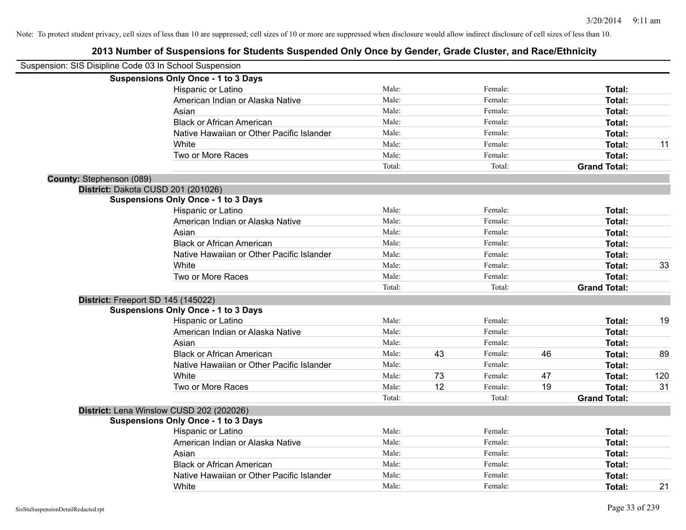|                                 | Suspension: SIS Disipline Code 03 In School Suspension |        |    |         |    |                     |     |
|---------------------------------|--------------------------------------------------------|--------|----|---------|----|---------------------|-----|
|                                 | <b>Suspensions Only Once - 1 to 3 Days</b>             |        |    |         |    |                     |     |
|                                 | Hispanic or Latino                                     | Male:  |    | Female: |    | Total:              |     |
|                                 | American Indian or Alaska Native                       | Male:  |    | Female: |    | Total:              |     |
|                                 | Asian                                                  | Male:  |    | Female: |    | Total:              |     |
|                                 | <b>Black or African American</b>                       | Male:  |    | Female: |    | Total:              |     |
|                                 | Native Hawaiian or Other Pacific Islander              | Male:  |    | Female: |    | Total:              |     |
|                                 | White                                                  | Male:  |    | Female: |    | <b>Total:</b>       | 11  |
|                                 | Two or More Races                                      | Male:  |    | Female: |    | Total:              |     |
|                                 |                                                        | Total: |    | Total:  |    | <b>Grand Total:</b> |     |
| <b>County: Stephenson (089)</b> |                                                        |        |    |         |    |                     |     |
|                                 | District: Dakota CUSD 201 (201026)                     |        |    |         |    |                     |     |
|                                 | <b>Suspensions Only Once - 1 to 3 Days</b>             |        |    |         |    |                     |     |
|                                 | Hispanic or Latino                                     | Male:  |    | Female: |    | Total:              |     |
|                                 | American Indian or Alaska Native                       | Male:  |    | Female: |    | Total:              |     |
|                                 | Asian                                                  | Male:  |    | Female: |    | Total:              |     |
|                                 | <b>Black or African American</b>                       | Male:  |    | Female: |    | Total:              |     |
|                                 | Native Hawaiian or Other Pacific Islander              | Male:  |    | Female: |    | Total:              |     |
|                                 | White                                                  | Male:  |    | Female: |    | Total:              | 33  |
|                                 | Two or More Races                                      | Male:  |    | Female: |    | Total:              |     |
|                                 |                                                        | Total: |    | Total:  |    | <b>Grand Total:</b> |     |
|                                 | District: Freeport SD 145 (145022)                     |        |    |         |    |                     |     |
|                                 | <b>Suspensions Only Once - 1 to 3 Days</b>             |        |    |         |    |                     |     |
|                                 | Hispanic or Latino                                     | Male:  |    | Female: |    | Total:              | 19  |
|                                 | American Indian or Alaska Native                       | Male:  |    | Female: |    | Total:              |     |
|                                 | Asian                                                  | Male:  |    | Female: |    | Total:              |     |
|                                 | <b>Black or African American</b>                       | Male:  | 43 | Female: | 46 | Total:              | 89  |
|                                 | Native Hawaiian or Other Pacific Islander              | Male:  |    | Female: |    | Total:              |     |
|                                 | White                                                  | Male:  | 73 | Female: | 47 | <b>Total:</b>       | 120 |
|                                 | Two or More Races                                      | Male:  | 12 | Female: | 19 | Total:              | 31  |
|                                 |                                                        | Total: |    | Total:  |    | <b>Grand Total:</b> |     |
|                                 | District: Lena Winslow CUSD 202 (202026)               |        |    |         |    |                     |     |
|                                 | <b>Suspensions Only Once - 1 to 3 Days</b>             |        |    |         |    |                     |     |
|                                 | Hispanic or Latino                                     | Male:  |    | Female: |    | Total:              |     |
|                                 | American Indian or Alaska Native                       | Male:  |    | Female: |    | Total:              |     |
|                                 | Asian                                                  | Male:  |    | Female: |    | Total:              |     |
|                                 | <b>Black or African American</b>                       | Male:  |    | Female: |    | Total:              |     |
|                                 | Native Hawaiian or Other Pacific Islander              | Male:  |    | Female: |    | <b>Total:</b>       |     |
|                                 | White                                                  | Male:  |    | Female: |    | Total:              | 21  |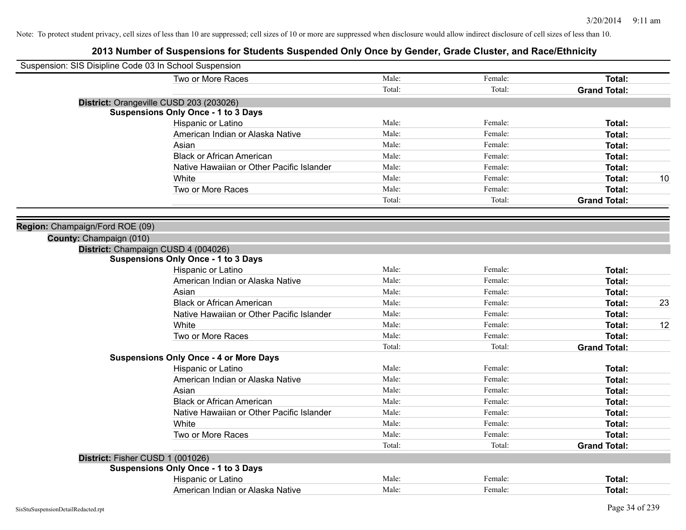| Suspension: SIS Disipline Code 03 In School Suspension                            |        |         |                     |    |
|-----------------------------------------------------------------------------------|--------|---------|---------------------|----|
| Two or More Races                                                                 | Male:  | Female: | Total:              |    |
|                                                                                   | Total: | Total:  | <b>Grand Total:</b> |    |
| District: Orangeville CUSD 203 (203026)                                           |        |         |                     |    |
| <b>Suspensions Only Once - 1 to 3 Days</b>                                        |        |         |                     |    |
| Hispanic or Latino                                                                | Male:  | Female: | Total:              |    |
| American Indian or Alaska Native                                                  | Male:  | Female: | Total:              |    |
| Asian                                                                             | Male:  | Female: | Total:              |    |
| <b>Black or African American</b>                                                  | Male:  | Female: | Total:              |    |
| Native Hawaiian or Other Pacific Islander                                         | Male:  | Female: | Total:              |    |
| White                                                                             | Male:  | Female: | Total:              | 10 |
| Two or More Races                                                                 | Male:  | Female: | <b>Total:</b>       |    |
|                                                                                   | Total: | Total:  | <b>Grand Total:</b> |    |
|                                                                                   |        |         |                     |    |
| Region: Champaign/Ford ROE (09)                                                   |        |         |                     |    |
| County: Champaign (010)                                                           |        |         |                     |    |
| District: Champaign CUSD 4 (004026)<br><b>Suspensions Only Once - 1 to 3 Days</b> |        |         |                     |    |
| Hispanic or Latino                                                                | Male:  | Female: | Total:              |    |
| American Indian or Alaska Native                                                  | Male:  | Female: | Total:              |    |
| Asian                                                                             | Male:  | Female: | Total:              |    |
| <b>Black or African American</b>                                                  | Male:  | Female: | Total:              | 23 |
| Native Hawaiian or Other Pacific Islander                                         | Male:  | Female: | Total:              |    |
| White                                                                             | Male:  | Female: | Total:              | 12 |
| Two or More Races                                                                 | Male:  | Female: | Total:              |    |
|                                                                                   | Total: | Total:  | <b>Grand Total:</b> |    |
| <b>Suspensions Only Once - 4 or More Days</b>                                     |        |         |                     |    |
| Hispanic or Latino                                                                | Male:  | Female: | Total:              |    |
| American Indian or Alaska Native                                                  | Male:  | Female: | Total:              |    |
| Asian                                                                             | Male:  | Female: | Total:              |    |
| <b>Black or African American</b>                                                  | Male:  | Female: | Total:              |    |
| Native Hawaiian or Other Pacific Islander                                         | Male:  | Female: | Total:              |    |
| White                                                                             | Male:  | Female: | Total:              |    |
| Two or More Races                                                                 | Male:  | Female: | Total:              |    |
|                                                                                   | Total: | Total:  | <b>Grand Total:</b> |    |
| District: Fisher CUSD 1 (001026)                                                  |        |         |                     |    |
| <b>Suspensions Only Once - 1 to 3 Days</b>                                        |        |         |                     |    |
| Hispanic or Latino                                                                | Male:  | Female: | Total:              |    |
| American Indian or Alaska Native                                                  | Male:  | Female: | Total:              |    |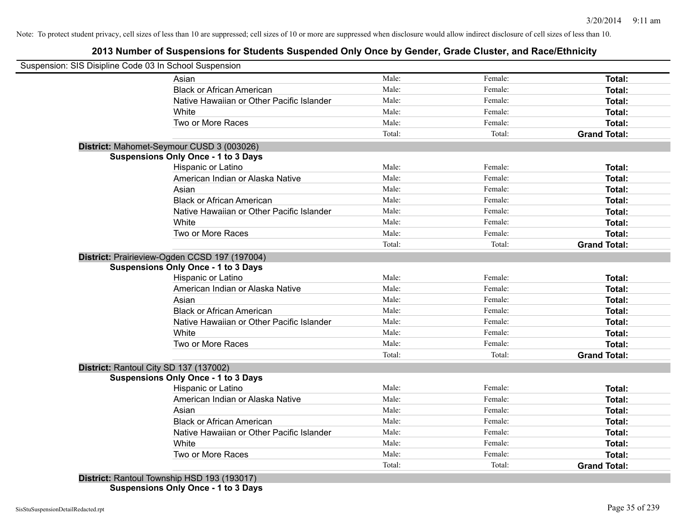# **2013 Number of Suspensions for Students Suspended Only Once by Gender, Grade Cluster, and Race/Ethnicity**

| Suspension: SIS Disipline Code 03 In School Suspension                                      |        |         |                     |
|---------------------------------------------------------------------------------------------|--------|---------|---------------------|
| Asian                                                                                       | Male:  | Female: | Total:              |
| <b>Black or African American</b>                                                            | Male:  | Female: | Total:              |
| Native Hawaiian or Other Pacific Islander                                                   | Male:  | Female: | Total:              |
| White                                                                                       | Male:  | Female: | Total:              |
| Two or More Races                                                                           | Male:  | Female: | Total:              |
|                                                                                             | Total: | Total:  | <b>Grand Total:</b> |
| District: Mahomet-Seymour CUSD 3 (003026)                                                   |        |         |                     |
| <b>Suspensions Only Once - 1 to 3 Days</b>                                                  |        |         |                     |
| Hispanic or Latino                                                                          | Male:  | Female: | Total:              |
| American Indian or Alaska Native                                                            | Male:  | Female: | <b>Total:</b>       |
| Asian                                                                                       | Male:  | Female: | Total:              |
| <b>Black or African American</b>                                                            | Male:  | Female: | Total:              |
| Native Hawaiian or Other Pacific Islander                                                   | Male:  | Female: | Total:              |
| White                                                                                       | Male:  | Female: | Total:              |
| Two or More Races                                                                           | Male:  | Female: | Total:              |
|                                                                                             | Total: | Total:  | <b>Grand Total:</b> |
| District: Prairieview-Ogden CCSD 197 (197004)<br><b>Suspensions Only Once - 1 to 3 Days</b> |        |         |                     |
| Hispanic or Latino                                                                          | Male:  | Female: | <b>Total:</b>       |
| American Indian or Alaska Native                                                            | Male:  | Female: | Total:              |
| Asian                                                                                       | Male:  | Female: | <b>Total:</b>       |
| <b>Black or African American</b>                                                            | Male:  | Female: | Total:              |
| Native Hawaiian or Other Pacific Islander                                                   | Male:  | Female: | <b>Total:</b>       |
| White                                                                                       | Male:  | Female: | <b>Total:</b>       |
| Two or More Races                                                                           | Male:  | Female: | Total:              |
|                                                                                             | Total: | Total:  | <b>Grand Total:</b> |
| District: Rantoul City SD 137 (137002)                                                      |        |         |                     |
| <b>Suspensions Only Once - 1 to 3 Days</b>                                                  |        |         |                     |
| Hispanic or Latino                                                                          | Male:  | Female: | Total:              |
| American Indian or Alaska Native                                                            | Male:  | Female: | Total:              |
| Asian                                                                                       | Male:  | Female: | <b>Total:</b>       |
| <b>Black or African American</b>                                                            | Male:  | Female: | <b>Total:</b>       |
| Native Hawaiian or Other Pacific Islander                                                   | Male:  | Female: | <b>Total:</b>       |
| White                                                                                       | Male:  | Female: | Total:              |
|                                                                                             | Male:  | Female: | Total:              |
| Two or More Races                                                                           | Total: | Total:  | <b>Grand Total:</b> |

**Suspensions Only Once - 1 to 3 Days**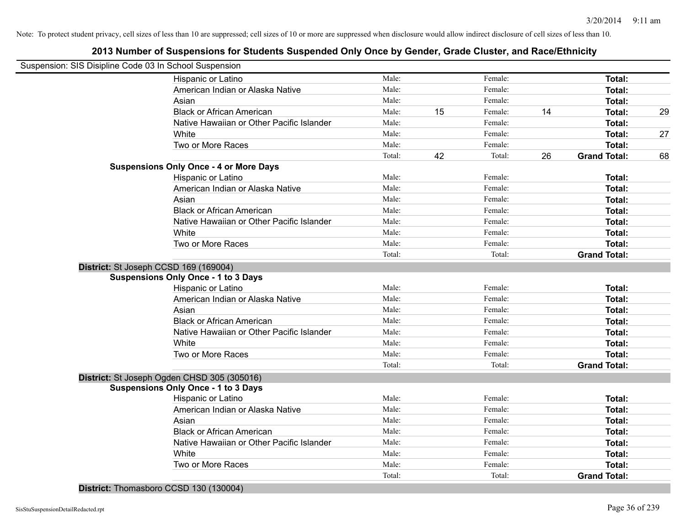# **2013 Number of Suspensions for Students Suspended Only Once by Gender, Grade Cluster, and Race/Ethnicity**

| Suspension: SIS Disipline Code 03 In School Suspension |        |    |         |    |                     |    |
|--------------------------------------------------------|--------|----|---------|----|---------------------|----|
| Hispanic or Latino                                     | Male:  |    | Female: |    | Total:              |    |
| American Indian or Alaska Native                       | Male:  |    | Female: |    | Total:              |    |
| Asian                                                  | Male:  |    | Female: |    | Total:              |    |
| <b>Black or African American</b>                       | Male:  | 15 | Female: | 14 | Total:              | 29 |
| Native Hawaiian or Other Pacific Islander              | Male:  |    | Female: |    | Total:              |    |
| White                                                  | Male:  |    | Female: |    | Total:              | 27 |
| Two or More Races                                      | Male:  |    | Female: |    | Total:              |    |
|                                                        | Total: | 42 | Total:  | 26 | <b>Grand Total:</b> | 68 |
| <b>Suspensions Only Once - 4 or More Days</b>          |        |    |         |    |                     |    |
| Hispanic or Latino                                     | Male:  |    | Female: |    | Total:              |    |
| American Indian or Alaska Native                       | Male:  |    | Female: |    | Total:              |    |
| Asian                                                  | Male:  |    | Female: |    | Total:              |    |
| <b>Black or African American</b>                       | Male:  |    | Female: |    | Total:              |    |
| Native Hawaiian or Other Pacific Islander              | Male:  |    | Female: |    | Total:              |    |
| White                                                  | Male:  |    | Female: |    | Total:              |    |
| Two or More Races                                      | Male:  |    | Female: |    | Total:              |    |
|                                                        | Total: |    | Total:  |    | <b>Grand Total:</b> |    |
| District: St Joseph CCSD 169 (169004)                  |        |    |         |    |                     |    |
| <b>Suspensions Only Once - 1 to 3 Days</b>             |        |    |         |    |                     |    |
| Hispanic or Latino                                     | Male:  |    | Female: |    | Total:              |    |
| American Indian or Alaska Native                       | Male:  |    | Female: |    | Total:              |    |
| Asian                                                  | Male:  |    | Female: |    | Total:              |    |
| <b>Black or African American</b>                       | Male:  |    | Female: |    | Total:              |    |
| Native Hawaiian or Other Pacific Islander              | Male:  |    | Female: |    | Total:              |    |
| White                                                  | Male:  |    | Female: |    | Total:              |    |
| Two or More Races                                      | Male:  |    | Female: |    | Total:              |    |
|                                                        | Total: |    | Total:  |    | <b>Grand Total:</b> |    |
| District: St Joseph Ogden CHSD 305 (305016)            |        |    |         |    |                     |    |
| <b>Suspensions Only Once - 1 to 3 Days</b>             |        |    |         |    |                     |    |
| Hispanic or Latino                                     | Male:  |    | Female: |    | Total:              |    |
| American Indian or Alaska Native                       | Male:  |    | Female: |    | Total:              |    |
| Asian                                                  | Male:  |    | Female: |    | Total:              |    |
| <b>Black or African American</b>                       | Male:  |    | Female: |    | Total:              |    |
| Native Hawaiian or Other Pacific Islander              | Male:  |    | Female: |    | Total:              |    |
| White                                                  | Male:  |    | Female: |    | Total:              |    |
| Two or More Races                                      | Male:  |    | Female: |    | Total:              |    |
|                                                        | Total: |    | Total:  |    | <b>Grand Total:</b> |    |
|                                                        |        |    |         |    |                     |    |

**District:** Thomasboro CCSD 130 (130004)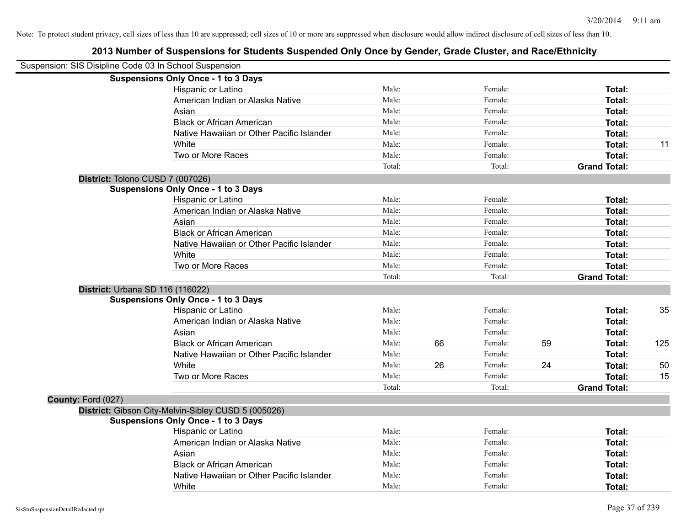| Suspension: SIS Disipline Code 03 In School Suspension |                                                     |        |    |         |    |                     |     |
|--------------------------------------------------------|-----------------------------------------------------|--------|----|---------|----|---------------------|-----|
|                                                        | <b>Suspensions Only Once - 1 to 3 Days</b>          |        |    |         |    |                     |     |
|                                                        | Hispanic or Latino                                  | Male:  |    | Female: |    | Total:              |     |
|                                                        | American Indian or Alaska Native                    | Male:  |    | Female: |    | Total:              |     |
|                                                        | Asian                                               | Male:  |    | Female: |    | Total:              |     |
|                                                        | <b>Black or African American</b>                    | Male:  |    | Female: |    | Total:              |     |
|                                                        | Native Hawaiian or Other Pacific Islander           | Male:  |    | Female: |    | Total:              |     |
|                                                        | White                                               | Male:  |    | Female: |    | Total:              | 11  |
|                                                        | Two or More Races                                   | Male:  |    | Female: |    | Total:              |     |
|                                                        |                                                     | Total: |    | Total:  |    | <b>Grand Total:</b> |     |
|                                                        | District: Tolono CUSD 7 (007026)                    |        |    |         |    |                     |     |
|                                                        | <b>Suspensions Only Once - 1 to 3 Days</b>          |        |    |         |    |                     |     |
|                                                        | Hispanic or Latino                                  | Male:  |    | Female: |    | Total:              |     |
|                                                        | American Indian or Alaska Native                    | Male:  |    | Female: |    | Total:              |     |
|                                                        | Asian                                               | Male:  |    | Female: |    | Total:              |     |
|                                                        | <b>Black or African American</b>                    | Male:  |    | Female: |    | Total:              |     |
|                                                        | Native Hawaiian or Other Pacific Islander           | Male:  |    | Female: |    | Total:              |     |
|                                                        | White                                               | Male:  |    | Female: |    | Total:              |     |
|                                                        | Two or More Races                                   | Male:  |    | Female: |    | Total:              |     |
|                                                        |                                                     | Total: |    | Total:  |    | <b>Grand Total:</b> |     |
|                                                        | District: Urbana SD 116 (116022)                    |        |    |         |    |                     |     |
|                                                        | <b>Suspensions Only Once - 1 to 3 Days</b>          |        |    |         |    |                     |     |
|                                                        | Hispanic or Latino                                  | Male:  |    | Female: |    | Total:              | 35  |
|                                                        | American Indian or Alaska Native                    | Male:  |    | Female: |    | Total:              |     |
|                                                        | Asian                                               | Male:  |    | Female: |    | Total:              |     |
|                                                        | <b>Black or African American</b>                    | Male:  | 66 | Female: | 59 | Total:              | 125 |
|                                                        | Native Hawaiian or Other Pacific Islander           | Male:  |    | Female: |    | Total:              |     |
|                                                        | White                                               | Male:  | 26 | Female: | 24 | Total:              | 50  |
|                                                        | Two or More Races                                   | Male:  |    | Female: |    | Total:              | 15  |
|                                                        |                                                     | Total: |    | Total:  |    | <b>Grand Total:</b> |     |
| County: Ford (027)                                     |                                                     |        |    |         |    |                     |     |
|                                                        | District: Gibson City-Melvin-Sibley CUSD 5 (005026) |        |    |         |    |                     |     |
|                                                        | <b>Suspensions Only Once - 1 to 3 Days</b>          |        |    |         |    |                     |     |
|                                                        | Hispanic or Latino                                  | Male:  |    | Female: |    | Total:              |     |
|                                                        | American Indian or Alaska Native                    | Male:  |    | Female: |    | Total:              |     |
|                                                        | Asian                                               | Male:  |    | Female: |    | Total:              |     |
|                                                        | <b>Black or African American</b>                    | Male:  |    | Female: |    | Total:              |     |
|                                                        | Native Hawaiian or Other Pacific Islander           | Male:  |    | Female: |    | Total:              |     |
|                                                        | White                                               | Male:  |    | Female: |    | Total:              |     |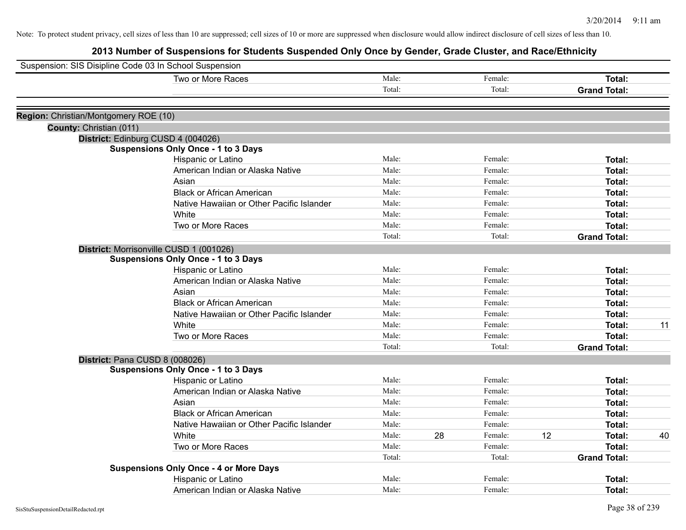| Suspension: SIS Disipline Code 03 In School Suspension |                                                                                  |        |    |         |    |                     |    |
|--------------------------------------------------------|----------------------------------------------------------------------------------|--------|----|---------|----|---------------------|----|
|                                                        | Two or More Races                                                                | Male:  |    | Female: |    | Total:              |    |
|                                                        |                                                                                  | Total: |    | Total:  |    | <b>Grand Total:</b> |    |
|                                                        |                                                                                  |        |    |         |    |                     |    |
| Region: Christian/Montgomery ROE (10)                  |                                                                                  |        |    |         |    |                     |    |
| County: Christian (011)                                |                                                                                  |        |    |         |    |                     |    |
|                                                        | District: Edinburg CUSD 4 (004026)<br><b>Suspensions Only Once - 1 to 3 Days</b> |        |    |         |    |                     |    |
|                                                        | Hispanic or Latino                                                               | Male:  |    | Female: |    | Total:              |    |
|                                                        | American Indian or Alaska Native                                                 | Male:  |    | Female: |    | Total:              |    |
|                                                        | Asian                                                                            | Male:  |    | Female: |    | Total:              |    |
|                                                        | <b>Black or African American</b>                                                 | Male:  |    | Female: |    | Total:              |    |
|                                                        | Native Hawaiian or Other Pacific Islander                                        | Male:  |    | Female: |    | Total:              |    |
|                                                        | White                                                                            | Male:  |    | Female: |    | Total:              |    |
|                                                        | Two or More Races                                                                | Male:  |    | Female: |    | Total:              |    |
|                                                        |                                                                                  | Total: |    | Total:  |    | <b>Grand Total:</b> |    |
|                                                        | District: Morrisonville CUSD 1 (001026)                                          |        |    |         |    |                     |    |
|                                                        | <b>Suspensions Only Once - 1 to 3 Days</b>                                       |        |    |         |    |                     |    |
|                                                        | Hispanic or Latino                                                               | Male:  |    | Female: |    | Total:              |    |
|                                                        | American Indian or Alaska Native                                                 | Male:  |    | Female: |    | Total:              |    |
|                                                        | Asian                                                                            | Male:  |    | Female: |    | Total:              |    |
|                                                        | <b>Black or African American</b>                                                 | Male:  |    | Female: |    | Total:              |    |
|                                                        | Native Hawaiian or Other Pacific Islander                                        | Male:  |    | Female: |    | Total:              |    |
|                                                        | White                                                                            | Male:  |    | Female: |    | Total:              | 11 |
|                                                        | Two or More Races                                                                | Male:  |    | Female: |    | Total:              |    |
|                                                        |                                                                                  | Total: |    | Total:  |    | <b>Grand Total:</b> |    |
|                                                        | District: Pana CUSD 8 (008026)                                                   |        |    |         |    |                     |    |
|                                                        | <b>Suspensions Only Once - 1 to 3 Days</b>                                       |        |    |         |    |                     |    |
|                                                        | Hispanic or Latino                                                               | Male:  |    | Female: |    | Total:              |    |
|                                                        | American Indian or Alaska Native                                                 | Male:  |    | Female: |    | Total:              |    |
|                                                        | Asian                                                                            | Male:  |    | Female: |    | Total:              |    |
|                                                        | <b>Black or African American</b>                                                 | Male:  |    | Female: |    | Total:              |    |
|                                                        | Native Hawaiian or Other Pacific Islander                                        | Male:  |    | Female: |    | Total:              |    |
|                                                        | White                                                                            | Male:  | 28 | Female: | 12 | Total:              | 40 |
|                                                        | Two or More Races                                                                | Male:  |    | Female: |    | Total:              |    |
|                                                        |                                                                                  | Total: |    | Total:  |    | <b>Grand Total:</b> |    |
|                                                        | <b>Suspensions Only Once - 4 or More Days</b>                                    |        |    |         |    |                     |    |
|                                                        | Hispanic or Latino                                                               | Male:  |    | Female: |    | Total:              |    |
|                                                        | American Indian or Alaska Native                                                 | Male:  |    | Female: |    | Total:              |    |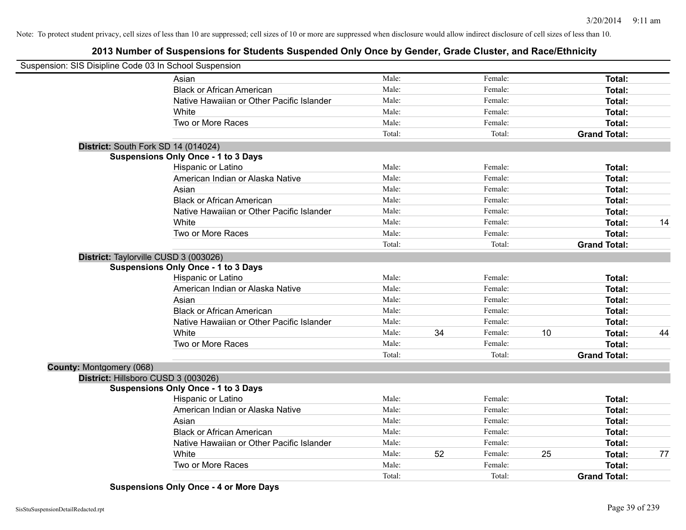# **2013 Number of Suspensions for Students Suspended Only Once by Gender, Grade Cluster, and Race/Ethnicity**

| Suspension: SIS Disipline Code 03 In School Suspension |                                            |        |    |         |    |                     |    |
|--------------------------------------------------------|--------------------------------------------|--------|----|---------|----|---------------------|----|
|                                                        | Asian                                      | Male:  |    | Female: |    | Total:              |    |
|                                                        | <b>Black or African American</b>           | Male:  |    | Female: |    | Total:              |    |
|                                                        | Native Hawaiian or Other Pacific Islander  | Male:  |    | Female: |    | Total:              |    |
|                                                        | White                                      | Male:  |    | Female: |    | Total:              |    |
|                                                        | Two or More Races                          | Male:  |    | Female: |    | Total:              |    |
|                                                        |                                            | Total: |    | Total:  |    | <b>Grand Total:</b> |    |
|                                                        | District: South Fork SD 14 (014024)        |        |    |         |    |                     |    |
|                                                        | <b>Suspensions Only Once - 1 to 3 Days</b> |        |    |         |    |                     |    |
|                                                        | <b>Hispanic or Latino</b>                  | Male:  |    | Female: |    | Total:              |    |
|                                                        | American Indian or Alaska Native           | Male:  |    | Female: |    | Total:              |    |
|                                                        | Asian                                      | Male:  |    | Female: |    | Total:              |    |
|                                                        | <b>Black or African American</b>           | Male:  |    | Female: |    | Total:              |    |
|                                                        | Native Hawaiian or Other Pacific Islander  | Male:  |    | Female: |    | Total:              |    |
|                                                        | White                                      | Male:  |    | Female: |    | Total:              | 14 |
|                                                        | Two or More Races                          | Male:  |    | Female: |    | Total:              |    |
|                                                        |                                            | Total: |    | Total:  |    | <b>Grand Total:</b> |    |
|                                                        | District: Taylorville CUSD 3 (003026)      |        |    |         |    |                     |    |
|                                                        | <b>Suspensions Only Once - 1 to 3 Days</b> |        |    |         |    |                     |    |
|                                                        | Hispanic or Latino                         | Male:  |    | Female: |    | Total:              |    |
|                                                        | American Indian or Alaska Native           | Male:  |    | Female: |    | Total:              |    |
|                                                        | Asian                                      | Male:  |    | Female: |    | Total:              |    |
|                                                        | <b>Black or African American</b>           | Male:  |    | Female: |    | Total:              |    |
|                                                        | Native Hawaiian or Other Pacific Islander  | Male:  |    | Female: |    | Total:              |    |
|                                                        | White                                      | Male:  | 34 | Female: | 10 | Total:              | 44 |
|                                                        | Two or More Races                          | Male:  |    | Female: |    | Total:              |    |
|                                                        |                                            | Total: |    | Total:  |    | <b>Grand Total:</b> |    |
| County: Montgomery (068)                               |                                            |        |    |         |    |                     |    |
|                                                        | District: Hillsboro CUSD 3 (003026)        |        |    |         |    |                     |    |
|                                                        | <b>Suspensions Only Once - 1 to 3 Days</b> |        |    |         |    |                     |    |
|                                                        | Hispanic or Latino                         | Male:  |    | Female: |    | Total:              |    |
|                                                        | American Indian or Alaska Native           | Male:  |    | Female: |    | Total:              |    |
|                                                        | Asian                                      | Male:  |    | Female: |    | Total:              |    |
|                                                        | <b>Black or African American</b>           | Male:  |    | Female: |    | Total:              |    |
|                                                        | Native Hawaiian or Other Pacific Islander  | Male:  |    | Female: |    | Total:              |    |
|                                                        | White                                      | Male:  | 52 | Female: | 25 | Total:              | 77 |
|                                                        | Two or More Races                          | Male:  |    | Female: |    | Total:              |    |
|                                                        |                                            | Total: |    | Total:  |    | <b>Grand Total:</b> |    |

**Suspensions Only Once - 4 or More Days**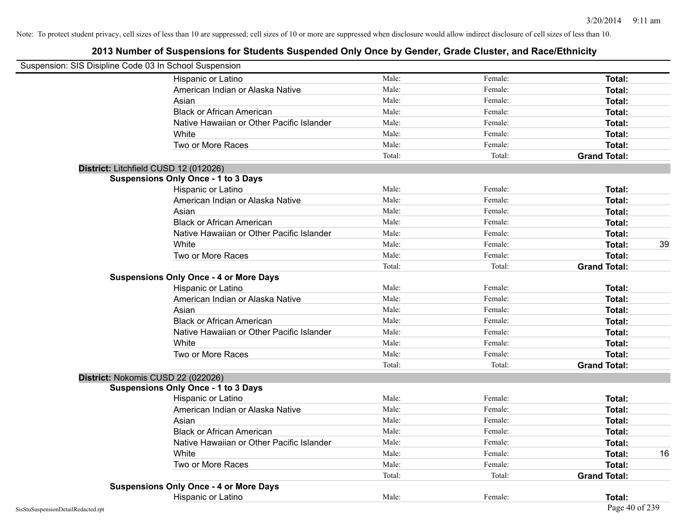| Suspension: SIS Disipline Code 03 In School Suspension |                                               |        |         |                     |
|--------------------------------------------------------|-----------------------------------------------|--------|---------|---------------------|
|                                                        | Hispanic or Latino                            | Male:  | Female: | Total:              |
|                                                        | American Indian or Alaska Native              | Male:  | Female: | Total:              |
|                                                        | Asian                                         | Male:  | Female: | Total:              |
|                                                        | <b>Black or African American</b>              | Male:  | Female: | Total:              |
|                                                        | Native Hawaiian or Other Pacific Islander     | Male:  | Female: | Total:              |
|                                                        | White                                         | Male:  | Female: | Total:              |
|                                                        | Two or More Races                             | Male:  | Female: | Total:              |
|                                                        |                                               | Total: | Total:  | <b>Grand Total:</b> |
|                                                        | District: Litchfield CUSD 12 (012026)         |        |         |                     |
|                                                        | <b>Suspensions Only Once - 1 to 3 Days</b>    |        |         |                     |
|                                                        | Hispanic or Latino                            | Male:  | Female: | Total:              |
|                                                        | American Indian or Alaska Native              | Male:  | Female: | Total:              |
|                                                        | Asian                                         | Male:  | Female: | Total:              |
|                                                        | <b>Black or African American</b>              | Male:  | Female: | Total:              |
|                                                        | Native Hawaiian or Other Pacific Islander     | Male:  | Female: | Total:              |
|                                                        | White                                         | Male:  | Female: | 39<br>Total:        |
|                                                        | Two or More Races                             | Male:  | Female: | Total:              |
|                                                        |                                               | Total: | Total:  | <b>Grand Total:</b> |
|                                                        | <b>Suspensions Only Once - 4 or More Days</b> |        |         |                     |
|                                                        | Hispanic or Latino                            | Male:  | Female: | Total:              |
|                                                        | American Indian or Alaska Native              | Male:  | Female: | Total:              |
|                                                        | Asian                                         | Male:  | Female: | Total:              |
|                                                        | <b>Black or African American</b>              | Male:  | Female: | Total:              |
|                                                        | Native Hawaiian or Other Pacific Islander     | Male:  | Female: | Total:              |
|                                                        | White                                         | Male:  | Female: | Total:              |
|                                                        | Two or More Races                             | Male:  | Female: | Total:              |
|                                                        |                                               | Total: | Total:  | <b>Grand Total:</b> |
|                                                        | District: Nokomis CUSD 22 (022026)            |        |         |                     |
|                                                        | <b>Suspensions Only Once - 1 to 3 Days</b>    |        |         |                     |
|                                                        | Hispanic or Latino                            | Male:  | Female: | <b>Total:</b>       |
|                                                        | American Indian or Alaska Native              | Male:  | Female: | Total:              |
|                                                        | Asian                                         | Male:  | Female: | Total:              |
|                                                        | <b>Black or African American</b>              | Male:  | Female: | Total:              |
|                                                        | Native Hawaiian or Other Pacific Islander     | Male:  | Female: | <b>Total:</b>       |
|                                                        | White                                         | Male:  | Female: | Total:<br>16        |
|                                                        | Two or More Races                             | Male:  | Female: | Total:              |
|                                                        |                                               | Total: | Total:  | <b>Grand Total:</b> |
|                                                        | <b>Suspensions Only Once - 4 or More Days</b> |        |         |                     |
|                                                        | Hispanic or Latino                            | Male:  | Female: | Total:              |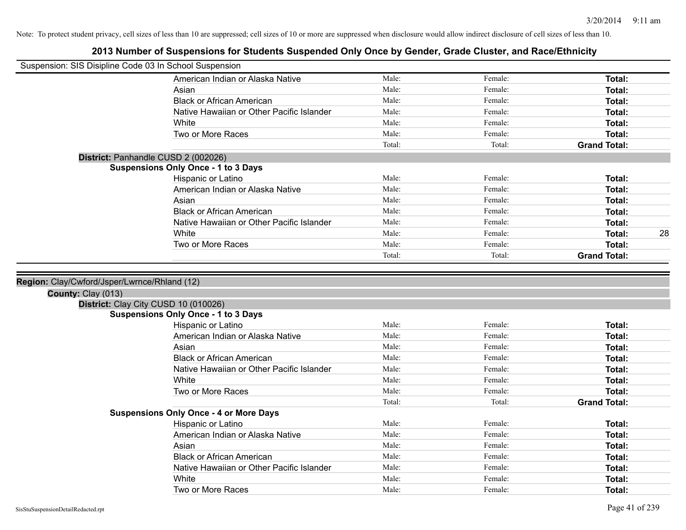| Suspension: SIS Disipline Code 03 In School Suspension |                                               |        |         |                     |
|--------------------------------------------------------|-----------------------------------------------|--------|---------|---------------------|
|                                                        | American Indian or Alaska Native              | Male:  | Female: | Total:              |
|                                                        | Asian                                         | Male:  | Female: | Total:              |
|                                                        | <b>Black or African American</b>              | Male:  | Female: | Total:              |
|                                                        | Native Hawaiian or Other Pacific Islander     | Male:  | Female: | Total:              |
|                                                        | White                                         | Male:  | Female: | Total:              |
|                                                        | Two or More Races                             | Male:  | Female: | Total:              |
|                                                        |                                               | Total: | Total:  | <b>Grand Total:</b> |
|                                                        | District: Panhandle CUSD 2 (002026)           |        |         |                     |
|                                                        | <b>Suspensions Only Once - 1 to 3 Days</b>    |        |         |                     |
|                                                        | Hispanic or Latino                            | Male:  | Female: | Total:              |
|                                                        | American Indian or Alaska Native              | Male:  | Female: | Total:              |
|                                                        | Asian                                         | Male:  | Female: | Total:              |
|                                                        | <b>Black or African American</b>              | Male:  | Female: | Total:              |
|                                                        | Native Hawaiian or Other Pacific Islander     | Male:  | Female: | Total:              |
|                                                        | White                                         | Male:  | Female: | Total:<br>28        |
|                                                        | Two or More Races                             | Male:  | Female: | Total:              |
|                                                        |                                               | Total: | Total:  | <b>Grand Total:</b> |
|                                                        |                                               |        |         |                     |
| Region: Clay/Cwford/Jsper/Lwrnce/Rhland (12)           |                                               |        |         |                     |
| County: Clay (013)                                     |                                               |        |         |                     |
|                                                        | District: Clay City CUSD 10 (010026)          |        |         |                     |
|                                                        | <b>Suspensions Only Once - 1 to 3 Days</b>    |        |         |                     |
|                                                        | Hispanic or Latino                            | Male:  | Female: | Total:              |
|                                                        | American Indian or Alaska Native              | Male:  | Female: | Total:              |
|                                                        | Asian                                         | Male:  | Female: | Total:              |
|                                                        | <b>Black or African American</b>              | Male:  | Female: | Total:              |
|                                                        | Native Hawaiian or Other Pacific Islander     | Male:  | Female: | Total:              |
|                                                        | White                                         | Male:  | Female: | Total:              |
|                                                        | Two or More Races                             | Male:  | Female: | Total:              |
|                                                        |                                               | Total: | Total:  | <b>Grand Total:</b> |
|                                                        | <b>Suspensions Only Once - 4 or More Days</b> |        |         |                     |
|                                                        | Hispanic or Latino                            | Male:  | Female: | Total:              |
|                                                        | American Indian or Alaska Native              | Male:  | Female: | Total:              |
|                                                        | Asian                                         | Male:  | Female: | Total:              |
|                                                        | <b>Black or African American</b>              | Male:  | Female: | Total:              |
|                                                        | Native Hawaiian or Other Pacific Islander     | Male:  | Female: | Total:              |
|                                                        |                                               |        |         |                     |
|                                                        | White                                         | Male:  | Female: | Total:              |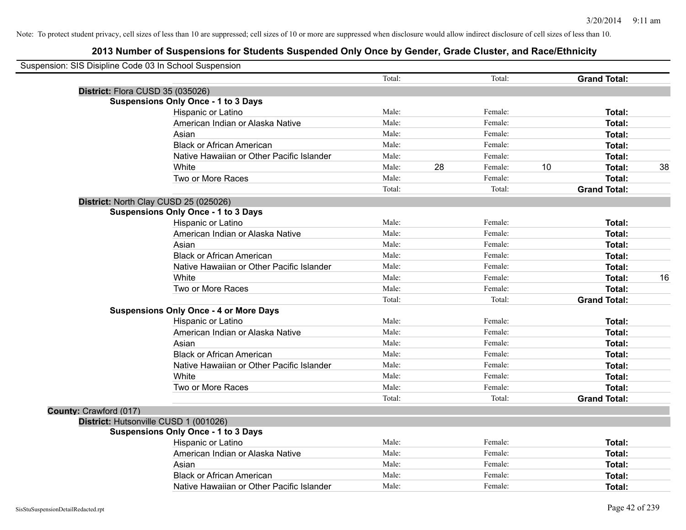| Suspension: SIS Disipline Code 03 In School Suspension |                                               |        |    |         |    |                     |    |
|--------------------------------------------------------|-----------------------------------------------|--------|----|---------|----|---------------------|----|
|                                                        |                                               | Total: |    | Total:  |    | <b>Grand Total:</b> |    |
| District: Flora CUSD 35 (035026)                       |                                               |        |    |         |    |                     |    |
|                                                        | <b>Suspensions Only Once - 1 to 3 Days</b>    |        |    |         |    |                     |    |
|                                                        | Hispanic or Latino                            | Male:  |    | Female: |    | Total:              |    |
|                                                        | American Indian or Alaska Native              | Male:  |    | Female: |    | Total:              |    |
|                                                        | Asian                                         | Male:  |    | Female: |    | Total:              |    |
|                                                        | <b>Black or African American</b>              | Male:  |    | Female: |    | Total:              |    |
|                                                        | Native Hawaiian or Other Pacific Islander     | Male:  |    | Female: |    | Total:              |    |
|                                                        | White                                         | Male:  | 28 | Female: | 10 | Total:              | 38 |
|                                                        | Two or More Races                             | Male:  |    | Female: |    | Total:              |    |
|                                                        |                                               | Total: |    | Total:  |    | <b>Grand Total:</b> |    |
| District: North Clay CUSD 25 (025026)                  |                                               |        |    |         |    |                     |    |
|                                                        | <b>Suspensions Only Once - 1 to 3 Days</b>    |        |    |         |    |                     |    |
|                                                        | Hispanic or Latino                            | Male:  |    | Female: |    | Total:              |    |
|                                                        | American Indian or Alaska Native              | Male:  |    | Female: |    | Total:              |    |
|                                                        | Asian                                         | Male:  |    | Female: |    | Total:              |    |
|                                                        | <b>Black or African American</b>              | Male:  |    | Female: |    | Total:              |    |
|                                                        | Native Hawaiian or Other Pacific Islander     | Male:  |    | Female: |    | Total:              |    |
|                                                        | White                                         | Male:  |    | Female: |    | Total:              | 16 |
|                                                        | Two or More Races                             | Male:  |    | Female: |    | Total:              |    |
|                                                        |                                               | Total: |    | Total:  |    | <b>Grand Total:</b> |    |
|                                                        | <b>Suspensions Only Once - 4 or More Days</b> |        |    |         |    |                     |    |
|                                                        | Hispanic or Latino                            | Male:  |    | Female: |    | Total:              |    |
|                                                        | American Indian or Alaska Native              | Male:  |    | Female: |    | Total:              |    |
|                                                        | Asian                                         | Male:  |    | Female: |    | Total:              |    |
|                                                        | <b>Black or African American</b>              | Male:  |    | Female: |    | Total:              |    |
|                                                        | Native Hawaiian or Other Pacific Islander     | Male:  |    | Female: |    | Total:              |    |
|                                                        | White                                         | Male:  |    | Female: |    | Total:              |    |
|                                                        | Two or More Races                             | Male:  |    | Female: |    | Total:              |    |
|                                                        |                                               | Total: |    | Total:  |    | <b>Grand Total:</b> |    |
| County: Crawford (017)                                 |                                               |        |    |         |    |                     |    |
| District: Hutsonville CUSD 1 (001026)                  |                                               |        |    |         |    |                     |    |
|                                                        | <b>Suspensions Only Once - 1 to 3 Days</b>    |        |    |         |    |                     |    |
|                                                        | Hispanic or Latino                            | Male:  |    | Female: |    | Total:              |    |
|                                                        | American Indian or Alaska Native              | Male:  |    | Female: |    | Total:              |    |
|                                                        | Asian                                         | Male:  |    | Female: |    | Total:              |    |
|                                                        | <b>Black or African American</b>              | Male:  |    | Female: |    | Total:              |    |
|                                                        | Native Hawaiian or Other Pacific Islander     | Male:  |    | Female: |    | Total:              |    |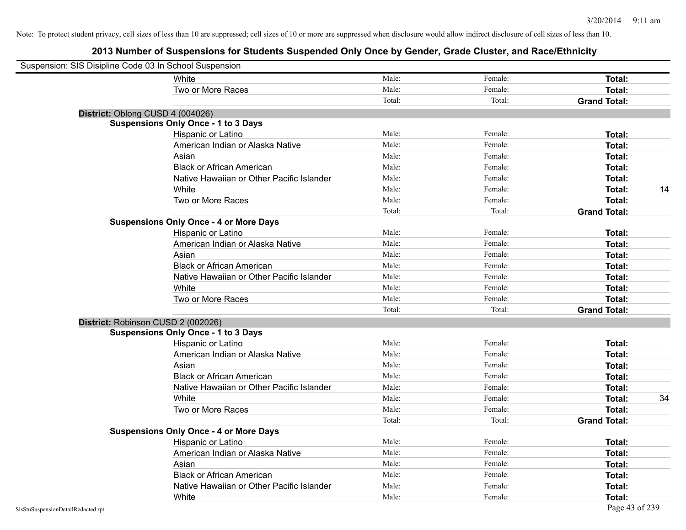| Suspension: SIS Disipline Code 03 In School Suspension |                                               |        |         |                     |    |
|--------------------------------------------------------|-----------------------------------------------|--------|---------|---------------------|----|
|                                                        | White                                         | Male:  | Female: | Total:              |    |
|                                                        | Two or More Races                             | Male:  | Female: | Total:              |    |
|                                                        |                                               | Total: | Total:  | <b>Grand Total:</b> |    |
| District: Oblong CUSD 4 (004026)                       |                                               |        |         |                     |    |
|                                                        | <b>Suspensions Only Once - 1 to 3 Days</b>    |        |         |                     |    |
|                                                        | Hispanic or Latino                            | Male:  | Female: | Total:              |    |
|                                                        | American Indian or Alaska Native              | Male:  | Female: | Total:              |    |
|                                                        | Asian                                         | Male:  | Female: | Total:              |    |
|                                                        | <b>Black or African American</b>              | Male:  | Female: | Total:              |    |
|                                                        | Native Hawaiian or Other Pacific Islander     | Male:  | Female: | <b>Total:</b>       |    |
|                                                        | White                                         | Male:  | Female: | Total:              | 14 |
|                                                        | Two or More Races                             | Male:  | Female: | <b>Total:</b>       |    |
|                                                        |                                               | Total: | Total:  | <b>Grand Total:</b> |    |
|                                                        | <b>Suspensions Only Once - 4 or More Days</b> |        |         |                     |    |
|                                                        | Hispanic or Latino                            | Male:  | Female: | Total:              |    |
|                                                        | American Indian or Alaska Native              | Male:  | Female: | Total:              |    |
|                                                        | Asian                                         | Male:  | Female: | Total:              |    |
|                                                        | <b>Black or African American</b>              | Male:  | Female: | Total:              |    |
|                                                        | Native Hawaiian or Other Pacific Islander     | Male:  | Female: | <b>Total:</b>       |    |
|                                                        | White                                         | Male:  | Female: | Total:              |    |
|                                                        | Two or More Races                             | Male:  | Female: | Total:              |    |
|                                                        |                                               | Total: | Total:  | <b>Grand Total:</b> |    |
| District: Robinson CUSD 2 (002026)                     |                                               |        |         |                     |    |
|                                                        | <b>Suspensions Only Once - 1 to 3 Days</b>    |        |         |                     |    |
|                                                        | Hispanic or Latino                            | Male:  | Female: | <b>Total:</b>       |    |
|                                                        | American Indian or Alaska Native              | Male:  | Female: | Total:              |    |
|                                                        | Asian                                         | Male:  | Female: | Total:              |    |
|                                                        | <b>Black or African American</b>              | Male:  | Female: | Total:              |    |
|                                                        | Native Hawaiian or Other Pacific Islander     | Male:  | Female: | Total:              |    |
|                                                        | White                                         | Male:  | Female: | Total:              | 34 |
|                                                        | Two or More Races                             | Male:  | Female: | Total:              |    |
|                                                        |                                               | Total: | Total:  | <b>Grand Total:</b> |    |
|                                                        | <b>Suspensions Only Once - 4 or More Days</b> |        |         |                     |    |
|                                                        | Hispanic or Latino                            | Male:  | Female: | Total:              |    |
|                                                        | American Indian or Alaska Native              | Male:  | Female: | Total:              |    |
|                                                        | Asian                                         | Male:  | Female: | Total:              |    |
|                                                        | <b>Black or African American</b>              | Male:  | Female: | Total:              |    |
|                                                        | Native Hawaiian or Other Pacific Islander     | Male:  | Female: | <b>Total:</b>       |    |
|                                                        | White                                         | Male:  | Female: | Total:              |    |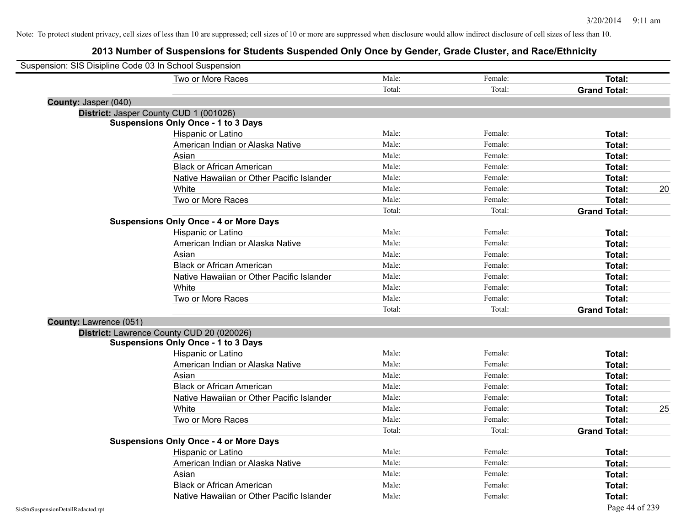| Suspension: SIS Disipline Code 03 In School Suspension |                                               |        |         |                     |    |
|--------------------------------------------------------|-----------------------------------------------|--------|---------|---------------------|----|
|                                                        | Two or More Races                             | Male:  | Female: | Total:              |    |
|                                                        |                                               | Total: | Total:  | <b>Grand Total:</b> |    |
| County: Jasper (040)                                   |                                               |        |         |                     |    |
|                                                        | District: Jasper County CUD 1 (001026)        |        |         |                     |    |
|                                                        | <b>Suspensions Only Once - 1 to 3 Days</b>    |        |         |                     |    |
|                                                        | Hispanic or Latino                            | Male:  | Female: | Total:              |    |
|                                                        | American Indian or Alaska Native              | Male:  | Female: | Total:              |    |
|                                                        | Asian                                         | Male:  | Female: | Total:              |    |
|                                                        | <b>Black or African American</b>              | Male:  | Female: | Total:              |    |
|                                                        | Native Hawaiian or Other Pacific Islander     | Male:  | Female: | Total:              |    |
|                                                        | White                                         | Male:  | Female: | Total:              | 20 |
|                                                        | Two or More Races                             | Male:  | Female: | Total:              |    |
|                                                        |                                               | Total: | Total:  | <b>Grand Total:</b> |    |
|                                                        | <b>Suspensions Only Once - 4 or More Days</b> |        |         |                     |    |
|                                                        | Hispanic or Latino                            | Male:  | Female: | Total:              |    |
|                                                        | American Indian or Alaska Native              | Male:  | Female: | Total:              |    |
|                                                        | Asian                                         | Male:  | Female: | Total:              |    |
|                                                        | <b>Black or African American</b>              | Male:  | Female: | Total:              |    |
|                                                        | Native Hawaiian or Other Pacific Islander     | Male:  | Female: | Total:              |    |
|                                                        | White                                         | Male:  | Female: | Total:              |    |
|                                                        | Two or More Races                             | Male:  | Female: | Total:              |    |
|                                                        |                                               | Total: | Total:  | <b>Grand Total:</b> |    |
| County: Lawrence (051)                                 |                                               |        |         |                     |    |
|                                                        | District: Lawrence County CUD 20 (020026)     |        |         |                     |    |
|                                                        | <b>Suspensions Only Once - 1 to 3 Days</b>    |        |         |                     |    |
|                                                        | Hispanic or Latino                            | Male:  | Female: | Total:              |    |
|                                                        | American Indian or Alaska Native              | Male:  | Female: | Total:              |    |
|                                                        | Asian                                         | Male:  | Female: | Total:              |    |
|                                                        | <b>Black or African American</b>              | Male:  | Female: | Total:              |    |
|                                                        | Native Hawaiian or Other Pacific Islander     | Male:  | Female: | Total:              |    |
|                                                        | White                                         | Male:  | Female: | Total:              | 25 |
|                                                        | Two or More Races                             | Male:  | Female: | Total:              |    |
|                                                        |                                               | Total: | Total:  | <b>Grand Total:</b> |    |
|                                                        | <b>Suspensions Only Once - 4 or More Days</b> |        |         |                     |    |
|                                                        | Hispanic or Latino                            | Male:  | Female: | Total:              |    |
|                                                        | American Indian or Alaska Native              | Male:  | Female: | Total:              |    |
|                                                        | Asian                                         | Male:  | Female: | Total:              |    |
|                                                        | <b>Black or African American</b>              | Male:  | Female: | Total:              |    |
|                                                        | Native Hawaiian or Other Pacific Islander     | Male:  | Female: | Total:              |    |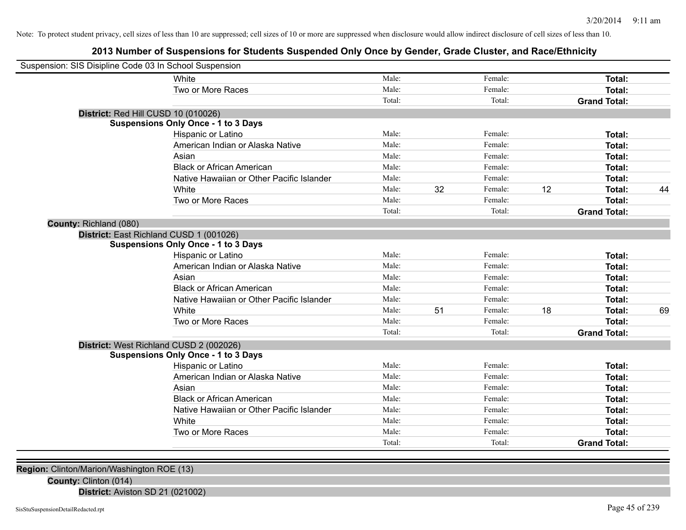# **2013 Number of Suspensions for Students Suspended Only Once by Gender, Grade Cluster, and Race/Ethnicity**

| Suspension: SIS Disipline Code 03 In School Suspension |                                            |        |    |         |    |                     |    |
|--------------------------------------------------------|--------------------------------------------|--------|----|---------|----|---------------------|----|
|                                                        | White                                      | Male:  |    | Female: |    | Total:              |    |
|                                                        | Two or More Races                          | Male:  |    | Female: |    | <b>Total:</b>       |    |
|                                                        |                                            | Total: |    | Total:  |    | <b>Grand Total:</b> |    |
| District: Red Hill CUSD 10 (010026)                    |                                            |        |    |         |    |                     |    |
|                                                        | <b>Suspensions Only Once - 1 to 3 Days</b> |        |    |         |    |                     |    |
|                                                        | Hispanic or Latino                         | Male:  |    | Female: |    | Total:              |    |
|                                                        | American Indian or Alaska Native           | Male:  |    | Female: |    | Total:              |    |
|                                                        | Asian                                      | Male:  |    | Female: |    | Total:              |    |
|                                                        | <b>Black or African American</b>           | Male:  |    | Female: |    | Total:              |    |
|                                                        | Native Hawaiian or Other Pacific Islander  | Male:  |    | Female: |    | Total:              |    |
|                                                        | White                                      | Male:  | 32 | Female: | 12 | Total:              | 44 |
|                                                        | Two or More Races                          | Male:  |    | Female: |    | Total:              |    |
|                                                        |                                            | Total: |    | Total:  |    | <b>Grand Total:</b> |    |
| County: Richland (080)                                 |                                            |        |    |         |    |                     |    |
| District: East Richland CUSD 1 (001026)                |                                            |        |    |         |    |                     |    |
|                                                        | <b>Suspensions Only Once - 1 to 3 Days</b> |        |    |         |    |                     |    |
|                                                        | Hispanic or Latino                         | Male:  |    | Female: |    | Total:              |    |
|                                                        | American Indian or Alaska Native           | Male:  |    | Female: |    | Total:              |    |
|                                                        | Asian                                      | Male:  |    | Female: |    | Total:              |    |
|                                                        | <b>Black or African American</b>           | Male:  |    | Female: |    | Total:              |    |
|                                                        | Native Hawaiian or Other Pacific Islander  | Male:  |    | Female: |    | Total:              |    |
|                                                        | White                                      | Male:  | 51 | Female: | 18 | Total:              | 69 |
|                                                        | Two or More Races                          | Male:  |    | Female: |    | Total:              |    |
|                                                        |                                            | Total: |    | Total:  |    | <b>Grand Total:</b> |    |
| District: West Richland CUSD 2 (002026)                |                                            |        |    |         |    |                     |    |
|                                                        | <b>Suspensions Only Once - 1 to 3 Days</b> |        |    |         |    |                     |    |
|                                                        | Hispanic or Latino                         | Male:  |    | Female: |    | Total:              |    |
|                                                        | American Indian or Alaska Native           | Male:  |    | Female: |    | Total:              |    |
|                                                        | Asian                                      | Male:  |    | Female: |    | Total:              |    |
|                                                        | <b>Black or African American</b>           | Male:  |    | Female: |    | Total:              |    |
|                                                        | Native Hawaiian or Other Pacific Islander  | Male:  |    | Female: |    | Total:              |    |
|                                                        | White                                      | Male:  |    | Female: |    | <b>Total:</b>       |    |
|                                                        | Two or More Races                          | Male:  |    | Female: |    | <b>Total:</b>       |    |
|                                                        |                                            | Total: |    | Total:  |    | <b>Grand Total:</b> |    |
|                                                        |                                            |        |    |         |    |                     |    |

**Region:** Clinton/Marion/Washington ROE (13)

**County:** Clinton (014)

**District:** Aviston SD 21 (021002)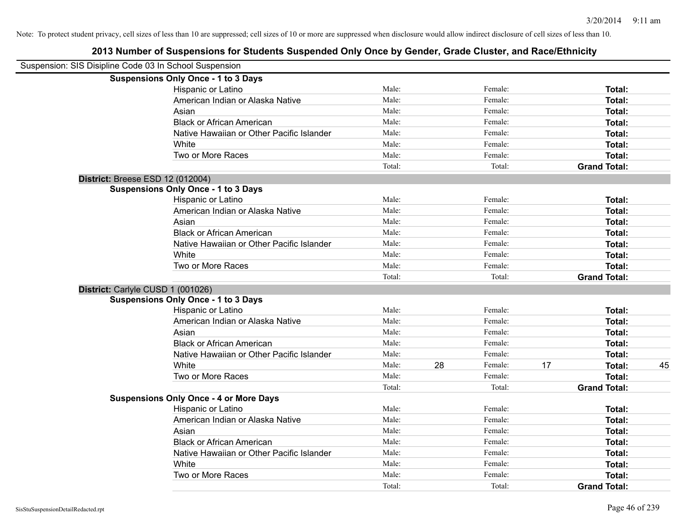| Suspension: SIS Disipline Code 03 In School Suspension |                                               |        |    |         |    |                     |    |
|--------------------------------------------------------|-----------------------------------------------|--------|----|---------|----|---------------------|----|
|                                                        | <b>Suspensions Only Once - 1 to 3 Days</b>    |        |    |         |    |                     |    |
|                                                        | Hispanic or Latino                            | Male:  |    | Female: |    | Total:              |    |
|                                                        | American Indian or Alaska Native              | Male:  |    | Female: |    | Total:              |    |
|                                                        | Asian                                         | Male:  |    | Female: |    | Total:              |    |
|                                                        | <b>Black or African American</b>              | Male:  |    | Female: |    | Total:              |    |
|                                                        | Native Hawaiian or Other Pacific Islander     | Male:  |    | Female: |    | Total:              |    |
|                                                        | White                                         | Male:  |    | Female: |    | Total:              |    |
|                                                        | Two or More Races                             | Male:  |    | Female: |    | Total:              |    |
|                                                        |                                               | Total: |    | Total:  |    | <b>Grand Total:</b> |    |
|                                                        | <b>District: Breese ESD 12 (012004)</b>       |        |    |         |    |                     |    |
|                                                        | <b>Suspensions Only Once - 1 to 3 Days</b>    |        |    |         |    |                     |    |
|                                                        | Hispanic or Latino                            | Male:  |    | Female: |    | Total:              |    |
|                                                        | American Indian or Alaska Native              | Male:  |    | Female: |    | Total:              |    |
|                                                        | Asian                                         | Male:  |    | Female: |    | Total:              |    |
|                                                        | <b>Black or African American</b>              | Male:  |    | Female: |    | Total:              |    |
|                                                        | Native Hawaiian or Other Pacific Islander     | Male:  |    | Female: |    | Total:              |    |
|                                                        | White                                         | Male:  |    | Female: |    | Total:              |    |
|                                                        | Two or More Races                             | Male:  |    | Female: |    | Total:              |    |
|                                                        |                                               | Total: |    | Total:  |    | <b>Grand Total:</b> |    |
|                                                        | District: Carlyle CUSD 1 (001026)             |        |    |         |    |                     |    |
|                                                        | <b>Suspensions Only Once - 1 to 3 Days</b>    |        |    |         |    |                     |    |
|                                                        | Hispanic or Latino                            | Male:  |    | Female: |    | Total:              |    |
|                                                        | American Indian or Alaska Native              | Male:  |    | Female: |    | Total:              |    |
|                                                        | Asian                                         | Male:  |    | Female: |    | Total:              |    |
|                                                        | <b>Black or African American</b>              | Male:  |    | Female: |    | Total:              |    |
|                                                        | Native Hawaiian or Other Pacific Islander     | Male:  |    | Female: |    | Total:              |    |
|                                                        | White                                         | Male:  | 28 | Female: | 17 | Total:              | 45 |
|                                                        | Two or More Races                             | Male:  |    | Female: |    | Total:              |    |
|                                                        |                                               | Total: |    | Total:  |    | <b>Grand Total:</b> |    |
|                                                        | <b>Suspensions Only Once - 4 or More Days</b> |        |    |         |    |                     |    |
|                                                        | Hispanic or Latino                            | Male:  |    | Female: |    | Total:              |    |
|                                                        | American Indian or Alaska Native              | Male:  |    | Female: |    | Total:              |    |
|                                                        | Asian                                         | Male:  |    | Female: |    | Total:              |    |
|                                                        | <b>Black or African American</b>              | Male:  |    | Female: |    | Total:              |    |
|                                                        | Native Hawaiian or Other Pacific Islander     | Male:  |    | Female: |    | Total:              |    |
|                                                        | White                                         | Male:  |    | Female: |    | Total:              |    |
|                                                        | Two or More Races                             | Male:  |    | Female: |    | Total:              |    |
|                                                        |                                               | Total: |    | Total:  |    | <b>Grand Total:</b> |    |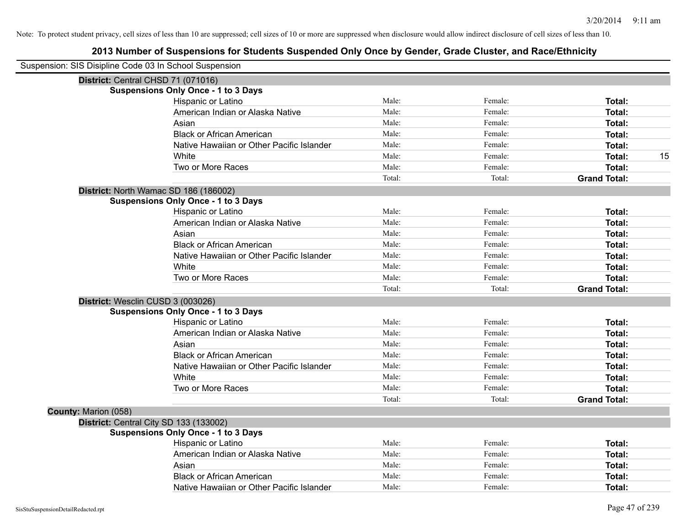| Suspension: SIS Disipline Code 03 In School Suspension |                                            |        |         |                     |    |
|--------------------------------------------------------|--------------------------------------------|--------|---------|---------------------|----|
|                                                        | District: Central CHSD 71 (071016)         |        |         |                     |    |
|                                                        | <b>Suspensions Only Once - 1 to 3 Days</b> |        |         |                     |    |
|                                                        | Hispanic or Latino                         | Male:  | Female: | Total:              |    |
|                                                        | American Indian or Alaska Native           | Male:  | Female: | Total:              |    |
|                                                        | Asian                                      | Male:  | Female: | Total:              |    |
|                                                        | <b>Black or African American</b>           | Male:  | Female: | Total:              |    |
|                                                        | Native Hawaiian or Other Pacific Islander  | Male:  | Female: | Total:              |    |
|                                                        | White                                      | Male:  | Female: | Total:              | 15 |
|                                                        | Two or More Races                          | Male:  | Female: | Total:              |    |
|                                                        |                                            | Total: | Total:  | <b>Grand Total:</b> |    |
|                                                        | District: North Wamac SD 186 (186002)      |        |         |                     |    |
|                                                        | <b>Suspensions Only Once - 1 to 3 Days</b> |        |         |                     |    |
|                                                        | Hispanic or Latino                         | Male:  | Female: | Total:              |    |
|                                                        | American Indian or Alaska Native           | Male:  | Female: | Total:              |    |
|                                                        | Asian                                      | Male:  | Female: | Total:              |    |
|                                                        | <b>Black or African American</b>           | Male:  | Female: | Total:              |    |
|                                                        | Native Hawaiian or Other Pacific Islander  | Male:  | Female: | Total:              |    |
|                                                        | White                                      | Male:  | Female: | Total:              |    |
|                                                        | Two or More Races                          | Male:  | Female: | Total:              |    |
|                                                        |                                            | Total: | Total:  | <b>Grand Total:</b> |    |
|                                                        | District: Wesclin CUSD 3 (003026)          |        |         |                     |    |
|                                                        | <b>Suspensions Only Once - 1 to 3 Days</b> |        |         |                     |    |
|                                                        | Hispanic or Latino                         | Male:  | Female: | Total:              |    |
|                                                        | American Indian or Alaska Native           | Male:  | Female: | Total:              |    |
|                                                        | Asian                                      | Male:  | Female: | Total:              |    |
|                                                        | <b>Black or African American</b>           | Male:  | Female: | Total:              |    |
|                                                        | Native Hawaiian or Other Pacific Islander  | Male:  | Female: | Total:              |    |
|                                                        | White                                      | Male:  | Female: | Total:              |    |
|                                                        | Two or More Races                          | Male:  | Female: | Total:              |    |
|                                                        |                                            | Total: | Total:  | <b>Grand Total:</b> |    |
| County: Marion (058)                                   |                                            |        |         |                     |    |
|                                                        | District: Central City SD 133 (133002)     |        |         |                     |    |
|                                                        | <b>Suspensions Only Once - 1 to 3 Days</b> |        |         |                     |    |
|                                                        | Hispanic or Latino                         | Male:  | Female: | Total:              |    |
|                                                        | American Indian or Alaska Native           | Male:  | Female: | Total:              |    |
|                                                        | Asian                                      | Male:  | Female: | Total:              |    |
|                                                        | <b>Black or African American</b>           | Male:  | Female: | Total:              |    |
|                                                        | Native Hawaiian or Other Pacific Islander  | Male:  | Female: | Total:              |    |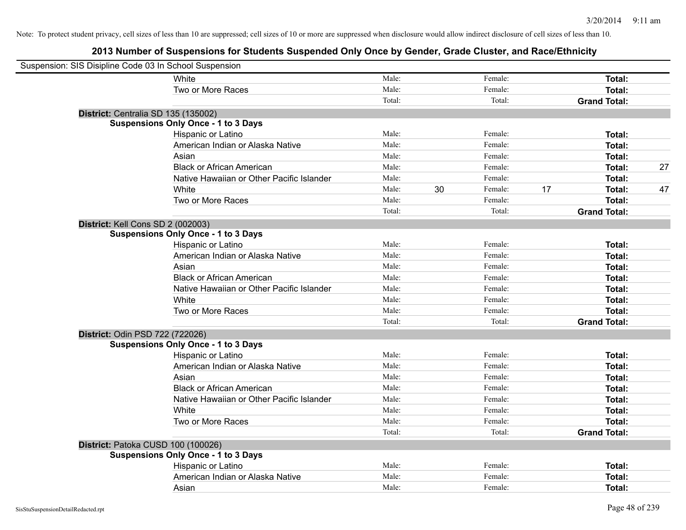| Suspension: SIS Disipline Code 03 In School Suspension |                                            |        |    |         |                     |              |
|--------------------------------------------------------|--------------------------------------------|--------|----|---------|---------------------|--------------|
|                                                        | White                                      | Male:  |    | Female: |                     | Total:       |
|                                                        | Two or More Races                          | Male:  |    | Female: |                     | Total:       |
|                                                        |                                            | Total: |    | Total:  | <b>Grand Total:</b> |              |
| District: Centralia SD 135 (135002)                    |                                            |        |    |         |                     |              |
|                                                        | <b>Suspensions Only Once - 1 to 3 Days</b> |        |    |         |                     |              |
|                                                        | Hispanic or Latino                         | Male:  |    | Female: |                     | Total:       |
|                                                        | American Indian or Alaska Native           | Male:  |    | Female: |                     | Total:       |
|                                                        | Asian                                      | Male:  |    | Female: |                     | Total:       |
|                                                        | <b>Black or African American</b>           | Male:  |    | Female: |                     | 27<br>Total: |
|                                                        | Native Hawaiian or Other Pacific Islander  | Male:  |    | Female: |                     | Total:       |
|                                                        | White                                      | Male:  | 30 | Female: | 17                  | 47<br>Total: |
|                                                        | Two or More Races                          | Male:  |    | Female: |                     | Total:       |
|                                                        |                                            | Total: |    | Total:  | <b>Grand Total:</b> |              |
| District: Kell Cons SD 2 (002003)                      |                                            |        |    |         |                     |              |
|                                                        | <b>Suspensions Only Once - 1 to 3 Days</b> |        |    |         |                     |              |
|                                                        | Hispanic or Latino                         | Male:  |    | Female: |                     | Total:       |
|                                                        | American Indian or Alaska Native           | Male:  |    | Female: |                     | Total:       |
|                                                        | Asian                                      | Male:  |    | Female: |                     | Total:       |
|                                                        | <b>Black or African American</b>           | Male:  |    | Female: |                     | Total:       |
|                                                        | Native Hawaiian or Other Pacific Islander  | Male:  |    | Female: |                     | Total:       |
|                                                        | White                                      | Male:  |    | Female: |                     | Total:       |
|                                                        | Two or More Races                          | Male:  |    | Female: |                     | Total:       |
|                                                        |                                            | Total: |    | Total:  | <b>Grand Total:</b> |              |
| District: Odin PSD 722 (722026)                        |                                            |        |    |         |                     |              |
|                                                        | <b>Suspensions Only Once - 1 to 3 Days</b> |        |    |         |                     |              |
|                                                        | Hispanic or Latino                         | Male:  |    | Female: |                     | Total:       |
|                                                        | American Indian or Alaska Native           | Male:  |    | Female: |                     | Total:       |
|                                                        | Asian                                      | Male:  |    | Female: |                     | Total:       |
|                                                        | <b>Black or African American</b>           | Male:  |    | Female: |                     | Total:       |
|                                                        | Native Hawaiian or Other Pacific Islander  | Male:  |    | Female: |                     | Total:       |
|                                                        | White                                      | Male:  |    | Female: |                     | Total:       |
|                                                        | Two or More Races                          | Male:  |    | Female: |                     | Total:       |
|                                                        |                                            | Total: |    | Total:  | <b>Grand Total:</b> |              |
| District: Patoka CUSD 100 (100026)                     |                                            |        |    |         |                     |              |
|                                                        | <b>Suspensions Only Once - 1 to 3 Days</b> |        |    |         |                     |              |
|                                                        | Hispanic or Latino                         | Male:  |    | Female: |                     | Total:       |
|                                                        | American Indian or Alaska Native           | Male:  |    | Female: |                     | Total:       |
|                                                        | Asian                                      | Male:  |    | Female: |                     | Total:       |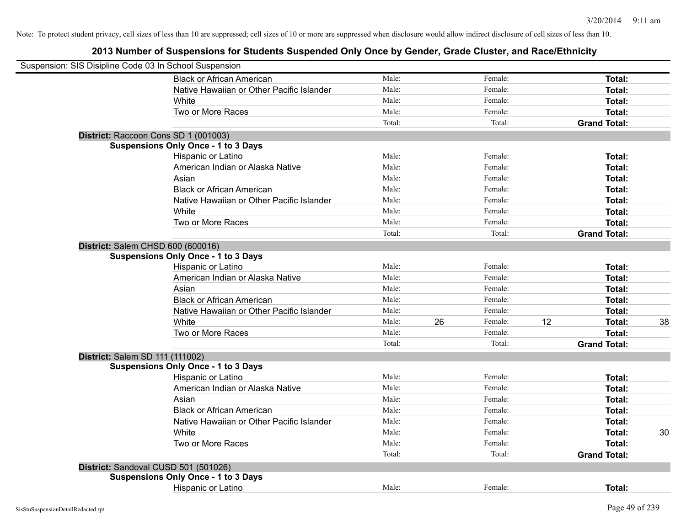| Suspension: SIS Disipline Code 03 In School Suspension |                                            |        |    |         |    |                     |    |
|--------------------------------------------------------|--------------------------------------------|--------|----|---------|----|---------------------|----|
|                                                        | <b>Black or African American</b>           | Male:  |    | Female: |    | Total:              |    |
|                                                        | Native Hawaiian or Other Pacific Islander  | Male:  |    | Female: |    | Total:              |    |
|                                                        | White                                      | Male:  |    | Female: |    | Total:              |    |
|                                                        | Two or More Races                          | Male:  |    | Female: |    | Total:              |    |
|                                                        |                                            | Total: |    | Total:  |    | <b>Grand Total:</b> |    |
|                                                        | District: Raccoon Cons SD 1 (001003)       |        |    |         |    |                     |    |
|                                                        | <b>Suspensions Only Once - 1 to 3 Days</b> |        |    |         |    |                     |    |
|                                                        | Hispanic or Latino                         | Male:  |    | Female: |    | Total:              |    |
|                                                        | American Indian or Alaska Native           | Male:  |    | Female: |    | Total:              |    |
|                                                        | Asian                                      | Male:  |    | Female: |    | Total:              |    |
|                                                        | <b>Black or African American</b>           | Male:  |    | Female: |    | Total:              |    |
|                                                        | Native Hawaiian or Other Pacific Islander  | Male:  |    | Female: |    | Total:              |    |
|                                                        | White                                      | Male:  |    | Female: |    | Total:              |    |
|                                                        | Two or More Races                          | Male:  |    | Female: |    | Total:              |    |
|                                                        |                                            | Total: |    | Total:  |    | <b>Grand Total:</b> |    |
| District: Salem CHSD 600 (600016)                      |                                            |        |    |         |    |                     |    |
|                                                        | <b>Suspensions Only Once - 1 to 3 Days</b> |        |    |         |    |                     |    |
|                                                        | Hispanic or Latino                         | Male:  |    | Female: |    | Total:              |    |
|                                                        | American Indian or Alaska Native           | Male:  |    | Female: |    | Total:              |    |
|                                                        | Asian                                      | Male:  |    | Female: |    | Total:              |    |
|                                                        | <b>Black or African American</b>           | Male:  |    | Female: |    | Total:              |    |
|                                                        | Native Hawaiian or Other Pacific Islander  | Male:  |    | Female: |    | Total:              |    |
|                                                        | White                                      | Male:  | 26 | Female: | 12 | Total:              | 38 |
|                                                        | Two or More Races                          | Male:  |    | Female: |    | Total:              |    |
|                                                        |                                            | Total: |    | Total:  |    | <b>Grand Total:</b> |    |
| District: Salem SD 111 (111002)                        |                                            |        |    |         |    |                     |    |
|                                                        | <b>Suspensions Only Once - 1 to 3 Days</b> |        |    |         |    |                     |    |
|                                                        | Hispanic or Latino                         | Male:  |    | Female: |    | Total:              |    |
|                                                        | American Indian or Alaska Native           | Male:  |    | Female: |    | Total:              |    |
|                                                        | Asian                                      | Male:  |    | Female: |    | Total:              |    |
|                                                        | <b>Black or African American</b>           | Male:  |    | Female: |    | Total:              |    |
|                                                        | Native Hawaiian or Other Pacific Islander  | Male:  |    | Female: |    | Total:              |    |
|                                                        | White                                      | Male:  |    | Female: |    | Total:              | 30 |
|                                                        | Two or More Races                          | Male:  |    | Female: |    | Total:              |    |
|                                                        |                                            | Total: |    | Total:  |    | <b>Grand Total:</b> |    |
|                                                        | District: Sandoval CUSD 501 (501026)       |        |    |         |    |                     |    |
|                                                        | <b>Suspensions Only Once - 1 to 3 Days</b> |        |    |         |    |                     |    |
|                                                        | <b>Hispanic or Latino</b>                  | Male:  |    | Female: |    | Total:              |    |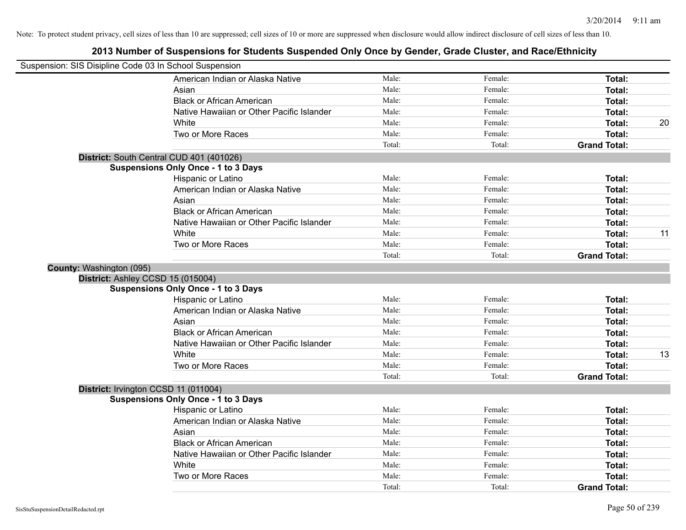| Suspension: SIS Disipline Code 03 In School Suspension |                                            |        |         |                     |    |
|--------------------------------------------------------|--------------------------------------------|--------|---------|---------------------|----|
|                                                        | American Indian or Alaska Native           | Male:  | Female: | Total:              |    |
|                                                        | Asian                                      | Male:  | Female: | Total:              |    |
|                                                        | <b>Black or African American</b>           | Male:  | Female: | Total:              |    |
|                                                        | Native Hawaiian or Other Pacific Islander  | Male:  | Female: | <b>Total:</b>       |    |
|                                                        | White                                      | Male:  | Female: | <b>Total:</b>       | 20 |
|                                                        | Two or More Races                          | Male:  | Female: | Total:              |    |
|                                                        |                                            | Total: | Total:  | <b>Grand Total:</b> |    |
|                                                        | District: South Central CUD 401 (401026)   |        |         |                     |    |
|                                                        | <b>Suspensions Only Once - 1 to 3 Days</b> |        |         |                     |    |
|                                                        | Hispanic or Latino                         | Male:  | Female: | Total:              |    |
|                                                        | American Indian or Alaska Native           | Male:  | Female: | Total:              |    |
|                                                        | Asian                                      | Male:  | Female: | Total:              |    |
|                                                        | <b>Black or African American</b>           | Male:  | Female: | <b>Total:</b>       |    |
|                                                        | Native Hawaiian or Other Pacific Islander  | Male:  | Female: | Total:              |    |
|                                                        | White                                      | Male:  | Female: | <b>Total:</b>       | 11 |
|                                                        | Two or More Races                          | Male:  | Female: | Total:              |    |
|                                                        |                                            | Total: | Total:  | <b>Grand Total:</b> |    |
| <b>County: Washington (095)</b>                        |                                            |        |         |                     |    |
|                                                        | District: Ashley CCSD 15 (015004)          |        |         |                     |    |
|                                                        | <b>Suspensions Only Once - 1 to 3 Days</b> |        |         |                     |    |
|                                                        | Hispanic or Latino                         | Male:  | Female: | Total:              |    |
|                                                        | American Indian or Alaska Native           | Male:  | Female: | Total:              |    |
|                                                        | Asian                                      | Male:  | Female: | Total:              |    |
|                                                        | <b>Black or African American</b>           | Male:  | Female: | <b>Total:</b>       |    |
|                                                        | Native Hawaiian or Other Pacific Islander  | Male:  | Female: | <b>Total:</b>       |    |
|                                                        | White                                      | Male:  | Female: | Total:              | 13 |
|                                                        | Two or More Races                          | Male:  | Female: | Total:              |    |
|                                                        |                                            | Total: | Total:  | <b>Grand Total:</b> |    |
|                                                        | District: Irvington CCSD 11 (011004)       |        |         |                     |    |
|                                                        | <b>Suspensions Only Once - 1 to 3 Days</b> |        |         |                     |    |
|                                                        | Hispanic or Latino                         | Male:  | Female: | Total:              |    |
|                                                        | American Indian or Alaska Native           | Male:  | Female: | Total:              |    |
|                                                        | Asian                                      | Male:  | Female: | <b>Total:</b>       |    |
|                                                        | <b>Black or African American</b>           | Male:  | Female: | <b>Total:</b>       |    |
|                                                        | Native Hawaiian or Other Pacific Islander  | Male:  | Female: | Total:              |    |
|                                                        | White                                      | Male:  | Female: | Total:              |    |
|                                                        | Two or More Races                          | Male:  | Female: | Total:              |    |
|                                                        |                                            | Total: | Total:  | <b>Grand Total:</b> |    |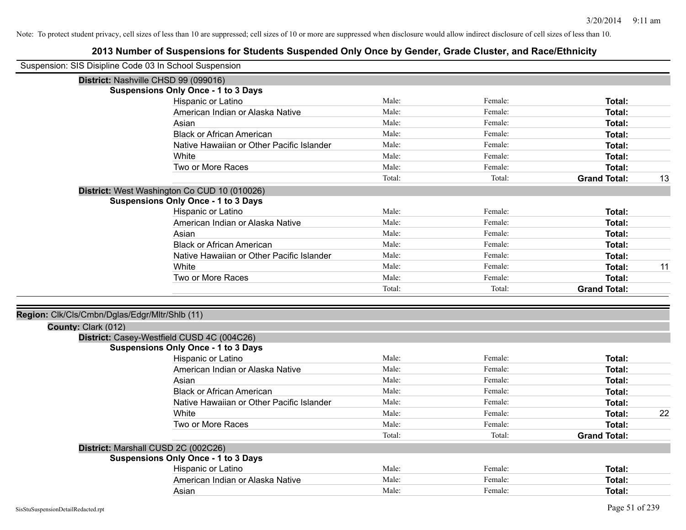| Suspension: SIS Disipline Code 03 In School Suspension |                                              |        |         |                     |    |
|--------------------------------------------------------|----------------------------------------------|--------|---------|---------------------|----|
|                                                        | District: Nashville CHSD 99 (099016)         |        |         |                     |    |
|                                                        | <b>Suspensions Only Once - 1 to 3 Days</b>   |        |         |                     |    |
|                                                        | Hispanic or Latino                           | Male:  | Female: | Total:              |    |
|                                                        | American Indian or Alaska Native             | Male:  | Female: | Total:              |    |
|                                                        | Asian                                        | Male:  | Female: | <b>Total:</b>       |    |
|                                                        | <b>Black or African American</b>             | Male:  | Female: | Total:              |    |
|                                                        | Native Hawaiian or Other Pacific Islander    | Male:  | Female: | <b>Total:</b>       |    |
|                                                        | White                                        | Male:  | Female: | Total:              |    |
|                                                        | Two or More Races                            | Male:  | Female: | <b>Total:</b>       |    |
|                                                        |                                              | Total: | Total:  | <b>Grand Total:</b> | 13 |
|                                                        | District: West Washington Co CUD 10 (010026) |        |         |                     |    |
|                                                        | <b>Suspensions Only Once - 1 to 3 Days</b>   |        |         |                     |    |
|                                                        | Hispanic or Latino                           | Male:  | Female: | Total:              |    |
|                                                        | American Indian or Alaska Native             | Male:  | Female: | Total:              |    |
|                                                        | Asian                                        | Male:  | Female: | <b>Total:</b>       |    |
|                                                        | <b>Black or African American</b>             | Male:  | Female: | <b>Total:</b>       |    |
|                                                        | Native Hawaiian or Other Pacific Islander    | Male:  | Female: | <b>Total:</b>       |    |
|                                                        | White                                        | Male:  | Female: | <b>Total:</b>       | 11 |
|                                                        | Two or More Races                            | Male:  | Female: | <b>Total:</b>       |    |
|                                                        |                                              | Total: | Total:  | <b>Grand Total:</b> |    |
|                                                        |                                              |        |         |                     |    |
| Region: Clk/Cls/Cmbn/Dglas/Edgr/Mltr/Shlb (11)         |                                              |        |         |                     |    |
| County: Clark (012)                                    | District: Casey-Westfield CUSD 4C (004C26)   |        |         |                     |    |
|                                                        | <b>Suspensions Only Once - 1 to 3 Days</b>   |        |         |                     |    |
|                                                        | Hispanic or Latino                           | Male:  | Female: | <b>Total:</b>       |    |
|                                                        | American Indian or Alaska Native             | Male:  | Female: | Total:              |    |
|                                                        | Asian                                        | Male:  | Female: | <b>Total:</b>       |    |
|                                                        | <b>Black or African American</b>             | Male:  | Female: | <b>Total:</b>       |    |
|                                                        | Native Hawaiian or Other Pacific Islander    | Male:  | Female: | <b>Total:</b>       |    |
|                                                        | White                                        | Male:  | Female: | <b>Total:</b>       | 22 |
|                                                        | Two or More Races                            | Male:  | Female: | <b>Total:</b>       |    |
|                                                        |                                              | Total: | Total:  | <b>Grand Total:</b> |    |
|                                                        | District: Marshall CUSD 2C (002C26)          |        |         |                     |    |
|                                                        | <b>Suspensions Only Once - 1 to 3 Days</b>   |        |         |                     |    |
|                                                        | Hispanic or Latino                           | Male:  | Female: | <b>Total:</b>       |    |
|                                                        | American Indian or Alaska Native             | Male:  | Female: | Total:              |    |
|                                                        | Asian                                        | Male:  | Female: | Total:              |    |
|                                                        |                                              |        |         |                     |    |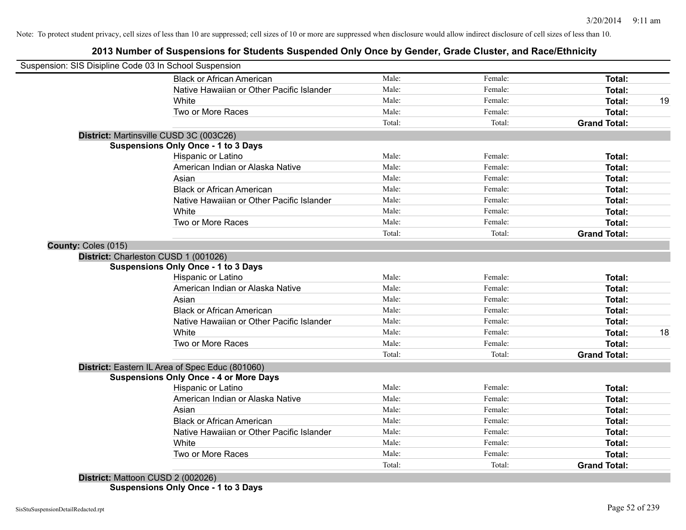# **2013 Number of Suspensions for Students Suspended Only Once by Gender, Grade Cluster, and Race/Ethnicity**

| Suspension: SIS Disipline Code 03 In School Suspension |                                                 |                 |                   |                               |    |
|--------------------------------------------------------|-------------------------------------------------|-----------------|-------------------|-------------------------------|----|
|                                                        | <b>Black or African American</b>                | Male:           | Female:           | Total:                        |    |
|                                                        | Native Hawaiian or Other Pacific Islander       | Male:           | Female:           | Total:                        |    |
|                                                        | White                                           | Male:           | Female:           | Total:                        | 19 |
|                                                        | Two or More Races                               | Male:           | Female:           | Total:                        |    |
|                                                        |                                                 | Total:          | Total:            | <b>Grand Total:</b>           |    |
|                                                        | District: Martinsville CUSD 3C (003C26)         |                 |                   |                               |    |
|                                                        | <b>Suspensions Only Once - 1 to 3 Days</b>      |                 |                   |                               |    |
|                                                        | Hispanic or Latino                              | Male:           | Female:           | Total:                        |    |
|                                                        | American Indian or Alaska Native                | Male:           | Female:           | Total:                        |    |
|                                                        | Asian                                           | Male:           | Female:           | Total:                        |    |
|                                                        | <b>Black or African American</b>                | Male:           | Female:           | Total:                        |    |
|                                                        | Native Hawaiian or Other Pacific Islander       | Male:           | Female:           | Total:                        |    |
|                                                        | White                                           | Male:           | Female:           | Total:                        |    |
|                                                        | Two or More Races                               | Male:           | Female:           | Total:                        |    |
|                                                        |                                                 | Total:          | Total:            | <b>Grand Total:</b>           |    |
| County: Coles (015)                                    |                                                 |                 |                   |                               |    |
|                                                        | District: Charleston CUSD 1 (001026)            |                 |                   |                               |    |
|                                                        | <b>Suspensions Only Once - 1 to 3 Days</b>      |                 |                   |                               |    |
|                                                        | Hispanic or Latino                              | Male:           | Female:           | Total:                        |    |
|                                                        | American Indian or Alaska Native                | Male:           | Female:           | Total:                        |    |
|                                                        | Asian                                           | Male:           | Female:           | Total:                        |    |
|                                                        | <b>Black or African American</b>                | Male:           | Female:           | Total:                        |    |
|                                                        | Native Hawaiian or Other Pacific Islander       | Male:           | Female:           | Total:                        |    |
|                                                        | White                                           | Male:           | Female:           | Total:                        | 18 |
|                                                        | Two or More Races                               | Male:           | Female:           | Total:                        |    |
|                                                        |                                                 | Total:          | Total:            | <b>Grand Total:</b>           |    |
|                                                        | District: Eastern IL Area of Spec Educ (801060) |                 |                   |                               |    |
|                                                        | <b>Suspensions Only Once - 4 or More Days</b>   |                 |                   |                               |    |
|                                                        | Hispanic or Latino                              | Male:           | Female:           | Total:                        |    |
|                                                        | American Indian or Alaska Native                | Male:           | Female:           | Total:                        |    |
|                                                        | Asian                                           | Male:           | Female:           | Total:                        |    |
|                                                        | <b>Black or African American</b>                | Male:           | Female:           | Total:                        |    |
|                                                        | Native Hawaiian or Other Pacific Islander       | Male:           | Female:           | Total:                        |    |
|                                                        | White                                           | Male:           | Female:           | Total:                        |    |
|                                                        |                                                 |                 |                   |                               |    |
|                                                        | Two or More Races                               | Male:<br>Total: | Female:<br>Total: | Total:<br><b>Grand Total:</b> |    |

**District:** Mattoon CUSD 2 (002026) **Suspensions Only Once - 1 to 3 Days**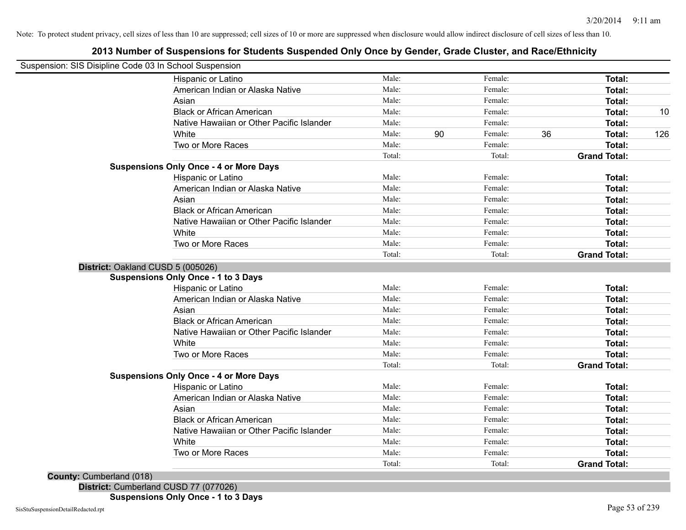# **2013 Number of Suspensions for Students Suspended Only Once by Gender, Grade Cluster, and Race/Ethnicity**

| Suspension: SIS Disipline Code 03 In School Suspension |                                               |        |    |         |    |                     |     |
|--------------------------------------------------------|-----------------------------------------------|--------|----|---------|----|---------------------|-----|
|                                                        | Hispanic or Latino                            | Male:  |    | Female: |    | Total:              |     |
|                                                        | American Indian or Alaska Native              | Male:  |    | Female: |    | Total:              |     |
|                                                        | Asian                                         | Male:  |    | Female: |    | Total:              |     |
|                                                        | <b>Black or African American</b>              | Male:  |    | Female: |    | <b>Total:</b>       | 10  |
|                                                        | Native Hawaiian or Other Pacific Islander     | Male:  |    | Female: |    | <b>Total:</b>       |     |
|                                                        | White                                         | Male:  | 90 | Female: | 36 | Total:              | 126 |
|                                                        | Two or More Races                             | Male:  |    | Female: |    | Total:              |     |
|                                                        |                                               | Total: |    | Total:  |    | <b>Grand Total:</b> |     |
|                                                        | <b>Suspensions Only Once - 4 or More Days</b> |        |    |         |    |                     |     |
|                                                        | Hispanic or Latino                            | Male:  |    | Female: |    | Total:              |     |
|                                                        | American Indian or Alaska Native              | Male:  |    | Female: |    | Total:              |     |
|                                                        | Asian                                         | Male:  |    | Female: |    | <b>Total:</b>       |     |
|                                                        | <b>Black or African American</b>              | Male:  |    | Female: |    | Total:              |     |
|                                                        | Native Hawaiian or Other Pacific Islander     | Male:  |    | Female: |    | Total:              |     |
|                                                        | White                                         | Male:  |    | Female: |    | Total:              |     |
|                                                        | Two or More Races                             | Male:  |    | Female: |    | <b>Total:</b>       |     |
|                                                        |                                               | Total: |    | Total:  |    | <b>Grand Total:</b> |     |
|                                                        | District: Oakland CUSD 5 (005026)             |        |    |         |    |                     |     |
|                                                        | <b>Suspensions Only Once - 1 to 3 Days</b>    |        |    |         |    |                     |     |
|                                                        | Hispanic or Latino                            | Male:  |    | Female: |    | Total:              |     |
|                                                        | American Indian or Alaska Native              | Male:  |    | Female: |    | <b>Total:</b>       |     |
|                                                        | Asian                                         | Male:  |    | Female: |    | Total:              |     |
|                                                        | <b>Black or African American</b>              | Male:  |    | Female: |    | Total:              |     |
|                                                        | Native Hawaiian or Other Pacific Islander     | Male:  |    | Female: |    | Total:              |     |
|                                                        | White                                         | Male:  |    | Female: |    | Total:              |     |
|                                                        | Two or More Races                             | Male:  |    | Female: |    | <b>Total:</b>       |     |
|                                                        |                                               | Total: |    | Total:  |    | <b>Grand Total:</b> |     |
|                                                        | <b>Suspensions Only Once - 4 or More Days</b> |        |    |         |    |                     |     |
|                                                        | Hispanic or Latino                            | Male:  |    | Female: |    | Total:              |     |
|                                                        | American Indian or Alaska Native              | Male:  |    | Female: |    | Total:              |     |
|                                                        | Asian                                         | Male:  |    | Female: |    | Total:              |     |
|                                                        | <b>Black or African American</b>              | Male:  |    | Female: |    | Total:              |     |
|                                                        | Native Hawaiian or Other Pacific Islander     | Male:  |    | Female: |    | Total:              |     |
|                                                        | White                                         | Male:  |    | Female: |    | Total:              |     |
|                                                        | Two or More Races                             | Male:  |    | Female: |    | <b>Total:</b>       |     |
|                                                        |                                               | Total: |    | Total:  |    | <b>Grand Total:</b> |     |

**District:** Cumberland CUSD 77 (077026)

**Suspensions Only Once - 1 to 3 Days**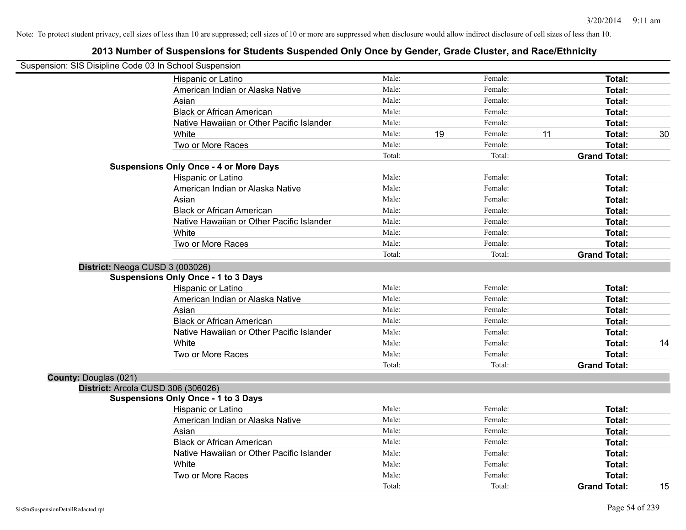|                              | Suspension: SIS Disipline Code 03 In School Suspension |        |    |         |    |                     |    |
|------------------------------|--------------------------------------------------------|--------|----|---------|----|---------------------|----|
|                              | Hispanic or Latino                                     | Male:  |    | Female: |    | Total:              |    |
|                              | American Indian or Alaska Native                       | Male:  |    | Female: |    | Total:              |    |
|                              | Asian                                                  | Male:  |    | Female: |    | Total:              |    |
|                              | <b>Black or African American</b>                       | Male:  |    | Female: |    | Total:              |    |
|                              | Native Hawaiian or Other Pacific Islander              | Male:  |    | Female: |    | Total:              |    |
|                              | White                                                  | Male:  | 19 | Female: | 11 | Total:              | 30 |
|                              | Two or More Races                                      | Male:  |    | Female: |    | Total:              |    |
|                              |                                                        | Total: |    | Total:  |    | <b>Grand Total:</b> |    |
|                              | <b>Suspensions Only Once - 4 or More Days</b>          |        |    |         |    |                     |    |
|                              | Hispanic or Latino                                     | Male:  |    | Female: |    | Total:              |    |
|                              | American Indian or Alaska Native                       | Male:  |    | Female: |    | Total:              |    |
|                              | Asian                                                  | Male:  |    | Female: |    | Total:              |    |
|                              | <b>Black or African American</b>                       | Male:  |    | Female: |    | Total:              |    |
|                              | Native Hawaiian or Other Pacific Islander              | Male:  |    | Female: |    | Total:              |    |
|                              | White                                                  | Male:  |    | Female: |    | Total:              |    |
|                              | Two or More Races                                      | Male:  |    | Female: |    | Total:              |    |
|                              |                                                        | Total: |    | Total:  |    | <b>Grand Total:</b> |    |
|                              | District: Neoga CUSD 3 (003026)                        |        |    |         |    |                     |    |
|                              | <b>Suspensions Only Once - 1 to 3 Days</b>             |        |    |         |    |                     |    |
|                              | Hispanic or Latino                                     | Male:  |    | Female: |    | Total:              |    |
|                              | American Indian or Alaska Native                       | Male:  |    | Female: |    | Total:              |    |
|                              | Asian                                                  | Male:  |    | Female: |    | Total:              |    |
|                              | <b>Black or African American</b>                       | Male:  |    | Female: |    | Total:              |    |
|                              | Native Hawaiian or Other Pacific Islander              | Male:  |    | Female: |    | Total:              |    |
|                              | White                                                  | Male:  |    | Female: |    | Total:              | 14 |
|                              | Two or More Races                                      | Male:  |    | Female: |    | Total:              |    |
|                              |                                                        | Total: |    | Total:  |    | <b>Grand Total:</b> |    |
| <b>County: Douglas (021)</b> |                                                        |        |    |         |    |                     |    |
|                              | District: Arcola CUSD 306 (306026)                     |        |    |         |    |                     |    |
|                              | <b>Suspensions Only Once - 1 to 3 Days</b>             |        |    |         |    |                     |    |
|                              | Hispanic or Latino                                     | Male:  |    | Female: |    | Total:              |    |
|                              | American Indian or Alaska Native                       | Male:  |    | Female: |    | Total:              |    |
|                              | Asian                                                  | Male:  |    | Female: |    | Total:              |    |
|                              | <b>Black or African American</b>                       | Male:  |    | Female: |    | Total:              |    |
|                              | Native Hawaiian or Other Pacific Islander              | Male:  |    | Female: |    | Total:              |    |
|                              | White                                                  | Male:  |    | Female: |    | Total:              |    |
|                              | Two or More Races                                      | Male:  |    | Female: |    | Total:              |    |
|                              |                                                        | Total: |    | Total:  |    | <b>Grand Total:</b> | 15 |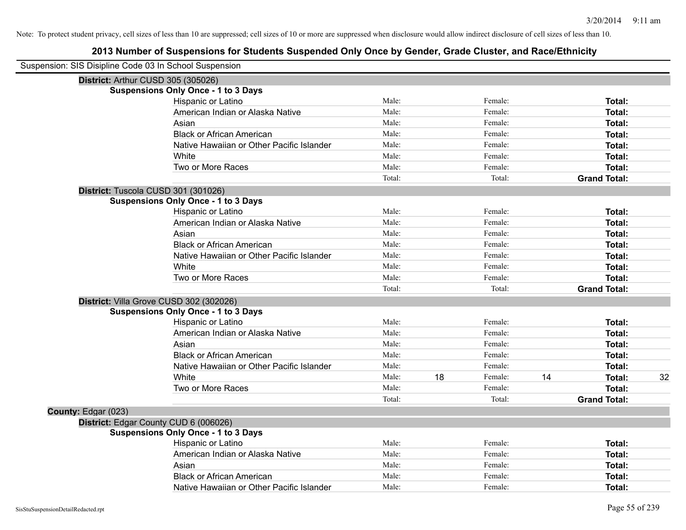| Suspension: SIS Disipline Code 03 In School Suspension |                                            |        |    |         |    |                     |    |
|--------------------------------------------------------|--------------------------------------------|--------|----|---------|----|---------------------|----|
|                                                        | District: Arthur CUSD 305 (305026)         |        |    |         |    |                     |    |
|                                                        | <b>Suspensions Only Once - 1 to 3 Days</b> |        |    |         |    |                     |    |
|                                                        | Hispanic or Latino                         | Male:  |    | Female: |    | Total:              |    |
|                                                        | American Indian or Alaska Native           | Male:  |    | Female: |    | Total:              |    |
|                                                        | Asian                                      | Male:  |    | Female: |    | Total:              |    |
|                                                        | <b>Black or African American</b>           | Male:  |    | Female: |    | Total:              |    |
|                                                        | Native Hawaiian or Other Pacific Islander  | Male:  |    | Female: |    | Total:              |    |
|                                                        | White                                      | Male:  |    | Female: |    | Total:              |    |
|                                                        | Two or More Races                          | Male:  |    | Female: |    | Total:              |    |
|                                                        |                                            | Total: |    | Total:  |    | <b>Grand Total:</b> |    |
|                                                        | District: Tuscola CUSD 301 (301026)        |        |    |         |    |                     |    |
|                                                        | <b>Suspensions Only Once - 1 to 3 Days</b> |        |    |         |    |                     |    |
|                                                        | Hispanic or Latino                         | Male:  |    | Female: |    | Total:              |    |
|                                                        | American Indian or Alaska Native           | Male:  |    | Female: |    | Total:              |    |
|                                                        | Asian                                      | Male:  |    | Female: |    | Total:              |    |
|                                                        | <b>Black or African American</b>           | Male:  |    | Female: |    | Total:              |    |
|                                                        | Native Hawaiian or Other Pacific Islander  | Male:  |    | Female: |    | Total:              |    |
|                                                        | White                                      | Male:  |    | Female: |    | Total:              |    |
|                                                        | Two or More Races                          | Male:  |    | Female: |    | Total:              |    |
|                                                        |                                            | Total: |    | Total:  |    | <b>Grand Total:</b> |    |
|                                                        | District: Villa Grove CUSD 302 (302026)    |        |    |         |    |                     |    |
|                                                        | <b>Suspensions Only Once - 1 to 3 Days</b> |        |    |         |    |                     |    |
|                                                        | Hispanic or Latino                         | Male:  |    | Female: |    | Total:              |    |
|                                                        | American Indian or Alaska Native           | Male:  |    | Female: |    | Total:              |    |
|                                                        | Asian                                      | Male:  |    | Female: |    | Total:              |    |
|                                                        | <b>Black or African American</b>           | Male:  |    | Female: |    | Total:              |    |
|                                                        | Native Hawaiian or Other Pacific Islander  | Male:  |    | Female: |    | Total:              |    |
|                                                        | White                                      | Male:  | 18 | Female: | 14 | Total:              | 32 |
|                                                        | Two or More Races                          | Male:  |    | Female: |    | Total:              |    |
|                                                        |                                            | Total: |    | Total:  |    | <b>Grand Total:</b> |    |
| County: Edgar (023)                                    |                                            |        |    |         |    |                     |    |
|                                                        | District: Edgar County CUD 6 (006026)      |        |    |         |    |                     |    |
|                                                        | <b>Suspensions Only Once - 1 to 3 Days</b> |        |    |         |    |                     |    |
|                                                        | Hispanic or Latino                         | Male:  |    | Female: |    | Total:              |    |
|                                                        | American Indian or Alaska Native           | Male:  |    | Female: |    | Total:              |    |
|                                                        | Asian                                      | Male:  |    | Female: |    | Total:              |    |
|                                                        | <b>Black or African American</b>           | Male:  |    | Female: |    | <b>Total:</b>       |    |
|                                                        | Native Hawaiian or Other Pacific Islander  | Male:  |    | Female: |    | Total:              |    |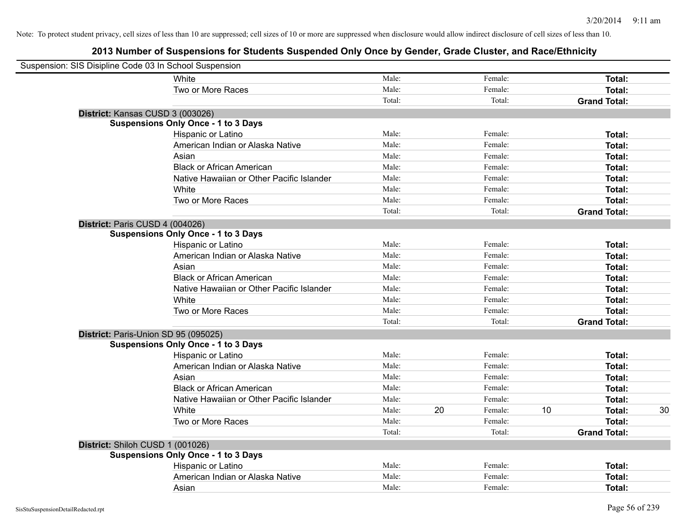| Suspension: SIS Disipline Code 03 In School Suspension |                                            |        |    |         |    |                     |    |
|--------------------------------------------------------|--------------------------------------------|--------|----|---------|----|---------------------|----|
|                                                        | White                                      | Male:  |    | Female: |    | Total:              |    |
|                                                        | Two or More Races                          | Male:  |    | Female: |    | Total:              |    |
|                                                        |                                            | Total: |    | Total:  |    | <b>Grand Total:</b> |    |
| District: Kansas CUSD 3 (003026)                       |                                            |        |    |         |    |                     |    |
|                                                        | <b>Suspensions Only Once - 1 to 3 Days</b> |        |    |         |    |                     |    |
|                                                        | Hispanic or Latino                         | Male:  |    | Female: |    | Total:              |    |
|                                                        | American Indian or Alaska Native           | Male:  |    | Female: |    | Total:              |    |
|                                                        | Asian                                      | Male:  |    | Female: |    | Total:              |    |
|                                                        | <b>Black or African American</b>           | Male:  |    | Female: |    | Total:              |    |
|                                                        | Native Hawaiian or Other Pacific Islander  | Male:  |    | Female: |    | Total:              |    |
|                                                        | White                                      | Male:  |    | Female: |    | Total:              |    |
|                                                        | Two or More Races                          | Male:  |    | Female: |    | Total:              |    |
|                                                        |                                            | Total: |    | Total:  |    | <b>Grand Total:</b> |    |
| District: Paris CUSD 4 (004026)                        |                                            |        |    |         |    |                     |    |
|                                                        | <b>Suspensions Only Once - 1 to 3 Days</b> |        |    |         |    |                     |    |
|                                                        | Hispanic or Latino                         | Male:  |    | Female: |    | Total:              |    |
|                                                        | American Indian or Alaska Native           | Male:  |    | Female: |    | Total:              |    |
|                                                        | Asian                                      | Male:  |    | Female: |    | Total:              |    |
|                                                        | <b>Black or African American</b>           | Male:  |    | Female: |    | Total:              |    |
|                                                        | Native Hawaiian or Other Pacific Islander  | Male:  |    | Female: |    | Total:              |    |
|                                                        | White                                      | Male:  |    | Female: |    | Total:              |    |
|                                                        | Two or More Races                          | Male:  |    | Female: |    | Total:              |    |
|                                                        |                                            | Total: |    | Total:  |    | <b>Grand Total:</b> |    |
| District: Paris-Union SD 95 (095025)                   |                                            |        |    |         |    |                     |    |
|                                                        | <b>Suspensions Only Once - 1 to 3 Days</b> |        |    |         |    |                     |    |
|                                                        | Hispanic or Latino                         | Male:  |    | Female: |    | Total:              |    |
|                                                        | American Indian or Alaska Native           | Male:  |    | Female: |    | Total:              |    |
|                                                        | Asian                                      | Male:  |    | Female: |    | Total:              |    |
|                                                        | <b>Black or African American</b>           | Male:  |    | Female: |    | Total:              |    |
|                                                        | Native Hawaiian or Other Pacific Islander  | Male:  |    | Female: |    | Total:              |    |
|                                                        | White                                      | Male:  | 20 | Female: | 10 | Total:              | 30 |
|                                                        | Two or More Races                          | Male:  |    | Female: |    | Total:              |    |
|                                                        |                                            | Total: |    | Total:  |    | <b>Grand Total:</b> |    |
| District: Shiloh CUSD 1 (001026)                       |                                            |        |    |         |    |                     |    |
|                                                        | <b>Suspensions Only Once - 1 to 3 Days</b> |        |    |         |    |                     |    |
|                                                        | Hispanic or Latino                         | Male:  |    | Female: |    | Total:              |    |
|                                                        | American Indian or Alaska Native           | Male:  |    | Female: |    | Total:              |    |
|                                                        | Asian                                      | Male:  |    | Female: |    | Total:              |    |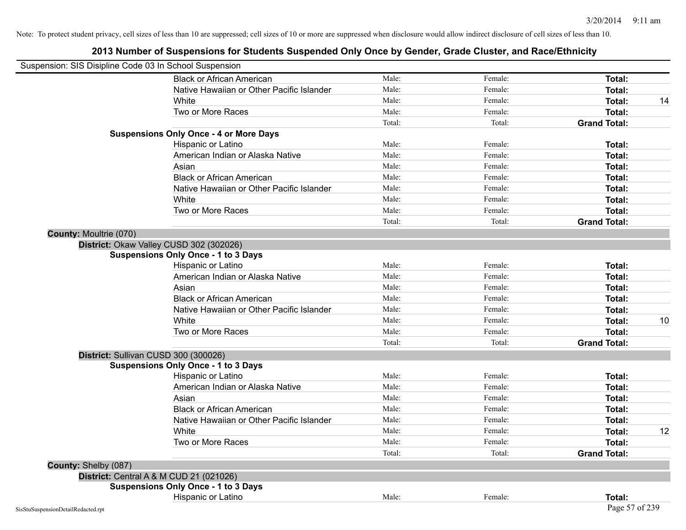| Suspension: SIS Disipline Code 03 In School Suspension |                                               |        |         |                     |    |
|--------------------------------------------------------|-----------------------------------------------|--------|---------|---------------------|----|
|                                                        | <b>Black or African American</b>              | Male:  | Female: | <b>Total:</b>       |    |
|                                                        | Native Hawaiian or Other Pacific Islander     | Male:  | Female: | Total:              |    |
|                                                        | White                                         | Male:  | Female: | Total:              | 14 |
|                                                        | Two or More Races                             | Male:  | Female: | <b>Total:</b>       |    |
|                                                        |                                               | Total: | Total:  | <b>Grand Total:</b> |    |
|                                                        | <b>Suspensions Only Once - 4 or More Days</b> |        |         |                     |    |
|                                                        | Hispanic or Latino                            | Male:  | Female: | Total:              |    |
|                                                        | American Indian or Alaska Native              | Male:  | Female: | <b>Total:</b>       |    |
|                                                        | Asian                                         | Male:  | Female: | Total:              |    |
|                                                        | <b>Black or African American</b>              | Male:  | Female: | Total:              |    |
|                                                        | Native Hawaiian or Other Pacific Islander     | Male:  | Female: | <b>Total:</b>       |    |
|                                                        | White                                         | Male:  | Female: | <b>Total:</b>       |    |
|                                                        | Two or More Races                             | Male:  | Female: | <b>Total:</b>       |    |
|                                                        |                                               | Total: | Total:  | <b>Grand Total:</b> |    |
| County: Moultrie (070)                                 |                                               |        |         |                     |    |
|                                                        | District: Okaw Valley CUSD 302 (302026)       |        |         |                     |    |
|                                                        | <b>Suspensions Only Once - 1 to 3 Days</b>    |        |         |                     |    |
|                                                        | Hispanic or Latino                            | Male:  | Female: | Total:              |    |
|                                                        | American Indian or Alaska Native              | Male:  | Female: | <b>Total:</b>       |    |
|                                                        | Asian                                         | Male:  | Female: | Total:              |    |
|                                                        | <b>Black or African American</b>              | Male:  | Female: | Total:              |    |
|                                                        | Native Hawaiian or Other Pacific Islander     | Male:  | Female: | Total:              |    |
|                                                        | White                                         | Male:  | Female: | Total:              | 10 |
|                                                        | Two or More Races                             | Male:  | Female: | <b>Total:</b>       |    |
|                                                        |                                               | Total: | Total:  | <b>Grand Total:</b> |    |
|                                                        | District: Sullivan CUSD 300 (300026)          |        |         |                     |    |
|                                                        | <b>Suspensions Only Once - 1 to 3 Days</b>    |        |         |                     |    |
|                                                        | Hispanic or Latino                            | Male:  | Female: | Total:              |    |
|                                                        | American Indian or Alaska Native              | Male:  | Female: | Total:              |    |
|                                                        | Asian                                         | Male:  | Female: | Total:              |    |
|                                                        | <b>Black or African American</b>              | Male:  | Female: | Total:              |    |
|                                                        | Native Hawaiian or Other Pacific Islander     | Male:  | Female: | <b>Total:</b>       |    |
|                                                        | White                                         | Male:  | Female: | <b>Total:</b>       | 12 |
|                                                        | Two or More Races                             | Male:  | Female: | Total:              |    |
|                                                        |                                               | Total: | Total:  | <b>Grand Total:</b> |    |
| County: Shelby (087)                                   |                                               |        |         |                     |    |
|                                                        | District: Central A & M CUD 21 (021026)       |        |         |                     |    |
|                                                        | <b>Suspensions Only Once - 1 to 3 Days</b>    |        |         |                     |    |
|                                                        | Hispanic or Latino                            | Male:  | Female: | Total:              |    |
| SisStuSuspensionDetailRedacted.rpt                     |                                               |        |         | Page 57 of 239      |    |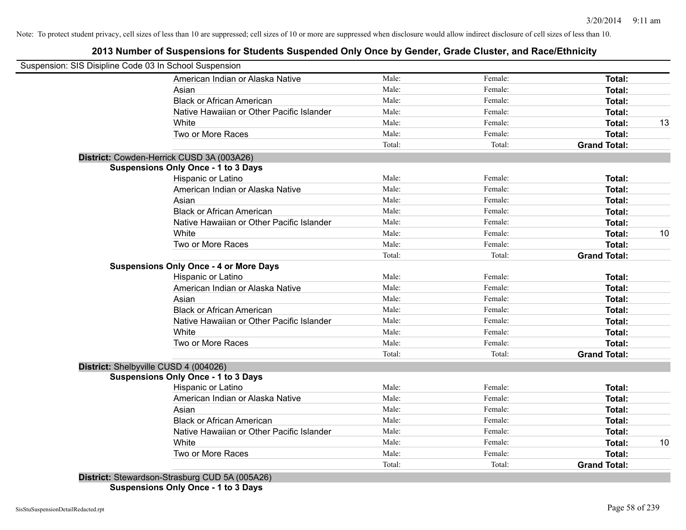# **2013 Number of Suspensions for Students Suspended Only Once by Gender, Grade Cluster, and Race/Ethnicity**

| Suspension: SIS Disipline Code 03 In School Suspension |        |         |                     |    |
|--------------------------------------------------------|--------|---------|---------------------|----|
| American Indian or Alaska Native                       | Male:  | Female: | <b>Total:</b>       |    |
| Asian                                                  | Male:  | Female: | Total:              |    |
| <b>Black or African American</b>                       | Male:  | Female: | <b>Total:</b>       |    |
| Native Hawaiian or Other Pacific Islander              | Male:  | Female: | <b>Total:</b>       |    |
| White                                                  | Male:  | Female: | <b>Total:</b>       | 13 |
| Two or More Races                                      | Male:  | Female: | <b>Total:</b>       |    |
|                                                        | Total: | Total:  | <b>Grand Total:</b> |    |
| District: Cowden-Herrick CUSD 3A (003A26)              |        |         |                     |    |
| <b>Suspensions Only Once - 1 to 3 Days</b>             |        |         |                     |    |
| Hispanic or Latino                                     | Male:  | Female: | <b>Total:</b>       |    |
| American Indian or Alaska Native                       | Male:  | Female: | <b>Total:</b>       |    |
| Asian                                                  | Male:  | Female: | <b>Total:</b>       |    |
| <b>Black or African American</b>                       | Male:  | Female: | <b>Total:</b>       |    |
| Native Hawaiian or Other Pacific Islander              | Male:  | Female: | <b>Total:</b>       |    |
| White                                                  | Male:  | Female: | <b>Total:</b>       | 10 |
| Two or More Races                                      | Male:  | Female: | <b>Total:</b>       |    |
|                                                        | Total: | Total:  | <b>Grand Total:</b> |    |
| <b>Suspensions Only Once - 4 or More Days</b>          |        |         |                     |    |
| Hispanic or Latino                                     | Male:  | Female: | Total:              |    |
| American Indian or Alaska Native                       | Male:  | Female: | <b>Total:</b>       |    |
| Asian                                                  | Male:  | Female: | Total:              |    |
| <b>Black or African American</b>                       | Male:  | Female: | Total:              |    |
| Native Hawaiian or Other Pacific Islander              | Male:  | Female: | Total:              |    |
| White                                                  | Male:  | Female: | Total:              |    |
| Two or More Races                                      | Male:  | Female: | Total:              |    |
|                                                        | Total: | Total:  | <b>Grand Total:</b> |    |
| District: Shelbyville CUSD 4 (004026)                  |        |         |                     |    |
| <b>Suspensions Only Once - 1 to 3 Days</b>             |        |         |                     |    |
| <b>Hispanic or Latino</b>                              | Male:  | Female: | <b>Total:</b>       |    |
| American Indian or Alaska Native                       | Male:  | Female: | <b>Total:</b>       |    |
| Asian                                                  | Male:  | Female: | Total:              |    |
| <b>Black or African American</b>                       | Male:  | Female: | Total:              |    |
| Native Hawaiian or Other Pacific Islander              | Male:  | Female: | <b>Total:</b>       |    |
| White                                                  | Male:  | Female: | Total:              | 10 |
| Two or More Races                                      | Male:  | Female: | <b>Total:</b>       |    |
|                                                        | Total: | Total:  | <b>Grand Total:</b> |    |
| District: Stewardson-Strasburg CUD 5A (005A26)         |        |         |                     |    |

**Suspensions Only Once - 1 to 3 Days**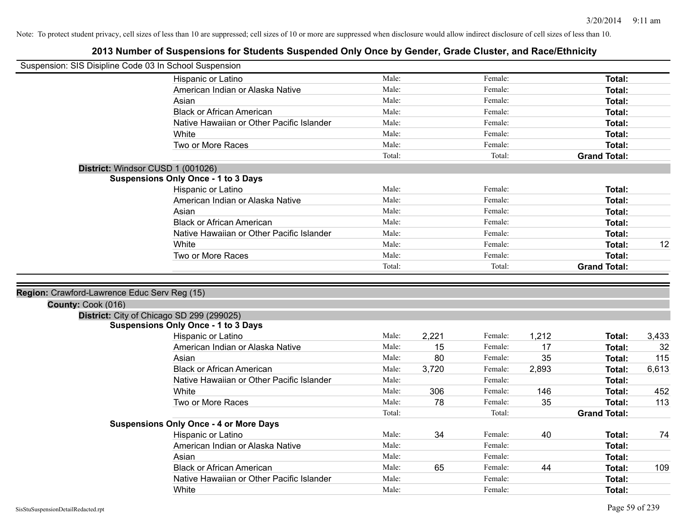| Suspension: SIS Disipline Code 03 In School Suspension |                                                    |                |       |                    |       |                     |       |
|--------------------------------------------------------|----------------------------------------------------|----------------|-------|--------------------|-------|---------------------|-------|
|                                                        | Hispanic or Latino                                 | Male:          |       | Female:            |       | Total:              |       |
|                                                        | American Indian or Alaska Native                   | Male:          |       | Female:            |       | Total:              |       |
|                                                        | Asian                                              | Male:          |       | Female:            |       | Total:              |       |
|                                                        | <b>Black or African American</b>                   | Male:          |       | Female:            |       | Total:              |       |
|                                                        | Native Hawaiian or Other Pacific Islander          | Male:          |       | Female:            |       | Total:              |       |
|                                                        | White                                              | Male:          |       | Female:            |       | Total:              |       |
|                                                        | Two or More Races                                  | Male:          |       | Female:            |       | Total:              |       |
|                                                        |                                                    | Total:         |       | Total:             |       | <b>Grand Total:</b> |       |
|                                                        | District: Windsor CUSD 1 (001026)                  |                |       |                    |       |                     |       |
|                                                        | <b>Suspensions Only Once - 1 to 3 Days</b>         |                |       |                    |       |                     |       |
|                                                        | Hispanic or Latino                                 | Male:          |       | Female:            |       | Total:              |       |
|                                                        | American Indian or Alaska Native                   | Male:          |       | Female:            |       | Total:              |       |
|                                                        | Asian                                              | Male:          |       | Female:            |       | Total:              |       |
|                                                        | <b>Black or African American</b>                   | Male:          |       | Female:            |       | Total:              |       |
|                                                        | Native Hawaiian or Other Pacific Islander          | Male:          |       | Female:            |       | Total:              |       |
|                                                        | White                                              | Male:          |       | Female:            |       | Total:              | 12    |
|                                                        | Two or More Races                                  | Male:          |       | Female:            |       | Total:              |       |
|                                                        |                                                    | Total:         |       | Total:             |       | <b>Grand Total:</b> |       |
| Region: Crawford-Lawrence Educ Serv Reg (15)           |                                                    |                |       |                    |       |                     |       |
| County: Cook (016)                                     |                                                    |                |       |                    |       |                     |       |
|                                                        | District: City of Chicago SD 299 (299025)          |                |       |                    |       |                     |       |
|                                                        | <b>Suspensions Only Once - 1 to 3 Days</b>         |                |       |                    |       |                     |       |
|                                                        | Hispanic or Latino                                 | Male:          | 2,221 | Female:            | 1,212 | Total:              | 3,433 |
|                                                        | American Indian or Alaska Native                   | Male:          | 15    | Female:            | 17    | Total:              | 32    |
|                                                        | Asian                                              | Male:          | 80    | Female:            | 35    | Total:              | 115   |
|                                                        | <b>Black or African American</b>                   | Male:          | 3,720 | Female:            | 2,893 | Total:              | 6,613 |
|                                                        | Native Hawaiian or Other Pacific Islander          | Male:          |       | Female:            |       | Total:              |       |
|                                                        | White                                              | Male:          | 306   | Female:            | 146   | Total:              | 452   |
|                                                        | Two or More Races                                  | Male:          | 78    | Female:            | 35    | Total:              | 113   |
|                                                        |                                                    | Total:         |       | Total:             |       | <b>Grand Total:</b> |       |
|                                                        | <b>Suspensions Only Once - 4 or More Days</b>      |                |       |                    |       |                     |       |
|                                                        | Hispanic or Latino                                 | Male:          | 34    | Female:            | 40    | Total:              | 74    |
|                                                        |                                                    | Male:          |       | Female:            |       | Total:              |       |
|                                                        | American Indian or Alaska Native                   |                |       |                    |       |                     |       |
|                                                        | Asian                                              | Male:          |       | Female:            |       | Total:              |       |
|                                                        | <b>Black or African American</b>                   | Male:          | 65    | Female:            | 44    | Total:              | 109   |
|                                                        | Native Hawaiian or Other Pacific Islander<br>White | Male:<br>Male: |       | Female:<br>Female: |       | Total:<br>Total:    |       |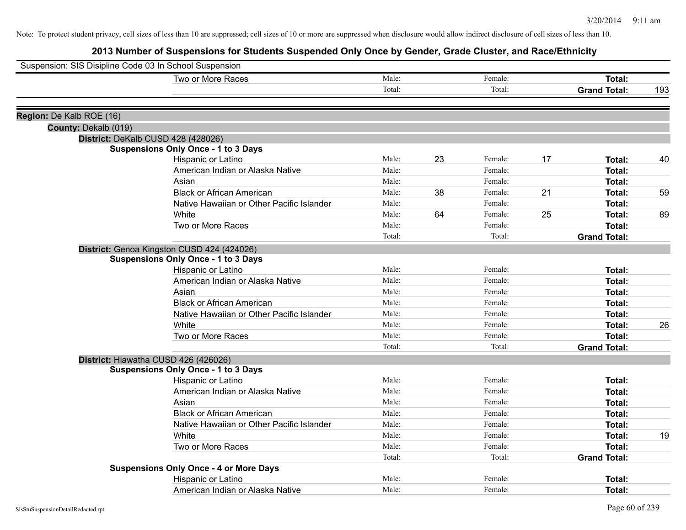| Suspension: SIS Disipline Code 03 In School Suspension |                                               |        |    |         |    |                     |     |
|--------------------------------------------------------|-----------------------------------------------|--------|----|---------|----|---------------------|-----|
|                                                        | Two or More Races                             | Male:  |    | Female: |    | Total:              |     |
|                                                        |                                               | Total: |    | Total:  |    | <b>Grand Total:</b> | 193 |
| Region: De Kalb ROE (16)                               |                                               |        |    |         |    |                     |     |
| County: Dekalb (019)                                   |                                               |        |    |         |    |                     |     |
|                                                        | District: DeKalb CUSD 428 (428026)            |        |    |         |    |                     |     |
|                                                        | <b>Suspensions Only Once - 1 to 3 Days</b>    |        |    |         |    |                     |     |
|                                                        | Hispanic or Latino                            | Male:  | 23 | Female: | 17 | Total:              | 40  |
|                                                        | American Indian or Alaska Native              | Male:  |    | Female: |    | Total:              |     |
|                                                        | Asian                                         | Male:  |    | Female: |    | Total:              |     |
|                                                        | <b>Black or African American</b>              | Male:  | 38 | Female: | 21 | Total:              | 59  |
|                                                        | Native Hawaiian or Other Pacific Islander     | Male:  |    | Female: |    | Total:              |     |
|                                                        | White                                         | Male:  | 64 | Female: | 25 | Total:              | 89  |
|                                                        | Two or More Races                             | Male:  |    | Female: |    | Total:              |     |
|                                                        |                                               | Total: |    | Total:  |    | <b>Grand Total:</b> |     |
|                                                        | District: Genoa Kingston CUSD 424 (424026)    |        |    |         |    |                     |     |
|                                                        | <b>Suspensions Only Once - 1 to 3 Days</b>    |        |    |         |    |                     |     |
|                                                        | Hispanic or Latino                            | Male:  |    | Female: |    | Total:              |     |
|                                                        | American Indian or Alaska Native              | Male:  |    | Female: |    | Total:              |     |
|                                                        | Asian                                         | Male:  |    | Female: |    | Total:              |     |
|                                                        | <b>Black or African American</b>              | Male:  |    | Female: |    | Total:              |     |
|                                                        | Native Hawaiian or Other Pacific Islander     | Male:  |    | Female: |    | Total:              |     |
|                                                        | White                                         | Male:  |    | Female: |    | Total:              | 26  |
|                                                        | Two or More Races                             | Male:  |    | Female: |    | Total:              |     |
|                                                        |                                               | Total: |    | Total:  |    | <b>Grand Total:</b> |     |
|                                                        | District: Hiawatha CUSD 426 (426026)          |        |    |         |    |                     |     |
|                                                        | <b>Suspensions Only Once - 1 to 3 Days</b>    |        |    |         |    |                     |     |
|                                                        | Hispanic or Latino                            | Male:  |    | Female: |    | Total:              |     |
|                                                        | American Indian or Alaska Native              | Male:  |    | Female: |    | Total:              |     |
|                                                        | Asian                                         | Male:  |    | Female: |    | Total:              |     |
|                                                        | <b>Black or African American</b>              | Male:  |    | Female: |    | Total:              |     |
|                                                        | Native Hawaiian or Other Pacific Islander     | Male:  |    | Female: |    | Total:              |     |
|                                                        | White                                         | Male:  |    | Female: |    | Total:              | 19  |
|                                                        | Two or More Races                             | Male:  |    | Female: |    | Total:              |     |
|                                                        |                                               | Total: |    | Total:  |    | <b>Grand Total:</b> |     |
|                                                        | <b>Suspensions Only Once - 4 or More Days</b> |        |    |         |    |                     |     |
|                                                        | Hispanic or Latino                            | Male:  |    | Female: |    | Total:              |     |
|                                                        | American Indian or Alaska Native              | Male:  |    | Female: |    | Total:              |     |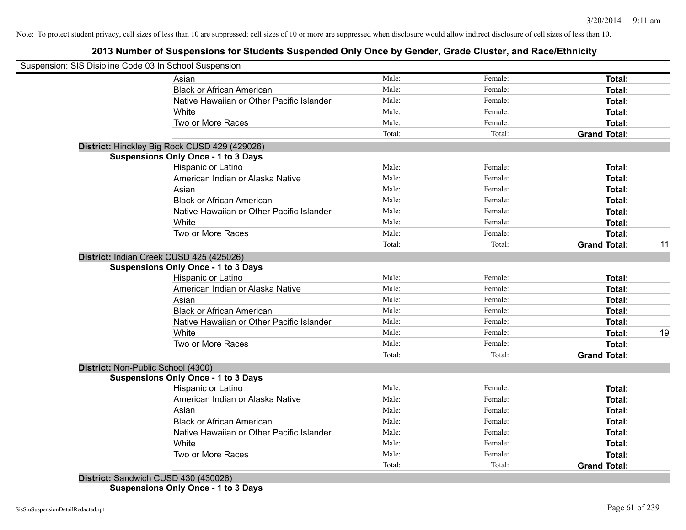# **2013 Number of Suspensions for Students Suspended Only Once by Gender, Grade Cluster, and Race/Ethnicity**

|                                    | Suspension: SIS Disipline Code 03 In School Suspension |        |         |                     |    |
|------------------------------------|--------------------------------------------------------|--------|---------|---------------------|----|
|                                    | Asian                                                  | Male:  | Female: | Total:              |    |
|                                    | <b>Black or African American</b>                       | Male:  | Female: | Total:              |    |
|                                    | Native Hawaiian or Other Pacific Islander              | Male:  | Female: | Total:              |    |
|                                    | White                                                  | Male:  | Female: | Total:              |    |
|                                    | Two or More Races                                      | Male:  | Female: | Total:              |    |
|                                    |                                                        | Total: | Total:  | <b>Grand Total:</b> |    |
|                                    | District: Hinckley Big Rock CUSD 429 (429026)          |        |         |                     |    |
|                                    | <b>Suspensions Only Once - 1 to 3 Days</b>             |        |         |                     |    |
|                                    | Hispanic or Latino                                     | Male:  | Female: | <b>Total:</b>       |    |
|                                    | American Indian or Alaska Native                       | Male:  | Female: | Total:              |    |
|                                    | Asian                                                  | Male:  | Female: | Total:              |    |
|                                    | <b>Black or African American</b>                       | Male:  | Female: | Total:              |    |
|                                    | Native Hawaiian or Other Pacific Islander              | Male:  | Female: | Total:              |    |
|                                    | White                                                  | Male:  | Female: | Total:              |    |
|                                    | Two or More Races                                      | Male:  | Female: | Total:              |    |
|                                    |                                                        | Total: | Total:  | <b>Grand Total:</b> | 11 |
|                                    | District: Indian Creek CUSD 425 (425026)               |        |         |                     |    |
|                                    | <b>Suspensions Only Once - 1 to 3 Days</b>             |        |         |                     |    |
|                                    | Hispanic or Latino                                     | Male:  | Female: | Total:              |    |
|                                    | American Indian or Alaska Native                       | Male:  | Female: | Total:              |    |
|                                    | Asian                                                  | Male:  | Female: | Total:              |    |
|                                    | <b>Black or African American</b>                       | Male:  | Female: | Total:              |    |
|                                    | Native Hawaiian or Other Pacific Islander              | Male:  | Female: | Total:              |    |
|                                    | White                                                  | Male:  | Female: | Total:              | 19 |
|                                    | Two or More Races                                      | Male:  | Female: | Total:              |    |
|                                    |                                                        | Total: | Total:  | <b>Grand Total:</b> |    |
| District: Non-Public School (4300) |                                                        |        |         |                     |    |
|                                    | <b>Suspensions Only Once - 1 to 3 Days</b>             |        |         |                     |    |
|                                    | Hispanic or Latino                                     | Male:  | Female: | Total:              |    |
|                                    | American Indian or Alaska Native                       | Male:  | Female: | Total:              |    |
|                                    | Asian                                                  | Male:  | Female: | Total:              |    |
|                                    | <b>Black or African American</b>                       | Male:  | Female: | Total:              |    |
|                                    | Native Hawaiian or Other Pacific Islander              | Male:  | Female: | Total:              |    |
|                                    | White                                                  | Male:  | Female: | Total:              |    |
|                                    | Two or More Races                                      | Male:  | Female: | Total:              |    |
|                                    |                                                        | Total: | Total:  | <b>Grand Total:</b> |    |
|                                    | District: Sandwich CUSD 430 (430026)                   |        |         |                     |    |

**Suspensions Only Once - 1 to 3 Days**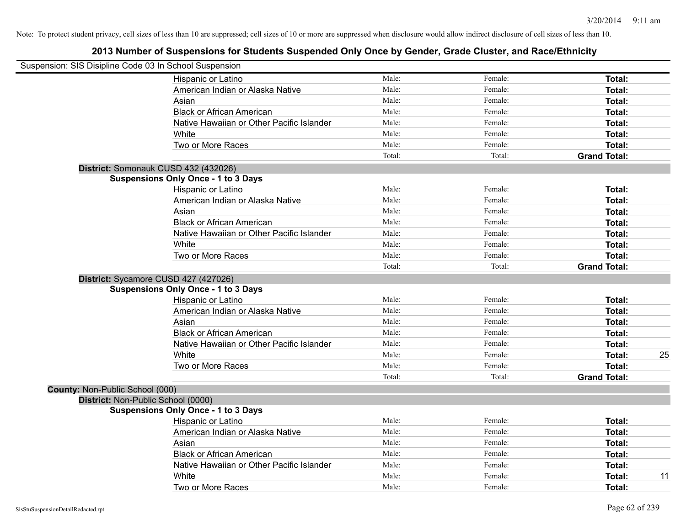|                                 | Suspension: SIS Disipline Code 03 In School Suspension |        |         |                     |    |
|---------------------------------|--------------------------------------------------------|--------|---------|---------------------|----|
|                                 | Hispanic or Latino                                     | Male:  | Female: | Total:              |    |
|                                 | American Indian or Alaska Native                       | Male:  | Female: | Total:              |    |
|                                 | Asian                                                  | Male:  | Female: | Total:              |    |
|                                 | <b>Black or African American</b>                       | Male:  | Female: | Total:              |    |
|                                 | Native Hawaiian or Other Pacific Islander              | Male:  | Female: | Total:              |    |
|                                 | White                                                  | Male:  | Female: | Total:              |    |
|                                 | Two or More Races                                      | Male:  | Female: | Total:              |    |
|                                 |                                                        | Total: | Total:  | <b>Grand Total:</b> |    |
|                                 | District: Somonauk CUSD 432 (432026)                   |        |         |                     |    |
|                                 | <b>Suspensions Only Once - 1 to 3 Days</b>             |        |         |                     |    |
|                                 | Hispanic or Latino                                     | Male:  | Female: | Total:              |    |
|                                 | American Indian or Alaska Native                       | Male:  | Female: | Total:              |    |
|                                 | Asian                                                  | Male:  | Female: | Total:              |    |
|                                 | <b>Black or African American</b>                       | Male:  | Female: | Total:              |    |
|                                 | Native Hawaiian or Other Pacific Islander              | Male:  | Female: | Total:              |    |
|                                 | White                                                  | Male:  | Female: | Total:              |    |
|                                 | Two or More Races                                      | Male:  | Female: | Total:              |    |
|                                 |                                                        | Total: | Total:  | <b>Grand Total:</b> |    |
|                                 | District: Sycamore CUSD 427 (427026)                   |        |         |                     |    |
|                                 | <b>Suspensions Only Once - 1 to 3 Days</b>             |        |         |                     |    |
|                                 | Hispanic or Latino                                     | Male:  | Female: | Total:              |    |
|                                 | American Indian or Alaska Native                       | Male:  | Female: | Total:              |    |
|                                 | Asian                                                  | Male:  | Female: | Total:              |    |
|                                 | <b>Black or African American</b>                       | Male:  | Female: | Total:              |    |
|                                 | Native Hawaiian or Other Pacific Islander              | Male:  | Female: | Total:              |    |
|                                 | White                                                  | Male:  | Female: | Total:              | 25 |
|                                 | Two or More Races                                      | Male:  | Female: | Total:              |    |
|                                 |                                                        | Total: | Total:  | <b>Grand Total:</b> |    |
| County: Non-Public School (000) |                                                        |        |         |                     |    |
|                                 | District: Non-Public School (0000)                     |        |         |                     |    |
|                                 | <b>Suspensions Only Once - 1 to 3 Days</b>             |        |         |                     |    |
|                                 | Hispanic or Latino                                     | Male:  | Female: | Total:              |    |
|                                 | American Indian or Alaska Native                       | Male:  | Female: | Total:              |    |
|                                 | Asian                                                  | Male:  | Female: | Total:              |    |
|                                 | <b>Black or African American</b>                       | Male:  | Female: | Total:              |    |
|                                 | Native Hawaiian or Other Pacific Islander              | Male:  | Female: | Total:              |    |
|                                 | White                                                  | Male:  | Female: | Total:              | 11 |
|                                 | Two or More Races                                      | Male:  | Female: | Total:              |    |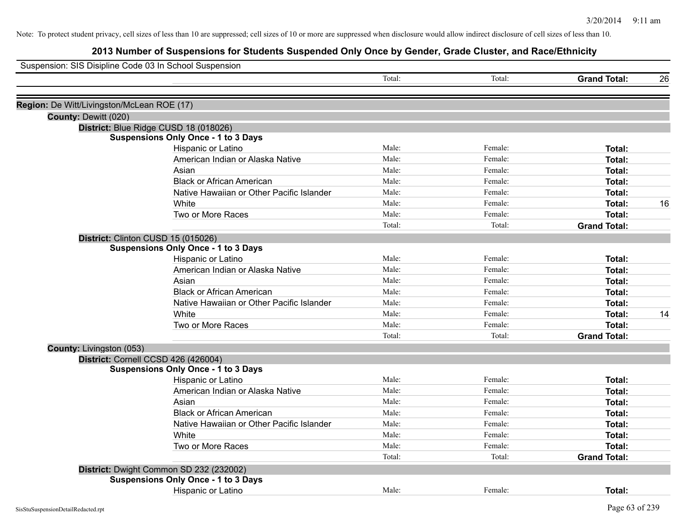| Suspension: SIS Disipline Code 03 In School Suspension |                                            |        |         |                     |    |
|--------------------------------------------------------|--------------------------------------------|--------|---------|---------------------|----|
|                                                        |                                            | Total: | Total:  | <b>Grand Total:</b> | 26 |
| Region: De Witt/Livingston/McLean ROE (17)             |                                            |        |         |                     |    |
| County: Dewitt (020)                                   |                                            |        |         |                     |    |
|                                                        | District: Blue Ridge CUSD 18 (018026)      |        |         |                     |    |
|                                                        | <b>Suspensions Only Once - 1 to 3 Days</b> |        |         |                     |    |
|                                                        | Hispanic or Latino                         | Male:  | Female: | Total:              |    |
|                                                        | American Indian or Alaska Native           | Male:  | Female: | <b>Total:</b>       |    |
|                                                        | Asian                                      | Male:  | Female: | <b>Total:</b>       |    |
|                                                        | <b>Black or African American</b>           | Male:  | Female: | <b>Total:</b>       |    |
|                                                        | Native Hawaiian or Other Pacific Islander  | Male:  | Female: | <b>Total:</b>       |    |
|                                                        | White                                      | Male:  | Female: | <b>Total:</b>       | 16 |
|                                                        | Two or More Races                          | Male:  | Female: | <b>Total:</b>       |    |
|                                                        |                                            | Total: | Total:  | <b>Grand Total:</b> |    |
| District: Clinton CUSD 15 (015026)                     |                                            |        |         |                     |    |
|                                                        | <b>Suspensions Only Once - 1 to 3 Days</b> |        |         |                     |    |
|                                                        | Hispanic or Latino                         | Male:  | Female: | <b>Total:</b>       |    |
|                                                        | American Indian or Alaska Native           | Male:  | Female: | Total:              |    |
|                                                        | Asian                                      | Male:  | Female: | Total:              |    |
|                                                        | <b>Black or African American</b>           | Male:  | Female: | <b>Total:</b>       |    |
|                                                        | Native Hawaiian or Other Pacific Islander  | Male:  | Female: | <b>Total:</b>       |    |
|                                                        | White                                      | Male:  | Female: | <b>Total:</b>       | 14 |
|                                                        | Two or More Races                          | Male:  | Female: | <b>Total:</b>       |    |
|                                                        |                                            | Total: | Total:  | <b>Grand Total:</b> |    |
| County: Livingston (053)                               |                                            |        |         |                     |    |
|                                                        | District: Cornell CCSD 426 (426004)        |        |         |                     |    |
|                                                        | <b>Suspensions Only Once - 1 to 3 Days</b> |        |         |                     |    |
|                                                        | Hispanic or Latino                         | Male:  | Female: | Total:              |    |
|                                                        | American Indian or Alaska Native           | Male:  | Female: | Total:              |    |
|                                                        | Asian                                      | Male:  | Female: | Total:              |    |
|                                                        | <b>Black or African American</b>           | Male:  | Female: | <b>Total:</b>       |    |
|                                                        | Native Hawaiian or Other Pacific Islander  | Male:  | Female: | Total:              |    |
|                                                        | White                                      | Male:  | Female: | Total:              |    |
|                                                        | Two or More Races                          | Male:  | Female: | Total:              |    |
|                                                        |                                            | Total: | Total:  | <b>Grand Total:</b> |    |
|                                                        | District: Dwight Common SD 232 (232002)    |        |         |                     |    |
|                                                        | <b>Suspensions Only Once - 1 to 3 Days</b> |        |         |                     |    |
|                                                        | Hispanic or Latino                         | Male:  | Female: | Total:              |    |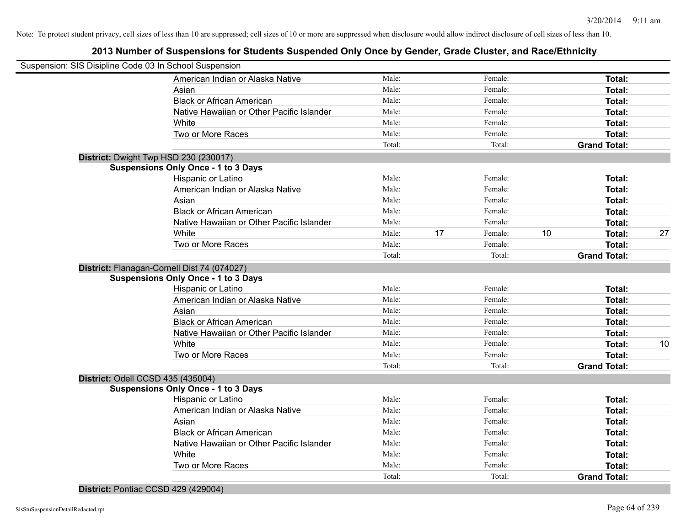|                                   | Suspension: SIS Disipline Code 03 In School Suspension |        |    |         |    |                     |    |
|-----------------------------------|--------------------------------------------------------|--------|----|---------|----|---------------------|----|
|                                   | American Indian or Alaska Native                       | Male:  |    | Female: |    | Total:              |    |
|                                   | Asian                                                  | Male:  |    | Female: |    | Total:              |    |
|                                   | <b>Black or African American</b>                       | Male:  |    | Female: |    | Total:              |    |
|                                   | Native Hawaiian or Other Pacific Islander              | Male:  |    | Female: |    | Total:              |    |
|                                   | White                                                  | Male:  |    | Female: |    | Total:              |    |
|                                   | Two or More Races                                      | Male:  |    | Female: |    | Total:              |    |
|                                   |                                                        | Total: |    | Total:  |    | <b>Grand Total:</b> |    |
|                                   | District: Dwight Twp HSD 230 (230017)                  |        |    |         |    |                     |    |
|                                   | <b>Suspensions Only Once - 1 to 3 Days</b>             |        |    |         |    |                     |    |
|                                   | Hispanic or Latino                                     | Male:  |    | Female: |    | Total:              |    |
|                                   | American Indian or Alaska Native                       | Male:  |    | Female: |    | Total:              |    |
|                                   | Asian                                                  | Male:  |    | Female: |    | Total:              |    |
|                                   | <b>Black or African American</b>                       | Male:  |    | Female: |    | Total:              |    |
|                                   | Native Hawaiian or Other Pacific Islander              | Male:  |    | Female: |    | Total:              |    |
|                                   | White                                                  | Male:  | 17 | Female: | 10 | Total:              | 27 |
|                                   | Two or More Races                                      | Male:  |    | Female: |    | Total:              |    |
|                                   |                                                        | Total: |    | Total:  |    | <b>Grand Total:</b> |    |
|                                   | District: Flanagan-Cornell Dist 74 (074027)            |        |    |         |    |                     |    |
|                                   | <b>Suspensions Only Once - 1 to 3 Days</b>             |        |    |         |    |                     |    |
|                                   | Hispanic or Latino                                     | Male:  |    | Female: |    | Total:              |    |
|                                   | American Indian or Alaska Native                       | Male:  |    | Female: |    | Total:              |    |
|                                   | Asian                                                  | Male:  |    | Female: |    | Total:              |    |
|                                   | <b>Black or African American</b>                       | Male:  |    | Female: |    | Total:              |    |
|                                   | Native Hawaiian or Other Pacific Islander              | Male:  |    | Female: |    | Total:              |    |
|                                   | White                                                  | Male:  |    | Female: |    | Total:              | 10 |
|                                   | Two or More Races                                      | Male:  |    | Female: |    | Total:              |    |
|                                   |                                                        | Total: |    | Total:  |    | <b>Grand Total:</b> |    |
| District: Odell CCSD 435 (435004) |                                                        |        |    |         |    |                     |    |
|                                   | <b>Suspensions Only Once - 1 to 3 Days</b>             |        |    |         |    |                     |    |
|                                   | Hispanic or Latino                                     | Male:  |    | Female: |    | Total:              |    |
|                                   | American Indian or Alaska Native                       | Male:  |    | Female: |    | Total:              |    |
|                                   | Asian                                                  | Male:  |    | Female: |    | Total:              |    |
|                                   | <b>Black or African American</b>                       | Male:  |    | Female: |    | Total:              |    |
|                                   | Native Hawaiian or Other Pacific Islander              | Male:  |    | Female: |    | Total:              |    |
|                                   | White                                                  | Male:  |    | Female: |    | Total:              |    |
|                                   | Two or More Races                                      | Male:  |    | Female: |    | Total:              |    |
|                                   |                                                        | Total: |    | Total:  |    | <b>Grand Total:</b> |    |
|                                   |                                                        |        |    |         |    |                     |    |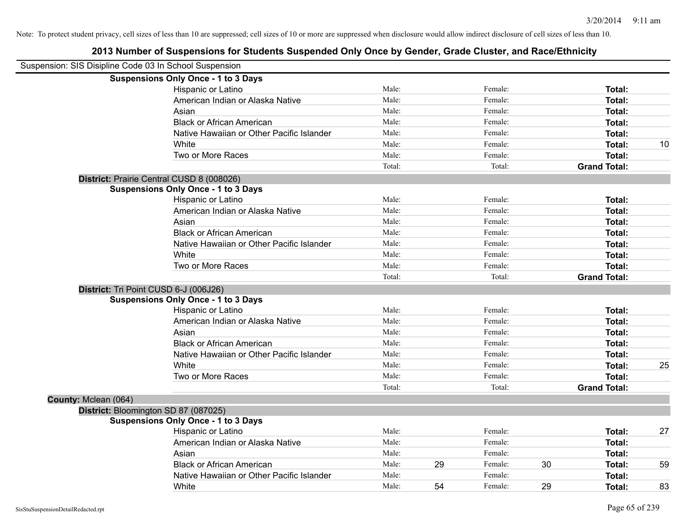|                      | Suspension: SIS Disipline Code 03 In School Suspension |        |    |         |    |                     |    |
|----------------------|--------------------------------------------------------|--------|----|---------|----|---------------------|----|
|                      | <b>Suspensions Only Once - 1 to 3 Days</b>             |        |    |         |    |                     |    |
|                      | Hispanic or Latino                                     | Male:  |    | Female: |    | Total:              |    |
|                      | American Indian or Alaska Native                       | Male:  |    | Female: |    | Total:              |    |
|                      | Asian                                                  | Male:  |    | Female: |    | Total:              |    |
|                      | <b>Black or African American</b>                       | Male:  |    | Female: |    | Total:              |    |
|                      | Native Hawaiian or Other Pacific Islander              | Male:  |    | Female: |    | Total:              |    |
|                      | White                                                  | Male:  |    | Female: |    | Total:              | 10 |
|                      | Two or More Races                                      | Male:  |    | Female: |    | Total:              |    |
|                      |                                                        | Total: |    | Total:  |    | <b>Grand Total:</b> |    |
|                      | District: Prairie Central CUSD 8 (008026)              |        |    |         |    |                     |    |
|                      | <b>Suspensions Only Once - 1 to 3 Days</b>             |        |    |         |    |                     |    |
|                      | Hispanic or Latino                                     | Male:  |    | Female: |    | Total:              |    |
|                      | American Indian or Alaska Native                       | Male:  |    | Female: |    | Total:              |    |
|                      | Asian                                                  | Male:  |    | Female: |    | Total:              |    |
|                      | <b>Black or African American</b>                       | Male:  |    | Female: |    | Total:              |    |
|                      | Native Hawaiian or Other Pacific Islander              | Male:  |    | Female: |    | Total:              |    |
|                      | White                                                  | Male:  |    | Female: |    | Total:              |    |
|                      | Two or More Races                                      | Male:  |    | Female: |    | Total:              |    |
|                      |                                                        | Total: |    | Total:  |    | <b>Grand Total:</b> |    |
|                      | District: Tri Point CUSD 6-J (006J26)                  |        |    |         |    |                     |    |
|                      | <b>Suspensions Only Once - 1 to 3 Days</b>             |        |    |         |    |                     |    |
|                      | Hispanic or Latino                                     | Male:  |    | Female: |    | Total:              |    |
|                      | American Indian or Alaska Native                       | Male:  |    | Female: |    | Total:              |    |
|                      | Asian                                                  | Male:  |    | Female: |    | Total:              |    |
|                      | <b>Black or African American</b>                       | Male:  |    | Female: |    | Total:              |    |
|                      | Native Hawaiian or Other Pacific Islander              | Male:  |    | Female: |    | Total:              |    |
|                      | White                                                  | Male:  |    | Female: |    | Total:              | 25 |
|                      | Two or More Races                                      | Male:  |    | Female: |    | Total:              |    |
|                      |                                                        | Total: |    | Total:  |    | <b>Grand Total:</b> |    |
| County: Mclean (064) |                                                        |        |    |         |    |                     |    |
|                      | District: Bloomington SD 87 (087025)                   |        |    |         |    |                     |    |
|                      | <b>Suspensions Only Once - 1 to 3 Days</b>             |        |    |         |    |                     |    |
|                      | Hispanic or Latino                                     | Male:  |    | Female: |    | Total:              | 27 |
|                      | American Indian or Alaska Native                       | Male:  |    | Female: |    | Total:              |    |
|                      | Asian                                                  | Male:  |    | Female: |    | Total:              |    |
|                      | <b>Black or African American</b>                       | Male:  | 29 | Female: | 30 | Total:              | 59 |
|                      | Native Hawaiian or Other Pacific Islander              | Male:  |    | Female: |    | Total:              |    |
|                      | White                                                  | Male:  | 54 | Female: | 29 | Total:              | 83 |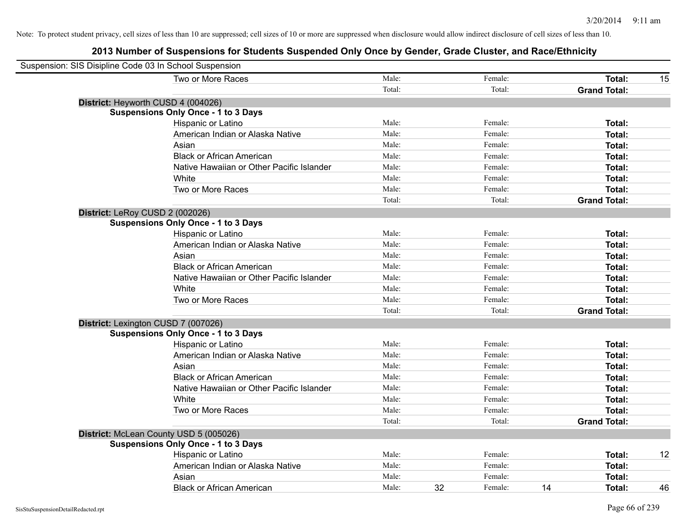| Suspension: SIS Disipline Code 03 In School Suspension |                                            |        |    |         |    |                     |    |
|--------------------------------------------------------|--------------------------------------------|--------|----|---------|----|---------------------|----|
|                                                        | Two or More Races                          | Male:  |    | Female: |    | Total:              | 15 |
|                                                        |                                            | Total: |    | Total:  |    | <b>Grand Total:</b> |    |
|                                                        | District: Heyworth CUSD 4 (004026)         |        |    |         |    |                     |    |
|                                                        | <b>Suspensions Only Once - 1 to 3 Days</b> |        |    |         |    |                     |    |
|                                                        | Hispanic or Latino                         | Male:  |    | Female: |    | Total:              |    |
|                                                        | American Indian or Alaska Native           | Male:  |    | Female: |    | <b>Total:</b>       |    |
|                                                        | Asian                                      | Male:  |    | Female: |    | Total:              |    |
|                                                        | <b>Black or African American</b>           | Male:  |    | Female: |    | Total:              |    |
|                                                        | Native Hawaiian or Other Pacific Islander  | Male:  |    | Female: |    | Total:              |    |
|                                                        | White                                      | Male:  |    | Female: |    | Total:              |    |
|                                                        | Two or More Races                          | Male:  |    | Female: |    | Total:              |    |
|                                                        |                                            | Total: |    | Total:  |    | <b>Grand Total:</b> |    |
| District: LeRoy CUSD 2 (002026)                        |                                            |        |    |         |    |                     |    |
|                                                        | <b>Suspensions Only Once - 1 to 3 Days</b> |        |    |         |    |                     |    |
|                                                        | Hispanic or Latino                         | Male:  |    | Female: |    | Total:              |    |
|                                                        | American Indian or Alaska Native           | Male:  |    | Female: |    | <b>Total:</b>       |    |
|                                                        | Asian                                      | Male:  |    | Female: |    | <b>Total:</b>       |    |
|                                                        | <b>Black or African American</b>           | Male:  |    | Female: |    | Total:              |    |
|                                                        | Native Hawaiian or Other Pacific Islander  | Male:  |    | Female: |    | Total:              |    |
|                                                        | White                                      | Male:  |    | Female: |    | Total:              |    |
|                                                        | Two or More Races                          | Male:  |    | Female: |    | <b>Total:</b>       |    |
|                                                        |                                            | Total: |    | Total:  |    | <b>Grand Total:</b> |    |
|                                                        | District: Lexington CUSD 7 (007026)        |        |    |         |    |                     |    |
|                                                        | <b>Suspensions Only Once - 1 to 3 Days</b> |        |    |         |    |                     |    |
|                                                        | Hispanic or Latino                         | Male:  |    | Female: |    | <b>Total:</b>       |    |
|                                                        | American Indian or Alaska Native           | Male:  |    | Female: |    | <b>Total:</b>       |    |
|                                                        | Asian                                      | Male:  |    | Female: |    | <b>Total:</b>       |    |
|                                                        | <b>Black or African American</b>           | Male:  |    | Female: |    | Total:              |    |
|                                                        | Native Hawaiian or Other Pacific Islander  | Male:  |    | Female: |    | Total:              |    |
|                                                        | White                                      | Male:  |    | Female: |    | <b>Total:</b>       |    |
|                                                        | Two or More Races                          | Male:  |    | Female: |    | Total:              |    |
|                                                        |                                            | Total: |    | Total:  |    | <b>Grand Total:</b> |    |
|                                                        | District: McLean County USD 5 (005026)     |        |    |         |    |                     |    |
|                                                        | <b>Suspensions Only Once - 1 to 3 Days</b> |        |    |         |    |                     |    |
|                                                        | Hispanic or Latino                         | Male:  |    | Female: |    | Total:              | 12 |
|                                                        | American Indian or Alaska Native           | Male:  |    | Female: |    | <b>Total:</b>       |    |
|                                                        | Asian                                      | Male:  |    | Female: |    | <b>Total:</b>       |    |
|                                                        | <b>Black or African American</b>           | Male:  | 32 | Female: | 14 | Total:              | 46 |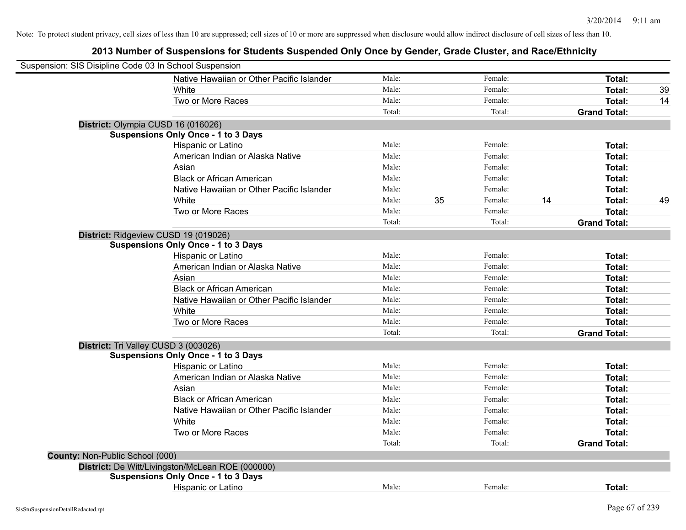| Suspension: SIS Disipline Code 03 In School Suspension |                                                  |        |    |         |    |                     |    |
|--------------------------------------------------------|--------------------------------------------------|--------|----|---------|----|---------------------|----|
|                                                        | Native Hawaiian or Other Pacific Islander        | Male:  |    | Female: |    | Total:              |    |
|                                                        | White                                            | Male:  |    | Female: |    | Total:              | 39 |
|                                                        | Two or More Races                                | Male:  |    | Female: |    | Total:              | 14 |
|                                                        |                                                  | Total: |    | Total:  |    | <b>Grand Total:</b> |    |
|                                                        | District: Olympia CUSD 16 (016026)               |        |    |         |    |                     |    |
|                                                        | <b>Suspensions Only Once - 1 to 3 Days</b>       |        |    |         |    |                     |    |
|                                                        | Hispanic or Latino                               | Male:  |    | Female: |    | Total:              |    |
|                                                        | American Indian or Alaska Native                 | Male:  |    | Female: |    | Total:              |    |
|                                                        | Asian                                            | Male:  |    | Female: |    | Total:              |    |
|                                                        | <b>Black or African American</b>                 | Male:  |    | Female: |    | Total:              |    |
|                                                        | Native Hawaiian or Other Pacific Islander        | Male:  |    | Female: |    | Total:              |    |
|                                                        | White                                            | Male:  | 35 | Female: | 14 | Total:              | 49 |
|                                                        | Two or More Races                                | Male:  |    | Female: |    | Total:              |    |
|                                                        |                                                  | Total: |    | Total:  |    | <b>Grand Total:</b> |    |
|                                                        | District: Ridgeview CUSD 19 (019026)             |        |    |         |    |                     |    |
|                                                        | <b>Suspensions Only Once - 1 to 3 Days</b>       |        |    |         |    |                     |    |
|                                                        | Hispanic or Latino                               | Male:  |    | Female: |    | Total:              |    |
|                                                        | American Indian or Alaska Native                 | Male:  |    | Female: |    | Total:              |    |
|                                                        | Asian                                            | Male:  |    | Female: |    | Total:              |    |
|                                                        | <b>Black or African American</b>                 | Male:  |    | Female: |    | Total:              |    |
|                                                        | Native Hawaiian or Other Pacific Islander        | Male:  |    | Female: |    | Total:              |    |
|                                                        | White                                            | Male:  |    | Female: |    | Total:              |    |
|                                                        | Two or More Races                                | Male:  |    | Female: |    | Total:              |    |
|                                                        |                                                  | Total: |    | Total:  |    | <b>Grand Total:</b> |    |
|                                                        | District: Tri Valley CUSD 3 (003026)             |        |    |         |    |                     |    |
|                                                        | <b>Suspensions Only Once - 1 to 3 Days</b>       |        |    |         |    |                     |    |
|                                                        | Hispanic or Latino                               | Male:  |    | Female: |    | Total:              |    |
|                                                        | American Indian or Alaska Native                 | Male:  |    | Female: |    | Total:              |    |
|                                                        | Asian                                            | Male:  |    | Female: |    | Total:              |    |
|                                                        | <b>Black or African American</b>                 | Male:  |    | Female: |    | Total:              |    |
|                                                        | Native Hawaiian or Other Pacific Islander        | Male:  |    | Female: |    | Total:              |    |
|                                                        | White                                            | Male:  |    | Female: |    | Total:              |    |
|                                                        | Two or More Races                                | Male:  |    | Female: |    | Total:              |    |
|                                                        |                                                  | Total: |    | Total:  |    | <b>Grand Total:</b> |    |
| <b>County: Non-Public School (000)</b>                 |                                                  |        |    |         |    |                     |    |
|                                                        | District: De Witt/Livingston/McLean ROE (000000) |        |    |         |    |                     |    |
|                                                        | <b>Suspensions Only Once - 1 to 3 Days</b>       |        |    |         |    |                     |    |
|                                                        | Hispanic or Latino                               | Male:  |    | Female: |    | Total:              |    |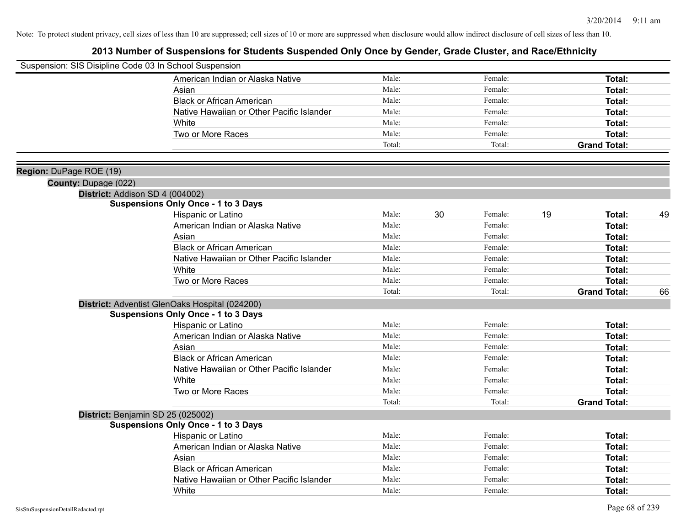| Suspension: SIS Disipline Code 03 In School Suspension |                                                |        |    |         |    |                     |    |
|--------------------------------------------------------|------------------------------------------------|--------|----|---------|----|---------------------|----|
|                                                        | American Indian or Alaska Native               | Male:  |    | Female: |    | Total:              |    |
|                                                        | Asian                                          | Male:  |    | Female: |    | Total:              |    |
|                                                        | <b>Black or African American</b>               | Male:  |    | Female: |    | Total:              |    |
|                                                        | Native Hawaiian or Other Pacific Islander      | Male:  |    | Female: |    | Total:              |    |
|                                                        | White                                          | Male:  |    | Female: |    | Total:              |    |
|                                                        | Two or More Races                              | Male:  |    | Female: |    | Total:              |    |
|                                                        |                                                | Total: |    | Total:  |    | <b>Grand Total:</b> |    |
|                                                        |                                                |        |    |         |    |                     |    |
| Region: DuPage ROE (19)                                |                                                |        |    |         |    |                     |    |
| County: Dupage (022)                                   |                                                |        |    |         |    |                     |    |
|                                                        | District: Addison SD 4 (004002)                |        |    |         |    |                     |    |
|                                                        | <b>Suspensions Only Once - 1 to 3 Days</b>     |        |    |         |    |                     |    |
|                                                        | Hispanic or Latino                             | Male:  | 30 | Female: | 19 | Total:              | 49 |
|                                                        | American Indian or Alaska Native               | Male:  |    | Female: |    | Total:              |    |
|                                                        | Asian                                          | Male:  |    | Female: |    | Total:              |    |
|                                                        | <b>Black or African American</b>               | Male:  |    | Female: |    | Total:              |    |
|                                                        | Native Hawaiian or Other Pacific Islander      | Male:  |    | Female: |    | Total:              |    |
|                                                        | White                                          | Male:  |    | Female: |    | Total:              |    |
|                                                        | Two or More Races                              | Male:  |    | Female: |    | Total:              |    |
|                                                        |                                                | Total: |    | Total:  |    | <b>Grand Total:</b> | 66 |
|                                                        | District: Adventist GlenOaks Hospital (024200) |        |    |         |    |                     |    |
|                                                        | <b>Suspensions Only Once - 1 to 3 Days</b>     |        |    |         |    |                     |    |
|                                                        | Hispanic or Latino                             | Male:  |    | Female: |    | Total:              |    |
|                                                        | American Indian or Alaska Native               | Male:  |    | Female: |    | Total:              |    |
|                                                        | Asian                                          | Male:  |    | Female: |    | Total:              |    |
|                                                        | <b>Black or African American</b>               | Male:  |    | Female: |    | Total:              |    |
|                                                        | Native Hawaiian or Other Pacific Islander      | Male:  |    | Female: |    | Total:              |    |
|                                                        | White                                          | Male:  |    | Female: |    | Total:              |    |
|                                                        | Two or More Races                              | Male:  |    | Female: |    | Total:              |    |
|                                                        |                                                | Total: |    | Total:  |    | <b>Grand Total:</b> |    |
|                                                        | District: Benjamin SD 25 (025002)              |        |    |         |    |                     |    |
|                                                        | <b>Suspensions Only Once - 1 to 3 Days</b>     |        |    |         |    |                     |    |
|                                                        | Hispanic or Latino                             | Male:  |    | Female: |    | Total:              |    |
|                                                        | American Indian or Alaska Native               | Male:  |    | Female: |    | Total:              |    |
|                                                        | Asian                                          | Male:  |    | Female: |    | Total:              |    |
|                                                        | <b>Black or African American</b>               | Male:  |    | Female: |    | Total:              |    |
|                                                        | Native Hawaiian or Other Pacific Islander      | Male:  |    | Female: |    | Total:              |    |
|                                                        | White                                          | Male:  |    | Female: |    | Total:              |    |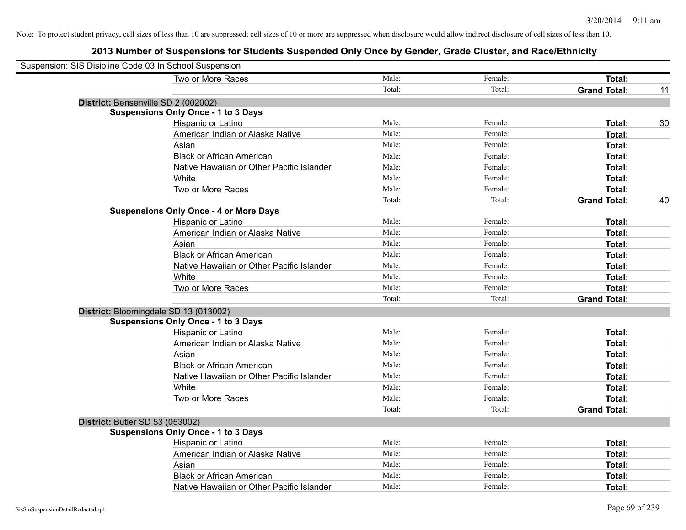| Suspension: SIS Disipline Code 03 In School Suspension |                                               |        |         |                     |    |
|--------------------------------------------------------|-----------------------------------------------|--------|---------|---------------------|----|
|                                                        | Two or More Races                             | Male:  | Female: | <b>Total:</b>       |    |
|                                                        |                                               | Total: | Total:  | <b>Grand Total:</b> | 11 |
| District: Bensenville SD 2 (002002)                    |                                               |        |         |                     |    |
|                                                        | <b>Suspensions Only Once - 1 to 3 Days</b>    |        |         |                     |    |
|                                                        | Hispanic or Latino                            | Male:  | Female: | Total:              | 30 |
|                                                        | American Indian or Alaska Native              | Male:  | Female: | Total:              |    |
|                                                        | Asian                                         | Male:  | Female: | Total:              |    |
|                                                        | <b>Black or African American</b>              | Male:  | Female: | Total:              |    |
|                                                        | Native Hawaiian or Other Pacific Islander     | Male:  | Female: | Total:              |    |
|                                                        | White                                         | Male:  | Female: | Total:              |    |
|                                                        | Two or More Races                             | Male:  | Female: | Total:              |    |
|                                                        |                                               | Total: | Total:  | <b>Grand Total:</b> | 40 |
|                                                        | <b>Suspensions Only Once - 4 or More Days</b> |        |         |                     |    |
|                                                        | Hispanic or Latino                            | Male:  | Female: | Total:              |    |
|                                                        | American Indian or Alaska Native              | Male:  | Female: | Total:              |    |
|                                                        | Asian                                         | Male:  | Female: | <b>Total:</b>       |    |
|                                                        | <b>Black or African American</b>              | Male:  | Female: | Total:              |    |
|                                                        | Native Hawaiian or Other Pacific Islander     | Male:  | Female: | Total:              |    |
|                                                        | White                                         | Male:  | Female: | Total:              |    |
|                                                        | Two or More Races                             | Male:  | Female: | Total:              |    |
|                                                        |                                               | Total: | Total:  | <b>Grand Total:</b> |    |
|                                                        | District: Bloomingdale SD 13 (013002)         |        |         |                     |    |
|                                                        | <b>Suspensions Only Once - 1 to 3 Days</b>    |        |         |                     |    |
|                                                        | <b>Hispanic or Latino</b>                     | Male:  | Female: | Total:              |    |
|                                                        | American Indian or Alaska Native              | Male:  | Female: | Total:              |    |
|                                                        | Asian                                         | Male:  | Female: | Total:              |    |
|                                                        | <b>Black or African American</b>              | Male:  | Female: | Total:              |    |
|                                                        | Native Hawaiian or Other Pacific Islander     | Male:  | Female: | <b>Total:</b>       |    |
|                                                        | White                                         | Male:  | Female: | Total:              |    |
|                                                        | Two or More Races                             | Male:  | Female: | <b>Total:</b>       |    |
|                                                        |                                               | Total: | Total:  | <b>Grand Total:</b> |    |
| District: Butler SD 53 (053002)                        |                                               |        |         |                     |    |
|                                                        | <b>Suspensions Only Once - 1 to 3 Days</b>    |        |         |                     |    |
|                                                        | Hispanic or Latino                            | Male:  | Female: | Total:              |    |
|                                                        | American Indian or Alaska Native              | Male:  | Female: | Total:              |    |
|                                                        | Asian                                         | Male:  | Female: | Total:              |    |
|                                                        | <b>Black or African American</b>              | Male:  | Female: | Total:              |    |
|                                                        | Native Hawaiian or Other Pacific Islander     | Male:  | Female: | Total:              |    |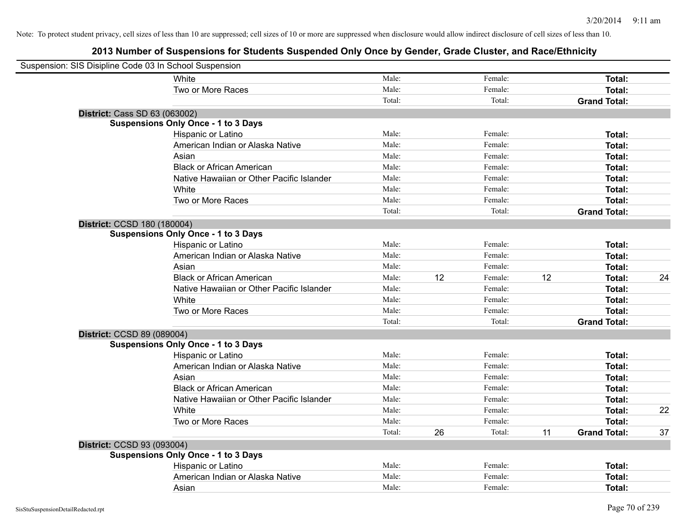| Suspension: SIS Disipline Code 03 In School Suspension |                                            |        |    |         |    |                     |    |
|--------------------------------------------------------|--------------------------------------------|--------|----|---------|----|---------------------|----|
|                                                        | White                                      | Male:  |    | Female: |    | Total:              |    |
|                                                        | Two or More Races                          | Male:  |    | Female: |    | Total:              |    |
|                                                        |                                            | Total: |    | Total:  |    | <b>Grand Total:</b> |    |
| <b>District: Cass SD 63 (063002)</b>                   |                                            |        |    |         |    |                     |    |
|                                                        | <b>Suspensions Only Once - 1 to 3 Days</b> |        |    |         |    |                     |    |
|                                                        | Hispanic or Latino                         | Male:  |    | Female: |    | Total:              |    |
|                                                        | American Indian or Alaska Native           | Male:  |    | Female: |    | Total:              |    |
|                                                        | Asian                                      | Male:  |    | Female: |    | Total:              |    |
|                                                        | <b>Black or African American</b>           | Male:  |    | Female: |    | Total:              |    |
|                                                        | Native Hawaiian or Other Pacific Islander  | Male:  |    | Female: |    | Total:              |    |
|                                                        | White                                      | Male:  |    | Female: |    | Total:              |    |
|                                                        | Two or More Races                          | Male:  |    | Female: |    | Total:              |    |
|                                                        |                                            | Total: |    | Total:  |    | <b>Grand Total:</b> |    |
| District: CCSD 180 (180004)                            |                                            |        |    |         |    |                     |    |
|                                                        | <b>Suspensions Only Once - 1 to 3 Days</b> |        |    |         |    |                     |    |
|                                                        | Hispanic or Latino                         | Male:  |    | Female: |    | Total:              |    |
|                                                        | American Indian or Alaska Native           | Male:  |    | Female: |    | Total:              |    |
|                                                        | Asian                                      | Male:  |    | Female: |    | Total:              |    |
|                                                        | <b>Black or African American</b>           | Male:  | 12 | Female: | 12 | Total:              | 24 |
|                                                        | Native Hawaiian or Other Pacific Islander  | Male:  |    | Female: |    | Total:              |    |
|                                                        | White                                      | Male:  |    | Female: |    | Total:              |    |
|                                                        | Two or More Races                          | Male:  |    | Female: |    | Total:              |    |
|                                                        |                                            | Total: |    | Total:  |    | <b>Grand Total:</b> |    |
| District: CCSD 89 (089004)                             |                                            |        |    |         |    |                     |    |
|                                                        | <b>Suspensions Only Once - 1 to 3 Days</b> |        |    |         |    |                     |    |
|                                                        | Hispanic or Latino                         | Male:  |    | Female: |    | Total:              |    |
|                                                        | American Indian or Alaska Native           | Male:  |    | Female: |    | Total:              |    |
|                                                        | Asian                                      | Male:  |    | Female: |    | Total:              |    |
|                                                        | <b>Black or African American</b>           | Male:  |    | Female: |    | Total:              |    |
|                                                        | Native Hawaiian or Other Pacific Islander  | Male:  |    | Female: |    | Total:              |    |
|                                                        | White                                      | Male:  |    | Female: |    | Total:              | 22 |
|                                                        | Two or More Races                          | Male:  |    | Female: |    | Total:              |    |
|                                                        |                                            | Total: | 26 | Total:  | 11 | <b>Grand Total:</b> | 37 |
| District: CCSD 93 (093004)                             |                                            |        |    |         |    |                     |    |
|                                                        | <b>Suspensions Only Once - 1 to 3 Days</b> |        |    |         |    |                     |    |
|                                                        | Hispanic or Latino                         | Male:  |    | Female: |    | Total:              |    |
|                                                        | American Indian or Alaska Native           | Male:  |    | Female: |    | Total:              |    |
|                                                        | Asian                                      | Male:  |    | Female: |    | Total:              |    |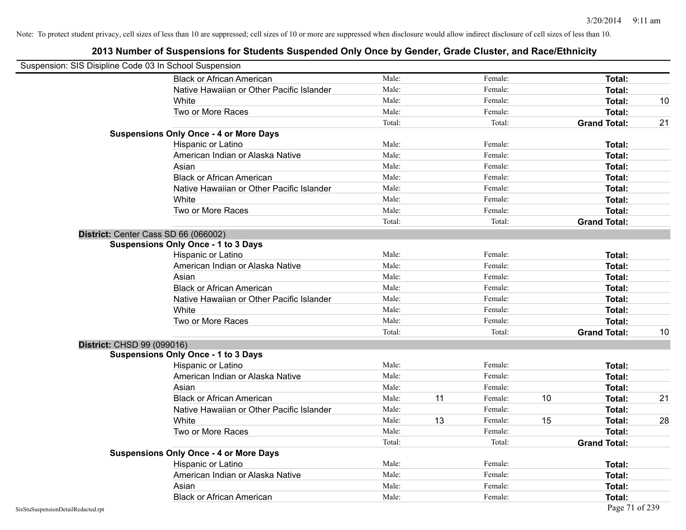| Suspension: SIS Disipline Code 03 In School Suspension |                                               |        |    |         |    |                     |    |
|--------------------------------------------------------|-----------------------------------------------|--------|----|---------|----|---------------------|----|
|                                                        | <b>Black or African American</b>              | Male:  |    | Female: |    | <b>Total:</b>       |    |
|                                                        | Native Hawaiian or Other Pacific Islander     | Male:  |    | Female: |    | Total:              |    |
|                                                        | White                                         | Male:  |    | Female: |    | Total:              | 10 |
|                                                        | Two or More Races                             | Male:  |    | Female: |    | Total:              |    |
|                                                        |                                               | Total: |    | Total:  |    | <b>Grand Total:</b> | 21 |
|                                                        | <b>Suspensions Only Once - 4 or More Days</b> |        |    |         |    |                     |    |
|                                                        | Hispanic or Latino                            | Male:  |    | Female: |    | Total:              |    |
|                                                        | American Indian or Alaska Native              | Male:  |    | Female: |    | <b>Total:</b>       |    |
|                                                        | Asian                                         | Male:  |    | Female: |    | Total:              |    |
|                                                        | <b>Black or African American</b>              | Male:  |    | Female: |    | <b>Total:</b>       |    |
|                                                        | Native Hawaiian or Other Pacific Islander     | Male:  |    | Female: |    | Total:              |    |
|                                                        | White                                         | Male:  |    | Female: |    | Total:              |    |
|                                                        | Two or More Races                             | Male:  |    | Female: |    | Total:              |    |
|                                                        |                                               | Total: |    | Total:  |    | <b>Grand Total:</b> |    |
|                                                        | District: Center Cass SD 66 (066002)          |        |    |         |    |                     |    |
|                                                        | <b>Suspensions Only Once - 1 to 3 Days</b>    |        |    |         |    |                     |    |
|                                                        | Hispanic or Latino                            | Male:  |    | Female: |    | Total:              |    |
|                                                        | American Indian or Alaska Native              | Male:  |    | Female: |    | <b>Total:</b>       |    |
|                                                        | Asian                                         | Male:  |    | Female: |    | Total:              |    |
|                                                        | <b>Black or African American</b>              | Male:  |    | Female: |    | Total:              |    |
|                                                        | Native Hawaiian or Other Pacific Islander     | Male:  |    | Female: |    | Total:              |    |
|                                                        | White                                         | Male:  |    | Female: |    | Total:              |    |
|                                                        | Two or More Races                             | Male:  |    | Female: |    | <b>Total:</b>       |    |
|                                                        |                                               | Total: |    | Total:  |    | <b>Grand Total:</b> | 10 |
| <b>District: CHSD 99 (099016)</b>                      |                                               |        |    |         |    |                     |    |
|                                                        | <b>Suspensions Only Once - 1 to 3 Days</b>    |        |    |         |    |                     |    |
|                                                        | Hispanic or Latino                            | Male:  |    | Female: |    | Total:              |    |
|                                                        | American Indian or Alaska Native              | Male:  |    | Female: |    | Total:              |    |
|                                                        | Asian                                         | Male:  |    | Female: |    | Total:              |    |
|                                                        | <b>Black or African American</b>              | Male:  | 11 | Female: | 10 | Total:              | 21 |
|                                                        | Native Hawaiian or Other Pacific Islander     | Male:  |    | Female: |    | Total:              |    |
|                                                        | White                                         | Male:  | 13 | Female: | 15 | Total:              | 28 |
|                                                        | Two or More Races                             | Male:  |    | Female: |    | <b>Total:</b>       |    |
|                                                        |                                               | Total: |    | Total:  |    | <b>Grand Total:</b> |    |
|                                                        | <b>Suspensions Only Once - 4 or More Days</b> |        |    |         |    |                     |    |
|                                                        | Hispanic or Latino                            | Male:  |    | Female: |    | Total:              |    |
|                                                        | American Indian or Alaska Native              | Male:  |    | Female: |    | Total:              |    |
|                                                        | Asian                                         | Male:  |    | Female: |    | Total:              |    |
|                                                        | <b>Black or African American</b>              | Male:  |    | Female: |    | Total:              |    |
| SisStuSuspensionDetailRedacted.rpt                     |                                               |        |    |         |    | Page 71 of 239      |    |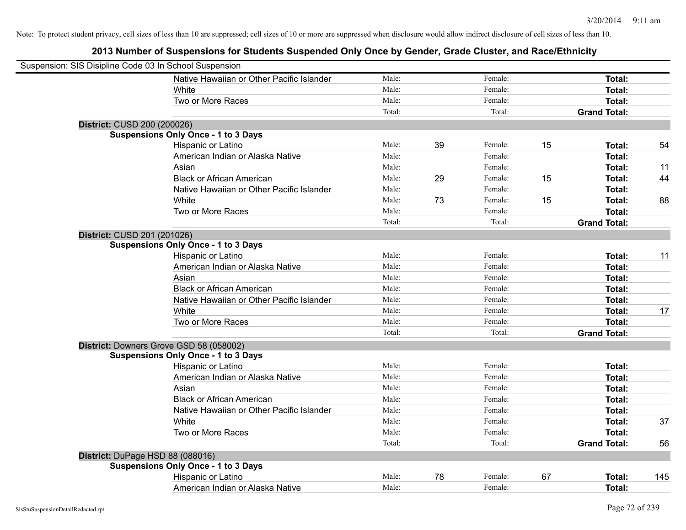| Suspension: SIS Disipline Code 03 In School Suspension |                                            |        |    |         |    |                     |     |
|--------------------------------------------------------|--------------------------------------------|--------|----|---------|----|---------------------|-----|
|                                                        | Native Hawaiian or Other Pacific Islander  | Male:  |    | Female: |    | <b>Total:</b>       |     |
|                                                        | White                                      | Male:  |    | Female: |    | Total:              |     |
|                                                        | Two or More Races                          | Male:  |    | Female: |    | Total:              |     |
|                                                        |                                            | Total: |    | Total:  |    | <b>Grand Total:</b> |     |
| District: CUSD 200 (200026)                            |                                            |        |    |         |    |                     |     |
|                                                        | <b>Suspensions Only Once - 1 to 3 Days</b> |        |    |         |    |                     |     |
|                                                        | Hispanic or Latino                         | Male:  | 39 | Female: | 15 | Total:              | 54  |
|                                                        | American Indian or Alaska Native           | Male:  |    | Female: |    | <b>Total:</b>       |     |
|                                                        | Asian                                      | Male:  |    | Female: |    | <b>Total:</b>       | 11  |
|                                                        | <b>Black or African American</b>           | Male:  | 29 | Female: | 15 | <b>Total:</b>       | 44  |
|                                                        | Native Hawaiian or Other Pacific Islander  | Male:  |    | Female: |    | <b>Total:</b>       |     |
|                                                        | White                                      | Male:  | 73 | Female: | 15 | Total:              | 88  |
|                                                        | Two or More Races                          | Male:  |    | Female: |    | Total:              |     |
|                                                        |                                            | Total: |    | Total:  |    | <b>Grand Total:</b> |     |
| District: CUSD 201 (201026)                            |                                            |        |    |         |    |                     |     |
|                                                        | <b>Suspensions Only Once - 1 to 3 Days</b> |        |    |         |    |                     |     |
|                                                        | Hispanic or Latino                         | Male:  |    | Female: |    | Total:              | 11  |
|                                                        | American Indian or Alaska Native           | Male:  |    | Female: |    | Total:              |     |
|                                                        | Asian                                      | Male:  |    | Female: |    | Total:              |     |
|                                                        | <b>Black or African American</b>           | Male:  |    | Female: |    | Total:              |     |
|                                                        | Native Hawaiian or Other Pacific Islander  | Male:  |    | Female: |    | <b>Total:</b>       |     |
|                                                        | White                                      | Male:  |    | Female: |    | <b>Total:</b>       | 17  |
|                                                        | Two or More Races                          | Male:  |    | Female: |    | Total:              |     |
|                                                        |                                            | Total: |    | Total:  |    | <b>Grand Total:</b> |     |
|                                                        | District: Downers Grove GSD 58 (058002)    |        |    |         |    |                     |     |
|                                                        | <b>Suspensions Only Once - 1 to 3 Days</b> |        |    |         |    |                     |     |
|                                                        | Hispanic or Latino                         | Male:  |    | Female: |    | <b>Total:</b>       |     |
|                                                        | American Indian or Alaska Native           | Male:  |    | Female: |    | Total:              |     |
|                                                        | Asian                                      | Male:  |    | Female: |    | Total:              |     |
|                                                        | <b>Black or African American</b>           | Male:  |    | Female: |    | <b>Total:</b>       |     |
|                                                        | Native Hawaiian or Other Pacific Islander  | Male:  |    | Female: |    | Total:              |     |
|                                                        | White                                      | Male:  |    | Female: |    | <b>Total:</b>       | 37  |
|                                                        | Two or More Races                          | Male:  |    | Female: |    | <b>Total:</b>       |     |
|                                                        |                                            | Total: |    | Total:  |    | <b>Grand Total:</b> | 56  |
| District: DuPage HSD 88 (088016)                       |                                            |        |    |         |    |                     |     |
|                                                        | <b>Suspensions Only Once - 1 to 3 Days</b> |        |    |         |    |                     |     |
|                                                        | Hispanic or Latino                         | Male:  | 78 | Female: | 67 | Total:              | 145 |
|                                                        | American Indian or Alaska Native           | Male:  |    | Female: |    | Total:              |     |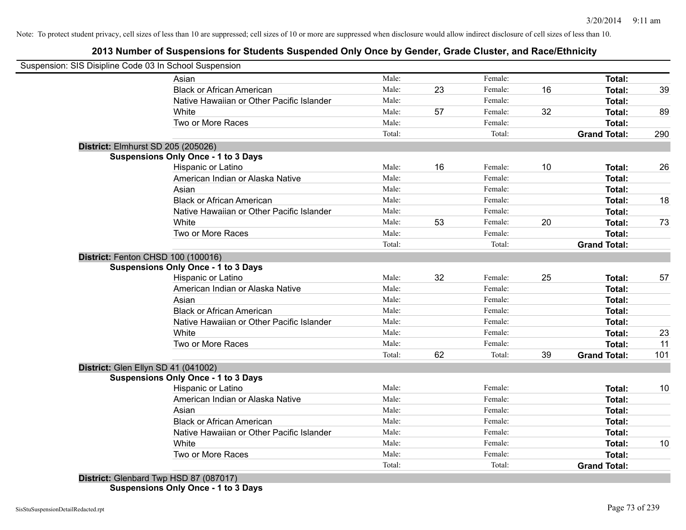## **2013 Number of Suspensions for Students Suspended Only Once by Gender, Grade Cluster, and Race/Ethnicity**

| Suspension: SIS Disipline Code 03 In School Suspension |                                            |        |    |         |    |                                      |     |
|--------------------------------------------------------|--------------------------------------------|--------|----|---------|----|--------------------------------------|-----|
|                                                        | Asian                                      | Male:  |    | Female: |    | Total:                               |     |
|                                                        | <b>Black or African American</b>           | Male:  | 23 | Female: | 16 | Total:                               | 39  |
|                                                        | Native Hawaiian or Other Pacific Islander  | Male:  |    | Female: |    | <b>Total:</b>                        |     |
|                                                        | White                                      | Male:  | 57 | Female: | 32 | <b>Total:</b>                        | 89  |
|                                                        | Two or More Races                          | Male:  |    | Female: |    | <b>Total:</b>                        |     |
|                                                        |                                            | Total: |    | Total:  |    | <b>Grand Total:</b>                  | 290 |
| District: Elmhurst SD 205 (205026)                     |                                            |        |    |         |    |                                      |     |
|                                                        | <b>Suspensions Only Once - 1 to 3 Days</b> |        |    |         |    |                                      |     |
|                                                        | Hispanic or Latino                         | Male:  | 16 | Female: | 10 | Total:                               | 26  |
|                                                        | American Indian or Alaska Native           | Male:  |    | Female: |    | <b>Total:</b>                        |     |
|                                                        | Asian                                      | Male:  |    | Female: |    | Total:                               |     |
|                                                        | <b>Black or African American</b>           | Male:  |    | Female: |    | <b>Total:</b>                        | 18  |
|                                                        | Native Hawaiian or Other Pacific Islander  | Male:  |    | Female: |    | Total:                               |     |
|                                                        | White                                      | Male:  | 53 | Female: | 20 | Total:                               | 73  |
|                                                        | Two or More Races                          | Male:  |    | Female: |    | <b>Total:</b>                        |     |
|                                                        |                                            | Total: |    | Total:  |    | <b>Grand Total:</b>                  |     |
| District: Fenton CHSD 100 (100016)                     |                                            |        |    |         |    |                                      |     |
|                                                        | <b>Suspensions Only Once - 1 to 3 Days</b> |        |    |         |    |                                      |     |
|                                                        | Hispanic or Latino                         | Male:  | 32 | Female: | 25 | Total:                               | 57  |
|                                                        | American Indian or Alaska Native           | Male:  |    | Female: |    | Total:                               |     |
|                                                        | Asian                                      | Male:  |    | Female: |    | Total:                               |     |
|                                                        | <b>Black or African American</b>           | Male:  |    | Female: |    | Total:                               |     |
|                                                        | Native Hawaiian or Other Pacific Islander  | Male:  |    | Female: |    | Total:                               |     |
|                                                        | White                                      | Male:  |    | Female: |    | <b>Total:</b>                        | 23  |
|                                                        | Two or More Races                          | Male:  |    | Female: |    | <b>Total:</b>                        | 11  |
|                                                        |                                            | Total: | 62 | Total:  | 39 | <b>Grand Total:</b>                  | 101 |
| District: Glen Ellyn SD 41 (041002)                    |                                            |        |    |         |    |                                      |     |
|                                                        | <b>Suspensions Only Once - 1 to 3 Days</b> |        |    |         |    |                                      |     |
|                                                        | Hispanic or Latino                         | Male:  |    | Female: |    | Total:                               | 10  |
|                                                        | American Indian or Alaska Native           | Male:  |    | Female: |    | <b>Total:</b>                        |     |
|                                                        | Asian                                      | Male:  |    | Female: |    | Total:                               |     |
|                                                        | <b>Black or African American</b>           | Male:  |    | Female: |    | Total:                               |     |
|                                                        | Native Hawaiian or Other Pacific Islander  | Male:  |    | Female: |    | Total:                               |     |
|                                                        |                                            |        |    |         |    |                                      | 10  |
|                                                        | White                                      | Male:  |    | Female: |    | Total:                               |     |
|                                                        | Two or More Races                          | Male:  |    | Female: |    | <b>Total:</b><br><b>Grand Total:</b> |     |

**Suspensions Only Once - 1 to 3 Days**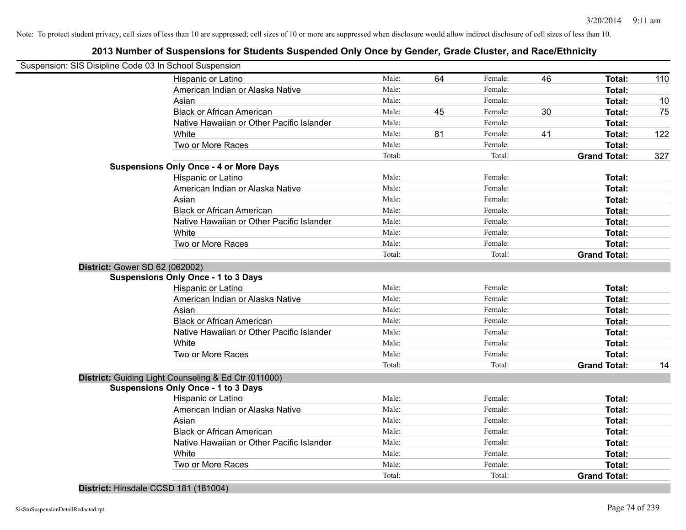## **2013 Number of Suspensions for Students Suspended Only Once by Gender, Grade Cluster, and Race/Ethnicity**

| Suspension: SIS Disipline Code 03 In School Suspension |                 |    |                   |    |                                      |     |
|--------------------------------------------------------|-----------------|----|-------------------|----|--------------------------------------|-----|
| Hispanic or Latino                                     | Male:           | 64 | Female:           | 46 | <b>Total:</b>                        | 110 |
| American Indian or Alaska Native                       | Male:           |    | Female:           |    | Total:                               |     |
| Asian                                                  | Male:           |    | Female:           |    | Total:                               | 10  |
| <b>Black or African American</b>                       | Male:           | 45 | Female:           | 30 | Total:                               | 75  |
| Native Hawaiian or Other Pacific Islander              | Male:           |    | Female:           |    | Total:                               |     |
| White                                                  | Male:           | 81 | Female:           | 41 | Total:                               | 122 |
| Two or More Races                                      | Male:           |    | Female:           |    | <b>Total:</b>                        |     |
|                                                        | Total:          |    | Total:            |    | <b>Grand Total:</b>                  | 327 |
| <b>Suspensions Only Once - 4 or More Days</b>          |                 |    |                   |    |                                      |     |
| Hispanic or Latino                                     | Male:           |    | Female:           |    | Total:                               |     |
| American Indian or Alaska Native                       | Male:           |    | Female:           |    | Total:                               |     |
| Asian                                                  | Male:           |    | Female:           |    | Total:                               |     |
| <b>Black or African American</b>                       | Male:           |    | Female:           |    | Total:                               |     |
| Native Hawaiian or Other Pacific Islander              | Male:           |    | Female:           |    | Total:                               |     |
| White                                                  | Male:           |    | Female:           |    | Total:                               |     |
| Two or More Races                                      | Male:           |    | Female:           |    | Total:                               |     |
|                                                        | Total:          |    | Total:            |    | <b>Grand Total:</b>                  |     |
| District: Gower SD 62 (062002)                         |                 |    |                   |    |                                      |     |
| <b>Suspensions Only Once - 1 to 3 Days</b>             |                 |    |                   |    |                                      |     |
| Hispanic or Latino                                     | Male:           |    | Female:           |    | Total:                               |     |
| American Indian or Alaska Native                       | Male:           |    | Female:           |    | Total:                               |     |
| Asian                                                  | Male:           |    | Female:           |    | Total:                               |     |
| <b>Black or African American</b>                       | Male:           |    | Female:           |    | Total:                               |     |
| Native Hawaiian or Other Pacific Islander              | Male:           |    | Female:           |    | Total:                               |     |
| White                                                  | Male:           |    | Female:           |    | Total:                               |     |
| Two or More Races                                      | Male:           |    | Female:           |    | Total:                               |     |
|                                                        | Total:          |    | Total:            |    | <b>Grand Total:</b>                  | 14  |
| District: Guiding Light Counseling & Ed Ctr (011000)   |                 |    |                   |    |                                      |     |
| <b>Suspensions Only Once - 1 to 3 Days</b>             |                 |    |                   |    |                                      |     |
| Hispanic or Latino                                     | Male:           |    | Female:           |    | Total:                               |     |
| American Indian or Alaska Native                       | Male:           |    | Female:           |    | Total:                               |     |
| Asian                                                  | Male:           |    | Female:           |    | Total:                               |     |
| <b>Black or African American</b>                       | Male:           |    | Female:           |    | Total:                               |     |
| Native Hawaiian or Other Pacific Islander              | Male:           |    | Female:           |    | Total:                               |     |
|                                                        | Male:           |    | Female:           |    | Total:                               |     |
| White                                                  |                 |    |                   |    |                                      |     |
| Two or More Races                                      | Male:<br>Total: |    | Female:<br>Total: |    | <b>Total:</b><br><b>Grand Total:</b> |     |

**District:** Hinsdale CCSD 181 (181004)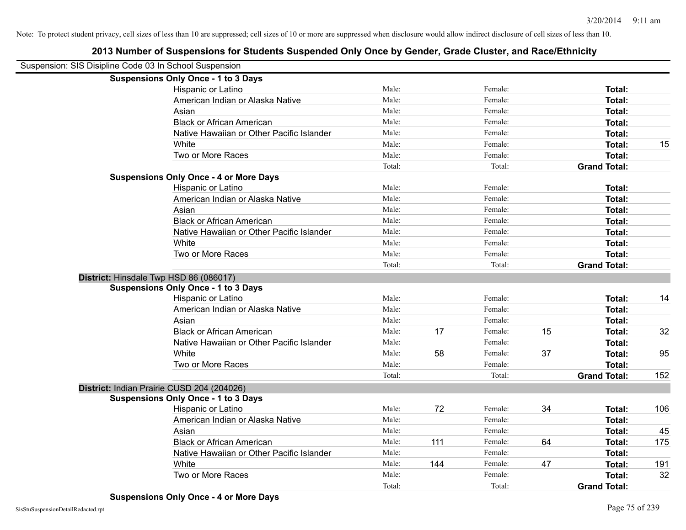| Suspension: SIS Disipline Code 03 In School Suspension |                                               |        |     |         |    |                     |     |
|--------------------------------------------------------|-----------------------------------------------|--------|-----|---------|----|---------------------|-----|
|                                                        | <b>Suspensions Only Once - 1 to 3 Days</b>    |        |     |         |    |                     |     |
|                                                        | Hispanic or Latino                            | Male:  |     | Female: |    | Total:              |     |
|                                                        | American Indian or Alaska Native              | Male:  |     | Female: |    | Total:              |     |
|                                                        | Asian                                         | Male:  |     | Female: |    | Total:              |     |
|                                                        | <b>Black or African American</b>              | Male:  |     | Female: |    | Total:              |     |
|                                                        | Native Hawaiian or Other Pacific Islander     | Male:  |     | Female: |    | Total:              |     |
|                                                        | White                                         | Male:  |     | Female: |    | Total:              | 15  |
|                                                        | Two or More Races                             | Male:  |     | Female: |    | Total:              |     |
|                                                        |                                               | Total: |     | Total:  |    | <b>Grand Total:</b> |     |
|                                                        | <b>Suspensions Only Once - 4 or More Days</b> |        |     |         |    |                     |     |
|                                                        | Hispanic or Latino                            | Male:  |     | Female: |    | Total:              |     |
|                                                        | American Indian or Alaska Native              | Male:  |     | Female: |    | Total:              |     |
|                                                        | Asian                                         | Male:  |     | Female: |    | Total:              |     |
|                                                        | <b>Black or African American</b>              | Male:  |     | Female: |    | Total:              |     |
|                                                        | Native Hawaiian or Other Pacific Islander     | Male:  |     | Female: |    | Total:              |     |
|                                                        | White                                         | Male:  |     | Female: |    | Total:              |     |
|                                                        | Two or More Races                             | Male:  |     | Female: |    | Total:              |     |
|                                                        |                                               | Total: |     | Total:  |    | <b>Grand Total:</b> |     |
|                                                        | District: Hinsdale Twp HSD 86 (086017)        |        |     |         |    |                     |     |
|                                                        | <b>Suspensions Only Once - 1 to 3 Days</b>    |        |     |         |    |                     |     |
|                                                        | Hispanic or Latino                            | Male:  |     | Female: |    | Total:              | 14  |
|                                                        | American Indian or Alaska Native              | Male:  |     | Female: |    | Total:              |     |
|                                                        | Asian                                         | Male:  |     | Female: |    | Total:              |     |
|                                                        | <b>Black or African American</b>              | Male:  | 17  | Female: | 15 | Total:              | 32  |
|                                                        | Native Hawaiian or Other Pacific Islander     | Male:  |     | Female: |    | Total:              |     |
|                                                        | White                                         | Male:  | 58  | Female: | 37 | Total:              | 95  |
|                                                        | Two or More Races                             | Male:  |     | Female: |    | Total:              |     |
|                                                        |                                               | Total: |     | Total:  |    | <b>Grand Total:</b> | 152 |
|                                                        | District: Indian Prairie CUSD 204 (204026)    |        |     |         |    |                     |     |
|                                                        | <b>Suspensions Only Once - 1 to 3 Days</b>    |        |     |         |    |                     |     |
|                                                        | Hispanic or Latino                            | Male:  | 72  | Female: | 34 | Total:              | 106 |
|                                                        | American Indian or Alaska Native              | Male:  |     | Female: |    | Total:              |     |
|                                                        | Asian                                         | Male:  |     | Female: |    | Total:              | 45  |
|                                                        | <b>Black or African American</b>              | Male:  | 111 | Female: | 64 | Total:              | 175 |
|                                                        | Native Hawaiian or Other Pacific Islander     | Male:  |     | Female: |    | Total:              |     |
|                                                        | White                                         | Male:  | 144 | Female: | 47 | Total:              | 191 |
|                                                        | Two or More Races                             | Male:  |     | Female: |    | Total:              | 32  |
|                                                        |                                               | Total: |     | Total:  |    | <b>Grand Total:</b> |     |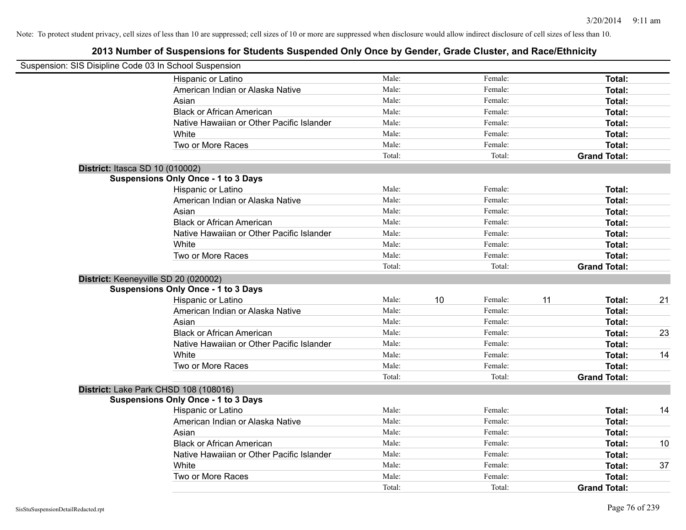| Suspension: SIS Disipline Code 03 In School Suspension |                                            |        |    |         |    |                     |    |
|--------------------------------------------------------|--------------------------------------------|--------|----|---------|----|---------------------|----|
|                                                        | Hispanic or Latino                         | Male:  |    | Female: |    | Total:              |    |
|                                                        | American Indian or Alaska Native           | Male:  |    | Female: |    | Total:              |    |
|                                                        | Asian                                      | Male:  |    | Female: |    | Total:              |    |
|                                                        | <b>Black or African American</b>           | Male:  |    | Female: |    | Total:              |    |
|                                                        | Native Hawaiian or Other Pacific Islander  | Male:  |    | Female: |    | Total:              |    |
|                                                        | White                                      | Male:  |    | Female: |    | Total:              |    |
|                                                        | Two or More Races                          | Male:  |    | Female: |    | Total:              |    |
|                                                        |                                            | Total: |    | Total:  |    | <b>Grand Total:</b> |    |
| <b>District: Itasca SD 10 (010002)</b>                 |                                            |        |    |         |    |                     |    |
|                                                        | <b>Suspensions Only Once - 1 to 3 Days</b> |        |    |         |    |                     |    |
|                                                        | Hispanic or Latino                         | Male:  |    | Female: |    | Total:              |    |
|                                                        | American Indian or Alaska Native           | Male:  |    | Female: |    | Total:              |    |
|                                                        | Asian                                      | Male:  |    | Female: |    | Total:              |    |
|                                                        | <b>Black or African American</b>           | Male:  |    | Female: |    | Total:              |    |
|                                                        | Native Hawaiian or Other Pacific Islander  | Male:  |    | Female: |    | Total:              |    |
|                                                        | White                                      | Male:  |    | Female: |    | Total:              |    |
|                                                        | Two or More Races                          | Male:  |    | Female: |    | Total:              |    |
|                                                        |                                            | Total: |    | Total:  |    | <b>Grand Total:</b> |    |
| District: Keeneyville SD 20 (020002)                   |                                            |        |    |         |    |                     |    |
|                                                        | <b>Suspensions Only Once - 1 to 3 Days</b> |        |    |         |    |                     |    |
|                                                        | Hispanic or Latino                         | Male:  | 10 | Female: | 11 | Total:              | 21 |
|                                                        | American Indian or Alaska Native           | Male:  |    | Female: |    | Total:              |    |
|                                                        | Asian                                      | Male:  |    | Female: |    | Total:              |    |
|                                                        | <b>Black or African American</b>           | Male:  |    | Female: |    | Total:              | 23 |
|                                                        | Native Hawaiian or Other Pacific Islander  | Male:  |    | Female: |    | Total:              |    |
|                                                        | White                                      | Male:  |    | Female: |    | Total:              | 14 |
|                                                        | Two or More Races                          | Male:  |    | Female: |    | Total:              |    |
|                                                        |                                            | Total: |    | Total:  |    | <b>Grand Total:</b> |    |
| District: Lake Park CHSD 108 (108016)                  |                                            |        |    |         |    |                     |    |
|                                                        | <b>Suspensions Only Once - 1 to 3 Days</b> |        |    |         |    |                     |    |
|                                                        | Hispanic or Latino                         | Male:  |    | Female: |    | Total:              | 14 |
|                                                        | American Indian or Alaska Native           | Male:  |    | Female: |    | Total:              |    |
|                                                        | Asian                                      | Male:  |    | Female: |    | Total:              |    |
|                                                        | <b>Black or African American</b>           | Male:  |    | Female: |    | Total:              | 10 |
|                                                        | Native Hawaiian or Other Pacific Islander  | Male:  |    | Female: |    | Total:              |    |
|                                                        | White                                      | Male:  |    | Female: |    | Total:              | 37 |
|                                                        | Two or More Races                          | Male:  |    | Female: |    | Total:              |    |
|                                                        |                                            | Total: |    | Total:  |    | <b>Grand Total:</b> |    |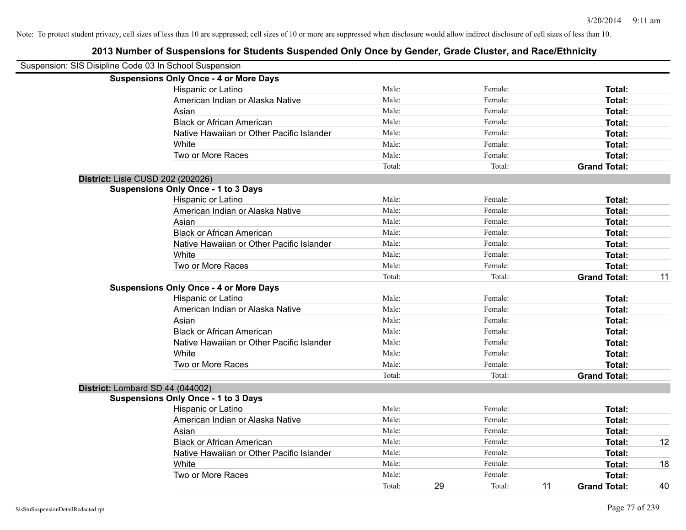|                                   | Suspension: SIS Disipline Code 03 In School Suspension |        |    |         |    |                     |    |
|-----------------------------------|--------------------------------------------------------|--------|----|---------|----|---------------------|----|
|                                   | <b>Suspensions Only Once - 4 or More Days</b>          |        |    |         |    |                     |    |
|                                   | Hispanic or Latino                                     | Male:  |    | Female: |    | Total:              |    |
|                                   | American Indian or Alaska Native                       | Male:  |    | Female: |    | Total:              |    |
|                                   | Asian                                                  | Male:  |    | Female: |    | Total:              |    |
|                                   | <b>Black or African American</b>                       | Male:  |    | Female: |    | Total:              |    |
|                                   | Native Hawaiian or Other Pacific Islander              | Male:  |    | Female: |    | Total:              |    |
|                                   | White                                                  | Male:  |    | Female: |    | Total:              |    |
|                                   | Two or More Races                                      | Male:  |    | Female: |    | Total:              |    |
|                                   |                                                        | Total: |    | Total:  |    | <b>Grand Total:</b> |    |
| District: Lisle CUSD 202 (202026) |                                                        |        |    |         |    |                     |    |
|                                   | <b>Suspensions Only Once - 1 to 3 Days</b>             |        |    |         |    |                     |    |
|                                   | Hispanic or Latino                                     | Male:  |    | Female: |    | Total:              |    |
|                                   | American Indian or Alaska Native                       | Male:  |    | Female: |    | Total:              |    |
|                                   | Asian                                                  | Male:  |    | Female: |    | Total:              |    |
|                                   | <b>Black or African American</b>                       | Male:  |    | Female: |    | Total:              |    |
|                                   | Native Hawaiian or Other Pacific Islander              | Male:  |    | Female: |    | Total:              |    |
|                                   | White                                                  | Male:  |    | Female: |    | Total:              |    |
|                                   | Two or More Races                                      | Male:  |    | Female: |    | Total:              |    |
|                                   |                                                        | Total: |    | Total:  |    | <b>Grand Total:</b> | 11 |
|                                   | <b>Suspensions Only Once - 4 or More Days</b>          |        |    |         |    |                     |    |
|                                   | Hispanic or Latino                                     | Male:  |    | Female: |    | Total:              |    |
|                                   | American Indian or Alaska Native                       | Male:  |    | Female: |    | Total:              |    |
|                                   | Asian                                                  | Male:  |    | Female: |    | Total:              |    |
|                                   | <b>Black or African American</b>                       | Male:  |    | Female: |    | Total:              |    |
|                                   | Native Hawaiian or Other Pacific Islander              | Male:  |    | Female: |    | Total:              |    |
|                                   | White                                                  | Male:  |    | Female: |    | Total:              |    |
|                                   | Two or More Races                                      | Male:  |    | Female: |    | Total:              |    |
|                                   |                                                        | Total: |    | Total:  |    | <b>Grand Total:</b> |    |
| District: Lombard SD 44 (044002)  |                                                        |        |    |         |    |                     |    |
|                                   | <b>Suspensions Only Once - 1 to 3 Days</b>             |        |    |         |    |                     |    |
|                                   | Hispanic or Latino                                     | Male:  |    | Female: |    | Total:              |    |
|                                   | American Indian or Alaska Native                       | Male:  |    | Female: |    | Total:              |    |
|                                   | Asian                                                  | Male:  |    | Female: |    | Total:              |    |
|                                   | <b>Black or African American</b>                       | Male:  |    | Female: |    | Total:              | 12 |
|                                   | Native Hawaiian or Other Pacific Islander              | Male:  |    | Female: |    | Total:              |    |
|                                   | White                                                  | Male:  |    | Female: |    | Total:              | 18 |
|                                   | Two or More Races                                      | Male:  |    | Female: |    | <b>Total:</b>       |    |
|                                   |                                                        | Total: | 29 | Total:  | 11 | <b>Grand Total:</b> | 40 |
|                                   |                                                        |        |    |         |    |                     |    |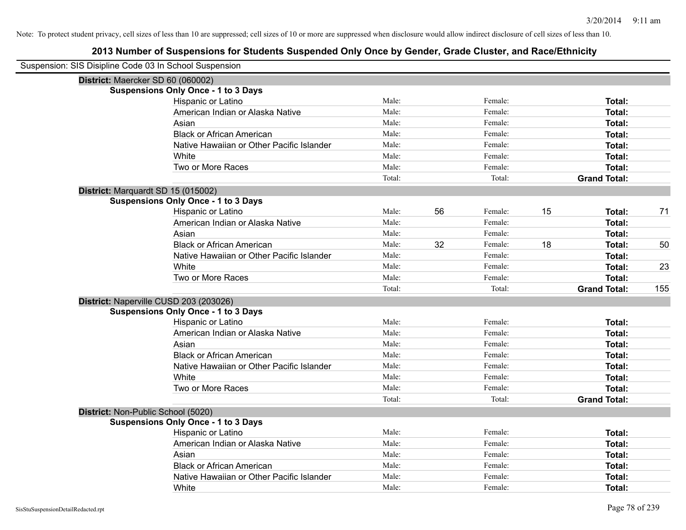| Suspension: SIS Disipline Code 03 In School Suspension |                                            |        |    |         |    |                     |     |
|--------------------------------------------------------|--------------------------------------------|--------|----|---------|----|---------------------|-----|
|                                                        | District: Maercker SD 60 (060002)          |        |    |         |    |                     |     |
|                                                        | <b>Suspensions Only Once - 1 to 3 Days</b> |        |    |         |    |                     |     |
|                                                        | Hispanic or Latino                         | Male:  |    | Female: |    | Total:              |     |
|                                                        | American Indian or Alaska Native           | Male:  |    | Female: |    | Total:              |     |
|                                                        | Asian                                      | Male:  |    | Female: |    | Total:              |     |
|                                                        | <b>Black or African American</b>           | Male:  |    | Female: |    | <b>Total:</b>       |     |
|                                                        | Native Hawaiian or Other Pacific Islander  | Male:  |    | Female: |    | <b>Total:</b>       |     |
|                                                        | White                                      | Male:  |    | Female: |    | <b>Total:</b>       |     |
|                                                        | Two or More Races                          | Male:  |    | Female: |    | Total:              |     |
|                                                        |                                            | Total: |    | Total:  |    | <b>Grand Total:</b> |     |
|                                                        | District: Marquardt SD 15 (015002)         |        |    |         |    |                     |     |
|                                                        | <b>Suspensions Only Once - 1 to 3 Days</b> |        |    |         |    |                     |     |
|                                                        | Hispanic or Latino                         | Male:  | 56 | Female: | 15 | <b>Total:</b>       | 71  |
|                                                        | American Indian or Alaska Native           | Male:  |    | Female: |    | Total:              |     |
|                                                        | Asian                                      | Male:  |    | Female: |    | <b>Total:</b>       |     |
|                                                        | <b>Black or African American</b>           | Male:  | 32 | Female: | 18 | Total:              | 50  |
|                                                        | Native Hawaiian or Other Pacific Islander  | Male:  |    | Female: |    | <b>Total:</b>       |     |
|                                                        | White                                      | Male:  |    | Female: |    | <b>Total:</b>       | 23  |
|                                                        | Two or More Races                          | Male:  |    | Female: |    | <b>Total:</b>       |     |
|                                                        |                                            | Total: |    | Total:  |    | <b>Grand Total:</b> | 155 |
|                                                        | District: Naperville CUSD 203 (203026)     |        |    |         |    |                     |     |
|                                                        | <b>Suspensions Only Once - 1 to 3 Days</b> |        |    |         |    |                     |     |
|                                                        | Hispanic or Latino                         | Male:  |    | Female: |    | <b>Total:</b>       |     |
|                                                        | American Indian or Alaska Native           | Male:  |    | Female: |    | Total:              |     |
|                                                        | Asian                                      | Male:  |    | Female: |    | <b>Total:</b>       |     |
|                                                        | <b>Black or African American</b>           | Male:  |    | Female: |    | <b>Total:</b>       |     |
|                                                        | Native Hawaiian or Other Pacific Islander  | Male:  |    | Female: |    | <b>Total:</b>       |     |
|                                                        | White                                      | Male:  |    | Female: |    | <b>Total:</b>       |     |
|                                                        | Two or More Races                          | Male:  |    | Female: |    | <b>Total:</b>       |     |
|                                                        |                                            | Total: |    | Total:  |    | <b>Grand Total:</b> |     |
|                                                        | District: Non-Public School (5020)         |        |    |         |    |                     |     |
|                                                        | <b>Suspensions Only Once - 1 to 3 Days</b> |        |    |         |    |                     |     |
|                                                        | Hispanic or Latino                         | Male:  |    | Female: |    | Total:              |     |
|                                                        | American Indian or Alaska Native           | Male:  |    | Female: |    | Total:              |     |
|                                                        | Asian                                      | Male:  |    | Female: |    | Total:              |     |
|                                                        | <b>Black or African American</b>           | Male:  |    | Female: |    | <b>Total:</b>       |     |
|                                                        | Native Hawaiian or Other Pacific Islander  | Male:  |    | Female: |    | <b>Total:</b>       |     |
|                                                        | White                                      | Male:  |    | Female: |    | Total:              |     |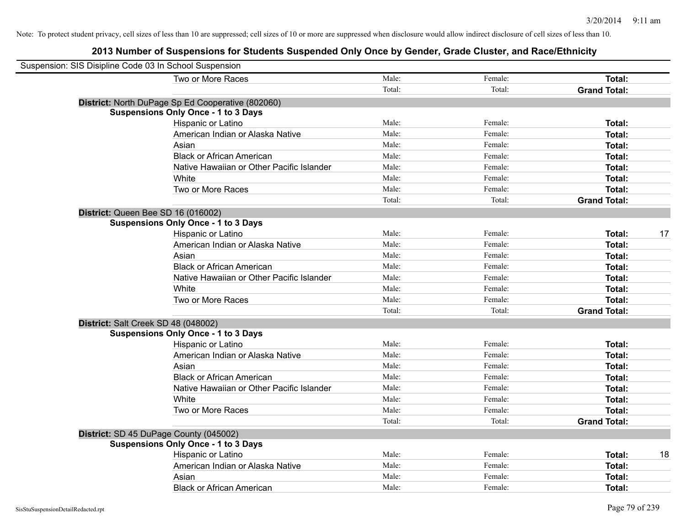| Suspension: SIS Disipline Code 03 In School Suspension |                                                   |        |         |                     |    |
|--------------------------------------------------------|---------------------------------------------------|--------|---------|---------------------|----|
|                                                        | Two or More Races                                 | Male:  | Female: | Total:              |    |
|                                                        |                                                   | Total: | Total:  | <b>Grand Total:</b> |    |
|                                                        | District: North DuPage Sp Ed Cooperative (802060) |        |         |                     |    |
|                                                        | <b>Suspensions Only Once - 1 to 3 Days</b>        |        |         |                     |    |
|                                                        | Hispanic or Latino                                | Male:  | Female: | <b>Total:</b>       |    |
|                                                        | American Indian or Alaska Native                  | Male:  | Female: | Total:              |    |
|                                                        | Asian                                             | Male:  | Female: | Total:              |    |
|                                                        | <b>Black or African American</b>                  | Male:  | Female: | Total:              |    |
|                                                        | Native Hawaiian or Other Pacific Islander         | Male:  | Female: | Total:              |    |
|                                                        | White                                             | Male:  | Female: | Total:              |    |
|                                                        | Two or More Races                                 | Male:  | Female: | Total:              |    |
|                                                        |                                                   | Total: | Total:  | <b>Grand Total:</b> |    |
| District: Queen Bee SD 16 (016002)                     |                                                   |        |         |                     |    |
|                                                        | <b>Suspensions Only Once - 1 to 3 Days</b>        |        |         |                     |    |
|                                                        | Hispanic or Latino                                | Male:  | Female: | Total:              | 17 |
|                                                        | American Indian or Alaska Native                  | Male:  | Female: | Total:              |    |
|                                                        | Asian                                             | Male:  | Female: | Total:              |    |
|                                                        | <b>Black or African American</b>                  | Male:  | Female: | Total:              |    |
|                                                        | Native Hawaiian or Other Pacific Islander         | Male:  | Female: | Total:              |    |
|                                                        | White                                             | Male:  | Female: | Total:              |    |
|                                                        | Two or More Races                                 | Male:  | Female: | Total:              |    |
|                                                        |                                                   | Total: | Total:  | <b>Grand Total:</b> |    |
| District: Salt Creek SD 48 (048002)                    |                                                   |        |         |                     |    |
|                                                        | <b>Suspensions Only Once - 1 to 3 Days</b>        |        |         |                     |    |
|                                                        | Hispanic or Latino                                | Male:  | Female: | Total:              |    |
|                                                        | American Indian or Alaska Native                  | Male:  | Female: | Total:              |    |
|                                                        | Asian                                             | Male:  | Female: | Total:              |    |
|                                                        | <b>Black or African American</b>                  | Male:  | Female: | Total:              |    |
|                                                        | Native Hawaiian or Other Pacific Islander         | Male:  | Female: | Total:              |    |
|                                                        | White                                             | Male:  | Female: | Total:              |    |
|                                                        | Two or More Races                                 | Male:  | Female: | Total:              |    |
|                                                        |                                                   | Total: | Total:  | <b>Grand Total:</b> |    |
| District: SD 45 DuPage County (045002)                 |                                                   |        |         |                     |    |
|                                                        | <b>Suspensions Only Once - 1 to 3 Days</b>        |        |         |                     |    |
|                                                        | Hispanic or Latino                                | Male:  | Female: | Total:              | 18 |
|                                                        | American Indian or Alaska Native                  | Male:  | Female: | Total:              |    |
|                                                        | Asian                                             | Male:  | Female: | Total:              |    |
|                                                        | <b>Black or African American</b>                  | Male:  | Female: | Total:              |    |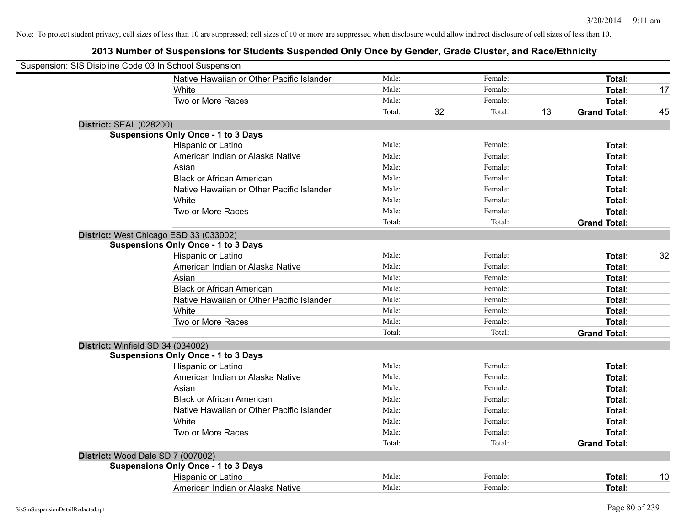| Suspension: SIS Disipline Code 03 In School Suspension |                                            |        |    |         |    |                     |    |
|--------------------------------------------------------|--------------------------------------------|--------|----|---------|----|---------------------|----|
|                                                        | Native Hawaiian or Other Pacific Islander  | Male:  |    | Female: |    | <b>Total:</b>       |    |
|                                                        | White                                      | Male:  |    | Female: |    | <b>Total:</b>       | 17 |
|                                                        | Two or More Races                          | Male:  |    | Female: |    | Total:              |    |
|                                                        |                                            | Total: | 32 | Total:  | 13 | <b>Grand Total:</b> | 45 |
| <b>District: SEAL (028200)</b>                         |                                            |        |    |         |    |                     |    |
|                                                        | <b>Suspensions Only Once - 1 to 3 Days</b> |        |    |         |    |                     |    |
|                                                        | Hispanic or Latino                         | Male:  |    | Female: |    | Total:              |    |
|                                                        | American Indian or Alaska Native           | Male:  |    | Female: |    | Total:              |    |
|                                                        | Asian                                      | Male:  |    | Female: |    | Total:              |    |
|                                                        | <b>Black or African American</b>           | Male:  |    | Female: |    | <b>Total:</b>       |    |
|                                                        | Native Hawaiian or Other Pacific Islander  | Male:  |    | Female: |    | Total:              |    |
|                                                        | White                                      | Male:  |    | Female: |    | <b>Total:</b>       |    |
|                                                        | Two or More Races                          | Male:  |    | Female: |    | Total:              |    |
|                                                        |                                            | Total: |    | Total:  |    | <b>Grand Total:</b> |    |
|                                                        | District: West Chicago ESD 33 (033002)     |        |    |         |    |                     |    |
|                                                        | <b>Suspensions Only Once - 1 to 3 Days</b> |        |    |         |    |                     |    |
|                                                        | Hispanic or Latino                         | Male:  |    | Female: |    | Total:              | 32 |
|                                                        | American Indian or Alaska Native           | Male:  |    | Female: |    | Total:              |    |
|                                                        | Asian                                      | Male:  |    | Female: |    | Total:              |    |
|                                                        | <b>Black or African American</b>           | Male:  |    | Female: |    | Total:              |    |
|                                                        | Native Hawaiian or Other Pacific Islander  | Male:  |    | Female: |    | Total:              |    |
|                                                        | White                                      | Male:  |    | Female: |    | Total:              |    |
|                                                        | Two or More Races                          | Male:  |    | Female: |    | Total:              |    |
|                                                        |                                            | Total: |    | Total:  |    | <b>Grand Total:</b> |    |
| District: Winfield SD 34 (034002)                      |                                            |        |    |         |    |                     |    |
|                                                        | <b>Suspensions Only Once - 1 to 3 Days</b> |        |    |         |    |                     |    |
|                                                        | Hispanic or Latino                         | Male:  |    | Female: |    | Total:              |    |
|                                                        | American Indian or Alaska Native           | Male:  |    | Female: |    | Total:              |    |
|                                                        | Asian                                      | Male:  |    | Female: |    | Total:              |    |
|                                                        | <b>Black or African American</b>           | Male:  |    | Female: |    | Total:              |    |
|                                                        | Native Hawaiian or Other Pacific Islander  | Male:  |    | Female: |    | Total:              |    |
|                                                        | White                                      | Male:  |    | Female: |    | Total:              |    |
|                                                        | Two or More Races                          | Male:  |    | Female: |    | <b>Total:</b>       |    |
|                                                        |                                            | Total: |    | Total:  |    | <b>Grand Total:</b> |    |
| District: Wood Dale SD 7 (007002)                      |                                            |        |    |         |    |                     |    |
|                                                        | <b>Suspensions Only Once - 1 to 3 Days</b> |        |    |         |    |                     |    |
|                                                        | Hispanic or Latino                         | Male:  |    | Female: |    | Total:              | 10 |
|                                                        | American Indian or Alaska Native           | Male:  |    | Female: |    | Total:              |    |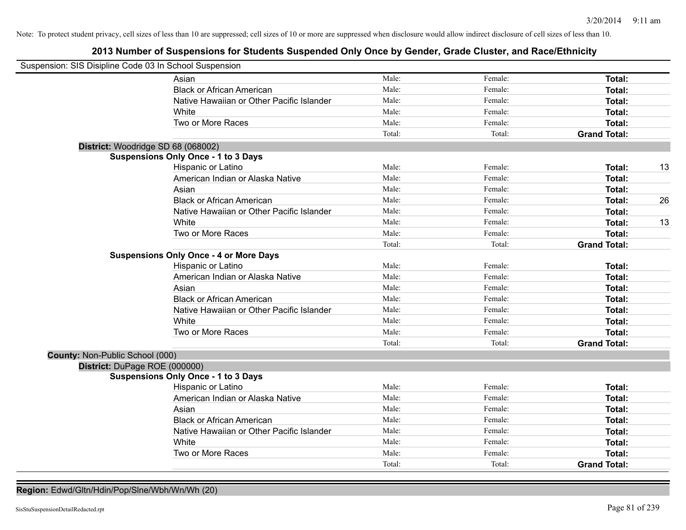## **2013 Number of Suspensions for Students Suspended Only Once by Gender, Grade Cluster, and Race/Ethnicity**

| Suspension: SIS Disipline Code 03 In School Suspension |                                               |        |         |                     |    |
|--------------------------------------------------------|-----------------------------------------------|--------|---------|---------------------|----|
|                                                        | Asian                                         | Male:  | Female: | Total:              |    |
|                                                        | <b>Black or African American</b>              | Male:  | Female: | Total:              |    |
|                                                        | Native Hawaiian or Other Pacific Islander     | Male:  | Female: | <b>Total:</b>       |    |
|                                                        | White                                         | Male:  | Female: | <b>Total:</b>       |    |
|                                                        | Two or More Races                             | Male:  | Female: | Total:              |    |
|                                                        |                                               | Total: | Total:  | <b>Grand Total:</b> |    |
| District: Woodridge SD 68 (068002)                     |                                               |        |         |                     |    |
|                                                        | <b>Suspensions Only Once - 1 to 3 Days</b>    |        |         |                     |    |
|                                                        | Hispanic or Latino                            | Male:  | Female: | <b>Total:</b>       | 13 |
|                                                        | American Indian or Alaska Native              | Male:  | Female: | <b>Total:</b>       |    |
|                                                        | Asian                                         | Male:  | Female: | <b>Total:</b>       |    |
|                                                        | <b>Black or African American</b>              | Male:  | Female: | <b>Total:</b>       | 26 |
|                                                        | Native Hawaiian or Other Pacific Islander     | Male:  | Female: | Total:              |    |
|                                                        | White                                         | Male:  | Female: | Total:              | 13 |
|                                                        | Two or More Races                             | Male:  | Female: | Total:              |    |
|                                                        |                                               | Total: | Total:  | <b>Grand Total:</b> |    |
|                                                        | <b>Suspensions Only Once - 4 or More Days</b> |        |         |                     |    |
|                                                        | Hispanic or Latino                            | Male:  | Female: | Total:              |    |
|                                                        | American Indian or Alaska Native              | Male:  | Female: | Total:              |    |
|                                                        | Asian                                         | Male:  | Female: | <b>Total:</b>       |    |
|                                                        | <b>Black or African American</b>              | Male:  | Female: | Total:              |    |
|                                                        | Native Hawaiian or Other Pacific Islander     | Male:  | Female: | Total:              |    |
|                                                        | White                                         | Male:  | Female: | <b>Total:</b>       |    |
|                                                        | Two or More Races                             | Male:  | Female: | <b>Total:</b>       |    |
|                                                        |                                               | Total: | Total:  | <b>Grand Total:</b> |    |
| County: Non-Public School (000)                        |                                               |        |         |                     |    |
| District: DuPage ROE (000000)                          |                                               |        |         |                     |    |
|                                                        | <b>Suspensions Only Once - 1 to 3 Days</b>    |        |         |                     |    |
|                                                        | Hispanic or Latino                            | Male:  | Female: | Total:              |    |
|                                                        | American Indian or Alaska Native              | Male:  | Female: | <b>Total:</b>       |    |
|                                                        | Asian                                         | Male:  | Female: | <b>Total:</b>       |    |
|                                                        | <b>Black or African American</b>              | Male:  | Female: | Total:              |    |
|                                                        | Native Hawaiian or Other Pacific Islander     | Male:  | Female: | <b>Total:</b>       |    |
|                                                        | White                                         | Male:  | Female: | <b>Total:</b>       |    |
|                                                        | Two or More Races                             | Male:  | Female: | <b>Total:</b>       |    |
|                                                        |                                               | Total: | Total:  | <b>Grand Total:</b> |    |

**Region:** Edwd/Gltn/Hdin/Pop/Slne/Wbh/Wn/Wh (20)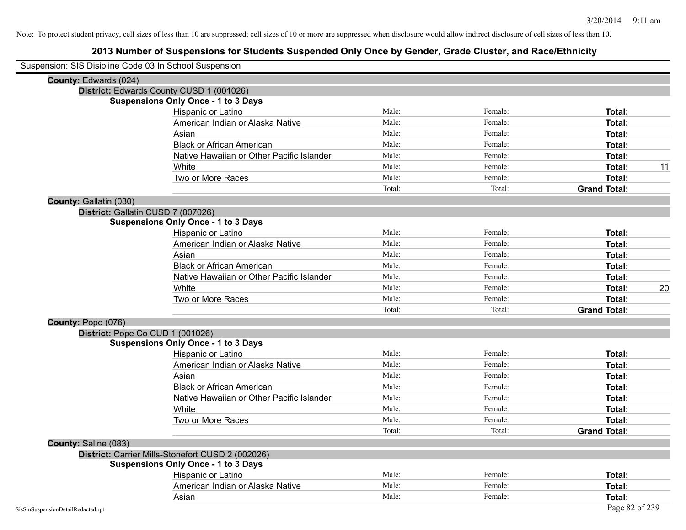| Suspension: SIS Disipline Code 03 In School Suspension |                                                   |        |         |                     |
|--------------------------------------------------------|---------------------------------------------------|--------|---------|---------------------|
| County: Edwards (024)                                  |                                                   |        |         |                     |
|                                                        | District: Edwards County CUSD 1 (001026)          |        |         |                     |
|                                                        | <b>Suspensions Only Once - 1 to 3 Days</b>        |        |         |                     |
|                                                        | Hispanic or Latino                                | Male:  | Female: | Total:              |
|                                                        | American Indian or Alaska Native                  | Male:  | Female: | Total:              |
|                                                        | Asian                                             | Male:  | Female: | Total:              |
|                                                        | <b>Black or African American</b>                  | Male:  | Female: | Total:              |
|                                                        | Native Hawaiian or Other Pacific Islander         | Male:  | Female: | Total:              |
|                                                        | White                                             | Male:  | Female: | Total:              |
|                                                        | Two or More Races                                 | Male:  | Female: | Total:              |
|                                                        |                                                   | Total: | Total:  | <b>Grand Total:</b> |
| County: Gallatin (030)                                 |                                                   |        |         |                     |
|                                                        | District: Gallatin CUSD 7 (007026)                |        |         |                     |
|                                                        | <b>Suspensions Only Once - 1 to 3 Days</b>        |        |         |                     |
|                                                        | Hispanic or Latino                                | Male:  | Female: | Total:              |
|                                                        | American Indian or Alaska Native                  | Male:  | Female: | Total:              |
|                                                        | Asian                                             | Male:  | Female: | Total:              |
|                                                        | <b>Black or African American</b>                  | Male:  | Female: | Total:              |
|                                                        | Native Hawaiian or Other Pacific Islander         | Male:  | Female: | Total:              |
|                                                        | White                                             | Male:  | Female: | Total:              |
|                                                        | Two or More Races                                 | Male:  | Female: | Total:              |
|                                                        |                                                   | Total: | Total:  | <b>Grand Total:</b> |
| County: Pope (076)                                     |                                                   |        |         |                     |
|                                                        | District: Pope Co CUD 1 (001026)                  |        |         |                     |
|                                                        | <b>Suspensions Only Once - 1 to 3 Days</b>        |        |         |                     |
|                                                        | Hispanic or Latino                                | Male:  | Female: | Total:              |
|                                                        | American Indian or Alaska Native                  | Male:  | Female: | Total:              |
|                                                        | Asian                                             | Male:  | Female: | Total:              |
|                                                        | <b>Black or African American</b>                  | Male:  | Female: | Total:              |
|                                                        | Native Hawaiian or Other Pacific Islander         | Male:  | Female: | Total:              |
|                                                        | White                                             | Male:  | Female: | Total:              |
|                                                        | Two or More Races                                 | Male:  | Female: | Total:              |
|                                                        |                                                   | Total: | Total:  | <b>Grand Total:</b> |
| County: Saline (083)                                   |                                                   |        |         |                     |
|                                                        | District: Carrier Mills-Stonefort CUSD 2 (002026) |        |         |                     |
|                                                        | <b>Suspensions Only Once - 1 to 3 Days</b>        |        |         |                     |
|                                                        | Hispanic or Latino                                | Male:  | Female: | Total:              |
|                                                        | American Indian or Alaska Native                  | Male:  | Female: | Total:              |
|                                                        | Asian                                             | Male:  | Female: | Total:              |
| SisStuSuspensionDetailRedacted.rpt                     |                                                   |        |         | Page 82 of 239      |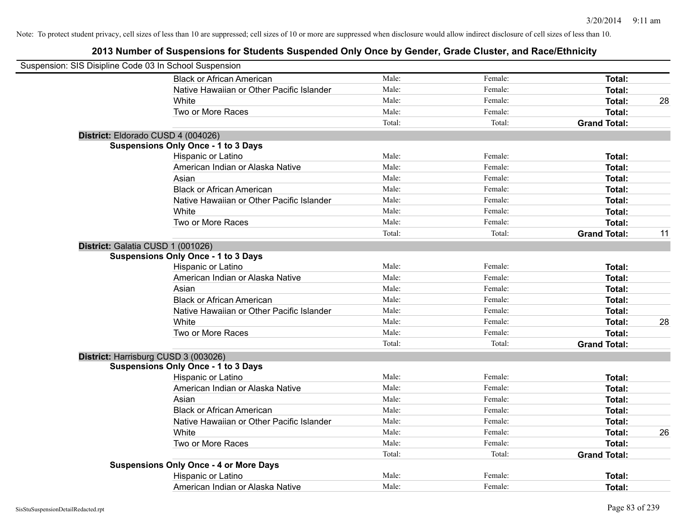| Suspension: SIS Disipline Code 03 In School Suspension |                                               |        |         |                     |    |
|--------------------------------------------------------|-----------------------------------------------|--------|---------|---------------------|----|
|                                                        | <b>Black or African American</b>              | Male:  | Female: | Total:              |    |
|                                                        | Native Hawaiian or Other Pacific Islander     | Male:  | Female: | Total:              |    |
|                                                        | White                                         | Male:  | Female: | Total:              | 28 |
|                                                        | Two or More Races                             | Male:  | Female: | Total:              |    |
|                                                        |                                               | Total: | Total:  | <b>Grand Total:</b> |    |
|                                                        | District: Eldorado CUSD 4 (004026)            |        |         |                     |    |
|                                                        | <b>Suspensions Only Once - 1 to 3 Days</b>    |        |         |                     |    |
|                                                        | Hispanic or Latino                            | Male:  | Female: | Total:              |    |
|                                                        | American Indian or Alaska Native              | Male:  | Female: | Total:              |    |
|                                                        | Asian                                         | Male:  | Female: | Total:              |    |
|                                                        | <b>Black or African American</b>              | Male:  | Female: | Total:              |    |
|                                                        | Native Hawaiian or Other Pacific Islander     | Male:  | Female: | Total:              |    |
|                                                        | White                                         | Male:  | Female: | Total:              |    |
|                                                        | Two or More Races                             | Male:  | Female: | Total:              |    |
|                                                        |                                               | Total: | Total:  | <b>Grand Total:</b> | 11 |
|                                                        | District: Galatia CUSD 1 (001026)             |        |         |                     |    |
|                                                        | <b>Suspensions Only Once - 1 to 3 Days</b>    |        |         |                     |    |
|                                                        | Hispanic or Latino                            | Male:  | Female: | Total:              |    |
|                                                        | American Indian or Alaska Native              | Male:  | Female: | Total:              |    |
|                                                        | Asian                                         | Male:  | Female: | Total:              |    |
|                                                        | <b>Black or African American</b>              | Male:  | Female: | Total:              |    |
|                                                        | Native Hawaiian or Other Pacific Islander     | Male:  | Female: | Total:              |    |
|                                                        | White                                         | Male:  | Female: | Total:              | 28 |
|                                                        | Two or More Races                             | Male:  | Female: | Total:              |    |
|                                                        |                                               | Total: | Total:  | <b>Grand Total:</b> |    |
|                                                        | District: Harrisburg CUSD 3 (003026)          |        |         |                     |    |
|                                                        | <b>Suspensions Only Once - 1 to 3 Days</b>    |        |         |                     |    |
|                                                        | Hispanic or Latino                            | Male:  | Female: | Total:              |    |
|                                                        | American Indian or Alaska Native              | Male:  | Female: | Total:              |    |
|                                                        | Asian                                         | Male:  | Female: | Total:              |    |
|                                                        | <b>Black or African American</b>              | Male:  | Female: | Total:              |    |
|                                                        | Native Hawaiian or Other Pacific Islander     | Male:  | Female: | Total:              |    |
|                                                        | White                                         | Male:  | Female: | Total:              | 26 |
|                                                        | Two or More Races                             | Male:  | Female: | Total:              |    |
|                                                        |                                               | Total: | Total:  | <b>Grand Total:</b> |    |
|                                                        | <b>Suspensions Only Once - 4 or More Days</b> |        |         |                     |    |
|                                                        | Hispanic or Latino                            | Male:  | Female: | Total:              |    |
|                                                        | American Indian or Alaska Native              | Male:  | Female: | Total:              |    |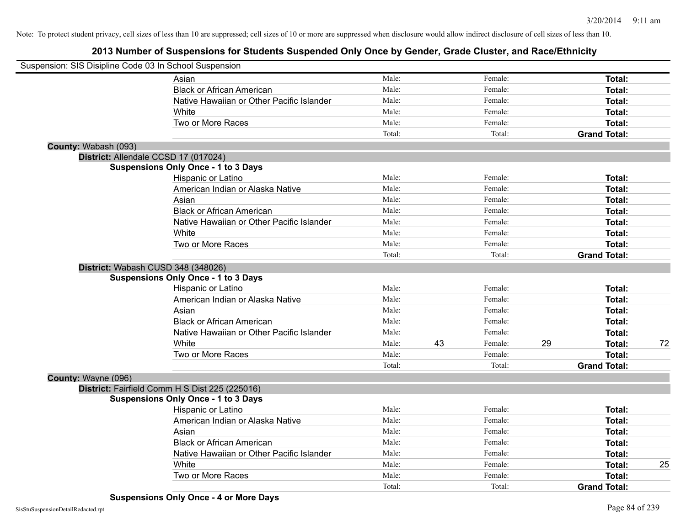| Suspension: SIS Disipline Code 03 In School Suspension |                                                |        |    |         |    |                     |    |
|--------------------------------------------------------|------------------------------------------------|--------|----|---------|----|---------------------|----|
|                                                        | Asian                                          | Male:  |    | Female: |    | Total:              |    |
|                                                        | <b>Black or African American</b>               | Male:  |    | Female: |    | Total:              |    |
|                                                        | Native Hawaiian or Other Pacific Islander      | Male:  |    | Female: |    | Total:              |    |
|                                                        | White                                          | Male:  |    | Female: |    | Total:              |    |
|                                                        | Two or More Races                              | Male:  |    | Female: |    | Total:              |    |
|                                                        |                                                | Total: |    | Total:  |    | <b>Grand Total:</b> |    |
| County: Wabash (093)                                   |                                                |        |    |         |    |                     |    |
|                                                        | District: Allendale CCSD 17 (017024)           |        |    |         |    |                     |    |
|                                                        | <b>Suspensions Only Once - 1 to 3 Days</b>     |        |    |         |    |                     |    |
|                                                        | Hispanic or Latino                             | Male:  |    | Female: |    | Total:              |    |
|                                                        | American Indian or Alaska Native               | Male:  |    | Female: |    | Total:              |    |
|                                                        | Asian                                          | Male:  |    | Female: |    | Total:              |    |
|                                                        | <b>Black or African American</b>               | Male:  |    | Female: |    | Total:              |    |
|                                                        | Native Hawaiian or Other Pacific Islander      | Male:  |    | Female: |    | Total:              |    |
|                                                        | White                                          | Male:  |    | Female: |    | Total:              |    |
|                                                        | Two or More Races                              | Male:  |    | Female: |    | Total:              |    |
|                                                        |                                                | Total: |    | Total:  |    | <b>Grand Total:</b> |    |
|                                                        | District: Wabash CUSD 348 (348026)             |        |    |         |    |                     |    |
|                                                        | <b>Suspensions Only Once - 1 to 3 Days</b>     |        |    |         |    |                     |    |
|                                                        | Hispanic or Latino                             | Male:  |    | Female: |    | Total:              |    |
|                                                        | American Indian or Alaska Native               | Male:  |    | Female: |    | Total:              |    |
|                                                        | Asian                                          | Male:  |    | Female: |    | Total:              |    |
|                                                        | <b>Black or African American</b>               | Male:  |    | Female: |    | Total:              |    |
|                                                        | Native Hawaiian or Other Pacific Islander      | Male:  |    | Female: |    | Total:              |    |
|                                                        | White                                          | Male:  | 43 | Female: | 29 | Total:              | 72 |
|                                                        | Two or More Races                              | Male:  |    | Female: |    | Total:              |    |
|                                                        |                                                | Total: |    | Total:  |    | <b>Grand Total:</b> |    |
| County: Wayne (096)                                    |                                                |        |    |         |    |                     |    |
|                                                        | District: Fairfield Comm H S Dist 225 (225016) |        |    |         |    |                     |    |
|                                                        | <b>Suspensions Only Once - 1 to 3 Days</b>     |        |    |         |    |                     |    |
|                                                        | Hispanic or Latino                             | Male:  |    | Female: |    | Total:              |    |
|                                                        | American Indian or Alaska Native               | Male:  |    | Female: |    | Total:              |    |
|                                                        | Asian                                          | Male:  |    | Female: |    | Total:              |    |
|                                                        | <b>Black or African American</b>               | Male:  |    | Female: |    | Total:              |    |
|                                                        | Native Hawaiian or Other Pacific Islander      | Male:  |    | Female: |    | Total:              |    |
|                                                        | White                                          | Male:  |    | Female: |    | Total:              | 25 |
|                                                        | Two or More Races                              | Male:  |    | Female: |    | Total:              |    |
|                                                        |                                                | Total: |    | Total:  |    | <b>Grand Total:</b> |    |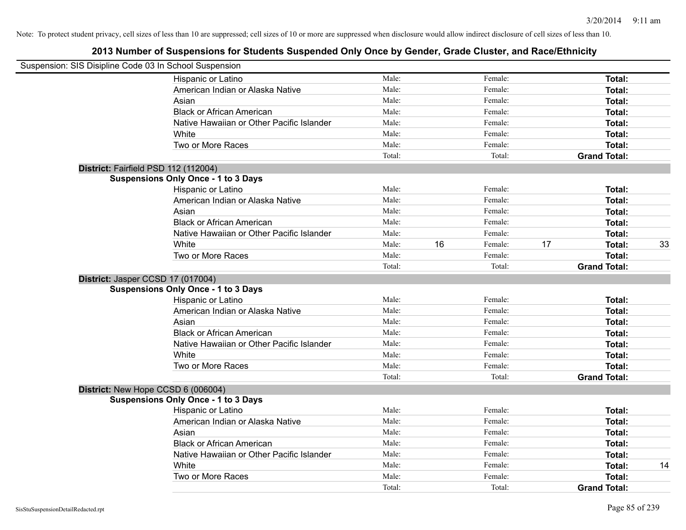| Suspension: SIS Disipline Code 03 In School Suspension |        |    |         |    |                     |    |
|--------------------------------------------------------|--------|----|---------|----|---------------------|----|
| Hispanic or Latino                                     | Male:  |    | Female: |    | Total:              |    |
| American Indian or Alaska Native                       | Male:  |    | Female: |    | Total:              |    |
| Asian                                                  | Male:  |    | Female: |    | Total:              |    |
| <b>Black or African American</b>                       | Male:  |    | Female: |    | Total:              |    |
| Native Hawaiian or Other Pacific Islander              | Male:  |    | Female: |    | Total:              |    |
| White                                                  | Male:  |    | Female: |    | Total:              |    |
| Two or More Races                                      | Male:  |    | Female: |    | Total:              |    |
|                                                        | Total: |    | Total:  |    | <b>Grand Total:</b> |    |
| District: Fairfield PSD 112 (112004)                   |        |    |         |    |                     |    |
| <b>Suspensions Only Once - 1 to 3 Days</b>             |        |    |         |    |                     |    |
| Hispanic or Latino                                     | Male:  |    | Female: |    | Total:              |    |
| American Indian or Alaska Native                       | Male:  |    | Female: |    | Total:              |    |
| Asian                                                  | Male:  |    | Female: |    | Total:              |    |
| <b>Black or African American</b>                       | Male:  |    | Female: |    | Total:              |    |
| Native Hawaiian or Other Pacific Islander              | Male:  |    | Female: |    | Total:              |    |
| White                                                  | Male:  | 16 | Female: | 17 | Total:              | 33 |
| Two or More Races                                      | Male:  |    | Female: |    | Total:              |    |
|                                                        | Total: |    | Total:  |    | <b>Grand Total:</b> |    |
| District: Jasper CCSD 17 (017004)                      |        |    |         |    |                     |    |
| <b>Suspensions Only Once - 1 to 3 Days</b>             |        |    |         |    |                     |    |
| Hispanic or Latino                                     | Male:  |    | Female: |    | Total:              |    |
| American Indian or Alaska Native                       | Male:  |    | Female: |    | Total:              |    |
| Asian                                                  | Male:  |    | Female: |    | Total:              |    |
| <b>Black or African American</b>                       | Male:  |    | Female: |    | Total:              |    |
| Native Hawaiian or Other Pacific Islander              | Male:  |    | Female: |    | Total:              |    |
| White                                                  | Male:  |    | Female: |    | Total:              |    |
| Two or More Races                                      | Male:  |    | Female: |    | Total:              |    |
|                                                        | Total: |    | Total:  |    | <b>Grand Total:</b> |    |
| District: New Hope CCSD 6 (006004)                     |        |    |         |    |                     |    |
| <b>Suspensions Only Once - 1 to 3 Days</b>             |        |    |         |    |                     |    |
| Hispanic or Latino                                     | Male:  |    | Female: |    | Total:              |    |
| American Indian or Alaska Native                       | Male:  |    | Female: |    | Total:              |    |
| Asian                                                  | Male:  |    | Female: |    | Total:              |    |
| <b>Black or African American</b>                       | Male:  |    | Female: |    | Total:              |    |
| Native Hawaiian or Other Pacific Islander              | Male:  |    | Female: |    | Total:              |    |
| White                                                  | Male:  |    | Female: |    | Total:              | 14 |
| Two or More Races                                      | Male:  |    | Female: |    | Total:              |    |
|                                                        | Total: |    | Total:  |    | <b>Grand Total:</b> |    |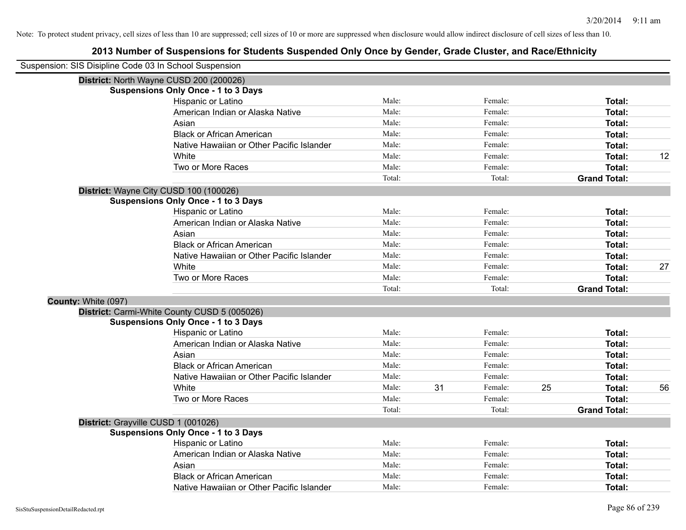|                     | Suspension: SIS Disipline Code 03 In School Suspension |        |    |         |    |                     |    |
|---------------------|--------------------------------------------------------|--------|----|---------|----|---------------------|----|
|                     | District: North Wayne CUSD 200 (200026)                |        |    |         |    |                     |    |
|                     | <b>Suspensions Only Once - 1 to 3 Days</b>             |        |    |         |    |                     |    |
|                     | Hispanic or Latino                                     | Male:  |    | Female: |    | Total:              |    |
|                     | American Indian or Alaska Native                       | Male:  |    | Female: |    | Total:              |    |
|                     | Asian                                                  | Male:  |    | Female: |    | Total:              |    |
|                     | <b>Black or African American</b>                       | Male:  |    | Female: |    | Total:              |    |
|                     | Native Hawaiian or Other Pacific Islander              | Male:  |    | Female: |    | Total:              |    |
|                     | White                                                  | Male:  |    | Female: |    | Total:              | 12 |
|                     | Two or More Races                                      | Male:  |    | Female: |    | Total:              |    |
|                     |                                                        | Total: |    | Total:  |    | <b>Grand Total:</b> |    |
|                     | District: Wayne City CUSD 100 (100026)                 |        |    |         |    |                     |    |
|                     | <b>Suspensions Only Once - 1 to 3 Days</b>             |        |    |         |    |                     |    |
|                     | Hispanic or Latino                                     | Male:  |    | Female: |    | Total:              |    |
|                     | American Indian or Alaska Native                       | Male:  |    | Female: |    | Total:              |    |
|                     | Asian                                                  | Male:  |    | Female: |    | Total:              |    |
|                     | <b>Black or African American</b>                       | Male:  |    | Female: |    | Total:              |    |
|                     | Native Hawaiian or Other Pacific Islander              | Male:  |    | Female: |    | Total:              |    |
|                     | White                                                  | Male:  |    | Female: |    | Total:              | 27 |
|                     | Two or More Races                                      | Male:  |    | Female: |    | Total:              |    |
|                     |                                                        | Total: |    | Total:  |    | <b>Grand Total:</b> |    |
| County: White (097) |                                                        |        |    |         |    |                     |    |
|                     | District: Carmi-White County CUSD 5 (005026)           |        |    |         |    |                     |    |
|                     | <b>Suspensions Only Once - 1 to 3 Days</b>             |        |    |         |    |                     |    |
|                     | Hispanic or Latino                                     | Male:  |    | Female: |    | Total:              |    |
|                     | American Indian or Alaska Native                       | Male:  |    | Female: |    | Total:              |    |
|                     | Asian                                                  | Male:  |    | Female: |    | Total:              |    |
|                     | <b>Black or African American</b>                       | Male:  |    | Female: |    | Total:              |    |
|                     | Native Hawaiian or Other Pacific Islander              | Male:  |    | Female: |    | Total:              |    |
|                     | White                                                  | Male:  | 31 | Female: | 25 | Total:              | 56 |
|                     | Two or More Races                                      | Male:  |    | Female: |    | Total:              |    |
|                     |                                                        | Total: |    | Total:  |    | <b>Grand Total:</b> |    |
|                     | District: Grayville CUSD 1 (001026)                    |        |    |         |    |                     |    |
|                     | <b>Suspensions Only Once - 1 to 3 Days</b>             |        |    |         |    |                     |    |
|                     | Hispanic or Latino                                     | Male:  |    | Female: |    | Total:              |    |
|                     | American Indian or Alaska Native                       | Male:  |    | Female: |    | Total:              |    |
|                     | Asian                                                  | Male:  |    | Female: |    | Total:              |    |
|                     | <b>Black or African American</b>                       | Male:  |    | Female: |    | <b>Total:</b>       |    |
|                     | Native Hawaiian or Other Pacific Islander              | Male:  |    | Female: |    | Total:              |    |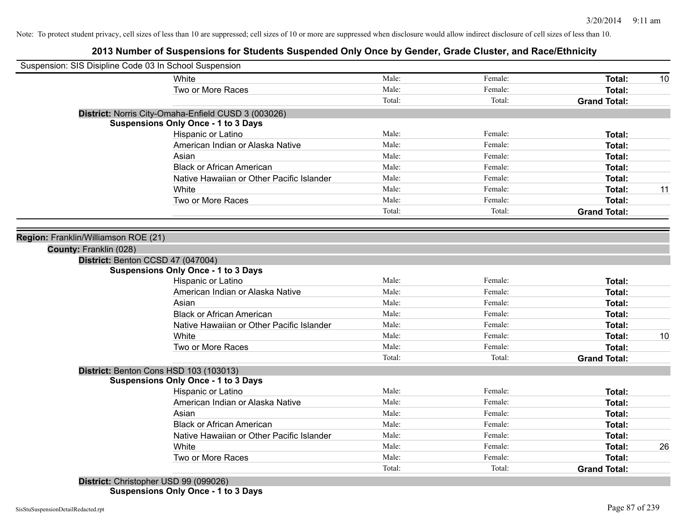## **2013 Number of Suspensions for Students Suspended Only Once by Gender, Grade Cluster, and Race/Ethnicity**

| Suspension: SIS Disipline Code 03 In School Suspension |                                           |        |         |                     |    |
|--------------------------------------------------------|-------------------------------------------|--------|---------|---------------------|----|
| White                                                  |                                           | Male:  | Female: | Total:              | 10 |
|                                                        | Two or More Races                         | Male:  | Female: | Total:              |    |
|                                                        |                                           | Total: | Total:  | <b>Grand Total:</b> |    |
| District: Norris City-Omaha-Enfield CUSD 3 (003026)    |                                           |        |         |                     |    |
| <b>Suspensions Only Once - 1 to 3 Days</b>             |                                           |        |         |                     |    |
|                                                        | Hispanic or Latino                        | Male:  | Female: | Total:              |    |
|                                                        | American Indian or Alaska Native          | Male:  | Female: | Total:              |    |
| Asian                                                  |                                           | Male:  | Female: | Total:              |    |
|                                                        | <b>Black or African American</b>          | Male:  | Female: | Total:              |    |
|                                                        | Native Hawaiian or Other Pacific Islander | Male:  | Female: | Total:              |    |
| White                                                  |                                           | Male:  | Female: | Total:              | 11 |
|                                                        | Two or More Races                         | Male:  | Female: | Total:              |    |
|                                                        |                                           | Total: | Total:  | <b>Grand Total:</b> |    |
|                                                        |                                           |        |         |                     |    |
| Region: Franklin/Williamson ROE (21)                   |                                           |        |         |                     |    |
| County: Franklin (028)                                 |                                           |        |         |                     |    |
| District: Benton CCSD 47 (047004)                      |                                           |        |         |                     |    |
| <b>Suspensions Only Once - 1 to 3 Days</b>             |                                           |        |         |                     |    |
|                                                        | Hispanic or Latino                        | Male:  | Female: | Total:              |    |
|                                                        | American Indian or Alaska Native          | Male:  | Female: | Total:              |    |
| Asian                                                  |                                           | Male:  | Female: | Total:              |    |
|                                                        | <b>Black or African American</b>          | Male:  | Female: | Total:              |    |
|                                                        | Native Hawaiian or Other Pacific Islander | Male:  | Female: | Total:              |    |
| White                                                  |                                           | Male:  | Female: | Total:              | 10 |
|                                                        | Two or More Races                         | Male:  | Female: | Total:              |    |
|                                                        |                                           | Total: | Total:  | <b>Grand Total:</b> |    |
| District: Benton Cons HSD 103 (103013)                 |                                           |        |         |                     |    |
| <b>Suspensions Only Once - 1 to 3 Days</b>             |                                           |        |         |                     |    |
|                                                        | Hispanic or Latino                        | Male:  | Female: | Total:              |    |
|                                                        | American Indian or Alaska Native          | Male:  | Female: | Total:              |    |
| Asian                                                  |                                           | Male:  | Female: | Total:              |    |
|                                                        | <b>Black or African American</b>          | Male:  | Female: | Total:              |    |
|                                                        | Native Hawaiian or Other Pacific Islander | Male:  | Female: | Total:              |    |
| White                                                  |                                           | Male:  | Female: | Total:              | 26 |
|                                                        | Two or More Races                         | Male:  | Female: | Total:              |    |
|                                                        |                                           | Total: | Total:  | <b>Grand Total:</b> |    |
| District: Christopher USD 99 (099026)                  |                                           |        |         |                     |    |

**Suspensions Only Once - 1 to 3 Days**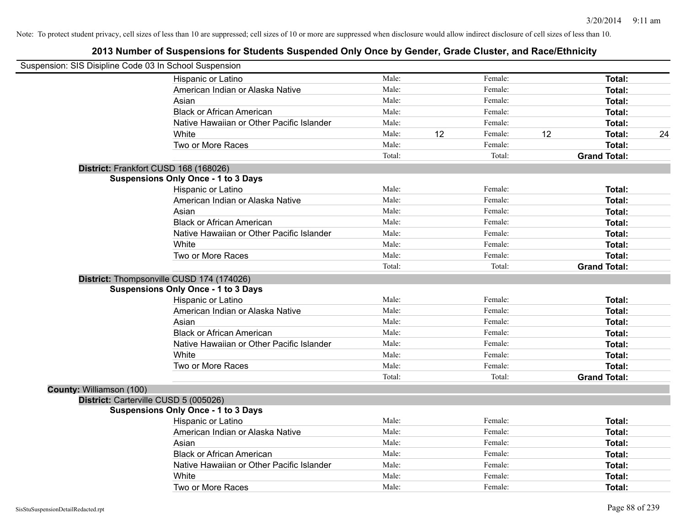| Suspension: SIS Disipline Code 03 In School Suspension |                                            |        |    |         |    |                     |    |
|--------------------------------------------------------|--------------------------------------------|--------|----|---------|----|---------------------|----|
|                                                        | Hispanic or Latino                         | Male:  |    | Female: |    | Total:              |    |
|                                                        | American Indian or Alaska Native           | Male:  |    | Female: |    | Total:              |    |
|                                                        | Asian                                      | Male:  |    | Female: |    | <b>Total:</b>       |    |
|                                                        | <b>Black or African American</b>           | Male:  |    | Female: |    | <b>Total:</b>       |    |
|                                                        | Native Hawaiian or Other Pacific Islander  | Male:  |    | Female: |    | Total:              |    |
|                                                        | White                                      | Male:  | 12 | Female: | 12 | <b>Total:</b>       | 24 |
|                                                        | Two or More Races                          | Male:  |    | Female: |    | <b>Total:</b>       |    |
|                                                        |                                            | Total: |    | Total:  |    | <b>Grand Total:</b> |    |
|                                                        | District: Frankfort CUSD 168 (168026)      |        |    |         |    |                     |    |
|                                                        | <b>Suspensions Only Once - 1 to 3 Days</b> |        |    |         |    |                     |    |
|                                                        | Hispanic or Latino                         | Male:  |    | Female: |    | Total:              |    |
|                                                        | American Indian or Alaska Native           | Male:  |    | Female: |    | Total:              |    |
|                                                        | Asian                                      | Male:  |    | Female: |    | Total:              |    |
|                                                        | <b>Black or African American</b>           | Male:  |    | Female: |    | Total:              |    |
|                                                        | Native Hawaiian or Other Pacific Islander  | Male:  |    | Female: |    | <b>Total:</b>       |    |
|                                                        | White                                      | Male:  |    | Female: |    | <b>Total:</b>       |    |
|                                                        | Two or More Races                          | Male:  |    | Female: |    | Total:              |    |
|                                                        |                                            | Total: |    | Total:  |    | <b>Grand Total:</b> |    |
|                                                        | District: Thompsonville CUSD 174 (174026)  |        |    |         |    |                     |    |
|                                                        | <b>Suspensions Only Once - 1 to 3 Days</b> |        |    |         |    |                     |    |
|                                                        | Hispanic or Latino                         | Male:  |    | Female: |    | <b>Total:</b>       |    |
|                                                        | American Indian or Alaska Native           | Male:  |    | Female: |    | <b>Total:</b>       |    |
|                                                        | Asian                                      | Male:  |    | Female: |    | <b>Total:</b>       |    |
|                                                        | <b>Black or African American</b>           | Male:  |    | Female: |    | Total:              |    |
|                                                        | Native Hawaiian or Other Pacific Islander  | Male:  |    | Female: |    | <b>Total:</b>       |    |
|                                                        | White                                      | Male:  |    | Female: |    | <b>Total:</b>       |    |
|                                                        | Two or More Races                          | Male:  |    | Female: |    | <b>Total:</b>       |    |
|                                                        |                                            | Total: |    | Total:  |    | <b>Grand Total:</b> |    |
| County: Williamson (100)                               |                                            |        |    |         |    |                     |    |
|                                                        | District: Carterville CUSD 5 (005026)      |        |    |         |    |                     |    |
|                                                        | <b>Suspensions Only Once - 1 to 3 Days</b> |        |    |         |    |                     |    |
|                                                        | Hispanic or Latino                         | Male:  |    | Female: |    | Total:              |    |
|                                                        | American Indian or Alaska Native           | Male:  |    | Female: |    | Total:              |    |
|                                                        | Asian                                      | Male:  |    | Female: |    | <b>Total:</b>       |    |
|                                                        | <b>Black or African American</b>           | Male:  |    | Female: |    | <b>Total:</b>       |    |
|                                                        | Native Hawaiian or Other Pacific Islander  | Male:  |    | Female: |    | <b>Total:</b>       |    |
|                                                        | White                                      | Male:  |    | Female: |    | <b>Total:</b>       |    |
|                                                        | Two or More Races                          | Male:  |    | Female: |    | Total:              |    |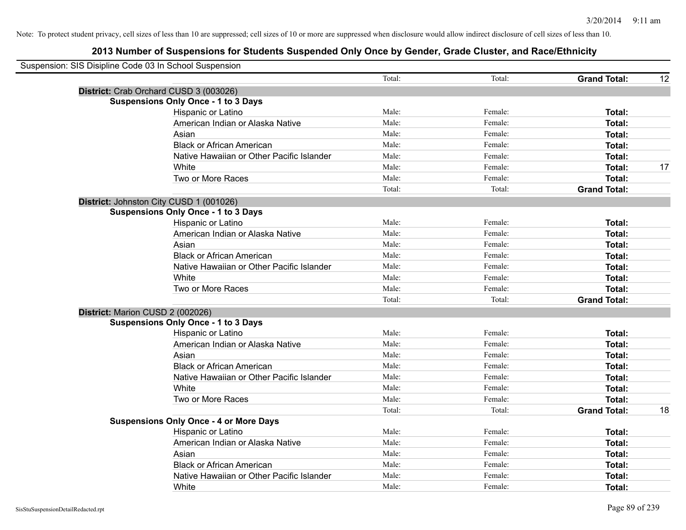| Suspension: SIS Disipline Code 03 In School Suspension |                                               |        |         |                     |    |
|--------------------------------------------------------|-----------------------------------------------|--------|---------|---------------------|----|
|                                                        |                                               | Total: | Total:  | <b>Grand Total:</b> | 12 |
|                                                        | District: Crab Orchard CUSD 3 (003026)        |        |         |                     |    |
|                                                        | <b>Suspensions Only Once - 1 to 3 Days</b>    |        |         |                     |    |
|                                                        | Hispanic or Latino                            | Male:  | Female: | Total:              |    |
|                                                        | American Indian or Alaska Native              | Male:  | Female: | Total:              |    |
|                                                        | Asian                                         | Male:  | Female: | Total:              |    |
|                                                        | <b>Black or African American</b>              | Male:  | Female: | Total:              |    |
|                                                        | Native Hawaiian or Other Pacific Islander     | Male:  | Female: | Total:              |    |
|                                                        | White                                         | Male:  | Female: | Total:              | 17 |
|                                                        | Two or More Races                             | Male:  | Female: | Total:              |    |
|                                                        |                                               | Total: | Total:  | <b>Grand Total:</b> |    |
|                                                        | District: Johnston City CUSD 1 (001026)       |        |         |                     |    |
|                                                        | <b>Suspensions Only Once - 1 to 3 Days</b>    |        |         |                     |    |
|                                                        | Hispanic or Latino                            | Male:  | Female: | Total:              |    |
|                                                        | American Indian or Alaska Native              | Male:  | Female: | Total:              |    |
|                                                        | Asian                                         | Male:  | Female: | Total:              |    |
|                                                        | <b>Black or African American</b>              | Male:  | Female: | Total:              |    |
|                                                        | Native Hawaiian or Other Pacific Islander     | Male:  | Female: | Total:              |    |
|                                                        | White                                         | Male:  | Female: | Total:              |    |
|                                                        | Two or More Races                             | Male:  | Female: | Total:              |    |
|                                                        |                                               | Total: | Total:  | <b>Grand Total:</b> |    |
|                                                        | District: Marion CUSD 2 (002026)              |        |         |                     |    |
|                                                        | <b>Suspensions Only Once - 1 to 3 Days</b>    |        |         |                     |    |
|                                                        | Hispanic or Latino                            | Male:  | Female: | Total:              |    |
|                                                        | American Indian or Alaska Native              | Male:  | Female: | <b>Total:</b>       |    |
|                                                        | Asian                                         | Male:  | Female: | Total:              |    |
|                                                        | <b>Black or African American</b>              | Male:  | Female: | Total:              |    |
|                                                        | Native Hawaiian or Other Pacific Islander     | Male:  | Female: | Total:              |    |
|                                                        | White                                         | Male:  | Female: | Total:              |    |
|                                                        | Two or More Races                             | Male:  | Female: | Total:              |    |
|                                                        |                                               | Total: | Total:  | <b>Grand Total:</b> | 18 |
|                                                        | <b>Suspensions Only Once - 4 or More Days</b> |        |         |                     |    |
|                                                        | Hispanic or Latino                            | Male:  | Female: | Total:              |    |
|                                                        | American Indian or Alaska Native              | Male:  | Female: | Total:              |    |
|                                                        | Asian                                         | Male:  | Female: | Total:              |    |
|                                                        | <b>Black or African American</b>              | Male:  | Female: | Total:              |    |
|                                                        | Native Hawaiian or Other Pacific Islander     | Male:  | Female: | <b>Total:</b>       |    |
|                                                        | White                                         | Male:  | Female: | Total:              |    |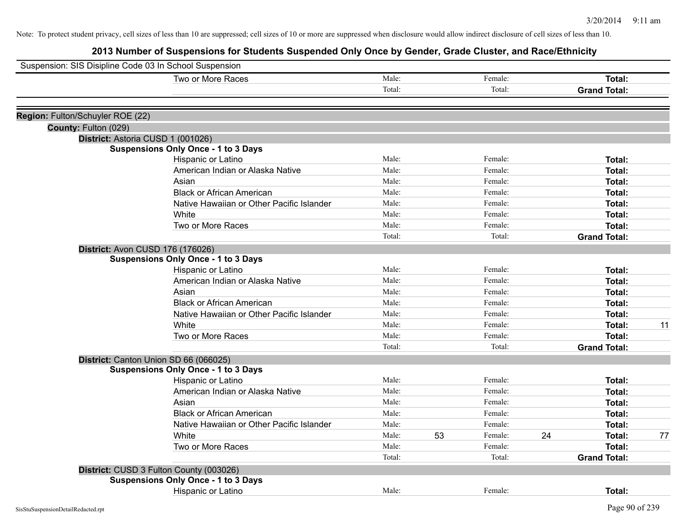| Suspension: SIS Disipline Code 03 In School Suspension |                                            |        |    |         |    |                     |    |
|--------------------------------------------------------|--------------------------------------------|--------|----|---------|----|---------------------|----|
|                                                        | Two or More Races                          | Male:  |    | Female: |    | Total:              |    |
|                                                        |                                            | Total: |    | Total:  |    | <b>Grand Total:</b> |    |
|                                                        |                                            |        |    |         |    |                     |    |
| Region: Fulton/Schuyler ROE (22)                       |                                            |        |    |         |    |                     |    |
| County: Fulton (029)                                   |                                            |        |    |         |    |                     |    |
|                                                        | District: Astoria CUSD 1 (001026)          |        |    |         |    |                     |    |
|                                                        | <b>Suspensions Only Once - 1 to 3 Days</b> |        |    |         |    |                     |    |
|                                                        | Hispanic or Latino                         | Male:  |    | Female: |    | Total:              |    |
|                                                        | American Indian or Alaska Native           | Male:  |    | Female: |    | Total:              |    |
|                                                        | Asian                                      | Male:  |    | Female: |    | Total:              |    |
|                                                        | <b>Black or African American</b>           | Male:  |    | Female: |    | Total:              |    |
|                                                        | Native Hawaiian or Other Pacific Islander  | Male:  |    | Female: |    | Total:              |    |
|                                                        | White                                      | Male:  |    | Female: |    | Total:              |    |
|                                                        | Two or More Races                          | Male:  |    | Female: |    | Total:              |    |
|                                                        |                                            | Total: |    | Total:  |    | <b>Grand Total:</b> |    |
|                                                        | District: Avon CUSD 176 (176026)           |        |    |         |    |                     |    |
|                                                        | <b>Suspensions Only Once - 1 to 3 Days</b> |        |    |         |    |                     |    |
|                                                        | Hispanic or Latino                         | Male:  |    | Female: |    | Total:              |    |
|                                                        | American Indian or Alaska Native           | Male:  |    | Female: |    | Total:              |    |
|                                                        | Asian                                      | Male:  |    | Female: |    | Total:              |    |
|                                                        | <b>Black or African American</b>           | Male:  |    | Female: |    | Total:              |    |
|                                                        | Native Hawaiian or Other Pacific Islander  | Male:  |    | Female: |    | Total:              |    |
|                                                        | White                                      | Male:  |    | Female: |    | Total:              | 11 |
|                                                        | Two or More Races                          | Male:  |    | Female: |    | Total:              |    |
|                                                        |                                            | Total: |    | Total:  |    | <b>Grand Total:</b> |    |
|                                                        | District: Canton Union SD 66 (066025)      |        |    |         |    |                     |    |
|                                                        | <b>Suspensions Only Once - 1 to 3 Days</b> |        |    |         |    |                     |    |
|                                                        | Hispanic or Latino                         | Male:  |    | Female: |    | Total:              |    |
|                                                        | American Indian or Alaska Native           | Male:  |    | Female: |    | Total:              |    |
|                                                        | Asian                                      | Male:  |    | Female: |    | Total:              |    |
|                                                        | <b>Black or African American</b>           | Male:  |    | Female: |    | Total:              |    |
|                                                        | Native Hawaiian or Other Pacific Islander  | Male:  |    | Female: |    | Total:              |    |
|                                                        | White                                      | Male:  | 53 | Female: | 24 | Total:              | 77 |
|                                                        | Two or More Races                          | Male:  |    | Female: |    | Total:              |    |
|                                                        |                                            | Total: |    | Total:  |    | <b>Grand Total:</b> |    |
|                                                        | District: CUSD 3 Fulton County (003026)    |        |    |         |    |                     |    |
|                                                        | <b>Suspensions Only Once - 1 to 3 Days</b> |        |    |         |    |                     |    |
|                                                        | <b>Hispanic or Latino</b>                  | Male:  |    | Female: |    | Total:              |    |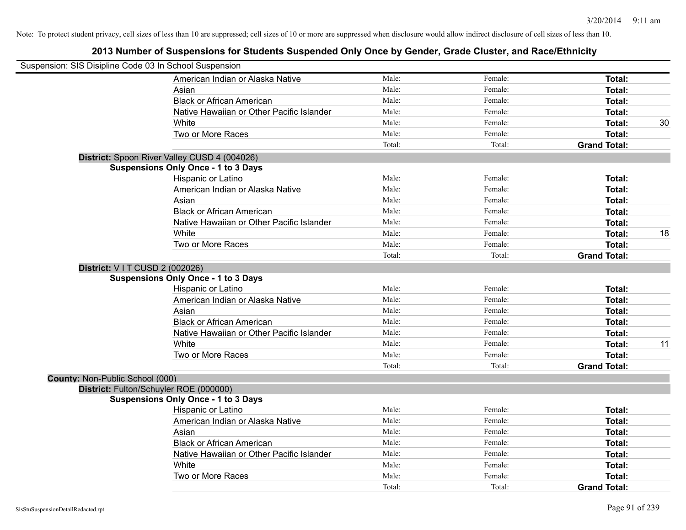| Suspension: SIS Disipline Code 03 In School Suspension |                                              |        |         |                     |    |
|--------------------------------------------------------|----------------------------------------------|--------|---------|---------------------|----|
|                                                        | American Indian or Alaska Native             | Male:  | Female: | Total:              |    |
|                                                        | Asian                                        | Male:  | Female: | Total:              |    |
|                                                        | <b>Black or African American</b>             | Male:  | Female: | Total:              |    |
|                                                        | Native Hawaiian or Other Pacific Islander    | Male:  | Female: | Total:              |    |
|                                                        | White                                        | Male:  | Female: | Total:              | 30 |
|                                                        | Two or More Races                            | Male:  | Female: | Total:              |    |
|                                                        |                                              | Total: | Total:  | <b>Grand Total:</b> |    |
|                                                        | District: Spoon River Valley CUSD 4 (004026) |        |         |                     |    |
|                                                        | <b>Suspensions Only Once - 1 to 3 Days</b>   |        |         |                     |    |
|                                                        | Hispanic or Latino                           | Male:  | Female: | Total:              |    |
|                                                        | American Indian or Alaska Native             | Male:  | Female: | Total:              |    |
|                                                        | Asian                                        | Male:  | Female: | Total:              |    |
|                                                        | <b>Black or African American</b>             | Male:  | Female: | Total:              |    |
|                                                        | Native Hawaiian or Other Pacific Islander    | Male:  | Female: | Total:              |    |
|                                                        | White                                        | Male:  | Female: | Total:              | 18 |
|                                                        | Two or More Races                            | Male:  | Female: | Total:              |    |
|                                                        |                                              | Total: | Total:  | <b>Grand Total:</b> |    |
| District: V I T CUSD 2 (002026)                        |                                              |        |         |                     |    |
|                                                        | <b>Suspensions Only Once - 1 to 3 Days</b>   |        |         |                     |    |
|                                                        | Hispanic or Latino                           | Male:  | Female: | Total:              |    |
|                                                        | American Indian or Alaska Native             | Male:  | Female: | Total:              |    |
|                                                        | Asian                                        | Male:  | Female: | Total:              |    |
|                                                        | <b>Black or African American</b>             | Male:  | Female: | Total:              |    |
|                                                        | Native Hawaiian or Other Pacific Islander    | Male:  | Female: | Total:              |    |
|                                                        | White                                        | Male:  | Female: | Total:              | 11 |
|                                                        | Two or More Races                            | Male:  | Female: | Total:              |    |
|                                                        |                                              | Total: | Total:  | <b>Grand Total:</b> |    |
| County: Non-Public School (000)                        |                                              |        |         |                     |    |
|                                                        | District: Fulton/Schuyler ROE (000000)       |        |         |                     |    |
|                                                        | <b>Suspensions Only Once - 1 to 3 Days</b>   |        |         |                     |    |
|                                                        | Hispanic or Latino                           | Male:  | Female: | Total:              |    |
|                                                        | American Indian or Alaska Native             | Male:  | Female: | Total:              |    |
|                                                        | Asian                                        | Male:  | Female: | Total:              |    |
|                                                        | <b>Black or African American</b>             | Male:  | Female: | Total:              |    |
|                                                        | Native Hawaiian or Other Pacific Islander    | Male:  | Female: | Total:              |    |
|                                                        | White                                        | Male:  | Female: | Total:              |    |
|                                                        | Two or More Races                            | Male:  | Female: | Total:              |    |
|                                                        |                                              | Total: | Total:  | <b>Grand Total:</b> |    |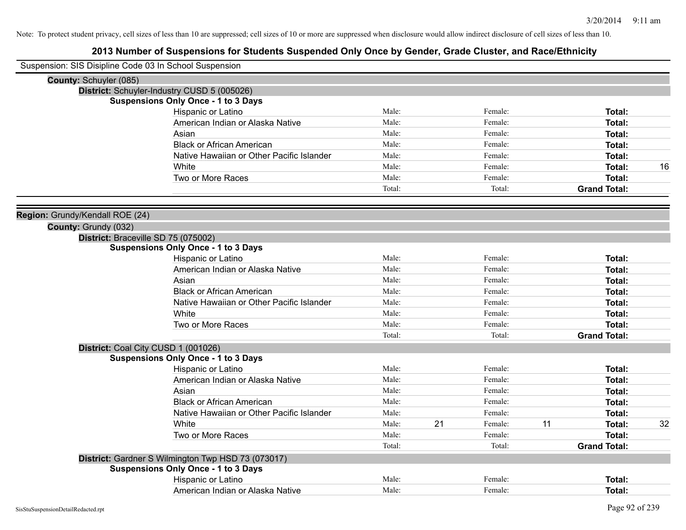| Suspension: SIS Disipline Code 03 In School Suspension |        |    |         |    |                     |    |
|--------------------------------------------------------|--------|----|---------|----|---------------------|----|
| County: Schuyler (085)                                 |        |    |         |    |                     |    |
| District: Schuyler-Industry CUSD 5 (005026)            |        |    |         |    |                     |    |
| <b>Suspensions Only Once - 1 to 3 Days</b>             |        |    |         |    |                     |    |
| <b>Hispanic or Latino</b>                              | Male:  |    | Female: |    | Total:              |    |
| American Indian or Alaska Native                       | Male:  |    | Female: |    | <b>Total:</b>       |    |
| Asian                                                  | Male:  |    | Female: |    | <b>Total:</b>       |    |
| <b>Black or African American</b>                       | Male:  |    | Female: |    | <b>Total:</b>       |    |
| Native Hawaiian or Other Pacific Islander              | Male:  |    | Female: |    | <b>Total:</b>       |    |
| White                                                  | Male:  |    | Female: |    | <b>Total:</b>       | 16 |
| Two or More Races                                      | Male:  |    | Female: |    | <b>Total:</b>       |    |
|                                                        | Total: |    | Total:  |    | <b>Grand Total:</b> |    |
| Region: Grundy/Kendall ROE (24)                        |        |    |         |    |                     |    |
| County: Grundy (032)                                   |        |    |         |    |                     |    |
| District: Braceville SD 75 (075002)                    |        |    |         |    |                     |    |
| <b>Suspensions Only Once - 1 to 3 Days</b>             |        |    |         |    |                     |    |
| Hispanic or Latino                                     | Male:  |    | Female: |    | Total:              |    |
| American Indian or Alaska Native                       | Male:  |    | Female: |    | <b>Total:</b>       |    |
| Asian                                                  | Male:  |    | Female: |    | <b>Total:</b>       |    |
| <b>Black or African American</b>                       | Male:  |    | Female: |    | <b>Total:</b>       |    |
| Native Hawaiian or Other Pacific Islander              | Male:  |    | Female: |    | Total:              |    |
| White                                                  | Male:  |    | Female: |    | Total:              |    |
| Two or More Races                                      | Male:  |    | Female: |    | Total:              |    |
|                                                        | Total: |    | Total:  |    | <b>Grand Total:</b> |    |
| District: Coal City CUSD 1 (001026)                    |        |    |         |    |                     |    |
| <b>Suspensions Only Once - 1 to 3 Days</b>             |        |    |         |    |                     |    |
| Hispanic or Latino                                     | Male:  |    | Female: |    | Total:              |    |
| American Indian or Alaska Native                       | Male:  |    | Female: |    | <b>Total:</b>       |    |
| Asian                                                  | Male:  |    | Female: |    | <b>Total:</b>       |    |
| <b>Black or African American</b>                       | Male:  |    | Female: |    | <b>Total:</b>       |    |
| Native Hawaiian or Other Pacific Islander              | Male:  |    | Female: |    | <b>Total:</b>       |    |
| White                                                  | Male:  | 21 | Female: | 11 | <b>Total:</b>       | 32 |
| Two or More Races                                      | Male:  |    | Female: |    | Total:              |    |
|                                                        | Total: |    | Total:  |    | <b>Grand Total:</b> |    |
| District: Gardner S Wilmington Twp HSD 73 (073017)     |        |    |         |    |                     |    |
| <b>Suspensions Only Once - 1 to 3 Days</b>             |        |    |         |    |                     |    |
| Hispanic or Latino                                     | Male:  |    | Female: |    | <b>Total:</b>       |    |
| American Indian or Alaska Native                       | Male:  |    | Female: |    | Total:              |    |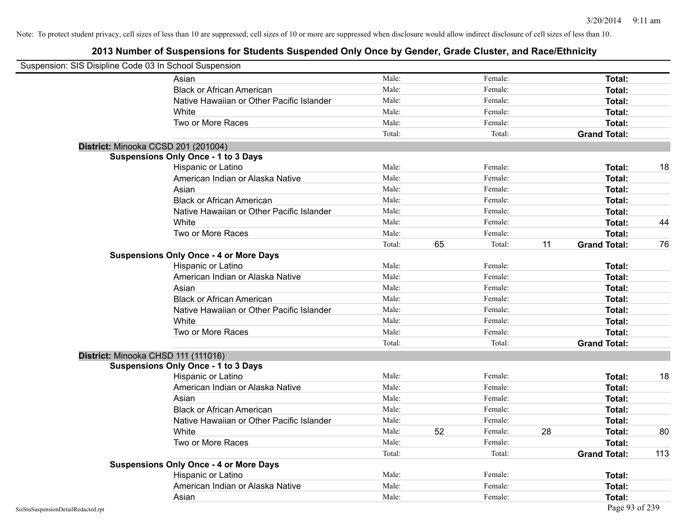|                                    | Suspension: SIS Disipline Code 03 In School Suspension |        |    |         |    |                     |     |
|------------------------------------|--------------------------------------------------------|--------|----|---------|----|---------------------|-----|
|                                    | Asian                                                  | Male:  |    | Female: |    | <b>Total:</b>       |     |
|                                    | <b>Black or African American</b>                       | Male:  |    | Female: |    | Total:              |     |
|                                    | Native Hawaiian or Other Pacific Islander              | Male:  |    | Female: |    | Total:              |     |
|                                    | White                                                  | Male:  |    | Female: |    | Total:              |     |
|                                    | Two or More Races                                      | Male:  |    | Female: |    | Total:              |     |
|                                    |                                                        | Total: |    | Total:  |    | <b>Grand Total:</b> |     |
|                                    | District: Minooka CCSD 201 (201004)                    |        |    |         |    |                     |     |
|                                    | <b>Suspensions Only Once - 1 to 3 Days</b>             |        |    |         |    |                     |     |
|                                    | Hispanic or Latino                                     | Male:  |    | Female: |    | Total:              | 18  |
|                                    | American Indian or Alaska Native                       | Male:  |    | Female: |    | Total:              |     |
|                                    | Asian                                                  | Male:  |    | Female: |    | Total:              |     |
|                                    | <b>Black or African American</b>                       | Male:  |    | Female: |    | Total:              |     |
|                                    | Native Hawaiian or Other Pacific Islander              | Male:  |    | Female: |    | Total:              |     |
|                                    | White                                                  | Male:  |    | Female: |    | Total:              | 44  |
|                                    | Two or More Races                                      | Male:  |    | Female: |    | <b>Total:</b>       |     |
|                                    |                                                        | Total: | 65 | Total:  | 11 | <b>Grand Total:</b> | 76  |
|                                    | <b>Suspensions Only Once - 4 or More Days</b>          |        |    |         |    |                     |     |
|                                    | Hispanic or Latino                                     | Male:  |    | Female: |    | Total:              |     |
|                                    | American Indian or Alaska Native                       | Male:  |    | Female: |    | Total:              |     |
|                                    | Asian                                                  | Male:  |    | Female: |    | Total:              |     |
|                                    | <b>Black or African American</b>                       | Male:  |    | Female: |    | Total:              |     |
|                                    | Native Hawaiian or Other Pacific Islander              | Male:  |    | Female: |    | Total:              |     |
|                                    | White                                                  | Male:  |    | Female: |    | Total:              |     |
|                                    | Two or More Races                                      | Male:  |    | Female: |    | <b>Total:</b>       |     |
|                                    |                                                        | Total: |    | Total:  |    | <b>Grand Total:</b> |     |
|                                    | District: Minooka CHSD 111 (111016)                    |        |    |         |    |                     |     |
|                                    | <b>Suspensions Only Once - 1 to 3 Days</b>             |        |    |         |    |                     |     |
|                                    | Hispanic or Latino                                     | Male:  |    | Female: |    | Total:              | 18  |
|                                    | American Indian or Alaska Native                       | Male:  |    | Female: |    | Total:              |     |
|                                    | Asian                                                  | Male:  |    | Female: |    | Total:              |     |
|                                    | <b>Black or African American</b>                       | Male:  |    | Female: |    | Total:              |     |
|                                    | Native Hawaiian or Other Pacific Islander              | Male:  |    | Female: |    | Total:              |     |
|                                    | White                                                  | Male:  | 52 | Female: | 28 | Total:              | 80  |
|                                    | Two or More Races                                      | Male:  |    | Female: |    | Total:              |     |
|                                    |                                                        | Total: |    | Total:  |    | <b>Grand Total:</b> | 113 |
|                                    | <b>Suspensions Only Once - 4 or More Days</b>          |        |    |         |    |                     |     |
|                                    | Hispanic or Latino                                     | Male:  |    | Female: |    | Total:              |     |
|                                    | American Indian or Alaska Native                       | Male:  |    | Female: |    | Total:              |     |
|                                    | Asian                                                  | Male:  |    | Female: |    | Total:              |     |
| SisStuSuspensionDetailRedacted.rpt |                                                        |        |    |         |    | Page 93 of 239      |     |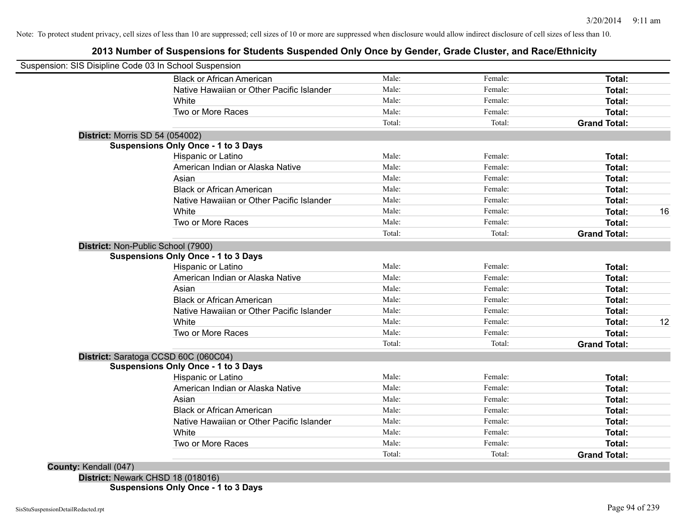## **2013 Number of Suspensions for Students Suspended Only Once by Gender, Grade Cluster, and Race/Ethnicity**

| <b>Black or African American</b>           | Male:  | Female: | Total:              |
|--------------------------------------------|--------|---------|---------------------|
| Native Hawaiian or Other Pacific Islander  | Male:  | Female: | Total:              |
| White                                      | Male:  | Female: | Total:              |
| Two or More Races                          | Male:  | Female: | Total:              |
|                                            | Total: | Total:  | <b>Grand Total:</b> |
| <b>District: Morris SD 54 (054002)</b>     |        |         |                     |
| <b>Suspensions Only Once - 1 to 3 Days</b> |        |         |                     |
| Hispanic or Latino                         | Male:  | Female: | Total:              |
| American Indian or Alaska Native           | Male:  | Female: | Total:              |
| Asian                                      | Male:  | Female: | Total:              |
| <b>Black or African American</b>           | Male:  | Female: | Total:              |
| Native Hawaiian or Other Pacific Islander  | Male:  | Female: | Total:              |
| White                                      | Male:  | Female: | Total:              |
| Two or More Races                          | Male:  | Female: | Total:              |
|                                            | Total: | Total:  | <b>Grand Total:</b> |
| District: Non-Public School (7900)         |        |         |                     |
| <b>Suspensions Only Once - 1 to 3 Days</b> |        |         |                     |
| Hispanic or Latino                         | Male:  | Female: | Total:              |
| American Indian or Alaska Native           | Male:  | Female: | Total:              |
| Asian                                      | Male:  | Female: | Total:              |
| <b>Black or African American</b>           | Male:  | Female: | Total:              |
| Native Hawaiian or Other Pacific Islander  | Male:  | Female: | Total:              |
| White                                      | Male:  | Female: | Total:              |
| Two or More Races                          | Male:  | Female: | Total:              |
|                                            | Total: | Total:  | <b>Grand Total:</b> |
| District: Saratoga CCSD 60C (060C04)       |        |         |                     |
| <b>Suspensions Only Once - 1 to 3 Days</b> |        |         |                     |
| Hispanic or Latino                         | Male:  | Female: | Total:              |
| American Indian or Alaska Native           | Male:  | Female: | Total:              |
| Asian                                      | Male:  | Female: | Total:              |
| <b>Black or African American</b>           | Male:  | Female: | Total:              |
| Native Hawaiian or Other Pacific Islander  | Male:  | Female: | Total:              |
| White                                      | Male:  | Female: | Total:              |
| Two or More Races                          | Male:  | Female: | Total:              |
|                                            | Total: | Total:  | <b>Grand Total:</b> |
| County: Kendall (047)                      |        |         |                     |

**Suspensions Only Once - 1 to 3 Days**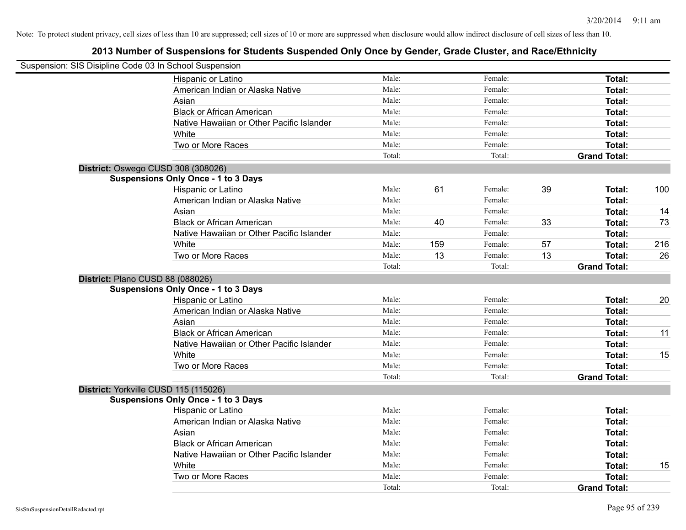| Suspension: SIS Disipline Code 03 In School Suspension |                                            |        |     |         |    |                     |     |
|--------------------------------------------------------|--------------------------------------------|--------|-----|---------|----|---------------------|-----|
|                                                        | Hispanic or Latino                         | Male:  |     | Female: |    | Total:              |     |
|                                                        | American Indian or Alaska Native           | Male:  |     | Female: |    | Total:              |     |
|                                                        | Asian                                      | Male:  |     | Female: |    | Total:              |     |
|                                                        | <b>Black or African American</b>           | Male:  |     | Female: |    | Total:              |     |
|                                                        | Native Hawaiian or Other Pacific Islander  | Male:  |     | Female: |    | Total:              |     |
|                                                        | White                                      | Male:  |     | Female: |    | Total:              |     |
|                                                        | Two or More Races                          | Male:  |     | Female: |    | Total:              |     |
|                                                        |                                            | Total: |     | Total:  |    | <b>Grand Total:</b> |     |
| District: Oswego CUSD 308 (308026)                     |                                            |        |     |         |    |                     |     |
|                                                        | <b>Suspensions Only Once - 1 to 3 Days</b> |        |     |         |    |                     |     |
|                                                        | Hispanic or Latino                         | Male:  | 61  | Female: | 39 | Total:              | 100 |
|                                                        | American Indian or Alaska Native           | Male:  |     | Female: |    | Total:              |     |
|                                                        | Asian                                      | Male:  |     | Female: |    | Total:              | 14  |
|                                                        | <b>Black or African American</b>           | Male:  | 40  | Female: | 33 | Total:              | 73  |
|                                                        | Native Hawaiian or Other Pacific Islander  | Male:  |     | Female: |    | Total:              |     |
|                                                        | White                                      | Male:  | 159 | Female: | 57 | Total:              | 216 |
|                                                        | Two or More Races                          | Male:  | 13  | Female: | 13 | <b>Total:</b>       | 26  |
|                                                        |                                            | Total: |     | Total:  |    | <b>Grand Total:</b> |     |
| District: Plano CUSD 88 (088026)                       |                                            |        |     |         |    |                     |     |
|                                                        | <b>Suspensions Only Once - 1 to 3 Days</b> |        |     |         |    |                     |     |
|                                                        | Hispanic or Latino                         | Male:  |     | Female: |    | Total:              | 20  |
|                                                        | American Indian or Alaska Native           | Male:  |     | Female: |    | Total:              |     |
|                                                        | Asian                                      | Male:  |     | Female: |    | Total:              |     |
|                                                        | <b>Black or African American</b>           | Male:  |     | Female: |    | Total:              | 11  |
|                                                        | Native Hawaiian or Other Pacific Islander  | Male:  |     | Female: |    | Total:              |     |
|                                                        | White                                      | Male:  |     | Female: |    | Total:              | 15  |
|                                                        | Two or More Races                          | Male:  |     | Female: |    | Total:              |     |
|                                                        |                                            | Total: |     | Total:  |    | <b>Grand Total:</b> |     |
| District: Yorkville CUSD 115 (115026)                  |                                            |        |     |         |    |                     |     |
|                                                        | <b>Suspensions Only Once - 1 to 3 Days</b> |        |     |         |    |                     |     |
|                                                        | Hispanic or Latino                         | Male:  |     | Female: |    | Total:              |     |
|                                                        | American Indian or Alaska Native           | Male:  |     | Female: |    | Total:              |     |
|                                                        | Asian                                      | Male:  |     | Female: |    | Total:              |     |
|                                                        | <b>Black or African American</b>           | Male:  |     | Female: |    | Total:              |     |
|                                                        | Native Hawaiian or Other Pacific Islander  | Male:  |     | Female: |    | Total:              |     |
|                                                        | White                                      | Male:  |     | Female: |    | <b>Total:</b>       | 15  |
|                                                        | Two or More Races                          | Male:  |     | Female: |    | <b>Total:</b>       |     |
|                                                        |                                            | Total: |     | Total:  |    | <b>Grand Total:</b> |     |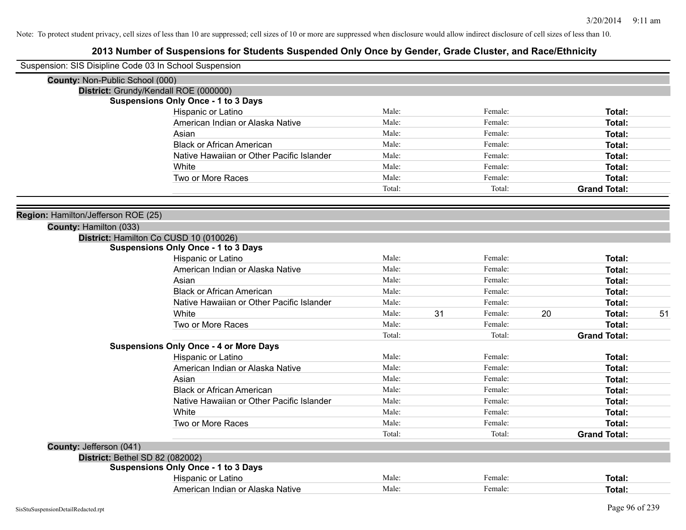| Suspension: SIS Disipline Code 03 In School Suspension |                                               |        |    |         |    |                     |    |
|--------------------------------------------------------|-----------------------------------------------|--------|----|---------|----|---------------------|----|
| County: Non-Public School (000)                        |                                               |        |    |         |    |                     |    |
| District: Grundy/Kendall ROE (000000)                  |                                               |        |    |         |    |                     |    |
|                                                        | <b>Suspensions Only Once - 1 to 3 Days</b>    |        |    |         |    |                     |    |
|                                                        | <b>Hispanic or Latino</b>                     | Male:  |    | Female: |    | Total:              |    |
|                                                        | American Indian or Alaska Native              | Male:  |    | Female: |    | Total:              |    |
|                                                        | Asian                                         | Male:  |    | Female: |    | <b>Total:</b>       |    |
|                                                        | <b>Black or African American</b>              | Male:  |    | Female: |    | <b>Total:</b>       |    |
|                                                        | Native Hawaiian or Other Pacific Islander     | Male:  |    | Female: |    | Total:              |    |
|                                                        | White                                         | Male:  |    | Female: |    | Total:              |    |
|                                                        | Two or More Races                             | Male:  |    | Female: |    | Total:              |    |
|                                                        |                                               | Total: |    | Total:  |    | <b>Grand Total:</b> |    |
| Region: Hamilton/Jefferson ROE (25)                    |                                               |        |    |         |    |                     |    |
| County: Hamilton (033)                                 |                                               |        |    |         |    |                     |    |
| District: Hamilton Co CUSD 10 (010026)                 |                                               |        |    |         |    |                     |    |
|                                                        | <b>Suspensions Only Once - 1 to 3 Days</b>    |        |    |         |    |                     |    |
|                                                        | Hispanic or Latino                            | Male:  |    | Female: |    | Total:              |    |
|                                                        | American Indian or Alaska Native              | Male:  |    | Female: |    | Total:              |    |
|                                                        | Asian                                         | Male:  |    | Female: |    | <b>Total:</b>       |    |
|                                                        | <b>Black or African American</b>              | Male:  |    | Female: |    | <b>Total:</b>       |    |
|                                                        | Native Hawaiian or Other Pacific Islander     | Male:  |    | Female: |    | Total:              |    |
|                                                        | White                                         | Male:  | 31 | Female: | 20 | <b>Total:</b>       | 51 |
|                                                        | Two or More Races                             | Male:  |    | Female: |    | <b>Total:</b>       |    |
|                                                        |                                               | Total: |    | Total:  |    | <b>Grand Total:</b> |    |
|                                                        | <b>Suspensions Only Once - 4 or More Days</b> |        |    |         |    |                     |    |
|                                                        | Hispanic or Latino                            | Male:  |    | Female: |    | Total:              |    |
|                                                        | American Indian or Alaska Native              | Male:  |    | Female: |    | <b>Total:</b>       |    |
|                                                        | Asian                                         | Male:  |    | Female: |    | <b>Total:</b>       |    |
|                                                        | <b>Black or African American</b>              | Male:  |    | Female: |    | Total:              |    |
|                                                        | Native Hawaiian or Other Pacific Islander     | Male:  |    | Female: |    | Total:              |    |
|                                                        | White                                         | Male:  |    | Female: |    | Total:              |    |
|                                                        | Two or More Races                             | Male:  |    | Female: |    | Total:              |    |
|                                                        |                                               | Total: |    | Total:  |    | <b>Grand Total:</b> |    |
| County: Jefferson (041)                                |                                               |        |    |         |    |                     |    |
| District: Bethel SD 82 (082002)                        |                                               |        |    |         |    |                     |    |
|                                                        | <b>Suspensions Only Once - 1 to 3 Days</b>    |        |    |         |    |                     |    |
|                                                        | Hispanic or Latino                            | Male:  |    | Female: |    | Total:              |    |
|                                                        | American Indian or Alaska Native              | Male:  |    | Female: |    | Total:              |    |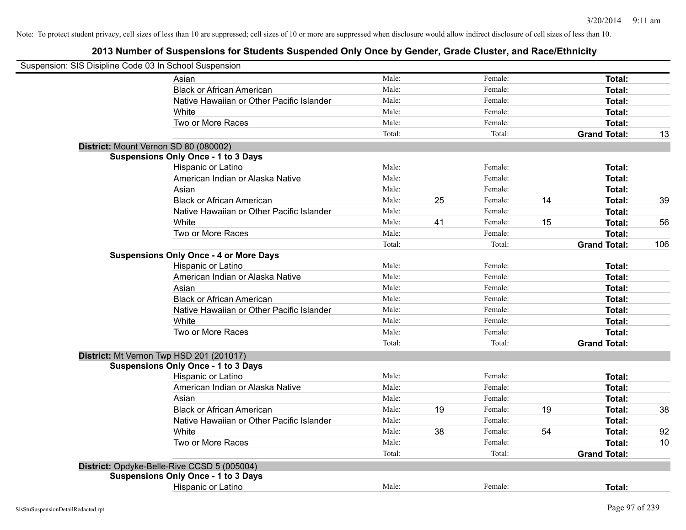| Suspension: SIS Disipline Code 03 In School Suspension |                                               |        |    |         |    |                     |     |
|--------------------------------------------------------|-----------------------------------------------|--------|----|---------|----|---------------------|-----|
|                                                        | Asian                                         | Male:  |    | Female: |    | Total:              |     |
|                                                        | <b>Black or African American</b>              | Male:  |    | Female: |    | Total:              |     |
|                                                        | Native Hawaiian or Other Pacific Islander     | Male:  |    | Female: |    | Total:              |     |
|                                                        | White                                         | Male:  |    | Female: |    | Total:              |     |
|                                                        | Two or More Races                             | Male:  |    | Female: |    | Total:              |     |
|                                                        |                                               | Total: |    | Total:  |    | <b>Grand Total:</b> | 13  |
|                                                        | District: Mount Vernon SD 80 (080002)         |        |    |         |    |                     |     |
|                                                        | <b>Suspensions Only Once - 1 to 3 Days</b>    |        |    |         |    |                     |     |
|                                                        | Hispanic or Latino                            | Male:  |    | Female: |    | Total:              |     |
|                                                        | American Indian or Alaska Native              | Male:  |    | Female: |    | Total:              |     |
|                                                        | Asian                                         | Male:  |    | Female: |    | Total:              |     |
|                                                        | <b>Black or African American</b>              | Male:  | 25 | Female: | 14 | Total:              | 39  |
|                                                        | Native Hawaiian or Other Pacific Islander     | Male:  |    | Female: |    | Total:              |     |
|                                                        | White                                         | Male:  | 41 | Female: | 15 | Total:              | 56  |
|                                                        | Two or More Races                             | Male:  |    | Female: |    | Total:              |     |
|                                                        |                                               | Total: |    | Total:  |    | <b>Grand Total:</b> | 106 |
|                                                        | <b>Suspensions Only Once - 4 or More Days</b> |        |    |         |    |                     |     |
|                                                        | Hispanic or Latino                            | Male:  |    | Female: |    | Total:              |     |
|                                                        | American Indian or Alaska Native              | Male:  |    | Female: |    | Total:              |     |
|                                                        | Asian                                         | Male:  |    | Female: |    | Total:              |     |
|                                                        | <b>Black or African American</b>              | Male:  |    | Female: |    | Total:              |     |
|                                                        | Native Hawaiian or Other Pacific Islander     | Male:  |    | Female: |    | Total:              |     |
|                                                        | White                                         | Male:  |    | Female: |    | Total:              |     |
|                                                        | Two or More Races                             | Male:  |    | Female: |    | Total:              |     |
|                                                        |                                               | Total: |    | Total:  |    | <b>Grand Total:</b> |     |
|                                                        | District: Mt Vernon Twp HSD 201 (201017)      |        |    |         |    |                     |     |
|                                                        | <b>Suspensions Only Once - 1 to 3 Days</b>    |        |    |         |    |                     |     |
|                                                        | Hispanic or Latino                            | Male:  |    | Female: |    | Total:              |     |
|                                                        | American Indian or Alaska Native              | Male:  |    | Female: |    | Total:              |     |
|                                                        | Asian                                         | Male:  |    | Female: |    | Total:              |     |
|                                                        | <b>Black or African American</b>              | Male:  | 19 | Female: | 19 | Total:              | 38  |
|                                                        | Native Hawaiian or Other Pacific Islander     | Male:  |    | Female: |    | Total:              |     |
|                                                        | White                                         | Male:  | 38 | Female: | 54 | Total:              | 92  |
|                                                        | Two or More Races                             | Male:  |    | Female: |    | Total:              | 10  |
|                                                        |                                               | Total: |    | Total:  |    | <b>Grand Total:</b> |     |
|                                                        | District: Opdyke-Belle-Rive CCSD 5 (005004)   |        |    |         |    |                     |     |
|                                                        | <b>Suspensions Only Once - 1 to 3 Days</b>    |        |    |         |    |                     |     |
|                                                        | Hispanic or Latino                            | Male:  |    | Female: |    | Total:              |     |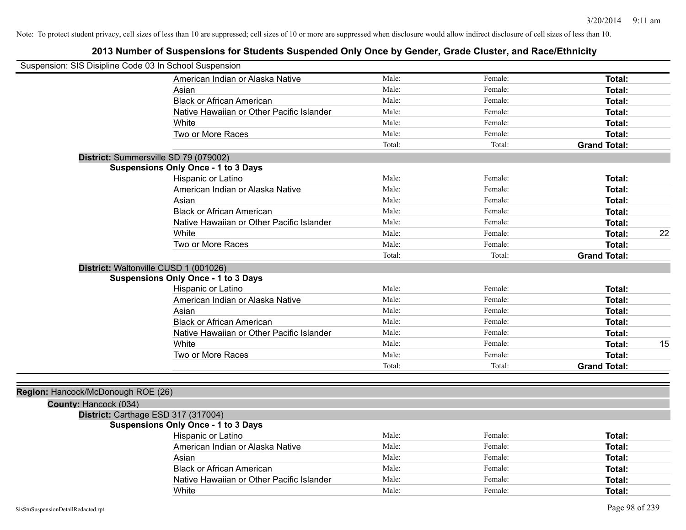| Suspension: SIS Disipline Code 03 In School Suspension |                                            |        |         |                     |    |
|--------------------------------------------------------|--------------------------------------------|--------|---------|---------------------|----|
|                                                        | American Indian or Alaska Native           | Male:  | Female: | Total:              |    |
|                                                        | Asian                                      | Male:  | Female: | <b>Total:</b>       |    |
|                                                        | <b>Black or African American</b>           | Male:  | Female: | <b>Total:</b>       |    |
|                                                        | Native Hawaiian or Other Pacific Islander  | Male:  | Female: | <b>Total:</b>       |    |
|                                                        | White                                      | Male:  | Female: | Total:              |    |
|                                                        | Two or More Races                          | Male:  | Female: | Total:              |    |
|                                                        |                                            | Total: | Total:  | <b>Grand Total:</b> |    |
|                                                        | District: Summersville SD 79 (079002)      |        |         |                     |    |
|                                                        | <b>Suspensions Only Once - 1 to 3 Days</b> |        |         |                     |    |
|                                                        | Hispanic or Latino                         | Male:  | Female: | Total:              |    |
|                                                        | American Indian or Alaska Native           | Male:  | Female: | <b>Total:</b>       |    |
|                                                        | Asian                                      | Male:  | Female: | <b>Total:</b>       |    |
|                                                        | <b>Black or African American</b>           | Male:  | Female: | Total:              |    |
|                                                        | Native Hawaiian or Other Pacific Islander  | Male:  | Female: | Total:              |    |
|                                                        | White                                      | Male:  | Female: | Total:              | 22 |
|                                                        | Two or More Races                          | Male:  | Female: | Total:              |    |
|                                                        |                                            | Total: | Total:  | <b>Grand Total:</b> |    |
| District: Waltonville CUSD 1 (001026)                  |                                            |        |         |                     |    |
|                                                        | <b>Suspensions Only Once - 1 to 3 Days</b> |        |         |                     |    |
|                                                        | Hispanic or Latino                         | Male:  | Female: | Total:              |    |
|                                                        | American Indian or Alaska Native           | Male:  | Female: | Total:              |    |
|                                                        | Asian                                      | Male:  | Female: | Total:              |    |
|                                                        | <b>Black or African American</b>           | Male:  | Female: | Total:              |    |
|                                                        | Native Hawaiian or Other Pacific Islander  | Male:  | Female: | Total:              |    |
|                                                        | White                                      | Male:  | Female: | Total:              | 15 |
|                                                        | Two or More Races                          | Male:  | Female: | <b>Total:</b>       |    |
|                                                        |                                            | Total: | Total:  | <b>Grand Total:</b> |    |
|                                                        |                                            |        |         |                     |    |
| Region: Hancock/McDonough ROE (26)                     |                                            |        |         |                     |    |
| County: Hancock (034)                                  |                                            |        |         |                     |    |
| District: Carthage ESD 317 (317004)                    |                                            |        |         |                     |    |
|                                                        | <b>Suspensions Only Once - 1 to 3 Days</b> |        |         |                     |    |
|                                                        | Hispanic or Latino                         | Male:  | Female: | <b>Total:</b>       |    |
|                                                        | American Indian or Alaska Native           | Male:  | Female: | <b>Total:</b>       |    |
|                                                        | Asian                                      | Male:  | Female: | Total:              |    |
|                                                        | <b>Black or African American</b>           | Male:  | Female: | Total:              |    |
|                                                        | Native Hawaiian or Other Pacific Islander  | Male:  | Female: | Total:              |    |
|                                                        | White                                      | Male:  | Female: | Total:              |    |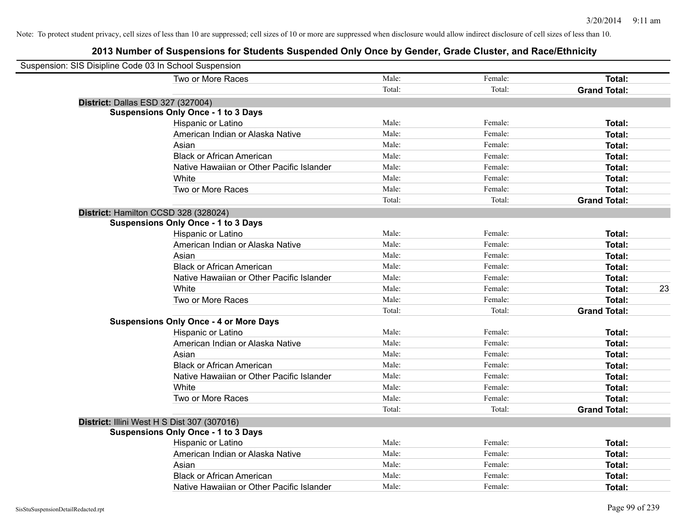| Suspension: SIS Disipline Code 03 In School Suspension |                                               |        |         |                     |
|--------------------------------------------------------|-----------------------------------------------|--------|---------|---------------------|
|                                                        | Two or More Races                             | Male:  | Female: | Total:              |
|                                                        |                                               | Total: | Total:  | <b>Grand Total:</b> |
| District: Dallas ESD 327 (327004)                      |                                               |        |         |                     |
|                                                        | <b>Suspensions Only Once - 1 to 3 Days</b>    |        |         |                     |
|                                                        | Hispanic or Latino                            | Male:  | Female: | Total:              |
|                                                        | American Indian or Alaska Native              | Male:  | Female: | Total:              |
|                                                        | Asian                                         | Male:  | Female: | Total:              |
|                                                        | <b>Black or African American</b>              | Male:  | Female: | Total:              |
|                                                        | Native Hawaiian or Other Pacific Islander     | Male:  | Female: | Total:              |
|                                                        | White                                         | Male:  | Female: | Total:              |
|                                                        | Two or More Races                             | Male:  | Female: | Total:              |
|                                                        |                                               | Total: | Total:  | <b>Grand Total:</b> |
|                                                        | District: Hamilton CCSD 328 (328024)          |        |         |                     |
|                                                        | <b>Suspensions Only Once - 1 to 3 Days</b>    |        |         |                     |
|                                                        | Hispanic or Latino                            | Male:  | Female: | Total:              |
|                                                        | American Indian or Alaska Native              | Male:  | Female: | Total:              |
|                                                        | Asian                                         | Male:  | Female: | Total:              |
|                                                        | <b>Black or African American</b>              | Male:  | Female: | Total:              |
|                                                        | Native Hawaiian or Other Pacific Islander     | Male:  | Female: | Total:              |
|                                                        | White                                         | Male:  | Female: | 23<br>Total:        |
|                                                        | Two or More Races                             | Male:  | Female: | Total:              |
|                                                        |                                               | Total: | Total:  | <b>Grand Total:</b> |
|                                                        | <b>Suspensions Only Once - 4 or More Days</b> |        |         |                     |
|                                                        | Hispanic or Latino                            | Male:  | Female: | Total:              |
|                                                        | American Indian or Alaska Native              | Male:  | Female: | Total:              |
|                                                        | Asian                                         | Male:  | Female: | Total:              |
|                                                        | <b>Black or African American</b>              | Male:  | Female: | Total:              |
|                                                        | Native Hawaiian or Other Pacific Islander     | Male:  | Female: | Total:              |
|                                                        | White                                         | Male:  | Female: | Total:              |
|                                                        | Two or More Races                             | Male:  | Female: | Total:              |
|                                                        |                                               | Total: | Total:  | <b>Grand Total:</b> |
|                                                        | District: Illini West H S Dist 307 (307016)   |        |         |                     |
|                                                        | <b>Suspensions Only Once - 1 to 3 Days</b>    |        |         |                     |
|                                                        | Hispanic or Latino                            | Male:  | Female: | Total:              |
|                                                        | American Indian or Alaska Native              | Male:  | Female: | Total:              |
|                                                        | Asian                                         | Male:  | Female: | Total:              |
|                                                        | <b>Black or African American</b>              | Male:  | Female: | Total:              |
|                                                        | Native Hawaiian or Other Pacific Islander     | Male:  | Female: | Total:              |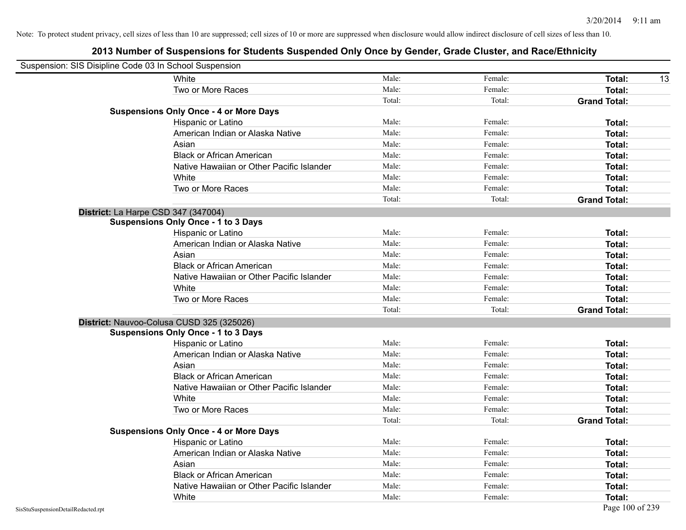| Suspension: SIS Disipline Code 03 In School Suspension |                                               |        |         |                     |
|--------------------------------------------------------|-----------------------------------------------|--------|---------|---------------------|
|                                                        | White                                         | Male:  | Female: | Total:<br>13        |
|                                                        | Two or More Races                             | Male:  | Female: | <b>Total:</b>       |
|                                                        |                                               | Total: | Total:  | <b>Grand Total:</b> |
|                                                        | <b>Suspensions Only Once - 4 or More Days</b> |        |         |                     |
|                                                        | Hispanic or Latino                            | Male:  | Female: | Total:              |
|                                                        | American Indian or Alaska Native              | Male:  | Female: | Total:              |
|                                                        | Asian                                         | Male:  | Female: | Total:              |
|                                                        | <b>Black or African American</b>              | Male:  | Female: | Total:              |
|                                                        | Native Hawaiian or Other Pacific Islander     | Male:  | Female: | Total:              |
|                                                        | White                                         | Male:  | Female: | Total:              |
|                                                        | Two or More Races                             | Male:  | Female: | <b>Total:</b>       |
|                                                        |                                               | Total: | Total:  | <b>Grand Total:</b> |
|                                                        | District: La Harpe CSD 347 (347004)           |        |         |                     |
|                                                        | <b>Suspensions Only Once - 1 to 3 Days</b>    |        |         |                     |
|                                                        | Hispanic or Latino                            | Male:  | Female: | Total:              |
|                                                        | American Indian or Alaska Native              | Male:  | Female: | <b>Total:</b>       |
|                                                        | Asian                                         | Male:  | Female: | Total:              |
|                                                        | <b>Black or African American</b>              | Male:  | Female: | Total:              |
|                                                        | Native Hawaiian or Other Pacific Islander     | Male:  | Female: | Total:              |
|                                                        | White                                         | Male:  | Female: | Total:              |
|                                                        | Two or More Races                             | Male:  | Female: | Total:              |
|                                                        |                                               | Total: | Total:  | <b>Grand Total:</b> |
|                                                        | District: Nauvoo-Colusa CUSD 325 (325026)     |        |         |                     |
|                                                        | <b>Suspensions Only Once - 1 to 3 Days</b>    |        |         |                     |
|                                                        | Hispanic or Latino                            | Male:  | Female: | Total:              |
|                                                        | American Indian or Alaska Native              | Male:  | Female: | <b>Total:</b>       |
|                                                        | Asian                                         | Male:  | Female: | Total:              |
|                                                        | <b>Black or African American</b>              | Male:  | Female: | Total:              |
|                                                        | Native Hawaiian or Other Pacific Islander     | Male:  | Female: | Total:              |
|                                                        | White                                         | Male:  | Female: | Total:              |
|                                                        | Two or More Races                             | Male:  | Female: | Total:              |
|                                                        |                                               | Total: | Total:  | <b>Grand Total:</b> |
|                                                        | <b>Suspensions Only Once - 4 or More Days</b> |        |         |                     |
|                                                        | Hispanic or Latino                            | Male:  | Female: | Total:              |
|                                                        | American Indian or Alaska Native              | Male:  | Female: | Total:              |
|                                                        | Asian                                         | Male:  | Female: | Total:              |
|                                                        | <b>Black or African American</b>              | Male:  | Female: | Total:              |
|                                                        | Native Hawaiian or Other Pacific Islander     | Male:  | Female: | Total:              |
|                                                        | White                                         | Male:  | Female: | Total:              |
| SisStuSuspensionDetailRedacted.rpt                     |                                               |        |         | Page 100 of 239     |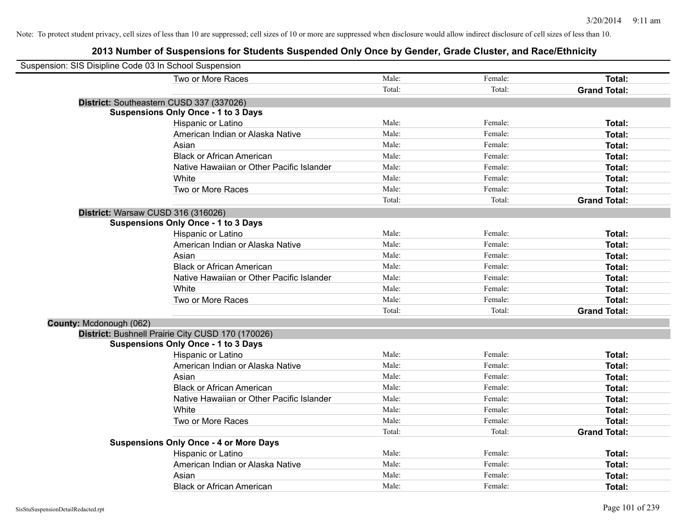| Suspension: SIS Disipline Code 03 In School Suspension |                                                   |        |         |                     |
|--------------------------------------------------------|---------------------------------------------------|--------|---------|---------------------|
|                                                        | Two or More Races                                 | Male:  | Female: | Total:              |
|                                                        |                                                   | Total: | Total:  | <b>Grand Total:</b> |
|                                                        | District: Southeastern CUSD 337 (337026)          |        |         |                     |
|                                                        | <b>Suspensions Only Once - 1 to 3 Days</b>        |        |         |                     |
|                                                        | Hispanic or Latino                                | Male:  | Female: | Total:              |
|                                                        | American Indian or Alaska Native                  | Male:  | Female: | Total:              |
|                                                        | Asian                                             | Male:  | Female: | Total:              |
|                                                        | <b>Black or African American</b>                  | Male:  | Female: | Total:              |
|                                                        | Native Hawaiian or Other Pacific Islander         | Male:  | Female: | Total:              |
|                                                        | White                                             | Male:  | Female: | Total:              |
|                                                        | Two or More Races                                 | Male:  | Female: | Total:              |
|                                                        |                                                   | Total: | Total:  | <b>Grand Total:</b> |
|                                                        | District: Warsaw CUSD 316 (316026)                |        |         |                     |
|                                                        | <b>Suspensions Only Once - 1 to 3 Days</b>        |        |         |                     |
|                                                        | Hispanic or Latino                                | Male:  | Female: | Total:              |
|                                                        | American Indian or Alaska Native                  | Male:  | Female: | Total:              |
|                                                        | Asian                                             | Male:  | Female: | Total:              |
|                                                        | <b>Black or African American</b>                  | Male:  | Female: | Total:              |
|                                                        | Native Hawaiian or Other Pacific Islander         | Male:  | Female: | Total:              |
|                                                        | White                                             | Male:  | Female: | Total:              |
|                                                        | Two or More Races                                 | Male:  | Female: | Total:              |
|                                                        |                                                   | Total: | Total:  | <b>Grand Total:</b> |
| County: Mcdonough (062)                                |                                                   |        |         |                     |
|                                                        | District: Bushnell Prairie City CUSD 170 (170026) |        |         |                     |
|                                                        | <b>Suspensions Only Once - 1 to 3 Days</b>        |        |         |                     |
|                                                        | Hispanic or Latino                                | Male:  | Female: | Total:              |
|                                                        | American Indian or Alaska Native                  | Male:  | Female: | Total:              |
|                                                        | Asian                                             | Male:  | Female: | Total:              |
|                                                        | <b>Black or African American</b>                  | Male:  | Female: | Total:              |
|                                                        | Native Hawaiian or Other Pacific Islander         | Male:  | Female: | Total:              |
|                                                        | White                                             | Male:  | Female: | Total:              |
|                                                        | Two or More Races                                 | Male:  | Female: | Total:              |
|                                                        |                                                   | Total: | Total:  | <b>Grand Total:</b> |
|                                                        | <b>Suspensions Only Once - 4 or More Days</b>     |        |         |                     |
|                                                        | Hispanic or Latino                                | Male:  | Female: | Total:              |
|                                                        | American Indian or Alaska Native                  | Male:  | Female: | Total:              |
|                                                        | Asian                                             | Male:  | Female: | <b>Total:</b>       |
|                                                        | <b>Black or African American</b>                  | Male:  | Female: | Total:              |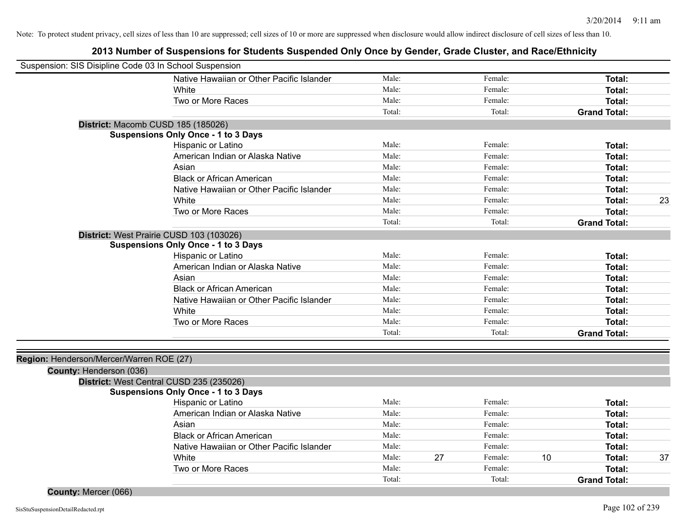| Suspension: SIS Disipline Code 03 In School Suspension |                                            |        |    |         |    |                     |    |
|--------------------------------------------------------|--------------------------------------------|--------|----|---------|----|---------------------|----|
|                                                        | Native Hawaiian or Other Pacific Islander  | Male:  |    | Female: |    | Total:              |    |
|                                                        | White                                      | Male:  |    | Female: |    | Total:              |    |
|                                                        | Two or More Races                          | Male:  |    | Female: |    | Total:              |    |
|                                                        |                                            | Total: |    | Total:  |    | <b>Grand Total:</b> |    |
| District: Macomb CUSD 185 (185026)                     |                                            |        |    |         |    |                     |    |
|                                                        | <b>Suspensions Only Once - 1 to 3 Days</b> |        |    |         |    |                     |    |
|                                                        | Hispanic or Latino                         | Male:  |    | Female: |    | Total:              |    |
|                                                        | American Indian or Alaska Native           | Male:  |    | Female: |    | Total:              |    |
|                                                        | Asian                                      | Male:  |    | Female: |    | Total:              |    |
|                                                        | <b>Black or African American</b>           | Male:  |    | Female: |    | Total:              |    |
|                                                        | Native Hawaiian or Other Pacific Islander  | Male:  |    | Female: |    | Total:              |    |
|                                                        | White                                      | Male:  |    | Female: |    | Total:              | 23 |
|                                                        | Two or More Races                          | Male:  |    | Female: |    | Total:              |    |
|                                                        |                                            | Total: |    | Total:  |    | <b>Grand Total:</b> |    |
| District: West Prairie CUSD 103 (103026)               |                                            |        |    |         |    |                     |    |
|                                                        | <b>Suspensions Only Once - 1 to 3 Days</b> |        |    |         |    |                     |    |
|                                                        | Hispanic or Latino                         | Male:  |    | Female: |    | Total:              |    |
|                                                        | American Indian or Alaska Native           | Male:  |    | Female: |    | Total:              |    |
|                                                        | Asian                                      | Male:  |    | Female: |    | Total:              |    |
|                                                        | <b>Black or African American</b>           | Male:  |    | Female: |    | Total:              |    |
|                                                        | Native Hawaiian or Other Pacific Islander  | Male:  |    | Female: |    | Total:              |    |
|                                                        | White                                      | Male:  |    | Female: |    | Total:              |    |
|                                                        | Two or More Races                          | Male:  |    | Female: |    | Total:              |    |
|                                                        |                                            | Total: |    | Total:  |    | <b>Grand Total:</b> |    |
|                                                        |                                            |        |    |         |    |                     |    |
| Region: Henderson/Mercer/Warren ROE (27)               |                                            |        |    |         |    |                     |    |
| County: Henderson (036)                                |                                            |        |    |         |    |                     |    |
| District: West Central CUSD 235 (235026)               |                                            |        |    |         |    |                     |    |
|                                                        | <b>Suspensions Only Once - 1 to 3 Days</b> | Male:  |    | Female: |    |                     |    |
|                                                        | Hispanic or Latino                         |        |    |         |    | Total:              |    |
|                                                        | American Indian or Alaska Native           | Male:  |    | Female: |    | Total:              |    |
|                                                        | Asian                                      | Male:  |    | Female: |    | Total:              |    |
|                                                        | <b>Black or African American</b>           | Male:  |    | Female: |    | Total:              |    |
|                                                        | Native Hawaiian or Other Pacific Islander  | Male:  |    | Female: |    | Total:              |    |
|                                                        | White                                      | Male:  | 27 | Female: | 10 | Total:              | 37 |
|                                                        | Two or More Races                          | Male:  |    | Female: |    | Total:              |    |
|                                                        |                                            | Total: |    | Total:  |    | <b>Grand Total:</b> |    |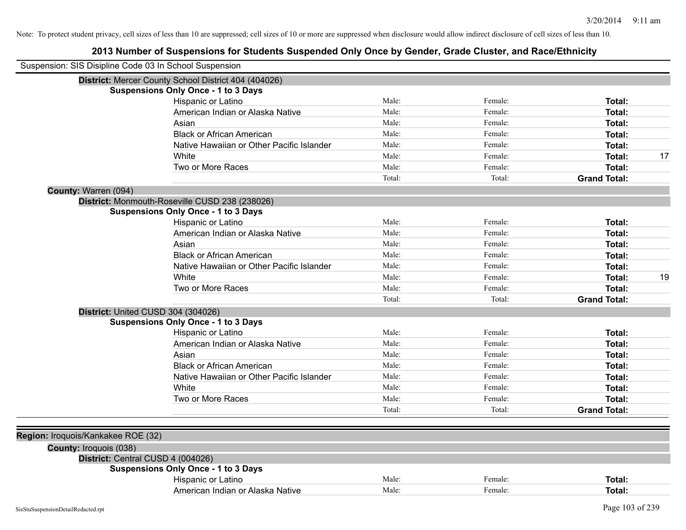| Suspension: SIS Disipline Code 03 In School Suspension |                                                      |        |         |                     |    |
|--------------------------------------------------------|------------------------------------------------------|--------|---------|---------------------|----|
|                                                        | District: Mercer County School District 404 (404026) |        |         |                     |    |
|                                                        | <b>Suspensions Only Once - 1 to 3 Days</b>           |        |         |                     |    |
|                                                        | Hispanic or Latino                                   | Male:  | Female: | Total:              |    |
|                                                        | American Indian or Alaska Native                     | Male:  | Female: | <b>Total:</b>       |    |
|                                                        | Asian                                                | Male:  | Female: | Total:              |    |
|                                                        | <b>Black or African American</b>                     | Male:  | Female: | Total:              |    |
|                                                        | Native Hawaiian or Other Pacific Islander            | Male:  | Female: | Total:              |    |
|                                                        | White                                                | Male:  | Female: | Total:              | 17 |
|                                                        | Two or More Races                                    | Male:  | Female: | Total:              |    |
|                                                        |                                                      | Total: | Total:  | <b>Grand Total:</b> |    |
| County: Warren (094)                                   |                                                      |        |         |                     |    |
|                                                        | District: Monmouth-Roseville CUSD 238 (238026)       |        |         |                     |    |
|                                                        | <b>Suspensions Only Once - 1 to 3 Days</b>           |        |         |                     |    |
|                                                        | Hispanic or Latino                                   | Male:  | Female: | Total:              |    |
|                                                        | American Indian or Alaska Native                     | Male:  | Female: | Total:              |    |
|                                                        | Asian                                                | Male:  | Female: | Total:              |    |
|                                                        | <b>Black or African American</b>                     | Male:  | Female: | Total:              |    |
|                                                        | Native Hawaiian or Other Pacific Islander            | Male:  | Female: | <b>Total:</b>       |    |
|                                                        | White                                                | Male:  | Female: | <b>Total:</b>       | 19 |
|                                                        | Two or More Races                                    | Male:  | Female: | Total:              |    |
|                                                        |                                                      | Total: | Total:  | <b>Grand Total:</b> |    |
|                                                        | District: United CUSD 304 (304026)                   |        |         |                     |    |
|                                                        | <b>Suspensions Only Once - 1 to 3 Days</b>           |        |         |                     |    |
|                                                        | Hispanic or Latino                                   | Male:  | Female: | Total:              |    |
|                                                        | American Indian or Alaska Native                     | Male:  | Female: | <b>Total:</b>       |    |
|                                                        | Asian                                                | Male:  | Female: | Total:              |    |
|                                                        | <b>Black or African American</b>                     | Male:  | Female: | Total:              |    |
|                                                        | Native Hawaiian or Other Pacific Islander            | Male:  | Female: | Total:              |    |
|                                                        | White                                                | Male:  | Female: | Total:              |    |
|                                                        | Two or More Races                                    | Male:  | Female: | Total:              |    |
|                                                        |                                                      | Total: | Total:  | <b>Grand Total:</b> |    |
|                                                        |                                                      |        |         |                     |    |
| Region: Iroquois/Kankakee ROE (32)                     |                                                      |        |         |                     |    |
| County: Iroquois (038)                                 |                                                      |        |         |                     |    |
|                                                        | District: Central CUSD 4 (004026)                    |        |         |                     |    |
|                                                        | <b>Suspensions Only Once - 1 to 3 Days</b>           |        |         |                     |    |
|                                                        | Hispanic or Latino                                   | Male:  | Female: | Total:              |    |
|                                                        | American Indian or Alaska Native                     | Male:  | Female: | <b>Total:</b>       |    |
|                                                        |                                                      |        |         |                     |    |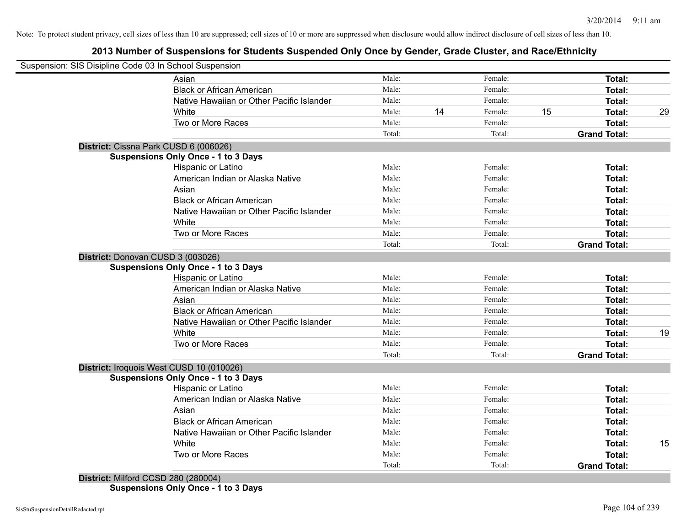## **2013 Number of Suspensions for Students Suspended Only Once by Gender, Grade Cluster, and Race/Ethnicity**

|                                   | Suspension: SIS Disipline Code 03 In School Suspension |        |    |         |    |                     |    |
|-----------------------------------|--------------------------------------------------------|--------|----|---------|----|---------------------|----|
|                                   | Asian                                                  | Male:  |    | Female: |    | Total:              |    |
|                                   | <b>Black or African American</b>                       | Male:  |    | Female: |    | Total:              |    |
|                                   | Native Hawaiian or Other Pacific Islander              | Male:  |    | Female: |    | Total:              |    |
|                                   | White                                                  | Male:  | 14 | Female: | 15 | Total:              | 29 |
|                                   | Two or More Races                                      | Male:  |    | Female: |    | Total:              |    |
|                                   |                                                        | Total: |    | Total:  |    | <b>Grand Total:</b> |    |
|                                   | District: Cissna Park CUSD 6 (006026)                  |        |    |         |    |                     |    |
|                                   | <b>Suspensions Only Once - 1 to 3 Days</b>             |        |    |         |    |                     |    |
|                                   | Hispanic or Latino                                     | Male:  |    | Female: |    | Total:              |    |
|                                   | American Indian or Alaska Native                       | Male:  |    | Female: |    | Total:              |    |
|                                   | Asian                                                  | Male:  |    | Female: |    | Total:              |    |
|                                   | <b>Black or African American</b>                       | Male:  |    | Female: |    | Total:              |    |
|                                   | Native Hawaiian or Other Pacific Islander              | Male:  |    | Female: |    | Total:              |    |
|                                   | White                                                  | Male:  |    | Female: |    | Total:              |    |
|                                   | Two or More Races                                      | Male:  |    | Female: |    | Total:              |    |
|                                   |                                                        | Total: |    | Total:  |    | <b>Grand Total:</b> |    |
| District: Donovan CUSD 3 (003026) |                                                        |        |    |         |    |                     |    |
|                                   | <b>Suspensions Only Once - 1 to 3 Days</b>             |        |    |         |    |                     |    |
|                                   | Hispanic or Latino                                     | Male:  |    | Female: |    | Total:              |    |
|                                   | American Indian or Alaska Native                       | Male:  |    | Female: |    | Total:              |    |
|                                   | Asian                                                  | Male:  |    | Female: |    | Total:              |    |
|                                   | <b>Black or African American</b>                       | Male:  |    | Female: |    | Total:              |    |
|                                   | Native Hawaiian or Other Pacific Islander              | Male:  |    | Female: |    | Total:              |    |
|                                   | White                                                  | Male:  |    | Female: |    | Total:              | 19 |
|                                   | Two or More Races                                      | Male:  |    | Female: |    | Total:              |    |
|                                   |                                                        | Total: |    | Total:  |    | <b>Grand Total:</b> |    |
|                                   | District: Iroquois West CUSD 10 (010026)               |        |    |         |    |                     |    |
|                                   | <b>Suspensions Only Once - 1 to 3 Days</b>             |        |    |         |    |                     |    |
|                                   | Hispanic or Latino                                     | Male:  |    | Female: |    | Total:              |    |
|                                   | American Indian or Alaska Native                       | Male:  |    | Female: |    | Total:              |    |
|                                   | Asian                                                  | Male:  |    | Female: |    | Total:              |    |
|                                   | <b>Black or African American</b>                       | Male:  |    | Female: |    | Total:              |    |
|                                   | Native Hawaiian or Other Pacific Islander              | Male:  |    | Female: |    | Total:              |    |
|                                   | White                                                  | Male:  |    | Female: |    | Total:              | 15 |
|                                   | Two or More Races                                      | Male:  |    | Female: |    | Total:              |    |
|                                   |                                                        | Total: |    |         |    | <b>Grand Total:</b> |    |

**Suspensions Only Once - 1 to 3 Days**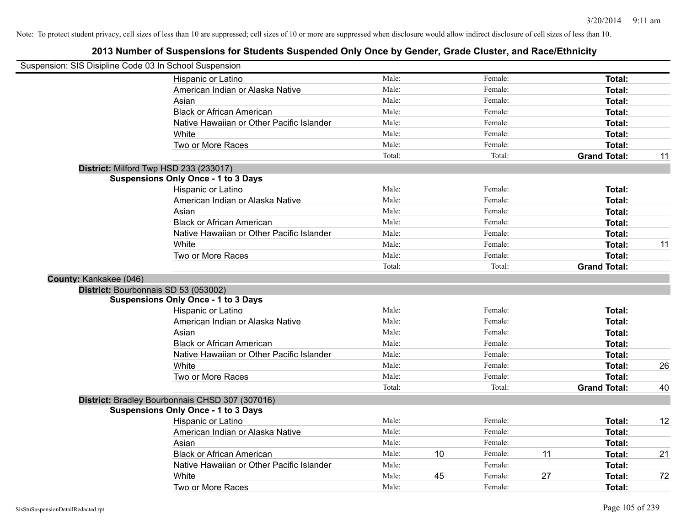| Suspension: SIS Disipline Code 03 In School Suspension |                                                 |        |    |         |    |                     |    |
|--------------------------------------------------------|-------------------------------------------------|--------|----|---------|----|---------------------|----|
|                                                        | Hispanic or Latino                              | Male:  |    | Female: |    | Total:              |    |
|                                                        | American Indian or Alaska Native                | Male:  |    | Female: |    | Total:              |    |
|                                                        | Asian                                           | Male:  |    | Female: |    | Total:              |    |
|                                                        | <b>Black or African American</b>                | Male:  |    | Female: |    | Total:              |    |
|                                                        | Native Hawaiian or Other Pacific Islander       | Male:  |    | Female: |    | Total:              |    |
|                                                        | White                                           | Male:  |    | Female: |    | Total:              |    |
|                                                        | Two or More Races                               | Male:  |    | Female: |    | Total:              |    |
|                                                        |                                                 | Total: |    | Total:  |    | <b>Grand Total:</b> | 11 |
|                                                        | District: Milford Twp HSD 233 (233017)          |        |    |         |    |                     |    |
|                                                        | <b>Suspensions Only Once - 1 to 3 Days</b>      |        |    |         |    |                     |    |
|                                                        | Hispanic or Latino                              | Male:  |    | Female: |    | Total:              |    |
|                                                        | American Indian or Alaska Native                | Male:  |    | Female: |    | Total:              |    |
|                                                        | Asian                                           | Male:  |    | Female: |    | Total:              |    |
|                                                        | <b>Black or African American</b>                | Male:  |    | Female: |    | Total:              |    |
|                                                        | Native Hawaiian or Other Pacific Islander       | Male:  |    | Female: |    | Total:              |    |
|                                                        | White                                           | Male:  |    | Female: |    | Total:              | 11 |
|                                                        | Two or More Races                               | Male:  |    | Female: |    | Total:              |    |
|                                                        |                                                 | Total: |    | Total:  |    | <b>Grand Total:</b> |    |
| County: Kankakee (046)                                 |                                                 |        |    |         |    |                     |    |
|                                                        | District: Bourbonnais SD 53 (053002)            |        |    |         |    |                     |    |
|                                                        | <b>Suspensions Only Once - 1 to 3 Days</b>      |        |    |         |    |                     |    |
|                                                        | Hispanic or Latino                              | Male:  |    | Female: |    | Total:              |    |
|                                                        | American Indian or Alaska Native                | Male:  |    | Female: |    | Total:              |    |
|                                                        | Asian                                           | Male:  |    | Female: |    | Total:              |    |
|                                                        | <b>Black or African American</b>                | Male:  |    | Female: |    | Total:              |    |
|                                                        | Native Hawaiian or Other Pacific Islander       | Male:  |    | Female: |    | Total:              |    |
|                                                        | White                                           | Male:  |    | Female: |    | Total:              | 26 |
|                                                        | Two or More Races                               | Male:  |    | Female: |    | Total:              |    |
|                                                        |                                                 | Total: |    | Total:  |    | <b>Grand Total:</b> | 40 |
|                                                        | District: Bradley Bourbonnais CHSD 307 (307016) |        |    |         |    |                     |    |
|                                                        | <b>Suspensions Only Once - 1 to 3 Days</b>      |        |    |         |    |                     |    |
|                                                        | Hispanic or Latino                              | Male:  |    | Female: |    | Total:              | 12 |
|                                                        | American Indian or Alaska Native                | Male:  |    | Female: |    | Total:              |    |
|                                                        | Asian                                           | Male:  |    | Female: |    | Total:              |    |
|                                                        | <b>Black or African American</b>                | Male:  | 10 | Female: | 11 | Total:              | 21 |
|                                                        | Native Hawaiian or Other Pacific Islander       | Male:  |    | Female: |    | Total:              |    |
|                                                        | White                                           | Male:  | 45 | Female: | 27 | Total:              | 72 |
|                                                        | Two or More Races                               | Male:  |    | Female: |    | Total:              |    |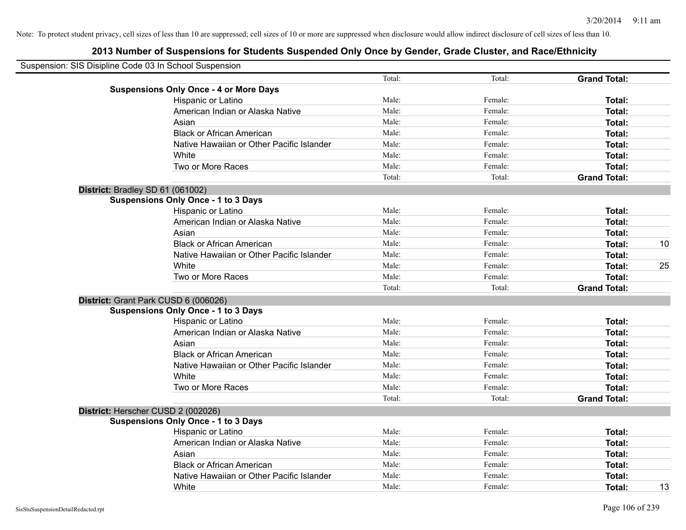| Suspension: SIS Disipline Code 03 In School Suspension |                                               |        |         |                     |    |
|--------------------------------------------------------|-----------------------------------------------|--------|---------|---------------------|----|
|                                                        |                                               | Total: | Total:  | <b>Grand Total:</b> |    |
|                                                        | <b>Suspensions Only Once - 4 or More Days</b> |        |         |                     |    |
|                                                        | Hispanic or Latino                            | Male:  | Female: | Total:              |    |
|                                                        | American Indian or Alaska Native              | Male:  | Female: | Total:              |    |
|                                                        | Asian                                         | Male:  | Female: | Total:              |    |
|                                                        | <b>Black or African American</b>              | Male:  | Female: | Total:              |    |
|                                                        | Native Hawaiian or Other Pacific Islander     | Male:  | Female: | Total:              |    |
|                                                        | White                                         | Male:  | Female: | Total:              |    |
|                                                        | Two or More Races                             | Male:  | Female: | Total:              |    |
|                                                        |                                               | Total: | Total:  | <b>Grand Total:</b> |    |
|                                                        | District: Bradley SD 61 (061002)              |        |         |                     |    |
|                                                        | <b>Suspensions Only Once - 1 to 3 Days</b>    |        |         |                     |    |
|                                                        | Hispanic or Latino                            | Male:  | Female: | Total:              |    |
|                                                        | American Indian or Alaska Native              | Male:  | Female: | Total:              |    |
|                                                        | Asian                                         | Male:  | Female: | Total:              |    |
|                                                        | <b>Black or African American</b>              | Male:  | Female: | Total:              | 10 |
|                                                        | Native Hawaiian or Other Pacific Islander     | Male:  | Female: | Total:              |    |
|                                                        | White                                         | Male:  | Female: | Total:              | 25 |
|                                                        | Two or More Races                             | Male:  | Female: | Total:              |    |
|                                                        |                                               | Total: | Total:  | <b>Grand Total:</b> |    |
|                                                        | District: Grant Park CUSD 6 (006026)          |        |         |                     |    |
|                                                        | <b>Suspensions Only Once - 1 to 3 Days</b>    |        |         |                     |    |
|                                                        | Hispanic or Latino                            | Male:  | Female: | Total:              |    |
|                                                        | American Indian or Alaska Native              | Male:  | Female: | Total:              |    |
|                                                        | Asian                                         | Male:  | Female: | Total:              |    |
|                                                        | <b>Black or African American</b>              | Male:  | Female: | Total:              |    |
|                                                        | Native Hawaiian or Other Pacific Islander     | Male:  | Female: | Total:              |    |
|                                                        | White                                         | Male:  | Female: | Total:              |    |
|                                                        | Two or More Races                             | Male:  | Female: | Total:              |    |
|                                                        |                                               | Total: | Total:  | <b>Grand Total:</b> |    |
|                                                        | District: Herscher CUSD 2 (002026)            |        |         |                     |    |
|                                                        | <b>Suspensions Only Once - 1 to 3 Days</b>    |        |         |                     |    |
|                                                        | Hispanic or Latino                            | Male:  | Female: | Total:              |    |
|                                                        | American Indian or Alaska Native              | Male:  | Female: | Total:              |    |
|                                                        | Asian                                         | Male:  | Female: | Total:              |    |
|                                                        | <b>Black or African American</b>              | Male:  | Female: | Total:              |    |
|                                                        | Native Hawaiian or Other Pacific Islander     | Male:  | Female: | <b>Total:</b>       |    |
|                                                        | White                                         | Male:  | Female: | Total:              | 13 |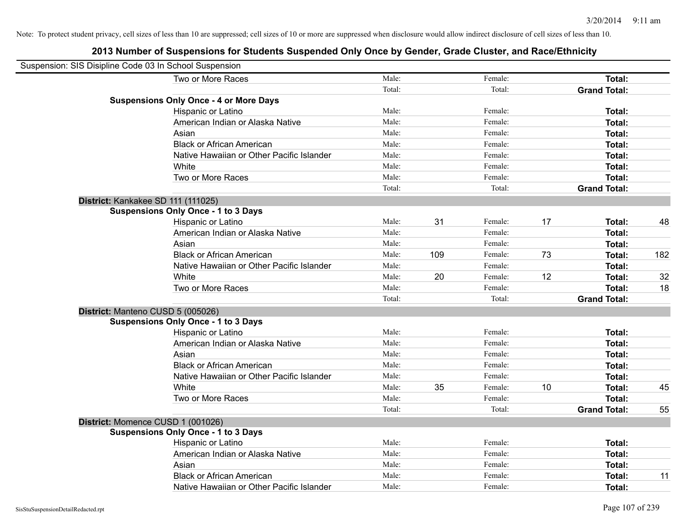| Suspension: SIS Disipline Code 03 In School Suspension |                                               |        |     |         |    |                     |     |
|--------------------------------------------------------|-----------------------------------------------|--------|-----|---------|----|---------------------|-----|
|                                                        | Two or More Races                             | Male:  |     | Female: |    | Total:              |     |
|                                                        |                                               | Total: |     | Total:  |    | <b>Grand Total:</b> |     |
|                                                        | <b>Suspensions Only Once - 4 or More Days</b> |        |     |         |    |                     |     |
|                                                        | Hispanic or Latino                            | Male:  |     | Female: |    | Total:              |     |
|                                                        | American Indian or Alaska Native              | Male:  |     | Female: |    | Total:              |     |
|                                                        | Asian                                         | Male:  |     | Female: |    | Total:              |     |
|                                                        | <b>Black or African American</b>              | Male:  |     | Female: |    | Total:              |     |
|                                                        | Native Hawaiian or Other Pacific Islander     | Male:  |     | Female: |    | Total:              |     |
|                                                        | White                                         | Male:  |     | Female: |    | Total:              |     |
|                                                        | Two or More Races                             | Male:  |     | Female: |    | <b>Total:</b>       |     |
|                                                        |                                               | Total: |     | Total:  |    | <b>Grand Total:</b> |     |
|                                                        | District: Kankakee SD 111 (111025)            |        |     |         |    |                     |     |
|                                                        | <b>Suspensions Only Once - 1 to 3 Days</b>    |        |     |         |    |                     |     |
|                                                        | Hispanic or Latino                            | Male:  | 31  | Female: | 17 | Total:              | 48  |
|                                                        | American Indian or Alaska Native              | Male:  |     | Female: |    | Total:              |     |
|                                                        | Asian                                         | Male:  |     | Female: |    | Total:              |     |
|                                                        | <b>Black or African American</b>              | Male:  | 109 | Female: | 73 | Total:              | 182 |
|                                                        | Native Hawaiian or Other Pacific Islander     | Male:  |     | Female: |    | Total:              |     |
|                                                        | White                                         | Male:  | 20  | Female: | 12 | <b>Total:</b>       | 32  |
|                                                        | Two or More Races                             | Male:  |     | Female: |    | Total:              | 18  |
|                                                        |                                               | Total: |     | Total:  |    | <b>Grand Total:</b> |     |
|                                                        | District: Manteno CUSD 5 (005026)             |        |     |         |    |                     |     |
|                                                        | <b>Suspensions Only Once - 1 to 3 Days</b>    |        |     |         |    |                     |     |
|                                                        | Hispanic or Latino                            | Male:  |     | Female: |    | Total:              |     |
|                                                        | American Indian or Alaska Native              | Male:  |     | Female: |    | Total:              |     |
|                                                        | Asian                                         | Male:  |     | Female: |    | Total:              |     |
|                                                        | <b>Black or African American</b>              | Male:  |     | Female: |    | Total:              |     |
|                                                        | Native Hawaiian or Other Pacific Islander     | Male:  |     | Female: |    | Total:              |     |
|                                                        | White                                         | Male:  | 35  | Female: | 10 | Total:              | 45  |
|                                                        | Two or More Races                             | Male:  |     | Female: |    | Total:              |     |
|                                                        |                                               | Total: |     | Total:  |    | <b>Grand Total:</b> | 55  |
|                                                        | District: Momence CUSD 1 (001026)             |        |     |         |    |                     |     |
|                                                        | <b>Suspensions Only Once - 1 to 3 Days</b>    |        |     |         |    |                     |     |
|                                                        | Hispanic or Latino                            | Male:  |     | Female: |    | Total:              |     |
|                                                        | American Indian or Alaska Native              | Male:  |     | Female: |    | Total:              |     |
|                                                        | Asian                                         | Male:  |     | Female: |    | Total:              |     |
|                                                        | <b>Black or African American</b>              | Male:  |     | Female: |    | Total:              | 11  |
|                                                        | Native Hawaiian or Other Pacific Islander     | Male:  |     | Female: |    | Total:              |     |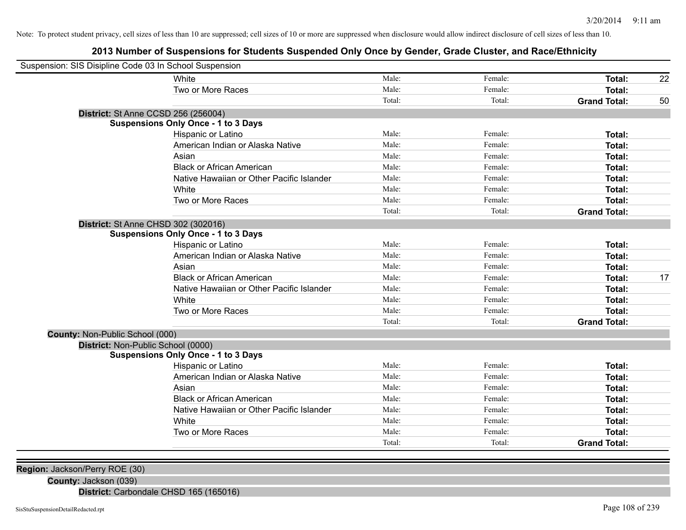## **2013 Number of Suspensions for Students Suspended Only Once by Gender, Grade Cluster, and Race/Ethnicity**

| White<br>Male:<br>Female:<br>Total:<br>Two or More Races<br>Male:<br>Female:<br>Total:<br>Total:<br>Total:<br><b>Grand Total:</b><br>District: St Anne CCSD 256 (256004)<br><b>Suspensions Only Once - 1 to 3 Days</b><br>Hispanic or Latino<br>Male:<br>Female:<br>Total:<br>American Indian or Alaska Native<br>Male:<br>Female:<br>Total:<br>Male:<br>Female:<br>Asian<br><b>Total:</b><br><b>Black or African American</b><br>Male:<br>Female:<br><b>Total:</b><br>Native Hawaiian or Other Pacific Islander<br>Male:<br>Female:<br>Total:<br>White<br>Male:<br>Female:<br>Total:<br>Two or More Races<br>Male:<br>Female:<br>Total:<br>Total:<br>Total:<br><b>Grand Total:</b><br>District: St Anne CHSD 302 (302016)<br><b>Suspensions Only Once - 1 to 3 Days</b><br>Male:<br>Female:<br>Total:<br>Hispanic or Latino<br>Male:<br>Female:<br>American Indian or Alaska Native<br>Total:<br>Male:<br>Female:<br>Asian<br>Total:<br>Male:<br>Female:<br><b>Black or African American</b><br><b>Total:</b><br>Male:<br>Female:<br>Native Hawaiian or Other Pacific Islander<br><b>Total:</b><br>Male:<br>Female:<br>White<br>Total:<br>Two or More Races<br>Male:<br>Female:<br>Total:<br>Total:<br>Total:<br><b>Grand Total:</b><br>County: Non-Public School (000)<br>District: Non-Public School (0000)<br><b>Suspensions Only Once - 1 to 3 Days</b><br>Male:<br>Female:<br>Hispanic or Latino<br>Total:<br>Female:<br>Male:<br>American Indian or Alaska Native<br><b>Total:</b><br>Male:<br>Female:<br>Asian<br>Total:<br>Female:<br><b>Black or African American</b><br>Male:<br>Total:<br>Male:<br>Female:<br>Native Hawaiian or Other Pacific Islander<br><b>Total:</b><br>Male:<br>White<br>Female:<br>Total:<br>Two or More Races<br>Male:<br>Female:<br><b>Total:</b><br>Total:<br>Total:<br><b>Grand Total:</b> | Suspension: SIS Disipline Code 03 In School Suspension |  |  |    |
|----------------------------------------------------------------------------------------------------------------------------------------------------------------------------------------------------------------------------------------------------------------------------------------------------------------------------------------------------------------------------------------------------------------------------------------------------------------------------------------------------------------------------------------------------------------------------------------------------------------------------------------------------------------------------------------------------------------------------------------------------------------------------------------------------------------------------------------------------------------------------------------------------------------------------------------------------------------------------------------------------------------------------------------------------------------------------------------------------------------------------------------------------------------------------------------------------------------------------------------------------------------------------------------------------------------------------------------------------------------------------------------------------------------------------------------------------------------------------------------------------------------------------------------------------------------------------------------------------------------------------------------------------------------------------------------------------------------------------------------------------------------------------------------------------------------------------------|--------------------------------------------------------|--|--|----|
|                                                                                                                                                                                                                                                                                                                                                                                                                                                                                                                                                                                                                                                                                                                                                                                                                                                                                                                                                                                                                                                                                                                                                                                                                                                                                                                                                                                                                                                                                                                                                                                                                                                                                                                                                                                                                                  |                                                        |  |  | 22 |
|                                                                                                                                                                                                                                                                                                                                                                                                                                                                                                                                                                                                                                                                                                                                                                                                                                                                                                                                                                                                                                                                                                                                                                                                                                                                                                                                                                                                                                                                                                                                                                                                                                                                                                                                                                                                                                  |                                                        |  |  |    |
|                                                                                                                                                                                                                                                                                                                                                                                                                                                                                                                                                                                                                                                                                                                                                                                                                                                                                                                                                                                                                                                                                                                                                                                                                                                                                                                                                                                                                                                                                                                                                                                                                                                                                                                                                                                                                                  |                                                        |  |  | 50 |
|                                                                                                                                                                                                                                                                                                                                                                                                                                                                                                                                                                                                                                                                                                                                                                                                                                                                                                                                                                                                                                                                                                                                                                                                                                                                                                                                                                                                                                                                                                                                                                                                                                                                                                                                                                                                                                  |                                                        |  |  |    |
|                                                                                                                                                                                                                                                                                                                                                                                                                                                                                                                                                                                                                                                                                                                                                                                                                                                                                                                                                                                                                                                                                                                                                                                                                                                                                                                                                                                                                                                                                                                                                                                                                                                                                                                                                                                                                                  |                                                        |  |  |    |
|                                                                                                                                                                                                                                                                                                                                                                                                                                                                                                                                                                                                                                                                                                                                                                                                                                                                                                                                                                                                                                                                                                                                                                                                                                                                                                                                                                                                                                                                                                                                                                                                                                                                                                                                                                                                                                  |                                                        |  |  |    |
|                                                                                                                                                                                                                                                                                                                                                                                                                                                                                                                                                                                                                                                                                                                                                                                                                                                                                                                                                                                                                                                                                                                                                                                                                                                                                                                                                                                                                                                                                                                                                                                                                                                                                                                                                                                                                                  |                                                        |  |  |    |
|                                                                                                                                                                                                                                                                                                                                                                                                                                                                                                                                                                                                                                                                                                                                                                                                                                                                                                                                                                                                                                                                                                                                                                                                                                                                                                                                                                                                                                                                                                                                                                                                                                                                                                                                                                                                                                  |                                                        |  |  |    |
|                                                                                                                                                                                                                                                                                                                                                                                                                                                                                                                                                                                                                                                                                                                                                                                                                                                                                                                                                                                                                                                                                                                                                                                                                                                                                                                                                                                                                                                                                                                                                                                                                                                                                                                                                                                                                                  |                                                        |  |  |    |
|                                                                                                                                                                                                                                                                                                                                                                                                                                                                                                                                                                                                                                                                                                                                                                                                                                                                                                                                                                                                                                                                                                                                                                                                                                                                                                                                                                                                                                                                                                                                                                                                                                                                                                                                                                                                                                  |                                                        |  |  |    |
|                                                                                                                                                                                                                                                                                                                                                                                                                                                                                                                                                                                                                                                                                                                                                                                                                                                                                                                                                                                                                                                                                                                                                                                                                                                                                                                                                                                                                                                                                                                                                                                                                                                                                                                                                                                                                                  |                                                        |  |  |    |
|                                                                                                                                                                                                                                                                                                                                                                                                                                                                                                                                                                                                                                                                                                                                                                                                                                                                                                                                                                                                                                                                                                                                                                                                                                                                                                                                                                                                                                                                                                                                                                                                                                                                                                                                                                                                                                  |                                                        |  |  |    |
|                                                                                                                                                                                                                                                                                                                                                                                                                                                                                                                                                                                                                                                                                                                                                                                                                                                                                                                                                                                                                                                                                                                                                                                                                                                                                                                                                                                                                                                                                                                                                                                                                                                                                                                                                                                                                                  |                                                        |  |  |    |
|                                                                                                                                                                                                                                                                                                                                                                                                                                                                                                                                                                                                                                                                                                                                                                                                                                                                                                                                                                                                                                                                                                                                                                                                                                                                                                                                                                                                                                                                                                                                                                                                                                                                                                                                                                                                                                  |                                                        |  |  |    |
|                                                                                                                                                                                                                                                                                                                                                                                                                                                                                                                                                                                                                                                                                                                                                                                                                                                                                                                                                                                                                                                                                                                                                                                                                                                                                                                                                                                                                                                                                                                                                                                                                                                                                                                                                                                                                                  |                                                        |  |  |    |
|                                                                                                                                                                                                                                                                                                                                                                                                                                                                                                                                                                                                                                                                                                                                                                                                                                                                                                                                                                                                                                                                                                                                                                                                                                                                                                                                                                                                                                                                                                                                                                                                                                                                                                                                                                                                                                  |                                                        |  |  |    |
|                                                                                                                                                                                                                                                                                                                                                                                                                                                                                                                                                                                                                                                                                                                                                                                                                                                                                                                                                                                                                                                                                                                                                                                                                                                                                                                                                                                                                                                                                                                                                                                                                                                                                                                                                                                                                                  |                                                        |  |  |    |
|                                                                                                                                                                                                                                                                                                                                                                                                                                                                                                                                                                                                                                                                                                                                                                                                                                                                                                                                                                                                                                                                                                                                                                                                                                                                                                                                                                                                                                                                                                                                                                                                                                                                                                                                                                                                                                  |                                                        |  |  |    |
|                                                                                                                                                                                                                                                                                                                                                                                                                                                                                                                                                                                                                                                                                                                                                                                                                                                                                                                                                                                                                                                                                                                                                                                                                                                                                                                                                                                                                                                                                                                                                                                                                                                                                                                                                                                                                                  |                                                        |  |  | 17 |
|                                                                                                                                                                                                                                                                                                                                                                                                                                                                                                                                                                                                                                                                                                                                                                                                                                                                                                                                                                                                                                                                                                                                                                                                                                                                                                                                                                                                                                                                                                                                                                                                                                                                                                                                                                                                                                  |                                                        |  |  |    |
|                                                                                                                                                                                                                                                                                                                                                                                                                                                                                                                                                                                                                                                                                                                                                                                                                                                                                                                                                                                                                                                                                                                                                                                                                                                                                                                                                                                                                                                                                                                                                                                                                                                                                                                                                                                                                                  |                                                        |  |  |    |
|                                                                                                                                                                                                                                                                                                                                                                                                                                                                                                                                                                                                                                                                                                                                                                                                                                                                                                                                                                                                                                                                                                                                                                                                                                                                                                                                                                                                                                                                                                                                                                                                                                                                                                                                                                                                                                  |                                                        |  |  |    |
|                                                                                                                                                                                                                                                                                                                                                                                                                                                                                                                                                                                                                                                                                                                                                                                                                                                                                                                                                                                                                                                                                                                                                                                                                                                                                                                                                                                                                                                                                                                                                                                                                                                                                                                                                                                                                                  |                                                        |  |  |    |
|                                                                                                                                                                                                                                                                                                                                                                                                                                                                                                                                                                                                                                                                                                                                                                                                                                                                                                                                                                                                                                                                                                                                                                                                                                                                                                                                                                                                                                                                                                                                                                                                                                                                                                                                                                                                                                  |                                                        |  |  |    |
|                                                                                                                                                                                                                                                                                                                                                                                                                                                                                                                                                                                                                                                                                                                                                                                                                                                                                                                                                                                                                                                                                                                                                                                                                                                                                                                                                                                                                                                                                                                                                                                                                                                                                                                                                                                                                                  |                                                        |  |  |    |
|                                                                                                                                                                                                                                                                                                                                                                                                                                                                                                                                                                                                                                                                                                                                                                                                                                                                                                                                                                                                                                                                                                                                                                                                                                                                                                                                                                                                                                                                                                                                                                                                                                                                                                                                                                                                                                  |                                                        |  |  |    |
|                                                                                                                                                                                                                                                                                                                                                                                                                                                                                                                                                                                                                                                                                                                                                                                                                                                                                                                                                                                                                                                                                                                                                                                                                                                                                                                                                                                                                                                                                                                                                                                                                                                                                                                                                                                                                                  |                                                        |  |  |    |
|                                                                                                                                                                                                                                                                                                                                                                                                                                                                                                                                                                                                                                                                                                                                                                                                                                                                                                                                                                                                                                                                                                                                                                                                                                                                                                                                                                                                                                                                                                                                                                                                                                                                                                                                                                                                                                  |                                                        |  |  |    |
|                                                                                                                                                                                                                                                                                                                                                                                                                                                                                                                                                                                                                                                                                                                                                                                                                                                                                                                                                                                                                                                                                                                                                                                                                                                                                                                                                                                                                                                                                                                                                                                                                                                                                                                                                                                                                                  |                                                        |  |  |    |
|                                                                                                                                                                                                                                                                                                                                                                                                                                                                                                                                                                                                                                                                                                                                                                                                                                                                                                                                                                                                                                                                                                                                                                                                                                                                                                                                                                                                                                                                                                                                                                                                                                                                                                                                                                                                                                  |                                                        |  |  |    |
|                                                                                                                                                                                                                                                                                                                                                                                                                                                                                                                                                                                                                                                                                                                                                                                                                                                                                                                                                                                                                                                                                                                                                                                                                                                                                                                                                                                                                                                                                                                                                                                                                                                                                                                                                                                                                                  |                                                        |  |  |    |
|                                                                                                                                                                                                                                                                                                                                                                                                                                                                                                                                                                                                                                                                                                                                                                                                                                                                                                                                                                                                                                                                                                                                                                                                                                                                                                                                                                                                                                                                                                                                                                                                                                                                                                                                                                                                                                  |                                                        |  |  |    |
|                                                                                                                                                                                                                                                                                                                                                                                                                                                                                                                                                                                                                                                                                                                                                                                                                                                                                                                                                                                                                                                                                                                                                                                                                                                                                                                                                                                                                                                                                                                                                                                                                                                                                                                                                                                                                                  |                                                        |  |  |    |
|                                                                                                                                                                                                                                                                                                                                                                                                                                                                                                                                                                                                                                                                                                                                                                                                                                                                                                                                                                                                                                                                                                                                                                                                                                                                                                                                                                                                                                                                                                                                                                                                                                                                                                                                                                                                                                  |                                                        |  |  |    |

**Region:** Jackson/Perry ROE (30)

**County:** Jackson (039)

**District:** Carbondale CHSD 165 (165016)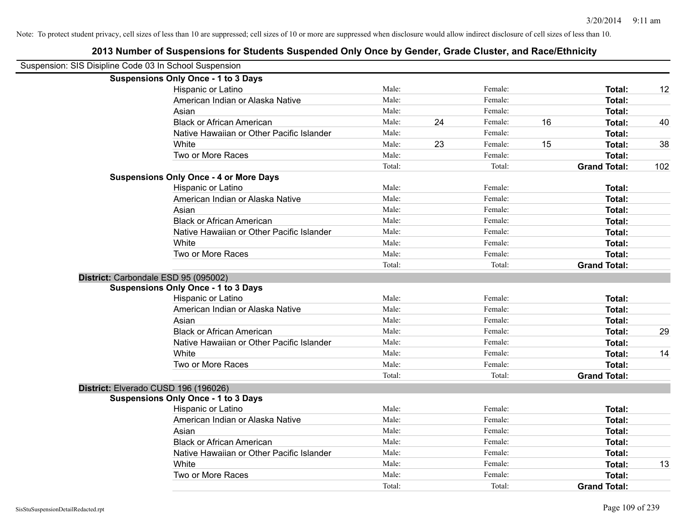| Suspension: SIS Disipline Code 03 In School Suspension |                                                                                    |        |    |         |    |                     |     |
|--------------------------------------------------------|------------------------------------------------------------------------------------|--------|----|---------|----|---------------------|-----|
|                                                        | <b>Suspensions Only Once - 1 to 3 Days</b>                                         |        |    |         |    |                     |     |
|                                                        | Hispanic or Latino                                                                 | Male:  |    | Female: |    | Total:              | 12  |
|                                                        | American Indian or Alaska Native                                                   | Male:  |    | Female: |    | Total:              |     |
|                                                        | Asian                                                                              | Male:  |    | Female: |    | Total:              |     |
|                                                        | <b>Black or African American</b>                                                   | Male:  | 24 | Female: | 16 | Total:              | 40  |
|                                                        | Native Hawaiian or Other Pacific Islander                                          | Male:  |    | Female: |    | Total:              |     |
|                                                        | White                                                                              | Male:  | 23 | Female: | 15 | Total:              | 38  |
|                                                        | Two or More Races                                                                  | Male:  |    | Female: |    | Total:              |     |
|                                                        |                                                                                    | Total: |    | Total:  |    | <b>Grand Total:</b> | 102 |
|                                                        | <b>Suspensions Only Once - 4 or More Days</b>                                      |        |    |         |    |                     |     |
|                                                        | <b>Hispanic or Latino</b>                                                          | Male:  |    | Female: |    | Total:              |     |
|                                                        | American Indian or Alaska Native                                                   | Male:  |    | Female: |    | Total:              |     |
|                                                        | Asian                                                                              | Male:  |    | Female: |    | Total:              |     |
|                                                        | <b>Black or African American</b>                                                   | Male:  |    | Female: |    | Total:              |     |
|                                                        | Native Hawaiian or Other Pacific Islander                                          | Male:  |    | Female: |    | Total:              |     |
|                                                        | White                                                                              | Male:  |    | Female: |    | Total:              |     |
|                                                        | Two or More Races                                                                  | Male:  |    | Female: |    | Total:              |     |
|                                                        |                                                                                    | Total: |    | Total:  |    | <b>Grand Total:</b> |     |
|                                                        | District: Carbondale ESD 95 (095002)                                               |        |    |         |    |                     |     |
|                                                        | <b>Suspensions Only Once - 1 to 3 Days</b>                                         |        |    |         |    |                     |     |
|                                                        | Hispanic or Latino                                                                 | Male:  |    | Female: |    | Total:              |     |
|                                                        | American Indian or Alaska Native                                                   | Male:  |    | Female: |    | Total:              |     |
|                                                        |                                                                                    |        |    |         |    |                     |     |
|                                                        | Asian                                                                              | Male:  |    | Female: |    | Total:              |     |
|                                                        | <b>Black or African American</b>                                                   | Male:  |    | Female: |    | Total:              | 29  |
|                                                        | Native Hawaiian or Other Pacific Islander                                          | Male:  |    | Female: |    | Total:              |     |
|                                                        | White                                                                              | Male:  |    | Female: |    | Total:              | 14  |
|                                                        | Two or More Races                                                                  | Male:  |    | Female: |    | Total:              |     |
|                                                        |                                                                                    | Total: |    | Total:  |    | <b>Grand Total:</b> |     |
|                                                        |                                                                                    |        |    |         |    |                     |     |
|                                                        | District: Elverado CUSD 196 (196026)<br><b>Suspensions Only Once - 1 to 3 Days</b> |        |    |         |    |                     |     |
|                                                        | Hispanic or Latino                                                                 | Male:  |    | Female: |    | Total:              |     |
|                                                        | American Indian or Alaska Native                                                   | Male:  |    | Female: |    | Total:              |     |
|                                                        | Asian                                                                              | Male:  |    | Female: |    | Total:              |     |
|                                                        | <b>Black or African American</b>                                                   | Male:  |    | Female: |    | Total:              |     |
|                                                        | Native Hawaiian or Other Pacific Islander                                          | Male:  |    | Female: |    | Total:              |     |
|                                                        | White                                                                              | Male:  |    | Female: |    | Total:              | 13  |

Total: Total: **Grand Total:**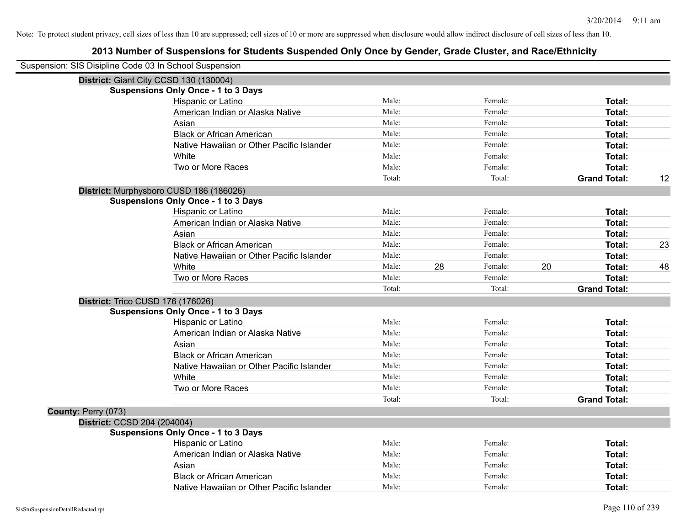| Suspension: SIS Disipline Code 03 In School Suspension |                                            |        |    |         |    |                     |    |
|--------------------------------------------------------|--------------------------------------------|--------|----|---------|----|---------------------|----|
|                                                        | District: Giant City CCSD 130 (130004)     |        |    |         |    |                     |    |
|                                                        | <b>Suspensions Only Once - 1 to 3 Days</b> |        |    |         |    |                     |    |
|                                                        | Hispanic or Latino                         | Male:  |    | Female: |    | Total:              |    |
|                                                        | American Indian or Alaska Native           | Male:  |    | Female: |    | Total:              |    |
|                                                        | Asian                                      | Male:  |    | Female: |    | Total:              |    |
|                                                        | <b>Black or African American</b>           | Male:  |    | Female: |    | Total:              |    |
|                                                        | Native Hawaiian or Other Pacific Islander  | Male:  |    | Female: |    | Total:              |    |
|                                                        | White                                      | Male:  |    | Female: |    | Total:              |    |
|                                                        | Two or More Races                          | Male:  |    | Female: |    | <b>Total:</b>       |    |
|                                                        |                                            | Total: |    | Total:  |    | <b>Grand Total:</b> | 12 |
|                                                        | District: Murphysboro CUSD 186 (186026)    |        |    |         |    |                     |    |
|                                                        | <b>Suspensions Only Once - 1 to 3 Days</b> |        |    |         |    |                     |    |
|                                                        | Hispanic or Latino                         | Male:  |    | Female: |    | Total:              |    |
|                                                        | American Indian or Alaska Native           | Male:  |    | Female: |    | Total:              |    |
|                                                        | Asian                                      | Male:  |    | Female: |    | Total:              |    |
|                                                        | <b>Black or African American</b>           | Male:  |    | Female: |    | <b>Total:</b>       | 23 |
|                                                        | Native Hawaiian or Other Pacific Islander  | Male:  |    | Female: |    | Total:              |    |
|                                                        | White                                      | Male:  | 28 | Female: | 20 | Total:              | 48 |
|                                                        | Two or More Races                          | Male:  |    | Female: |    | Total:              |    |
|                                                        |                                            | Total: |    | Total:  |    | <b>Grand Total:</b> |    |
|                                                        | District: Trico CUSD 176 (176026)          |        |    |         |    |                     |    |
|                                                        | <b>Suspensions Only Once - 1 to 3 Days</b> |        |    |         |    |                     |    |
|                                                        | Hispanic or Latino                         | Male:  |    | Female: |    | Total:              |    |
|                                                        | American Indian or Alaska Native           | Male:  |    | Female: |    | Total:              |    |
|                                                        | Asian                                      | Male:  |    | Female: |    | Total:              |    |
|                                                        | <b>Black or African American</b>           | Male:  |    | Female: |    | <b>Total:</b>       |    |
|                                                        | Native Hawaiian or Other Pacific Islander  | Male:  |    | Female: |    | Total:              |    |
|                                                        | White                                      | Male:  |    | Female: |    | Total:              |    |
|                                                        | Two or More Races                          | Male:  |    | Female: |    | <b>Total:</b>       |    |
|                                                        |                                            | Total: |    | Total:  |    | <b>Grand Total:</b> |    |
| County: Perry (073)                                    |                                            |        |    |         |    |                     |    |
| District: CCSD 204 (204004)                            |                                            |        |    |         |    |                     |    |
|                                                        | <b>Suspensions Only Once - 1 to 3 Days</b> |        |    |         |    |                     |    |
|                                                        | Hispanic or Latino                         | Male:  |    | Female: |    | Total:              |    |
|                                                        | American Indian or Alaska Native           | Male:  |    | Female: |    | Total:              |    |
|                                                        | Asian                                      | Male:  |    | Female: |    | Total:              |    |
|                                                        | <b>Black or African American</b>           | Male:  |    | Female: |    | Total:              |    |
|                                                        | Native Hawaiian or Other Pacific Islander  | Male:  |    | Female: |    | Total:              |    |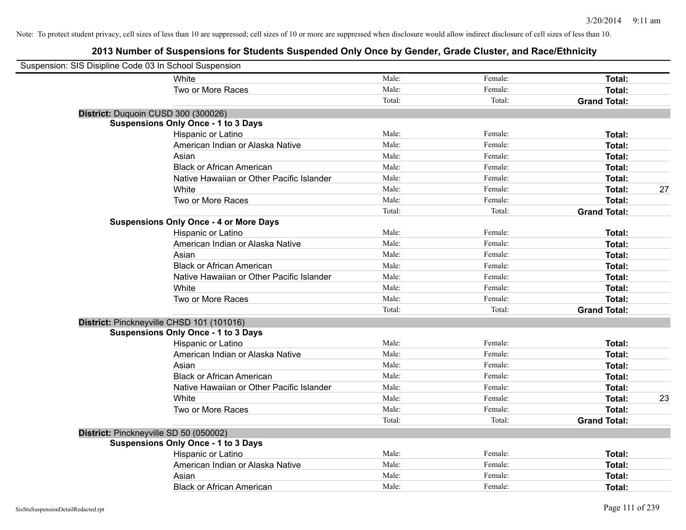| Suspension: SIS Disipline Code 03 In School Suspension |                                               |        |         |                     |    |
|--------------------------------------------------------|-----------------------------------------------|--------|---------|---------------------|----|
|                                                        | White                                         | Male:  | Female: | Total:              |    |
|                                                        | Two or More Races                             | Male:  | Female: | <b>Total:</b>       |    |
|                                                        |                                               | Total: | Total:  | <b>Grand Total:</b> |    |
| District: Duquoin CUSD 300 (300026)                    |                                               |        |         |                     |    |
|                                                        | <b>Suspensions Only Once - 1 to 3 Days</b>    |        |         |                     |    |
|                                                        | Hispanic or Latino                            | Male:  | Female: | Total:              |    |
|                                                        | American Indian or Alaska Native              | Male:  | Female: | <b>Total:</b>       |    |
|                                                        | Asian                                         | Male:  | Female: | Total:              |    |
|                                                        | <b>Black or African American</b>              | Male:  | Female: | <b>Total:</b>       |    |
|                                                        | Native Hawaiian or Other Pacific Islander     | Male:  | Female: | Total:              |    |
|                                                        | White                                         | Male:  | Female: | Total:              | 27 |
|                                                        | Two or More Races                             | Male:  | Female: | <b>Total:</b>       |    |
|                                                        |                                               | Total: | Total:  | <b>Grand Total:</b> |    |
|                                                        | <b>Suspensions Only Once - 4 or More Days</b> |        |         |                     |    |
|                                                        | Hispanic or Latino                            | Male:  | Female: | Total:              |    |
|                                                        | American Indian or Alaska Native              | Male:  | Female: | Total:              |    |
|                                                        | Asian                                         | Male:  | Female: | Total:              |    |
|                                                        | <b>Black or African American</b>              | Male:  | Female: | Total:              |    |
|                                                        | Native Hawaiian or Other Pacific Islander     | Male:  | Female: | Total:              |    |
|                                                        | White                                         | Male:  | Female: | <b>Total:</b>       |    |
|                                                        | Two or More Races                             | Male:  | Female: | <b>Total:</b>       |    |
|                                                        |                                               | Total: | Total:  | <b>Grand Total:</b> |    |
|                                                        | District: Pinckneyville CHSD 101 (101016)     |        |         |                     |    |
|                                                        | <b>Suspensions Only Once - 1 to 3 Days</b>    |        |         |                     |    |
|                                                        | Hispanic or Latino                            | Male:  | Female: | <b>Total:</b>       |    |
|                                                        | American Indian or Alaska Native              | Male:  | Female: | Total:              |    |
|                                                        | Asian                                         | Male:  | Female: | <b>Total:</b>       |    |
|                                                        | <b>Black or African American</b>              | Male:  | Female: | <b>Total:</b>       |    |
|                                                        | Native Hawaiian or Other Pacific Islander     | Male:  | Female: | Total:              |    |
|                                                        | White                                         | Male:  | Female: | Total:              | 23 |
|                                                        | Two or More Races                             | Male:  | Female: | Total:              |    |
|                                                        |                                               | Total: | Total:  | <b>Grand Total:</b> |    |
| District: Pinckneyville SD 50 (050002)                 |                                               |        |         |                     |    |
|                                                        | <b>Suspensions Only Once - 1 to 3 Days</b>    |        |         |                     |    |
|                                                        | Hispanic or Latino                            | Male:  | Female: | Total:              |    |
|                                                        | American Indian or Alaska Native              | Male:  | Female: | <b>Total:</b>       |    |
|                                                        | Asian                                         | Male:  | Female: | <b>Total:</b>       |    |
|                                                        | <b>Black or African American</b>              | Male:  | Female: | Total:              |    |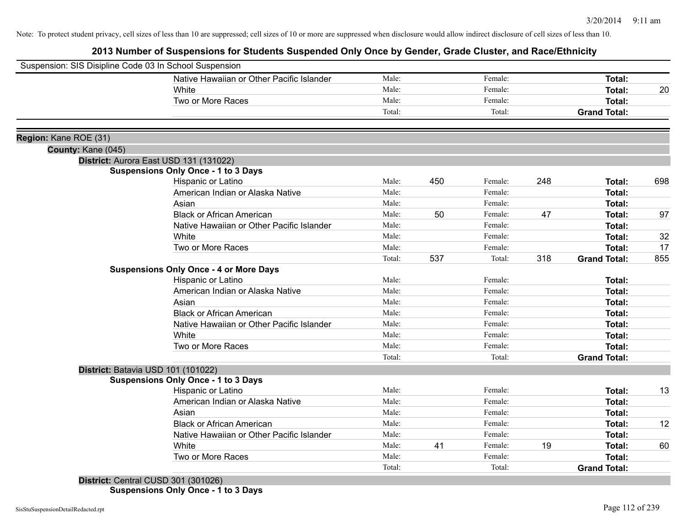# **2013 Number of Suspensions for Students Suspended Only Once by Gender, Grade Cluster, and Race/Ethnicity**

|                       | Suspension: SIS Disipline Code 03 In School Suspension |        |     |         |     |                     |     |
|-----------------------|--------------------------------------------------------|--------|-----|---------|-----|---------------------|-----|
|                       | Native Hawaiian or Other Pacific Islander              | Male:  |     | Female: |     | Total:              |     |
|                       | White                                                  | Male:  |     | Female: |     | Total:              | 20  |
|                       | Two or More Races                                      | Male:  |     | Female: |     | <b>Total:</b>       |     |
|                       |                                                        | Total: |     | Total:  |     | <b>Grand Total:</b> |     |
| Region: Kane ROE (31) |                                                        |        |     |         |     |                     |     |
| County: Kane (045)    |                                                        |        |     |         |     |                     |     |
|                       | District: Aurora East USD 131 (131022)                 |        |     |         |     |                     |     |
|                       | <b>Suspensions Only Once - 1 to 3 Days</b>             |        |     |         |     |                     |     |
|                       | Hispanic or Latino                                     | Male:  | 450 | Female: | 248 | Total:              | 698 |
|                       | American Indian or Alaska Native                       | Male:  |     | Female: |     | Total:              |     |
|                       | Asian                                                  | Male:  |     | Female: |     | Total:              |     |
|                       | <b>Black or African American</b>                       | Male:  | 50  | Female: | 47  | Total:              | 97  |
|                       | Native Hawaiian or Other Pacific Islander              | Male:  |     | Female: |     | Total:              |     |
|                       | White                                                  | Male:  |     | Female: |     | Total:              | 32  |
|                       | Two or More Races                                      | Male:  |     | Female: |     | <b>Total:</b>       | 17  |
|                       |                                                        | Total: | 537 | Total:  | 318 | <b>Grand Total:</b> | 855 |
|                       | <b>Suspensions Only Once - 4 or More Days</b>          |        |     |         |     |                     |     |
|                       | Hispanic or Latino                                     | Male:  |     | Female: |     | Total:              |     |
|                       | American Indian or Alaska Native                       | Male:  |     | Female: |     | Total:              |     |
|                       | Asian                                                  | Male:  |     | Female: |     | Total:              |     |
|                       | <b>Black or African American</b>                       | Male:  |     | Female: |     | Total:              |     |
|                       | Native Hawaiian or Other Pacific Islander              | Male:  |     | Female: |     | Total:              |     |
|                       | White                                                  | Male:  |     | Female: |     | Total:              |     |
|                       | Two or More Races                                      | Male:  |     | Female: |     | <b>Total:</b>       |     |
|                       |                                                        | Total: |     | Total:  |     | <b>Grand Total:</b> |     |
|                       | District: Batavia USD 101 (101022)                     |        |     |         |     |                     |     |
|                       | <b>Suspensions Only Once - 1 to 3 Days</b>             |        |     |         |     |                     |     |
|                       | Hispanic or Latino                                     | Male:  |     | Female: |     | Total:              | 13  |
|                       | American Indian or Alaska Native                       | Male:  |     | Female: |     | Total:              |     |
|                       | Asian                                                  | Male:  |     | Female: |     | Total:              |     |
|                       | <b>Black or African American</b>                       | Male:  |     | Female: |     | Total:              | 12  |
|                       | Native Hawaiian or Other Pacific Islander              | Male:  |     | Female: |     | Total:              |     |
|                       | White                                                  | Male:  | 41  | Female: | 19  | Total:              | 60  |
|                       | Two or More Races                                      | Male:  |     | Female: |     | Total:              |     |
|                       |                                                        | Total: |     | Total:  |     | <b>Grand Total:</b> |     |
|                       | District: Central CUSD 301 (301026)                    |        |     |         |     |                     |     |

**Suspensions Only Once - 1 to 3 Days**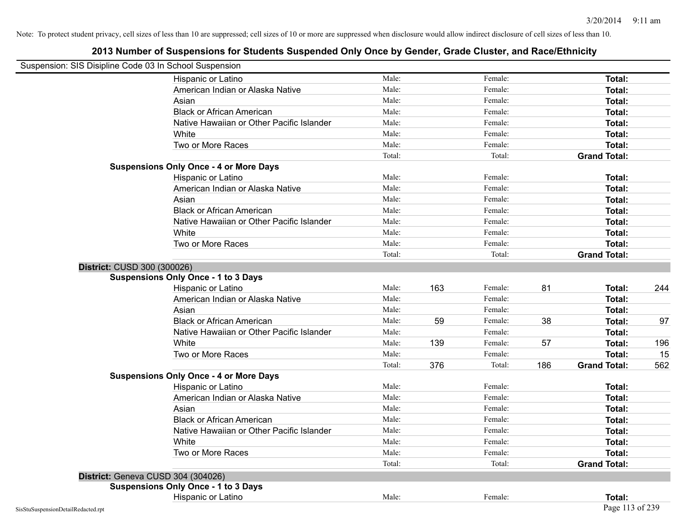| Suspension: SIS Disipline Code 03 In School Suspension |                                               |        |     |         |     |                     |     |
|--------------------------------------------------------|-----------------------------------------------|--------|-----|---------|-----|---------------------|-----|
|                                                        | Hispanic or Latino                            | Male:  |     | Female: |     | <b>Total:</b>       |     |
|                                                        | American Indian or Alaska Native              | Male:  |     | Female: |     | Total:              |     |
|                                                        | Asian                                         | Male:  |     | Female: |     | Total:              |     |
|                                                        | <b>Black or African American</b>              | Male:  |     | Female: |     | Total:              |     |
|                                                        | Native Hawaiian or Other Pacific Islander     | Male:  |     | Female: |     | Total:              |     |
|                                                        | White                                         | Male:  |     | Female: |     | Total:              |     |
|                                                        | Two or More Races                             | Male:  |     | Female: |     | Total:              |     |
|                                                        |                                               | Total: |     | Total:  |     | <b>Grand Total:</b> |     |
|                                                        | <b>Suspensions Only Once - 4 or More Days</b> |        |     |         |     |                     |     |
|                                                        | Hispanic or Latino                            | Male:  |     | Female: |     | Total:              |     |
|                                                        | American Indian or Alaska Native              | Male:  |     | Female: |     | Total:              |     |
|                                                        | Asian                                         | Male:  |     | Female: |     | Total:              |     |
|                                                        | <b>Black or African American</b>              | Male:  |     | Female: |     | Total:              |     |
|                                                        | Native Hawaiian or Other Pacific Islander     | Male:  |     | Female: |     | Total:              |     |
|                                                        | White                                         | Male:  |     | Female: |     | Total:              |     |
|                                                        | Two or More Races                             | Male:  |     | Female: |     | Total:              |     |
|                                                        |                                               | Total: |     | Total:  |     | <b>Grand Total:</b> |     |
|                                                        | District: CUSD 300 (300026)                   |        |     |         |     |                     |     |
|                                                        | <b>Suspensions Only Once - 1 to 3 Days</b>    |        |     |         |     |                     |     |
|                                                        | Hispanic or Latino                            | Male:  | 163 | Female: | 81  | Total:              | 244 |
|                                                        | American Indian or Alaska Native              | Male:  |     | Female: |     | Total:              |     |
|                                                        | Asian                                         | Male:  |     | Female: |     | Total:              |     |
|                                                        | <b>Black or African American</b>              | Male:  | 59  | Female: | 38  | Total:              | 97  |
|                                                        | Native Hawaiian or Other Pacific Islander     | Male:  |     | Female: |     | Total:              |     |
|                                                        | White                                         | Male:  | 139 | Female: | 57  | Total:              | 196 |
|                                                        | Two or More Races                             | Male:  |     | Female: |     | Total:              | 15  |
|                                                        |                                               | Total: | 376 | Total:  | 186 | <b>Grand Total:</b> | 562 |
|                                                        | <b>Suspensions Only Once - 4 or More Days</b> |        |     |         |     |                     |     |
|                                                        | Hispanic or Latino                            | Male:  |     | Female: |     | Total:              |     |
|                                                        | American Indian or Alaska Native              | Male:  |     | Female: |     | Total:              |     |
|                                                        | Asian                                         | Male:  |     | Female: |     | Total:              |     |
|                                                        | <b>Black or African American</b>              | Male:  |     | Female: |     | Total:              |     |
|                                                        | Native Hawaiian or Other Pacific Islander     | Male:  |     | Female: |     | Total:              |     |
|                                                        | White                                         | Male:  |     | Female: |     | Total:              |     |
|                                                        | Two or More Races                             | Male:  |     | Female: |     | Total:              |     |
|                                                        |                                               | Total: |     | Total:  |     | <b>Grand Total:</b> |     |
|                                                        | District: Geneva CUSD 304 (304026)            |        |     |         |     |                     |     |
|                                                        | <b>Suspensions Only Once - 1 to 3 Days</b>    |        |     |         |     |                     |     |
|                                                        | Hispanic or Latino                            | Male:  |     | Female: |     | Total:              |     |
| SisStuSuspensionDetailRedacted.rpt                     |                                               |        |     |         |     | Page 113 of 239     |     |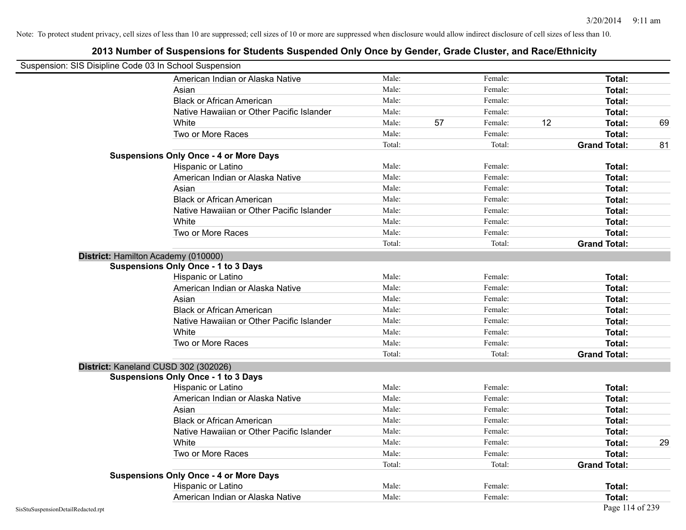| Suspension: SIS Disipline Code 03 In School Suspension |                                               |        |    |         |    |                     |    |
|--------------------------------------------------------|-----------------------------------------------|--------|----|---------|----|---------------------|----|
|                                                        | American Indian or Alaska Native              | Male:  |    | Female: |    | Total:              |    |
|                                                        | Asian                                         | Male:  |    | Female: |    | Total:              |    |
|                                                        | <b>Black or African American</b>              | Male:  |    | Female: |    | Total:              |    |
|                                                        | Native Hawaiian or Other Pacific Islander     | Male:  |    | Female: |    | Total:              |    |
|                                                        | White                                         | Male:  | 57 | Female: | 12 | Total:              | 69 |
|                                                        | Two or More Races                             | Male:  |    | Female: |    | Total:              |    |
|                                                        |                                               | Total: |    | Total:  |    | <b>Grand Total:</b> | 81 |
|                                                        | <b>Suspensions Only Once - 4 or More Days</b> |        |    |         |    |                     |    |
|                                                        | Hispanic or Latino                            | Male:  |    | Female: |    | Total:              |    |
|                                                        | American Indian or Alaska Native              | Male:  |    | Female: |    | Total:              |    |
|                                                        | Asian                                         | Male:  |    | Female: |    | Total:              |    |
|                                                        | <b>Black or African American</b>              | Male:  |    | Female: |    | Total:              |    |
|                                                        | Native Hawaiian or Other Pacific Islander     | Male:  |    | Female: |    | Total:              |    |
|                                                        | White                                         | Male:  |    | Female: |    | Total:              |    |
|                                                        | Two or More Races                             | Male:  |    | Female: |    | Total:              |    |
|                                                        |                                               | Total: |    | Total:  |    | <b>Grand Total:</b> |    |
|                                                        | District: Hamilton Academy (010000)           |        |    |         |    |                     |    |
|                                                        | <b>Suspensions Only Once - 1 to 3 Days</b>    |        |    |         |    |                     |    |
|                                                        | Hispanic or Latino                            | Male:  |    | Female: |    | Total:              |    |
|                                                        | American Indian or Alaska Native              | Male:  |    | Female: |    | Total:              |    |
|                                                        | Asian                                         | Male:  |    | Female: |    | Total:              |    |
|                                                        | <b>Black or African American</b>              | Male:  |    | Female: |    | Total:              |    |
|                                                        | Native Hawaiian or Other Pacific Islander     | Male:  |    | Female: |    | Total:              |    |
|                                                        | White                                         | Male:  |    | Female: |    | Total:              |    |
|                                                        | Two or More Races                             | Male:  |    | Female: |    | Total:              |    |
|                                                        |                                               | Total: |    | Total:  |    | <b>Grand Total:</b> |    |
|                                                        | District: Kaneland CUSD 302 (302026)          |        |    |         |    |                     |    |
|                                                        | <b>Suspensions Only Once - 1 to 3 Days</b>    |        |    |         |    |                     |    |
|                                                        | Hispanic or Latino                            | Male:  |    | Female: |    | Total:              |    |
|                                                        | American Indian or Alaska Native              | Male:  |    | Female: |    | Total:              |    |
|                                                        | Asian                                         | Male:  |    | Female: |    | Total:              |    |
|                                                        | <b>Black or African American</b>              | Male:  |    | Female: |    | Total:              |    |
|                                                        | Native Hawaiian or Other Pacific Islander     | Male:  |    | Female: |    | Total:              |    |
|                                                        | White                                         | Male:  |    | Female: |    | Total:              | 29 |
|                                                        | Two or More Races                             | Male:  |    | Female: |    | Total:              |    |
|                                                        |                                               | Total: |    | Total:  |    | <b>Grand Total:</b> |    |
|                                                        | <b>Suspensions Only Once - 4 or More Days</b> |        |    |         |    |                     |    |
|                                                        | Hispanic or Latino                            | Male:  |    | Female: |    | Total:              |    |
|                                                        | American Indian or Alaska Native              | Male:  |    | Female: |    | Total:              |    |
| SisStuSuspensionDetailRedacted.rpt                     |                                               |        |    |         |    | Page 114 of 239     |    |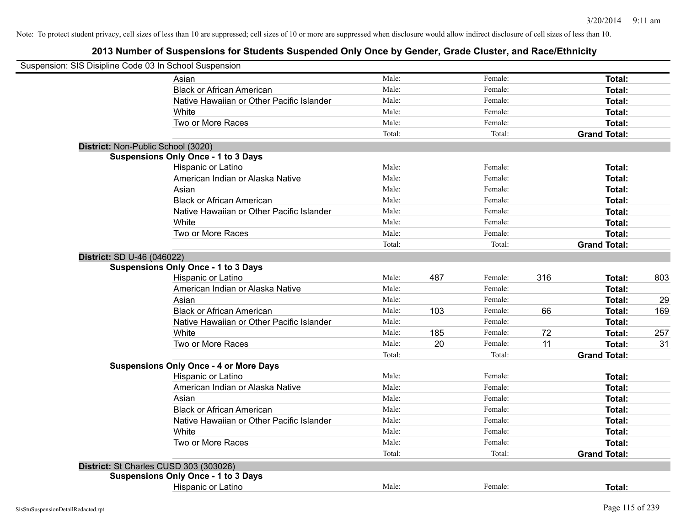| Suspension: SIS Disipline Code 03 In School Suspension |        |     |         |     |                     |     |
|--------------------------------------------------------|--------|-----|---------|-----|---------------------|-----|
| Asian                                                  | Male:  |     | Female: |     | Total:              |     |
| <b>Black or African American</b>                       | Male:  |     | Female: |     | Total:              |     |
| Native Hawaiian or Other Pacific Islander              | Male:  |     | Female: |     | Total:              |     |
| White                                                  | Male:  |     | Female: |     | Total:              |     |
| Two or More Races                                      | Male:  |     | Female: |     | Total:              |     |
|                                                        | Total: |     | Total:  |     | <b>Grand Total:</b> |     |
| District: Non-Public School (3020)                     |        |     |         |     |                     |     |
| <b>Suspensions Only Once - 1 to 3 Days</b>             |        |     |         |     |                     |     |
| Hispanic or Latino                                     | Male:  |     | Female: |     | Total:              |     |
| American Indian or Alaska Native                       | Male:  |     | Female: |     | Total:              |     |
| Asian                                                  | Male:  |     | Female: |     | Total:              |     |
| <b>Black or African American</b>                       | Male:  |     | Female: |     | Total:              |     |
| Native Hawaiian or Other Pacific Islander              | Male:  |     | Female: |     | Total:              |     |
| White                                                  | Male:  |     | Female: |     | Total:              |     |
| Two or More Races                                      | Male:  |     | Female: |     | Total:              |     |
|                                                        | Total: |     | Total:  |     | <b>Grand Total:</b> |     |
| District: SD U-46 (046022)                             |        |     |         |     |                     |     |
| <b>Suspensions Only Once - 1 to 3 Days</b>             |        |     |         |     |                     |     |
| Hispanic or Latino                                     | Male:  | 487 | Female: | 316 | Total:              | 803 |
| American Indian or Alaska Native                       | Male:  |     | Female: |     | Total:              |     |
| Asian                                                  | Male:  |     | Female: |     | Total:              | 29  |
| <b>Black or African American</b>                       | Male:  | 103 | Female: | 66  | Total:              | 169 |
| Native Hawaiian or Other Pacific Islander              | Male:  |     | Female: |     | Total:              |     |
| White                                                  | Male:  | 185 | Female: | 72  | Total:              | 257 |
| Two or More Races                                      | Male:  | 20  | Female: | 11  | <b>Total:</b>       | 31  |
|                                                        | Total: |     | Total:  |     | <b>Grand Total:</b> |     |
| <b>Suspensions Only Once - 4 or More Days</b>          |        |     |         |     |                     |     |
| Hispanic or Latino                                     | Male:  |     | Female: |     | Total:              |     |
| American Indian or Alaska Native                       | Male:  |     | Female: |     | Total:              |     |
| Asian                                                  | Male:  |     | Female: |     | Total:              |     |
| <b>Black or African American</b>                       | Male:  |     | Female: |     | Total:              |     |
| Native Hawaiian or Other Pacific Islander              | Male:  |     | Female: |     | Total:              |     |
| White                                                  | Male:  |     | Female: |     | Total:              |     |
| Two or More Races                                      | Male:  |     | Female: |     | Total:              |     |
|                                                        | Total: |     | Total:  |     | <b>Grand Total:</b> |     |
| District: St Charles CUSD 303 (303026)                 |        |     |         |     |                     |     |
| <b>Suspensions Only Once - 1 to 3 Days</b>             |        |     |         |     |                     |     |
| Hispanic or Latino                                     | Male:  |     | Female: |     | Total:              |     |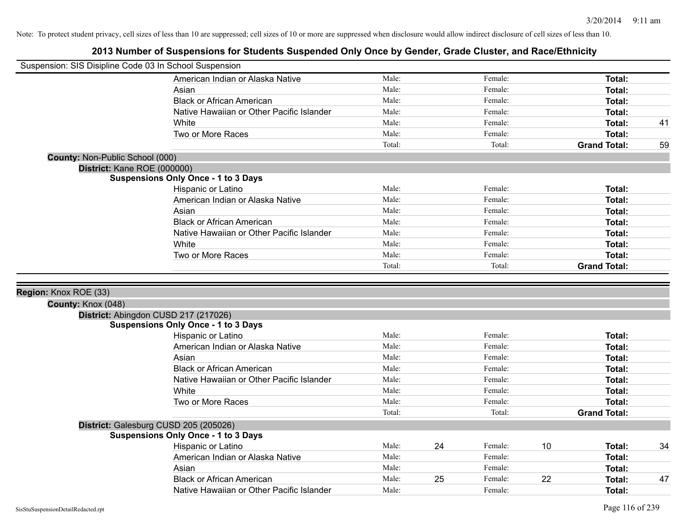| Suspension: SIS Disipline Code 03 In School Suspension |                                                                               |                |    |         |    |                     |    |
|--------------------------------------------------------|-------------------------------------------------------------------------------|----------------|----|---------|----|---------------------|----|
|                                                        | American Indian or Alaska Native                                              | Male:          |    | Female: |    | Total:              |    |
|                                                        | Asian                                                                         | Male:          |    | Female: |    | Total:              |    |
|                                                        | <b>Black or African American</b>                                              | Male:          |    | Female: |    | Total:              |    |
|                                                        | Native Hawaiian or Other Pacific Islander                                     | Male:          |    | Female: |    | Total:              |    |
|                                                        | White                                                                         | Male:          |    | Female: |    | Total:              | 41 |
|                                                        | Two or More Races                                                             | Male:          |    | Female: |    | Total:              |    |
|                                                        |                                                                               | Total:         |    | Total:  |    | <b>Grand Total:</b> | 59 |
| County: Non-Public School (000)                        |                                                                               |                |    |         |    |                     |    |
| District: Kane ROE (000000)                            |                                                                               |                |    |         |    |                     |    |
|                                                        | <b>Suspensions Only Once - 1 to 3 Days</b>                                    |                |    |         |    |                     |    |
|                                                        | Hispanic or Latino                                                            | Male:          |    | Female: |    | Total:              |    |
|                                                        | American Indian or Alaska Native                                              | Male:          |    | Female: |    | Total:              |    |
|                                                        | Asian                                                                         | Male:          |    | Female: |    | Total:              |    |
|                                                        | <b>Black or African American</b>                                              | Male:          |    | Female: |    | Total:              |    |
|                                                        | Native Hawaiian or Other Pacific Islander                                     | Male:          |    | Female: |    | Total:              |    |
|                                                        | White                                                                         | Male:          |    | Female: |    | Total:              |    |
|                                                        | Two or More Races                                                             | Male:          |    | Female: |    | Total:              |    |
|                                                        |                                                                               | Total:         |    | Total:  |    | <b>Grand Total:</b> |    |
| County: Knox (048)                                     | District: Abingdon CUSD 217 (217026)                                          |                |    |         |    |                     |    |
|                                                        | <b>Suspensions Only Once - 1 to 3 Days</b>                                    |                |    |         |    |                     |    |
|                                                        | Hispanic or Latino                                                            | Male:          |    | Female: |    | Total:              |    |
|                                                        | American Indian or Alaska Native                                              | Male:          |    | Female: |    | Total:              |    |
|                                                        | Asian                                                                         | Male:          |    | Female: |    | Total:              |    |
|                                                        | <b>Black or African American</b>                                              | Male:          |    | Female: |    | Total:              |    |
|                                                        | Native Hawaiian or Other Pacific Islander                                     | Male:          |    | Female: |    | Total:              |    |
|                                                        | White                                                                         | Male:          |    | Female: |    | Total:              |    |
|                                                        | Two or More Races                                                             | Male:          |    | Female: |    | Total:              |    |
|                                                        |                                                                               | Total:         |    | Total:  |    | <b>Grand Total:</b> |    |
|                                                        | District: Galesburg CUSD 205 (205026)                                         |                |    |         |    |                     |    |
|                                                        | <b>Suspensions Only Once - 1 to 3 Days</b>                                    |                |    |         |    |                     |    |
|                                                        | Hispanic or Latino                                                            | Male:          | 24 | Female: | 10 | Total:              | 34 |
|                                                        | American Indian or Alaska Native                                              | Male:          |    | Female: |    | Total:              |    |
|                                                        |                                                                               |                |    |         |    |                     |    |
|                                                        | Asian                                                                         | Male:          |    | Female: |    | Total:              |    |
|                                                        | <b>Black or African American</b><br>Native Hawaiian or Other Pacific Islander | Male:<br>Male: | 25 | Female: | 22 | <b>Total:</b>       | 47 |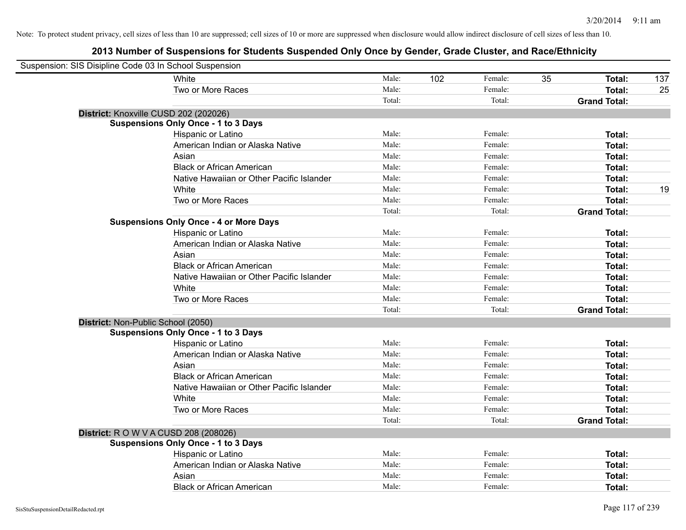| Suspension: SIS Disipline Code 03 In School Suspension |                                               |        |     |         |    |                     |     |
|--------------------------------------------------------|-----------------------------------------------|--------|-----|---------|----|---------------------|-----|
|                                                        | White                                         | Male:  | 102 | Female: | 35 | Total:              | 137 |
|                                                        | Two or More Races                             | Male:  |     | Female: |    | <b>Total:</b>       | 25  |
|                                                        |                                               | Total: |     | Total:  |    | <b>Grand Total:</b> |     |
| District: Knoxville CUSD 202 (202026)                  |                                               |        |     |         |    |                     |     |
|                                                        | <b>Suspensions Only Once - 1 to 3 Days</b>    |        |     |         |    |                     |     |
|                                                        | Hispanic or Latino                            | Male:  |     | Female: |    | Total:              |     |
|                                                        | American Indian or Alaska Native              | Male:  |     | Female: |    | Total:              |     |
|                                                        | Asian                                         | Male:  |     | Female: |    | Total:              |     |
|                                                        | <b>Black or African American</b>              | Male:  |     | Female: |    | Total:              |     |
|                                                        | Native Hawaiian or Other Pacific Islander     | Male:  |     | Female: |    | Total:              |     |
|                                                        | White                                         | Male:  |     | Female: |    | <b>Total:</b>       | 19  |
|                                                        | Two or More Races                             | Male:  |     | Female: |    | <b>Total:</b>       |     |
|                                                        |                                               | Total: |     | Total:  |    | <b>Grand Total:</b> |     |
|                                                        | <b>Suspensions Only Once - 4 or More Days</b> |        |     |         |    |                     |     |
|                                                        | Hispanic or Latino                            | Male:  |     | Female: |    | Total:              |     |
|                                                        | American Indian or Alaska Native              | Male:  |     | Female: |    | Total:              |     |
|                                                        | Asian                                         | Male:  |     | Female: |    | Total:              |     |
|                                                        | <b>Black or African American</b>              | Male:  |     | Female: |    | Total:              |     |
|                                                        | Native Hawaiian or Other Pacific Islander     | Male:  |     | Female: |    | Total:              |     |
|                                                        | White                                         | Male:  |     | Female: |    | Total:              |     |
|                                                        | Two or More Races                             | Male:  |     | Female: |    | Total:              |     |
|                                                        |                                               | Total: |     | Total:  |    | <b>Grand Total:</b> |     |
| District: Non-Public School (2050)                     |                                               |        |     |         |    |                     |     |
|                                                        | <b>Suspensions Only Once - 1 to 3 Days</b>    |        |     |         |    |                     |     |
|                                                        | Hispanic or Latino                            | Male:  |     | Female: |    | <b>Total:</b>       |     |
|                                                        | American Indian or Alaska Native              | Male:  |     | Female: |    | <b>Total:</b>       |     |
|                                                        | Asian                                         | Male:  |     | Female: |    | Total:              |     |
|                                                        | <b>Black or African American</b>              | Male:  |     | Female: |    | <b>Total:</b>       |     |
|                                                        | Native Hawaiian or Other Pacific Islander     | Male:  |     | Female: |    | Total:              |     |
|                                                        | White                                         | Male:  |     | Female: |    | Total:              |     |
|                                                        | Two or More Races                             | Male:  |     | Female: |    | <b>Total:</b>       |     |
|                                                        |                                               | Total: |     | Total:  |    | <b>Grand Total:</b> |     |
| <b>District: R O W V A CUSD 208 (208026)</b>           |                                               |        |     |         |    |                     |     |
|                                                        | <b>Suspensions Only Once - 1 to 3 Days</b>    |        |     |         |    |                     |     |
|                                                        | Hispanic or Latino                            | Male:  |     | Female: |    | <b>Total:</b>       |     |
|                                                        | American Indian or Alaska Native              | Male:  |     | Female: |    | Total:              |     |
|                                                        | Asian                                         | Male:  |     | Female: |    | <b>Total:</b>       |     |
|                                                        | <b>Black or African American</b>              | Male:  |     | Female: |    | Total:              |     |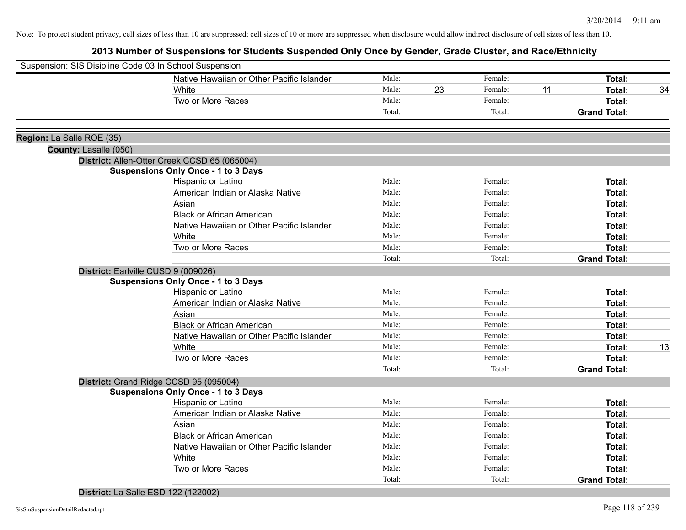# **2013 Number of Suspensions for Students Suspended Only Once by Gender, Grade Cluster, and Race/Ethnicity**

| Suspension: SIS Disipline Code 03 In School Suspension |                                              |        |    |         |    |                     |    |
|--------------------------------------------------------|----------------------------------------------|--------|----|---------|----|---------------------|----|
|                                                        | Native Hawaiian or Other Pacific Islander    | Male:  |    | Female: |    | Total:              |    |
|                                                        | White                                        | Male:  | 23 | Female: | 11 | Total:              | 34 |
|                                                        | Two or More Races                            | Male:  |    | Female: |    | Total:              |    |
|                                                        |                                              | Total: |    | Total:  |    | <b>Grand Total:</b> |    |
| Region: La Salle ROE (35)                              |                                              |        |    |         |    |                     |    |
| County: Lasalle (050)                                  |                                              |        |    |         |    |                     |    |
|                                                        | District: Allen-Otter Creek CCSD 65 (065004) |        |    |         |    |                     |    |
|                                                        | <b>Suspensions Only Once - 1 to 3 Days</b>   |        |    |         |    |                     |    |
|                                                        | Hispanic or Latino                           | Male:  |    | Female: |    | Total:              |    |
|                                                        | American Indian or Alaska Native             | Male:  |    | Female: |    | Total:              |    |
|                                                        | Asian                                        | Male:  |    | Female: |    | Total:              |    |
|                                                        | <b>Black or African American</b>             | Male:  |    | Female: |    | Total:              |    |
|                                                        | Native Hawaiian or Other Pacific Islander    | Male:  |    | Female: |    | Total:              |    |
|                                                        | White                                        | Male:  |    | Female: |    | Total:              |    |
|                                                        | Two or More Races                            | Male:  |    | Female: |    | Total:              |    |
|                                                        |                                              | Total: |    | Total:  |    | <b>Grand Total:</b> |    |
|                                                        | District: Earlville CUSD 9 (009026)          |        |    |         |    |                     |    |
|                                                        | <b>Suspensions Only Once - 1 to 3 Days</b>   |        |    |         |    |                     |    |
|                                                        | Hispanic or Latino                           | Male:  |    | Female: |    | Total:              |    |
|                                                        | American Indian or Alaska Native             | Male:  |    | Female: |    | Total:              |    |
|                                                        | Asian                                        | Male:  |    | Female: |    | Total:              |    |
|                                                        | <b>Black or African American</b>             | Male:  |    | Female: |    | Total:              |    |
|                                                        | Native Hawaiian or Other Pacific Islander    | Male:  |    | Female: |    | Total:              |    |
|                                                        | White                                        | Male:  |    | Female: |    | Total:              | 13 |
|                                                        | Two or More Races                            | Male:  |    | Female: |    | Total:              |    |
|                                                        |                                              | Total: |    | Total:  |    | <b>Grand Total:</b> |    |
|                                                        | District: Grand Ridge CCSD 95 (095004)       |        |    |         |    |                     |    |
|                                                        | <b>Suspensions Only Once - 1 to 3 Days</b>   |        |    |         |    |                     |    |
|                                                        | Hispanic or Latino                           | Male:  |    | Female: |    | Total:              |    |
|                                                        | American Indian or Alaska Native             | Male:  |    | Female: |    | Total:              |    |
|                                                        | Asian                                        | Male:  |    | Female: |    | Total:              |    |
|                                                        | <b>Black or African American</b>             | Male:  |    | Female: |    | Total:              |    |
|                                                        | Native Hawaiian or Other Pacific Islander    | Male:  |    | Female: |    | Total:              |    |
|                                                        | White                                        | Male:  |    | Female: |    | Total:              |    |
|                                                        | Two or More Races                            | Male:  |    | Female: |    | Total:              |    |
|                                                        |                                              | Total: |    | Total:  |    | <b>Grand Total:</b> |    |
|                                                        |                                              |        |    |         |    |                     |    |

**District:** La Salle ESD 122 (122002)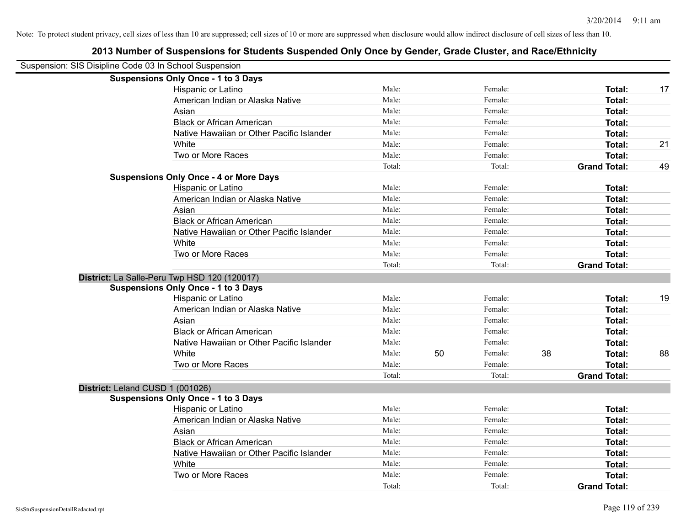|                                                        | 2013 Number of Suspensions for Students Suspended Only Once by Gender, Grade Cluster, and Race/Ethnicity |        |    |         |    |                     |    |
|--------------------------------------------------------|----------------------------------------------------------------------------------------------------------|--------|----|---------|----|---------------------|----|
| Suspension: SIS Disipline Code 03 In School Suspension |                                                                                                          |        |    |         |    |                     |    |
|                                                        | <b>Suspensions Only Once - 1 to 3 Days</b>                                                               |        |    |         |    |                     |    |
|                                                        | Hispanic or Latino                                                                                       | Male:  |    | Female: |    | Total:              | 17 |
|                                                        | American Indian or Alaska Native                                                                         | Male:  |    | Female: |    | Total:              |    |
|                                                        | Asian                                                                                                    | Male:  |    | Female: |    | <b>Total:</b>       |    |
|                                                        | <b>Black or African American</b>                                                                         | Male:  |    | Female: |    | Total:              |    |
|                                                        | Native Hawaiian or Other Pacific Islander                                                                | Male:  |    | Female: |    | Total:              |    |
|                                                        | White                                                                                                    | Male:  |    | Female: |    | Total:              | 21 |
|                                                        | Two or More Races                                                                                        | Male:  |    | Female: |    | Total:              |    |
|                                                        |                                                                                                          | Total: |    | Total:  |    | <b>Grand Total:</b> | 49 |
|                                                        | <b>Suspensions Only Once - 4 or More Days</b>                                                            |        |    |         |    |                     |    |
|                                                        | Hispanic or Latino                                                                                       | Male:  |    | Female: |    | Total:              |    |
|                                                        | American Indian or Alaska Native                                                                         | Male:  |    | Female: |    | Total:              |    |
|                                                        | Asian                                                                                                    | Male:  |    | Female: |    | Total:              |    |
|                                                        | <b>Black or African American</b>                                                                         | Male:  |    | Female: |    | Total:              |    |
|                                                        | Native Hawaiian or Other Pacific Islander                                                                | Male:  |    | Female: |    | Total:              |    |
|                                                        | White                                                                                                    | Male:  |    | Female: |    | Total:              |    |
|                                                        | Two or More Races                                                                                        | Male:  |    | Female: |    | Total:              |    |
|                                                        |                                                                                                          | Total: |    | Total:  |    | <b>Grand Total:</b> |    |
|                                                        | District: La Salle-Peru Twp HSD 120 (120017)                                                             |        |    |         |    |                     |    |
|                                                        | <b>Suspensions Only Once - 1 to 3 Days</b>                                                               |        |    |         |    |                     |    |
|                                                        | Hispanic or Latino                                                                                       | Male:  |    | Female: |    | Total:              | 19 |
|                                                        | American Indian or Alaska Native                                                                         | Male:  |    | Female: |    | Total:              |    |
|                                                        | Asian                                                                                                    | Male:  |    | Female: |    | <b>Total:</b>       |    |
|                                                        | <b>Black or African American</b>                                                                         | Male:  |    | Female: |    | Total:              |    |
|                                                        | Native Hawaiian or Other Pacific Islander                                                                | Male:  |    | Female: |    | Total:              |    |
|                                                        | White                                                                                                    | Male:  | 50 | Female: | 38 | Total:              | 88 |
|                                                        | Two or More Races                                                                                        | Male:  |    | Female: |    | Total:              |    |
|                                                        |                                                                                                          | Total: |    | Total:  |    | <b>Grand Total:</b> |    |
| District: Leland CUSD 1 (001026)                       |                                                                                                          |        |    |         |    |                     |    |
|                                                        | <b>Suspensions Only Once - 1 to 3 Days</b>                                                               |        |    |         |    |                     |    |
|                                                        | Hispanic or Latino                                                                                       | Male:  |    | Female: |    | <b>Total:</b>       |    |
|                                                        | American Indian or Alaska Native                                                                         | Male:  |    | Female: |    | <b>Total:</b>       |    |
|                                                        | Asian                                                                                                    | Male:  |    | Female: |    | Total:              |    |
|                                                        | <b>Black or African American</b>                                                                         | Male:  |    | Female: |    | Total:              |    |
|                                                        | Native Hawaiian or Other Pacific Islander                                                                | Male:  |    | Female: |    | Total:              |    |
|                                                        | White                                                                                                    | Male:  |    | Female: |    | Total:              |    |
|                                                        | Two or More Races                                                                                        | Male:  |    | Female: |    | <b>Total:</b>       |    |
|                                                        |                                                                                                          | Total: |    | Total:  |    | <b>Grand Total:</b> |    |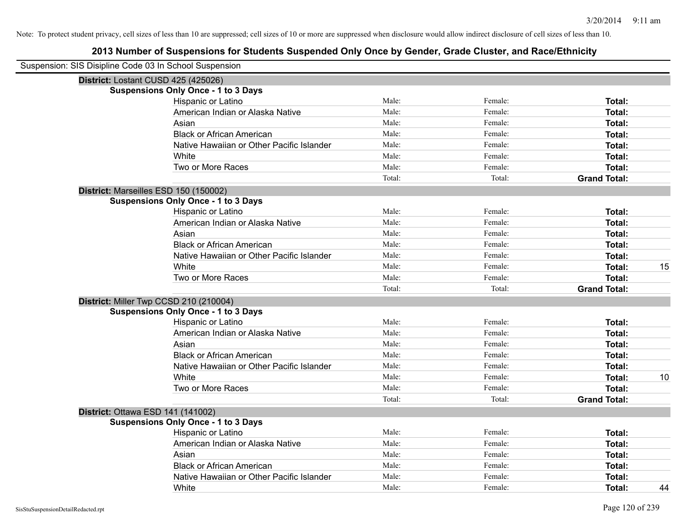| Suspension: SIS Disipline Code 03 In School Suspension |        |         |                     |    |
|--------------------------------------------------------|--------|---------|---------------------|----|
| District: Lostant CUSD 425 (425026)                    |        |         |                     |    |
| <b>Suspensions Only Once - 1 to 3 Days</b>             |        |         |                     |    |
| Hispanic or Latino                                     | Male:  | Female: | Total:              |    |
| American Indian or Alaska Native                       | Male:  | Female: | Total:              |    |
| Asian                                                  | Male:  | Female: | Total:              |    |
| <b>Black or African American</b>                       | Male:  | Female: | Total:              |    |
| Native Hawaiian or Other Pacific Islander              | Male:  | Female: | Total:              |    |
| White                                                  | Male:  | Female: | Total:              |    |
| Two or More Races                                      | Male:  | Female: | Total:              |    |
|                                                        | Total: | Total:  | <b>Grand Total:</b> |    |
| District: Marseilles ESD 150 (150002)                  |        |         |                     |    |
| <b>Suspensions Only Once - 1 to 3 Days</b>             |        |         |                     |    |
| Hispanic or Latino                                     | Male:  | Female: | Total:              |    |
| American Indian or Alaska Native                       | Male:  | Female: | Total:              |    |
| Asian                                                  | Male:  | Female: | Total:              |    |
| <b>Black or African American</b>                       | Male:  | Female: | Total:              |    |
| Native Hawaiian or Other Pacific Islander              | Male:  | Female: | Total:              |    |
| White                                                  | Male:  | Female: | Total:              | 15 |
| Two or More Races                                      | Male:  | Female: | Total:              |    |
|                                                        | Total: | Total:  | <b>Grand Total:</b> |    |
| District: Miller Twp CCSD 210 (210004)                 |        |         |                     |    |
| <b>Suspensions Only Once - 1 to 3 Days</b>             |        |         |                     |    |
| Hispanic or Latino                                     | Male:  | Female: | Total:              |    |
| American Indian or Alaska Native                       | Male:  | Female: | Total:              |    |
| Asian                                                  | Male:  | Female: | Total:              |    |
| <b>Black or African American</b>                       | Male:  | Female: | Total:              |    |
| Native Hawaiian or Other Pacific Islander              | Male:  | Female: | Total:              |    |
| White                                                  | Male:  | Female: | Total:              | 10 |
| Two or More Races                                      | Male:  | Female: | Total:              |    |
|                                                        | Total: | Total:  | <b>Grand Total:</b> |    |
| District: Ottawa ESD 141 (141002)                      |        |         |                     |    |
| <b>Suspensions Only Once - 1 to 3 Days</b>             |        |         |                     |    |
| Hispanic or Latino                                     | Male:  | Female: | Total:              |    |
| American Indian or Alaska Native                       | Male:  | Female: | Total:              |    |
| Asian                                                  | Male:  | Female: | Total:              |    |
| <b>Black or African American</b>                       | Male:  | Female: | Total:              |    |
| Native Hawaiian or Other Pacific Islander              | Male:  | Female: | Total:              |    |
| White                                                  | Male:  | Female: | Total:              | 44 |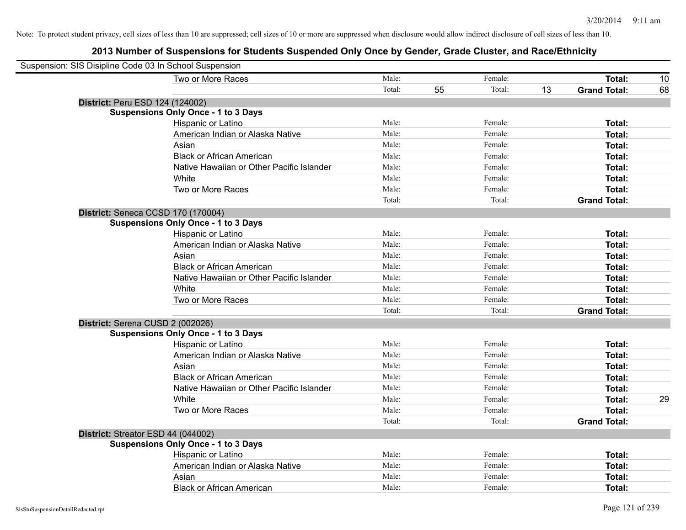| Suspension: SIS Disipline Code 03 In School Suspension |        |    |         |    |                     |    |
|--------------------------------------------------------|--------|----|---------|----|---------------------|----|
| Two or More Races                                      | Male:  |    | Female: |    | Total:              | 10 |
|                                                        | Total: | 55 | Total:  | 13 | <b>Grand Total:</b> | 68 |
| District: Peru ESD 124 (124002)                        |        |    |         |    |                     |    |
| <b>Suspensions Only Once - 1 to 3 Days</b>             |        |    |         |    |                     |    |
| Hispanic or Latino                                     | Male:  |    | Female: |    | Total:              |    |
| American Indian or Alaska Native                       | Male:  |    | Female: |    | <b>Total:</b>       |    |
| Asian                                                  | Male:  |    | Female: |    | Total:              |    |
| <b>Black or African American</b>                       | Male:  |    | Female: |    | <b>Total:</b>       |    |
| Native Hawaiian or Other Pacific Islander              | Male:  |    | Female: |    | Total:              |    |
| White                                                  | Male:  |    | Female: |    | Total:              |    |
| Two or More Races                                      | Male:  |    | Female: |    | Total:              |    |
|                                                        | Total: |    | Total:  |    | <b>Grand Total:</b> |    |
| District: Seneca CCSD 170 (170004)                     |        |    |         |    |                     |    |
| <b>Suspensions Only Once - 1 to 3 Days</b>             |        |    |         |    |                     |    |
| Hispanic or Latino                                     | Male:  |    | Female: |    | Total:              |    |
| American Indian or Alaska Native                       | Male:  |    | Female: |    | <b>Total:</b>       |    |
| Asian                                                  | Male:  |    | Female: |    | Total:              |    |
| <b>Black or African American</b>                       | Male:  |    | Female: |    | <b>Total:</b>       |    |
| Native Hawaiian or Other Pacific Islander              | Male:  |    | Female: |    | Total:              |    |
| White                                                  | Male:  |    | Female: |    | <b>Total:</b>       |    |
| Two or More Races                                      | Male:  |    | Female: |    | Total:              |    |
|                                                        | Total: |    | Total:  |    | <b>Grand Total:</b> |    |
| District: Serena CUSD 2 (002026)                       |        |    |         |    |                     |    |
| <b>Suspensions Only Once - 1 to 3 Days</b>             |        |    |         |    |                     |    |
| <b>Hispanic or Latino</b>                              | Male:  |    | Female: |    | Total:              |    |
| American Indian or Alaska Native                       | Male:  |    | Female: |    | <b>Total:</b>       |    |
| Asian                                                  | Male:  |    | Female: |    | <b>Total:</b>       |    |
| <b>Black or African American</b>                       | Male:  |    | Female: |    | <b>Total:</b>       |    |
| Native Hawaiian or Other Pacific Islander              | Male:  |    | Female: |    | Total:              |    |
| White                                                  | Male:  |    | Female: |    | Total:              | 29 |
| Two or More Races                                      | Male:  |    | Female: |    | <b>Total:</b>       |    |
|                                                        | Total: |    | Total:  |    | <b>Grand Total:</b> |    |
| District: Streator ESD 44 (044002)                     |        |    |         |    |                     |    |
| <b>Suspensions Only Once - 1 to 3 Days</b>             |        |    |         |    |                     |    |
| Hispanic or Latino                                     | Male:  |    | Female: |    | <b>Total:</b>       |    |
| American Indian or Alaska Native                       | Male:  |    | Female: |    | <b>Total:</b>       |    |
| Asian                                                  | Male:  |    | Female: |    | <b>Total:</b>       |    |
| <b>Black or African American</b>                       | Male:  |    | Female: |    | Total:              |    |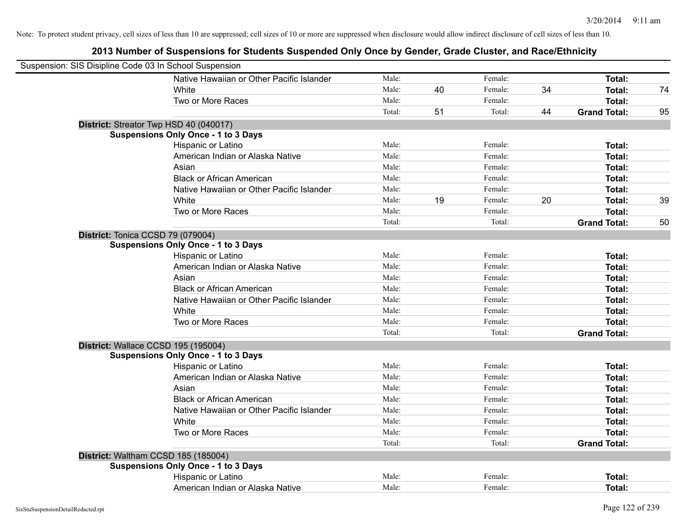| Suspension: SIS Disipline Code 03 In School Suspension |                                            |        |    |         |    |                     |    |
|--------------------------------------------------------|--------------------------------------------|--------|----|---------|----|---------------------|----|
|                                                        | Native Hawaiian or Other Pacific Islander  | Male:  |    | Female: |    | Total:              |    |
|                                                        | White                                      | Male:  | 40 | Female: | 34 | <b>Total:</b>       | 74 |
|                                                        | Two or More Races                          | Male:  |    | Female: |    | <b>Total:</b>       |    |
|                                                        |                                            | Total: | 51 | Total:  | 44 | <b>Grand Total:</b> | 95 |
| District: Streator Twp HSD 40 (040017)                 |                                            |        |    |         |    |                     |    |
|                                                        | <b>Suspensions Only Once - 1 to 3 Days</b> |        |    |         |    |                     |    |
|                                                        | Hispanic or Latino                         | Male:  |    | Female: |    | Total:              |    |
|                                                        | American Indian or Alaska Native           | Male:  |    | Female: |    | <b>Total:</b>       |    |
|                                                        | Asian                                      | Male:  |    | Female: |    | Total:              |    |
|                                                        | <b>Black or African American</b>           | Male:  |    | Female: |    | Total:              |    |
|                                                        | Native Hawaiian or Other Pacific Islander  | Male:  |    | Female: |    | Total:              |    |
|                                                        | White                                      | Male:  | 19 | Female: | 20 | <b>Total:</b>       | 39 |
|                                                        | Two or More Races                          | Male:  |    | Female: |    | Total:              |    |
|                                                        |                                            | Total: |    | Total:  |    | <b>Grand Total:</b> | 50 |
| District: Tonica CCSD 79 (079004)                      |                                            |        |    |         |    |                     |    |
|                                                        | <b>Suspensions Only Once - 1 to 3 Days</b> |        |    |         |    |                     |    |
|                                                        | Hispanic or Latino                         | Male:  |    | Female: |    | Total:              |    |
|                                                        | American Indian or Alaska Native           | Male:  |    | Female: |    | <b>Total:</b>       |    |
|                                                        | Asian                                      | Male:  |    | Female: |    | Total:              |    |
|                                                        | <b>Black or African American</b>           | Male:  |    | Female: |    | Total:              |    |
|                                                        | Native Hawaiian or Other Pacific Islander  | Male:  |    | Female: |    | Total:              |    |
|                                                        | White                                      | Male:  |    | Female: |    | <b>Total:</b>       |    |
|                                                        | Two or More Races                          | Male:  |    | Female: |    | <b>Total:</b>       |    |
|                                                        |                                            | Total: |    | Total:  |    | <b>Grand Total:</b> |    |
| District: Wallace CCSD 195 (195004)                    |                                            |        |    |         |    |                     |    |
|                                                        | <b>Suspensions Only Once - 1 to 3 Days</b> |        |    |         |    |                     |    |
|                                                        | Hispanic or Latino                         | Male:  |    | Female: |    | <b>Total:</b>       |    |
|                                                        | American Indian or Alaska Native           | Male:  |    | Female: |    | <b>Total:</b>       |    |
|                                                        | Asian                                      | Male:  |    | Female: |    | Total:              |    |
|                                                        | <b>Black or African American</b>           | Male:  |    | Female: |    | <b>Total:</b>       |    |
|                                                        | Native Hawaiian or Other Pacific Islander  | Male:  |    | Female: |    | Total:              |    |
|                                                        | White                                      | Male:  |    | Female: |    | Total:              |    |
|                                                        | Two or More Races                          | Male:  |    | Female: |    | <b>Total:</b>       |    |
|                                                        |                                            | Total: |    | Total:  |    | <b>Grand Total:</b> |    |
| District: Waltham CCSD 185 (185004)                    |                                            |        |    |         |    |                     |    |
|                                                        | <b>Suspensions Only Once - 1 to 3 Days</b> |        |    |         |    |                     |    |
|                                                        | Hispanic or Latino                         | Male:  |    | Female: |    | <b>Total:</b>       |    |
|                                                        | American Indian or Alaska Native           | Male:  |    | Female: |    | <b>Total:</b>       |    |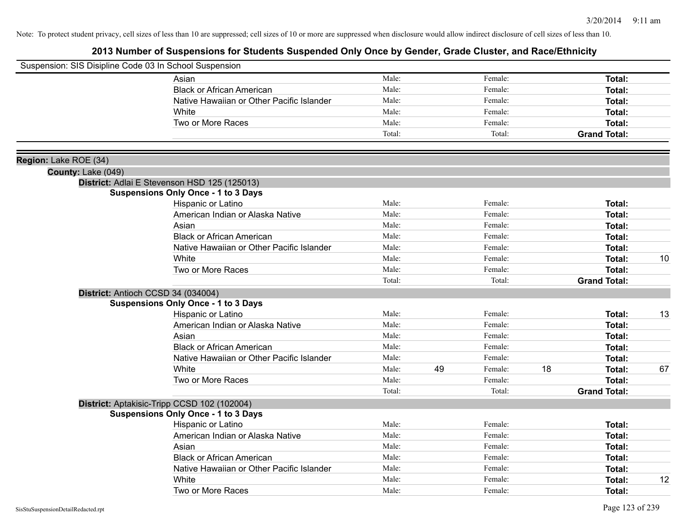| Suspension: SIS Disipline Code 03 In School Suspension |                                              |        |    |         |    |                     |    |
|--------------------------------------------------------|----------------------------------------------|--------|----|---------|----|---------------------|----|
|                                                        | Asian                                        | Male:  |    | Female: |    | Total:              |    |
|                                                        | <b>Black or African American</b>             | Male:  |    | Female: |    | Total:              |    |
|                                                        | Native Hawaiian or Other Pacific Islander    | Male:  |    | Female: |    | <b>Total:</b>       |    |
|                                                        | White                                        | Male:  |    | Female: |    | Total:              |    |
|                                                        | Two or More Races                            | Male:  |    | Female: |    | <b>Total:</b>       |    |
|                                                        |                                              | Total: |    | Total:  |    | <b>Grand Total:</b> |    |
| Region: Lake ROE (34)                                  |                                              |        |    |         |    |                     |    |
| County: Lake (049)                                     |                                              |        |    |         |    |                     |    |
|                                                        | District: Adlai E Stevenson HSD 125 (125013) |        |    |         |    |                     |    |
|                                                        | <b>Suspensions Only Once - 1 to 3 Days</b>   |        |    |         |    |                     |    |
|                                                        | Hispanic or Latino                           | Male:  |    | Female: |    | <b>Total:</b>       |    |
|                                                        | American Indian or Alaska Native             | Male:  |    | Female: |    | <b>Total:</b>       |    |
|                                                        | Asian                                        | Male:  |    | Female: |    | Total:              |    |
|                                                        | <b>Black or African American</b>             | Male:  |    | Female: |    | Total:              |    |
|                                                        | Native Hawaiian or Other Pacific Islander    | Male:  |    | Female: |    | <b>Total:</b>       |    |
|                                                        | White                                        | Male:  |    | Female: |    | <b>Total:</b>       | 10 |
|                                                        | Two or More Races                            | Male:  |    | Female: |    | <b>Total:</b>       |    |
|                                                        |                                              | Total: |    | Total:  |    | <b>Grand Total:</b> |    |
|                                                        | District: Antioch CCSD 34 (034004)           |        |    |         |    |                     |    |
|                                                        | <b>Suspensions Only Once - 1 to 3 Days</b>   |        |    |         |    |                     |    |
|                                                        | Hispanic or Latino                           | Male:  |    | Female: |    | Total:              | 13 |
|                                                        | American Indian or Alaska Native             | Male:  |    | Female: |    | <b>Total:</b>       |    |
|                                                        | Asian                                        | Male:  |    | Female: |    | Total:              |    |
|                                                        | <b>Black or African American</b>             | Male:  |    | Female: |    | Total:              |    |
|                                                        | Native Hawaiian or Other Pacific Islander    | Male:  |    | Female: |    | <b>Total:</b>       |    |
|                                                        | White                                        | Male:  | 49 | Female: | 18 | Total:              | 67 |
|                                                        | Two or More Races                            | Male:  |    | Female: |    | <b>Total:</b>       |    |
|                                                        |                                              | Total: |    | Total:  |    | <b>Grand Total:</b> |    |
|                                                        | District: Aptakisic-Tripp CCSD 102 (102004)  |        |    |         |    |                     |    |
|                                                        | <b>Suspensions Only Once - 1 to 3 Days</b>   |        |    |         |    |                     |    |
|                                                        | Hispanic or Latino                           | Male:  |    | Female: |    | Total:              |    |
|                                                        | American Indian or Alaska Native             | Male:  |    | Female: |    | <b>Total:</b>       |    |
|                                                        | Asian                                        | Male:  |    | Female: |    | Total:              |    |
|                                                        | <b>Black or African American</b>             | Male:  |    | Female: |    | Total:              |    |
|                                                        | Native Hawaiian or Other Pacific Islander    | Male:  |    | Female: |    | <b>Total:</b>       |    |
|                                                        | White                                        | Male:  |    | Female: |    | <b>Total:</b>       | 12 |
|                                                        | Two or More Races                            | Male:  |    | Female: |    | Total:              |    |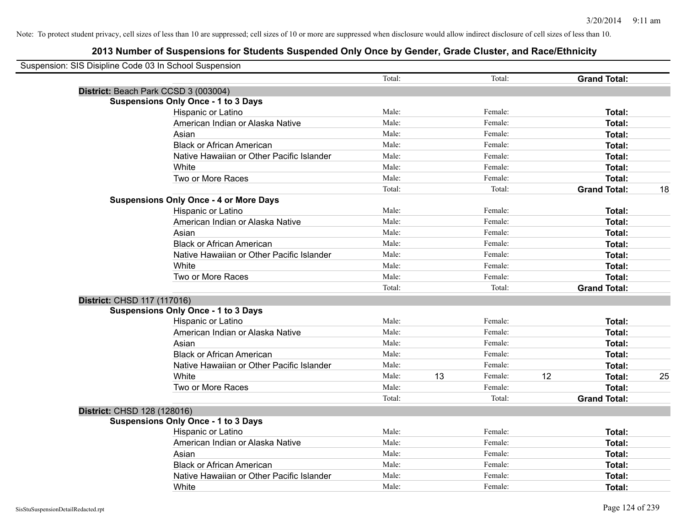| Suspension: SIS Disipline Code 03 In School Suspension |                                               |        |    |         |    |                     |    |
|--------------------------------------------------------|-----------------------------------------------|--------|----|---------|----|---------------------|----|
|                                                        |                                               | Total: |    | Total:  |    | <b>Grand Total:</b> |    |
|                                                        | District: Beach Park CCSD 3 (003004)          |        |    |         |    |                     |    |
|                                                        | <b>Suspensions Only Once - 1 to 3 Days</b>    |        |    |         |    |                     |    |
|                                                        | Hispanic or Latino                            | Male:  |    | Female: |    | Total:              |    |
|                                                        | American Indian or Alaska Native              | Male:  |    | Female: |    | <b>Total:</b>       |    |
|                                                        | Asian                                         | Male:  |    | Female: |    | <b>Total:</b>       |    |
|                                                        | <b>Black or African American</b>              | Male:  |    | Female: |    | Total:              |    |
|                                                        | Native Hawaiian or Other Pacific Islander     | Male:  |    | Female: |    | <b>Total:</b>       |    |
|                                                        | White                                         | Male:  |    | Female: |    | Total:              |    |
|                                                        | Two or More Races                             | Male:  |    | Female: |    | Total:              |    |
|                                                        |                                               | Total: |    | Total:  |    | <b>Grand Total:</b> | 18 |
|                                                        | <b>Suspensions Only Once - 4 or More Days</b> |        |    |         |    |                     |    |
|                                                        | Hispanic or Latino                            | Male:  |    | Female: |    | <b>Total:</b>       |    |
|                                                        | American Indian or Alaska Native              | Male:  |    | Female: |    | Total:              |    |
|                                                        | Asian                                         | Male:  |    | Female: |    | Total:              |    |
|                                                        | <b>Black or African American</b>              | Male:  |    | Female: |    | <b>Total:</b>       |    |
|                                                        | Native Hawaiian or Other Pacific Islander     | Male:  |    | Female: |    | Total:              |    |
|                                                        | White                                         | Male:  |    | Female: |    | <b>Total:</b>       |    |
|                                                        | Two or More Races                             | Male:  |    | Female: |    | Total:              |    |
|                                                        |                                               | Total: |    | Total:  |    | <b>Grand Total:</b> |    |
| District: CHSD 117 (117016)                            |                                               |        |    |         |    |                     |    |
|                                                        | <b>Suspensions Only Once - 1 to 3 Days</b>    |        |    |         |    |                     |    |
|                                                        | Hispanic or Latino                            | Male:  |    | Female: |    | Total:              |    |
|                                                        | American Indian or Alaska Native              | Male:  |    | Female: |    | <b>Total:</b>       |    |
|                                                        | Asian                                         | Male:  |    | Female: |    | Total:              |    |
|                                                        | <b>Black or African American</b>              | Male:  |    | Female: |    | Total:              |    |
|                                                        | Native Hawaiian or Other Pacific Islander     | Male:  |    | Female: |    | Total:              |    |
|                                                        | White                                         | Male:  | 13 | Female: | 12 | Total:              | 25 |
|                                                        | Two or More Races                             | Male:  |    | Female: |    | Total:              |    |
|                                                        |                                               | Total: |    | Total:  |    | <b>Grand Total:</b> |    |
| District: CHSD 128 (128016)                            |                                               |        |    |         |    |                     |    |
|                                                        | <b>Suspensions Only Once - 1 to 3 Days</b>    |        |    |         |    |                     |    |
|                                                        | Hispanic or Latino                            | Male:  |    | Female: |    | Total:              |    |
|                                                        | American Indian or Alaska Native              | Male:  |    | Female: |    | <b>Total:</b>       |    |
|                                                        | Asian                                         | Male:  |    | Female: |    | Total:              |    |
|                                                        | <b>Black or African American</b>              | Male:  |    | Female: |    | <b>Total:</b>       |    |
|                                                        | Native Hawaiian or Other Pacific Islander     | Male:  |    | Female: |    | Total:              |    |
|                                                        | White                                         | Male:  |    | Female: |    | Total:              |    |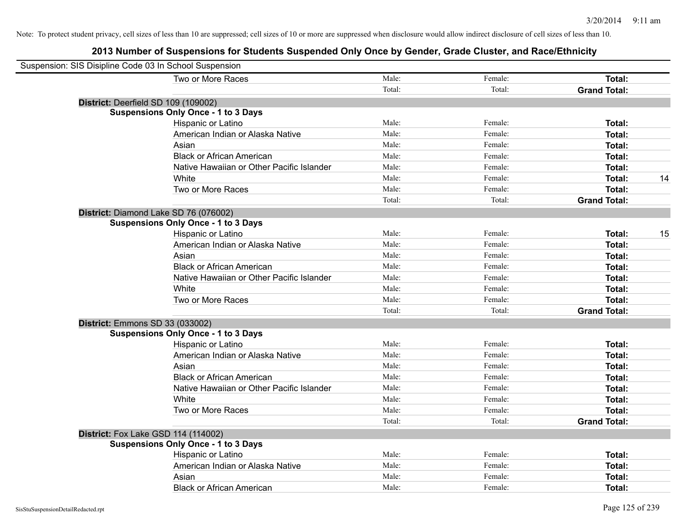| Suspension: SIS Disipline Code 03 In School Suspension |                                            |        |         |                     |    |
|--------------------------------------------------------|--------------------------------------------|--------|---------|---------------------|----|
|                                                        | Two or More Races                          | Male:  | Female: | Total:              |    |
|                                                        |                                            | Total: | Total:  | <b>Grand Total:</b> |    |
|                                                        | District: Deerfield SD 109 (109002)        |        |         |                     |    |
|                                                        | <b>Suspensions Only Once - 1 to 3 Days</b> |        |         |                     |    |
|                                                        | Hispanic or Latino                         | Male:  | Female: | Total:              |    |
|                                                        | American Indian or Alaska Native           | Male:  | Female: | Total:              |    |
|                                                        | Asian                                      | Male:  | Female: | Total:              |    |
|                                                        | <b>Black or African American</b>           | Male:  | Female: | Total:              |    |
|                                                        | Native Hawaiian or Other Pacific Islander  | Male:  | Female: | Total:              |    |
|                                                        | White                                      | Male:  | Female: | Total:              | 14 |
|                                                        | Two or More Races                          | Male:  | Female: | Total:              |    |
|                                                        |                                            | Total: | Total:  | <b>Grand Total:</b> |    |
|                                                        | District: Diamond Lake SD 76 (076002)      |        |         |                     |    |
|                                                        | <b>Suspensions Only Once - 1 to 3 Days</b> |        |         |                     |    |
|                                                        | Hispanic or Latino                         | Male:  | Female: | Total:              | 15 |
|                                                        | American Indian or Alaska Native           | Male:  | Female: | Total:              |    |
|                                                        | Asian                                      | Male:  | Female: | Total:              |    |
|                                                        | <b>Black or African American</b>           | Male:  | Female: | Total:              |    |
|                                                        | Native Hawaiian or Other Pacific Islander  | Male:  | Female: | Total:              |    |
|                                                        | White                                      | Male:  | Female: | Total:              |    |
|                                                        | Two or More Races                          | Male:  | Female: | Total:              |    |
|                                                        |                                            | Total: | Total:  | <b>Grand Total:</b> |    |
| <b>District: Emmons SD 33 (033002)</b>                 |                                            |        |         |                     |    |
|                                                        | <b>Suspensions Only Once - 1 to 3 Days</b> |        |         |                     |    |
|                                                        | Hispanic or Latino                         | Male:  | Female: | Total:              |    |
|                                                        | American Indian or Alaska Native           | Male:  | Female: | Total:              |    |
|                                                        | Asian                                      | Male:  | Female: | Total:              |    |
|                                                        | <b>Black or African American</b>           | Male:  | Female: | Total:              |    |
|                                                        | Native Hawaiian or Other Pacific Islander  | Male:  | Female: | Total:              |    |
|                                                        | White                                      | Male:  | Female: | Total:              |    |
|                                                        | Two or More Races                          | Male:  | Female: | Total:              |    |
|                                                        |                                            | Total: | Total:  | <b>Grand Total:</b> |    |
|                                                        | District: Fox Lake GSD 114 (114002)        |        |         |                     |    |
|                                                        | <b>Suspensions Only Once - 1 to 3 Days</b> |        |         |                     |    |
|                                                        | Hispanic or Latino                         | Male:  | Female: | Total:              |    |
|                                                        | American Indian or Alaska Native           | Male:  | Female: | Total:              |    |
|                                                        | Asian                                      | Male:  | Female: | Total:              |    |
|                                                        | <b>Black or African American</b>           | Male:  | Female: | Total:              |    |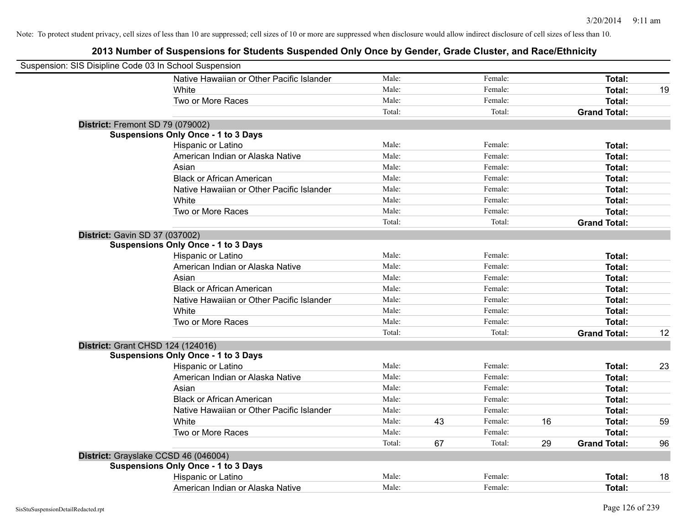| Suspension: SIS Disipline Code 03 In School Suspension |                                            |        |    |         |    |                     |    |
|--------------------------------------------------------|--------------------------------------------|--------|----|---------|----|---------------------|----|
|                                                        | Native Hawaiian or Other Pacific Islander  | Male:  |    | Female: |    | <b>Total:</b>       |    |
|                                                        | White                                      | Male:  |    | Female: |    | <b>Total:</b>       | 19 |
|                                                        | Two or More Races                          | Male:  |    | Female: |    | <b>Total:</b>       |    |
|                                                        |                                            | Total: |    | Total:  |    | <b>Grand Total:</b> |    |
| District: Fremont SD 79 (079002)                       |                                            |        |    |         |    |                     |    |
|                                                        | <b>Suspensions Only Once - 1 to 3 Days</b> |        |    |         |    |                     |    |
|                                                        | Hispanic or Latino                         | Male:  |    | Female: |    | Total:              |    |
|                                                        | American Indian or Alaska Native           | Male:  |    | Female: |    | Total:              |    |
|                                                        | Asian                                      | Male:  |    | Female: |    | Total:              |    |
|                                                        | <b>Black or African American</b>           | Male:  |    | Female: |    | Total:              |    |
|                                                        | Native Hawaiian or Other Pacific Islander  | Male:  |    | Female: |    | <b>Total:</b>       |    |
|                                                        | White                                      | Male:  |    | Female: |    | Total:              |    |
|                                                        | Two or More Races                          | Male:  |    | Female: |    | <b>Total:</b>       |    |
|                                                        |                                            | Total: |    | Total:  |    | <b>Grand Total:</b> |    |
| District: Gavin SD 37 (037002)                         |                                            |        |    |         |    |                     |    |
|                                                        | <b>Suspensions Only Once - 1 to 3 Days</b> |        |    |         |    |                     |    |
|                                                        | Hispanic or Latino                         | Male:  |    | Female: |    | Total:              |    |
|                                                        | American Indian or Alaska Native           | Male:  |    | Female: |    | <b>Total:</b>       |    |
|                                                        | Asian                                      | Male:  |    | Female: |    | Total:              |    |
|                                                        | <b>Black or African American</b>           | Male:  |    | Female: |    | Total:              |    |
|                                                        | Native Hawaiian or Other Pacific Islander  | Male:  |    | Female: |    | Total:              |    |
|                                                        | White                                      | Male:  |    | Female: |    | Total:              |    |
|                                                        | Two or More Races                          | Male:  |    | Female: |    | <b>Total:</b>       |    |
|                                                        |                                            | Total: |    | Total:  |    | <b>Grand Total:</b> | 12 |
|                                                        | District: Grant CHSD 124 (124016)          |        |    |         |    |                     |    |
|                                                        | <b>Suspensions Only Once - 1 to 3 Days</b> |        |    |         |    |                     |    |
|                                                        | Hispanic or Latino                         | Male:  |    | Female: |    | <b>Total:</b>       | 23 |
|                                                        | American Indian or Alaska Native           | Male:  |    | Female: |    | Total:              |    |
|                                                        | Asian                                      | Male:  |    | Female: |    | <b>Total:</b>       |    |
|                                                        | <b>Black or African American</b>           | Male:  |    | Female: |    | Total:              |    |
|                                                        | Native Hawaiian or Other Pacific Islander  | Male:  |    | Female: |    | Total:              |    |
|                                                        | White                                      | Male:  | 43 | Female: | 16 | <b>Total:</b>       | 59 |
|                                                        | Two or More Races                          | Male:  |    | Female: |    | <b>Total:</b>       |    |
|                                                        |                                            | Total: | 67 | Total:  | 29 | <b>Grand Total:</b> | 96 |
|                                                        | District: Grayslake CCSD 46 (046004)       |        |    |         |    |                     |    |
|                                                        | <b>Suspensions Only Once - 1 to 3 Days</b> |        |    |         |    |                     |    |
|                                                        | Hispanic or Latino                         | Male:  |    | Female: |    | <b>Total:</b>       | 18 |
|                                                        | American Indian or Alaska Native           | Male:  |    | Female: |    | Total:              |    |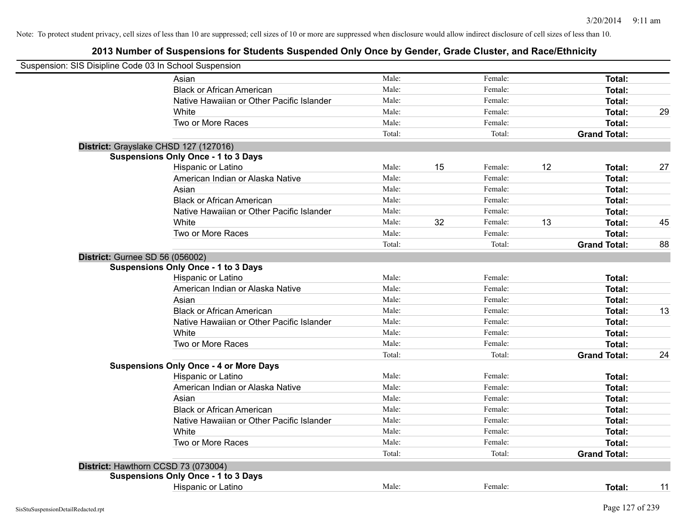| Suspension: SIS Disipline Code 03 In School Suspension |                                               |        |    |         |    |                     |    |
|--------------------------------------------------------|-----------------------------------------------|--------|----|---------|----|---------------------|----|
|                                                        | Asian                                         | Male:  |    | Female: |    | Total:              |    |
|                                                        | <b>Black or African American</b>              | Male:  |    | Female: |    | Total:              |    |
|                                                        | Native Hawaiian or Other Pacific Islander     | Male:  |    | Female: |    | <b>Total:</b>       |    |
|                                                        | White                                         | Male:  |    | Female: |    | <b>Total:</b>       | 29 |
|                                                        | Two or More Races                             | Male:  |    | Female: |    | <b>Total:</b>       |    |
|                                                        |                                               | Total: |    | Total:  |    | <b>Grand Total:</b> |    |
|                                                        | District: Grayslake CHSD 127 (127016)         |        |    |         |    |                     |    |
|                                                        | <b>Suspensions Only Once - 1 to 3 Days</b>    |        |    |         |    |                     |    |
|                                                        | Hispanic or Latino                            | Male:  | 15 | Female: | 12 | Total:              | 27 |
|                                                        | American Indian or Alaska Native              | Male:  |    | Female: |    | Total:              |    |
|                                                        | Asian                                         | Male:  |    | Female: |    | Total:              |    |
|                                                        | <b>Black or African American</b>              | Male:  |    | Female: |    | Total:              |    |
|                                                        | Native Hawaiian or Other Pacific Islander     | Male:  |    | Female: |    | <b>Total:</b>       |    |
|                                                        | White                                         | Male:  | 32 | Female: | 13 | <b>Total:</b>       | 45 |
|                                                        | Two or More Races                             | Male:  |    | Female: |    | <b>Total:</b>       |    |
|                                                        |                                               | Total: |    | Total:  |    | <b>Grand Total:</b> | 88 |
|                                                        | <b>District: Gurnee SD 56 (056002)</b>        |        |    |         |    |                     |    |
|                                                        | <b>Suspensions Only Once - 1 to 3 Days</b>    |        |    |         |    |                     |    |
|                                                        | Hispanic or Latino                            | Male:  |    | Female: |    | Total:              |    |
|                                                        | American Indian or Alaska Native              | Male:  |    | Female: |    | <b>Total:</b>       |    |
|                                                        | Asian                                         | Male:  |    | Female: |    | Total:              |    |
|                                                        | <b>Black or African American</b>              | Male:  |    | Female: |    | Total:              | 13 |
|                                                        | Native Hawaiian or Other Pacific Islander     | Male:  |    | Female: |    | <b>Total:</b>       |    |
|                                                        | White                                         | Male:  |    | Female: |    | <b>Total:</b>       |    |
|                                                        | Two or More Races                             | Male:  |    | Female: |    | <b>Total:</b>       |    |
|                                                        |                                               | Total: |    | Total:  |    | <b>Grand Total:</b> | 24 |
|                                                        | <b>Suspensions Only Once - 4 or More Days</b> |        |    |         |    |                     |    |
|                                                        | Hispanic or Latino                            | Male:  |    | Female: |    | Total:              |    |
|                                                        | American Indian or Alaska Native              | Male:  |    | Female: |    | Total:              |    |
|                                                        | Asian                                         | Male:  |    | Female: |    | Total:              |    |
|                                                        | <b>Black or African American</b>              | Male:  |    | Female: |    | <b>Total:</b>       |    |
|                                                        | Native Hawaiian or Other Pacific Islander     | Male:  |    | Female: |    | <b>Total:</b>       |    |
|                                                        | White                                         | Male:  |    | Female: |    | <b>Total:</b>       |    |
|                                                        | Two or More Races                             | Male:  |    | Female: |    | Total:              |    |
|                                                        |                                               | Total: |    | Total:  |    | <b>Grand Total:</b> |    |
|                                                        | District: Hawthorn CCSD 73 (073004)           |        |    |         |    |                     |    |
|                                                        | <b>Suspensions Only Once - 1 to 3 Days</b>    |        |    |         |    |                     |    |
|                                                        | Hispanic or Latino                            | Male:  |    | Female: |    | Total:              | 11 |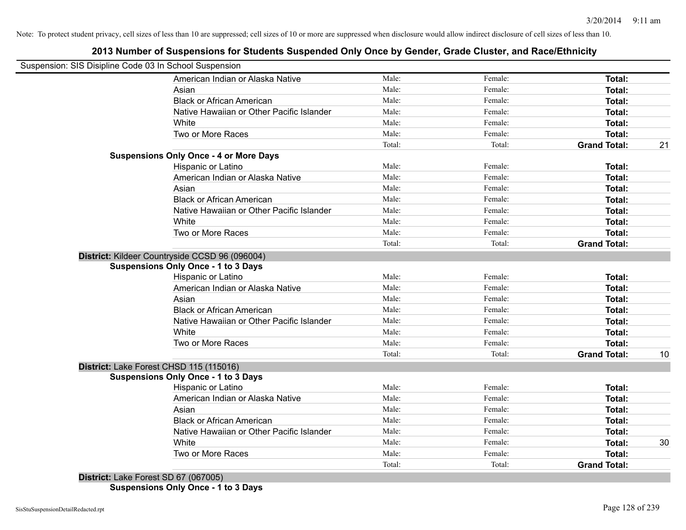# **2013 Number of Suspensions for Students Suspended Only Once by Gender, Grade Cluster, and Race/Ethnicity**

| Suspension: SIS Disipline Code 03 In School Suspension |        |         |                     |    |
|--------------------------------------------------------|--------|---------|---------------------|----|
| American Indian or Alaska Native                       | Male:  | Female: | Total:              |    |
| Asian                                                  | Male:  | Female: | Total:              |    |
| <b>Black or African American</b>                       | Male:  | Female: | Total:              |    |
| Native Hawaiian or Other Pacific Islander              | Male:  | Female: | Total:              |    |
| White                                                  | Male:  | Female: | Total:              |    |
| Two or More Races                                      | Male:  | Female: | Total:              |    |
|                                                        | Total: | Total:  | <b>Grand Total:</b> | 21 |
| <b>Suspensions Only Once - 4 or More Days</b>          |        |         |                     |    |
| Hispanic or Latino                                     | Male:  | Female: | Total:              |    |
| American Indian or Alaska Native                       | Male:  | Female: | Total:              |    |
| Asian                                                  | Male:  | Female: | Total:              |    |
| <b>Black or African American</b>                       | Male:  | Female: | Total:              |    |
| Native Hawaiian or Other Pacific Islander              | Male:  | Female: | Total:              |    |
| White                                                  | Male:  | Female: | Total:              |    |
| Two or More Races                                      | Male:  | Female: | Total:              |    |
|                                                        | Total: | Total:  | <b>Grand Total:</b> |    |
| District: Kildeer Countryside CCSD 96 (096004)         |        |         |                     |    |
| <b>Suspensions Only Once - 1 to 3 Days</b>             |        |         |                     |    |
| Hispanic or Latino                                     | Male:  | Female: | Total:              |    |
| American Indian or Alaska Native                       | Male:  | Female: | Total:              |    |
| Asian                                                  | Male:  | Female: | Total:              |    |
| <b>Black or African American</b>                       | Male:  | Female: | Total:              |    |
| Native Hawaiian or Other Pacific Islander              | Male:  | Female: | Total:              |    |
| White                                                  | Male:  | Female: | Total:              |    |
| Two or More Races                                      | Male:  | Female: | <b>Total:</b>       |    |
|                                                        | Total: | Total:  | <b>Grand Total:</b> | 10 |
| District: Lake Forest CHSD 115 (115016)                |        |         |                     |    |
| <b>Suspensions Only Once - 1 to 3 Days</b>             |        |         |                     |    |
| Hispanic or Latino                                     | Male:  | Female: | Total:              |    |
| American Indian or Alaska Native                       | Male:  | Female: | Total:              |    |
| Asian                                                  | Male:  | Female: | Total:              |    |
| <b>Black or African American</b>                       | Male:  | Female: | Total:              |    |
| Native Hawaiian or Other Pacific Islander              | Male:  | Female: | Total:              |    |
| White                                                  | Male:  | Female: | Total:              | 30 |
| Two or More Races                                      | Male:  | Female: | Total:              |    |
|                                                        |        |         |                     |    |

**Suspensions Only Once - 1 to 3 Days**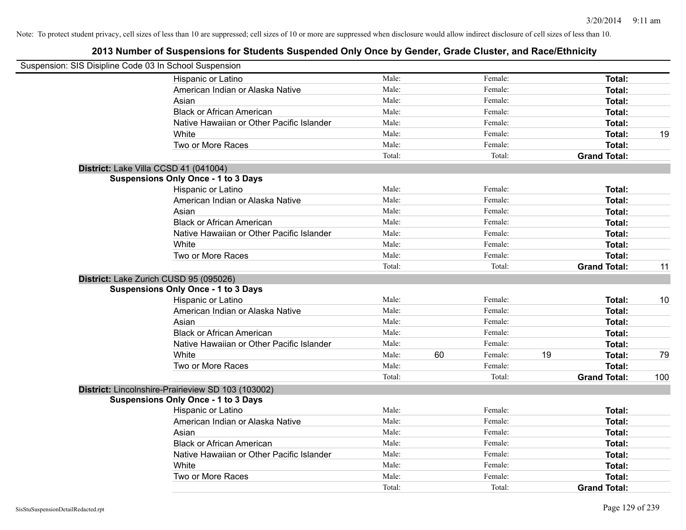| Suspension: SIS Disipline Code 03 In School Suspension |                                                    |        |    |         |    |                     |     |
|--------------------------------------------------------|----------------------------------------------------|--------|----|---------|----|---------------------|-----|
|                                                        | Hispanic or Latino                                 | Male:  |    | Female: |    | Total:              |     |
|                                                        | American Indian or Alaska Native                   | Male:  |    | Female: |    | Total:              |     |
|                                                        | Asian                                              | Male:  |    | Female: |    | Total:              |     |
|                                                        | <b>Black or African American</b>                   | Male:  |    | Female: |    | Total:              |     |
|                                                        | Native Hawaiian or Other Pacific Islander          | Male:  |    | Female: |    | Total:              |     |
|                                                        | White                                              | Male:  |    | Female: |    | Total:              | 19  |
|                                                        | Two or More Races                                  | Male:  |    | Female: |    | Total:              |     |
|                                                        |                                                    | Total: |    | Total:  |    | <b>Grand Total:</b> |     |
|                                                        | District: Lake Villa CCSD 41 (041004)              |        |    |         |    |                     |     |
|                                                        | <b>Suspensions Only Once - 1 to 3 Days</b>         |        |    |         |    |                     |     |
|                                                        | Hispanic or Latino                                 | Male:  |    | Female: |    | Total:              |     |
|                                                        | American Indian or Alaska Native                   | Male:  |    | Female: |    | Total:              |     |
|                                                        | Asian                                              | Male:  |    | Female: |    | Total:              |     |
|                                                        | <b>Black or African American</b>                   | Male:  |    | Female: |    | Total:              |     |
|                                                        | Native Hawaiian or Other Pacific Islander          | Male:  |    | Female: |    | Total:              |     |
|                                                        | White                                              | Male:  |    | Female: |    | Total:              |     |
|                                                        | Two or More Races                                  | Male:  |    | Female: |    | Total:              |     |
|                                                        |                                                    | Total: |    | Total:  |    | <b>Grand Total:</b> | 11  |
|                                                        | District: Lake Zurich CUSD 95 (095026)             |        |    |         |    |                     |     |
|                                                        | <b>Suspensions Only Once - 1 to 3 Days</b>         |        |    |         |    |                     |     |
|                                                        | Hispanic or Latino                                 | Male:  |    | Female: |    | Total:              | 10  |
|                                                        | American Indian or Alaska Native                   | Male:  |    | Female: |    | Total:              |     |
|                                                        | Asian                                              | Male:  |    | Female: |    | Total:              |     |
|                                                        | <b>Black or African American</b>                   | Male:  |    | Female: |    | Total:              |     |
|                                                        | Native Hawaiian or Other Pacific Islander          | Male:  |    | Female: |    | Total:              |     |
|                                                        | White                                              | Male:  | 60 | Female: | 19 | Total:              | 79  |
|                                                        | Two or More Races                                  | Male:  |    | Female: |    | Total:              |     |
|                                                        |                                                    | Total: |    | Total:  |    | <b>Grand Total:</b> | 100 |
|                                                        | District: Lincolnshire-Prairieview SD 103 (103002) |        |    |         |    |                     |     |
|                                                        | <b>Suspensions Only Once - 1 to 3 Days</b>         |        |    |         |    |                     |     |
|                                                        | Hispanic or Latino                                 | Male:  |    | Female: |    | Total:              |     |
|                                                        | American Indian or Alaska Native                   | Male:  |    | Female: |    | Total:              |     |
|                                                        | Asian                                              | Male:  |    | Female: |    | Total:              |     |
|                                                        | <b>Black or African American</b>                   | Male:  |    | Female: |    | Total:              |     |
|                                                        | Native Hawaiian or Other Pacific Islander          | Male:  |    | Female: |    | Total:              |     |
|                                                        | White                                              | Male:  |    | Female: |    | Total:              |     |
|                                                        | Two or More Races                                  | Male:  |    | Female: |    | Total:              |     |
|                                                        |                                                    | Total: |    | Total:  |    | <b>Grand Total:</b> |     |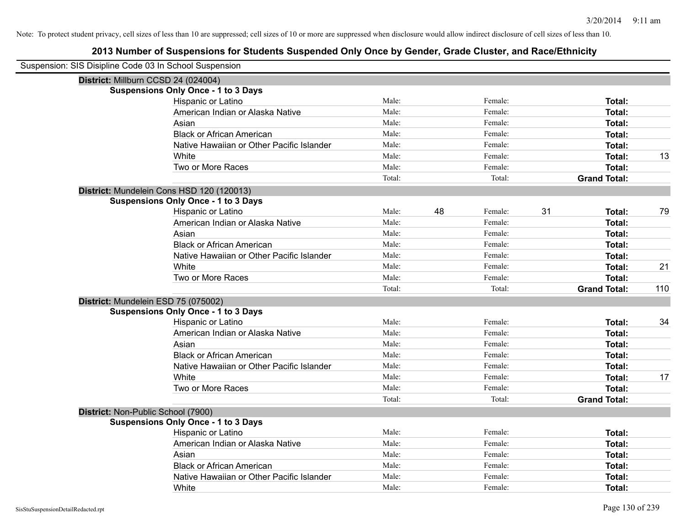| Suspension: SIS Disipline Code 03 In School Suspension |                                            |        |    |         |    |                     |     |
|--------------------------------------------------------|--------------------------------------------|--------|----|---------|----|---------------------|-----|
| District: Millburn CCSD 24 (024004)                    |                                            |        |    |         |    |                     |     |
|                                                        | <b>Suspensions Only Once - 1 to 3 Days</b> |        |    |         |    |                     |     |
|                                                        | Hispanic or Latino                         | Male:  |    | Female: |    | Total:              |     |
|                                                        | American Indian or Alaska Native           | Male:  |    | Female: |    | <b>Total:</b>       |     |
|                                                        | Asian                                      | Male:  |    | Female: |    | Total:              |     |
|                                                        | <b>Black or African American</b>           | Male:  |    | Female: |    | <b>Total:</b>       |     |
|                                                        | Native Hawaiian or Other Pacific Islander  | Male:  |    | Female: |    | <b>Total:</b>       |     |
|                                                        | White                                      | Male:  |    | Female: |    | Total:              | 13  |
|                                                        | Two or More Races                          | Male:  |    | Female: |    | <b>Total:</b>       |     |
|                                                        |                                            | Total: |    | Total:  |    | <b>Grand Total:</b> |     |
|                                                        | District: Mundelein Cons HSD 120 (120013)  |        |    |         |    |                     |     |
|                                                        | <b>Suspensions Only Once - 1 to 3 Days</b> |        |    |         |    |                     |     |
|                                                        | Hispanic or Latino                         | Male:  | 48 | Female: | 31 | <b>Total:</b>       | 79  |
|                                                        | American Indian or Alaska Native           | Male:  |    | Female: |    | <b>Total:</b>       |     |
|                                                        | Asian                                      | Male:  |    | Female: |    | <b>Total:</b>       |     |
|                                                        | <b>Black or African American</b>           | Male:  |    | Female: |    | <b>Total:</b>       |     |
|                                                        | Native Hawaiian or Other Pacific Islander  | Male:  |    | Female: |    | <b>Total:</b>       |     |
|                                                        | White                                      | Male:  |    | Female: |    | <b>Total:</b>       | 21  |
|                                                        | Two or More Races                          | Male:  |    | Female: |    | Total:              |     |
|                                                        |                                            | Total: |    | Total:  |    | <b>Grand Total:</b> | 110 |
| District: Mundelein ESD 75 (075002)                    |                                            |        |    |         |    |                     |     |
|                                                        | <b>Suspensions Only Once - 1 to 3 Days</b> |        |    |         |    |                     |     |
|                                                        | Hispanic or Latino                         | Male:  |    | Female: |    | Total:              | 34  |
|                                                        | American Indian or Alaska Native           | Male:  |    | Female: |    | <b>Total:</b>       |     |
|                                                        | Asian                                      | Male:  |    | Female: |    | Total:              |     |
|                                                        | <b>Black or African American</b>           | Male:  |    | Female: |    | <b>Total:</b>       |     |
|                                                        | Native Hawaiian or Other Pacific Islander  | Male:  |    | Female: |    | <b>Total:</b>       |     |
|                                                        | White                                      | Male:  |    | Female: |    | Total:              | 17  |
|                                                        | Two or More Races                          | Male:  |    | Female: |    | <b>Total:</b>       |     |
|                                                        |                                            | Total: |    | Total:  |    | <b>Grand Total:</b> |     |
| District: Non-Public School (7900)                     |                                            |        |    |         |    |                     |     |
|                                                        | <b>Suspensions Only Once - 1 to 3 Days</b> |        |    |         |    |                     |     |
|                                                        | Hispanic or Latino                         | Male:  |    | Female: |    | <b>Total:</b>       |     |
|                                                        | American Indian or Alaska Native           | Male:  |    | Female: |    | <b>Total:</b>       |     |
|                                                        | Asian                                      | Male:  |    | Female: |    | <b>Total:</b>       |     |
|                                                        | <b>Black or African American</b>           | Male:  |    | Female: |    | <b>Total:</b>       |     |
|                                                        | Native Hawaiian or Other Pacific Islander  | Male:  |    | Female: |    | <b>Total:</b>       |     |
|                                                        | White                                      | Male:  |    | Female: |    | Total:              |     |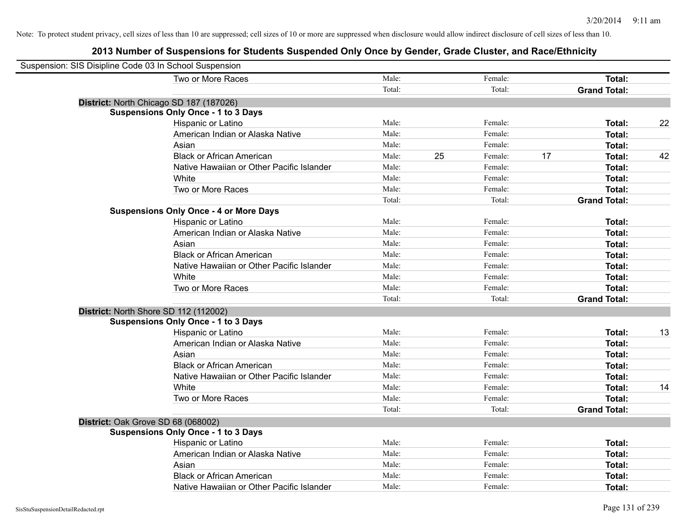| Suspension: SIS Disipline Code 03 In School Suspension |        |    |         |    |                     |    |
|--------------------------------------------------------|--------|----|---------|----|---------------------|----|
| Two or More Races                                      | Male:  |    | Female: |    | Total:              |    |
|                                                        | Total: |    | Total:  |    | <b>Grand Total:</b> |    |
| District: North Chicago SD 187 (187026)                |        |    |         |    |                     |    |
| <b>Suspensions Only Once - 1 to 3 Days</b>             |        |    |         |    |                     |    |
| Hispanic or Latino                                     | Male:  |    | Female: |    | Total:              | 22 |
| American Indian or Alaska Native                       | Male:  |    | Female: |    | <b>Total:</b>       |    |
| Asian                                                  | Male:  |    | Female: |    | <b>Total:</b>       |    |
| <b>Black or African American</b>                       | Male:  | 25 | Female: | 17 | Total:              | 42 |
| Native Hawaiian or Other Pacific Islander              | Male:  |    | Female: |    | Total:              |    |
| White                                                  | Male:  |    | Female: |    | Total:              |    |
| Two or More Races                                      | Male:  |    | Female: |    | <b>Total:</b>       |    |
|                                                        | Total: |    | Total:  |    | <b>Grand Total:</b> |    |
| <b>Suspensions Only Once - 4 or More Days</b>          |        |    |         |    |                     |    |
| Hispanic or Latino                                     | Male:  |    | Female: |    | Total:              |    |
| American Indian or Alaska Native                       | Male:  |    | Female: |    | <b>Total:</b>       |    |
| Asian                                                  | Male:  |    | Female: |    | Total:              |    |
| <b>Black or African American</b>                       | Male:  |    | Female: |    | Total:              |    |
| Native Hawaiian or Other Pacific Islander              | Male:  |    | Female: |    | Total:              |    |
| White                                                  | Male:  |    | Female: |    | Total:              |    |
| Two or More Races                                      | Male:  |    | Female: |    | Total:              |    |
|                                                        | Total: |    | Total:  |    | <b>Grand Total:</b> |    |
| District: North Shore SD 112 (112002)                  |        |    |         |    |                     |    |
| <b>Suspensions Only Once - 1 to 3 Days</b>             |        |    |         |    |                     |    |
| Hispanic or Latino                                     | Male:  |    | Female: |    | Total:              | 13 |
| American Indian or Alaska Native                       | Male:  |    | Female: |    | <b>Total:</b>       |    |
| Asian                                                  | Male:  |    | Female: |    | <b>Total:</b>       |    |
| <b>Black or African American</b>                       | Male:  |    | Female: |    | <b>Total:</b>       |    |
| Native Hawaiian or Other Pacific Islander              | Male:  |    | Female: |    | Total:              |    |
| White                                                  | Male:  |    | Female: |    | Total:              | 14 |
| Two or More Races                                      | Male:  |    | Female: |    | <b>Total:</b>       |    |
|                                                        | Total: |    | Total:  |    | <b>Grand Total:</b> |    |
| District: Oak Grove SD 68 (068002)                     |        |    |         |    |                     |    |
| <b>Suspensions Only Once - 1 to 3 Days</b>             |        |    |         |    |                     |    |
| Hispanic or Latino                                     | Male:  |    | Female: |    | <b>Total:</b>       |    |
| American Indian or Alaska Native                       | Male:  |    | Female: |    | <b>Total:</b>       |    |
| Asian                                                  | Male:  |    | Female: |    | <b>Total:</b>       |    |
| <b>Black or African American</b>                       | Male:  |    | Female: |    | <b>Total:</b>       |    |
| Native Hawaiian or Other Pacific Islander              | Male:  |    | Female: |    | <b>Total:</b>       |    |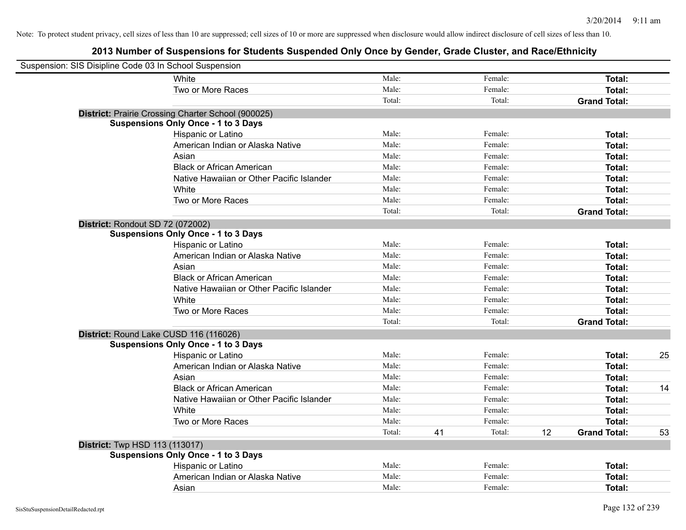|                                       | Suspension: SIS Disipline Code 03 In School Suspension |        |    |         |    |                     |    |
|---------------------------------------|--------------------------------------------------------|--------|----|---------|----|---------------------|----|
|                                       | White                                                  | Male:  |    | Female: |    | Total:              |    |
|                                       | Two or More Races                                      | Male:  |    | Female: |    | Total:              |    |
|                                       |                                                        | Total: |    | Total:  |    | <b>Grand Total:</b> |    |
|                                       | District: Prairie Crossing Charter School (900025)     |        |    |         |    |                     |    |
|                                       | <b>Suspensions Only Once - 1 to 3 Days</b>             |        |    |         |    |                     |    |
|                                       | Hispanic or Latino                                     | Male:  |    | Female: |    | Total:              |    |
|                                       | American Indian or Alaska Native                       | Male:  |    | Female: |    | Total:              |    |
|                                       | Asian                                                  | Male:  |    | Female: |    | Total:              |    |
|                                       | <b>Black or African American</b>                       | Male:  |    | Female: |    | Total:              |    |
|                                       | Native Hawaiian or Other Pacific Islander              | Male:  |    | Female: |    | Total:              |    |
|                                       | White                                                  | Male:  |    | Female: |    | Total:              |    |
|                                       | Two or More Races                                      | Male:  |    | Female: |    | Total:              |    |
|                                       |                                                        | Total: |    | Total:  |    | <b>Grand Total:</b> |    |
| District: Rondout SD 72 (072002)      |                                                        |        |    |         |    |                     |    |
|                                       | <b>Suspensions Only Once - 1 to 3 Days</b>             |        |    |         |    |                     |    |
|                                       | Hispanic or Latino                                     | Male:  |    | Female: |    | Total:              |    |
|                                       | American Indian or Alaska Native                       | Male:  |    | Female: |    | Total:              |    |
|                                       | Asian                                                  | Male:  |    | Female: |    | Total:              |    |
|                                       | <b>Black or African American</b>                       | Male:  |    | Female: |    | Total:              |    |
|                                       | Native Hawaiian or Other Pacific Islander              | Male:  |    | Female: |    | Total:              |    |
|                                       | White                                                  | Male:  |    | Female: |    | Total:              |    |
|                                       | Two or More Races                                      | Male:  |    | Female: |    | Total:              |    |
|                                       |                                                        | Total: |    | Total:  |    | <b>Grand Total:</b> |    |
|                                       | District: Round Lake CUSD 116 (116026)                 |        |    |         |    |                     |    |
|                                       | <b>Suspensions Only Once - 1 to 3 Days</b>             |        |    |         |    |                     |    |
|                                       | Hispanic or Latino                                     | Male:  |    | Female: |    | Total:              | 25 |
|                                       | American Indian or Alaska Native                       | Male:  |    | Female: |    | Total:              |    |
|                                       | Asian                                                  | Male:  |    | Female: |    | Total:              |    |
|                                       | <b>Black or African American</b>                       | Male:  |    | Female: |    | Total:              | 14 |
|                                       | Native Hawaiian or Other Pacific Islander              | Male:  |    | Female: |    | Total:              |    |
|                                       | White                                                  | Male:  |    | Female: |    | Total:              |    |
|                                       | Two or More Races                                      | Male:  |    | Female: |    | Total:              |    |
|                                       |                                                        | Total: | 41 | Total:  | 12 | <b>Grand Total:</b> | 53 |
| <b>District:</b> Twp HSD 113 (113017) |                                                        |        |    |         |    |                     |    |
|                                       | <b>Suspensions Only Once - 1 to 3 Days</b>             |        |    |         |    |                     |    |
|                                       | Hispanic or Latino                                     | Male:  |    | Female: |    | Total:              |    |
|                                       | American Indian or Alaska Native                       | Male:  |    | Female: |    | Total:              |    |
|                                       | Asian                                                  | Male:  |    | Female: |    | Total:              |    |
|                                       |                                                        |        |    |         |    |                     |    |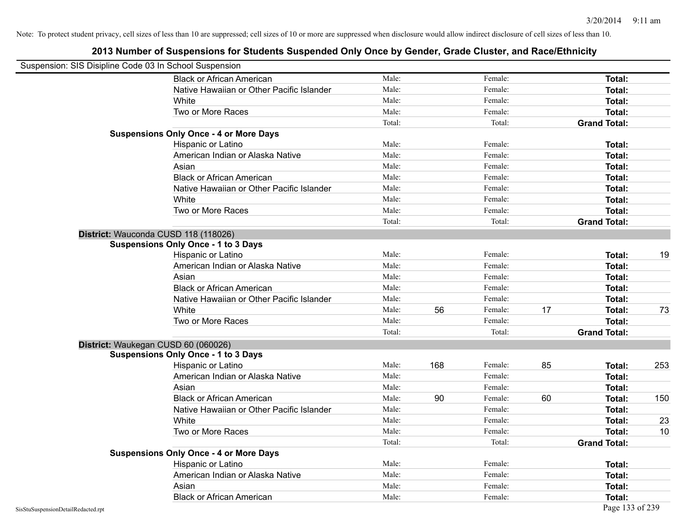| Suspension: SIS Disipline Code 03 In School Suspension |                                               |        |     |         |    |                     |     |
|--------------------------------------------------------|-----------------------------------------------|--------|-----|---------|----|---------------------|-----|
|                                                        | <b>Black or African American</b>              | Male:  |     | Female: |    | Total:              |     |
|                                                        | Native Hawaiian or Other Pacific Islander     | Male:  |     | Female: |    | Total:              |     |
|                                                        | White                                         | Male:  |     | Female: |    | Total:              |     |
|                                                        | Two or More Races                             | Male:  |     | Female: |    | <b>Total:</b>       |     |
|                                                        |                                               | Total: |     | Total:  |    | <b>Grand Total:</b> |     |
|                                                        | <b>Suspensions Only Once - 4 or More Days</b> |        |     |         |    |                     |     |
|                                                        | Hispanic or Latino                            | Male:  |     | Female: |    | Total:              |     |
|                                                        | American Indian or Alaska Native              | Male:  |     | Female: |    | Total:              |     |
|                                                        | Asian                                         | Male:  |     | Female: |    | Total:              |     |
|                                                        | <b>Black or African American</b>              | Male:  |     | Female: |    | Total:              |     |
|                                                        | Native Hawaiian or Other Pacific Islander     | Male:  |     | Female: |    | Total:              |     |
|                                                        | White                                         | Male:  |     | Female: |    | Total:              |     |
|                                                        | Two or More Races                             | Male:  |     | Female: |    | <b>Total:</b>       |     |
|                                                        |                                               | Total: |     | Total:  |    | <b>Grand Total:</b> |     |
|                                                        | District: Wauconda CUSD 118 (118026)          |        |     |         |    |                     |     |
|                                                        | <b>Suspensions Only Once - 1 to 3 Days</b>    |        |     |         |    |                     |     |
|                                                        | Hispanic or Latino                            | Male:  |     | Female: |    | Total:              | 19  |
|                                                        | American Indian or Alaska Native              | Male:  |     | Female: |    | <b>Total:</b>       |     |
|                                                        | Asian                                         | Male:  |     | Female: |    | Total:              |     |
|                                                        | <b>Black or African American</b>              | Male:  |     | Female: |    | Total:              |     |
|                                                        | Native Hawaiian or Other Pacific Islander     | Male:  |     | Female: |    | Total:              |     |
|                                                        | White                                         | Male:  | 56  | Female: | 17 | <b>Total:</b>       | 73  |
|                                                        | Two or More Races                             | Male:  |     | Female: |    | <b>Total:</b>       |     |
|                                                        |                                               | Total: |     | Total:  |    | <b>Grand Total:</b> |     |
|                                                        | District: Waukegan CUSD 60 (060026)           |        |     |         |    |                     |     |
|                                                        | <b>Suspensions Only Once - 1 to 3 Days</b>    |        |     |         |    |                     |     |
|                                                        | Hispanic or Latino                            | Male:  | 168 | Female: | 85 | Total:              | 253 |
|                                                        | American Indian or Alaska Native              | Male:  |     | Female: |    | Total:              |     |
|                                                        | Asian                                         | Male:  |     | Female: |    | Total:              |     |
|                                                        | <b>Black or African American</b>              | Male:  | 90  | Female: | 60 | Total:              | 150 |
|                                                        | Native Hawaiian or Other Pacific Islander     | Male:  |     | Female: |    | Total:              |     |
|                                                        | White                                         | Male:  |     | Female: |    | Total:              | 23  |
|                                                        | Two or More Races                             | Male:  |     | Female: |    | <b>Total:</b>       | 10  |
|                                                        |                                               | Total: |     | Total:  |    | <b>Grand Total:</b> |     |
|                                                        | <b>Suspensions Only Once - 4 or More Days</b> |        |     |         |    |                     |     |
|                                                        | Hispanic or Latino                            | Male:  |     | Female: |    | Total:              |     |
|                                                        | American Indian or Alaska Native              | Male:  |     | Female: |    | Total:              |     |
|                                                        | Asian                                         | Male:  |     | Female: |    | Total:              |     |
|                                                        | <b>Black or African American</b>              | Male:  |     | Female: |    | Total:              |     |
| SisStuSuspensionDetailRedacted.rpt                     |                                               |        |     |         |    | Page 133 of 239     |     |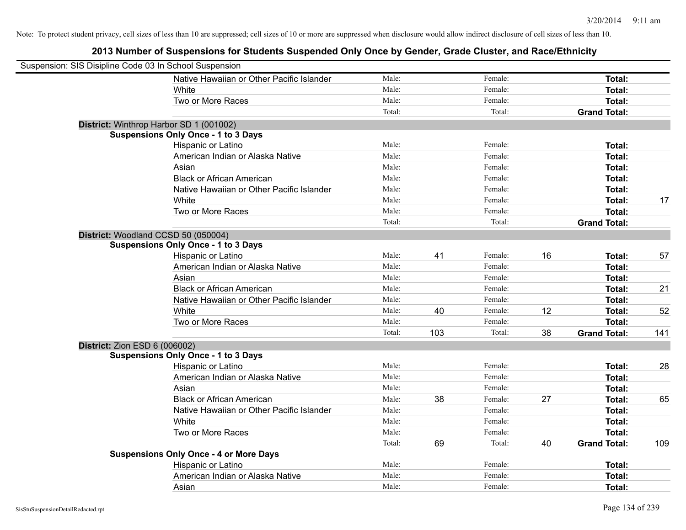| Suspension: SIS Disipline Code 03 In School Suspension |                                               |        |     |         |    |                     |     |
|--------------------------------------------------------|-----------------------------------------------|--------|-----|---------|----|---------------------|-----|
|                                                        | Native Hawaiian or Other Pacific Islander     | Male:  |     | Female: |    | Total:              |     |
|                                                        | White                                         | Male:  |     | Female: |    | Total:              |     |
|                                                        | Two or More Races                             | Male:  |     | Female: |    | Total:              |     |
|                                                        |                                               | Total: |     | Total:  |    | <b>Grand Total:</b> |     |
| District: Winthrop Harbor SD 1 (001002)                |                                               |        |     |         |    |                     |     |
|                                                        | <b>Suspensions Only Once - 1 to 3 Days</b>    |        |     |         |    |                     |     |
|                                                        | Hispanic or Latino                            | Male:  |     | Female: |    | Total:              |     |
|                                                        | American Indian or Alaska Native              | Male:  |     | Female: |    | Total:              |     |
|                                                        | Asian                                         | Male:  |     | Female: |    | Total:              |     |
|                                                        | <b>Black or African American</b>              | Male:  |     | Female: |    | Total:              |     |
|                                                        | Native Hawaiian or Other Pacific Islander     | Male:  |     | Female: |    | Total:              |     |
|                                                        | White                                         | Male:  |     | Female: |    | Total:              | 17  |
|                                                        | Two or More Races                             | Male:  |     | Female: |    | Total:              |     |
|                                                        |                                               | Total: |     | Total:  |    | <b>Grand Total:</b> |     |
| District: Woodland CCSD 50 (050004)                    |                                               |        |     |         |    |                     |     |
|                                                        | <b>Suspensions Only Once - 1 to 3 Days</b>    |        |     |         |    |                     |     |
|                                                        | Hispanic or Latino                            | Male:  | 41  | Female: | 16 | Total:              | 57  |
|                                                        | American Indian or Alaska Native              | Male:  |     | Female: |    | Total:              |     |
|                                                        | Asian                                         | Male:  |     | Female: |    | Total:              |     |
|                                                        | <b>Black or African American</b>              | Male:  |     | Female: |    | Total:              | 21  |
|                                                        | Native Hawaiian or Other Pacific Islander     | Male:  |     | Female: |    | Total:              |     |
|                                                        | White                                         | Male:  | 40  | Female: | 12 | Total:              | 52  |
|                                                        | Two or More Races                             | Male:  |     | Female: |    | Total:              |     |
|                                                        |                                               | Total: | 103 | Total:  | 38 | <b>Grand Total:</b> | 141 |
| <b>District: Zion ESD 6 (006002)</b>                   |                                               |        |     |         |    |                     |     |
|                                                        | <b>Suspensions Only Once - 1 to 3 Days</b>    |        |     |         |    |                     |     |
|                                                        | Hispanic or Latino                            | Male:  |     | Female: |    | Total:              | 28  |
|                                                        | American Indian or Alaska Native              | Male:  |     | Female: |    | Total:              |     |
|                                                        | Asian                                         | Male:  |     | Female: |    | Total:              |     |
|                                                        | <b>Black or African American</b>              | Male:  | 38  | Female: | 27 | Total:              | 65  |
|                                                        | Native Hawaiian or Other Pacific Islander     | Male:  |     | Female: |    | Total:              |     |
|                                                        | White                                         | Male:  |     | Female: |    | Total:              |     |
|                                                        | Two or More Races                             | Male:  |     | Female: |    | Total:              |     |
|                                                        |                                               | Total: | 69  | Total:  | 40 | <b>Grand Total:</b> | 109 |
|                                                        | <b>Suspensions Only Once - 4 or More Days</b> |        |     |         |    |                     |     |
|                                                        | Hispanic or Latino                            | Male:  |     | Female: |    | Total:              |     |
|                                                        | American Indian or Alaska Native              | Male:  |     | Female: |    | Total:              |     |
|                                                        | Asian                                         | Male:  |     | Female: |    | Total:              |     |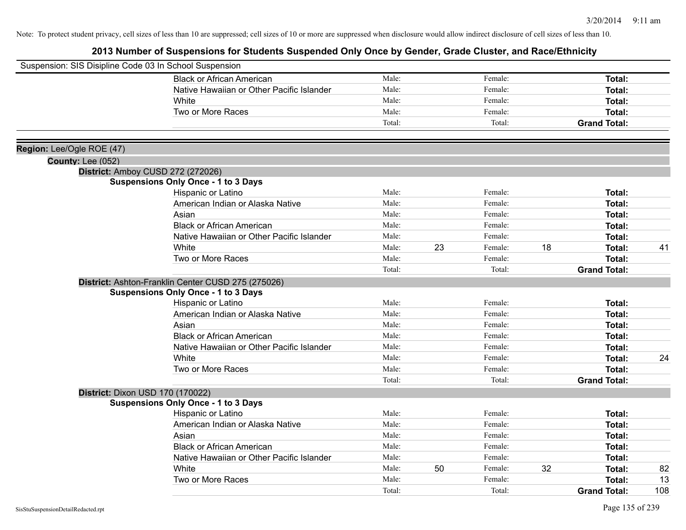| Suspension: SIS Disipline Code 03 In School Suspension |                                                    |        |    |         |    |                     |     |
|--------------------------------------------------------|----------------------------------------------------|--------|----|---------|----|---------------------|-----|
|                                                        |                                                    |        |    |         |    |                     |     |
|                                                        | <b>Black or African American</b>                   | Male:  |    | Female: |    | Total:              |     |
|                                                        | Native Hawaiian or Other Pacific Islander          | Male:  |    | Female: |    | Total:              |     |
|                                                        | White                                              | Male:  |    | Female: |    | <b>Total:</b>       |     |
|                                                        | Two or More Races                                  | Male:  |    | Female: |    | Total:              |     |
|                                                        |                                                    | Total: |    | Total:  |    | <b>Grand Total:</b> |     |
| Region: Lee/Ogle ROE (47)                              |                                                    |        |    |         |    |                     |     |
| <b>County: Lee (052)</b>                               |                                                    |        |    |         |    |                     |     |
|                                                        | District: Amboy CUSD 272 (272026)                  |        |    |         |    |                     |     |
|                                                        | <b>Suspensions Only Once - 1 to 3 Days</b>         |        |    |         |    |                     |     |
|                                                        | Hispanic or Latino                                 | Male:  |    | Female: |    | Total:              |     |
|                                                        | American Indian or Alaska Native                   | Male:  |    | Female: |    | <b>Total:</b>       |     |
|                                                        | Asian                                              | Male:  |    | Female: |    | Total:              |     |
|                                                        | <b>Black or African American</b>                   | Male:  |    | Female: |    | Total:              |     |
|                                                        | Native Hawaiian or Other Pacific Islander          | Male:  |    | Female: |    | Total:              |     |
|                                                        | White                                              | Male:  | 23 | Female: | 18 | Total:              | 41  |
|                                                        | Two or More Races                                  | Male:  |    | Female: |    | Total:              |     |
|                                                        |                                                    | Total: |    | Total:  |    | <b>Grand Total:</b> |     |
|                                                        | District: Ashton-Franklin Center CUSD 275 (275026) |        |    |         |    |                     |     |
|                                                        | <b>Suspensions Only Once - 1 to 3 Days</b>         |        |    |         |    |                     |     |
|                                                        | Hispanic or Latino                                 | Male:  |    | Female: |    | Total:              |     |
|                                                        | American Indian or Alaska Native                   | Male:  |    | Female: |    | Total:              |     |
|                                                        | Asian                                              | Male:  |    | Female: |    | Total:              |     |
|                                                        | <b>Black or African American</b>                   | Male:  |    | Female: |    | Total:              |     |
|                                                        | Native Hawaiian or Other Pacific Islander          | Male:  |    | Female: |    | <b>Total:</b>       |     |
|                                                        | White                                              | Male:  |    | Female: |    | <b>Total:</b>       | 24  |
|                                                        | Two or More Races                                  | Male:  |    | Female: |    | <b>Total:</b>       |     |
|                                                        |                                                    | Total: |    | Total:  |    | <b>Grand Total:</b> |     |
|                                                        | District: Dixon USD 170 (170022)                   |        |    |         |    |                     |     |
|                                                        | <b>Suspensions Only Once - 1 to 3 Days</b>         |        |    |         |    |                     |     |
|                                                        | Hispanic or Latino                                 | Male:  |    | Female: |    | Total:              |     |
|                                                        | American Indian or Alaska Native                   | Male:  |    | Female: |    | Total:              |     |
|                                                        | Asian                                              | Male:  |    | Female: |    | Total:              |     |
|                                                        | <b>Black or African American</b>                   | Male:  |    | Female: |    | <b>Total:</b>       |     |
|                                                        | Native Hawaiian or Other Pacific Islander          | Male:  |    | Female: |    | Total:              |     |
|                                                        | White                                              | Male:  | 50 | Female: | 32 | Total:              | 82  |
|                                                        | Two or More Races                                  | Male:  |    | Female: |    | <b>Total:</b>       | 13  |
|                                                        |                                                    | Total: |    | Total:  |    | <b>Grand Total:</b> | 108 |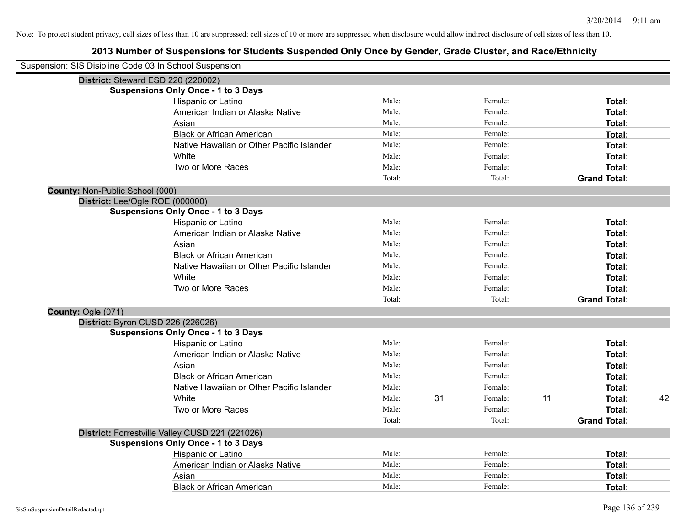| Suspension: SIS Disipline Code 03 In School Suspension |                                                 |        |    |         |    |                     |    |
|--------------------------------------------------------|-------------------------------------------------|--------|----|---------|----|---------------------|----|
| District: Steward ESD 220 (220002)                     |                                                 |        |    |         |    |                     |    |
|                                                        | <b>Suspensions Only Once - 1 to 3 Days</b>      |        |    |         |    |                     |    |
|                                                        | Hispanic or Latino                              | Male:  |    | Female: |    | Total:              |    |
|                                                        | American Indian or Alaska Native                | Male:  |    | Female: |    | <b>Total:</b>       |    |
|                                                        | Asian                                           | Male:  |    | Female: |    | <b>Total:</b>       |    |
|                                                        | <b>Black or African American</b>                | Male:  |    | Female: |    | <b>Total:</b>       |    |
|                                                        | Native Hawaiian or Other Pacific Islander       | Male:  |    | Female: |    | Total:              |    |
|                                                        | White                                           | Male:  |    | Female: |    | <b>Total:</b>       |    |
|                                                        | Two or More Races                               | Male:  |    | Female: |    | <b>Total:</b>       |    |
|                                                        |                                                 | Total: |    | Total:  |    | <b>Grand Total:</b> |    |
| County: Non-Public School (000)                        |                                                 |        |    |         |    |                     |    |
| District: Lee/Ogle ROE (000000)                        |                                                 |        |    |         |    |                     |    |
|                                                        | <b>Suspensions Only Once - 1 to 3 Days</b>      |        |    |         |    |                     |    |
|                                                        | Hispanic or Latino                              | Male:  |    | Female: |    | Total:              |    |
|                                                        | American Indian or Alaska Native                | Male:  |    | Female: |    | <b>Total:</b>       |    |
|                                                        | Asian                                           | Male:  |    | Female: |    | <b>Total:</b>       |    |
|                                                        | <b>Black or African American</b>                | Male:  |    | Female: |    | Total:              |    |
|                                                        | Native Hawaiian or Other Pacific Islander       | Male:  |    | Female: |    | <b>Total:</b>       |    |
|                                                        | White                                           | Male:  |    | Female: |    | <b>Total:</b>       |    |
|                                                        | Two or More Races                               | Male:  |    | Female: |    | <b>Total:</b>       |    |
|                                                        |                                                 | Total: |    | Total:  |    | <b>Grand Total:</b> |    |
| County: Ogle (071)                                     |                                                 |        |    |         |    |                     |    |
| District: Byron CUSD 226 (226026)                      |                                                 |        |    |         |    |                     |    |
|                                                        | <b>Suspensions Only Once - 1 to 3 Days</b>      |        |    |         |    |                     |    |
|                                                        | Hispanic or Latino                              | Male:  |    | Female: |    | Total:              |    |
|                                                        | American Indian or Alaska Native                | Male:  |    | Female: |    | <b>Total:</b>       |    |
|                                                        | Asian                                           | Male:  |    | Female: |    | Total:              |    |
|                                                        | <b>Black or African American</b>                | Male:  |    | Female: |    | <b>Total:</b>       |    |
|                                                        | Native Hawaiian or Other Pacific Islander       | Male:  |    | Female: |    | <b>Total:</b>       |    |
|                                                        | White                                           | Male:  | 31 | Female: | 11 | Total:              | 42 |
|                                                        | Two or More Races                               | Male:  |    | Female: |    | <b>Total:</b>       |    |
|                                                        |                                                 | Total: |    | Total:  |    | <b>Grand Total:</b> |    |
|                                                        | District: Forrestville Valley CUSD 221 (221026) |        |    |         |    |                     |    |
|                                                        | <b>Suspensions Only Once - 1 to 3 Days</b>      |        |    |         |    |                     |    |
|                                                        | Hispanic or Latino                              | Male:  |    | Female: |    | Total:              |    |
|                                                        | American Indian or Alaska Native                | Male:  |    | Female: |    | <b>Total:</b>       |    |
|                                                        | Asian                                           | Male:  |    | Female: |    | Total:              |    |
|                                                        | <b>Black or African American</b>                | Male:  |    | Female: |    | Total:              |    |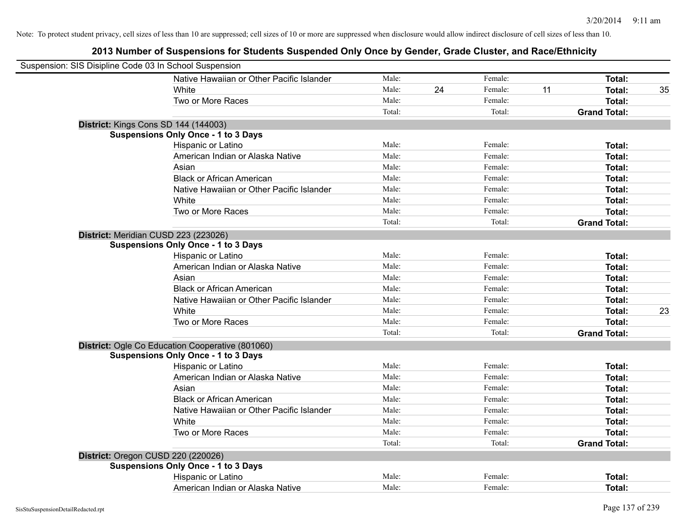| Suspension: SIS Disipline Code 03 In School Suspension |                                                  |        |    |         |    |                     |    |
|--------------------------------------------------------|--------------------------------------------------|--------|----|---------|----|---------------------|----|
|                                                        | Native Hawaiian or Other Pacific Islander        | Male:  |    | Female: |    | Total:              |    |
|                                                        | White                                            | Male:  | 24 | Female: | 11 | <b>Total:</b>       | 35 |
|                                                        | Two or More Races                                | Male:  |    | Female: |    | <b>Total:</b>       |    |
|                                                        |                                                  | Total: |    | Total:  |    | <b>Grand Total:</b> |    |
|                                                        | District: Kings Cons SD 144 (144003)             |        |    |         |    |                     |    |
|                                                        | <b>Suspensions Only Once - 1 to 3 Days</b>       |        |    |         |    |                     |    |
|                                                        | Hispanic or Latino                               | Male:  |    | Female: |    | Total:              |    |
|                                                        | American Indian or Alaska Native                 | Male:  |    | Female: |    | Total:              |    |
|                                                        | Asian                                            | Male:  |    | Female: |    | <b>Total:</b>       |    |
|                                                        | <b>Black or African American</b>                 | Male:  |    | Female: |    | Total:              |    |
|                                                        | Native Hawaiian or Other Pacific Islander        | Male:  |    | Female: |    | <b>Total:</b>       |    |
|                                                        | White                                            | Male:  |    | Female: |    | <b>Total:</b>       |    |
|                                                        | Two or More Races                                | Male:  |    | Female: |    | <b>Total:</b>       |    |
|                                                        |                                                  | Total: |    | Total:  |    | <b>Grand Total:</b> |    |
|                                                        | District: Meridian CUSD 223 (223026)             |        |    |         |    |                     |    |
|                                                        | <b>Suspensions Only Once - 1 to 3 Days</b>       |        |    |         |    |                     |    |
|                                                        | Hispanic or Latino                               | Male:  |    | Female: |    | Total:              |    |
|                                                        | American Indian or Alaska Native                 | Male:  |    | Female: |    | Total:              |    |
|                                                        | Asian                                            | Male:  |    | Female: |    | Total:              |    |
|                                                        | <b>Black or African American</b>                 | Male:  |    | Female: |    | Total:              |    |
|                                                        | Native Hawaiian or Other Pacific Islander        | Male:  |    | Female: |    | Total:              |    |
|                                                        | White                                            | Male:  |    | Female: |    | Total:              | 23 |
|                                                        | Two or More Races                                | Male:  |    | Female: |    | Total:              |    |
|                                                        |                                                  | Total: |    | Total:  |    | <b>Grand Total:</b> |    |
|                                                        | District: Ogle Co Education Cooperative (801060) |        |    |         |    |                     |    |
|                                                        | <b>Suspensions Only Once - 1 to 3 Days</b>       |        |    |         |    |                     |    |
|                                                        | Hispanic or Latino                               | Male:  |    | Female: |    | Total:              |    |
|                                                        | American Indian or Alaska Native                 | Male:  |    | Female: |    | Total:              |    |
|                                                        | Asian                                            | Male:  |    | Female: |    | Total:              |    |
|                                                        | <b>Black or African American</b>                 | Male:  |    | Female: |    | Total:              |    |
|                                                        | Native Hawaiian or Other Pacific Islander        | Male:  |    | Female: |    | Total:              |    |
|                                                        | White                                            | Male:  |    | Female: |    | Total:              |    |
|                                                        | Two or More Races                                | Male:  |    | Female: |    | <b>Total:</b>       |    |
|                                                        |                                                  | Total: |    | Total:  |    | <b>Grand Total:</b> |    |
|                                                        | District: Oregon CUSD 220 (220026)               |        |    |         |    |                     |    |
|                                                        | <b>Suspensions Only Once - 1 to 3 Days</b>       |        |    |         |    |                     |    |
|                                                        | Hispanic or Latino                               | Male:  |    | Female: |    | Total:              |    |
|                                                        | American Indian or Alaska Native                 | Male:  |    | Female: |    | Total:              |    |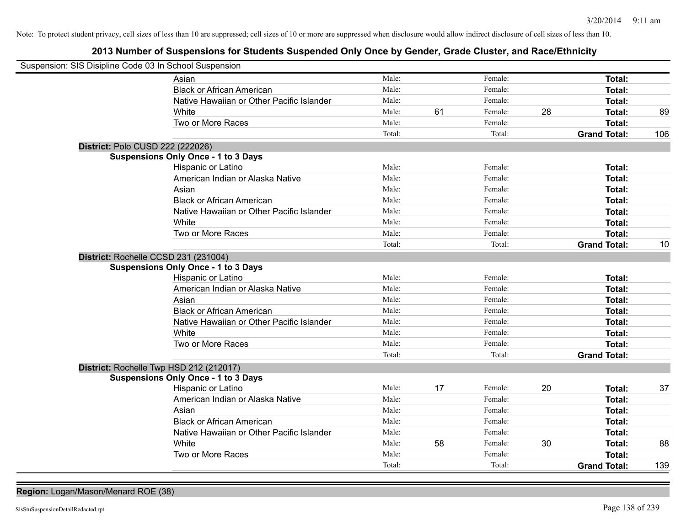# **2013 Number of Suspensions for Students Suspended Only Once by Gender, Grade Cluster, and Race/Ethnicity**

| Suspension: SIS Disipline Code 03 In School Suspension |                                            |        |    |         |    |                     |     |
|--------------------------------------------------------|--------------------------------------------|--------|----|---------|----|---------------------|-----|
|                                                        | Asian                                      | Male:  |    | Female: |    | Total:              |     |
|                                                        | <b>Black or African American</b>           | Male:  |    | Female: |    | <b>Total:</b>       |     |
|                                                        | Native Hawaiian or Other Pacific Islander  | Male:  |    | Female: |    | <b>Total:</b>       |     |
|                                                        | White                                      | Male:  | 61 | Female: | 28 | <b>Total:</b>       | 89  |
|                                                        | Two or More Races                          | Male:  |    | Female: |    | Total:              |     |
|                                                        |                                            | Total: |    | Total:  |    | <b>Grand Total:</b> | 106 |
|                                                        | District: Polo CUSD 222 (222026)           |        |    |         |    |                     |     |
|                                                        | <b>Suspensions Only Once - 1 to 3 Days</b> |        |    |         |    |                     |     |
|                                                        | Hispanic or Latino                         | Male:  |    | Female: |    | <b>Total:</b>       |     |
|                                                        | American Indian or Alaska Native           | Male:  |    | Female: |    | Total:              |     |
|                                                        | Asian                                      | Male:  |    | Female: |    | Total:              |     |
|                                                        | <b>Black or African American</b>           | Male:  |    | Female: |    | Total:              |     |
|                                                        | Native Hawaiian or Other Pacific Islander  | Male:  |    | Female: |    | <b>Total:</b>       |     |
|                                                        | White                                      | Male:  |    | Female: |    | <b>Total:</b>       |     |
|                                                        | Two or More Races                          | Male:  |    | Female: |    | <b>Total:</b>       |     |
|                                                        |                                            | Total: |    | Total:  |    | <b>Grand Total:</b> | 10  |
|                                                        | District: Rochelle CCSD 231 (231004)       |        |    |         |    |                     |     |
|                                                        | <b>Suspensions Only Once - 1 to 3 Days</b> |        |    |         |    |                     |     |
|                                                        | Hispanic or Latino                         | Male:  |    | Female: |    | <b>Total:</b>       |     |
|                                                        | American Indian or Alaska Native           | Male:  |    | Female: |    | <b>Total:</b>       |     |
|                                                        | Asian                                      | Male:  |    | Female: |    | <b>Total:</b>       |     |
|                                                        | <b>Black or African American</b>           | Male:  |    | Female: |    | <b>Total:</b>       |     |
|                                                        | Native Hawaiian or Other Pacific Islander  | Male:  |    | Female: |    | <b>Total:</b>       |     |
|                                                        | White                                      | Male:  |    | Female: |    | <b>Total:</b>       |     |
|                                                        | Two or More Races                          | Male:  |    | Female: |    | <b>Total:</b>       |     |
|                                                        |                                            | Total: |    | Total:  |    | <b>Grand Total:</b> |     |
|                                                        | District: Rochelle Twp HSD 212 (212017)    |        |    |         |    |                     |     |
|                                                        | <b>Suspensions Only Once - 1 to 3 Days</b> |        |    |         |    |                     |     |
|                                                        | Hispanic or Latino                         | Male:  | 17 | Female: | 20 | Total:              | 37  |
|                                                        | American Indian or Alaska Native           | Male:  |    | Female: |    | <b>Total:</b>       |     |
|                                                        | Asian                                      | Male:  |    | Female: |    | <b>Total:</b>       |     |
|                                                        | <b>Black or African American</b>           | Male:  |    | Female: |    | <b>Total:</b>       |     |
|                                                        | Native Hawaiian or Other Pacific Islander  | Male:  |    | Female: |    | <b>Total:</b>       |     |
|                                                        | White                                      | Male:  | 58 | Female: | 30 | <b>Total:</b>       | 88  |
|                                                        | Two or More Races                          | Male:  |    | Female: |    | Total:              |     |
|                                                        |                                            | Total: |    | Total:  |    | <b>Grand Total:</b> | 139 |
|                                                        |                                            |        |    |         |    |                     |     |

**Region:** Logan/Mason/Menard ROE (38)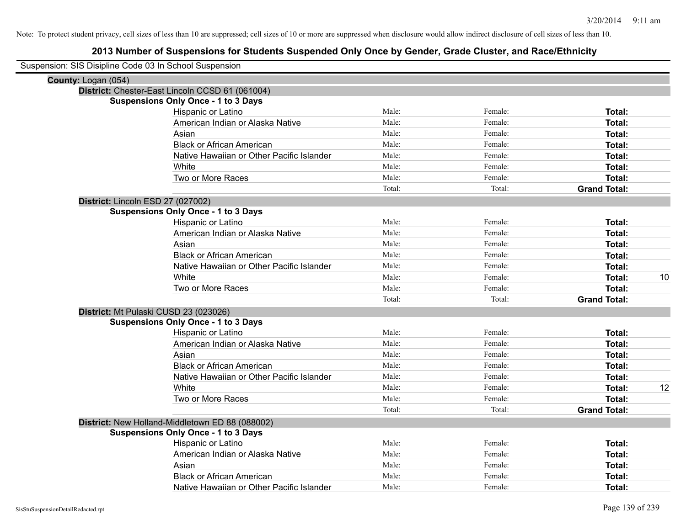| Suspension: SIS Disipline Code 03 In School Suspension |                                                 |        |         |                     |    |
|--------------------------------------------------------|-------------------------------------------------|--------|---------|---------------------|----|
| County: Logan (054)                                    |                                                 |        |         |                     |    |
|                                                        | District: Chester-East Lincoln CCSD 61 (061004) |        |         |                     |    |
|                                                        | <b>Suspensions Only Once - 1 to 3 Days</b>      |        |         |                     |    |
|                                                        | Hispanic or Latino                              | Male:  | Female: | Total:              |    |
|                                                        | American Indian or Alaska Native                | Male:  | Female: | Total:              |    |
|                                                        | Asian                                           | Male:  | Female: | Total:              |    |
|                                                        | <b>Black or African American</b>                | Male:  | Female: | Total:              |    |
|                                                        | Native Hawaiian or Other Pacific Islander       | Male:  | Female: | Total:              |    |
|                                                        | White                                           | Male:  | Female: | Total:              |    |
|                                                        | Two or More Races                               | Male:  | Female: | Total:              |    |
|                                                        |                                                 | Total: | Total:  | <b>Grand Total:</b> |    |
| District: Lincoln ESD 27 (027002)                      |                                                 |        |         |                     |    |
|                                                        | <b>Suspensions Only Once - 1 to 3 Days</b>      |        |         |                     |    |
|                                                        | Hispanic or Latino                              | Male:  | Female: | Total:              |    |
|                                                        | American Indian or Alaska Native                | Male:  | Female: | Total:              |    |
|                                                        | Asian                                           | Male:  | Female: | Total:              |    |
|                                                        | <b>Black or African American</b>                | Male:  | Female: | Total:              |    |
|                                                        | Native Hawaiian or Other Pacific Islander       | Male:  | Female: | Total:              |    |
|                                                        | White                                           | Male:  | Female: | Total:              | 10 |
|                                                        | Two or More Races                               | Male:  | Female: | Total:              |    |
|                                                        |                                                 | Total: | Total:  | <b>Grand Total:</b> |    |
|                                                        | District: Mt Pulaski CUSD 23 (023026)           |        |         |                     |    |
|                                                        | <b>Suspensions Only Once - 1 to 3 Days</b>      |        |         |                     |    |
|                                                        | Hispanic or Latino                              | Male:  | Female: | Total:              |    |
|                                                        | American Indian or Alaska Native                | Male:  | Female: | Total:              |    |
|                                                        | Asian                                           | Male:  | Female: | Total:              |    |
|                                                        | <b>Black or African American</b>                | Male:  | Female: | Total:              |    |
|                                                        | Native Hawaiian or Other Pacific Islander       | Male:  | Female: | Total:              |    |
|                                                        | White                                           | Male:  | Female: | Total:              | 12 |
|                                                        | Two or More Races                               | Male:  | Female: | Total:              |    |
|                                                        |                                                 | Total: | Total:  | <b>Grand Total:</b> |    |
|                                                        | District: New Holland-Middletown ED 88 (088002) |        |         |                     |    |
|                                                        | <b>Suspensions Only Once - 1 to 3 Days</b>      |        |         |                     |    |
|                                                        | Hispanic or Latino                              | Male:  | Female: | Total:              |    |
|                                                        | American Indian or Alaska Native                | Male:  | Female: | Total:              |    |
|                                                        | Asian                                           | Male:  | Female: | Total:              |    |
|                                                        | <b>Black or African American</b>                | Male:  | Female: | Total:              |    |
|                                                        | Native Hawaiian or Other Pacific Islander       | Male:  | Female: | Total:              |    |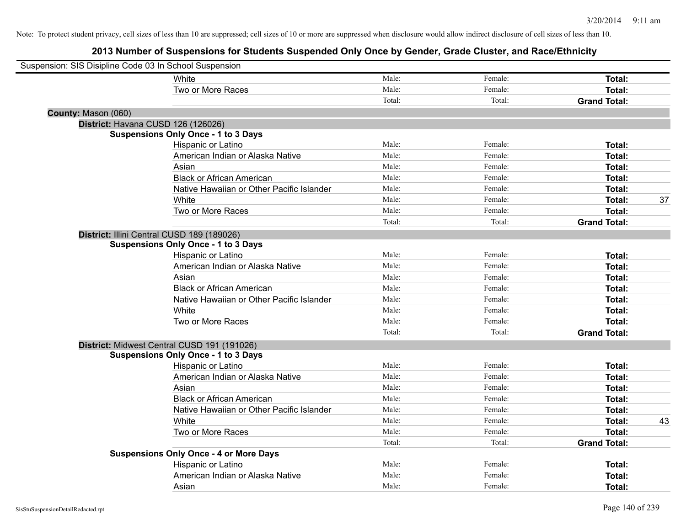| Suspension: SIS Disipline Code 03 In School Suspension |                                               |        |         |                     |    |
|--------------------------------------------------------|-----------------------------------------------|--------|---------|---------------------|----|
|                                                        | <b>White</b>                                  | Male:  | Female: | Total:              |    |
|                                                        | Two or More Races                             | Male:  | Female: | Total:              |    |
|                                                        |                                               | Total: | Total:  | <b>Grand Total:</b> |    |
| County: Mason (060)                                    |                                               |        |         |                     |    |
|                                                        | District: Havana CUSD 126 (126026)            |        |         |                     |    |
|                                                        | <b>Suspensions Only Once - 1 to 3 Days</b>    |        |         |                     |    |
|                                                        | Hispanic or Latino                            | Male:  | Female: | Total:              |    |
|                                                        | American Indian or Alaska Native              | Male:  | Female: | Total:              |    |
|                                                        | Asian                                         | Male:  | Female: | Total:              |    |
|                                                        | <b>Black or African American</b>              | Male:  | Female: | Total:              |    |
|                                                        | Native Hawaiian or Other Pacific Islander     | Male:  | Female: | Total:              |    |
|                                                        | White                                         | Male:  | Female: | Total:              | 37 |
|                                                        | Two or More Races                             | Male:  | Female: | Total:              |    |
|                                                        |                                               | Total: | Total:  | <b>Grand Total:</b> |    |
|                                                        | District: Illini Central CUSD 189 (189026)    |        |         |                     |    |
|                                                        | <b>Suspensions Only Once - 1 to 3 Days</b>    |        |         |                     |    |
|                                                        | Hispanic or Latino                            | Male:  | Female: | Total:              |    |
|                                                        | American Indian or Alaska Native              | Male:  | Female: | Total:              |    |
|                                                        | Asian                                         | Male:  | Female: | Total:              |    |
|                                                        | <b>Black or African American</b>              | Male:  | Female: | Total:              |    |
|                                                        | Native Hawaiian or Other Pacific Islander     | Male:  | Female: | Total:              |    |
|                                                        | White                                         | Male:  | Female: | Total:              |    |
|                                                        | Two or More Races                             | Male:  | Female: | Total:              |    |
|                                                        |                                               | Total: | Total:  | <b>Grand Total:</b> |    |
|                                                        | District: Midwest Central CUSD 191 (191026)   |        |         |                     |    |
|                                                        | <b>Suspensions Only Once - 1 to 3 Days</b>    |        |         |                     |    |
|                                                        | Hispanic or Latino                            | Male:  | Female: | Total:              |    |
|                                                        | American Indian or Alaska Native              | Male:  | Female: | Total:              |    |
|                                                        | Asian                                         | Male:  | Female: | Total:              |    |
|                                                        | <b>Black or African American</b>              | Male:  | Female: | Total:              |    |
|                                                        | Native Hawaiian or Other Pacific Islander     | Male:  | Female: | Total:              |    |
|                                                        | White                                         | Male:  | Female: | Total:              | 43 |
|                                                        | Two or More Races                             | Male:  | Female: | Total:              |    |
|                                                        |                                               | Total: | Total:  | <b>Grand Total:</b> |    |
|                                                        | <b>Suspensions Only Once - 4 or More Days</b> |        |         |                     |    |
|                                                        | Hispanic or Latino                            | Male:  | Female: | Total:              |    |
|                                                        | American Indian or Alaska Native              | Male:  | Female: | Total:              |    |
|                                                        | Asian                                         | Male:  | Female: | Total:              |    |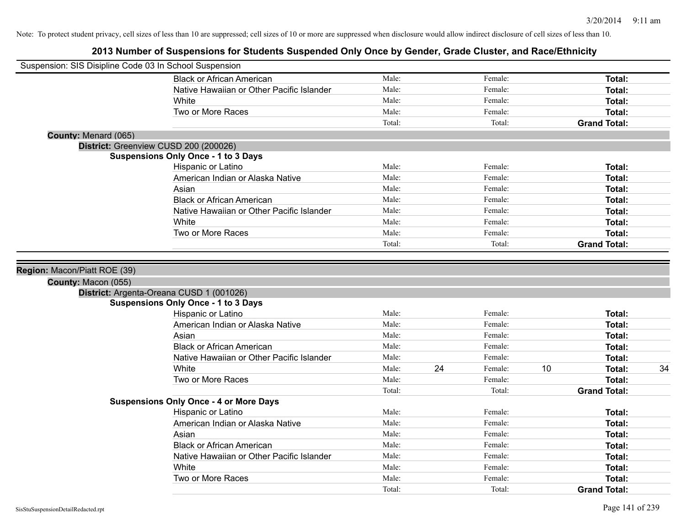| Suspension: SIS Disipline Code 03 In School Suspension |                                                                  |        |    |         |    |                     |    |
|--------------------------------------------------------|------------------------------------------------------------------|--------|----|---------|----|---------------------|----|
|                                                        | <b>Black or African American</b>                                 | Male:  |    | Female: |    | <b>Total:</b>       |    |
|                                                        | Native Hawaiian or Other Pacific Islander                        | Male:  |    | Female: |    | <b>Total:</b>       |    |
|                                                        | White                                                            | Male:  |    | Female: |    | Total:              |    |
|                                                        | Two or More Races                                                | Male:  |    | Female: |    | Total:              |    |
|                                                        |                                                                  | Total: |    | Total:  |    | <b>Grand Total:</b> |    |
| County: Menard (065)                                   |                                                                  |        |    |         |    |                     |    |
| District: Greenview CUSD 200 (200026)                  |                                                                  |        |    |         |    |                     |    |
|                                                        | <b>Suspensions Only Once - 1 to 3 Days</b>                       |        |    |         |    |                     |    |
|                                                        | Hispanic or Latino                                               | Male:  |    | Female: |    | Total:              |    |
|                                                        | American Indian or Alaska Native                                 | Male:  |    | Female: |    | Total:              |    |
|                                                        | Asian                                                            | Male:  |    | Female: |    | Total:              |    |
|                                                        | <b>Black or African American</b>                                 | Male:  |    | Female: |    | <b>Total:</b>       |    |
|                                                        | Native Hawaiian or Other Pacific Islander                        | Male:  |    | Female: |    | <b>Total:</b>       |    |
|                                                        | White                                                            | Male:  |    | Female: |    | <b>Total:</b>       |    |
|                                                        | Two or More Races                                                | Male:  |    | Female: |    | Total:              |    |
|                                                        |                                                                  | Total: |    | Total:  |    | <b>Grand Total:</b> |    |
|                                                        | District: Argenta-Oreana CUSD 1 (001026)                         |        |    |         |    |                     |    |
|                                                        |                                                                  |        |    |         |    |                     |    |
|                                                        | <b>Suspensions Only Once - 1 to 3 Days</b><br>Hispanic or Latino | Male:  |    | Female: |    | <b>Total:</b>       |    |
|                                                        | American Indian or Alaska Native                                 | Male:  |    | Female: |    | Total:              |    |
|                                                        | Asian                                                            | Male:  |    | Female: |    | Total:              |    |
|                                                        | <b>Black or African American</b>                                 | Male:  |    | Female: |    | Total:              |    |
|                                                        | Native Hawaiian or Other Pacific Islander                        | Male:  |    | Female: |    | Total:              |    |
|                                                        | White                                                            | Male:  | 24 | Female: | 10 | Total:              | 34 |
|                                                        | Two or More Races                                                | Male:  |    | Female: |    | <b>Total:</b>       |    |
|                                                        |                                                                  | Total: |    | Total:  |    | <b>Grand Total:</b> |    |
|                                                        | <b>Suspensions Only Once - 4 or More Days</b>                    |        |    |         |    |                     |    |
|                                                        | Hispanic or Latino                                               | Male:  |    | Female: |    | Total:              |    |
|                                                        | American Indian or Alaska Native                                 | Male:  |    | Female: |    | Total:              |    |
|                                                        | Asian                                                            | Male:  |    | Female: |    | <b>Total:</b>       |    |
|                                                        | <b>Black or African American</b>                                 | Male:  |    | Female: |    | Total:              |    |
|                                                        | Native Hawaiian or Other Pacific Islander                        | Male:  |    | Female: |    | Total:              |    |
|                                                        | White                                                            | Male:  |    | Female: |    | <b>Total:</b>       |    |
|                                                        | Two or More Races                                                | Male:  |    | Female: |    | <b>Total:</b>       |    |
|                                                        |                                                                  | Total: |    | Total:  |    | <b>Grand Total:</b> |    |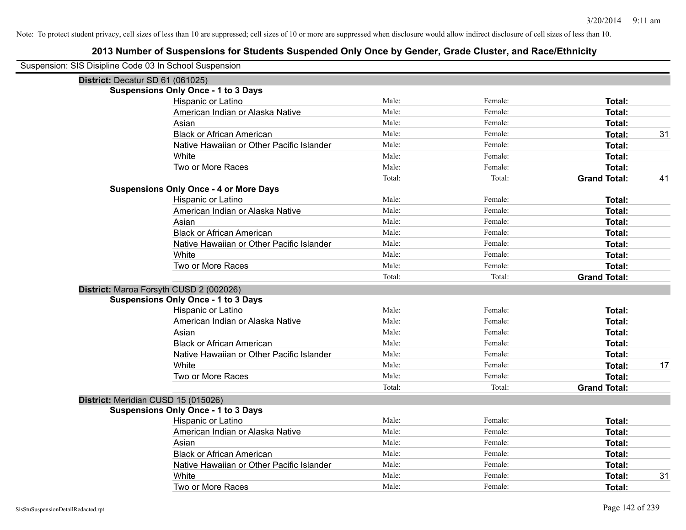| Suspension: SIS Disipline Code 03 In School Suspension |                                               |        |         |                     |    |
|--------------------------------------------------------|-----------------------------------------------|--------|---------|---------------------|----|
| District: Decatur SD 61 (061025)                       |                                               |        |         |                     |    |
|                                                        | <b>Suspensions Only Once - 1 to 3 Days</b>    |        |         |                     |    |
|                                                        | Hispanic or Latino                            | Male:  | Female: | Total:              |    |
|                                                        | American Indian or Alaska Native              | Male:  | Female: | <b>Total:</b>       |    |
|                                                        | Asian                                         | Male:  | Female: | <b>Total:</b>       |    |
|                                                        | <b>Black or African American</b>              | Male:  | Female: | <b>Total:</b>       | 31 |
|                                                        | Native Hawaiian or Other Pacific Islander     | Male:  | Female: | <b>Total:</b>       |    |
|                                                        | White                                         | Male:  | Female: | <b>Total:</b>       |    |
|                                                        | Two or More Races                             | Male:  | Female: | Total:              |    |
|                                                        |                                               | Total: | Total:  | <b>Grand Total:</b> | 41 |
|                                                        | <b>Suspensions Only Once - 4 or More Days</b> |        |         |                     |    |
|                                                        | Hispanic or Latino                            | Male:  | Female: | Total:              |    |
|                                                        | American Indian or Alaska Native              | Male:  | Female: | <b>Total:</b>       |    |
|                                                        | Asian                                         | Male:  | Female: | Total:              |    |
|                                                        | <b>Black or African American</b>              | Male:  | Female: | Total:              |    |
|                                                        | Native Hawaiian or Other Pacific Islander     | Male:  | Female: | Total:              |    |
|                                                        | White                                         | Male:  | Female: | Total:              |    |
|                                                        | Two or More Races                             | Male:  | Female: | Total:              |    |
|                                                        |                                               | Total: | Total:  | <b>Grand Total:</b> |    |
|                                                        | District: Maroa Forsyth CUSD 2 (002026)       |        |         |                     |    |
|                                                        | <b>Suspensions Only Once - 1 to 3 Days</b>    |        |         |                     |    |
|                                                        | Hispanic or Latino                            | Male:  | Female: | Total:              |    |
|                                                        | American Indian or Alaska Native              | Male:  | Female: | Total:              |    |
|                                                        | Asian                                         | Male:  | Female: | <b>Total:</b>       |    |
|                                                        | <b>Black or African American</b>              | Male:  | Female: | Total:              |    |
|                                                        | Native Hawaiian or Other Pacific Islander     | Male:  | Female: | <b>Total:</b>       |    |
|                                                        | White                                         | Male:  | Female: | Total:              | 17 |
|                                                        | Two or More Races                             | Male:  | Female: | <b>Total:</b>       |    |
|                                                        |                                               | Total: | Total:  | <b>Grand Total:</b> |    |
| District: Meridian CUSD 15 (015026)                    |                                               |        |         |                     |    |
|                                                        | <b>Suspensions Only Once - 1 to 3 Days</b>    |        |         |                     |    |
|                                                        | Hispanic or Latino                            | Male:  | Female: | Total:              |    |
|                                                        | American Indian or Alaska Native              | Male:  | Female: | Total:              |    |
|                                                        | Asian                                         | Male:  | Female: | Total:              |    |
|                                                        | <b>Black or African American</b>              | Male:  | Female: | Total:              |    |
|                                                        | Native Hawaiian or Other Pacific Islander     | Male:  | Female: | Total:              |    |
|                                                        |                                               |        |         |                     |    |
|                                                        | White                                         | Male:  | Female: | <b>Total:</b>       | 31 |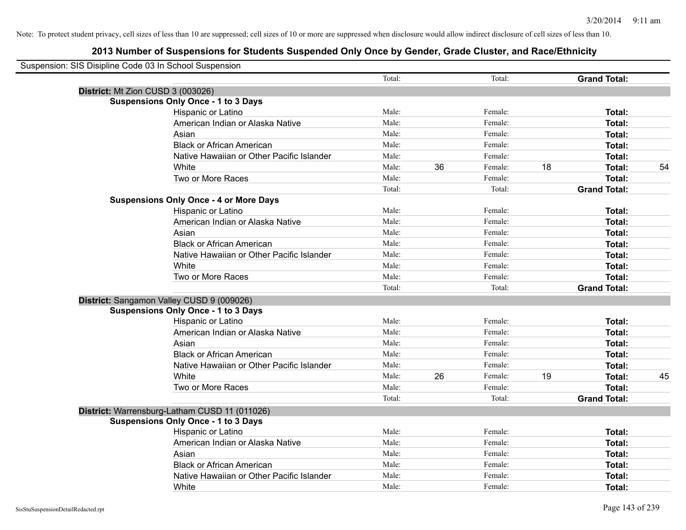| Suspension: SIS Disipline Code 03 In School Suspension |                                               |        |    |         |    |                     |    |
|--------------------------------------------------------|-----------------------------------------------|--------|----|---------|----|---------------------|----|
|                                                        |                                               | Total: |    | Total:  |    | <b>Grand Total:</b> |    |
| District: Mt Zion CUSD 3 (003026)                      |                                               |        |    |         |    |                     |    |
|                                                        | <b>Suspensions Only Once - 1 to 3 Days</b>    |        |    |         |    |                     |    |
|                                                        | Hispanic or Latino                            | Male:  |    | Female: |    | Total:              |    |
|                                                        | American Indian or Alaska Native              | Male:  |    | Female: |    | Total:              |    |
|                                                        | Asian                                         | Male:  |    | Female: |    | Total:              |    |
|                                                        | <b>Black or African American</b>              | Male:  |    | Female: |    | Total:              |    |
|                                                        | Native Hawaiian or Other Pacific Islander     | Male:  |    | Female: |    | Total:              |    |
|                                                        | White                                         | Male:  | 36 | Female: | 18 | Total:              | 54 |
|                                                        | Two or More Races                             | Male:  |    | Female: |    | Total:              |    |
|                                                        |                                               | Total: |    | Total:  |    | <b>Grand Total:</b> |    |
|                                                        | <b>Suspensions Only Once - 4 or More Days</b> |        |    |         |    |                     |    |
|                                                        | Hispanic or Latino                            | Male:  |    | Female: |    | Total:              |    |
|                                                        | American Indian or Alaska Native              | Male:  |    | Female: |    | Total:              |    |
|                                                        | Asian                                         | Male:  |    | Female: |    | Total:              |    |
|                                                        | <b>Black or African American</b>              | Male:  |    | Female: |    | Total:              |    |
|                                                        | Native Hawaiian or Other Pacific Islander     | Male:  |    | Female: |    | Total:              |    |
|                                                        | White                                         | Male:  |    | Female: |    | Total:              |    |
|                                                        | Two or More Races                             | Male:  |    | Female: |    | Total:              |    |
|                                                        |                                               | Total: |    | Total:  |    | <b>Grand Total:</b> |    |
|                                                        | District: Sangamon Valley CUSD 9 (009026)     |        |    |         |    |                     |    |
|                                                        | <b>Suspensions Only Once - 1 to 3 Days</b>    |        |    |         |    |                     |    |
|                                                        | Hispanic or Latino                            | Male:  |    | Female: |    | Total:              |    |
|                                                        | American Indian or Alaska Native              | Male:  |    | Female: |    | Total:              |    |
|                                                        | Asian                                         | Male:  |    | Female: |    | Total:              |    |
|                                                        | <b>Black or African American</b>              | Male:  |    | Female: |    | Total:              |    |
|                                                        | Native Hawaiian or Other Pacific Islander     | Male:  |    | Female: |    | Total:              |    |
|                                                        | White                                         | Male:  | 26 | Female: | 19 | Total:              | 45 |
|                                                        | Two or More Races                             | Male:  |    | Female: |    | Total:              |    |
|                                                        |                                               | Total: |    | Total:  |    | <b>Grand Total:</b> |    |
|                                                        | District: Warrensburg-Latham CUSD 11 (011026) |        |    |         |    |                     |    |
|                                                        | <b>Suspensions Only Once - 1 to 3 Days</b>    |        |    |         |    |                     |    |
|                                                        | Hispanic or Latino                            | Male:  |    | Female: |    | Total:              |    |
|                                                        | American Indian or Alaska Native              | Male:  |    | Female: |    | Total:              |    |
|                                                        | Asian                                         | Male:  |    | Female: |    | Total:              |    |
|                                                        | <b>Black or African American</b>              | Male:  |    | Female: |    | Total:              |    |
|                                                        | Native Hawaiian or Other Pacific Islander     | Male:  |    | Female: |    | Total:              |    |
|                                                        | White                                         | Male:  |    | Female: |    | Total:              |    |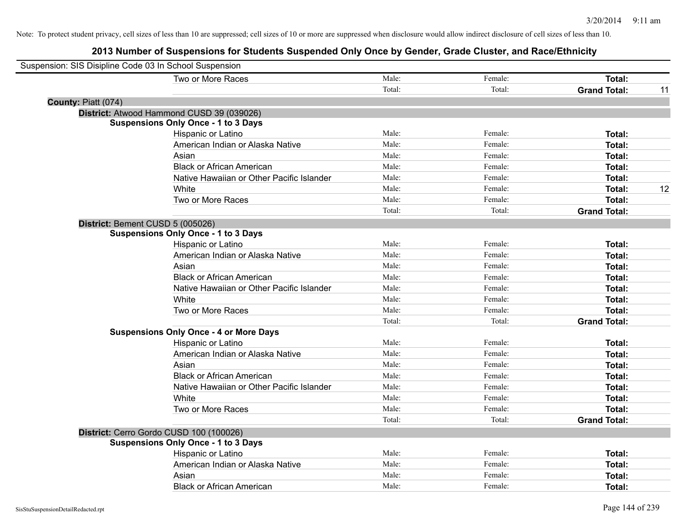| Suspension: SIS Disipline Code 03 In School Suspension |        |         |                     |    |
|--------------------------------------------------------|--------|---------|---------------------|----|
| Two or More Races                                      | Male:  | Female: | Total:              |    |
|                                                        | Total: | Total:  | <b>Grand Total:</b> | 11 |
| County: Piatt (074)                                    |        |         |                     |    |
| District: Atwood Hammond CUSD 39 (039026)              |        |         |                     |    |
| <b>Suspensions Only Once - 1 to 3 Days</b>             |        |         |                     |    |
| Hispanic or Latino                                     | Male:  | Female: | Total:              |    |
| American Indian or Alaska Native                       | Male:  | Female: | Total:              |    |
| Asian                                                  | Male:  | Female: | Total:              |    |
| <b>Black or African American</b>                       | Male:  | Female: | Total:              |    |
| Native Hawaiian or Other Pacific Islander              | Male:  | Female: | Total:              |    |
| White                                                  | Male:  | Female: | Total:              | 12 |
| Two or More Races                                      | Male:  | Female: | Total:              |    |
|                                                        | Total: | Total:  | <b>Grand Total:</b> |    |
| District: Bement CUSD 5 (005026)                       |        |         |                     |    |
| <b>Suspensions Only Once - 1 to 3 Days</b>             |        |         |                     |    |
| Hispanic or Latino                                     | Male:  | Female: | Total:              |    |
| American Indian or Alaska Native                       | Male:  | Female: | Total:              |    |
| Asian                                                  | Male:  | Female: | Total:              |    |
| <b>Black or African American</b>                       | Male:  | Female: | Total:              |    |
| Native Hawaiian or Other Pacific Islander              | Male:  | Female: | Total:              |    |
| White                                                  | Male:  | Female: | Total:              |    |
| Two or More Races                                      | Male:  | Female: | Total:              |    |
|                                                        | Total: | Total:  | <b>Grand Total:</b> |    |
| <b>Suspensions Only Once - 4 or More Days</b>          |        |         |                     |    |
| Hispanic or Latino                                     | Male:  | Female: | Total:              |    |
| American Indian or Alaska Native                       | Male:  | Female: | Total:              |    |
| Asian                                                  | Male:  | Female: | Total:              |    |
| <b>Black or African American</b>                       | Male:  | Female: | Total:              |    |
| Native Hawaiian or Other Pacific Islander              | Male:  | Female: | Total:              |    |
| White                                                  | Male:  | Female: | Total:              |    |
| Two or More Races                                      | Male:  | Female: | Total:              |    |
|                                                        | Total: | Total:  | <b>Grand Total:</b> |    |
| District: Cerro Gordo CUSD 100 (100026)                |        |         |                     |    |
| <b>Suspensions Only Once - 1 to 3 Days</b>             |        |         |                     |    |
| Hispanic or Latino                                     | Male:  | Female: | Total:              |    |
| American Indian or Alaska Native                       | Male:  | Female: | Total:              |    |
| Asian                                                  | Male:  | Female: | Total:              |    |
| <b>Black or African American</b>                       | Male:  | Female: | Total:              |    |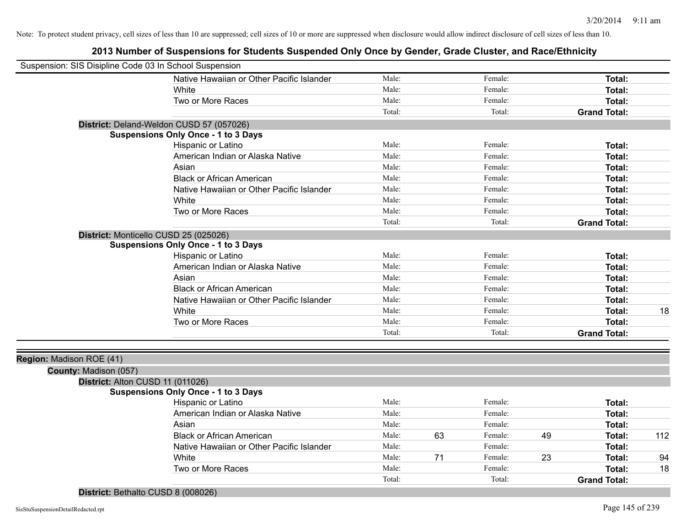| Suspension: SIS Disipline Code 03 In School Suspension |                                            |        |    |         |    |                     |     |
|--------------------------------------------------------|--------------------------------------------|--------|----|---------|----|---------------------|-----|
|                                                        | Native Hawaiian or Other Pacific Islander  | Male:  |    | Female: |    | <b>Total:</b>       |     |
|                                                        | White                                      | Male:  |    | Female: |    | Total:              |     |
|                                                        | Two or More Races                          | Male:  |    | Female: |    | <b>Total:</b>       |     |
|                                                        |                                            | Total: |    | Total:  |    | <b>Grand Total:</b> |     |
| District: Deland-Weldon CUSD 57 (057026)               |                                            |        |    |         |    |                     |     |
|                                                        | <b>Suspensions Only Once - 1 to 3 Days</b> |        |    |         |    |                     |     |
|                                                        | Hispanic or Latino                         | Male:  |    | Female: |    | <b>Total:</b>       |     |
|                                                        | American Indian or Alaska Native           | Male:  |    | Female: |    | Total:              |     |
|                                                        | Asian                                      | Male:  |    | Female: |    | <b>Total:</b>       |     |
|                                                        | <b>Black or African American</b>           | Male:  |    | Female: |    | <b>Total:</b>       |     |
|                                                        | Native Hawaiian or Other Pacific Islander  | Male:  |    | Female: |    | Total:              |     |
|                                                        | White                                      | Male:  |    | Female: |    | Total:              |     |
|                                                        | Two or More Races                          | Male:  |    | Female: |    | <b>Total:</b>       |     |
|                                                        |                                            | Total: |    | Total:  |    | <b>Grand Total:</b> |     |
| District: Monticello CUSD 25 (025026)                  |                                            |        |    |         |    |                     |     |
|                                                        | <b>Suspensions Only Once - 1 to 3 Days</b> |        |    |         |    |                     |     |
|                                                        | Hispanic or Latino                         | Male:  |    | Female: |    | Total:              |     |
|                                                        | American Indian or Alaska Native           | Male:  |    | Female: |    | <b>Total:</b>       |     |
|                                                        | Asian                                      | Male:  |    | Female: |    | <b>Total:</b>       |     |
|                                                        | <b>Black or African American</b>           | Male:  |    | Female: |    | <b>Total:</b>       |     |
|                                                        | Native Hawaiian or Other Pacific Islander  | Male:  |    | Female: |    | <b>Total:</b>       |     |
|                                                        | White                                      | Male:  |    | Female: |    | <b>Total:</b>       | 18  |
|                                                        | Two or More Races                          | Male:  |    | Female: |    | <b>Total:</b>       |     |
|                                                        |                                            | Total: |    | Total:  |    | <b>Grand Total:</b> |     |
|                                                        |                                            |        |    |         |    |                     |     |
| Region: Madison ROE (41)                               |                                            |        |    |         |    |                     |     |
| County: Madison (057)                                  |                                            |        |    |         |    |                     |     |
| District: Alton CUSD 11 (011026)                       |                                            |        |    |         |    |                     |     |
|                                                        | <b>Suspensions Only Once - 1 to 3 Days</b> |        |    |         |    |                     |     |
|                                                        | Hispanic or Latino                         | Male:  |    | Female: |    | <b>Total:</b>       |     |
|                                                        | American Indian or Alaska Native           | Male:  |    | Female: |    | Total:              |     |
|                                                        | Asian                                      | Male:  |    | Female: |    | <b>Total:</b>       |     |
|                                                        | <b>Black or African American</b>           | Male:  | 63 | Female: | 49 | <b>Total:</b>       | 112 |
|                                                        | Native Hawaiian or Other Pacific Islander  | Male:  |    | Female: |    | <b>Total:</b>       |     |
|                                                        | White                                      | Male:  | 71 | Female: | 23 | <b>Total:</b>       | 94  |
|                                                        | Two or More Races                          | Male:  |    | Female: |    | <b>Total:</b>       | 18  |
|                                                        |                                            | Total: |    | Total:  |    | <b>Grand Total:</b> |     |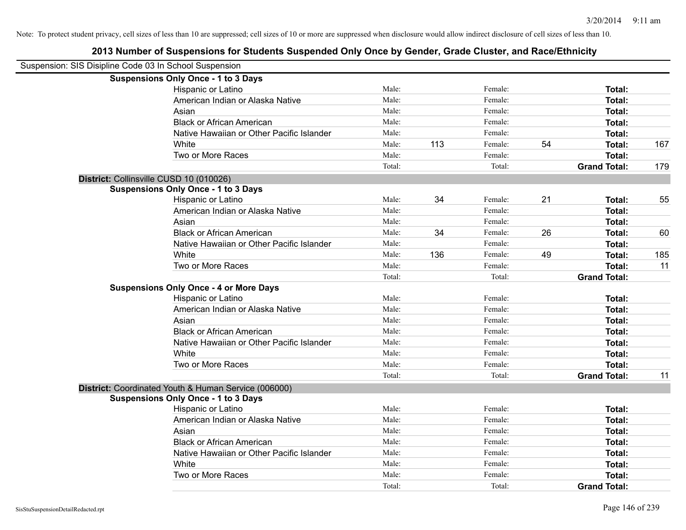| Suspension: SIS Disipline Code 03 In School Suspension |                                                      |        |     |         |    |                     |     |
|--------------------------------------------------------|------------------------------------------------------|--------|-----|---------|----|---------------------|-----|
|                                                        | <b>Suspensions Only Once - 1 to 3 Days</b>           |        |     |         |    |                     |     |
|                                                        | Hispanic or Latino                                   | Male:  |     | Female: |    | Total:              |     |
|                                                        | American Indian or Alaska Native                     | Male:  |     | Female: |    | Total:              |     |
|                                                        | Asian                                                | Male:  |     | Female: |    | Total:              |     |
|                                                        | <b>Black or African American</b>                     | Male:  |     | Female: |    | Total:              |     |
|                                                        | Native Hawaiian or Other Pacific Islander            | Male:  |     | Female: |    | Total:              |     |
|                                                        | White                                                | Male:  | 113 | Female: | 54 | Total:              | 167 |
|                                                        | Two or More Races                                    | Male:  |     | Female: |    | Total:              |     |
|                                                        |                                                      | Total: |     | Total:  |    | <b>Grand Total:</b> | 179 |
| District: Collinsville CUSD 10 (010026)                |                                                      |        |     |         |    |                     |     |
|                                                        | <b>Suspensions Only Once - 1 to 3 Days</b>           |        |     |         |    |                     |     |
|                                                        | Hispanic or Latino                                   | Male:  | 34  | Female: | 21 | Total:              | 55  |
|                                                        | American Indian or Alaska Native                     | Male:  |     | Female: |    | Total:              |     |
|                                                        | Asian                                                | Male:  |     | Female: |    | Total:              |     |
|                                                        | <b>Black or African American</b>                     | Male:  | 34  | Female: | 26 | Total:              | 60  |
|                                                        | Native Hawaiian or Other Pacific Islander            | Male:  |     | Female: |    | Total:              |     |
|                                                        | White                                                | Male:  | 136 | Female: | 49 | Total:              | 185 |
|                                                        | Two or More Races                                    | Male:  |     | Female: |    | Total:              | 11  |
|                                                        |                                                      | Total: |     | Total:  |    | <b>Grand Total:</b> |     |
|                                                        | <b>Suspensions Only Once - 4 or More Days</b>        |        |     |         |    |                     |     |
|                                                        | Hispanic or Latino                                   | Male:  |     | Female: |    | Total:              |     |
|                                                        | American Indian or Alaska Native                     | Male:  |     | Female: |    | Total:              |     |
|                                                        | Asian                                                | Male:  |     | Female: |    | Total:              |     |
|                                                        | <b>Black or African American</b>                     | Male:  |     | Female: |    | Total:              |     |
|                                                        | Native Hawaiian or Other Pacific Islander            | Male:  |     | Female: |    | Total:              |     |
|                                                        | White                                                | Male:  |     | Female: |    | Total:              |     |
|                                                        | Two or More Races                                    | Male:  |     | Female: |    | Total:              |     |
|                                                        |                                                      | Total: |     | Total:  |    | <b>Grand Total:</b> | 11  |
|                                                        | District: Coordinated Youth & Human Service (006000) |        |     |         |    |                     |     |
|                                                        | <b>Suspensions Only Once - 1 to 3 Days</b>           |        |     |         |    |                     |     |
|                                                        | Hispanic or Latino                                   | Male:  |     | Female: |    | Total:              |     |
|                                                        | American Indian or Alaska Native                     | Male:  |     | Female: |    | Total:              |     |
|                                                        | Asian                                                | Male:  |     | Female: |    | Total:              |     |
|                                                        | <b>Black or African American</b>                     | Male:  |     | Female: |    | Total:              |     |
|                                                        | Native Hawaiian or Other Pacific Islander            | Male:  |     | Female: |    | Total:              |     |
|                                                        | White                                                | Male:  |     | Female: |    | Total:              |     |
|                                                        | Two or More Races                                    | Male:  |     | Female: |    | Total:              |     |
|                                                        |                                                      | Total: |     | Total:  |    | <b>Grand Total:</b> |     |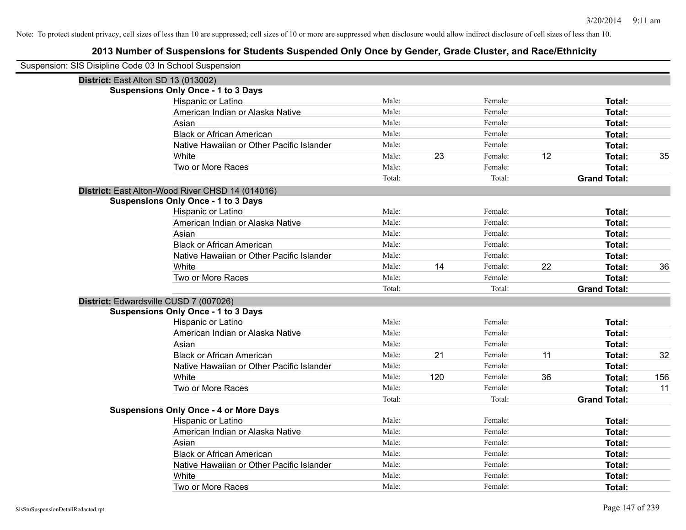| Suspension: SIS Disipline Code 03 In School Suspension |                                                  |        |     |         |    |                     |     |
|--------------------------------------------------------|--------------------------------------------------|--------|-----|---------|----|---------------------|-----|
|                                                        | District: East Alton SD 13 (013002)              |        |     |         |    |                     |     |
|                                                        | <b>Suspensions Only Once - 1 to 3 Days</b>       |        |     |         |    |                     |     |
|                                                        | Hispanic or Latino                               | Male:  |     | Female: |    | Total:              |     |
|                                                        | American Indian or Alaska Native                 | Male:  |     | Female: |    | Total:              |     |
|                                                        | Asian                                            | Male:  |     | Female: |    | Total:              |     |
|                                                        | <b>Black or African American</b>                 | Male:  |     | Female: |    | Total:              |     |
|                                                        | Native Hawaiian or Other Pacific Islander        | Male:  |     | Female: |    | Total:              |     |
|                                                        | White                                            | Male:  | 23  | Female: | 12 | <b>Total:</b>       | 35  |
|                                                        | Two or More Races                                | Male:  |     | Female: |    | <b>Total:</b>       |     |
|                                                        |                                                  | Total: |     | Total:  |    | <b>Grand Total:</b> |     |
|                                                        | District: East Alton-Wood River CHSD 14 (014016) |        |     |         |    |                     |     |
|                                                        | <b>Suspensions Only Once - 1 to 3 Days</b>       |        |     |         |    |                     |     |
|                                                        | Hispanic or Latino                               | Male:  |     | Female: |    | Total:              |     |
|                                                        | American Indian or Alaska Native                 | Male:  |     | Female: |    | Total:              |     |
|                                                        | Asian                                            | Male:  |     | Female: |    | Total:              |     |
|                                                        | <b>Black or African American</b>                 | Male:  |     | Female: |    | Total:              |     |
|                                                        | Native Hawaiian or Other Pacific Islander        | Male:  |     | Female: |    | Total:              |     |
|                                                        | White                                            | Male:  | 14  | Female: | 22 | Total:              | 36  |
|                                                        | Two or More Races                                | Male:  |     | Female: |    | <b>Total:</b>       |     |
|                                                        |                                                  | Total: |     | Total:  |    | <b>Grand Total:</b> |     |
|                                                        | District: Edwardsville CUSD 7 (007026)           |        |     |         |    |                     |     |
|                                                        | <b>Suspensions Only Once - 1 to 3 Days</b>       |        |     |         |    |                     |     |
|                                                        | Hispanic or Latino                               | Male:  |     | Female: |    | Total:              |     |
|                                                        | American Indian or Alaska Native                 | Male:  |     | Female: |    | Total:              |     |
|                                                        | Asian                                            | Male:  |     | Female: |    | Total:              |     |
|                                                        | <b>Black or African American</b>                 | Male:  | 21  | Female: | 11 | Total:              | 32  |
|                                                        | Native Hawaiian or Other Pacific Islander        | Male:  |     | Female: |    | Total:              |     |
|                                                        | White                                            | Male:  | 120 | Female: | 36 | <b>Total:</b>       | 156 |
|                                                        | Two or More Races                                | Male:  |     | Female: |    | Total:              | 11  |
|                                                        |                                                  | Total: |     | Total:  |    | <b>Grand Total:</b> |     |
|                                                        | <b>Suspensions Only Once - 4 or More Days</b>    |        |     |         |    |                     |     |
|                                                        | Hispanic or Latino                               | Male:  |     | Female: |    | Total:              |     |
|                                                        | American Indian or Alaska Native                 | Male:  |     | Female: |    | Total:              |     |
|                                                        | Asian                                            | Male:  |     | Female: |    | Total:              |     |
|                                                        | <b>Black or African American</b>                 | Male:  |     | Female: |    | Total:              |     |
|                                                        | Native Hawaiian or Other Pacific Islander        | Male:  |     | Female: |    | Total:              |     |
|                                                        | White                                            | Male:  |     | Female: |    | <b>Total:</b>       |     |
|                                                        | Two or More Races                                | Male:  |     | Female: |    | Total:              |     |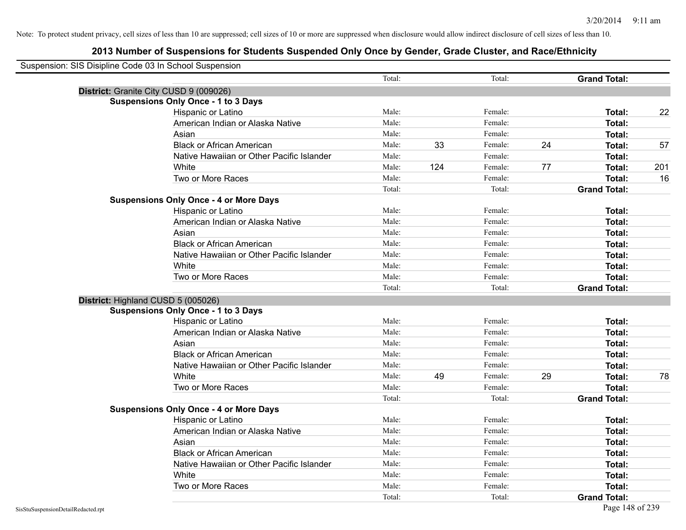| Suspension: SIS Disipline Code 03 In School Suspension |                                               |        |     |         |    |                     |     |
|--------------------------------------------------------|-----------------------------------------------|--------|-----|---------|----|---------------------|-----|
|                                                        |                                               | Total: |     | Total:  |    | <b>Grand Total:</b> |     |
| District: Granite City CUSD 9 (009026)                 |                                               |        |     |         |    |                     |     |
|                                                        | <b>Suspensions Only Once - 1 to 3 Days</b>    |        |     |         |    |                     |     |
|                                                        | Hispanic or Latino                            | Male:  |     | Female: |    | Total:              | 22  |
|                                                        | American Indian or Alaska Native              | Male:  |     | Female: |    | Total:              |     |
|                                                        | Asian                                         | Male:  |     | Female: |    | Total:              |     |
|                                                        | <b>Black or African American</b>              | Male:  | 33  | Female: | 24 | Total:              | 57  |
|                                                        | Native Hawaiian or Other Pacific Islander     | Male:  |     | Female: |    | Total:              |     |
|                                                        | White                                         | Male:  | 124 | Female: | 77 | <b>Total:</b>       | 201 |
|                                                        | Two or More Races                             | Male:  |     | Female: |    | <b>Total:</b>       | 16  |
|                                                        |                                               | Total: |     | Total:  |    | <b>Grand Total:</b> |     |
|                                                        | <b>Suspensions Only Once - 4 or More Days</b> |        |     |         |    |                     |     |
|                                                        | Hispanic or Latino                            | Male:  |     | Female: |    | Total:              |     |
|                                                        | American Indian or Alaska Native              | Male:  |     | Female: |    | Total:              |     |
|                                                        | Asian                                         | Male:  |     | Female: |    | <b>Total:</b>       |     |
|                                                        | <b>Black or African American</b>              | Male:  |     | Female: |    | <b>Total:</b>       |     |
|                                                        | Native Hawaiian or Other Pacific Islander     | Male:  |     | Female: |    | <b>Total:</b>       |     |
|                                                        | White                                         | Male:  |     | Female: |    | Total:              |     |
|                                                        | Two or More Races                             | Male:  |     | Female: |    | Total:              |     |
|                                                        |                                               | Total: |     | Total:  |    | <b>Grand Total:</b> |     |
| District: Highland CUSD 5 (005026)                     |                                               |        |     |         |    |                     |     |
|                                                        | <b>Suspensions Only Once - 1 to 3 Days</b>    |        |     |         |    |                     |     |
|                                                        | Hispanic or Latino                            | Male:  |     | Female: |    | Total:              |     |
|                                                        | American Indian or Alaska Native              | Male:  |     | Female: |    | <b>Total:</b>       |     |
|                                                        | Asian                                         | Male:  |     | Female: |    | Total:              |     |
|                                                        | <b>Black or African American</b>              | Male:  |     | Female: |    | Total:              |     |
|                                                        | Native Hawaiian or Other Pacific Islander     | Male:  |     | Female: |    | Total:              |     |
|                                                        | White                                         | Male:  | 49  | Female: | 29 | <b>Total:</b>       | 78  |
|                                                        | Two or More Races                             | Male:  |     | Female: |    | <b>Total:</b>       |     |
|                                                        |                                               | Total: |     | Total:  |    | <b>Grand Total:</b> |     |
|                                                        | <b>Suspensions Only Once - 4 or More Days</b> |        |     |         |    |                     |     |
|                                                        | Hispanic or Latino                            | Male:  |     | Female: |    | Total:              |     |
|                                                        | American Indian or Alaska Native              | Male:  |     | Female: |    | Total:              |     |
|                                                        | Asian                                         | Male:  |     | Female: |    | Total:              |     |
|                                                        | <b>Black or African American</b>              | Male:  |     | Female: |    | <b>Total:</b>       |     |
|                                                        | Native Hawaiian or Other Pacific Islander     | Male:  |     | Female: |    | <b>Total:</b>       |     |
|                                                        | White                                         | Male:  |     | Female: |    | <b>Total:</b>       |     |
|                                                        | Two or More Races                             | Male:  |     | Female: |    | <b>Total:</b>       |     |
|                                                        |                                               | Total: |     | Total:  |    | <b>Grand Total:</b> |     |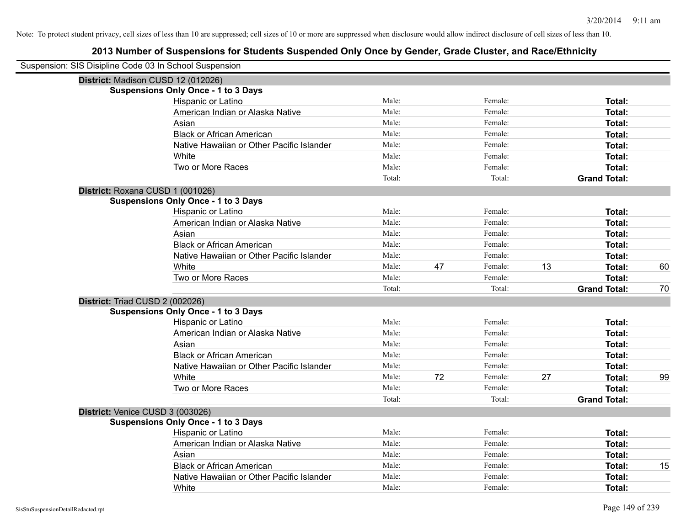| Suspension: SIS Disipline Code 03 In School Suspension |        |    |         |    |                     |    |
|--------------------------------------------------------|--------|----|---------|----|---------------------|----|
| District: Madison CUSD 12 (012026)                     |        |    |         |    |                     |    |
| <b>Suspensions Only Once - 1 to 3 Days</b>             |        |    |         |    |                     |    |
| Hispanic or Latino                                     | Male:  |    | Female: |    | Total:              |    |
| American Indian or Alaska Native                       | Male:  |    | Female: |    | Total:              |    |
| Asian                                                  | Male:  |    | Female: |    | Total:              |    |
| <b>Black or African American</b>                       | Male:  |    | Female: |    | Total:              |    |
| Native Hawaiian or Other Pacific Islander              | Male:  |    | Female: |    | Total:              |    |
| White                                                  | Male:  |    | Female: |    | Total:              |    |
| Two or More Races                                      | Male:  |    | Female: |    | <b>Total:</b>       |    |
|                                                        | Total: |    | Total:  |    | <b>Grand Total:</b> |    |
| District: Roxana CUSD 1 (001026)                       |        |    |         |    |                     |    |
| <b>Suspensions Only Once - 1 to 3 Days</b>             |        |    |         |    |                     |    |
| Hispanic or Latino                                     | Male:  |    | Female: |    | Total:              |    |
| American Indian or Alaska Native                       | Male:  |    | Female: |    | Total:              |    |
| Asian                                                  | Male:  |    | Female: |    | Total:              |    |
| <b>Black or African American</b>                       | Male:  |    | Female: |    | Total:              |    |
| Native Hawaiian or Other Pacific Islander              | Male:  |    | Female: |    | Total:              |    |
| White                                                  | Male:  | 47 | Female: | 13 | Total:              | 60 |
| Two or More Races                                      | Male:  |    | Female: |    | Total:              |    |
|                                                        | Total: |    | Total:  |    | <b>Grand Total:</b> | 70 |
| District: Triad CUSD 2 (002026)                        |        |    |         |    |                     |    |
| <b>Suspensions Only Once - 1 to 3 Days</b>             |        |    |         |    |                     |    |
| Hispanic or Latino                                     | Male:  |    | Female: |    | Total:              |    |
| American Indian or Alaska Native                       | Male:  |    | Female: |    | Total:              |    |
| Asian                                                  | Male:  |    | Female: |    | Total:              |    |
| <b>Black or African American</b>                       | Male:  |    | Female: |    | Total:              |    |
| Native Hawaiian or Other Pacific Islander              | Male:  |    | Female: |    | Total:              |    |
| White                                                  | Male:  | 72 | Female: | 27 | Total:              | 99 |
| Two or More Races                                      | Male:  |    | Female: |    | <b>Total:</b>       |    |
|                                                        | Total: |    | Total:  |    | <b>Grand Total:</b> |    |
| District: Venice CUSD 3 (003026)                       |        |    |         |    |                     |    |
| <b>Suspensions Only Once - 1 to 3 Days</b>             |        |    |         |    |                     |    |
| Hispanic or Latino                                     | Male:  |    | Female: |    | Total:              |    |
| American Indian or Alaska Native                       | Male:  |    | Female: |    | Total:              |    |
| Asian                                                  | Male:  |    | Female: |    | Total:              |    |
| <b>Black or African American</b>                       | Male:  |    | Female: |    | Total:              | 15 |
| Native Hawaiian or Other Pacific Islander              | Male:  |    | Female: |    | Total:              |    |
| White                                                  | Male:  |    | Female: |    | Total:              |    |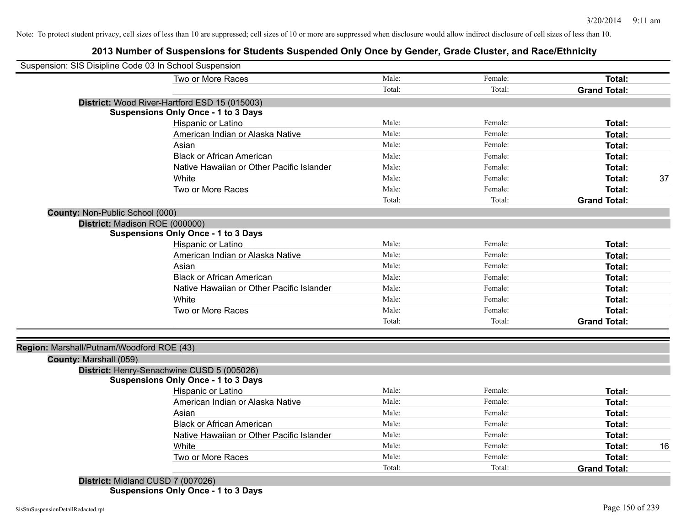## **2013 Number of Suspensions for Students Suspended Only Once by Gender, Grade Cluster, and Race/Ethnicity**

| Suspension: SIS Disipline Code 03 In School Suspension |                                               |        |         |                     |    |
|--------------------------------------------------------|-----------------------------------------------|--------|---------|---------------------|----|
|                                                        | Two or More Races                             | Male:  | Female: | Total:              |    |
|                                                        |                                               | Total: | Total:  | <b>Grand Total:</b> |    |
|                                                        | District: Wood River-Hartford ESD 15 (015003) |        |         |                     |    |
|                                                        | <b>Suspensions Only Once - 1 to 3 Days</b>    |        |         |                     |    |
|                                                        | Hispanic or Latino                            | Male:  | Female: | <b>Total:</b>       |    |
|                                                        | American Indian or Alaska Native              | Male:  | Female: | <b>Total:</b>       |    |
|                                                        | Asian                                         | Male:  | Female: | <b>Total:</b>       |    |
|                                                        | <b>Black or African American</b>              | Male:  | Female: | <b>Total:</b>       |    |
|                                                        | Native Hawaiian or Other Pacific Islander     | Male:  | Female: | <b>Total:</b>       |    |
|                                                        | White                                         | Male:  | Female: | <b>Total:</b>       | 37 |
|                                                        | Two or More Races                             | Male:  | Female: | Total:              |    |
|                                                        |                                               | Total: | Total:  | <b>Grand Total:</b> |    |
| County: Non-Public School (000)                        |                                               |        |         |                     |    |
| District: Madison ROE (000000)                         |                                               |        |         |                     |    |
|                                                        | <b>Suspensions Only Once - 1 to 3 Days</b>    |        |         |                     |    |
|                                                        | Hispanic or Latino                            | Male:  | Female: | Total:              |    |
|                                                        | American Indian or Alaska Native              | Male:  | Female: | Total:              |    |
|                                                        | Asian                                         | Male:  | Female: | <b>Total:</b>       |    |
|                                                        | <b>Black or African American</b>              | Male:  | Female: | <b>Total:</b>       |    |
|                                                        | Native Hawaiian or Other Pacific Islander     | Male:  | Female: | <b>Total:</b>       |    |
|                                                        | White                                         | Male:  | Female: | <b>Total:</b>       |    |
|                                                        | Two or More Races                             | Male:  | Female: | Total:              |    |
|                                                        |                                               | Total: | Total:  | <b>Grand Total:</b> |    |
|                                                        |                                               |        |         |                     |    |
| Region: Marshall/Putnam/Woodford ROE (43)              |                                               |        |         |                     |    |
| County: Marshall (059)                                 |                                               |        |         |                     |    |
|                                                        | District: Henry-Senachwine CUSD 5 (005026)    |        |         |                     |    |
|                                                        | <b>Suspensions Only Once - 1 to 3 Days</b>    |        |         |                     |    |
|                                                        | Hispanic or Latino                            | Male:  | Female: | Total:              |    |
|                                                        | American Indian or Alaska Native              | Male:  | Female: | Total:              |    |
|                                                        | Asian                                         | Male:  | Female: | Total:              |    |
|                                                        | <b>Black or African American</b>              | Male:  | Female: | <b>Total:</b>       |    |
|                                                        | Native Hawaiian or Other Pacific Islander     | Male:  | Female: | Total:              |    |
|                                                        | White                                         | Male:  | Female: | Total:              | 16 |
|                                                        | Two or More Races                             | Male:  | Female: | <b>Total:</b>       |    |
|                                                        |                                               | Total: | Total:  | <b>Grand Total:</b> |    |
|                                                        | District: Midland CUSD 7 (007026)             |        |         |                     |    |

**Suspensions Only Once - 1 to 3 Days**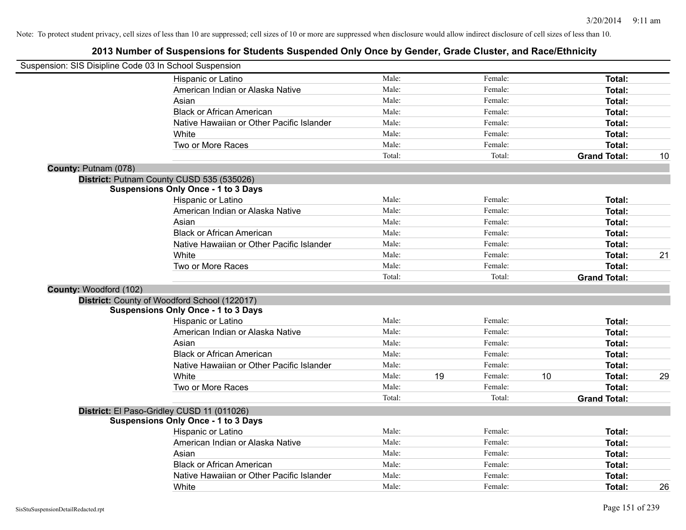| Suspension: SIS Disipline Code 03 In School Suspension |                                              |        |    |         |    |                     |    |
|--------------------------------------------------------|----------------------------------------------|--------|----|---------|----|---------------------|----|
|                                                        | Hispanic or Latino                           | Male:  |    | Female: |    | Total:              |    |
|                                                        | American Indian or Alaska Native             | Male:  |    | Female: |    | Total:              |    |
|                                                        | Asian                                        | Male:  |    | Female: |    | Total:              |    |
|                                                        | <b>Black or African American</b>             | Male:  |    | Female: |    | Total:              |    |
|                                                        | Native Hawaiian or Other Pacific Islander    | Male:  |    | Female: |    | Total:              |    |
|                                                        | White                                        | Male:  |    | Female: |    | Total:              |    |
|                                                        | Two or More Races                            | Male:  |    | Female: |    | Total:              |    |
|                                                        |                                              | Total: |    | Total:  |    | <b>Grand Total:</b> | 10 |
| County: Putnam (078)                                   |                                              |        |    |         |    |                     |    |
|                                                        | District: Putnam County CUSD 535 (535026)    |        |    |         |    |                     |    |
|                                                        | <b>Suspensions Only Once - 1 to 3 Days</b>   |        |    |         |    |                     |    |
|                                                        | Hispanic or Latino                           | Male:  |    | Female: |    | Total:              |    |
|                                                        | American Indian or Alaska Native             | Male:  |    | Female: |    | Total:              |    |
|                                                        | Asian                                        | Male:  |    | Female: |    | Total:              |    |
|                                                        | <b>Black or African American</b>             | Male:  |    | Female: |    | Total:              |    |
|                                                        | Native Hawaiian or Other Pacific Islander    | Male:  |    | Female: |    | Total:              |    |
|                                                        | White                                        | Male:  |    | Female: |    | Total:              | 21 |
|                                                        | Two or More Races                            | Male:  |    | Female: |    | Total:              |    |
|                                                        |                                              | Total: |    | Total:  |    | <b>Grand Total:</b> |    |
| County: Woodford (102)                                 |                                              |        |    |         |    |                     |    |
|                                                        | District: County of Woodford School (122017) |        |    |         |    |                     |    |
|                                                        | <b>Suspensions Only Once - 1 to 3 Days</b>   |        |    |         |    |                     |    |
|                                                        | Hispanic or Latino                           | Male:  |    | Female: |    | Total:              |    |
|                                                        | American Indian or Alaska Native             | Male:  |    | Female: |    | Total:              |    |
|                                                        | Asian                                        | Male:  |    | Female: |    | Total:              |    |
|                                                        | <b>Black or African American</b>             | Male:  |    | Female: |    | Total:              |    |
|                                                        | Native Hawaiian or Other Pacific Islander    | Male:  |    | Female: |    | Total:              |    |
|                                                        | White                                        | Male:  | 19 | Female: | 10 | Total:              | 29 |
|                                                        | Two or More Races                            | Male:  |    | Female: |    | Total:              |    |
|                                                        |                                              | Total: |    | Total:  |    | <b>Grand Total:</b> |    |
|                                                        | District: El Paso-Gridley CUSD 11 (011026)   |        |    |         |    |                     |    |
|                                                        | <b>Suspensions Only Once - 1 to 3 Days</b>   |        |    |         |    |                     |    |
|                                                        | Hispanic or Latino                           | Male:  |    | Female: |    | Total:              |    |
|                                                        | American Indian or Alaska Native             | Male:  |    | Female: |    | Total:              |    |
|                                                        | Asian                                        | Male:  |    | Female: |    | Total:              |    |
|                                                        | <b>Black or African American</b>             | Male:  |    | Female: |    | Total:              |    |
|                                                        | Native Hawaiian or Other Pacific Islander    | Male:  |    | Female: |    | Total:              |    |
|                                                        | White                                        | Male:  |    | Female: |    | Total:              | 26 |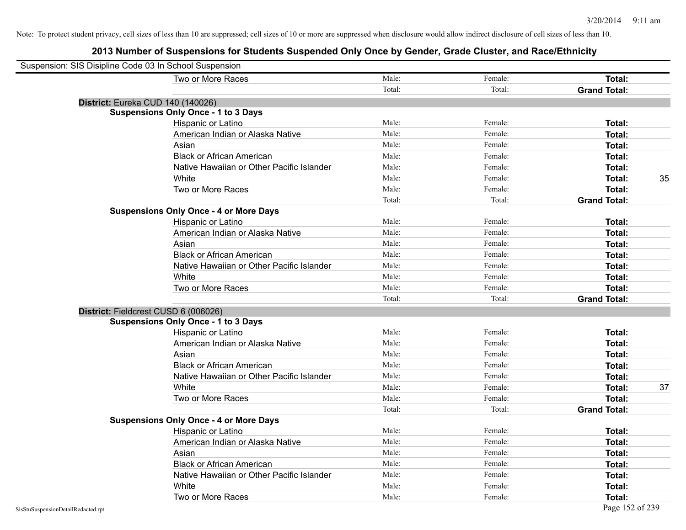| Suspension: SIS Disipline Code 03 In School Suspension |                                               |        |         |                     |
|--------------------------------------------------------|-----------------------------------------------|--------|---------|---------------------|
|                                                        | Two or More Races                             | Male:  | Female: | Total:              |
|                                                        |                                               | Total: | Total:  | <b>Grand Total:</b> |
| District: Eureka CUD 140 (140026)                      |                                               |        |         |                     |
|                                                        | <b>Suspensions Only Once - 1 to 3 Days</b>    |        |         |                     |
|                                                        | Hispanic or Latino                            | Male:  | Female: | Total:              |
|                                                        | American Indian or Alaska Native              | Male:  | Female: | Total:              |
|                                                        | Asian                                         | Male:  | Female: | Total:              |
|                                                        | <b>Black or African American</b>              | Male:  | Female: | Total:              |
|                                                        | Native Hawaiian or Other Pacific Islander     | Male:  | Female: | Total:              |
|                                                        | White                                         | Male:  | Female: | Total:<br>35        |
|                                                        | Two or More Races                             | Male:  | Female: | Total:              |
|                                                        |                                               | Total: | Total:  | <b>Grand Total:</b> |
|                                                        | <b>Suspensions Only Once - 4 or More Days</b> |        |         |                     |
|                                                        | Hispanic or Latino                            | Male:  | Female: | Total:              |
|                                                        | American Indian or Alaska Native              | Male:  | Female: | Total:              |
|                                                        | Asian                                         | Male:  | Female: | Total:              |
|                                                        | <b>Black or African American</b>              | Male:  | Female: | Total:              |
|                                                        | Native Hawaiian or Other Pacific Islander     | Male:  | Female: | Total:              |
|                                                        | White                                         | Male:  | Female: | Total:              |
|                                                        | Two or More Races                             | Male:  | Female: | Total:              |
|                                                        |                                               | Total: | Total:  | <b>Grand Total:</b> |
|                                                        | District: Fieldcrest CUSD 6 (006026)          |        |         |                     |
|                                                        | <b>Suspensions Only Once - 1 to 3 Days</b>    |        |         |                     |
|                                                        | Hispanic or Latino                            | Male:  | Female: | Total:              |
|                                                        | American Indian or Alaska Native              | Male:  | Female: | Total:              |
|                                                        | Asian                                         | Male:  | Female: | Total:              |
|                                                        | <b>Black or African American</b>              | Male:  | Female: | Total:              |
|                                                        | Native Hawaiian or Other Pacific Islander     | Male:  | Female: | Total:              |
|                                                        | White                                         | Male:  | Female: | Total:<br>37        |
|                                                        | Two or More Races                             | Male:  | Female: | Total:              |
|                                                        |                                               | Total: | Total:  | <b>Grand Total:</b> |
|                                                        | <b>Suspensions Only Once - 4 or More Days</b> |        |         |                     |
|                                                        | Hispanic or Latino                            | Male:  | Female: | Total:              |
|                                                        | American Indian or Alaska Native              | Male:  | Female: | Total:              |
|                                                        | Asian                                         | Male:  | Female: | Total:              |
|                                                        | <b>Black or African American</b>              | Male:  | Female: | Total:              |
|                                                        | Native Hawaiian or Other Pacific Islander     | Male:  | Female: | Total:              |
|                                                        | White                                         | Male:  | Female: | Total:              |
|                                                        | Two or More Races                             | Male:  | Female: | Total:              |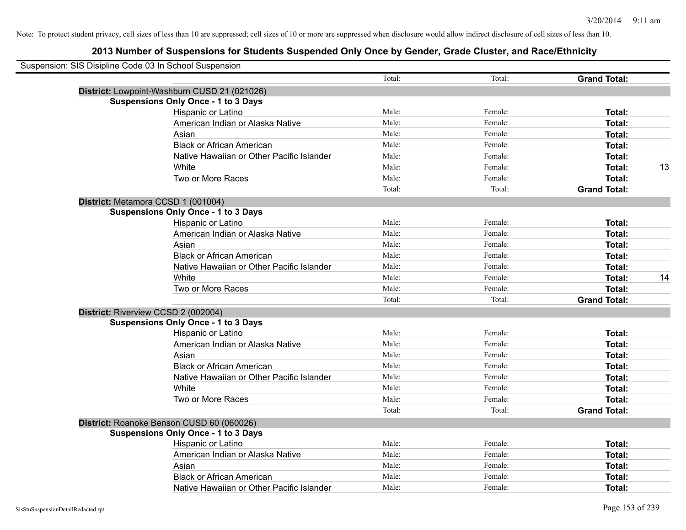| Suspension: SIS Disipline Code 03 In School Suspension |                                              |        |         |                     |    |
|--------------------------------------------------------|----------------------------------------------|--------|---------|---------------------|----|
|                                                        |                                              | Total: | Total:  | <b>Grand Total:</b> |    |
|                                                        | District: Lowpoint-Washburn CUSD 21 (021026) |        |         |                     |    |
|                                                        | <b>Suspensions Only Once - 1 to 3 Days</b>   |        |         |                     |    |
|                                                        | Hispanic or Latino                           | Male:  | Female: | Total:              |    |
|                                                        | American Indian or Alaska Native             | Male:  | Female: | Total:              |    |
|                                                        | Asian                                        | Male:  | Female: | Total:              |    |
|                                                        | <b>Black or African American</b>             | Male:  | Female: | Total:              |    |
|                                                        | Native Hawaiian or Other Pacific Islander    | Male:  | Female: | Total:              |    |
|                                                        | White                                        | Male:  | Female: | Total:              | 13 |
|                                                        | Two or More Races                            | Male:  | Female: | Total:              |    |
|                                                        |                                              | Total: | Total:  | <b>Grand Total:</b> |    |
|                                                        | District: Metamora CCSD 1 (001004)           |        |         |                     |    |
|                                                        | <b>Suspensions Only Once - 1 to 3 Days</b>   |        |         |                     |    |
|                                                        | Hispanic or Latino                           | Male:  | Female: | Total:              |    |
|                                                        | American Indian or Alaska Native             | Male:  | Female: | Total:              |    |
|                                                        | Asian                                        | Male:  | Female: | Total:              |    |
|                                                        | <b>Black or African American</b>             | Male:  | Female: | Total:              |    |
|                                                        | Native Hawaiian or Other Pacific Islander    | Male:  | Female: | Total:              |    |
|                                                        | White                                        | Male:  | Female: | Total:              | 14 |
|                                                        | Two or More Races                            | Male:  | Female: | Total:              |    |
|                                                        |                                              | Total: | Total:  | <b>Grand Total:</b> |    |
|                                                        | District: Riverview CCSD 2 (002004)          |        |         |                     |    |
|                                                        | <b>Suspensions Only Once - 1 to 3 Days</b>   |        |         |                     |    |
|                                                        | Hispanic or Latino                           | Male:  | Female: | Total:              |    |
|                                                        | American Indian or Alaska Native             | Male:  | Female: | Total:              |    |
|                                                        | Asian                                        | Male:  | Female: | Total:              |    |
|                                                        | <b>Black or African American</b>             | Male:  | Female: | Total:              |    |
|                                                        | Native Hawaiian or Other Pacific Islander    | Male:  | Female: | Total:              |    |
|                                                        | White                                        | Male:  | Female: | Total:              |    |
|                                                        | Two or More Races                            | Male:  | Female: | Total:              |    |
|                                                        |                                              | Total: | Total:  | <b>Grand Total:</b> |    |
|                                                        | District: Roanoke Benson CUSD 60 (060026)    |        |         |                     |    |
|                                                        | <b>Suspensions Only Once - 1 to 3 Days</b>   |        |         |                     |    |
|                                                        | Hispanic or Latino                           | Male:  | Female: | Total:              |    |
|                                                        | American Indian or Alaska Native             | Male:  | Female: | Total:              |    |
|                                                        | Asian                                        | Male:  | Female: | Total:              |    |
|                                                        | <b>Black or African American</b>             | Male:  | Female: | Total:              |    |
|                                                        | Native Hawaiian or Other Pacific Islander    | Male:  | Female: | Total:              |    |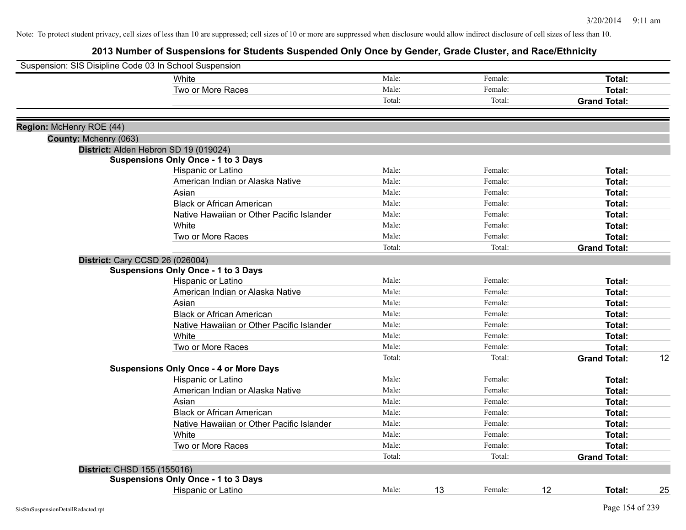| Suspension: SIS Disipline Code 03 In School Suspension |                                               |        |    |         |                     |               |
|--------------------------------------------------------|-----------------------------------------------|--------|----|---------|---------------------|---------------|
|                                                        | <b>White</b>                                  | Male:  |    | Female: |                     | Total:        |
|                                                        | Two or More Races                             | Male:  |    | Female: |                     | Total:        |
|                                                        |                                               | Total: |    | Total:  | <b>Grand Total:</b> |               |
|                                                        |                                               |        |    |         |                     |               |
| Region: McHenry ROE (44)                               |                                               |        |    |         |                     |               |
| County: Mchenry (063)                                  | District: Alden Hebron SD 19 (019024)         |        |    |         |                     |               |
|                                                        | <b>Suspensions Only Once - 1 to 3 Days</b>    |        |    |         |                     |               |
|                                                        | Hispanic or Latino                            | Male:  |    | Female: |                     | Total:        |
|                                                        | American Indian or Alaska Native              | Male:  |    | Female: |                     | Total:        |
|                                                        | Asian                                         | Male:  |    | Female: |                     | Total:        |
|                                                        | <b>Black or African American</b>              | Male:  |    | Female: |                     | Total:        |
|                                                        | Native Hawaiian or Other Pacific Islander     | Male:  |    | Female: |                     | Total:        |
|                                                        | White                                         | Male:  |    | Female: |                     | Total:        |
|                                                        | Two or More Races                             | Male:  |    | Female: |                     | Total:        |
|                                                        |                                               | Total: |    | Total:  | <b>Grand Total:</b> |               |
| District: Cary CCSD 26 (026004)                        |                                               |        |    |         |                     |               |
|                                                        | <b>Suspensions Only Once - 1 to 3 Days</b>    |        |    |         |                     |               |
|                                                        | Hispanic or Latino                            | Male:  |    | Female: |                     | Total:        |
|                                                        | American Indian or Alaska Native              | Male:  |    | Female: |                     | Total:        |
|                                                        | Asian                                         | Male:  |    | Female: |                     | Total:        |
|                                                        | <b>Black or African American</b>              | Male:  |    | Female: |                     | Total:        |
|                                                        | Native Hawaiian or Other Pacific Islander     | Male:  |    | Female: |                     | Total:        |
|                                                        | White                                         | Male:  |    | Female: |                     | Total:        |
|                                                        | Two or More Races                             | Male:  |    | Female: |                     | Total:        |
|                                                        |                                               | Total: |    | Total:  | <b>Grand Total:</b> | 12            |
|                                                        | <b>Suspensions Only Once - 4 or More Days</b> |        |    |         |                     |               |
|                                                        | Hispanic or Latino                            | Male:  |    | Female: |                     | Total:        |
|                                                        | American Indian or Alaska Native              | Male:  |    | Female: |                     | Total:        |
|                                                        | Asian                                         | Male:  |    | Female: |                     | Total:        |
|                                                        | <b>Black or African American</b>              | Male:  |    | Female: |                     | Total:        |
|                                                        | Native Hawaiian or Other Pacific Islander     | Male:  |    | Female: |                     | Total:        |
|                                                        | White                                         | Male:  |    | Female: |                     | <b>Total:</b> |
|                                                        | Two or More Races                             | Male:  |    | Female: |                     | Total:        |
|                                                        |                                               | Total: |    | Total:  | <b>Grand Total:</b> |               |
| District: CHSD 155 (155016)                            |                                               |        |    |         |                     |               |
|                                                        | <b>Suspensions Only Once - 1 to 3 Days</b>    |        |    |         |                     |               |
|                                                        | Hispanic or Latino                            | Male:  | 13 | Female: | 12                  | 25<br>Total:  |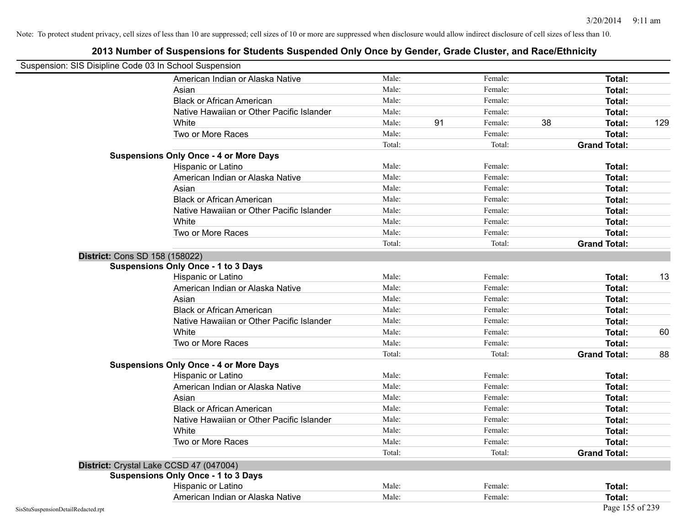| Suspension: SIS Disipline Code 03 In School Suspension |                                               |        |    |         |    |                     |     |
|--------------------------------------------------------|-----------------------------------------------|--------|----|---------|----|---------------------|-----|
|                                                        | American Indian or Alaska Native              | Male:  |    | Female: |    | Total:              |     |
|                                                        | Asian                                         | Male:  |    | Female: |    | Total:              |     |
|                                                        | <b>Black or African American</b>              | Male:  |    | Female: |    | Total:              |     |
|                                                        | Native Hawaiian or Other Pacific Islander     | Male:  |    | Female: |    | Total:              |     |
|                                                        | White                                         | Male:  | 91 | Female: | 38 | Total:              | 129 |
|                                                        | Two or More Races                             | Male:  |    | Female: |    | <b>Total:</b>       |     |
|                                                        |                                               | Total: |    | Total:  |    | <b>Grand Total:</b> |     |
|                                                        | <b>Suspensions Only Once - 4 or More Days</b> |        |    |         |    |                     |     |
|                                                        | Hispanic or Latino                            | Male:  |    | Female: |    | Total:              |     |
|                                                        | American Indian or Alaska Native              | Male:  |    | Female: |    | <b>Total:</b>       |     |
|                                                        | Asian                                         | Male:  |    | Female: |    | <b>Total:</b>       |     |
|                                                        | <b>Black or African American</b>              | Male:  |    | Female: |    | <b>Total:</b>       |     |
|                                                        | Native Hawaiian or Other Pacific Islander     | Male:  |    | Female: |    | Total:              |     |
|                                                        | White                                         | Male:  |    | Female: |    | Total:              |     |
|                                                        | Two or More Races                             | Male:  |    | Female: |    | Total:              |     |
|                                                        |                                               | Total: |    | Total:  |    | <b>Grand Total:</b> |     |
| District: Cons SD 158 (158022)                         |                                               |        |    |         |    |                     |     |
|                                                        | <b>Suspensions Only Once - 1 to 3 Days</b>    |        |    |         |    |                     |     |
|                                                        | Hispanic or Latino                            | Male:  |    | Female: |    | <b>Total:</b>       | 13  |
|                                                        | American Indian or Alaska Native              | Male:  |    | Female: |    | Total:              |     |
|                                                        | Asian                                         | Male:  |    | Female: |    | Total:              |     |
|                                                        | <b>Black or African American</b>              | Male:  |    | Female: |    | Total:              |     |
|                                                        | Native Hawaiian or Other Pacific Islander     | Male:  |    | Female: |    | Total:              |     |
|                                                        | White                                         | Male:  |    | Female: |    | Total:              | 60  |
|                                                        | Two or More Races                             | Male:  |    | Female: |    | <b>Total:</b>       |     |
|                                                        |                                               | Total: |    | Total:  |    | <b>Grand Total:</b> | 88  |
|                                                        | <b>Suspensions Only Once - 4 or More Days</b> |        |    |         |    |                     |     |
|                                                        | Hispanic or Latino                            | Male:  |    | Female: |    | Total:              |     |
|                                                        | American Indian or Alaska Native              | Male:  |    | Female: |    | <b>Total:</b>       |     |
|                                                        | Asian                                         | Male:  |    | Female: |    | Total:              |     |
|                                                        | <b>Black or African American</b>              | Male:  |    | Female: |    | Total:              |     |
|                                                        | Native Hawaiian or Other Pacific Islander     | Male:  |    | Female: |    | Total:              |     |
|                                                        | White                                         | Male:  |    | Female: |    | <b>Total:</b>       |     |
|                                                        | Two or More Races                             | Male:  |    | Female: |    | Total:              |     |
|                                                        |                                               | Total: |    | Total:  |    | <b>Grand Total:</b> |     |
|                                                        | District: Crystal Lake CCSD 47 (047004)       |        |    |         |    |                     |     |
|                                                        | <b>Suspensions Only Once - 1 to 3 Days</b>    |        |    |         |    |                     |     |
|                                                        | Hispanic or Latino                            | Male:  |    | Female: |    | Total:              |     |
|                                                        | American Indian or Alaska Native              | Male:  |    | Female: |    | Total:              |     |
| SisStuSuspensionDetailRedacted.rpt                     |                                               |        |    |         |    | Page 155 of 239     |     |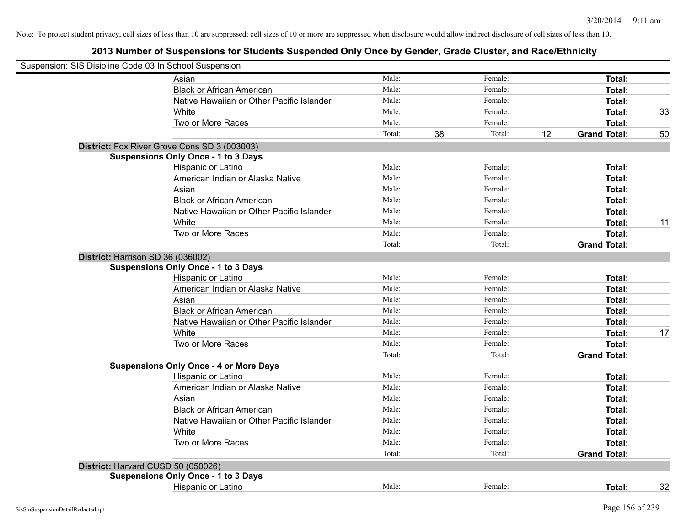| Suspension: SIS Disipline Code 03 In School Suspension |                                               |        |    |         |    |                     |    |
|--------------------------------------------------------|-----------------------------------------------|--------|----|---------|----|---------------------|----|
|                                                        | Asian                                         | Male:  |    | Female: |    | Total:              |    |
|                                                        | <b>Black or African American</b>              | Male:  |    | Female: |    | Total:              |    |
|                                                        | Native Hawaiian or Other Pacific Islander     | Male:  |    | Female: |    | Total:              |    |
|                                                        | White                                         | Male:  |    | Female: |    | <b>Total:</b>       | 33 |
|                                                        | Two or More Races                             | Male:  |    | Female: |    | <b>Total:</b>       |    |
|                                                        |                                               | Total: | 38 | Total:  | 12 | <b>Grand Total:</b> | 50 |
|                                                        | District: Fox River Grove Cons SD 3 (003003)  |        |    |         |    |                     |    |
|                                                        | <b>Suspensions Only Once - 1 to 3 Days</b>    |        |    |         |    |                     |    |
|                                                        | Hispanic or Latino                            | Male:  |    | Female: |    | Total:              |    |
|                                                        | American Indian or Alaska Native              | Male:  |    | Female: |    | Total:              |    |
|                                                        | Asian                                         | Male:  |    | Female: |    | Total:              |    |
|                                                        | <b>Black or African American</b>              | Male:  |    | Female: |    | Total:              |    |
|                                                        | Native Hawaiian or Other Pacific Islander     | Male:  |    | Female: |    | Total:              |    |
|                                                        | White                                         | Male:  |    | Female: |    | <b>Total:</b>       | 11 |
|                                                        | Two or More Races                             | Male:  |    | Female: |    | <b>Total:</b>       |    |
|                                                        |                                               | Total: |    | Total:  |    | <b>Grand Total:</b> |    |
| District: Harrison SD 36 (036002)                      | <b>Suspensions Only Once - 1 to 3 Days</b>    |        |    |         |    |                     |    |
|                                                        | Hispanic or Latino                            | Male:  |    | Female: |    | Total:              |    |
|                                                        | American Indian or Alaska Native              | Male:  |    | Female: |    | Total:              |    |
|                                                        | Asian                                         | Male:  |    | Female: |    | Total:              |    |
|                                                        | <b>Black or African American</b>              | Male:  |    | Female: |    | Total:              |    |
|                                                        | Native Hawaiian or Other Pacific Islander     | Male:  |    | Female: |    | Total:              |    |
|                                                        | White                                         | Male:  |    | Female: |    | <b>Total:</b>       | 17 |
|                                                        | Two or More Races                             | Male:  |    | Female: |    | Total:              |    |
|                                                        |                                               | Total: |    | Total:  |    | <b>Grand Total:</b> |    |
|                                                        | <b>Suspensions Only Once - 4 or More Days</b> |        |    |         |    |                     |    |
|                                                        | Hispanic or Latino                            | Male:  |    | Female: |    | Total:              |    |
|                                                        | American Indian or Alaska Native              | Male:  |    | Female: |    | Total:              |    |
|                                                        | Asian                                         | Male:  |    | Female: |    | Total:              |    |
|                                                        | <b>Black or African American</b>              | Male:  |    | Female: |    | Total:              |    |
|                                                        | Native Hawaiian or Other Pacific Islander     | Male:  |    | Female: |    | Total:              |    |
|                                                        | White                                         | Male:  |    | Female: |    | Total:              |    |
|                                                        | Two or More Races                             | Male:  |    | Female: |    | <b>Total:</b>       |    |
|                                                        |                                               | Total: |    | Total:  |    | <b>Grand Total:</b> |    |
| District: Harvard CUSD 50 (050026)                     |                                               |        |    |         |    |                     |    |
|                                                        | <b>Suspensions Only Once - 1 to 3 Days</b>    |        |    |         |    |                     |    |
|                                                        | Hispanic or Latino                            | Male:  |    | Female: |    | Total:              | 32 |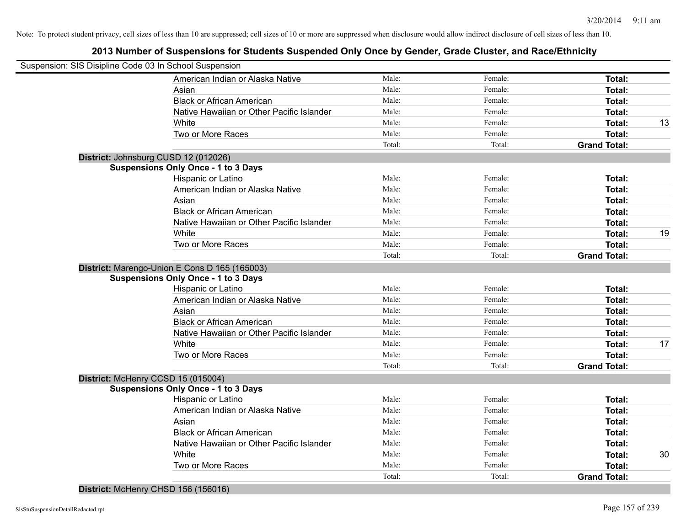## **2013 Number of Suspensions for Students Suspended Only Once by Gender, Grade Cluster, and Race/Ethnicity**

| Suspension: SIS Disipline Code 03 In School Suspension |        |         |                     |    |
|--------------------------------------------------------|--------|---------|---------------------|----|
| American Indian or Alaska Native                       | Male:  | Female: | Total:              |    |
| Asian                                                  | Male:  | Female: | Total:              |    |
| <b>Black or African American</b>                       | Male:  | Female: | Total:              |    |
| Native Hawaiian or Other Pacific Islander              | Male:  | Female: | Total:              |    |
| <b>White</b>                                           | Male:  | Female: | Total:              | 13 |
| Two or More Races                                      | Male:  | Female: | <b>Total:</b>       |    |
|                                                        | Total: | Total:  | <b>Grand Total:</b> |    |
| District: Johnsburg CUSD 12 (012026)                   |        |         |                     |    |
| <b>Suspensions Only Once - 1 to 3 Days</b>             |        |         |                     |    |
| Hispanic or Latino                                     | Male:  | Female: | Total:              |    |
| American Indian or Alaska Native                       | Male:  | Female: | Total:              |    |
| Asian                                                  | Male:  | Female: | Total:              |    |
| <b>Black or African American</b>                       | Male:  | Female: | <b>Total:</b>       |    |
| Native Hawaiian or Other Pacific Islander              | Male:  | Female: | <b>Total:</b>       |    |
| White                                                  | Male:  | Female: | Total:              | 19 |
| Two or More Races                                      | Male:  | Female: | <b>Total:</b>       |    |
|                                                        | Total: | Total:  | <b>Grand Total:</b> |    |
| District: Marengo-Union E Cons D 165 (165003)          |        |         |                     |    |
| <b>Suspensions Only Once - 1 to 3 Days</b>             |        |         |                     |    |
| Hispanic or Latino                                     | Male:  | Female: | Total:              |    |
| American Indian or Alaska Native                       | Male:  | Female: | Total:              |    |
| Asian                                                  | Male:  | Female: | Total:              |    |
| <b>Black or African American</b>                       | Male:  | Female: | Total:              |    |
| Native Hawaiian or Other Pacific Islander              | Male:  | Female: | Total:              |    |
| White                                                  | Male:  | Female: | Total:              | 17 |
| Two or More Races                                      | Male:  | Female: | <b>Total:</b>       |    |
|                                                        | Total: | Total:  | <b>Grand Total:</b> |    |
| District: McHenry CCSD 15 (015004)                     |        |         |                     |    |
| <b>Suspensions Only Once - 1 to 3 Days</b>             |        |         |                     |    |
| <b>Hispanic or Latino</b>                              | Male:  | Female: | Total:              |    |
| American Indian or Alaska Native                       | Male:  | Female: | Total:              |    |
| Asian                                                  | Male:  | Female: | Total:              |    |
| <b>Black or African American</b>                       | Male:  | Female: | Total:              |    |
| Native Hawaiian or Other Pacific Islander              | Male:  | Female: | Total:              |    |
| White                                                  | Male:  | Female: | Total:              | 30 |
| Two or More Races                                      | Male:  | Female: | Total:              |    |
|                                                        | Total: | Total:  | <b>Grand Total:</b> |    |
|                                                        |        |         |                     |    |

**District:** McHenry CHSD 156 (156016)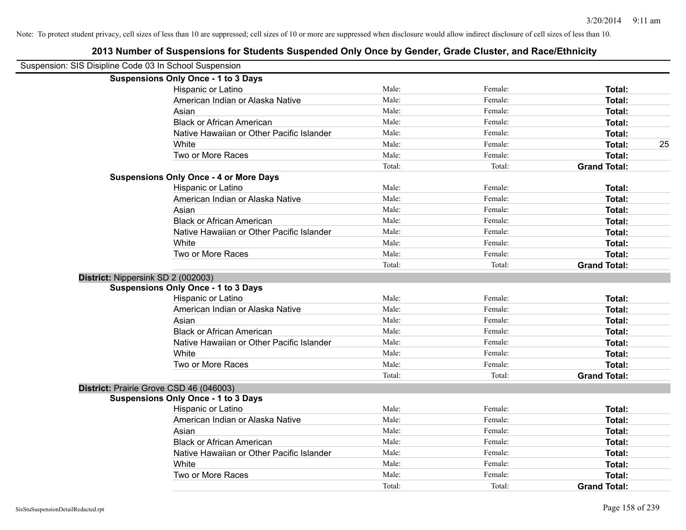| Suspension: SIS Disipline Code 03 In School Suspension |                                               |        |         |                     |
|--------------------------------------------------------|-----------------------------------------------|--------|---------|---------------------|
|                                                        | <b>Suspensions Only Once - 1 to 3 Days</b>    |        |         |                     |
|                                                        | Hispanic or Latino                            | Male:  | Female: | Total:              |
|                                                        | American Indian or Alaska Native              | Male:  | Female: | <b>Total:</b>       |
|                                                        | Asian                                         | Male:  | Female: | <b>Total:</b>       |
|                                                        | <b>Black or African American</b>              | Male:  | Female: | <b>Total:</b>       |
|                                                        | Native Hawaiian or Other Pacific Islander     | Male:  | Female: | <b>Total:</b>       |
|                                                        | White                                         | Male:  | Female: | 25<br><b>Total:</b> |
|                                                        | Two or More Races                             | Male:  | Female: | <b>Total:</b>       |
|                                                        |                                               | Total: | Total:  | <b>Grand Total:</b> |
|                                                        | <b>Suspensions Only Once - 4 or More Days</b> |        |         |                     |
|                                                        | Hispanic or Latino                            | Male:  | Female: | Total:              |
|                                                        | American Indian or Alaska Native              | Male:  | Female: | <b>Total:</b>       |
|                                                        | Asian                                         | Male:  | Female: | <b>Total:</b>       |
|                                                        | <b>Black or African American</b>              | Male:  | Female: | Total:              |
|                                                        | Native Hawaiian or Other Pacific Islander     | Male:  | Female: | <b>Total:</b>       |
|                                                        | White                                         | Male:  | Female: | <b>Total:</b>       |
|                                                        | Two or More Races                             | Male:  | Female: | <b>Total:</b>       |
|                                                        |                                               | Total: | Total:  | <b>Grand Total:</b> |
| District: Nippersink SD 2 (002003)                     |                                               |        |         |                     |
|                                                        | <b>Suspensions Only Once - 1 to 3 Days</b>    |        |         |                     |
|                                                        | Hispanic or Latino                            | Male:  | Female: | Total:              |
|                                                        | American Indian or Alaska Native              | Male:  | Female: | <b>Total:</b>       |
|                                                        | Asian                                         | Male:  | Female: | <b>Total:</b>       |
|                                                        | <b>Black or African American</b>              | Male:  | Female: | <b>Total:</b>       |
|                                                        | Native Hawaiian or Other Pacific Islander     | Male:  | Female: | Total:              |
|                                                        | White                                         | Male:  | Female: | Total:              |
|                                                        | Two or More Races                             | Male:  | Female: | <b>Total:</b>       |
|                                                        |                                               | Total: | Total:  | <b>Grand Total:</b> |
| District: Prairie Grove CSD 46 (046003)                |                                               |        |         |                     |
|                                                        | <b>Suspensions Only Once - 1 to 3 Days</b>    |        |         |                     |
|                                                        | Hispanic or Latino                            | Male:  | Female: | <b>Total:</b>       |
|                                                        | American Indian or Alaska Native              | Male:  | Female: | <b>Total:</b>       |
|                                                        | Asian                                         | Male:  | Female: | <b>Total:</b>       |
|                                                        | <b>Black or African American</b>              | Male:  | Female: | <b>Total:</b>       |
|                                                        | Native Hawaiian or Other Pacific Islander     | Male:  | Female: | <b>Total:</b>       |
|                                                        | White                                         | Male:  | Female: | <b>Total:</b>       |
|                                                        | Two or More Races                             | Male:  | Female: | <b>Total:</b>       |
|                                                        |                                               | Total: | Total:  | <b>Grand Total:</b> |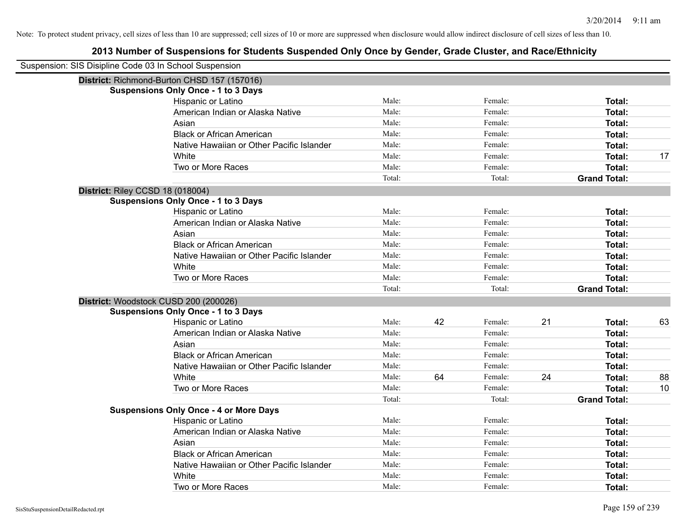| Suspension: SIS Disipline Code 03 In School Suspension |                                               |        |    |         |    |                     |    |
|--------------------------------------------------------|-----------------------------------------------|--------|----|---------|----|---------------------|----|
|                                                        | District: Richmond-Burton CHSD 157 (157016)   |        |    |         |    |                     |    |
|                                                        | <b>Suspensions Only Once - 1 to 3 Days</b>    |        |    |         |    |                     |    |
|                                                        | Hispanic or Latino                            | Male:  |    | Female: |    | Total:              |    |
|                                                        | American Indian or Alaska Native              | Male:  |    | Female: |    | Total:              |    |
|                                                        | Asian                                         | Male:  |    | Female: |    | Total:              |    |
|                                                        | <b>Black or African American</b>              | Male:  |    | Female: |    | Total:              |    |
|                                                        | Native Hawaiian or Other Pacific Islander     | Male:  |    | Female: |    | Total:              |    |
|                                                        | White                                         | Male:  |    | Female: |    | Total:              | 17 |
|                                                        | Two or More Races                             | Male:  |    | Female: |    | Total:              |    |
|                                                        |                                               | Total: |    | Total:  |    | <b>Grand Total:</b> |    |
| District: Riley CCSD 18 (018004)                       |                                               |        |    |         |    |                     |    |
|                                                        | <b>Suspensions Only Once - 1 to 3 Days</b>    |        |    |         |    |                     |    |
|                                                        | Hispanic or Latino                            | Male:  |    | Female: |    | Total:              |    |
|                                                        | American Indian or Alaska Native              | Male:  |    | Female: |    | Total:              |    |
|                                                        | Asian                                         | Male:  |    | Female: |    | Total:              |    |
|                                                        | <b>Black or African American</b>              | Male:  |    | Female: |    | Total:              |    |
|                                                        | Native Hawaiian or Other Pacific Islander     | Male:  |    | Female: |    | Total:              |    |
|                                                        | White                                         | Male:  |    | Female: |    | Total:              |    |
|                                                        | Two or More Races                             | Male:  |    | Female: |    | Total:              |    |
|                                                        |                                               | Total: |    | Total:  |    | <b>Grand Total:</b> |    |
|                                                        | District: Woodstock CUSD 200 (200026)         |        |    |         |    |                     |    |
|                                                        | <b>Suspensions Only Once - 1 to 3 Days</b>    |        |    |         |    |                     |    |
|                                                        | Hispanic or Latino                            | Male:  | 42 | Female: | 21 | Total:              | 63 |
|                                                        | American Indian or Alaska Native              | Male:  |    | Female: |    | Total:              |    |
|                                                        | Asian                                         | Male:  |    | Female: |    | Total:              |    |
|                                                        | <b>Black or African American</b>              | Male:  |    | Female: |    | Total:              |    |
|                                                        | Native Hawaiian or Other Pacific Islander     | Male:  |    | Female: |    | Total:              |    |
|                                                        | White                                         | Male:  | 64 | Female: | 24 | Total:              | 88 |
|                                                        | Two or More Races                             | Male:  |    | Female: |    | Total:              | 10 |
|                                                        |                                               | Total: |    | Total:  |    | <b>Grand Total:</b> |    |
|                                                        | <b>Suspensions Only Once - 4 or More Days</b> |        |    |         |    |                     |    |
|                                                        | Hispanic or Latino                            | Male:  |    | Female: |    | Total:              |    |
|                                                        | American Indian or Alaska Native              | Male:  |    | Female: |    | Total:              |    |
|                                                        | Asian                                         | Male:  |    | Female: |    | Total:              |    |
|                                                        | <b>Black or African American</b>              | Male:  |    | Female: |    | Total:              |    |
|                                                        | Native Hawaiian or Other Pacific Islander     | Male:  |    | Female: |    | Total:              |    |
|                                                        | White                                         | Male:  |    | Female: |    | Total:              |    |
|                                                        | Two or More Races                             | Male:  |    | Female: |    | Total:              |    |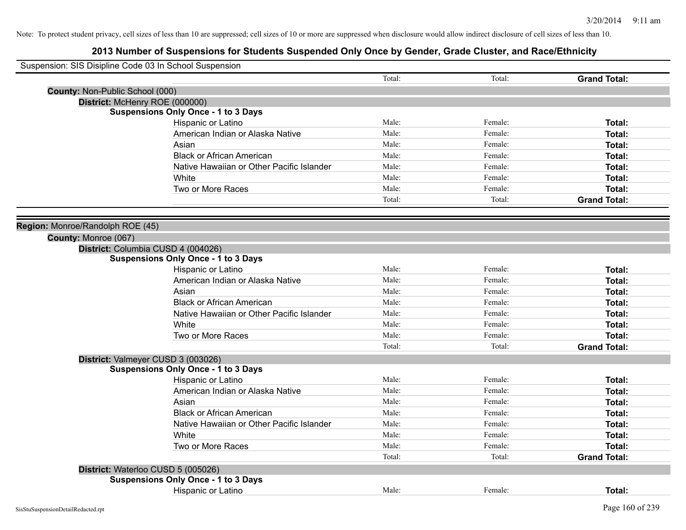| Suspension: SIS Disipline Code 03 In School Suspension |                                            |        |         |                     |
|--------------------------------------------------------|--------------------------------------------|--------|---------|---------------------|
|                                                        |                                            | Total: | Total:  | <b>Grand Total:</b> |
| County: Non-Public School (000)                        |                                            |        |         |                     |
| District: McHenry ROE (000000)                         |                                            |        |         |                     |
|                                                        | <b>Suspensions Only Once - 1 to 3 Days</b> |        |         |                     |
|                                                        | Hispanic or Latino                         | Male:  | Female: | Total:              |
|                                                        | American Indian or Alaska Native           | Male:  | Female: | Total:              |
|                                                        | Asian                                      | Male:  | Female: | Total:              |
|                                                        | <b>Black or African American</b>           | Male:  | Female: | Total:              |
|                                                        | Native Hawaiian or Other Pacific Islander  | Male:  | Female: | Total:              |
|                                                        | White                                      | Male:  | Female: | Total:              |
|                                                        | Two or More Races                          | Male:  | Female: | Total:              |
|                                                        |                                            | Total: | Total:  | <b>Grand Total:</b> |
|                                                        |                                            |        |         |                     |
| Region: Monroe/Randolph ROE (45)                       |                                            |        |         |                     |
| County: Monroe (067)                                   |                                            |        |         |                     |
|                                                        | District: Columbia CUSD 4 (004026)         |        |         |                     |
|                                                        | <b>Suspensions Only Once - 1 to 3 Days</b> |        |         |                     |
|                                                        | Hispanic or Latino                         | Male:  | Female: | Total:              |
|                                                        | American Indian or Alaska Native           | Male:  | Female: | Total:              |
|                                                        | Asian                                      | Male:  | Female: | Total:              |
|                                                        | <b>Black or African American</b>           | Male:  | Female: | Total:              |
|                                                        | Native Hawaiian or Other Pacific Islander  | Male:  | Female: | Total:              |
|                                                        | White                                      | Male:  | Female: | Total:              |
|                                                        | Two or More Races                          | Male:  | Female: | Total:              |
|                                                        |                                            | Total: | Total:  | <b>Grand Total:</b> |
|                                                        | District: Valmeyer CUSD 3 (003026)         |        |         |                     |
|                                                        | <b>Suspensions Only Once - 1 to 3 Days</b> |        |         |                     |
|                                                        | Hispanic or Latino                         | Male:  | Female: | Total:              |
|                                                        | American Indian or Alaska Native           | Male:  | Female: | Total:              |
|                                                        | Asian                                      | Male:  | Female: | Total:              |
|                                                        | <b>Black or African American</b>           | Male:  | Female: | Total:              |
|                                                        | Native Hawaiian or Other Pacific Islander  | Male:  | Female: | Total:              |
|                                                        | White                                      | Male:  | Female: | Total:              |
|                                                        | Two or More Races                          | Male:  | Female: | Total:              |
|                                                        |                                            | Total: | Total:  | <b>Grand Total:</b> |
| District: Waterloo CUSD 5 (005026)                     |                                            |        |         |                     |
|                                                        | <b>Suspensions Only Once - 1 to 3 Days</b> |        |         |                     |
|                                                        | <b>Hispanic or Latino</b>                  | Male:  | Female: | Total:              |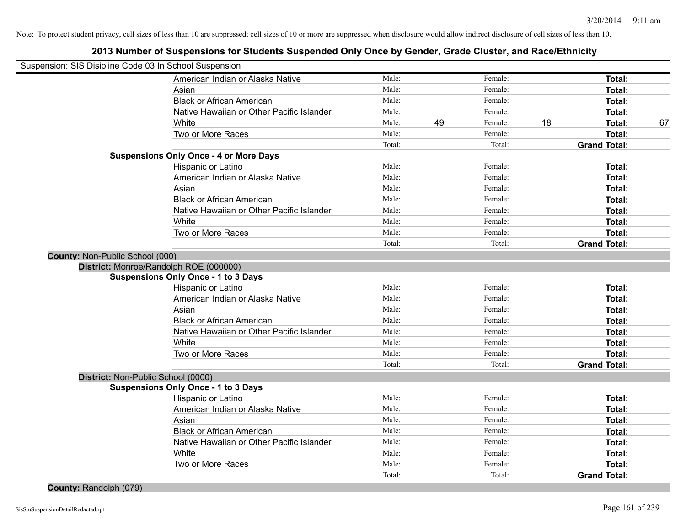| Suspension: SIS Disipline Code 03 In School Suspension |                                               |        |    |         |    |                     |    |
|--------------------------------------------------------|-----------------------------------------------|--------|----|---------|----|---------------------|----|
|                                                        | American Indian or Alaska Native              | Male:  |    | Female: |    | Total:              |    |
|                                                        | Asian                                         | Male:  |    | Female: |    | Total:              |    |
|                                                        | <b>Black or African American</b>              | Male:  |    | Female: |    | <b>Total:</b>       |    |
|                                                        | Native Hawaiian or Other Pacific Islander     | Male:  |    | Female: |    | Total:              |    |
|                                                        | White                                         | Male:  | 49 | Female: | 18 | <b>Total:</b>       | 67 |
|                                                        | Two or More Races                             | Male:  |    | Female: |    | <b>Total:</b>       |    |
|                                                        |                                               | Total: |    | Total:  |    | <b>Grand Total:</b> |    |
|                                                        | <b>Suspensions Only Once - 4 or More Days</b> |        |    |         |    |                     |    |
|                                                        | Hispanic or Latino                            | Male:  |    | Female: |    | Total:              |    |
|                                                        | American Indian or Alaska Native              | Male:  |    | Female: |    | Total:              |    |
|                                                        | Asian                                         | Male:  |    | Female: |    | Total:              |    |
|                                                        | <b>Black or African American</b>              | Male:  |    | Female: |    | Total:              |    |
|                                                        | Native Hawaiian or Other Pacific Islander     | Male:  |    | Female: |    | Total:              |    |
|                                                        | White                                         | Male:  |    | Female: |    | <b>Total:</b>       |    |
|                                                        | Two or More Races                             | Male:  |    | Female: |    | Total:              |    |
|                                                        |                                               | Total: |    | Total:  |    | <b>Grand Total:</b> |    |
| County: Non-Public School (000)                        |                                               |        |    |         |    |                     |    |
|                                                        | District: Monroe/Randolph ROE (000000)        |        |    |         |    |                     |    |
|                                                        | <b>Suspensions Only Once - 1 to 3 Days</b>    |        |    |         |    |                     |    |
|                                                        | Hispanic or Latino                            | Male:  |    | Female: |    | Total:              |    |
|                                                        | American Indian or Alaska Native              | Male:  |    | Female: |    | Total:              |    |
|                                                        | Asian                                         | Male:  |    | Female: |    | Total:              |    |
|                                                        | <b>Black or African American</b>              | Male:  |    | Female: |    | Total:              |    |
|                                                        | Native Hawaiian or Other Pacific Islander     | Male:  |    | Female: |    | <b>Total:</b>       |    |
|                                                        | White                                         | Male:  |    | Female: |    | Total:              |    |
|                                                        | Two or More Races                             | Male:  |    | Female: |    | Total:              |    |
|                                                        |                                               | Total: |    | Total:  |    | <b>Grand Total:</b> |    |
| District: Non-Public School (0000)                     |                                               |        |    |         |    |                     |    |
|                                                        | <b>Suspensions Only Once - 1 to 3 Days</b>    |        |    |         |    |                     |    |
|                                                        | Hispanic or Latino                            | Male:  |    | Female: |    | Total:              |    |
|                                                        | American Indian or Alaska Native              | Male:  |    | Female: |    | Total:              |    |
|                                                        | Asian                                         | Male:  |    | Female: |    | Total:              |    |
|                                                        | <b>Black or African American</b>              | Male:  |    | Female: |    | Total:              |    |
|                                                        | Native Hawaiian or Other Pacific Islander     | Male:  |    | Female: |    | <b>Total:</b>       |    |
|                                                        | White                                         | Male:  |    | Female: |    | Total:              |    |
|                                                        | Two or More Races                             | Male:  |    | Female: |    | Total:              |    |
|                                                        |                                               | Total: |    | Total:  |    | <b>Grand Total:</b> |    |
| County: Randolph (079)                                 |                                               |        |    |         |    |                     |    |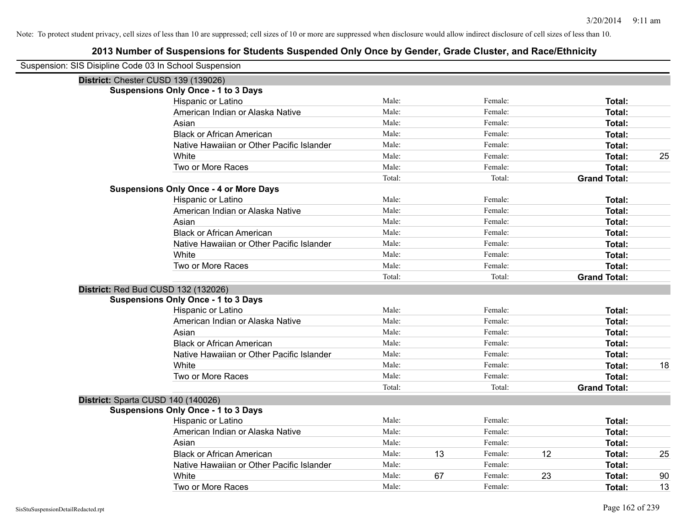| Suspension: SIS Disipline Code 03 In School Suspension |                                               |        |    |         |    |                     |    |
|--------------------------------------------------------|-----------------------------------------------|--------|----|---------|----|---------------------|----|
| District: Chester CUSD 139 (139026)                    |                                               |        |    |         |    |                     |    |
|                                                        | <b>Suspensions Only Once - 1 to 3 Days</b>    |        |    |         |    |                     |    |
|                                                        | Hispanic or Latino                            | Male:  |    | Female: |    | Total:              |    |
|                                                        | American Indian or Alaska Native              | Male:  |    | Female: |    | <b>Total:</b>       |    |
|                                                        | Asian                                         | Male:  |    | Female: |    | Total:              |    |
|                                                        | <b>Black or African American</b>              | Male:  |    | Female: |    | <b>Total:</b>       |    |
|                                                        | Native Hawaiian or Other Pacific Islander     | Male:  |    | Female: |    | <b>Total:</b>       |    |
|                                                        | White                                         | Male:  |    | Female: |    | <b>Total:</b>       | 25 |
|                                                        | Two or More Races                             | Male:  |    | Female: |    | Total:              |    |
|                                                        |                                               | Total: |    | Total:  |    | <b>Grand Total:</b> |    |
|                                                        | <b>Suspensions Only Once - 4 or More Days</b> |        |    |         |    |                     |    |
|                                                        | Hispanic or Latino                            | Male:  |    | Female: |    | Total:              |    |
|                                                        | American Indian or Alaska Native              | Male:  |    | Female: |    | <b>Total:</b>       |    |
|                                                        | Asian                                         | Male:  |    | Female: |    | <b>Total:</b>       |    |
|                                                        | <b>Black or African American</b>              | Male:  |    | Female: |    | <b>Total:</b>       |    |
|                                                        | Native Hawaiian or Other Pacific Islander     | Male:  |    | Female: |    | <b>Total:</b>       |    |
|                                                        | White                                         | Male:  |    | Female: |    | <b>Total:</b>       |    |
|                                                        | Two or More Races                             | Male:  |    | Female: |    | <b>Total:</b>       |    |
|                                                        |                                               | Total: |    | Total:  |    | <b>Grand Total:</b> |    |
| District: Red Bud CUSD 132 (132026)                    |                                               |        |    |         |    |                     |    |
|                                                        | <b>Suspensions Only Once - 1 to 3 Days</b>    |        |    |         |    |                     |    |
|                                                        | Hispanic or Latino                            | Male:  |    | Female: |    | Total:              |    |
|                                                        | American Indian or Alaska Native              | Male:  |    | Female: |    | <b>Total:</b>       |    |
|                                                        | Asian                                         | Male:  |    | Female: |    | Total:              |    |
|                                                        | <b>Black or African American</b>              | Male:  |    | Female: |    | <b>Total:</b>       |    |
|                                                        | Native Hawaiian or Other Pacific Islander     | Male:  |    | Female: |    | <b>Total:</b>       |    |
|                                                        | White                                         | Male:  |    | Female: |    | <b>Total:</b>       | 18 |
|                                                        | Two or More Races                             | Male:  |    | Female: |    | <b>Total:</b>       |    |
|                                                        |                                               | Total: |    | Total:  |    | <b>Grand Total:</b> |    |
| District: Sparta CUSD 140 (140026)                     |                                               |        |    |         |    |                     |    |
|                                                        | <b>Suspensions Only Once - 1 to 3 Days</b>    |        |    |         |    |                     |    |
|                                                        | Hispanic or Latino                            | Male:  |    | Female: |    | Total:              |    |
|                                                        | American Indian or Alaska Native              | Male:  |    | Female: |    | Total:              |    |
|                                                        | Asian                                         | Male:  |    | Female: |    | Total:              |    |
|                                                        | <b>Black or African American</b>              | Male:  | 13 | Female: | 12 | <b>Total:</b>       | 25 |
|                                                        | Native Hawaiian or Other Pacific Islander     | Male:  |    | Female: |    | <b>Total:</b>       |    |
|                                                        | White                                         | Male:  | 67 | Female: | 23 | <b>Total:</b>       | 90 |
|                                                        | Two or More Races                             | Male:  |    | Female: |    | Total:              | 13 |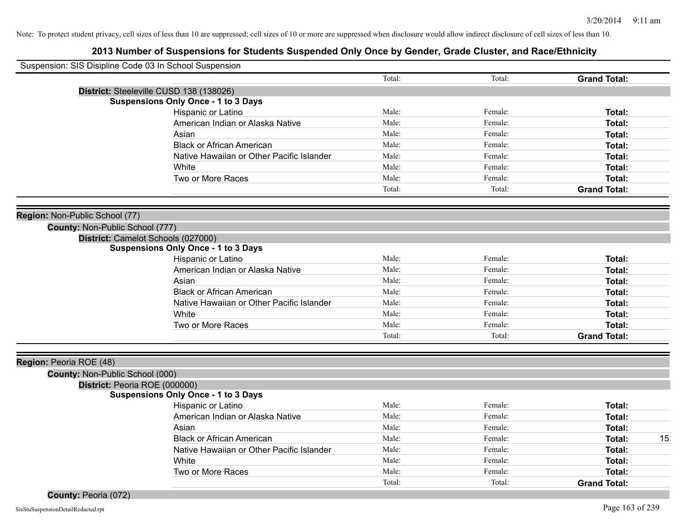| Suspension: SIS Disipline Code 03 In School Suspension |                                           |        |         |                     |    |
|--------------------------------------------------------|-------------------------------------------|--------|---------|---------------------|----|
|                                                        |                                           | Total: | Total:  | <b>Grand Total:</b> |    |
| District: Steeleville CUSD 138 (138026)                |                                           |        |         |                     |    |
| <b>Suspensions Only Once - 1 to 3 Days</b>             |                                           |        |         |                     |    |
| Hispanic or Latino                                     |                                           | Male:  | Female: | Total:              |    |
| American Indian or Alaska Native                       |                                           | Male:  | Female: | Total:              |    |
| Asian                                                  |                                           | Male:  | Female: | Total:              |    |
| <b>Black or African American</b>                       |                                           | Male:  | Female: | Total:              |    |
|                                                        | Native Hawaiian or Other Pacific Islander | Male:  | Female: | Total:              |    |
| White                                                  |                                           | Male:  | Female: | Total:              |    |
| Two or More Races                                      |                                           | Male:  | Female: | Total:              |    |
|                                                        |                                           | Total: | Total:  | <b>Grand Total:</b> |    |
| Region: Non-Public School (77)                         |                                           |        |         |                     |    |
| County: Non-Public School (777)                        |                                           |        |         |                     |    |
| District: Camelot Schools (027000)                     |                                           |        |         |                     |    |
| <b>Suspensions Only Once - 1 to 3 Days</b>             |                                           |        |         |                     |    |
| Hispanic or Latino                                     |                                           | Male:  | Female: | Total:              |    |
| American Indian or Alaska Native                       |                                           | Male:  | Female: | Total:              |    |
| Asian                                                  |                                           | Male:  | Female: | Total:              |    |
| <b>Black or African American</b>                       |                                           | Male:  | Female: | Total:              |    |
|                                                        | Native Hawaiian or Other Pacific Islander | Male:  | Female: | Total:              |    |
| White                                                  |                                           | Male:  | Female: | Total:              |    |
| Two or More Races                                      |                                           | Male:  | Female: | Total:              |    |
|                                                        |                                           | Total: | Total:  | <b>Grand Total:</b> |    |
|                                                        |                                           |        |         |                     |    |
| Region: Peoria ROE (48)                                |                                           |        |         |                     |    |
| County: Non-Public School (000)                        |                                           |        |         |                     |    |
| District: Peoria ROE (000000)                          |                                           |        |         |                     |    |
| <b>Suspensions Only Once - 1 to 3 Days</b>             |                                           |        |         |                     |    |
| Hispanic or Latino                                     |                                           | Male:  | Female: | Total:              |    |
| American Indian or Alaska Native                       |                                           | Male:  | Female: | Total:              |    |
| Asian                                                  |                                           | Male:  | Female: | Total:              |    |
| <b>Black or African American</b>                       |                                           | Male:  | Female: | Total:              | 15 |
|                                                        | Native Hawaiian or Other Pacific Islander | Male:  | Female: | Total:              |    |
| White                                                  |                                           | Male:  | Female: | Total:              |    |
| Two or More Races                                      |                                           | Male:  | Female: | Total:              |    |
|                                                        |                                           | Total: | Total:  | <b>Grand Total:</b> |    |
| County: Peoria (072)                                   |                                           |        |         |                     |    |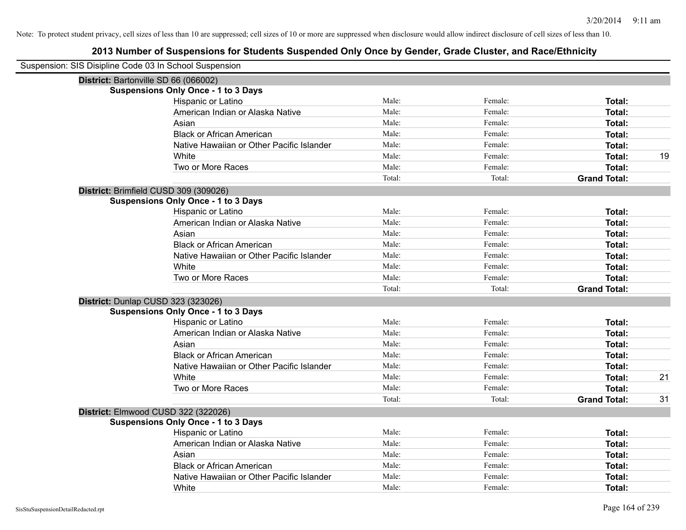| Suspension: SIS Disipline Code 03 In School Suspension |                                            |        |         |                     |    |
|--------------------------------------------------------|--------------------------------------------|--------|---------|---------------------|----|
|                                                        | District: Bartonville SD 66 (066002)       |        |         |                     |    |
|                                                        | <b>Suspensions Only Once - 1 to 3 Days</b> |        |         |                     |    |
|                                                        | Hispanic or Latino                         | Male:  | Female: | Total:              |    |
|                                                        | American Indian or Alaska Native           | Male:  | Female: | Total:              |    |
|                                                        | Asian                                      | Male:  | Female: | <b>Total:</b>       |    |
|                                                        | <b>Black or African American</b>           | Male:  | Female: | <b>Total:</b>       |    |
|                                                        | Native Hawaiian or Other Pacific Islander  | Male:  | Female: | <b>Total:</b>       |    |
|                                                        | White                                      | Male:  | Female: | <b>Total:</b>       | 19 |
|                                                        | Two or More Races                          | Male:  | Female: | <b>Total:</b>       |    |
|                                                        |                                            | Total: | Total:  | <b>Grand Total:</b> |    |
|                                                        | District: Brimfield CUSD 309 (309026)      |        |         |                     |    |
|                                                        | <b>Suspensions Only Once - 1 to 3 Days</b> |        |         |                     |    |
|                                                        | Hispanic or Latino                         | Male:  | Female: | Total:              |    |
|                                                        | American Indian or Alaska Native           | Male:  | Female: | <b>Total:</b>       |    |
|                                                        | Asian                                      | Male:  | Female: | Total:              |    |
|                                                        | <b>Black or African American</b>           | Male:  | Female: | <b>Total:</b>       |    |
|                                                        | Native Hawaiian or Other Pacific Islander  | Male:  | Female: | <b>Total:</b>       |    |
|                                                        | White                                      | Male:  | Female: | Total:              |    |
|                                                        | Two or More Races                          | Male:  | Female: | Total:              |    |
|                                                        |                                            | Total: | Total:  | <b>Grand Total:</b> |    |
|                                                        | District: Dunlap CUSD 323 (323026)         |        |         |                     |    |
|                                                        | <b>Suspensions Only Once - 1 to 3 Days</b> |        |         |                     |    |
|                                                        | Hispanic or Latino                         | Male:  | Female: | Total:              |    |
|                                                        | American Indian or Alaska Native           | Male:  | Female: | <b>Total:</b>       |    |
|                                                        | Asian                                      | Male:  | Female: | Total:              |    |
|                                                        | <b>Black or African American</b>           | Male:  | Female: | Total:              |    |
|                                                        | Native Hawaiian or Other Pacific Islander  | Male:  | Female: | <b>Total:</b>       |    |
|                                                        | White                                      | Male:  | Female: | <b>Total:</b>       | 21 |
|                                                        | Two or More Races                          | Male:  | Female: | Total:              |    |
|                                                        |                                            | Total: | Total:  | <b>Grand Total:</b> | 31 |
|                                                        | District: Elmwood CUSD 322 (322026)        |        |         |                     |    |
|                                                        | <b>Suspensions Only Once - 1 to 3 Days</b> |        |         |                     |    |
|                                                        | Hispanic or Latino                         | Male:  | Female: | Total:              |    |
|                                                        | American Indian or Alaska Native           | Male:  | Female: | <b>Total:</b>       |    |
|                                                        | Asian                                      | Male:  | Female: | Total:              |    |
|                                                        | <b>Black or African American</b>           | Male:  | Female: | <b>Total:</b>       |    |
|                                                        | Native Hawaiian or Other Pacific Islander  | Male:  | Female: | <b>Total:</b>       |    |
|                                                        | White                                      | Male:  | Female: | Total:              |    |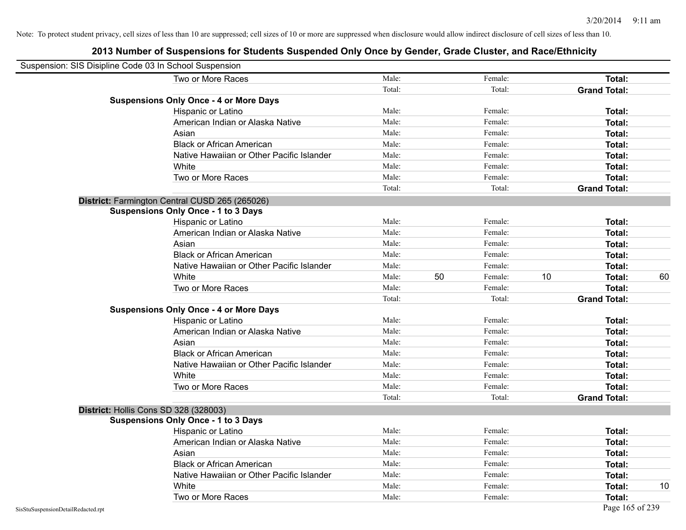| Suspension: SIS Disipline Code 03 In School Suspension |                                                |        |    |         |    |                     |    |
|--------------------------------------------------------|------------------------------------------------|--------|----|---------|----|---------------------|----|
|                                                        | Two or More Races                              | Male:  |    | Female: |    | Total:              |    |
|                                                        |                                                | Total: |    | Total:  |    | <b>Grand Total:</b> |    |
|                                                        | <b>Suspensions Only Once - 4 or More Days</b>  |        |    |         |    |                     |    |
|                                                        | Hispanic or Latino                             | Male:  |    | Female: |    | Total:              |    |
|                                                        | American Indian or Alaska Native               | Male:  |    | Female: |    | Total:              |    |
|                                                        | Asian                                          | Male:  |    | Female: |    | <b>Total:</b>       |    |
|                                                        | <b>Black or African American</b>               | Male:  |    | Female: |    | Total:              |    |
|                                                        | Native Hawaiian or Other Pacific Islander      | Male:  |    | Female: |    | Total:              |    |
|                                                        | White                                          | Male:  |    | Female: |    | Total:              |    |
|                                                        | Two or More Races                              | Male:  |    | Female: |    | Total:              |    |
|                                                        |                                                | Total: |    | Total:  |    | <b>Grand Total:</b> |    |
|                                                        | District: Farmington Central CUSD 265 (265026) |        |    |         |    |                     |    |
|                                                        | <b>Suspensions Only Once - 1 to 3 Days</b>     |        |    |         |    |                     |    |
|                                                        | Hispanic or Latino                             | Male:  |    | Female: |    | Total:              |    |
|                                                        | American Indian or Alaska Native               | Male:  |    | Female: |    | Total:              |    |
|                                                        | Asian                                          | Male:  |    | Female: |    | Total:              |    |
|                                                        | <b>Black or African American</b>               | Male:  |    | Female: |    | <b>Total:</b>       |    |
|                                                        | Native Hawaiian or Other Pacific Islander      | Male:  |    | Female: |    | Total:              |    |
|                                                        | White                                          | Male:  | 50 | Female: | 10 | Total:              | 60 |
|                                                        | Two or More Races                              | Male:  |    | Female: |    | <b>Total:</b>       |    |
|                                                        |                                                | Total: |    | Total:  |    | <b>Grand Total:</b> |    |
|                                                        | <b>Suspensions Only Once - 4 or More Days</b>  |        |    |         |    |                     |    |
|                                                        | Hispanic or Latino                             | Male:  |    | Female: |    | Total:              |    |
|                                                        | American Indian or Alaska Native               | Male:  |    | Female: |    | Total:              |    |
|                                                        | Asian                                          | Male:  |    | Female: |    | Total:              |    |
|                                                        | <b>Black or African American</b>               | Male:  |    | Female: |    | Total:              |    |
|                                                        | Native Hawaiian or Other Pacific Islander      | Male:  |    | Female: |    | Total:              |    |
|                                                        | White                                          | Male:  |    | Female: |    | Total:              |    |
|                                                        | Two or More Races                              | Male:  |    | Female: |    | <b>Total:</b>       |    |
|                                                        |                                                | Total: |    | Total:  |    | <b>Grand Total:</b> |    |
|                                                        | District: Hollis Cons SD 328 (328003)          |        |    |         |    |                     |    |
|                                                        | <b>Suspensions Only Once - 1 to 3 Days</b>     |        |    |         |    |                     |    |
|                                                        | Hispanic or Latino                             | Male:  |    | Female: |    | <b>Total:</b>       |    |
|                                                        | American Indian or Alaska Native               | Male:  |    | Female: |    | Total:              |    |
|                                                        | Asian                                          | Male:  |    | Female: |    | Total:              |    |
|                                                        | <b>Black or African American</b>               | Male:  |    | Female: |    | Total:              |    |
|                                                        | Native Hawaiian or Other Pacific Islander      | Male:  |    | Female: |    | Total:              |    |
|                                                        | White                                          | Male:  |    | Female: |    | Total:              | 10 |
|                                                        | Two or More Races                              | Male:  |    | Female: |    | Total:              |    |
| SisStuSuspensionDetailRedacted.rpt                     |                                                |        |    |         |    | Page 165 of 239     |    |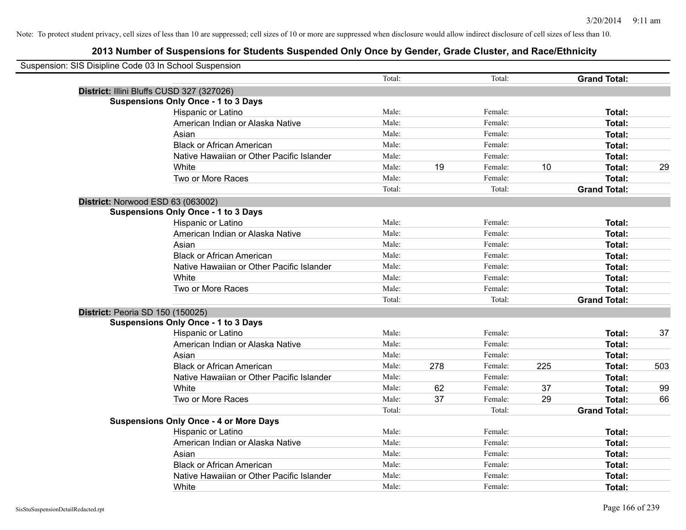| Suspension: SIS Disipline Code 03 In School Suspension |                                               |        |     |         |     |                     |     |
|--------------------------------------------------------|-----------------------------------------------|--------|-----|---------|-----|---------------------|-----|
|                                                        |                                               | Total: |     | Total:  |     | <b>Grand Total:</b> |     |
|                                                        | District: Illini Bluffs CUSD 327 (327026)     |        |     |         |     |                     |     |
|                                                        | <b>Suspensions Only Once - 1 to 3 Days</b>    |        |     |         |     |                     |     |
|                                                        | Hispanic or Latino                            | Male:  |     | Female: |     | Total:              |     |
|                                                        | American Indian or Alaska Native              | Male:  |     | Female: |     | Total:              |     |
|                                                        | Asian                                         | Male:  |     | Female: |     | Total:              |     |
|                                                        | <b>Black or African American</b>              | Male:  |     | Female: |     | Total:              |     |
|                                                        | Native Hawaiian or Other Pacific Islander     | Male:  |     | Female: |     | Total:              |     |
|                                                        | White                                         | Male:  | 19  | Female: | 10  | Total:              | 29  |
|                                                        | Two or More Races                             | Male:  |     | Female: |     | Total:              |     |
|                                                        |                                               | Total: |     | Total:  |     | <b>Grand Total:</b> |     |
| District: Norwood ESD 63 (063002)                      |                                               |        |     |         |     |                     |     |
|                                                        | <b>Suspensions Only Once - 1 to 3 Days</b>    |        |     |         |     |                     |     |
|                                                        | Hispanic or Latino                            | Male:  |     | Female: |     | Total:              |     |
|                                                        | American Indian or Alaska Native              | Male:  |     | Female: |     | Total:              |     |
|                                                        | Asian                                         | Male:  |     | Female: |     | Total:              |     |
|                                                        | <b>Black or African American</b>              | Male:  |     | Female: |     | Total:              |     |
|                                                        | Native Hawaiian or Other Pacific Islander     | Male:  |     | Female: |     | Total:              |     |
|                                                        | White                                         | Male:  |     | Female: |     | Total:              |     |
|                                                        | Two or More Races                             | Male:  |     | Female: |     | Total:              |     |
|                                                        |                                               | Total: |     | Total:  |     | <b>Grand Total:</b> |     |
| District: Peoria SD 150 (150025)                       |                                               |        |     |         |     |                     |     |
|                                                        | <b>Suspensions Only Once - 1 to 3 Days</b>    |        |     |         |     |                     |     |
|                                                        | Hispanic or Latino                            | Male:  |     | Female: |     | Total:              | 37  |
|                                                        | American Indian or Alaska Native              | Male:  |     | Female: |     | Total:              |     |
|                                                        | Asian                                         | Male:  |     | Female: |     | Total:              |     |
|                                                        | <b>Black or African American</b>              | Male:  | 278 | Female: | 225 | Total:              | 503 |
|                                                        | Native Hawaiian or Other Pacific Islander     | Male:  |     | Female: |     | Total:              |     |
|                                                        | White                                         | Male:  | 62  | Female: | 37  | Total:              | 99  |
|                                                        | Two or More Races                             | Male:  | 37  | Female: | 29  | Total:              | 66  |
|                                                        |                                               | Total: |     | Total:  |     | <b>Grand Total:</b> |     |
|                                                        | <b>Suspensions Only Once - 4 or More Days</b> |        |     |         |     |                     |     |
|                                                        | Hispanic or Latino                            | Male:  |     | Female: |     | Total:              |     |
|                                                        | American Indian or Alaska Native              | Male:  |     | Female: |     | Total:              |     |
|                                                        | Asian                                         | Male:  |     | Female: |     | Total:              |     |
|                                                        | <b>Black or African American</b>              | Male:  |     | Female: |     | Total:              |     |
|                                                        | Native Hawaiian or Other Pacific Islander     | Male:  |     | Female: |     | Total:              |     |
|                                                        | White                                         | Male:  |     | Female: |     | Total:              |     |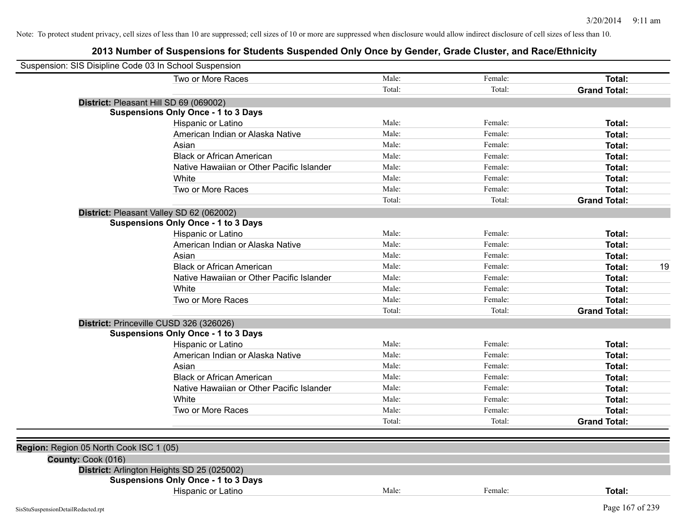| Suspension: SIS Disipline Code 03 In School Suspension |                                            |        |         |                     |    |
|--------------------------------------------------------|--------------------------------------------|--------|---------|---------------------|----|
|                                                        | Two or More Races                          | Male:  | Female: | <b>Total:</b>       |    |
|                                                        |                                            | Total: | Total:  | <b>Grand Total:</b> |    |
|                                                        | District: Pleasant Hill SD 69 (069002)     |        |         |                     |    |
|                                                        | <b>Suspensions Only Once - 1 to 3 Days</b> |        |         |                     |    |
|                                                        | Hispanic or Latino                         | Male:  | Female: | Total:              |    |
|                                                        | American Indian or Alaska Native           | Male:  | Female: | Total:              |    |
|                                                        | Asian                                      | Male:  | Female: | Total:              |    |
|                                                        | <b>Black or African American</b>           | Male:  | Female: | Total:              |    |
|                                                        | Native Hawaiian or Other Pacific Islander  | Male:  | Female: | Total:              |    |
|                                                        | White                                      | Male:  | Female: | Total:              |    |
|                                                        | Two or More Races                          | Male:  | Female: | Total:              |    |
|                                                        |                                            | Total: | Total:  | <b>Grand Total:</b> |    |
|                                                        | District: Pleasant Valley SD 62 (062002)   |        |         |                     |    |
|                                                        | <b>Suspensions Only Once - 1 to 3 Days</b> |        |         |                     |    |
|                                                        | Hispanic or Latino                         | Male:  | Female: | Total:              |    |
|                                                        | American Indian or Alaska Native           | Male:  | Female: | Total:              |    |
|                                                        | Asian                                      | Male:  | Female: | Total:              |    |
|                                                        | <b>Black or African American</b>           | Male:  | Female: | Total:              | 19 |
|                                                        | Native Hawaiian or Other Pacific Islander  | Male:  | Female: | Total:              |    |
|                                                        | White                                      | Male:  | Female: | Total:              |    |
|                                                        | Two or More Races                          | Male:  | Female: | Total:              |    |
|                                                        |                                            | Total: | Total:  | <b>Grand Total:</b> |    |
|                                                        | District: Princeville CUSD 326 (326026)    |        |         |                     |    |
|                                                        | <b>Suspensions Only Once - 1 to 3 Days</b> |        |         |                     |    |
|                                                        | Hispanic or Latino                         | Male:  | Female: | Total:              |    |
|                                                        | American Indian or Alaska Native           | Male:  | Female: | Total:              |    |
|                                                        | Asian                                      | Male:  | Female: | Total:              |    |
|                                                        | <b>Black or African American</b>           | Male:  | Female: | Total:              |    |
|                                                        | Native Hawaiian or Other Pacific Islander  | Male:  | Female: | Total:              |    |
|                                                        | White                                      | Male:  | Female: | Total:              |    |
|                                                        | Two or More Races                          | Male:  | Female: | Total:              |    |
|                                                        |                                            | Total: | Total:  | <b>Grand Total:</b> |    |
|                                                        |                                            |        |         |                     |    |
| Region: Region 05 North Cook ISC 1 (05)                |                                            |        |         |                     |    |
| County: Cook (016)                                     |                                            |        |         |                     |    |
|                                                        | District: Arlington Heights SD 25 (025002) |        |         |                     |    |
|                                                        | <b>Suspensions Only Once - 1 to 3 Days</b> |        |         |                     |    |
|                                                        | Hispanic or Latino                         | Male:  | Female: | Total:              |    |
| SisStuSuspensionDetailRedacted.rpt                     |                                            |        |         | Page 167 of 239     |    |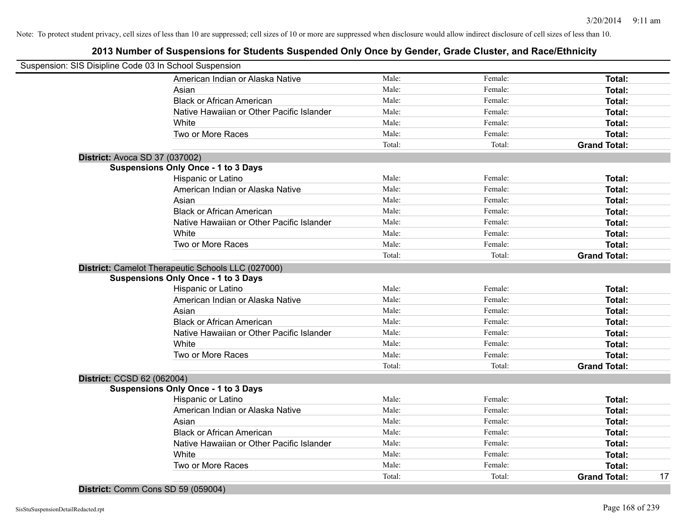|                                       | Suspension: SIS Disipline Code 03 In School Suspension |        |         |                     |    |
|---------------------------------------|--------------------------------------------------------|--------|---------|---------------------|----|
|                                       | American Indian or Alaska Native                       | Male:  | Female: | <b>Total:</b>       |    |
|                                       | Asian                                                  | Male:  | Female: | Total:              |    |
|                                       | <b>Black or African American</b>                       | Male:  | Female: | Total:              |    |
|                                       | Native Hawaiian or Other Pacific Islander              | Male:  | Female: | Total:              |    |
|                                       | White                                                  | Male:  | Female: | Total:              |    |
|                                       | Two or More Races                                      | Male:  | Female: | Total:              |    |
|                                       |                                                        | Total: | Total:  | <b>Grand Total:</b> |    |
| <b>District: Avoca SD 37 (037002)</b> |                                                        |        |         |                     |    |
|                                       | <b>Suspensions Only Once - 1 to 3 Days</b>             |        |         |                     |    |
|                                       | Hispanic or Latino                                     | Male:  | Female: | Total:              |    |
|                                       | American Indian or Alaska Native                       | Male:  | Female: | Total:              |    |
|                                       | Asian                                                  | Male:  | Female: | Total:              |    |
|                                       | <b>Black or African American</b>                       | Male:  | Female: | Total:              |    |
|                                       | Native Hawaiian or Other Pacific Islander              | Male:  | Female: | Total:              |    |
|                                       | White                                                  | Male:  | Female: | Total:              |    |
|                                       | Two or More Races                                      | Male:  | Female: | Total:              |    |
|                                       |                                                        | Total: | Total:  | <b>Grand Total:</b> |    |
|                                       | District: Camelot Therapeutic Schools LLC (027000)     |        |         |                     |    |
|                                       | <b>Suspensions Only Once - 1 to 3 Days</b>             |        |         |                     |    |
|                                       | Hispanic or Latino                                     | Male:  | Female: | Total:              |    |
|                                       | American Indian or Alaska Native                       | Male:  | Female: | Total:              |    |
|                                       | Asian                                                  | Male:  | Female: | Total:              |    |
|                                       | <b>Black or African American</b>                       | Male:  | Female: | Total:              |    |
|                                       | Native Hawaiian or Other Pacific Islander              | Male:  | Female: | Total:              |    |
|                                       | White                                                  | Male:  | Female: | Total:              |    |
|                                       | Two or More Races                                      | Male:  | Female: | Total:              |    |
|                                       |                                                        | Total: | Total:  | <b>Grand Total:</b> |    |
| District: CCSD 62 (062004)            |                                                        |        |         |                     |    |
|                                       | <b>Suspensions Only Once - 1 to 3 Days</b>             |        |         |                     |    |
|                                       | Hispanic or Latino                                     | Male:  | Female: | Total:              |    |
|                                       | American Indian or Alaska Native                       | Male:  | Female: | Total:              |    |
|                                       | Asian                                                  | Male:  | Female: | Total:              |    |
|                                       | <b>Black or African American</b>                       | Male:  | Female: | Total:              |    |
|                                       | Native Hawaiian or Other Pacific Islander              | Male:  | Female: | Total:              |    |
|                                       | White                                                  | Male:  | Female: | Total:              |    |
|                                       | Two or More Races                                      | Male:  | Female: | Total:              |    |
|                                       |                                                        | Total: | Total:  | <b>Grand Total:</b> | 17 |
|                                       |                                                        |        |         |                     |    |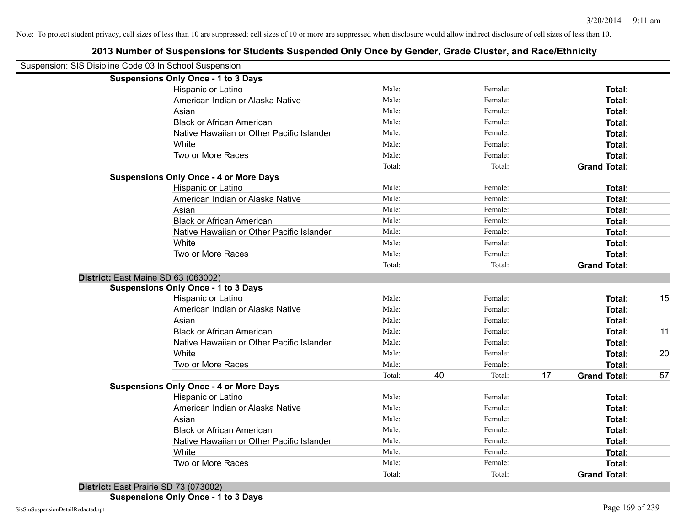| Suspension: SIS Disipline Code 03 In School Suspension |                                               |        |    |         |    |                     |    |
|--------------------------------------------------------|-----------------------------------------------|--------|----|---------|----|---------------------|----|
|                                                        | <b>Suspensions Only Once - 1 to 3 Days</b>    |        |    |         |    |                     |    |
|                                                        | Hispanic or Latino                            | Male:  |    | Female: |    | Total:              |    |
|                                                        | American Indian or Alaska Native              | Male:  |    | Female: |    | Total:              |    |
|                                                        | Asian                                         | Male:  |    | Female: |    | Total:              |    |
|                                                        | <b>Black or African American</b>              | Male:  |    | Female: |    | Total:              |    |
|                                                        | Native Hawaiian or Other Pacific Islander     | Male:  |    | Female: |    | Total:              |    |
|                                                        | White                                         | Male:  |    | Female: |    | Total:              |    |
|                                                        | Two or More Races                             | Male:  |    | Female: |    | Total:              |    |
|                                                        |                                               | Total: |    | Total:  |    | <b>Grand Total:</b> |    |
|                                                        | <b>Suspensions Only Once - 4 or More Days</b> |        |    |         |    |                     |    |
|                                                        | Hispanic or Latino                            | Male:  |    | Female: |    | Total:              |    |
|                                                        | American Indian or Alaska Native              | Male:  |    | Female: |    | Total:              |    |
|                                                        | Asian                                         | Male:  |    | Female: |    | Total:              |    |
|                                                        | <b>Black or African American</b>              | Male:  |    | Female: |    | Total:              |    |
|                                                        | Native Hawaiian or Other Pacific Islander     | Male:  |    | Female: |    | Total:              |    |
|                                                        | White                                         | Male:  |    | Female: |    | Total:              |    |
|                                                        | Two or More Races                             | Male:  |    | Female: |    | Total:              |    |
|                                                        |                                               | Total: |    | Total:  |    | <b>Grand Total:</b> |    |
| District: East Maine SD 63 (063002)                    |                                               |        |    |         |    |                     |    |
|                                                        | <b>Suspensions Only Once - 1 to 3 Days</b>    |        |    |         |    |                     |    |
|                                                        | Hispanic or Latino                            | Male:  |    | Female: |    | Total:              | 15 |
|                                                        | American Indian or Alaska Native              | Male:  |    | Female: |    | <b>Total:</b>       |    |
|                                                        | Asian                                         | Male:  |    | Female: |    | Total:              |    |
|                                                        | <b>Black or African American</b>              | Male:  |    | Female: |    | Total:              | 11 |
|                                                        | Native Hawaiian or Other Pacific Islander     | Male:  |    | Female: |    | Total:              |    |
|                                                        | White                                         | Male:  |    | Female: |    | Total:              | 20 |
|                                                        | Two or More Races                             | Male:  |    | Female: |    | Total:              |    |
|                                                        |                                               | Total: | 40 | Total:  | 17 | <b>Grand Total:</b> | 57 |
|                                                        | <b>Suspensions Only Once - 4 or More Days</b> |        |    |         |    |                     |    |
|                                                        | Hispanic or Latino                            | Male:  |    | Female: |    | Total:              |    |
|                                                        | American Indian or Alaska Native              | Male:  |    | Female: |    | Total:              |    |
|                                                        | Asian                                         | Male:  |    | Female: |    | Total:              |    |
|                                                        | <b>Black or African American</b>              | Male:  |    | Female: |    | Total:              |    |
|                                                        | Native Hawaiian or Other Pacific Islander     | Male:  |    | Female: |    | Total:              |    |
|                                                        | White                                         | Male:  |    | Female: |    | Total:              |    |
|                                                        | Two or More Races                             | Male:  |    | Female: |    | Total:              |    |
|                                                        |                                               | Total: |    | Total:  |    | <b>Grand Total:</b> |    |
|                                                        |                                               |        |    |         |    |                     |    |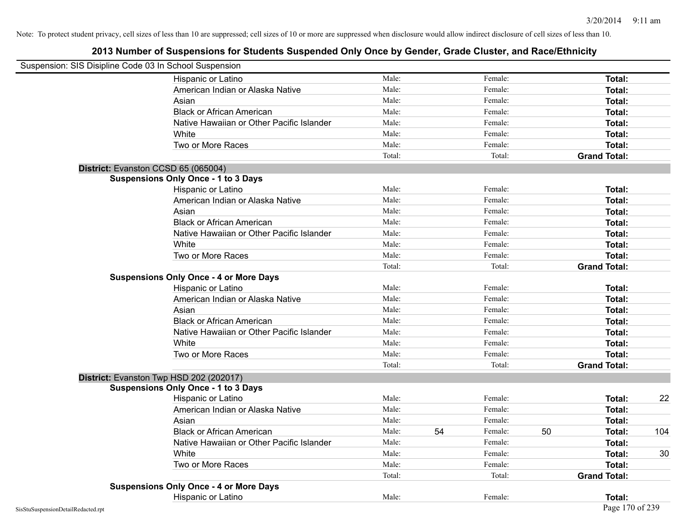| Suspension: SIS Disipline Code 03 In School Suspension |                                               |        |    |         |    |                     |     |
|--------------------------------------------------------|-----------------------------------------------|--------|----|---------|----|---------------------|-----|
|                                                        | Hispanic or Latino                            | Male:  |    | Female: |    | <b>Total:</b>       |     |
|                                                        | American Indian or Alaska Native              | Male:  |    | Female: |    | <b>Total:</b>       |     |
|                                                        | Asian                                         | Male:  |    | Female: |    | <b>Total:</b>       |     |
|                                                        | <b>Black or African American</b>              | Male:  |    | Female: |    | Total:              |     |
|                                                        | Native Hawaiian or Other Pacific Islander     | Male:  |    | Female: |    | Total:              |     |
|                                                        | White                                         | Male:  |    | Female: |    | <b>Total:</b>       |     |
|                                                        | Two or More Races                             | Male:  |    | Female: |    | Total:              |     |
|                                                        |                                               | Total: |    | Total:  |    | <b>Grand Total:</b> |     |
| District: Evanston CCSD 65 (065004)                    |                                               |        |    |         |    |                     |     |
|                                                        | <b>Suspensions Only Once - 1 to 3 Days</b>    |        |    |         |    |                     |     |
|                                                        | Hispanic or Latino                            | Male:  |    | Female: |    | Total:              |     |
|                                                        | American Indian or Alaska Native              | Male:  |    | Female: |    | <b>Total:</b>       |     |
|                                                        | Asian                                         | Male:  |    | Female: |    | Total:              |     |
|                                                        | <b>Black or African American</b>              | Male:  |    | Female: |    | Total:              |     |
|                                                        | Native Hawaiian or Other Pacific Islander     | Male:  |    | Female: |    | Total:              |     |
|                                                        | White                                         | Male:  |    | Female: |    | <b>Total:</b>       |     |
|                                                        | Two or More Races                             | Male:  |    | Female: |    | Total:              |     |
|                                                        |                                               | Total: |    | Total:  |    | <b>Grand Total:</b> |     |
|                                                        | <b>Suspensions Only Once - 4 or More Days</b> |        |    |         |    |                     |     |
|                                                        | Hispanic or Latino                            | Male:  |    | Female: |    | Total:              |     |
|                                                        | American Indian or Alaska Native              | Male:  |    | Female: |    | <b>Total:</b>       |     |
|                                                        | Asian                                         | Male:  |    | Female: |    | Total:              |     |
|                                                        | <b>Black or African American</b>              | Male:  |    | Female: |    | Total:              |     |
|                                                        | Native Hawaiian or Other Pacific Islander     | Male:  |    | Female: |    | <b>Total:</b>       |     |
|                                                        | White                                         | Male:  |    | Female: |    | <b>Total:</b>       |     |
|                                                        | Two or More Races                             | Male:  |    | Female: |    | Total:              |     |
|                                                        |                                               | Total: |    | Total:  |    | <b>Grand Total:</b> |     |
|                                                        | District: Evanston Twp HSD 202 (202017)       |        |    |         |    |                     |     |
|                                                        | <b>Suspensions Only Once - 1 to 3 Days</b>    |        |    |         |    |                     |     |
|                                                        | Hispanic or Latino                            | Male:  |    | Female: |    | <b>Total:</b>       | 22  |
|                                                        | American Indian or Alaska Native              | Male:  |    | Female: |    | <b>Total:</b>       |     |
|                                                        | Asian                                         | Male:  |    | Female: |    | Total:              |     |
|                                                        | <b>Black or African American</b>              | Male:  | 54 | Female: | 50 | Total:              | 104 |
|                                                        | Native Hawaiian or Other Pacific Islander     | Male:  |    | Female: |    | <b>Total:</b>       |     |
|                                                        | White                                         | Male:  |    | Female: |    | <b>Total:</b>       | 30  |
|                                                        | Two or More Races                             | Male:  |    | Female: |    | Total:              |     |
|                                                        |                                               | Total: |    | Total:  |    | <b>Grand Total:</b> |     |
|                                                        | <b>Suspensions Only Once - 4 or More Days</b> |        |    |         |    |                     |     |
|                                                        | Hispanic or Latino                            | Male:  |    | Female: |    | Total:              |     |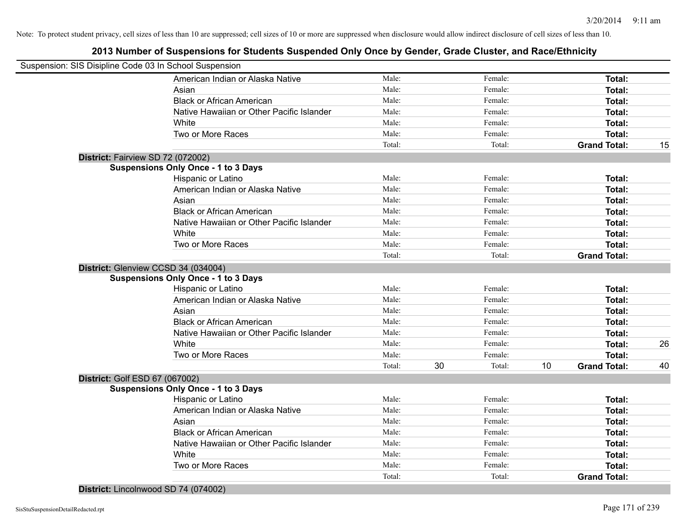## **2013 Number of Suspensions for Students Suspended Only Once by Gender, Grade Cluster, and Race/Ethnicity**

|                                   | Suspension: SIS Disipline Code 03 In School Suspension |        |    |         |    |                     |    |
|-----------------------------------|--------------------------------------------------------|--------|----|---------|----|---------------------|----|
|                                   | American Indian or Alaska Native                       | Male:  |    | Female: |    | Total:              |    |
|                                   | Asian                                                  | Male:  |    | Female: |    | Total:              |    |
|                                   | <b>Black or African American</b>                       | Male:  |    | Female: |    | Total:              |    |
|                                   | Native Hawaiian or Other Pacific Islander              | Male:  |    | Female: |    | Total:              |    |
|                                   | White                                                  | Male:  |    | Female: |    | Total:              |    |
|                                   | Two or More Races                                      | Male:  |    | Female: |    | Total:              |    |
|                                   |                                                        | Total: |    | Total:  |    | <b>Grand Total:</b> | 15 |
| District: Fairview SD 72 (072002) |                                                        |        |    |         |    |                     |    |
|                                   | <b>Suspensions Only Once - 1 to 3 Days</b>             |        |    |         |    |                     |    |
|                                   | Hispanic or Latino                                     | Male:  |    | Female: |    | Total:              |    |
|                                   | American Indian or Alaska Native                       | Male:  |    | Female: |    | Total:              |    |
|                                   | Asian                                                  | Male:  |    | Female: |    | Total:              |    |
|                                   | <b>Black or African American</b>                       | Male:  |    | Female: |    | Total:              |    |
|                                   | Native Hawaiian or Other Pacific Islander              | Male:  |    | Female: |    | Total:              |    |
|                                   | White                                                  | Male:  |    | Female: |    | Total:              |    |
|                                   | Two or More Races                                      | Male:  |    | Female: |    | Total:              |    |
|                                   |                                                        | Total: |    | Total:  |    | <b>Grand Total:</b> |    |
|                                   | District: Glenview CCSD 34 (034004)                    |        |    |         |    |                     |    |
|                                   | <b>Suspensions Only Once - 1 to 3 Days</b>             |        |    |         |    |                     |    |
|                                   | Hispanic or Latino                                     | Male:  |    | Female: |    | Total:              |    |
|                                   | American Indian or Alaska Native                       | Male:  |    | Female: |    | Total:              |    |
|                                   | Asian                                                  | Male:  |    | Female: |    | Total:              |    |
|                                   | <b>Black or African American</b>                       | Male:  |    | Female: |    | Total:              |    |
|                                   | Native Hawaiian or Other Pacific Islander              | Male:  |    | Female: |    | Total:              |    |
|                                   | White                                                  | Male:  |    | Female: |    | Total:              | 26 |
|                                   | Two or More Races                                      | Male:  |    | Female: |    | Total:              |    |
|                                   |                                                        | Total: | 30 | Total:  | 10 | <b>Grand Total:</b> | 40 |
| District: Golf ESD 67 (067002)    |                                                        |        |    |         |    |                     |    |
|                                   | <b>Suspensions Only Once - 1 to 3 Days</b>             |        |    |         |    |                     |    |
|                                   | Hispanic or Latino                                     | Male:  |    | Female: |    | Total:              |    |
|                                   | American Indian or Alaska Native                       | Male:  |    | Female: |    | Total:              |    |
|                                   | Asian                                                  | Male:  |    | Female: |    | Total:              |    |
|                                   | <b>Black or African American</b>                       | Male:  |    | Female: |    | Total:              |    |
|                                   | Native Hawaiian or Other Pacific Islander              | Male:  |    | Female: |    | Total:              |    |
|                                   | White                                                  | Male:  |    | Female: |    | Total:              |    |
|                                   | Two or More Races                                      | Male:  |    | Female: |    | Total:              |    |
|                                   |                                                        | Total: |    | Total:  |    | <b>Grand Total:</b> |    |
|                                   |                                                        |        |    |         |    |                     |    |

**District:** Lincolnwood SD 74 (074002)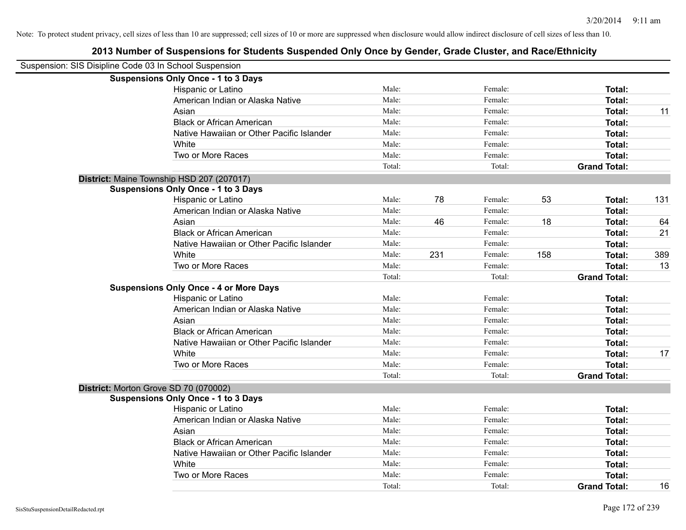| Suspension: SIS Disipline Code 03 In School Suspension |                                               |        |     |         |     |                     |     |
|--------------------------------------------------------|-----------------------------------------------|--------|-----|---------|-----|---------------------|-----|
|                                                        | <b>Suspensions Only Once - 1 to 3 Days</b>    |        |     |         |     |                     |     |
|                                                        | Hispanic or Latino                            | Male:  |     | Female: |     | Total:              |     |
|                                                        | American Indian or Alaska Native              | Male:  |     | Female: |     | Total:              |     |
|                                                        | Asian                                         | Male:  |     | Female: |     | Total:              | 11  |
|                                                        | <b>Black or African American</b>              | Male:  |     | Female: |     | Total:              |     |
|                                                        | Native Hawaiian or Other Pacific Islander     | Male:  |     | Female: |     | Total:              |     |
|                                                        | White                                         | Male:  |     | Female: |     | Total:              |     |
|                                                        | Two or More Races                             | Male:  |     | Female: |     | Total:              |     |
|                                                        |                                               | Total: |     | Total:  |     | <b>Grand Total:</b> |     |
| District: Maine Township HSD 207 (207017)              |                                               |        |     |         |     |                     |     |
|                                                        | <b>Suspensions Only Once - 1 to 3 Days</b>    |        |     |         |     |                     |     |
|                                                        | Hispanic or Latino                            | Male:  | 78  | Female: | 53  | Total:              | 131 |
|                                                        | American Indian or Alaska Native              | Male:  |     | Female: |     | Total:              |     |
|                                                        | Asian                                         | Male:  | 46  | Female: | 18  | Total:              | 64  |
|                                                        | <b>Black or African American</b>              | Male:  |     | Female: |     | Total:              | 21  |
|                                                        | Native Hawaiian or Other Pacific Islander     | Male:  |     | Female: |     | Total:              |     |
|                                                        | White                                         | Male:  | 231 | Female: | 158 | Total:              | 389 |
|                                                        | Two or More Races                             | Male:  |     | Female: |     | Total:              | 13  |
|                                                        |                                               | Total: |     | Total:  |     | <b>Grand Total:</b> |     |
|                                                        | <b>Suspensions Only Once - 4 or More Days</b> |        |     |         |     |                     |     |
|                                                        | Hispanic or Latino                            | Male:  |     | Female: |     | Total:              |     |
|                                                        | American Indian or Alaska Native              | Male:  |     | Female: |     | Total:              |     |
|                                                        | Asian                                         | Male:  |     | Female: |     | Total:              |     |
|                                                        | <b>Black or African American</b>              | Male:  |     | Female: |     | Total:              |     |
|                                                        | Native Hawaiian or Other Pacific Islander     | Male:  |     | Female: |     | Total:              |     |
|                                                        | White                                         | Male:  |     | Female: |     | Total:              | 17  |
|                                                        | Two or More Races                             | Male:  |     | Female: |     | Total:              |     |
|                                                        |                                               | Total: |     | Total:  |     | <b>Grand Total:</b> |     |
| District: Morton Grove SD 70 (070002)                  |                                               |        |     |         |     |                     |     |
|                                                        | <b>Suspensions Only Once - 1 to 3 Days</b>    |        |     |         |     |                     |     |
|                                                        | Hispanic or Latino                            | Male:  |     | Female: |     | Total:              |     |
|                                                        | American Indian or Alaska Native              | Male:  |     | Female: |     | Total:              |     |
|                                                        | Asian                                         | Male:  |     | Female: |     | Total:              |     |
|                                                        | <b>Black or African American</b>              | Male:  |     | Female: |     | Total:              |     |
|                                                        | Native Hawaiian or Other Pacific Islander     | Male:  |     | Female: |     | Total:              |     |
|                                                        | White                                         | Male:  |     | Female: |     | Total:              |     |
|                                                        | Two or More Races                             | Male:  |     | Female: |     | Total:              |     |
|                                                        |                                               | Total: |     | Total:  |     | <b>Grand Total:</b> | 16  |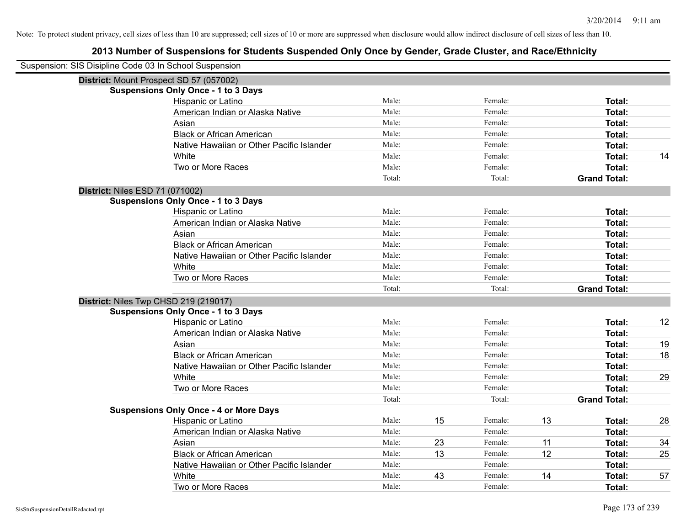| Suspension: SIS Disipline Code 03 In School Suspension |                                               |        |    |         |    |                     |    |
|--------------------------------------------------------|-----------------------------------------------|--------|----|---------|----|---------------------|----|
|                                                        | District: Mount Prospect SD 57 (057002)       |        |    |         |    |                     |    |
|                                                        | <b>Suspensions Only Once - 1 to 3 Days</b>    |        |    |         |    |                     |    |
|                                                        | Hispanic or Latino                            | Male:  |    | Female: |    | Total:              |    |
|                                                        | American Indian or Alaska Native              | Male:  |    | Female: |    | Total:              |    |
|                                                        | Asian                                         | Male:  |    | Female: |    | Total:              |    |
|                                                        | <b>Black or African American</b>              | Male:  |    | Female: |    | Total:              |    |
|                                                        | Native Hawaiian or Other Pacific Islander     | Male:  |    | Female: |    | Total:              |    |
|                                                        | White                                         | Male:  |    | Female: |    | Total:              | 14 |
|                                                        | Two or More Races                             | Male:  |    | Female: |    | <b>Total:</b>       |    |
|                                                        |                                               | Total: |    | Total:  |    | <b>Grand Total:</b> |    |
| District: Niles ESD 71 (071002)                        |                                               |        |    |         |    |                     |    |
|                                                        | <b>Suspensions Only Once - 1 to 3 Days</b>    |        |    |         |    |                     |    |
|                                                        | Hispanic or Latino                            | Male:  |    | Female: |    | Total:              |    |
|                                                        | American Indian or Alaska Native              | Male:  |    | Female: |    | Total:              |    |
|                                                        | Asian                                         | Male:  |    | Female: |    | Total:              |    |
|                                                        | <b>Black or African American</b>              | Male:  |    | Female: |    | Total:              |    |
|                                                        | Native Hawaiian or Other Pacific Islander     | Male:  |    | Female: |    | Total:              |    |
|                                                        | White                                         | Male:  |    | Female: |    | Total:              |    |
|                                                        | Two or More Races                             | Male:  |    | Female: |    | Total:              |    |
|                                                        |                                               | Total: |    | Total:  |    | <b>Grand Total:</b> |    |
|                                                        | District: Niles Twp CHSD 219 (219017)         |        |    |         |    |                     |    |
|                                                        | <b>Suspensions Only Once - 1 to 3 Days</b>    |        |    |         |    |                     |    |
|                                                        | Hispanic or Latino                            | Male:  |    | Female: |    | Total:              | 12 |
|                                                        | American Indian or Alaska Native              | Male:  |    | Female: |    | Total:              |    |
|                                                        | Asian                                         | Male:  |    | Female: |    | Total:              | 19 |
|                                                        | <b>Black or African American</b>              | Male:  |    | Female: |    | Total:              | 18 |
|                                                        | Native Hawaiian or Other Pacific Islander     | Male:  |    | Female: |    | Total:              |    |
|                                                        | White                                         | Male:  |    | Female: |    | Total:              | 29 |
|                                                        | Two or More Races                             | Male:  |    | Female: |    | <b>Total:</b>       |    |
|                                                        |                                               | Total: |    | Total:  |    | <b>Grand Total:</b> |    |
|                                                        | <b>Suspensions Only Once - 4 or More Days</b> |        |    |         |    |                     |    |
|                                                        | Hispanic or Latino                            | Male:  | 15 | Female: | 13 | Total:              | 28 |
|                                                        | American Indian or Alaska Native              | Male:  |    | Female: |    | Total:              |    |
|                                                        | Asian                                         | Male:  | 23 | Female: | 11 | Total:              | 34 |
|                                                        | <b>Black or African American</b>              | Male:  | 13 | Female: | 12 | Total:              | 25 |
|                                                        | Native Hawaiian or Other Pacific Islander     | Male:  |    | Female: |    | Total:              |    |
|                                                        | White                                         | Male:  | 43 | Female: | 14 | Total:              | 57 |
|                                                        | Two or More Races                             | Male:  |    | Female: |    | Total:              |    |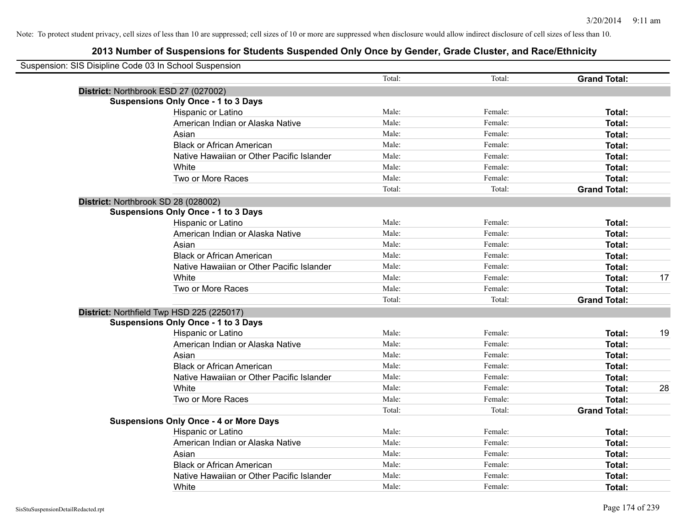| Suspension: SIS Disipline Code 03 In School Suspension |                                               |        |         |                     |    |
|--------------------------------------------------------|-----------------------------------------------|--------|---------|---------------------|----|
|                                                        |                                               | Total: | Total:  | <b>Grand Total:</b> |    |
|                                                        | District: Northbrook ESD 27 (027002)          |        |         |                     |    |
|                                                        | <b>Suspensions Only Once - 1 to 3 Days</b>    |        |         |                     |    |
|                                                        | Hispanic or Latino                            | Male:  | Female: | Total:              |    |
|                                                        | American Indian or Alaska Native              | Male:  | Female: | Total:              |    |
|                                                        | Asian                                         | Male:  | Female: | Total:              |    |
|                                                        | <b>Black or African American</b>              | Male:  | Female: | Total:              |    |
|                                                        | Native Hawaiian or Other Pacific Islander     | Male:  | Female: | Total:              |    |
|                                                        | White                                         | Male:  | Female: | Total:              |    |
|                                                        | Two or More Races                             | Male:  | Female: | Total:              |    |
|                                                        |                                               | Total: | Total:  | <b>Grand Total:</b> |    |
|                                                        | District: Northbrook SD 28 (028002)           |        |         |                     |    |
|                                                        | <b>Suspensions Only Once - 1 to 3 Days</b>    |        |         |                     |    |
|                                                        | Hispanic or Latino                            | Male:  | Female: | Total:              |    |
|                                                        | American Indian or Alaska Native              | Male:  | Female: | Total:              |    |
|                                                        | Asian                                         | Male:  | Female: | Total:              |    |
|                                                        | <b>Black or African American</b>              | Male:  | Female: | Total:              |    |
|                                                        | Native Hawaiian or Other Pacific Islander     | Male:  | Female: | Total:              |    |
|                                                        | White                                         | Male:  | Female: | Total:              | 17 |
|                                                        | Two or More Races                             | Male:  | Female: | Total:              |    |
|                                                        |                                               | Total: | Total:  | <b>Grand Total:</b> |    |
|                                                        | District: Northfield Twp HSD 225 (225017)     |        |         |                     |    |
|                                                        | <b>Suspensions Only Once - 1 to 3 Days</b>    |        |         |                     |    |
|                                                        | Hispanic or Latino                            | Male:  | Female: | Total:              | 19 |
|                                                        | American Indian or Alaska Native              | Male:  | Female: | Total:              |    |
|                                                        | Asian                                         | Male:  | Female: | Total:              |    |
|                                                        | <b>Black or African American</b>              | Male:  | Female: | Total:              |    |
|                                                        | Native Hawaiian or Other Pacific Islander     | Male:  | Female: | Total:              |    |
|                                                        | White                                         | Male:  | Female: | Total:              | 28 |
|                                                        | Two or More Races                             | Male:  | Female: | Total:              |    |
|                                                        |                                               | Total: | Total:  | <b>Grand Total:</b> |    |
|                                                        | <b>Suspensions Only Once - 4 or More Days</b> |        |         |                     |    |
|                                                        | Hispanic or Latino                            | Male:  | Female: | Total:              |    |
|                                                        | American Indian or Alaska Native              | Male:  | Female: | Total:              |    |
|                                                        | Asian                                         | Male:  | Female: | Total:              |    |
|                                                        | <b>Black or African American</b>              | Male:  | Female: | Total:              |    |
|                                                        | Native Hawaiian or Other Pacific Islander     | Male:  | Female: | Total:              |    |
|                                                        | White                                         | Male:  | Female: | Total:              |    |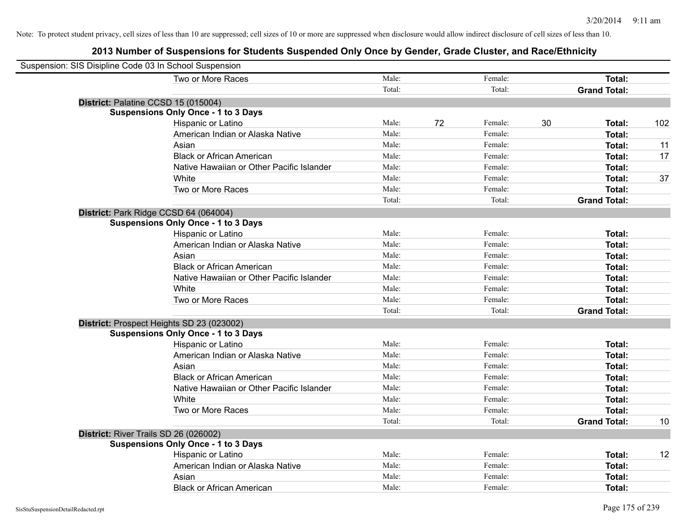| Suspension: SIS Disipline Code 03 In School Suspension |        |    |         |    |                     |     |
|--------------------------------------------------------|--------|----|---------|----|---------------------|-----|
| Two or More Races                                      | Male:  |    | Female: |    | Total:              |     |
|                                                        | Total: |    | Total:  |    | <b>Grand Total:</b> |     |
| District: Palatine CCSD 15 (015004)                    |        |    |         |    |                     |     |
| <b>Suspensions Only Once - 1 to 3 Days</b>             |        |    |         |    |                     |     |
| Hispanic or Latino                                     | Male:  | 72 | Female: | 30 | Total:              | 102 |
| American Indian or Alaska Native                       | Male:  |    | Female: |    | Total:              |     |
| Asian                                                  | Male:  |    | Female: |    | Total:              | 11  |
| <b>Black or African American</b>                       | Male:  |    | Female: |    | Total:              | 17  |
| Native Hawaiian or Other Pacific Islander              | Male:  |    | Female: |    | Total:              |     |
| White                                                  | Male:  |    | Female: |    | Total:              | 37  |
| Two or More Races                                      | Male:  |    | Female: |    | Total:              |     |
|                                                        | Total: |    | Total:  |    | <b>Grand Total:</b> |     |
| District: Park Ridge CCSD 64 (064004)                  |        |    |         |    |                     |     |
| <b>Suspensions Only Once - 1 to 3 Days</b>             |        |    |         |    |                     |     |
| Hispanic or Latino                                     | Male:  |    | Female: |    | Total:              |     |
| American Indian or Alaska Native                       | Male:  |    | Female: |    | Total:              |     |
| Asian                                                  | Male:  |    | Female: |    | Total:              |     |
| <b>Black or African American</b>                       | Male:  |    | Female: |    | Total:              |     |
| Native Hawaiian or Other Pacific Islander              | Male:  |    | Female: |    | Total:              |     |
| White                                                  | Male:  |    | Female: |    | Total:              |     |
| Two or More Races                                      | Male:  |    | Female: |    | Total:              |     |
|                                                        | Total: |    | Total:  |    | <b>Grand Total:</b> |     |
| District: Prospect Heights SD 23 (023002)              |        |    |         |    |                     |     |
| <b>Suspensions Only Once - 1 to 3 Days</b>             |        |    |         |    |                     |     |
| Hispanic or Latino                                     | Male:  |    | Female: |    | Total:              |     |
| American Indian or Alaska Native                       | Male:  |    | Female: |    | Total:              |     |
| Asian                                                  | Male:  |    | Female: |    | Total:              |     |
| <b>Black or African American</b>                       | Male:  |    | Female: |    | Total:              |     |
| Native Hawaiian or Other Pacific Islander              | Male:  |    | Female: |    | Total:              |     |
| White                                                  | Male:  |    | Female: |    | Total:              |     |
| Two or More Races                                      | Male:  |    | Female: |    | Total:              |     |
|                                                        | Total: |    | Total:  |    | <b>Grand Total:</b> | 10  |
| District: River Trails SD 26 (026002)                  |        |    |         |    |                     |     |
| <b>Suspensions Only Once - 1 to 3 Days</b>             |        |    |         |    |                     |     |
| Hispanic or Latino                                     | Male:  |    | Female: |    | Total:              | 12  |
| American Indian or Alaska Native                       | Male:  |    | Female: |    | Total:              |     |
| Asian                                                  | Male:  |    | Female: |    | Total:              |     |
| <b>Black or African American</b>                       | Male:  |    | Female: |    | Total:              |     |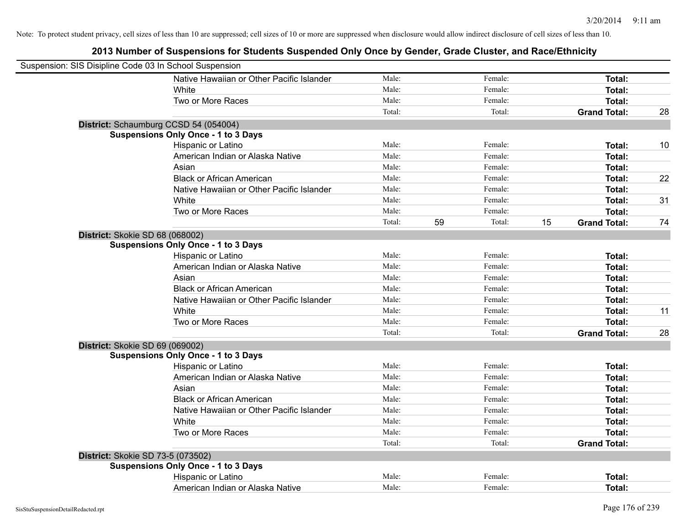| Suspension: SIS Disipline Code 03 In School Suspension |                                            |        |    |         |    |                     |    |
|--------------------------------------------------------|--------------------------------------------|--------|----|---------|----|---------------------|----|
|                                                        | Native Hawaiian or Other Pacific Islander  | Male:  |    | Female: |    | Total:              |    |
|                                                        | White                                      | Male:  |    | Female: |    | Total:              |    |
|                                                        | Two or More Races                          | Male:  |    | Female: |    | <b>Total:</b>       |    |
|                                                        |                                            | Total: |    | Total:  |    | <b>Grand Total:</b> | 28 |
|                                                        | District: Schaumburg CCSD 54 (054004)      |        |    |         |    |                     |    |
|                                                        | <b>Suspensions Only Once - 1 to 3 Days</b> |        |    |         |    |                     |    |
|                                                        | Hispanic or Latino                         | Male:  |    | Female: |    | Total:              | 10 |
|                                                        | American Indian or Alaska Native           | Male:  |    | Female: |    | Total:              |    |
|                                                        | Asian                                      | Male:  |    | Female: |    | Total:              |    |
|                                                        | <b>Black or African American</b>           | Male:  |    | Female: |    | Total:              | 22 |
|                                                        | Native Hawaiian or Other Pacific Islander  | Male:  |    | Female: |    | <b>Total:</b>       |    |
|                                                        | White                                      | Male:  |    | Female: |    | Total:              | 31 |
|                                                        | Two or More Races                          | Male:  |    | Female: |    | <b>Total:</b>       |    |
|                                                        |                                            | Total: | 59 | Total:  | 15 | <b>Grand Total:</b> | 74 |
| District: Skokie SD 68 (068002)                        |                                            |        |    |         |    |                     |    |
|                                                        | <b>Suspensions Only Once - 1 to 3 Days</b> |        |    |         |    |                     |    |
|                                                        | Hispanic or Latino                         | Male:  |    | Female: |    | Total:              |    |
|                                                        | American Indian or Alaska Native           | Male:  |    | Female: |    | <b>Total:</b>       |    |
|                                                        | Asian                                      | Male:  |    | Female: |    | Total:              |    |
|                                                        | <b>Black or African American</b>           | Male:  |    | Female: |    | Total:              |    |
|                                                        | Native Hawaiian or Other Pacific Islander  | Male:  |    | Female: |    | Total:              |    |
|                                                        | White                                      | Male:  |    | Female: |    | <b>Total:</b>       | 11 |
|                                                        | Two or More Races                          | Male:  |    | Female: |    | Total:              |    |
|                                                        |                                            | Total: |    | Total:  |    | <b>Grand Total:</b> | 28 |
| District: Skokie SD 69 (069002)                        |                                            |        |    |         |    |                     |    |
|                                                        | <b>Suspensions Only Once - 1 to 3 Days</b> |        |    |         |    |                     |    |
|                                                        | Hispanic or Latino                         | Male:  |    | Female: |    | <b>Total:</b>       |    |
|                                                        | American Indian or Alaska Native           | Male:  |    | Female: |    | Total:              |    |
|                                                        | Asian                                      | Male:  |    | Female: |    | Total:              |    |
|                                                        | <b>Black or African American</b>           | Male:  |    | Female: |    | Total:              |    |
|                                                        | Native Hawaiian or Other Pacific Islander  | Male:  |    | Female: |    | Total:              |    |
|                                                        | White                                      | Male:  |    | Female: |    | Total:              |    |
|                                                        | Two or More Races                          | Male:  |    | Female: |    | Total:              |    |
|                                                        |                                            | Total: |    | Total:  |    | <b>Grand Total:</b> |    |
| District: Skokie SD 73-5 (073502)                      |                                            |        |    |         |    |                     |    |
|                                                        | <b>Suspensions Only Once - 1 to 3 Days</b> |        |    |         |    |                     |    |
|                                                        | Hispanic or Latino                         | Male:  |    | Female: |    | <b>Total:</b>       |    |
|                                                        | American Indian or Alaska Native           | Male:  |    | Female: |    | Total:              |    |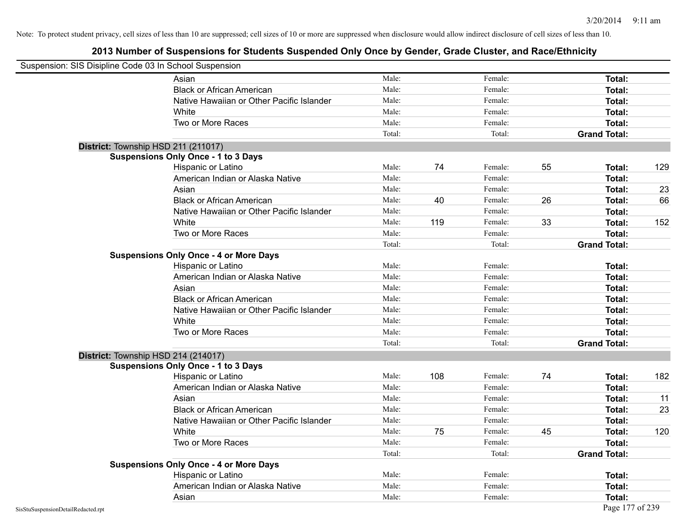|                                    | Suspension: SIS Disipline Code 03 In School Suspension |        |     |         |    |                     |     |
|------------------------------------|--------------------------------------------------------|--------|-----|---------|----|---------------------|-----|
|                                    | Asian                                                  | Male:  |     | Female: |    | <b>Total:</b>       |     |
|                                    | <b>Black or African American</b>                       | Male:  |     | Female: |    | Total:              |     |
|                                    | Native Hawaiian or Other Pacific Islander              | Male:  |     | Female: |    | Total:              |     |
|                                    | White                                                  | Male:  |     | Female: |    | Total:              |     |
|                                    | Two or More Races                                      | Male:  |     | Female: |    | <b>Total:</b>       |     |
|                                    |                                                        | Total: |     | Total:  |    | <b>Grand Total:</b> |     |
|                                    | District: Township HSD 211 (211017)                    |        |     |         |    |                     |     |
|                                    | <b>Suspensions Only Once - 1 to 3 Days</b>             |        |     |         |    |                     |     |
|                                    | Hispanic or Latino                                     | Male:  | 74  | Female: | 55 | Total:              | 129 |
|                                    | American Indian or Alaska Native                       | Male:  |     | Female: |    | Total:              |     |
|                                    | Asian                                                  | Male:  |     | Female: |    | Total:              | 23  |
|                                    | <b>Black or African American</b>                       | Male:  | 40  | Female: | 26 | Total:              | 66  |
|                                    | Native Hawaiian or Other Pacific Islander              | Male:  |     | Female: |    | Total:              |     |
|                                    | White                                                  | Male:  | 119 | Female: | 33 | Total:              | 152 |
|                                    | Two or More Races                                      | Male:  |     | Female: |    | Total:              |     |
|                                    |                                                        | Total: |     | Total:  |    | <b>Grand Total:</b> |     |
|                                    | <b>Suspensions Only Once - 4 or More Days</b>          |        |     |         |    |                     |     |
|                                    | Hispanic or Latino                                     | Male:  |     | Female: |    | Total:              |     |
|                                    | American Indian or Alaska Native                       | Male:  |     | Female: |    | Total:              |     |
|                                    | Asian                                                  | Male:  |     | Female: |    | Total:              |     |
|                                    | <b>Black or African American</b>                       | Male:  |     | Female: |    | Total:              |     |
|                                    | Native Hawaiian or Other Pacific Islander              | Male:  |     | Female: |    | Total:              |     |
|                                    | White                                                  | Male:  |     | Female: |    | Total:              |     |
|                                    | Two or More Races                                      | Male:  |     | Female: |    | Total:              |     |
|                                    |                                                        | Total: |     | Total:  |    | <b>Grand Total:</b> |     |
|                                    | District: Township HSD 214 (214017)                    |        |     |         |    |                     |     |
|                                    | <b>Suspensions Only Once - 1 to 3 Days</b>             |        |     |         |    |                     |     |
|                                    | Hispanic or Latino                                     | Male:  | 108 | Female: | 74 | Total:              | 182 |
|                                    | American Indian or Alaska Native                       | Male:  |     | Female: |    | Total:              |     |
|                                    | Asian                                                  | Male:  |     | Female: |    | Total:              | 11  |
|                                    | <b>Black or African American</b>                       | Male:  |     | Female: |    | Total:              | 23  |
|                                    | Native Hawaiian or Other Pacific Islander              | Male:  |     | Female: |    | Total:              |     |
|                                    | White                                                  | Male:  | 75  | Female: | 45 | Total:              | 120 |
|                                    | Two or More Races                                      | Male:  |     | Female: |    | Total:              |     |
|                                    |                                                        | Total: |     | Total:  |    | <b>Grand Total:</b> |     |
|                                    | <b>Suspensions Only Once - 4 or More Days</b>          |        |     |         |    |                     |     |
|                                    | Hispanic or Latino                                     | Male:  |     | Female: |    | Total:              |     |
|                                    | American Indian or Alaska Native                       | Male:  |     | Female: |    | Total:              |     |
|                                    | Asian                                                  | Male:  |     | Female: |    | Total:              |     |
| SisStuSuspensionDetailRedacted.rpt |                                                        |        |     |         |    | Page 177 of 239     |     |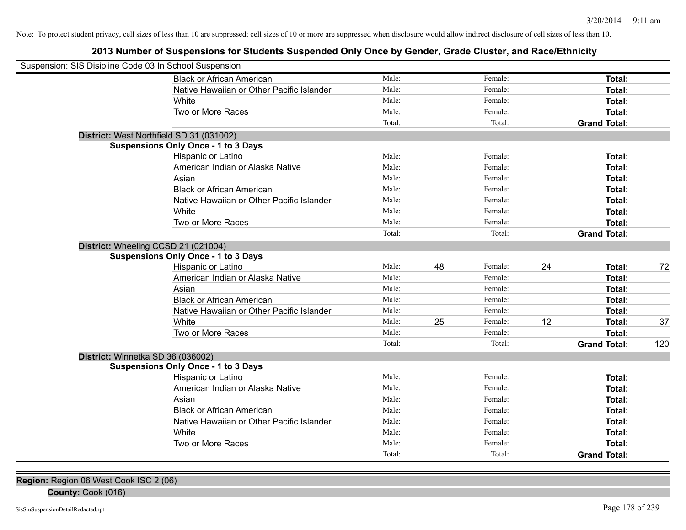## **2013 Number of Suspensions for Students Suspended Only Once by Gender, Grade Cluster, and Race/Ethnicity**

| Suspension: SIS Disipline Code 03 In School Suspension |                                            |        |    |         |    |                     |     |
|--------------------------------------------------------|--------------------------------------------|--------|----|---------|----|---------------------|-----|
|                                                        | <b>Black or African American</b>           | Male:  |    | Female: |    | Total:              |     |
|                                                        | Native Hawaiian or Other Pacific Islander  | Male:  |    | Female: |    | Total:              |     |
|                                                        | White                                      | Male:  |    | Female: |    | Total:              |     |
|                                                        | Two or More Races                          | Male:  |    | Female: |    | Total:              |     |
|                                                        |                                            | Total: |    | Total:  |    | <b>Grand Total:</b> |     |
| District: West Northfield SD 31 (031002)               |                                            |        |    |         |    |                     |     |
|                                                        | <b>Suspensions Only Once - 1 to 3 Days</b> |        |    |         |    |                     |     |
|                                                        | Hispanic or Latino                         | Male:  |    | Female: |    | Total:              |     |
|                                                        | American Indian or Alaska Native           | Male:  |    | Female: |    | Total:              |     |
|                                                        | Asian                                      | Male:  |    | Female: |    | Total:              |     |
|                                                        | <b>Black or African American</b>           | Male:  |    | Female: |    | Total:              |     |
|                                                        | Native Hawaiian or Other Pacific Islander  | Male:  |    | Female: |    | Total:              |     |
|                                                        | White                                      | Male:  |    | Female: |    | Total:              |     |
|                                                        | Two or More Races                          | Male:  |    | Female: |    | Total:              |     |
|                                                        |                                            | Total: |    | Total:  |    | <b>Grand Total:</b> |     |
| District: Wheeling CCSD 21 (021004)                    |                                            |        |    |         |    |                     |     |
|                                                        | <b>Suspensions Only Once - 1 to 3 Days</b> |        |    |         |    |                     |     |
|                                                        | Hispanic or Latino                         | Male:  | 48 | Female: | 24 | Total:              | 72  |
|                                                        | American Indian or Alaska Native           | Male:  |    | Female: |    | Total:              |     |
|                                                        | Asian                                      | Male:  |    | Female: |    | Total:              |     |
|                                                        | <b>Black or African American</b>           | Male:  |    | Female: |    | Total:              |     |
|                                                        | Native Hawaiian or Other Pacific Islander  | Male:  |    | Female: |    | Total:              |     |
|                                                        | White                                      | Male:  | 25 | Female: | 12 | Total:              | 37  |
|                                                        | Two or More Races                          | Male:  |    | Female: |    | Total:              |     |
|                                                        |                                            | Total: |    | Total:  |    | <b>Grand Total:</b> | 120 |
| District: Winnetka SD 36 (036002)                      |                                            |        |    |         |    |                     |     |
|                                                        | <b>Suspensions Only Once - 1 to 3 Days</b> |        |    |         |    |                     |     |
|                                                        | Hispanic or Latino                         | Male:  |    | Female: |    | Total:              |     |
|                                                        | American Indian or Alaska Native           | Male:  |    | Female: |    | Total:              |     |
|                                                        | Asian                                      | Male:  |    | Female: |    | Total:              |     |
|                                                        | <b>Black or African American</b>           | Male:  |    | Female: |    | Total:              |     |
|                                                        | Native Hawaiian or Other Pacific Islander  | Male:  |    | Female: |    | Total:              |     |
|                                                        | White                                      | Male:  |    | Female: |    | Total:              |     |
|                                                        | Two or More Races                          | Male:  |    | Female: |    | Total:              |     |
|                                                        |                                            | Total: |    | Total:  |    | <b>Grand Total:</b> |     |

**Region:** Region 06 West Cook ISC 2 (06)

**County:** Cook (016)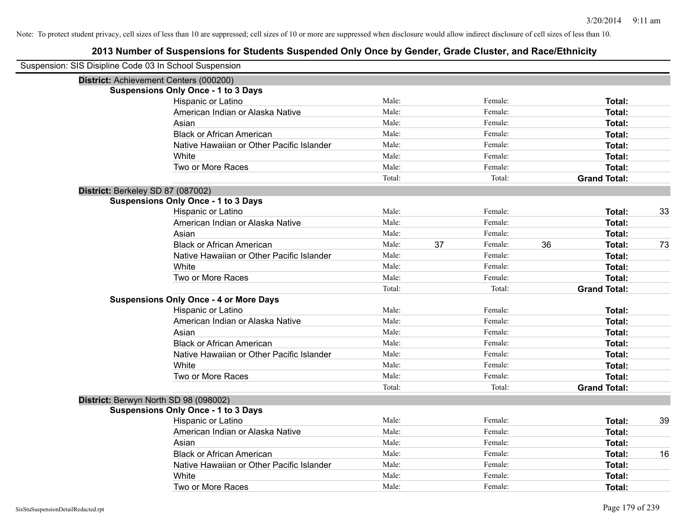| Suspension: SIS Disipline Code 03 In School Suspension |                                               |        |    |         |    |                     |    |
|--------------------------------------------------------|-----------------------------------------------|--------|----|---------|----|---------------------|----|
| District: Achievement Centers (000200)                 |                                               |        |    |         |    |                     |    |
|                                                        | <b>Suspensions Only Once - 1 to 3 Days</b>    |        |    |         |    |                     |    |
|                                                        | Hispanic or Latino                            | Male:  |    | Female: |    | Total:              |    |
|                                                        | American Indian or Alaska Native              | Male:  |    | Female: |    | <b>Total:</b>       |    |
|                                                        | Asian                                         | Male:  |    | Female: |    | <b>Total:</b>       |    |
|                                                        | <b>Black or African American</b>              | Male:  |    | Female: |    | <b>Total:</b>       |    |
|                                                        | Native Hawaiian or Other Pacific Islander     | Male:  |    | Female: |    | <b>Total:</b>       |    |
|                                                        | White                                         | Male:  |    | Female: |    | Total:              |    |
|                                                        | Two or More Races                             | Male:  |    | Female: |    | <b>Total:</b>       |    |
|                                                        |                                               | Total: |    | Total:  |    | <b>Grand Total:</b> |    |
| District: Berkeley SD 87 (087002)                      |                                               |        |    |         |    |                     |    |
|                                                        | <b>Suspensions Only Once - 1 to 3 Days</b>    |        |    |         |    |                     |    |
|                                                        | Hispanic or Latino                            | Male:  |    | Female: |    | <b>Total:</b>       | 33 |
|                                                        | American Indian or Alaska Native              | Male:  |    | Female: |    | <b>Total:</b>       |    |
|                                                        | Asian                                         | Male:  |    | Female: |    | <b>Total:</b>       |    |
|                                                        | <b>Black or African American</b>              | Male:  | 37 | Female: | 36 | <b>Total:</b>       | 73 |
|                                                        | Native Hawaiian or Other Pacific Islander     | Male:  |    | Female: |    | <b>Total:</b>       |    |
|                                                        | White                                         | Male:  |    | Female: |    | <b>Total:</b>       |    |
|                                                        | Two or More Races                             | Male:  |    | Female: |    | <b>Total:</b>       |    |
|                                                        |                                               | Total: |    | Total:  |    | <b>Grand Total:</b> |    |
|                                                        | <b>Suspensions Only Once - 4 or More Days</b> |        |    |         |    |                     |    |
|                                                        | Hispanic or Latino                            | Male:  |    | Female: |    | Total:              |    |
|                                                        | American Indian or Alaska Native              | Male:  |    | Female: |    | <b>Total:</b>       |    |
|                                                        | Asian                                         | Male:  |    | Female: |    | <b>Total:</b>       |    |
|                                                        | <b>Black or African American</b>              | Male:  |    | Female: |    | <b>Total:</b>       |    |
|                                                        | Native Hawaiian or Other Pacific Islander     | Male:  |    | Female: |    | Total:              |    |
|                                                        | White                                         | Male:  |    | Female: |    | <b>Total:</b>       |    |
|                                                        | Two or More Races                             | Male:  |    | Female: |    | <b>Total:</b>       |    |
|                                                        |                                               | Total: |    | Total:  |    | <b>Grand Total:</b> |    |
| District: Berwyn North SD 98 (098002)                  |                                               |        |    |         |    |                     |    |
|                                                        | <b>Suspensions Only Once - 1 to 3 Days</b>    |        |    |         |    |                     |    |
|                                                        | Hispanic or Latino                            | Male:  |    | Female: |    | Total:              | 39 |
|                                                        | American Indian or Alaska Native              | Male:  |    | Female: |    | <b>Total:</b>       |    |
|                                                        | Asian                                         | Male:  |    | Female: |    | Total:              |    |
|                                                        | <b>Black or African American</b>              | Male:  |    | Female: |    | <b>Total:</b>       | 16 |
|                                                        | Native Hawaiian or Other Pacific Islander     | Male:  |    | Female: |    | <b>Total:</b>       |    |
|                                                        | White                                         | Male:  |    | Female: |    | <b>Total:</b>       |    |
|                                                        | Two or More Races                             | Male:  |    | Female: |    | Total:              |    |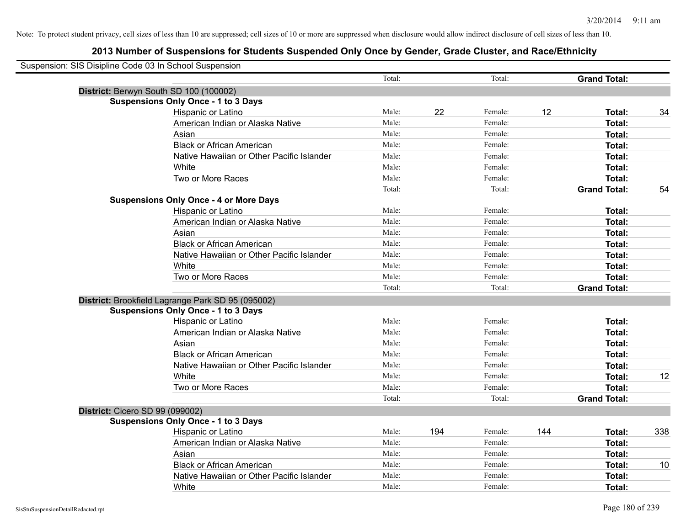| Suspension: SIS Disipline Code 03 In School Suspension |                                                   |        |     |         |     |                     |     |
|--------------------------------------------------------|---------------------------------------------------|--------|-----|---------|-----|---------------------|-----|
|                                                        |                                                   | Total: |     | Total:  |     | <b>Grand Total:</b> |     |
|                                                        | District: Berwyn South SD 100 (100002)            |        |     |         |     |                     |     |
|                                                        | <b>Suspensions Only Once - 1 to 3 Days</b>        |        |     |         |     |                     |     |
|                                                        | Hispanic or Latino                                | Male:  | 22  | Female: | 12  | Total:              | 34  |
|                                                        | American Indian or Alaska Native                  | Male:  |     | Female: |     | <b>Total:</b>       |     |
|                                                        | Asian                                             | Male:  |     | Female: |     | <b>Total:</b>       |     |
|                                                        | <b>Black or African American</b>                  | Male:  |     | Female: |     | <b>Total:</b>       |     |
|                                                        | Native Hawaiian or Other Pacific Islander         | Male:  |     | Female: |     | Total:              |     |
|                                                        | White                                             | Male:  |     | Female: |     | Total:              |     |
|                                                        | Two or More Races                                 | Male:  |     | Female: |     | <b>Total:</b>       |     |
|                                                        |                                                   | Total: |     | Total:  |     | <b>Grand Total:</b> | 54  |
|                                                        | <b>Suspensions Only Once - 4 or More Days</b>     |        |     |         |     |                     |     |
|                                                        | Hispanic or Latino                                | Male:  |     | Female: |     | Total:              |     |
|                                                        | American Indian or Alaska Native                  | Male:  |     | Female: |     | <b>Total:</b>       |     |
|                                                        | Asian                                             | Male:  |     | Female: |     | <b>Total:</b>       |     |
|                                                        | <b>Black or African American</b>                  | Male:  |     | Female: |     | <b>Total:</b>       |     |
|                                                        | Native Hawaiian or Other Pacific Islander         | Male:  |     | Female: |     | Total:              |     |
|                                                        | White                                             | Male:  |     | Female: |     | Total:              |     |
|                                                        | Two or More Races                                 | Male:  |     | Female: |     | Total:              |     |
|                                                        |                                                   | Total: |     | Total:  |     | <b>Grand Total:</b> |     |
|                                                        | District: Brookfield Lagrange Park SD 95 (095002) |        |     |         |     |                     |     |
|                                                        | <b>Suspensions Only Once - 1 to 3 Days</b>        |        |     |         |     |                     |     |
|                                                        | Hispanic or Latino                                | Male:  |     | Female: |     | <b>Total:</b>       |     |
|                                                        | American Indian or Alaska Native                  | Male:  |     | Female: |     | <b>Total:</b>       |     |
|                                                        | Asian                                             | Male:  |     | Female: |     | <b>Total:</b>       |     |
|                                                        | <b>Black or African American</b>                  | Male:  |     | Female: |     | <b>Total:</b>       |     |
|                                                        | Native Hawaiian or Other Pacific Islander         | Male:  |     | Female: |     | <b>Total:</b>       |     |
|                                                        | White                                             | Male:  |     | Female: |     | Total:              | 12  |
|                                                        | Two or More Races                                 | Male:  |     | Female: |     | Total:              |     |
|                                                        |                                                   | Total: |     | Total:  |     | <b>Grand Total:</b> |     |
| District: Cicero SD 99 (099002)                        |                                                   |        |     |         |     |                     |     |
|                                                        | <b>Suspensions Only Once - 1 to 3 Days</b>        |        |     |         |     |                     |     |
|                                                        | Hispanic or Latino                                | Male:  | 194 | Female: | 144 | Total:              | 338 |
|                                                        | American Indian or Alaska Native                  | Male:  |     | Female: |     | <b>Total:</b>       |     |
|                                                        | Asian                                             | Male:  |     | Female: |     | Total:              |     |
|                                                        | <b>Black or African American</b>                  | Male:  |     | Female: |     | <b>Total:</b>       | 10  |
|                                                        | Native Hawaiian or Other Pacific Islander         | Male:  |     | Female: |     | <b>Total:</b>       |     |
|                                                        | White                                             | Male:  |     | Female: |     | <b>Total:</b>       |     |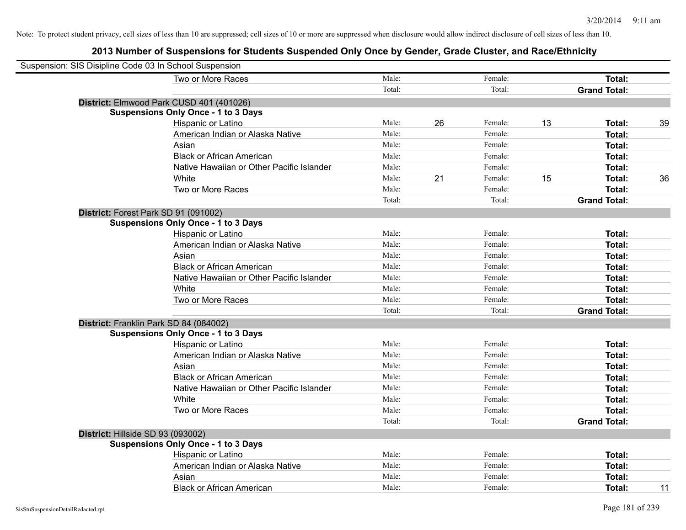| Suspension: SIS Disipline Code 03 In School Suspension |                                            |        |    |         |    |                     |    |
|--------------------------------------------------------|--------------------------------------------|--------|----|---------|----|---------------------|----|
|                                                        | Two or More Races                          | Male:  |    | Female: |    | Total:              |    |
|                                                        |                                            | Total: |    | Total:  |    | <b>Grand Total:</b> |    |
|                                                        | District: Elmwood Park CUSD 401 (401026)   |        |    |         |    |                     |    |
|                                                        | <b>Suspensions Only Once - 1 to 3 Days</b> |        |    |         |    |                     |    |
|                                                        | Hispanic or Latino                         | Male:  | 26 | Female: | 13 | Total:              | 39 |
|                                                        | American Indian or Alaska Native           | Male:  |    | Female: |    | <b>Total:</b>       |    |
|                                                        | Asian                                      | Male:  |    | Female: |    | <b>Total:</b>       |    |
|                                                        | <b>Black or African American</b>           | Male:  |    | Female: |    | <b>Total:</b>       |    |
|                                                        | Native Hawaiian or Other Pacific Islander  | Male:  |    | Female: |    | Total:              |    |
|                                                        | White                                      | Male:  | 21 | Female: | 15 | Total:              | 36 |
|                                                        | Two or More Races                          | Male:  |    | Female: |    | Total:              |    |
|                                                        |                                            | Total: |    | Total:  |    | <b>Grand Total:</b> |    |
|                                                        | District: Forest Park SD 91 (091002)       |        |    |         |    |                     |    |
|                                                        | <b>Suspensions Only Once - 1 to 3 Days</b> |        |    |         |    |                     |    |
|                                                        | Hispanic or Latino                         | Male:  |    | Female: |    | Total:              |    |
|                                                        | American Indian or Alaska Native           | Male:  |    | Female: |    | <b>Total:</b>       |    |
|                                                        | Asian                                      | Male:  |    | Female: |    | Total:              |    |
|                                                        | <b>Black or African American</b>           | Male:  |    | Female: |    | Total:              |    |
|                                                        | Native Hawaiian or Other Pacific Islander  | Male:  |    | Female: |    | Total:              |    |
|                                                        | White                                      | Male:  |    | Female: |    | Total:              |    |
|                                                        | Two or More Races                          | Male:  |    | Female: |    | <b>Total:</b>       |    |
|                                                        |                                            | Total: |    | Total:  |    | <b>Grand Total:</b> |    |
|                                                        | District: Franklin Park SD 84 (084002)     |        |    |         |    |                     |    |
|                                                        | <b>Suspensions Only Once - 1 to 3 Days</b> |        |    |         |    |                     |    |
|                                                        | Hispanic or Latino                         | Male:  |    | Female: |    | Total:              |    |
|                                                        | American Indian or Alaska Native           | Male:  |    | Female: |    | <b>Total:</b>       |    |
|                                                        | Asian                                      | Male:  |    | Female: |    | <b>Total:</b>       |    |
|                                                        | <b>Black or African American</b>           | Male:  |    | Female: |    | Total:              |    |
|                                                        | Native Hawaiian or Other Pacific Islander  | Male:  |    | Female: |    | Total:              |    |
|                                                        | White                                      | Male:  |    | Female: |    | Total:              |    |
|                                                        | Two or More Races                          | Male:  |    | Female: |    | <b>Total:</b>       |    |
|                                                        |                                            | Total: |    | Total:  |    | <b>Grand Total:</b> |    |
| District: Hillside SD 93 (093002)                      |                                            |        |    |         |    |                     |    |
|                                                        | <b>Suspensions Only Once - 1 to 3 Days</b> |        |    |         |    |                     |    |
|                                                        | Hispanic or Latino                         | Male:  |    | Female: |    | <b>Total:</b>       |    |
|                                                        | American Indian or Alaska Native           | Male:  |    | Female: |    | <b>Total:</b>       |    |
|                                                        | Asian                                      | Male:  |    | Female: |    | <b>Total:</b>       |    |
|                                                        | <b>Black or African American</b>           | Male:  |    | Female: |    | Total:              | 11 |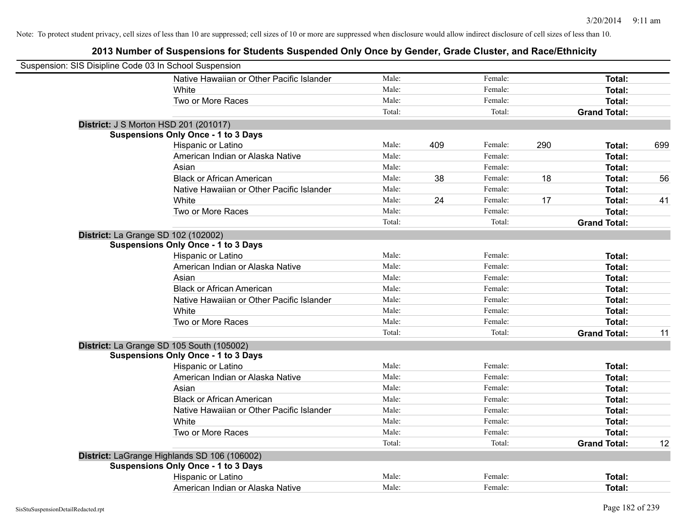| Suspension: SIS Disipline Code 03 In School Suspension |                                              |        |     |         |     |                     |     |
|--------------------------------------------------------|----------------------------------------------|--------|-----|---------|-----|---------------------|-----|
|                                                        | Native Hawaiian or Other Pacific Islander    | Male:  |     | Female: |     | Total:              |     |
|                                                        | White                                        | Male:  |     | Female: |     | Total:              |     |
|                                                        | Two or More Races                            | Male:  |     | Female: |     | Total:              |     |
|                                                        |                                              | Total: |     | Total:  |     | <b>Grand Total:</b> |     |
|                                                        | <b>District: J S Morton HSD 201 (201017)</b> |        |     |         |     |                     |     |
|                                                        | <b>Suspensions Only Once - 1 to 3 Days</b>   |        |     |         |     |                     |     |
|                                                        | Hispanic or Latino                           | Male:  | 409 | Female: | 290 | <b>Total:</b>       | 699 |
|                                                        | American Indian or Alaska Native             | Male:  |     | Female: |     | Total:              |     |
|                                                        | Asian                                        | Male:  |     | Female: |     | Total:              |     |
|                                                        | <b>Black or African American</b>             | Male:  | 38  | Female: | 18  | <b>Total:</b>       | 56  |
|                                                        | Native Hawaiian or Other Pacific Islander    | Male:  |     | Female: |     | <b>Total:</b>       |     |
|                                                        | White                                        | Male:  | 24  | Female: | 17  | <b>Total:</b>       | 41  |
|                                                        | Two or More Races                            | Male:  |     | Female: |     | <b>Total:</b>       |     |
|                                                        |                                              | Total: |     | Total:  |     | <b>Grand Total:</b> |     |
| District: La Grange SD 102 (102002)                    |                                              |        |     |         |     |                     |     |
|                                                        | <b>Suspensions Only Once - 1 to 3 Days</b>   |        |     |         |     |                     |     |
|                                                        | Hispanic or Latino                           | Male:  |     | Female: |     | Total:              |     |
|                                                        | American Indian or Alaska Native             | Male:  |     | Female: |     | Total:              |     |
|                                                        | Asian                                        | Male:  |     | Female: |     | Total:              |     |
|                                                        | <b>Black or African American</b>             | Male:  |     | Female: |     | Total:              |     |
|                                                        | Native Hawaiian or Other Pacific Islander    | Male:  |     | Female: |     | Total:              |     |
|                                                        | White                                        | Male:  |     | Female: |     | Total:              |     |
|                                                        | Two or More Races                            | Male:  |     | Female: |     | <b>Total:</b>       |     |
|                                                        |                                              | Total: |     | Total:  |     | <b>Grand Total:</b> | 11  |
|                                                        | District: La Grange SD 105 South (105002)    |        |     |         |     |                     |     |
|                                                        | <b>Suspensions Only Once - 1 to 3 Days</b>   |        |     |         |     |                     |     |
|                                                        | Hispanic or Latino                           | Male:  |     | Female: |     | Total:              |     |
|                                                        | American Indian or Alaska Native             | Male:  |     | Female: |     | Total:              |     |
|                                                        | Asian                                        | Male:  |     | Female: |     | <b>Total:</b>       |     |
|                                                        | <b>Black or African American</b>             | Male:  |     | Female: |     | <b>Total:</b>       |     |
|                                                        | Native Hawaiian or Other Pacific Islander    | Male:  |     | Female: |     | Total:              |     |
|                                                        | White                                        | Male:  |     | Female: |     | Total:              |     |
|                                                        | Two or More Races                            | Male:  |     | Female: |     | <b>Total:</b>       |     |
|                                                        |                                              | Total: |     | Total:  |     | <b>Grand Total:</b> | 12  |
|                                                        | District: LaGrange Highlands SD 106 (106002) |        |     |         |     |                     |     |
|                                                        | <b>Suspensions Only Once - 1 to 3 Days</b>   |        |     |         |     |                     |     |
|                                                        | Hispanic or Latino                           | Male:  |     | Female: |     | Total:              |     |
|                                                        | American Indian or Alaska Native             | Male:  |     | Female: |     | Total:              |     |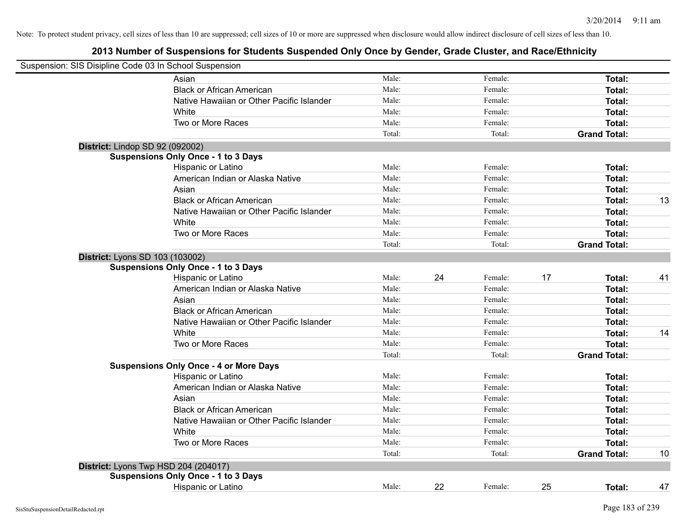| Suspension: SIS Disipline Code 03 In School Suspension |                                               |        |    |         |    |                     |    |
|--------------------------------------------------------|-----------------------------------------------|--------|----|---------|----|---------------------|----|
|                                                        | Asian                                         | Male:  |    | Female: |    | Total:              |    |
|                                                        | <b>Black or African American</b>              | Male:  |    | Female: |    | Total:              |    |
|                                                        | Native Hawaiian or Other Pacific Islander     | Male:  |    | Female: |    | Total:              |    |
|                                                        | White                                         | Male:  |    | Female: |    | Total:              |    |
|                                                        | Two or More Races                             | Male:  |    | Female: |    | Total:              |    |
|                                                        |                                               | Total: |    | Total:  |    | <b>Grand Total:</b> |    |
| District: Lindop SD 92 (092002)                        |                                               |        |    |         |    |                     |    |
|                                                        | <b>Suspensions Only Once - 1 to 3 Days</b>    |        |    |         |    |                     |    |
|                                                        | Hispanic or Latino                            | Male:  |    | Female: |    | Total:              |    |
|                                                        | American Indian or Alaska Native              | Male:  |    | Female: |    | Total:              |    |
|                                                        | Asian                                         | Male:  |    | Female: |    | Total:              |    |
|                                                        | <b>Black or African American</b>              | Male:  |    | Female: |    | Total:              | 13 |
|                                                        | Native Hawaiian or Other Pacific Islander     | Male:  |    | Female: |    | <b>Total:</b>       |    |
|                                                        | White                                         | Male:  |    | Female: |    | Total:              |    |
|                                                        | Two or More Races                             | Male:  |    | Female: |    | Total:              |    |
|                                                        |                                               | Total: |    | Total:  |    | <b>Grand Total:</b> |    |
| District: Lyons SD 103 (103002)                        |                                               |        |    |         |    |                     |    |
|                                                        | <b>Suspensions Only Once - 1 to 3 Days</b>    |        |    |         |    |                     |    |
|                                                        | Hispanic or Latino                            | Male:  | 24 | Female: | 17 | Total:              | 41 |
|                                                        | American Indian or Alaska Native              | Male:  |    | Female: |    | Total:              |    |
|                                                        | Asian                                         | Male:  |    | Female: |    | Total:              |    |
|                                                        | <b>Black or African American</b>              | Male:  |    | Female: |    | Total:              |    |
|                                                        | Native Hawaiian or Other Pacific Islander     | Male:  |    | Female: |    | Total:              |    |
|                                                        | White                                         | Male:  |    | Female: |    | Total:              | 14 |
|                                                        | Two or More Races                             | Male:  |    | Female: |    | Total:              |    |
|                                                        |                                               | Total: |    | Total:  |    | <b>Grand Total:</b> |    |
|                                                        | <b>Suspensions Only Once - 4 or More Days</b> |        |    |         |    |                     |    |
|                                                        | Hispanic or Latino                            | Male:  |    | Female: |    | Total:              |    |
|                                                        | American Indian or Alaska Native              | Male:  |    | Female: |    | Total:              |    |
|                                                        | Asian                                         | Male:  |    | Female: |    | Total:              |    |
|                                                        | <b>Black or African American</b>              | Male:  |    | Female: |    | Total:              |    |
|                                                        | Native Hawaiian or Other Pacific Islander     | Male:  |    | Female: |    | Total:              |    |
|                                                        | White                                         | Male:  |    | Female: |    | Total:              |    |
|                                                        | Two or More Races                             | Male:  |    | Female: |    | Total:              |    |
|                                                        |                                               | Total: |    | Total:  |    | <b>Grand Total:</b> | 10 |
|                                                        | District: Lyons Twp HSD 204 (204017)          |        |    |         |    |                     |    |
|                                                        | <b>Suspensions Only Once - 1 to 3 Days</b>    |        |    |         |    |                     |    |
|                                                        | Hispanic or Latino                            | Male:  | 22 | Female: | 25 | Total:              | 47 |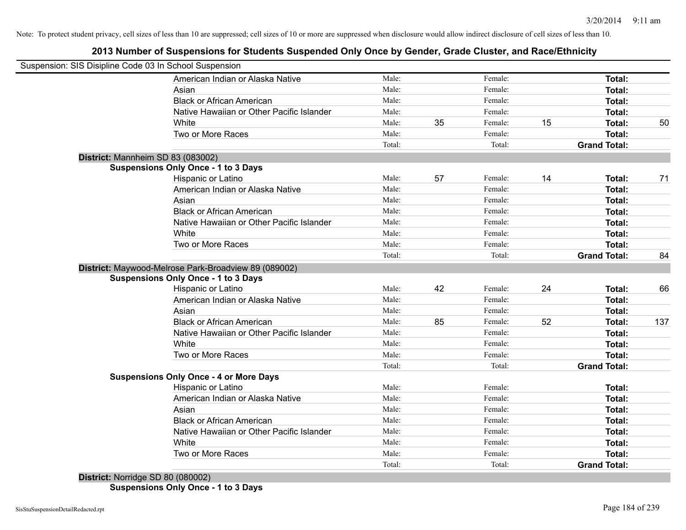# **2013 Number of Suspensions for Students Suspended Only Once by Gender, Grade Cluster, and Race/Ethnicity**

| Suspension: SIS Disipline Code 03 In School Suspension |                                               |        |    |         |    |                     |     |
|--------------------------------------------------------|-----------------------------------------------|--------|----|---------|----|---------------------|-----|
|                                                        | American Indian or Alaska Native              | Male:  |    | Female: |    | Total:              |     |
| Asian                                                  |                                               | Male:  |    | Female: |    | Total:              |     |
|                                                        | <b>Black or African American</b>              | Male:  |    | Female: |    | Total:              |     |
|                                                        | Native Hawaiian or Other Pacific Islander     | Male:  |    | Female: |    | <b>Total:</b>       |     |
| White                                                  |                                               | Male:  | 35 | Female: | 15 | Total:              | 50  |
|                                                        | Two or More Races                             | Male:  |    | Female: |    | Total:              |     |
|                                                        |                                               | Total: |    | Total:  |    | <b>Grand Total:</b> |     |
| District: Mannheim SD 83 (083002)                      |                                               |        |    |         |    |                     |     |
| <b>Suspensions Only Once - 1 to 3 Days</b>             |                                               |        |    |         |    |                     |     |
|                                                        | Hispanic or Latino                            | Male:  | 57 | Female: | 14 | Total:              | 71  |
|                                                        | American Indian or Alaska Native              | Male:  |    | Female: |    | Total:              |     |
| Asian                                                  |                                               | Male:  |    | Female: |    | Total:              |     |
|                                                        | <b>Black or African American</b>              | Male:  |    | Female: |    | Total:              |     |
|                                                        | Native Hawaiian or Other Pacific Islander     | Male:  |    | Female: |    | Total:              |     |
| White                                                  |                                               | Male:  |    | Female: |    | Total:              |     |
|                                                        | Two or More Races                             | Male:  |    | Female: |    | Total:              |     |
|                                                        |                                               | Total: |    | Total:  |    | <b>Grand Total:</b> | 84  |
| District: Maywood-Melrose Park-Broadview 89 (089002)   |                                               |        |    |         |    |                     |     |
| <b>Suspensions Only Once - 1 to 3 Days</b>             |                                               |        |    |         |    |                     |     |
|                                                        | Hispanic or Latino                            | Male:  | 42 | Female: | 24 | Total:              | 66  |
|                                                        | American Indian or Alaska Native              | Male:  |    | Female: |    | Total:              |     |
| Asian                                                  |                                               | Male:  |    | Female: |    | Total:              |     |
|                                                        | <b>Black or African American</b>              | Male:  | 85 | Female: | 52 | Total:              | 137 |
|                                                        | Native Hawaiian or Other Pacific Islander     | Male:  |    | Female: |    | <b>Total:</b>       |     |
| White                                                  |                                               | Male:  |    | Female: |    | Total:              |     |
|                                                        | Two or More Races                             | Male:  |    | Female: |    | Total:              |     |
|                                                        |                                               | Total: |    | Total:  |    | <b>Grand Total:</b> |     |
|                                                        | <b>Suspensions Only Once - 4 or More Days</b> |        |    |         |    |                     |     |
|                                                        | Hispanic or Latino                            | Male:  |    | Female: |    | Total:              |     |
|                                                        | American Indian or Alaska Native              | Male:  |    | Female: |    | Total:              |     |
| Asian                                                  |                                               | Male:  |    | Female: |    | Total:              |     |
|                                                        | <b>Black or African American</b>              | Male:  |    | Female: |    | Total:              |     |
|                                                        | Native Hawaiian or Other Pacific Islander     | Male:  |    | Female: |    | Total:              |     |
| White                                                  |                                               | Male:  |    | Female: |    | Total:              |     |
|                                                        | Two or More Races                             | Male:  |    | Female: |    | Total:              |     |
| .                                                      |                                               | Total: |    | Total:  |    | <b>Grand Total:</b> |     |

**District:** Norridge SD 80 (080002) **Suspensions Only Once - 1 to 3 Days**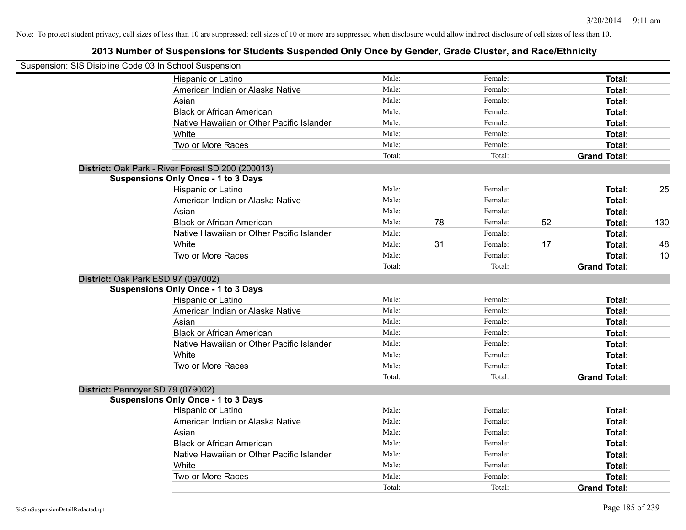| Suspension: SIS Disipline Code 03 In School Suspension |                                                   |        |    |         |    |                     |     |
|--------------------------------------------------------|---------------------------------------------------|--------|----|---------|----|---------------------|-----|
|                                                        | Hispanic or Latino                                | Male:  |    | Female: |    | Total:              |     |
|                                                        | American Indian or Alaska Native                  | Male:  |    | Female: |    | Total:              |     |
|                                                        | Asian                                             | Male:  |    | Female: |    | Total:              |     |
|                                                        | <b>Black or African American</b>                  | Male:  |    | Female: |    | Total:              |     |
|                                                        | Native Hawaiian or Other Pacific Islander         | Male:  |    | Female: |    | Total:              |     |
|                                                        | White                                             | Male:  |    | Female: |    | Total:              |     |
|                                                        | Two or More Races                                 | Male:  |    | Female: |    | Total:              |     |
|                                                        |                                                   | Total: |    | Total:  |    | <b>Grand Total:</b> |     |
|                                                        | District: Oak Park - River Forest SD 200 (200013) |        |    |         |    |                     |     |
|                                                        | <b>Suspensions Only Once - 1 to 3 Days</b>        |        |    |         |    |                     |     |
|                                                        | Hispanic or Latino                                | Male:  |    | Female: |    | Total:              | 25  |
|                                                        | American Indian or Alaska Native                  | Male:  |    | Female: |    | Total:              |     |
|                                                        | Asian                                             | Male:  |    | Female: |    | Total:              |     |
|                                                        | <b>Black or African American</b>                  | Male:  | 78 | Female: | 52 | Total:              | 130 |
|                                                        | Native Hawaiian or Other Pacific Islander         | Male:  |    | Female: |    | Total:              |     |
|                                                        | White                                             | Male:  | 31 | Female: | 17 | Total:              | 48  |
|                                                        | Two or More Races                                 | Male:  |    | Female: |    | Total:              | 10  |
|                                                        |                                                   | Total: |    | Total:  |    | <b>Grand Total:</b> |     |
| District: Oak Park ESD 97 (097002)                     |                                                   |        |    |         |    |                     |     |
|                                                        | <b>Suspensions Only Once - 1 to 3 Days</b>        |        |    |         |    |                     |     |
|                                                        | Hispanic or Latino                                | Male:  |    | Female: |    | Total:              |     |
|                                                        | American Indian or Alaska Native                  | Male:  |    | Female: |    | Total:              |     |
|                                                        | Asian                                             | Male:  |    | Female: |    | Total:              |     |
|                                                        | <b>Black or African American</b>                  | Male:  |    | Female: |    | Total:              |     |
|                                                        | Native Hawaiian or Other Pacific Islander         | Male:  |    | Female: |    | Total:              |     |
|                                                        | White                                             | Male:  |    | Female: |    | Total:              |     |
|                                                        | Two or More Races                                 | Male:  |    | Female: |    | Total:              |     |
|                                                        |                                                   | Total: |    | Total:  |    | <b>Grand Total:</b> |     |
| District: Pennoyer SD 79 (079002)                      |                                                   |        |    |         |    |                     |     |
|                                                        | <b>Suspensions Only Once - 1 to 3 Days</b>        |        |    |         |    |                     |     |
|                                                        | Hispanic or Latino                                | Male:  |    | Female: |    | Total:              |     |
|                                                        | American Indian or Alaska Native                  | Male:  |    | Female: |    | Total:              |     |
|                                                        | Asian                                             | Male:  |    | Female: |    | Total:              |     |
|                                                        | <b>Black or African American</b>                  | Male:  |    | Female: |    | Total:              |     |
|                                                        | Native Hawaiian or Other Pacific Islander         | Male:  |    | Female: |    | Total:              |     |
|                                                        | White                                             | Male:  |    | Female: |    | Total:              |     |
|                                                        | Two or More Races                                 | Male:  |    | Female: |    | Total:              |     |
|                                                        |                                                   | Total: |    | Total:  |    | <b>Grand Total:</b> |     |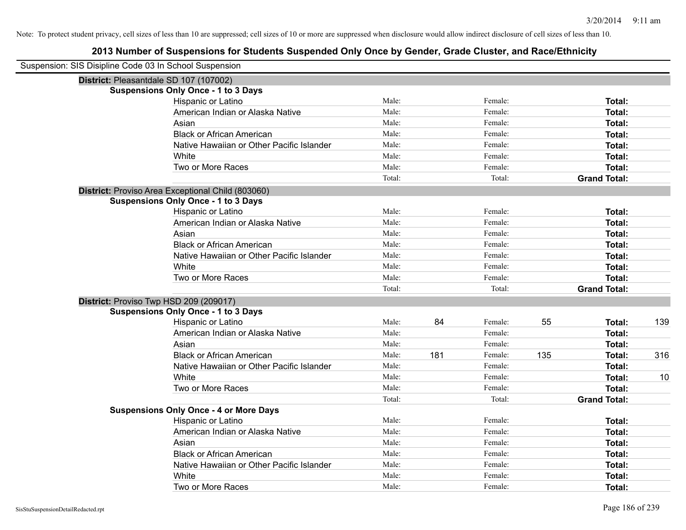| Suspension: SIS Disipline Code 03 In School Suspension |                                                   |        |     |         |     |                     |     |
|--------------------------------------------------------|---------------------------------------------------|--------|-----|---------|-----|---------------------|-----|
|                                                        | District: Pleasantdale SD 107 (107002)            |        |     |         |     |                     |     |
|                                                        | <b>Suspensions Only Once - 1 to 3 Days</b>        |        |     |         |     |                     |     |
|                                                        | Hispanic or Latino                                | Male:  |     | Female: |     | Total:              |     |
|                                                        | American Indian or Alaska Native                  | Male:  |     | Female: |     | Total:              |     |
|                                                        | Asian                                             | Male:  |     | Female: |     | Total:              |     |
|                                                        | <b>Black or African American</b>                  | Male:  |     | Female: |     | Total:              |     |
|                                                        | Native Hawaiian or Other Pacific Islander         | Male:  |     | Female: |     | Total:              |     |
|                                                        | White                                             | Male:  |     | Female: |     | Total:              |     |
|                                                        | Two or More Races                                 | Male:  |     | Female: |     | Total:              |     |
|                                                        |                                                   | Total: |     | Total:  |     | <b>Grand Total:</b> |     |
|                                                        | District: Proviso Area Exceptional Child (803060) |        |     |         |     |                     |     |
|                                                        | <b>Suspensions Only Once - 1 to 3 Days</b>        |        |     |         |     |                     |     |
|                                                        | Hispanic or Latino                                | Male:  |     | Female: |     | Total:              |     |
|                                                        | American Indian or Alaska Native                  | Male:  |     | Female: |     | Total:              |     |
|                                                        | Asian                                             | Male:  |     | Female: |     | Total:              |     |
|                                                        | <b>Black or African American</b>                  | Male:  |     | Female: |     | Total:              |     |
|                                                        | Native Hawaiian or Other Pacific Islander         | Male:  |     | Female: |     | Total:              |     |
|                                                        | White                                             | Male:  |     | Female: |     | Total:              |     |
|                                                        | Two or More Races                                 | Male:  |     | Female: |     | Total:              |     |
|                                                        |                                                   | Total: |     | Total:  |     | <b>Grand Total:</b> |     |
|                                                        | District: Proviso Twp HSD 209 (209017)            |        |     |         |     |                     |     |
|                                                        | <b>Suspensions Only Once - 1 to 3 Days</b>        |        |     |         |     |                     |     |
|                                                        | Hispanic or Latino                                | Male:  | 84  | Female: | 55  | Total:              | 139 |
|                                                        | American Indian or Alaska Native                  | Male:  |     | Female: |     | Total:              |     |
|                                                        | Asian                                             | Male:  |     | Female: |     | Total:              |     |
|                                                        | <b>Black or African American</b>                  | Male:  | 181 | Female: | 135 | Total:              | 316 |
|                                                        | Native Hawaiian or Other Pacific Islander         | Male:  |     | Female: |     | Total:              |     |
|                                                        | White                                             | Male:  |     | Female: |     | Total:              | 10  |
|                                                        | Two or More Races                                 | Male:  |     | Female: |     | Total:              |     |
|                                                        |                                                   | Total: |     | Total:  |     | <b>Grand Total:</b> |     |
|                                                        | <b>Suspensions Only Once - 4 or More Days</b>     |        |     |         |     |                     |     |
|                                                        | Hispanic or Latino                                | Male:  |     | Female: |     | Total:              |     |
|                                                        | American Indian or Alaska Native                  | Male:  |     | Female: |     | Total:              |     |
|                                                        | Asian                                             | Male:  |     | Female: |     | Total:              |     |
|                                                        | <b>Black or African American</b>                  | Male:  |     | Female: |     | Total:              |     |
|                                                        | Native Hawaiian or Other Pacific Islander         | Male:  |     | Female: |     | Total:              |     |
|                                                        | White                                             | Male:  |     | Female: |     | Total:              |     |
|                                                        | Two or More Races                                 | Male:  |     | Female: |     | Total:              |     |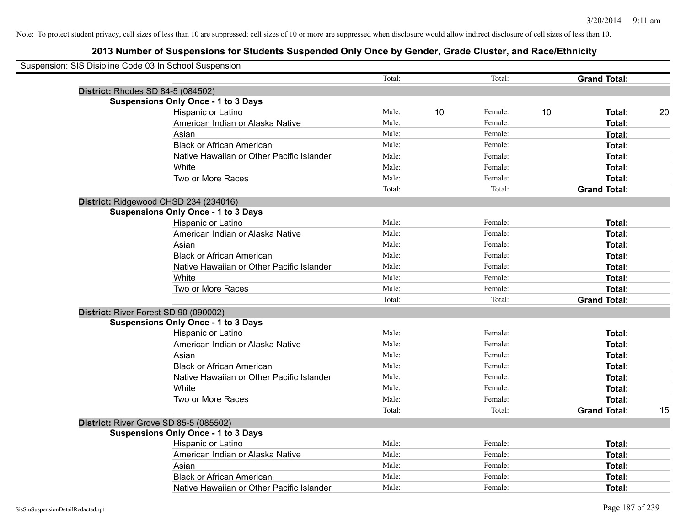| Suspension: SIS Disipline Code 03 In School Suspension |                                            |        |    |         |    |                     |    |
|--------------------------------------------------------|--------------------------------------------|--------|----|---------|----|---------------------|----|
|                                                        |                                            | Total: |    | Total:  |    | <b>Grand Total:</b> |    |
|                                                        | District: Rhodes SD 84-5 (084502)          |        |    |         |    |                     |    |
|                                                        | <b>Suspensions Only Once - 1 to 3 Days</b> |        |    |         |    |                     |    |
|                                                        | Hispanic or Latino                         | Male:  | 10 | Female: | 10 | Total:              | 20 |
|                                                        | American Indian or Alaska Native           | Male:  |    | Female: |    | Total:              |    |
|                                                        | Asian                                      | Male:  |    | Female: |    | Total:              |    |
|                                                        | <b>Black or African American</b>           | Male:  |    | Female: |    | Total:              |    |
|                                                        | Native Hawaiian or Other Pacific Islander  | Male:  |    | Female: |    | Total:              |    |
|                                                        | White                                      | Male:  |    | Female: |    | Total:              |    |
|                                                        | Two or More Races                          | Male:  |    | Female: |    | Total:              |    |
|                                                        |                                            | Total: |    | Total:  |    | <b>Grand Total:</b> |    |
|                                                        | District: Ridgewood CHSD 234 (234016)      |        |    |         |    |                     |    |
|                                                        | <b>Suspensions Only Once - 1 to 3 Days</b> |        |    |         |    |                     |    |
|                                                        | Hispanic or Latino                         | Male:  |    | Female: |    | Total:              |    |
|                                                        | American Indian or Alaska Native           | Male:  |    | Female: |    | Total:              |    |
|                                                        | Asian                                      | Male:  |    | Female: |    | Total:              |    |
|                                                        | <b>Black or African American</b>           | Male:  |    | Female: |    | Total:              |    |
|                                                        | Native Hawaiian or Other Pacific Islander  | Male:  |    | Female: |    | Total:              |    |
|                                                        | White                                      | Male:  |    | Female: |    | Total:              |    |
|                                                        | Two or More Races                          | Male:  |    | Female: |    | Total:              |    |
|                                                        |                                            | Total: |    | Total:  |    | <b>Grand Total:</b> |    |
|                                                        | District: River Forest SD 90 (090002)      |        |    |         |    |                     |    |
|                                                        | <b>Suspensions Only Once - 1 to 3 Days</b> |        |    |         |    |                     |    |
|                                                        | Hispanic or Latino                         | Male:  |    | Female: |    | Total:              |    |
|                                                        | American Indian or Alaska Native           | Male:  |    | Female: |    | Total:              |    |
|                                                        | Asian                                      | Male:  |    | Female: |    | Total:              |    |
|                                                        | <b>Black or African American</b>           | Male:  |    | Female: |    | Total:              |    |
|                                                        | Native Hawaiian or Other Pacific Islander  | Male:  |    | Female: |    | Total:              |    |
|                                                        | White                                      | Male:  |    | Female: |    | Total:              |    |
|                                                        | Two or More Races                          | Male:  |    | Female: |    | Total:              |    |
|                                                        |                                            | Total: |    | Total:  |    | <b>Grand Total:</b> | 15 |
|                                                        | District: River Grove SD 85-5 (085502)     |        |    |         |    |                     |    |
|                                                        | <b>Suspensions Only Once - 1 to 3 Days</b> |        |    |         |    |                     |    |
|                                                        | <b>Hispanic or Latino</b>                  | Male:  |    | Female: |    | Total:              |    |
|                                                        | American Indian or Alaska Native           | Male:  |    | Female: |    | Total:              |    |
|                                                        | Asian                                      | Male:  |    | Female: |    | Total:              |    |
|                                                        | <b>Black or African American</b>           | Male:  |    | Female: |    | Total:              |    |
|                                                        | Native Hawaiian or Other Pacific Islander  | Male:  |    | Female: |    | Total:              |    |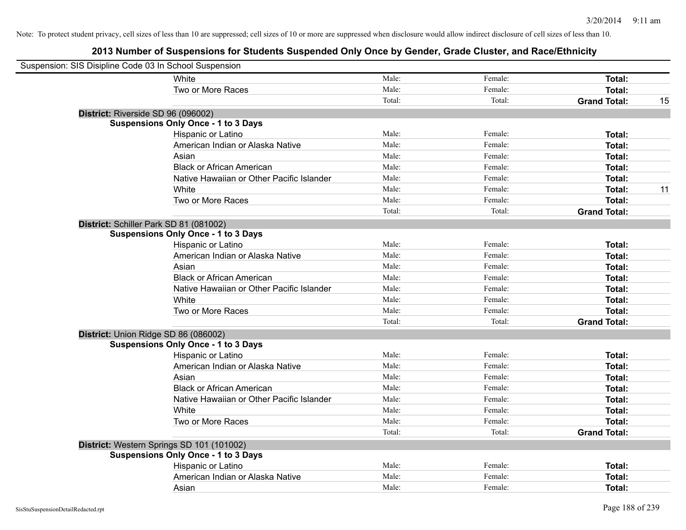| Suspension: SIS Disipline Code 03 In School Suspension |                                            |        |         |                     |    |
|--------------------------------------------------------|--------------------------------------------|--------|---------|---------------------|----|
|                                                        | White                                      | Male:  | Female: | Total:              |    |
|                                                        | Two or More Races                          | Male:  | Female: | Total:              |    |
|                                                        |                                            | Total: | Total:  | <b>Grand Total:</b> | 15 |
| District: Riverside SD 96 (096002)                     |                                            |        |         |                     |    |
|                                                        | <b>Suspensions Only Once - 1 to 3 Days</b> |        |         |                     |    |
|                                                        | Hispanic or Latino                         | Male:  | Female: | Total:              |    |
|                                                        | American Indian or Alaska Native           | Male:  | Female: | Total:              |    |
|                                                        | Asian                                      | Male:  | Female: | Total:              |    |
|                                                        | <b>Black or African American</b>           | Male:  | Female: | Total:              |    |
|                                                        | Native Hawaiian or Other Pacific Islander  | Male:  | Female: | Total:              |    |
|                                                        | White                                      | Male:  | Female: | Total:              | 11 |
|                                                        | Two or More Races                          | Male:  | Female: | Total:              |    |
|                                                        |                                            | Total: | Total:  | <b>Grand Total:</b> |    |
| District: Schiller Park SD 81 (081002)                 |                                            |        |         |                     |    |
|                                                        | <b>Suspensions Only Once - 1 to 3 Days</b> |        |         |                     |    |
|                                                        | Hispanic or Latino                         | Male:  | Female: | Total:              |    |
|                                                        | American Indian or Alaska Native           | Male:  | Female: | Total:              |    |
|                                                        | Asian                                      | Male:  | Female: | Total:              |    |
|                                                        | <b>Black or African American</b>           | Male:  | Female: | Total:              |    |
|                                                        | Native Hawaiian or Other Pacific Islander  | Male:  | Female: | Total:              |    |
|                                                        | White                                      | Male:  | Female: | Total:              |    |
|                                                        | Two or More Races                          | Male:  | Female: | Total:              |    |
|                                                        |                                            | Total: | Total:  | <b>Grand Total:</b> |    |
| District: Union Ridge SD 86 (086002)                   |                                            |        |         |                     |    |
|                                                        | <b>Suspensions Only Once - 1 to 3 Days</b> |        |         |                     |    |
|                                                        | Hispanic or Latino                         | Male:  | Female: | Total:              |    |
|                                                        | American Indian or Alaska Native           | Male:  | Female: | Total:              |    |
|                                                        | Asian                                      | Male:  | Female: | Total:              |    |
|                                                        | <b>Black or African American</b>           | Male:  | Female: | Total:              |    |
|                                                        | Native Hawaiian or Other Pacific Islander  | Male:  | Female: | Total:              |    |
|                                                        | White                                      | Male:  | Female: | Total:              |    |
|                                                        | Two or More Races                          | Male:  | Female: | Total:              |    |
|                                                        |                                            | Total: | Total:  | <b>Grand Total:</b> |    |
| District: Western Springs SD 101 (101002)              |                                            |        |         |                     |    |
|                                                        | <b>Suspensions Only Once - 1 to 3 Days</b> |        |         |                     |    |
|                                                        | Hispanic or Latino                         | Male:  | Female: | Total:              |    |
|                                                        | American Indian or Alaska Native           | Male:  | Female: | Total:              |    |
|                                                        | Asian                                      | Male:  | Female: | Total:              |    |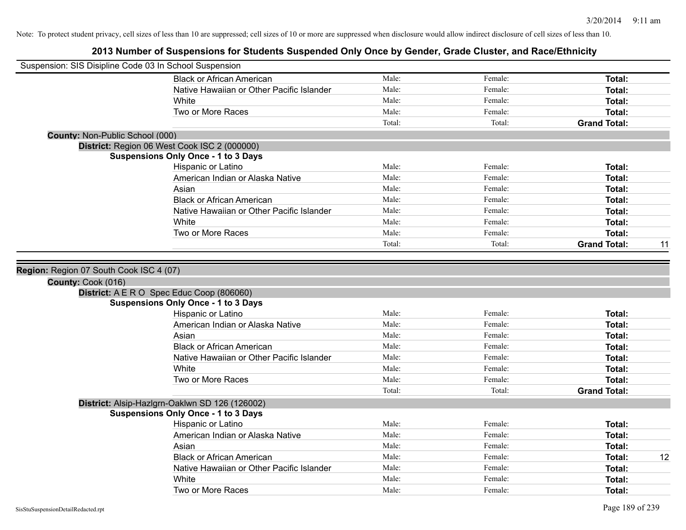| Suspension: SIS Disipline Code 03 In School Suspension        |                                                                                         |        |         |                     |    |
|---------------------------------------------------------------|-----------------------------------------------------------------------------------------|--------|---------|---------------------|----|
|                                                               | <b>Black or African American</b>                                                        | Male:  | Female: | Total:              |    |
|                                                               | Native Hawaiian or Other Pacific Islander                                               | Male:  | Female: | Total:              |    |
|                                                               | White                                                                                   | Male:  | Female: | Total:              |    |
|                                                               | Two or More Races                                                                       | Male:  | Female: | Total:              |    |
|                                                               |                                                                                         | Total: | Total:  | <b>Grand Total:</b> |    |
| <b>County: Non-Public School (000)</b>                        |                                                                                         |        |         |                     |    |
|                                                               | District: Region 06 West Cook ISC 2 (000000)                                            |        |         |                     |    |
|                                                               | <b>Suspensions Only Once - 1 to 3 Days</b>                                              |        |         |                     |    |
|                                                               | Hispanic or Latino                                                                      | Male:  | Female: | Total:              |    |
|                                                               | American Indian or Alaska Native                                                        | Male:  | Female: | Total:              |    |
|                                                               | Asian                                                                                   | Male:  | Female: | Total:              |    |
|                                                               | <b>Black or African American</b>                                                        | Male:  | Female: | Total:              |    |
|                                                               | Native Hawaiian or Other Pacific Islander                                               | Male:  | Female: | Total:              |    |
|                                                               | White                                                                                   | Male:  | Female: | Total:              |    |
|                                                               | Two or More Races                                                                       | Male:  | Female: | Total:              |    |
|                                                               |                                                                                         | Total: | Total:  | <b>Grand Total:</b> | 11 |
| Region: Region 07 South Cook ISC 4 (07)<br>County: Cook (016) | District: A E R O Spec Educ Coop (806060)<br><b>Suspensions Only Once - 1 to 3 Days</b> |        |         |                     |    |
|                                                               | Hispanic or Latino                                                                      | Male:  | Female: | Total:              |    |
|                                                               | American Indian or Alaska Native                                                        | Male:  | Female: | Total:              |    |
|                                                               | Asian                                                                                   | Male:  | Female: | Total:              |    |
|                                                               | <b>Black or African American</b>                                                        | Male:  | Female: | Total:              |    |
|                                                               | Native Hawaiian or Other Pacific Islander                                               | Male:  | Female: | Total:              |    |
|                                                               | White                                                                                   | Male:  | Female: | Total:              |    |
|                                                               | Two or More Races                                                                       | Male:  | Female: | Total:              |    |
|                                                               |                                                                                         | Total: | Total:  | <b>Grand Total:</b> |    |
|                                                               | District: Alsip-Hazlgrn-Oaklwn SD 126 (126002)                                          |        |         |                     |    |
|                                                               | <b>Suspensions Only Once - 1 to 3 Days</b>                                              |        |         |                     |    |
|                                                               | Hispanic or Latino                                                                      | Male:  | Female: | Total:              |    |
|                                                               | American Indian or Alaska Native                                                        | Male:  | Female: | Total:              |    |
|                                                               | Asian                                                                                   | Male:  | Female: | Total:              |    |
|                                                               | <b>Black or African American</b>                                                        | Male:  | Female: | Total:              | 12 |
|                                                               | Native Hawaiian or Other Pacific Islander                                               | Male:  | Female: | Total:              |    |
|                                                               | White                                                                                   | Male:  | Female: | Total:              |    |
|                                                               | Two or More Races                                                                       | Male:  | Female: | Total:              |    |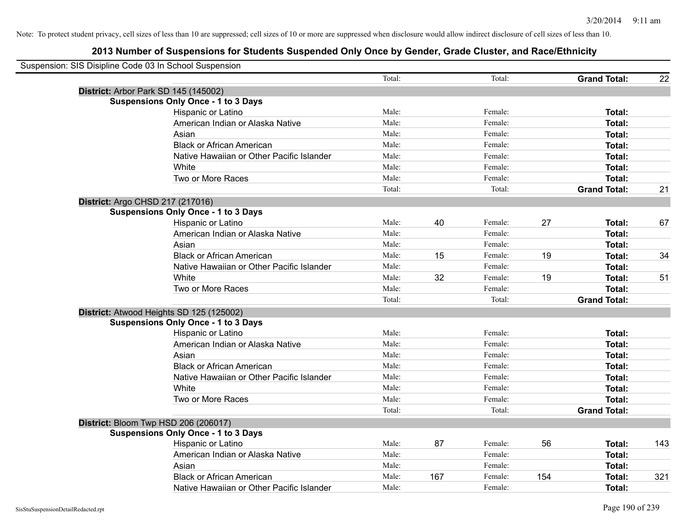| Suspension: SIS Disipline Code 03 In School Suspension |                                            |        |     |         |     |                     |     |
|--------------------------------------------------------|--------------------------------------------|--------|-----|---------|-----|---------------------|-----|
|                                                        |                                            | Total: |     | Total:  |     | <b>Grand Total:</b> | 22  |
| District: Arbor Park SD 145 (145002)                   |                                            |        |     |         |     |                     |     |
|                                                        | <b>Suspensions Only Once - 1 to 3 Days</b> |        |     |         |     |                     |     |
|                                                        | Hispanic or Latino                         | Male:  |     | Female: |     | Total:              |     |
|                                                        | American Indian or Alaska Native           | Male:  |     | Female: |     | Total:              |     |
|                                                        | Asian                                      | Male:  |     | Female: |     | Total:              |     |
|                                                        | <b>Black or African American</b>           | Male:  |     | Female: |     | Total:              |     |
|                                                        | Native Hawaiian or Other Pacific Islander  | Male:  |     | Female: |     | Total:              |     |
|                                                        | White                                      | Male:  |     | Female: |     | Total:              |     |
|                                                        | Two or More Races                          | Male:  |     | Female: |     | Total:              |     |
|                                                        |                                            | Total: |     | Total:  |     | <b>Grand Total:</b> | 21  |
| District: Argo CHSD 217 (217016)                       |                                            |        |     |         |     |                     |     |
|                                                        | <b>Suspensions Only Once - 1 to 3 Days</b> |        |     |         |     |                     |     |
|                                                        | Hispanic or Latino                         | Male:  | 40  | Female: | 27  | Total:              | 67  |
|                                                        | American Indian or Alaska Native           | Male:  |     | Female: |     | Total:              |     |
|                                                        | Asian                                      | Male:  |     | Female: |     | Total:              |     |
|                                                        | <b>Black or African American</b>           | Male:  | 15  | Female: | 19  | Total:              | 34  |
|                                                        | Native Hawaiian or Other Pacific Islander  | Male:  |     | Female: |     | Total:              |     |
|                                                        | White                                      | Male:  | 32  | Female: | 19  | Total:              | 51  |
|                                                        | Two or More Races                          | Male:  |     | Female: |     | Total:              |     |
|                                                        |                                            | Total: |     | Total:  |     | <b>Grand Total:</b> |     |
|                                                        | District: Atwood Heights SD 125 (125002)   |        |     |         |     |                     |     |
|                                                        | <b>Suspensions Only Once - 1 to 3 Days</b> |        |     |         |     |                     |     |
|                                                        | Hispanic or Latino                         | Male:  |     | Female: |     | Total:              |     |
|                                                        | American Indian or Alaska Native           | Male:  |     | Female: |     | Total:              |     |
|                                                        | Asian                                      | Male:  |     | Female: |     | Total:              |     |
|                                                        | <b>Black or African American</b>           | Male:  |     | Female: |     | Total:              |     |
|                                                        | Native Hawaiian or Other Pacific Islander  | Male:  |     | Female: |     | Total:              |     |
|                                                        | White                                      | Male:  |     | Female: |     | Total:              |     |
|                                                        | Two or More Races                          | Male:  |     | Female: |     | Total:              |     |
|                                                        |                                            | Total: |     | Total:  |     | <b>Grand Total:</b> |     |
| District: Bloom Twp HSD 206 (206017)                   |                                            |        |     |         |     |                     |     |
|                                                        | <b>Suspensions Only Once - 1 to 3 Days</b> |        |     |         |     |                     |     |
|                                                        | Hispanic or Latino                         | Male:  | 87  | Female: | 56  | Total:              | 143 |
|                                                        | American Indian or Alaska Native           | Male:  |     | Female: |     | Total:              |     |
|                                                        | Asian                                      | Male:  |     | Female: |     | Total:              |     |
|                                                        | <b>Black or African American</b>           | Male:  | 167 | Female: | 154 | Total:              | 321 |
|                                                        | Native Hawaiian or Other Pacific Islander  | Male:  |     | Female: |     | Total:              |     |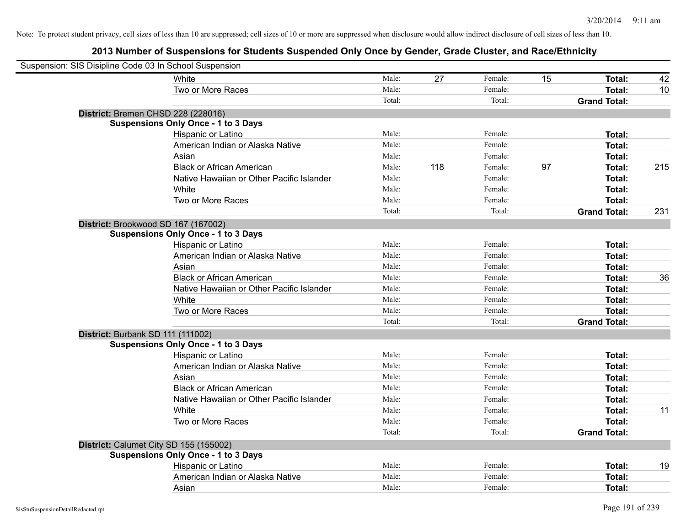| Suspension: SIS Disipline Code 03 In School Suspension |                                            |        |     |         |    |                     |     |
|--------------------------------------------------------|--------------------------------------------|--------|-----|---------|----|---------------------|-----|
|                                                        | White                                      | Male:  | 27  | Female: | 15 | Total:              | 42  |
|                                                        | Two or More Races                          | Male:  |     | Female: |    | Total:              | 10  |
|                                                        |                                            | Total: |     | Total:  |    | <b>Grand Total:</b> |     |
| District: Bremen CHSD 228 (228016)                     |                                            |        |     |         |    |                     |     |
|                                                        | <b>Suspensions Only Once - 1 to 3 Days</b> |        |     |         |    |                     |     |
|                                                        | Hispanic or Latino                         | Male:  |     | Female: |    | Total:              |     |
|                                                        | American Indian or Alaska Native           | Male:  |     | Female: |    | Total:              |     |
|                                                        | Asian                                      | Male:  |     | Female: |    | Total:              |     |
|                                                        | <b>Black or African American</b>           | Male:  | 118 | Female: | 97 | Total:              | 215 |
|                                                        | Native Hawaiian or Other Pacific Islander  | Male:  |     | Female: |    | Total:              |     |
|                                                        | White                                      | Male:  |     | Female: |    | Total:              |     |
|                                                        | Two or More Races                          | Male:  |     | Female: |    | Total:              |     |
|                                                        |                                            | Total: |     | Total:  |    | <b>Grand Total:</b> | 231 |
| District: Brookwood SD 167 (167002)                    |                                            |        |     |         |    |                     |     |
|                                                        | <b>Suspensions Only Once - 1 to 3 Days</b> |        |     |         |    |                     |     |
|                                                        | Hispanic or Latino                         | Male:  |     | Female: |    | Total:              |     |
|                                                        | American Indian or Alaska Native           | Male:  |     | Female: |    | Total:              |     |
|                                                        | Asian                                      | Male:  |     | Female: |    | Total:              |     |
|                                                        | <b>Black or African American</b>           | Male:  |     | Female: |    | Total:              | 36  |
|                                                        | Native Hawaiian or Other Pacific Islander  | Male:  |     | Female: |    | Total:              |     |
|                                                        | White                                      | Male:  |     | Female: |    | Total:              |     |
|                                                        | Two or More Races                          | Male:  |     | Female: |    | Total:              |     |
|                                                        |                                            | Total: |     | Total:  |    | <b>Grand Total:</b> |     |
| District: Burbank SD 111 (111002)                      |                                            |        |     |         |    |                     |     |
|                                                        | <b>Suspensions Only Once - 1 to 3 Days</b> |        |     |         |    |                     |     |
|                                                        | Hispanic or Latino                         | Male:  |     | Female: |    | Total:              |     |
|                                                        | American Indian or Alaska Native           | Male:  |     | Female: |    | Total:              |     |
|                                                        | Asian                                      | Male:  |     | Female: |    | Total:              |     |
|                                                        | <b>Black or African American</b>           | Male:  |     | Female: |    | Total:              |     |
|                                                        | Native Hawaiian or Other Pacific Islander  | Male:  |     | Female: |    | Total:              |     |
|                                                        | White                                      | Male:  |     | Female: |    | Total:              | 11  |
|                                                        | Two or More Races                          | Male:  |     | Female: |    | Total:              |     |
|                                                        |                                            | Total: |     | Total:  |    | <b>Grand Total:</b> |     |
| District: Calumet City SD 155 (155002)                 |                                            |        |     |         |    |                     |     |
|                                                        | <b>Suspensions Only Once - 1 to 3 Days</b> |        |     |         |    |                     |     |
|                                                        | Hispanic or Latino                         | Male:  |     | Female: |    | Total:              | 19  |
|                                                        | American Indian or Alaska Native           | Male:  |     | Female: |    | Total:              |     |
|                                                        | Asian                                      | Male:  |     | Female: |    | Total:              |     |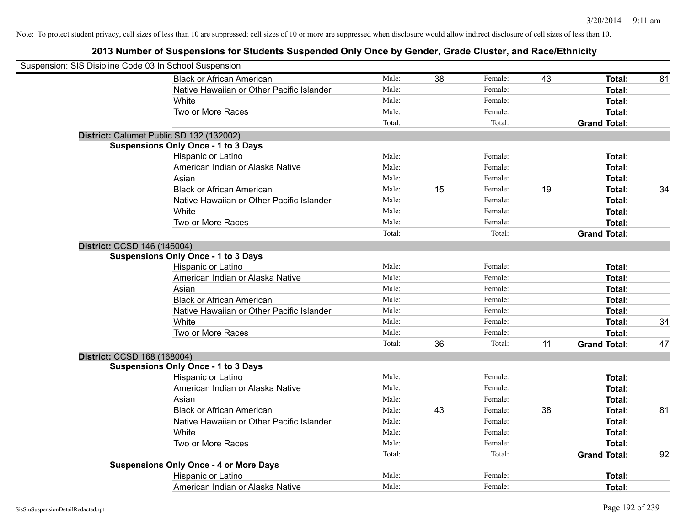| Suspension: SIS Disipline Code 03 In School Suspension |                                               |        |    |         |    |                     |    |
|--------------------------------------------------------|-----------------------------------------------|--------|----|---------|----|---------------------|----|
|                                                        | <b>Black or African American</b>              | Male:  | 38 | Female: | 43 | Total:              | 81 |
|                                                        | Native Hawaiian or Other Pacific Islander     | Male:  |    | Female: |    | Total:              |    |
|                                                        | White                                         | Male:  |    | Female: |    | Total:              |    |
|                                                        | Two or More Races                             | Male:  |    | Female: |    | Total:              |    |
|                                                        |                                               | Total: |    | Total:  |    | <b>Grand Total:</b> |    |
|                                                        | District: Calumet Public SD 132 (132002)      |        |    |         |    |                     |    |
|                                                        | <b>Suspensions Only Once - 1 to 3 Days</b>    |        |    |         |    |                     |    |
|                                                        | Hispanic or Latino                            | Male:  |    | Female: |    | Total:              |    |
|                                                        | American Indian or Alaska Native              | Male:  |    | Female: |    | Total:              |    |
|                                                        | Asian                                         | Male:  |    | Female: |    | Total:              |    |
|                                                        | <b>Black or African American</b>              | Male:  | 15 | Female: | 19 | Total:              | 34 |
|                                                        | Native Hawaiian or Other Pacific Islander     | Male:  |    | Female: |    | Total:              |    |
|                                                        | White                                         | Male:  |    | Female: |    | <b>Total:</b>       |    |
|                                                        | Two or More Races                             | Male:  |    | Female: |    | Total:              |    |
|                                                        |                                               | Total: |    | Total:  |    | <b>Grand Total:</b> |    |
|                                                        | District: CCSD 146 (146004)                   |        |    |         |    |                     |    |
|                                                        | <b>Suspensions Only Once - 1 to 3 Days</b>    |        |    |         |    |                     |    |
|                                                        | Hispanic or Latino                            | Male:  |    | Female: |    | Total:              |    |
|                                                        | American Indian or Alaska Native              | Male:  |    | Female: |    | Total:              |    |
|                                                        | Asian                                         | Male:  |    | Female: |    | Total:              |    |
|                                                        | <b>Black or African American</b>              | Male:  |    | Female: |    | Total:              |    |
|                                                        | Native Hawaiian or Other Pacific Islander     | Male:  |    | Female: |    | Total:              |    |
|                                                        | White                                         | Male:  |    | Female: |    | Total:              | 34 |
|                                                        | Two or More Races                             | Male:  |    | Female: |    | Total:              |    |
|                                                        |                                               | Total: | 36 | Total:  | 11 | <b>Grand Total:</b> | 47 |
|                                                        | District: CCSD 168 (168004)                   |        |    |         |    |                     |    |
|                                                        | <b>Suspensions Only Once - 1 to 3 Days</b>    |        |    |         |    |                     |    |
|                                                        | Hispanic or Latino                            | Male:  |    | Female: |    | Total:              |    |
|                                                        | American Indian or Alaska Native              | Male:  |    | Female: |    | Total:              |    |
|                                                        | Asian                                         | Male:  |    | Female: |    | Total:              |    |
|                                                        | <b>Black or African American</b>              | Male:  | 43 | Female: | 38 | Total:              | 81 |
|                                                        | Native Hawaiian or Other Pacific Islander     | Male:  |    | Female: |    | Total:              |    |
|                                                        | White                                         | Male:  |    | Female: |    | Total:              |    |
|                                                        | Two or More Races                             | Male:  |    | Female: |    | Total:              |    |
|                                                        |                                               | Total: |    | Total:  |    | <b>Grand Total:</b> | 92 |
|                                                        | <b>Suspensions Only Once - 4 or More Days</b> |        |    |         |    |                     |    |
|                                                        | Hispanic or Latino                            | Male:  |    | Female: |    | <b>Total:</b>       |    |
|                                                        | American Indian or Alaska Native              | Male:  |    | Female: |    | Total:              |    |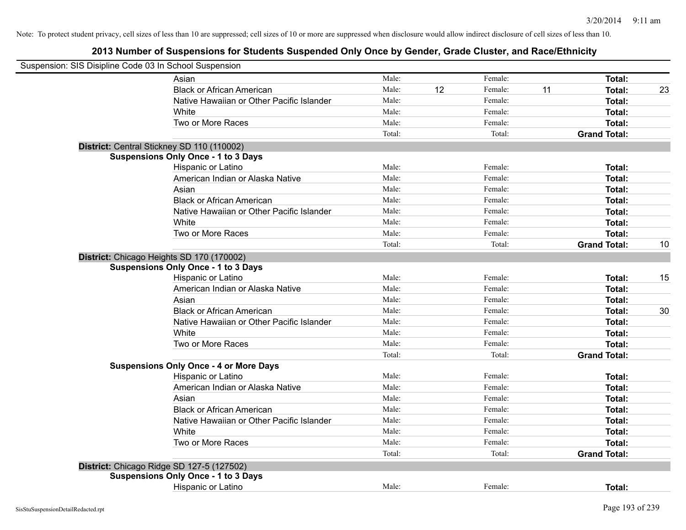| Suspension: SIS Disipline Code 03 In School Suspension |                                               |        |    |         |    |                     |    |
|--------------------------------------------------------|-----------------------------------------------|--------|----|---------|----|---------------------|----|
|                                                        | Asian                                         | Male:  |    | Female: |    | Total:              |    |
|                                                        | <b>Black or African American</b>              | Male:  | 12 | Female: | 11 | Total:              | 23 |
|                                                        | Native Hawaiian or Other Pacific Islander     | Male:  |    | Female: |    | <b>Total:</b>       |    |
|                                                        | White                                         | Male:  |    | Female: |    | <b>Total:</b>       |    |
|                                                        | Two or More Races                             | Male:  |    | Female: |    | <b>Total:</b>       |    |
|                                                        |                                               | Total: |    | Total:  |    | <b>Grand Total:</b> |    |
|                                                        | District: Central Stickney SD 110 (110002)    |        |    |         |    |                     |    |
|                                                        | <b>Suspensions Only Once - 1 to 3 Days</b>    |        |    |         |    |                     |    |
|                                                        | Hispanic or Latino                            | Male:  |    | Female: |    | Total:              |    |
|                                                        | American Indian or Alaska Native              | Male:  |    | Female: |    | Total:              |    |
|                                                        | Asian                                         | Male:  |    | Female: |    | Total:              |    |
|                                                        | <b>Black or African American</b>              | Male:  |    | Female: |    | <b>Total:</b>       |    |
|                                                        | Native Hawaiian or Other Pacific Islander     | Male:  |    | Female: |    | <b>Total:</b>       |    |
|                                                        | White                                         | Male:  |    | Female: |    | <b>Total:</b>       |    |
|                                                        | Two or More Races                             | Male:  |    | Female: |    | Total:              |    |
|                                                        |                                               | Total: |    | Total:  |    | <b>Grand Total:</b> | 10 |
|                                                        | District: Chicago Heights SD 170 (170002)     |        |    |         |    |                     |    |
|                                                        | <b>Suspensions Only Once - 1 to 3 Days</b>    |        |    |         |    |                     |    |
|                                                        | Hispanic or Latino                            | Male:  |    | Female: |    | Total:              | 15 |
|                                                        | American Indian or Alaska Native              | Male:  |    | Female: |    | <b>Total:</b>       |    |
|                                                        | Asian                                         | Male:  |    | Female: |    | Total:              |    |
|                                                        | <b>Black or African American</b>              | Male:  |    | Female: |    | <b>Total:</b>       | 30 |
|                                                        | Native Hawaiian or Other Pacific Islander     | Male:  |    | Female: |    | <b>Total:</b>       |    |
|                                                        | White                                         | Male:  |    | Female: |    | <b>Total:</b>       |    |
|                                                        | Two or More Races                             | Male:  |    | Female: |    | <b>Total:</b>       |    |
|                                                        |                                               | Total: |    | Total:  |    | <b>Grand Total:</b> |    |
|                                                        | <b>Suspensions Only Once - 4 or More Days</b> |        |    |         |    |                     |    |
|                                                        | Hispanic or Latino                            | Male:  |    | Female: |    | Total:              |    |
|                                                        | American Indian or Alaska Native              | Male:  |    | Female: |    | Total:              |    |
|                                                        | Asian                                         | Male:  |    | Female: |    | Total:              |    |
|                                                        | <b>Black or African American</b>              | Male:  |    | Female: |    | <b>Total:</b>       |    |
|                                                        | Native Hawaiian or Other Pacific Islander     | Male:  |    | Female: |    | <b>Total:</b>       |    |
|                                                        | White                                         | Male:  |    | Female: |    | <b>Total:</b>       |    |
|                                                        | Two or More Races                             | Male:  |    | Female: |    | Total:              |    |
|                                                        |                                               | Total: |    | Total:  |    | <b>Grand Total:</b> |    |
|                                                        | District: Chicago Ridge SD 127-5 (127502)     |        |    |         |    |                     |    |
|                                                        | <b>Suspensions Only Once - 1 to 3 Days</b>    |        |    |         |    |                     |    |
|                                                        | Hispanic or Latino                            | Male:  |    | Female: |    | Total:              |    |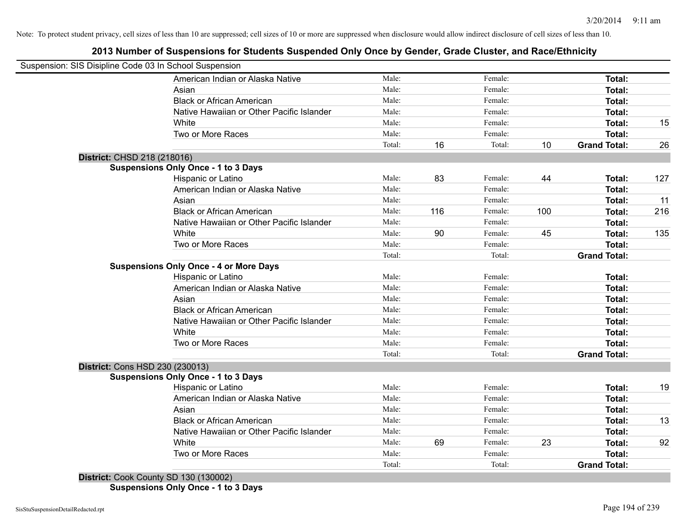# **2013 Number of Suspensions for Students Suspended Only Once by Gender, Grade Cluster, and Race/Ethnicity**

|                                        | Suspension: SIS Disipline Code 03 In School Suspension |        |     |         |     |                     |     |
|----------------------------------------|--------------------------------------------------------|--------|-----|---------|-----|---------------------|-----|
|                                        | American Indian or Alaska Native                       | Male:  |     | Female: |     | Total:              |     |
|                                        | Asian                                                  | Male:  |     | Female: |     | Total:              |     |
|                                        | <b>Black or African American</b>                       | Male:  |     | Female: |     | Total:              |     |
|                                        | Native Hawaiian or Other Pacific Islander              | Male:  |     | Female: |     | Total:              |     |
|                                        | White                                                  | Male:  |     | Female: |     | Total:              | 15  |
|                                        | Two or More Races                                      | Male:  |     | Female: |     | Total:              |     |
|                                        |                                                        | Total: | 16  | Total:  | 10  | <b>Grand Total:</b> | 26  |
| District: CHSD 218 (218016)            |                                                        |        |     |         |     |                     |     |
|                                        | <b>Suspensions Only Once - 1 to 3 Days</b>             |        |     |         |     |                     |     |
|                                        | Hispanic or Latino                                     | Male:  | 83  | Female: | 44  | Total:              | 127 |
|                                        | American Indian or Alaska Native                       | Male:  |     | Female: |     | Total:              |     |
|                                        | Asian                                                  | Male:  |     | Female: |     | Total:              | 11  |
|                                        | <b>Black or African American</b>                       | Male:  | 116 | Female: | 100 | Total:              | 216 |
|                                        | Native Hawaiian or Other Pacific Islander              | Male:  |     | Female: |     | Total:              |     |
|                                        | White                                                  | Male:  | 90  | Female: | 45  | Total:              | 135 |
|                                        | Two or More Races                                      | Male:  |     | Female: |     | Total:              |     |
|                                        |                                                        | Total: |     | Total:  |     | <b>Grand Total:</b> |     |
|                                        | <b>Suspensions Only Once - 4 or More Days</b>          |        |     |         |     |                     |     |
|                                        | Hispanic or Latino                                     | Male:  |     | Female: |     | Total:              |     |
|                                        | American Indian or Alaska Native                       | Male:  |     | Female: |     | Total:              |     |
|                                        | Asian                                                  | Male:  |     | Female: |     | Total:              |     |
|                                        | <b>Black or African American</b>                       | Male:  |     | Female: |     | Total:              |     |
|                                        | Native Hawaiian or Other Pacific Islander              | Male:  |     | Female: |     | Total:              |     |
|                                        | White                                                  | Male:  |     | Female: |     | Total:              |     |
|                                        | Two or More Races                                      | Male:  |     | Female: |     | Total:              |     |
|                                        |                                                        | Total: |     | Total:  |     | <b>Grand Total:</b> |     |
| <b>District: Cons HSD 230 (230013)</b> |                                                        |        |     |         |     |                     |     |
|                                        | <b>Suspensions Only Once - 1 to 3 Days</b>             |        |     |         |     |                     |     |
|                                        | Hispanic or Latino                                     | Male:  |     | Female: |     | Total:              | 19  |
|                                        | American Indian or Alaska Native                       | Male:  |     | Female: |     | Total:              |     |
|                                        | Asian                                                  | Male:  |     | Female: |     | Total:              |     |
|                                        | <b>Black or African American</b>                       | Male:  |     | Female: |     | Total:              | 13  |
|                                        | Native Hawaiian or Other Pacific Islander              | Male:  |     | Female: |     | Total:              |     |
|                                        | White                                                  | Male:  | 69  | Female: | 23  | Total:              | 92  |
|                                        | Two or More Races                                      | Male:  |     | Female: |     | Total:              |     |
|                                        |                                                        | Total: |     | Total:  |     | <b>Grand Total:</b> |     |
|                                        | District: Cook County SD 130 (130002)                  |        |     |         |     |                     |     |

**Suspensions Only Once - 1 to 3 Days**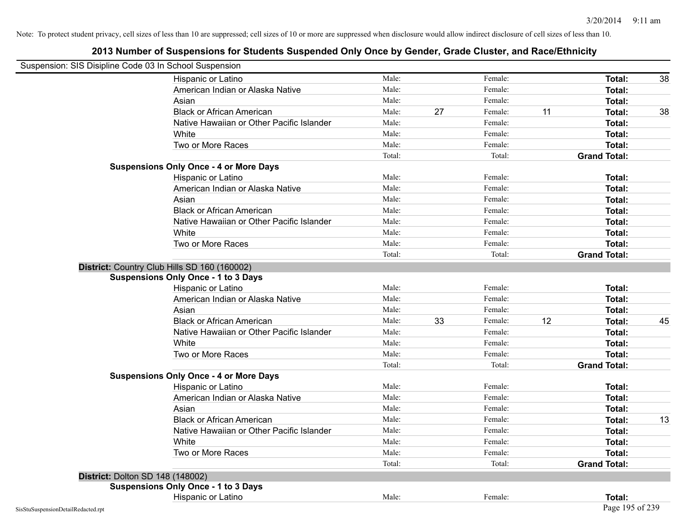| Suspension: SIS Disipline Code 03 In School Suspension |                                               |        |    |         |    |                     |    |
|--------------------------------------------------------|-----------------------------------------------|--------|----|---------|----|---------------------|----|
|                                                        | Hispanic or Latino                            | Male:  |    | Female: |    | Total:              | 38 |
|                                                        | American Indian or Alaska Native              | Male:  |    | Female: |    | Total:              |    |
|                                                        | Asian                                         | Male:  |    | Female: |    | Total:              |    |
|                                                        | <b>Black or African American</b>              | Male:  | 27 | Female: | 11 | Total:              | 38 |
|                                                        | Native Hawaiian or Other Pacific Islander     | Male:  |    | Female: |    | <b>Total:</b>       |    |
|                                                        | White                                         | Male:  |    | Female: |    | Total:              |    |
|                                                        | Two or More Races                             | Male:  |    | Female: |    | <b>Total:</b>       |    |
|                                                        |                                               | Total: |    | Total:  |    | <b>Grand Total:</b> |    |
|                                                        | <b>Suspensions Only Once - 4 or More Days</b> |        |    |         |    |                     |    |
|                                                        | Hispanic or Latino                            | Male:  |    | Female: |    | Total:              |    |
|                                                        | American Indian or Alaska Native              | Male:  |    | Female: |    | Total:              |    |
|                                                        | Asian                                         | Male:  |    | Female: |    | Total:              |    |
|                                                        | <b>Black or African American</b>              | Male:  |    | Female: |    | Total:              |    |
|                                                        | Native Hawaiian or Other Pacific Islander     | Male:  |    | Female: |    | Total:              |    |
|                                                        | White                                         | Male:  |    | Female: |    | Total:              |    |
|                                                        | Two or More Races                             | Male:  |    | Female: |    | <b>Total:</b>       |    |
|                                                        |                                               | Total: |    | Total:  |    | <b>Grand Total:</b> |    |
|                                                        | District: Country Club Hills SD 160 (160002)  |        |    |         |    |                     |    |
|                                                        | <b>Suspensions Only Once - 1 to 3 Days</b>    |        |    |         |    |                     |    |
|                                                        | Hispanic or Latino                            | Male:  |    | Female: |    | Total:              |    |
|                                                        | American Indian or Alaska Native              | Male:  |    | Female: |    | Total:              |    |
|                                                        | Asian                                         | Male:  |    | Female: |    | Total:              |    |
|                                                        | <b>Black or African American</b>              | Male:  | 33 | Female: | 12 | Total:              | 45 |
|                                                        | Native Hawaiian or Other Pacific Islander     | Male:  |    | Female: |    | Total:              |    |
|                                                        | White                                         | Male:  |    | Female: |    | Total:              |    |
|                                                        | Two or More Races                             | Male:  |    | Female: |    | Total:              |    |
|                                                        |                                               | Total: |    | Total:  |    | <b>Grand Total:</b> |    |
|                                                        | <b>Suspensions Only Once - 4 or More Days</b> |        |    |         |    |                     |    |
|                                                        | Hispanic or Latino                            | Male:  |    | Female: |    | Total:              |    |
|                                                        | American Indian or Alaska Native              | Male:  |    | Female: |    | Total:              |    |
|                                                        | Asian                                         | Male:  |    | Female: |    | Total:              |    |
|                                                        | <b>Black or African American</b>              | Male:  |    | Female: |    | Total:              | 13 |
|                                                        | Native Hawaiian or Other Pacific Islander     | Male:  |    | Female: |    | Total:              |    |
|                                                        | White                                         | Male:  |    | Female: |    | Total:              |    |
|                                                        | Two or More Races                             | Male:  |    | Female: |    | Total:              |    |
|                                                        |                                               | Total: |    | Total:  |    | <b>Grand Total:</b> |    |
| District: Dolton SD 148 (148002)                       |                                               |        |    |         |    |                     |    |
|                                                        | <b>Suspensions Only Once - 1 to 3 Days</b>    |        |    |         |    |                     |    |
|                                                        | Hispanic or Latino                            | Male:  |    | Female: |    | Total:              |    |
| SisStuSuspensionDetailRedacted.rpt                     |                                               |        |    |         |    | Page 195 of 239     |    |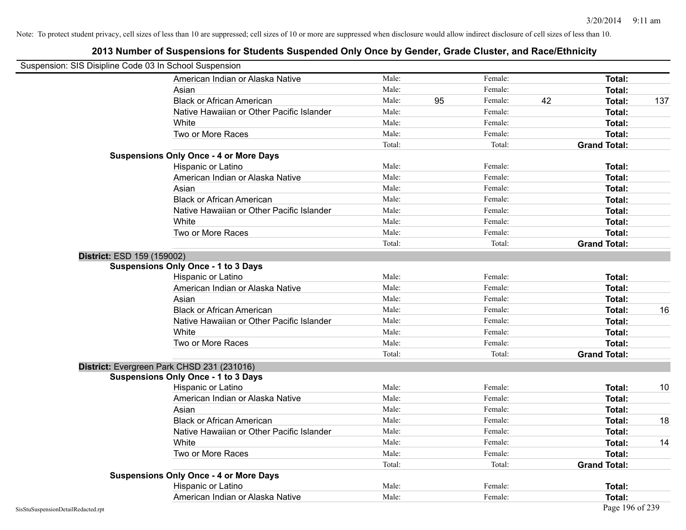| Suspension: SIS Disipline Code 03 In School Suspension |                                               |        |    |         |    |                     |     |
|--------------------------------------------------------|-----------------------------------------------|--------|----|---------|----|---------------------|-----|
|                                                        | American Indian or Alaska Native              | Male:  |    | Female: |    | <b>Total:</b>       |     |
|                                                        | Asian                                         | Male:  |    | Female: |    | Total:              |     |
|                                                        | <b>Black or African American</b>              | Male:  | 95 | Female: | 42 | Total:              | 137 |
|                                                        | Native Hawaiian or Other Pacific Islander     | Male:  |    | Female: |    | Total:              |     |
|                                                        | White                                         | Male:  |    | Female: |    | Total:              |     |
|                                                        | Two or More Races                             | Male:  |    | Female: |    | Total:              |     |
|                                                        |                                               | Total: |    | Total:  |    | <b>Grand Total:</b> |     |
|                                                        | <b>Suspensions Only Once - 4 or More Days</b> |        |    |         |    |                     |     |
|                                                        | Hispanic or Latino                            | Male:  |    | Female: |    | Total:              |     |
|                                                        | American Indian or Alaska Native              | Male:  |    | Female: |    | <b>Total:</b>       |     |
|                                                        | Asian                                         | Male:  |    | Female: |    | Total:              |     |
|                                                        | <b>Black or African American</b>              | Male:  |    | Female: |    | Total:              |     |
|                                                        | Native Hawaiian or Other Pacific Islander     | Male:  |    | Female: |    | Total:              |     |
|                                                        | White                                         | Male:  |    | Female: |    | Total:              |     |
|                                                        | Two or More Races                             | Male:  |    | Female: |    | Total:              |     |
|                                                        |                                               | Total: |    | Total:  |    | <b>Grand Total:</b> |     |
| District: ESD 159 (159002)                             |                                               |        |    |         |    |                     |     |
|                                                        | <b>Suspensions Only Once - 1 to 3 Days</b>    |        |    |         |    |                     |     |
|                                                        | Hispanic or Latino                            | Male:  |    | Female: |    | Total:              |     |
|                                                        | American Indian or Alaska Native              | Male:  |    | Female: |    | Total:              |     |
|                                                        | Asian                                         | Male:  |    | Female: |    | Total:              |     |
|                                                        | <b>Black or African American</b>              | Male:  |    | Female: |    | Total:              | 16  |
|                                                        | Native Hawaiian or Other Pacific Islander     | Male:  |    | Female: |    | Total:              |     |
|                                                        | White                                         | Male:  |    | Female: |    | <b>Total:</b>       |     |
|                                                        | Two or More Races                             | Male:  |    | Female: |    | Total:              |     |
|                                                        |                                               | Total: |    | Total:  |    | <b>Grand Total:</b> |     |
|                                                        | District: Evergreen Park CHSD 231 (231016)    |        |    |         |    |                     |     |
|                                                        | <b>Suspensions Only Once - 1 to 3 Days</b>    |        |    |         |    |                     |     |
|                                                        | Hispanic or Latino                            | Male:  |    | Female: |    | Total:              | 10  |
|                                                        | American Indian or Alaska Native              | Male:  |    | Female: |    | Total:              |     |
|                                                        | Asian                                         | Male:  |    | Female: |    | Total:              |     |
|                                                        | <b>Black or African American</b>              | Male:  |    | Female: |    | Total:              | 18  |
|                                                        | Native Hawaiian or Other Pacific Islander     | Male:  |    | Female: |    | Total:              |     |
|                                                        | White                                         | Male:  |    | Female: |    | Total:              | 14  |
|                                                        | Two or More Races                             | Male:  |    | Female: |    | Total:              |     |
|                                                        |                                               | Total: |    | Total:  |    | <b>Grand Total:</b> |     |
|                                                        | <b>Suspensions Only Once - 4 or More Days</b> |        |    |         |    |                     |     |
|                                                        | Hispanic or Latino                            | Male:  |    | Female: |    | Total:              |     |
|                                                        | American Indian or Alaska Native              | Male:  |    | Female: |    | Total:              |     |
| SisStuSuspensionDetailRedacted.rpt                     |                                               |        |    |         |    | Page 196 of 239     |     |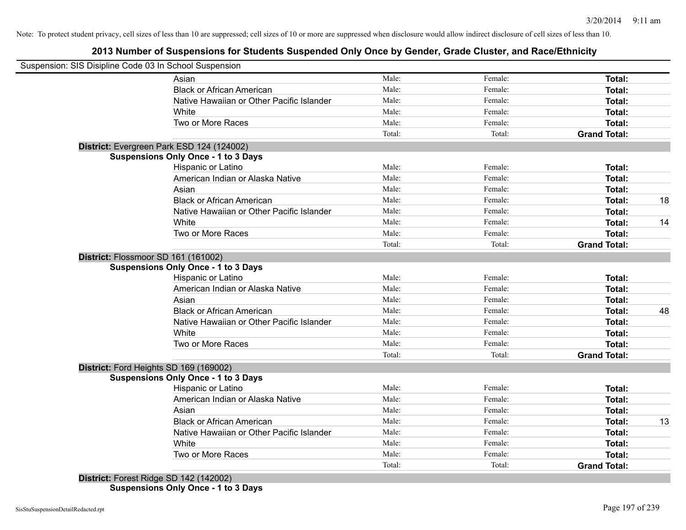# **2013 Number of Suspensions for Students Suspended Only Once by Gender, Grade Cluster, and Race/Ethnicity**

| Suspension: SIS Disipline Code 03 In School Suspension |        |         |                     |    |
|--------------------------------------------------------|--------|---------|---------------------|----|
| Asian                                                  | Male:  | Female: | Total:              |    |
| <b>Black or African American</b>                       | Male:  | Female: | Total:              |    |
| Native Hawaiian or Other Pacific Islander              | Male:  | Female: | Total:              |    |
| White                                                  | Male:  | Female: | Total:              |    |
| Two or More Races                                      | Male:  | Female: | Total:              |    |
|                                                        | Total: | Total:  | <b>Grand Total:</b> |    |
| District: Evergreen Park ESD 124 (124002)              |        |         |                     |    |
| <b>Suspensions Only Once - 1 to 3 Days</b>             |        |         |                     |    |
| <b>Hispanic or Latino</b>                              | Male:  | Female: | Total:              |    |
| American Indian or Alaska Native                       | Male:  | Female: | Total:              |    |
| Asian                                                  | Male:  | Female: | Total:              |    |
| <b>Black or African American</b>                       | Male:  | Female: | Total:              | 18 |
| Native Hawaiian or Other Pacific Islander              | Male:  | Female: | Total:              |    |
| White                                                  | Male:  | Female: | <b>Total:</b>       | 14 |
| Two or More Races                                      | Male:  | Female: | Total:              |    |
|                                                        | Total: | Total:  | <b>Grand Total:</b> |    |
| District: Flossmoor SD 161 (161002)                    |        |         |                     |    |
| <b>Suspensions Only Once - 1 to 3 Days</b>             |        |         |                     |    |
| Hispanic or Latino                                     | Male:  | Female: | Total:              |    |
| American Indian or Alaska Native                       | Male:  | Female: | Total:              |    |
| Asian                                                  | Male:  | Female: | Total:              |    |
| <b>Black or African American</b>                       | Male:  | Female: | Total:              | 48 |
| Native Hawaiian or Other Pacific Islander              | Male:  | Female: | Total:              |    |
| White                                                  | Male:  | Female: | Total:              |    |
| Two or More Races                                      | Male:  | Female: | <b>Total:</b>       |    |
|                                                        | Total: | Total:  | <b>Grand Total:</b> |    |
| District: Ford Heights SD 169 (169002)                 |        |         |                     |    |
| <b>Suspensions Only Once - 1 to 3 Days</b>             |        |         |                     |    |
| Hispanic or Latino                                     | Male:  | Female: | Total:              |    |
| American Indian or Alaska Native                       | Male:  | Female: | Total:              |    |
| Asian                                                  | Male:  | Female: | Total:              |    |
| <b>Black or African American</b>                       | Male:  | Female: | Total:              | 13 |
| Native Hawaiian or Other Pacific Islander              | Male:  | Female: | Total:              |    |
| White                                                  | Male:  | Female: | Total:              |    |
| Two or More Races                                      | Male:  | Female: | Total:              |    |
|                                                        | Total: | Total:  | <b>Grand Total:</b> |    |
| District: Forest Ridge SD 142 (142002)                 |        |         |                     |    |

**Suspensions Only Once - 1 to 3 Days**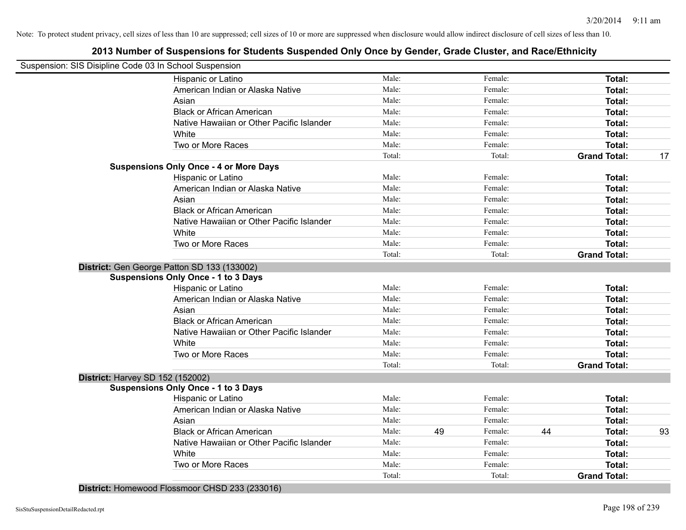# **2013 Number of Suspensions for Students Suspended Only Once by Gender, Grade Cluster, and Race/Ethnicity**

| Suspension: SIS Disipline Code 03 In School Suspension |        |    |         |    |                     |    |
|--------------------------------------------------------|--------|----|---------|----|---------------------|----|
| Hispanic or Latino                                     | Male:  |    | Female: |    | Total:              |    |
| American Indian or Alaska Native                       | Male:  |    | Female: |    | Total:              |    |
| Asian                                                  | Male:  |    | Female: |    | Total:              |    |
| <b>Black or African American</b>                       | Male:  |    | Female: |    | Total:              |    |
| Native Hawaiian or Other Pacific Islander              | Male:  |    | Female: |    | Total:              |    |
| White                                                  | Male:  |    | Female: |    | Total:              |    |
| Two or More Races                                      | Male:  |    | Female: |    | Total:              |    |
|                                                        | Total: |    | Total:  |    | <b>Grand Total:</b> | 17 |
| <b>Suspensions Only Once - 4 or More Days</b>          |        |    |         |    |                     |    |
| Hispanic or Latino                                     | Male:  |    | Female: |    | Total:              |    |
| American Indian or Alaska Native                       | Male:  |    | Female: |    | Total:              |    |
| Asian                                                  | Male:  |    | Female: |    | Total:              |    |
| <b>Black or African American</b>                       | Male:  |    | Female: |    | Total:              |    |
| Native Hawaiian or Other Pacific Islander              | Male:  |    | Female: |    | Total:              |    |
| White                                                  | Male:  |    | Female: |    | Total:              |    |
| Two or More Races                                      | Male:  |    | Female: |    | <b>Total:</b>       |    |
|                                                        | Total: |    | Total:  |    | <b>Grand Total:</b> |    |
| District: Gen George Patton SD 133 (133002)            |        |    |         |    |                     |    |
| <b>Suspensions Only Once - 1 to 3 Days</b>             |        |    |         |    |                     |    |
| Hispanic or Latino                                     | Male:  |    | Female: |    | <b>Total:</b>       |    |
| American Indian or Alaska Native                       | Male:  |    | Female: |    | Total:              |    |
| Asian                                                  | Male:  |    | Female: |    | Total:              |    |
| <b>Black or African American</b>                       | Male:  |    | Female: |    | Total:              |    |
| Native Hawaiian or Other Pacific Islander              | Male:  |    | Female: |    | Total:              |    |
| White                                                  | Male:  |    | Female: |    | Total:              |    |
| Two or More Races                                      | Male:  |    | Female: |    | Total:              |    |
|                                                        | Total: |    | Total:  |    | <b>Grand Total:</b> |    |
| District: Harvey SD 152 (152002)                       |        |    |         |    |                     |    |
| <b>Suspensions Only Once - 1 to 3 Days</b>             |        |    |         |    |                     |    |
| Hispanic or Latino                                     | Male:  |    | Female: |    | <b>Total:</b>       |    |
| American Indian or Alaska Native                       | Male:  |    | Female: |    | Total:              |    |
| Asian                                                  | Male:  |    | Female: |    | Total:              |    |
| <b>Black or African American</b>                       | Male:  | 49 | Female: | 44 | Total:              | 93 |
| Native Hawaiian or Other Pacific Islander              | Male:  |    | Female: |    | Total:              |    |
| White                                                  | Male:  |    | Female: |    | Total:              |    |
| Two or More Races                                      | Male:  |    | Female: |    | Total:              |    |
|                                                        | Total: |    | Total:  |    | <b>Grand Total:</b> |    |

**District:** Homewood Flossmoor CHSD 233 (233016)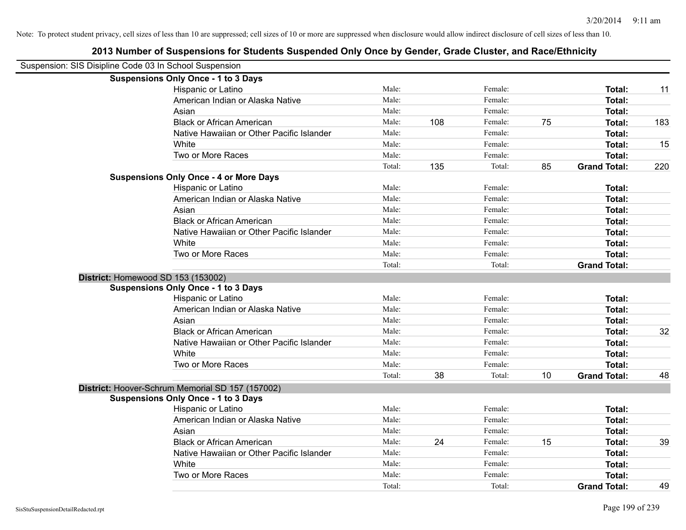Note: To protect student privacy, cell sizes of less than 10 are suppressed; cell sizes of 10 or more are suppressed when disclosure would allow indirect disclosure of cell sizes of less than 10.

| Suspension: SIS Disipline Code 03 In School Suspension |        |     |         |    |                     |     |
|--------------------------------------------------------|--------|-----|---------|----|---------------------|-----|
| <b>Suspensions Only Once - 1 to 3 Days</b>             |        |     |         |    |                     |     |
| Hispanic or Latino                                     | Male:  |     | Female: |    | Total:              | 11  |
| American Indian or Alaska Native                       | Male:  |     | Female: |    | <b>Total:</b>       |     |
| Asian                                                  | Male:  |     | Female: |    | <b>Total:</b>       |     |
| <b>Black or African American</b>                       | Male:  | 108 | Female: | 75 | Total:              | 183 |
| Native Hawaiian or Other Pacific Islander              | Male:  |     | Female: |    | Total:              |     |
| White                                                  | Male:  |     | Female: |    | <b>Total:</b>       | 15  |
| Two or More Races                                      | Male:  |     | Female: |    | Total:              |     |
|                                                        | Total: | 135 | Total:  | 85 | <b>Grand Total:</b> | 220 |
| <b>Suspensions Only Once - 4 or More Days</b>          |        |     |         |    |                     |     |
| Hispanic or Latino                                     | Male:  |     | Female: |    | Total:              |     |
| American Indian or Alaska Native                       | Male:  |     | Female: |    | <b>Total:</b>       |     |
| Asian                                                  | Male:  |     | Female: |    | <b>Total:</b>       |     |
| <b>Black or African American</b>                       | Male:  |     | Female: |    | <b>Total:</b>       |     |
| Native Hawaiian or Other Pacific Islander              | Male:  |     | Female: |    | <b>Total:</b>       |     |
| White                                                  | Male:  |     | Female: |    | <b>Total:</b>       |     |
| Two or More Races                                      | Male:  |     | Female: |    | <b>Total:</b>       |     |
|                                                        | Total: |     | Total:  |    | <b>Grand Total:</b> |     |
| District: Homewood SD 153 (153002)                     |        |     |         |    |                     |     |
| <b>Suspensions Only Once - 1 to 3 Days</b>             |        |     |         |    |                     |     |
| Hispanic or Latino                                     | Male:  |     | Female: |    | <b>Total:</b>       |     |
| American Indian or Alaska Native                       | Male:  |     | Female: |    | Total:              |     |
| Asian                                                  | Male:  |     | Female: |    | Total:              |     |
| <b>Black or African American</b>                       | Male:  |     | Female: |    | Total:              | 32  |
| Native Hawaiian or Other Pacific Islander              | Male:  |     | Female: |    | Total:              |     |
| White                                                  | Male:  |     | Female: |    | Total:              |     |
| Two or More Races                                      | Male:  |     | Female: |    | Total:              |     |
|                                                        | Total: | 38  | Total:  | 10 | <b>Grand Total:</b> | 48  |
| District: Hoover-Schrum Memorial SD 157 (157002)       |        |     |         |    |                     |     |
| <b>Suspensions Only Once - 1 to 3 Days</b>             |        |     |         |    |                     |     |
| Hispanic or Latino                                     | Male:  |     | Female: |    | Total:              |     |
| American Indian or Alaska Native                       | Male:  |     | Female: |    | <b>Total:</b>       |     |
| Asian                                                  | Male:  |     | Female: |    | Total:              |     |
| <b>Black or African American</b>                       | Male:  | 24  | Female: | 15 | <b>Total:</b>       | 39  |
| Native Hawaiian or Other Pacific Islander              | Male:  |     | Female: |    | <b>Total:</b>       |     |

White **Total:** Male: Female: **Total:** Total: **Total:** Female: **Total:** Total: Two or More Races **Total:** Male: Male: Female: Female: **Total:** Total:

Total: Total: Total: Total: **Grand Total:** 49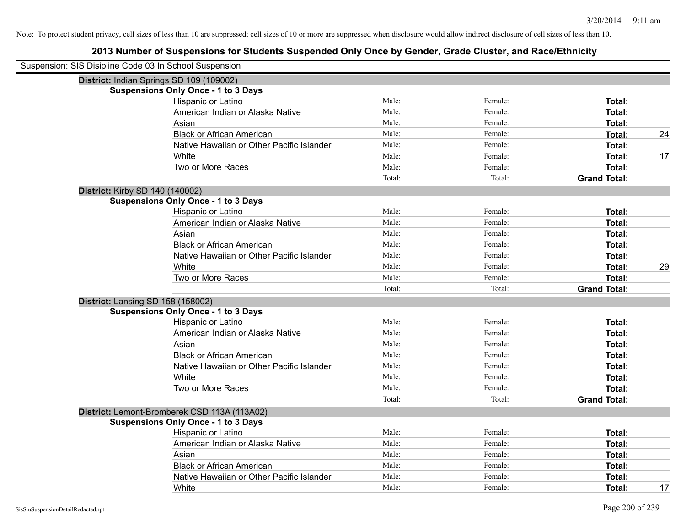| Suspension: SIS Disipline Code 03 In School Suspension |                                              |        |         |                     |    |
|--------------------------------------------------------|----------------------------------------------|--------|---------|---------------------|----|
|                                                        | District: Indian Springs SD 109 (109002)     |        |         |                     |    |
|                                                        | <b>Suspensions Only Once - 1 to 3 Days</b>   |        |         |                     |    |
|                                                        | Hispanic or Latino                           | Male:  | Female: | Total:              |    |
|                                                        | American Indian or Alaska Native             | Male:  | Female: | Total:              |    |
|                                                        | Asian                                        | Male:  | Female: | <b>Total:</b>       |    |
|                                                        | <b>Black or African American</b>             | Male:  | Female: | <b>Total:</b>       | 24 |
|                                                        | Native Hawaiian or Other Pacific Islander    | Male:  | Female: | <b>Total:</b>       |    |
|                                                        | White                                        | Male:  | Female: | <b>Total:</b>       | 17 |
|                                                        | Two or More Races                            | Male:  | Female: | Total:              |    |
|                                                        |                                              | Total: | Total:  | <b>Grand Total:</b> |    |
|                                                        | <b>District: Kirby SD 140 (140002)</b>       |        |         |                     |    |
|                                                        | <b>Suspensions Only Once - 1 to 3 Days</b>   |        |         |                     |    |
|                                                        | Hispanic or Latino                           | Male:  | Female: | Total:              |    |
|                                                        | American Indian or Alaska Native             | Male:  | Female: | <b>Total:</b>       |    |
|                                                        | Asian                                        | Male:  | Female: | <b>Total:</b>       |    |
|                                                        | <b>Black or African American</b>             | Male:  | Female: | <b>Total:</b>       |    |
|                                                        | Native Hawaiian or Other Pacific Islander    | Male:  | Female: | <b>Total:</b>       |    |
|                                                        | White                                        | Male:  | Female: | <b>Total:</b>       | 29 |
|                                                        | Two or More Races                            | Male:  | Female: | Total:              |    |
|                                                        |                                              | Total: | Total:  | <b>Grand Total:</b> |    |
|                                                        | District: Lansing SD 158 (158002)            |        |         |                     |    |
|                                                        | <b>Suspensions Only Once - 1 to 3 Days</b>   |        |         |                     |    |
|                                                        | Hispanic or Latino                           | Male:  | Female: | <b>Total:</b>       |    |
|                                                        | American Indian or Alaska Native             | Male:  | Female: | Total:              |    |
|                                                        | Asian                                        | Male:  | Female: | <b>Total:</b>       |    |
|                                                        | <b>Black or African American</b>             | Male:  | Female: | <b>Total:</b>       |    |
|                                                        | Native Hawaiian or Other Pacific Islander    | Male:  | Female: | <b>Total:</b>       |    |
|                                                        | White                                        | Male:  | Female: | <b>Total:</b>       |    |
|                                                        | Two or More Races                            | Male:  | Female: | Total:              |    |
|                                                        |                                              | Total: | Total:  | <b>Grand Total:</b> |    |
|                                                        | District: Lemont-Bromberek CSD 113A (113A02) |        |         |                     |    |
|                                                        | <b>Suspensions Only Once - 1 to 3 Days</b>   |        |         |                     |    |
|                                                        | Hispanic or Latino                           | Male:  | Female: | Total:              |    |
|                                                        | American Indian or Alaska Native             | Male:  | Female: | <b>Total:</b>       |    |
|                                                        | Asian                                        | Male:  | Female: | Total:              |    |
|                                                        | <b>Black or African American</b>             | Male:  | Female: | <b>Total:</b>       |    |
|                                                        | Native Hawaiian or Other Pacific Islander    | Male:  | Female: | <b>Total:</b>       |    |
|                                                        | White                                        | Male:  | Female: | Total:              | 17 |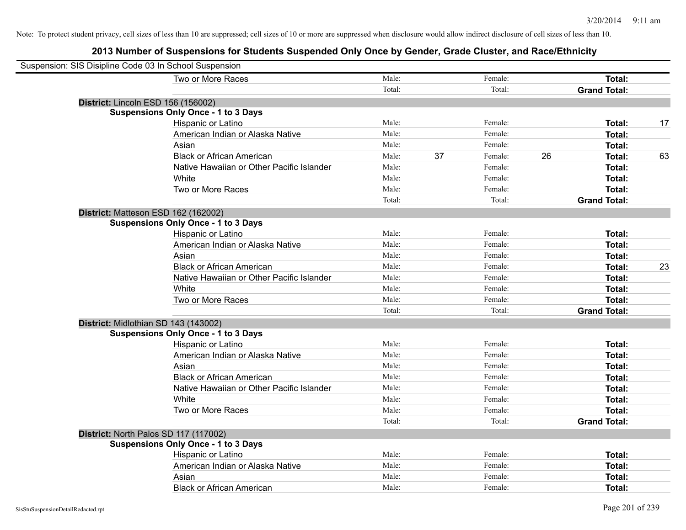| Suspension: SIS Disipline Code 03 In School Suspension |                                            |        |    |         |    |                     |    |
|--------------------------------------------------------|--------------------------------------------|--------|----|---------|----|---------------------|----|
|                                                        | Two or More Races                          | Male:  |    | Female: |    | Total:              |    |
|                                                        |                                            | Total: |    | Total:  |    | <b>Grand Total:</b> |    |
|                                                        | District: Lincoln ESD 156 (156002)         |        |    |         |    |                     |    |
|                                                        | <b>Suspensions Only Once - 1 to 3 Days</b> |        |    |         |    |                     |    |
|                                                        | Hispanic or Latino                         | Male:  |    | Female: |    | Total:              | 17 |
|                                                        | American Indian or Alaska Native           | Male:  |    | Female: |    | <b>Total:</b>       |    |
|                                                        | Asian                                      | Male:  |    | Female: |    | <b>Total:</b>       |    |
|                                                        | <b>Black or African American</b>           | Male:  | 37 | Female: | 26 | Total:              | 63 |
|                                                        | Native Hawaiian or Other Pacific Islander  | Male:  |    | Female: |    | Total:              |    |
|                                                        | White                                      | Male:  |    | Female: |    | Total:              |    |
|                                                        | Two or More Races                          | Male:  |    | Female: |    | Total:              |    |
|                                                        |                                            | Total: |    | Total:  |    | <b>Grand Total:</b> |    |
|                                                        | District: Matteson ESD 162 (162002)        |        |    |         |    |                     |    |
|                                                        | <b>Suspensions Only Once - 1 to 3 Days</b> |        |    |         |    |                     |    |
|                                                        | Hispanic or Latino                         | Male:  |    | Female: |    | Total:              |    |
|                                                        | American Indian or Alaska Native           | Male:  |    | Female: |    | Total:              |    |
|                                                        | Asian                                      | Male:  |    | Female: |    | Total:              |    |
|                                                        | <b>Black or African American</b>           | Male:  |    | Female: |    | Total:              | 23 |
|                                                        | Native Hawaiian or Other Pacific Islander  | Male:  |    | Female: |    | Total:              |    |
|                                                        | White                                      | Male:  |    | Female: |    | Total:              |    |
|                                                        | Two or More Races                          | Male:  |    | Female: |    | <b>Total:</b>       |    |
|                                                        |                                            | Total: |    | Total:  |    | <b>Grand Total:</b> |    |
|                                                        | District: Midlothian SD 143 (143002)       |        |    |         |    |                     |    |
|                                                        | <b>Suspensions Only Once - 1 to 3 Days</b> |        |    |         |    |                     |    |
|                                                        | Hispanic or Latino                         | Male:  |    | Female: |    | Total:              |    |
|                                                        | American Indian or Alaska Native           | Male:  |    | Female: |    | <b>Total:</b>       |    |
|                                                        | Asian                                      | Male:  |    | Female: |    | Total:              |    |
|                                                        | <b>Black or African American</b>           | Male:  |    | Female: |    | Total:              |    |
|                                                        | Native Hawaiian or Other Pacific Islander  | Male:  |    | Female: |    | Total:              |    |
|                                                        | White                                      | Male:  |    | Female: |    | Total:              |    |
|                                                        | Two or More Races                          | Male:  |    | Female: |    | <b>Total:</b>       |    |
|                                                        |                                            | Total: |    | Total:  |    | <b>Grand Total:</b> |    |
|                                                        | District: North Palos SD 117 (117002)      |        |    |         |    |                     |    |
|                                                        | <b>Suspensions Only Once - 1 to 3 Days</b> |        |    |         |    |                     |    |
|                                                        | Hispanic or Latino                         | Male:  |    | Female: |    | Total:              |    |
|                                                        | American Indian or Alaska Native           | Male:  |    | Female: |    | <b>Total:</b>       |    |
|                                                        | Asian                                      | Male:  |    | Female: |    | <b>Total:</b>       |    |
|                                                        | <b>Black or African American</b>           | Male:  |    | Female: |    | Total:              |    |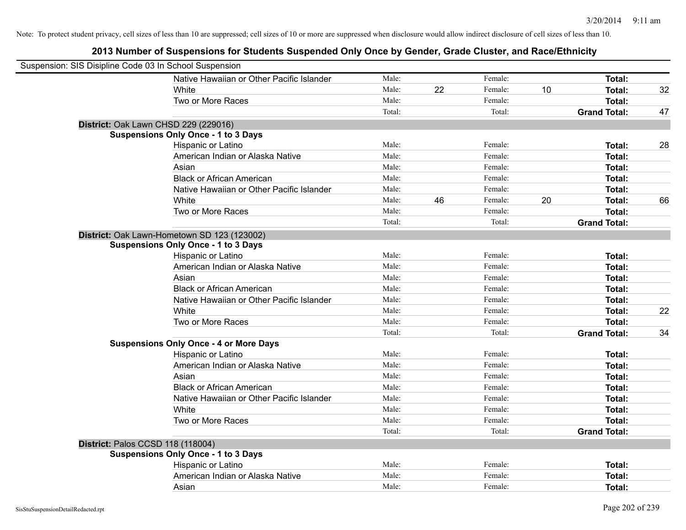| Suspension: SIS Disipline Code 03 In School Suspension |                                               |        |    |         |    |                     |    |
|--------------------------------------------------------|-----------------------------------------------|--------|----|---------|----|---------------------|----|
|                                                        | Native Hawaiian or Other Pacific Islander     | Male:  |    | Female: |    | <b>Total:</b>       |    |
|                                                        | White                                         | Male:  | 22 | Female: | 10 | Total:              | 32 |
|                                                        | Two or More Races                             | Male:  |    | Female: |    | <b>Total:</b>       |    |
|                                                        |                                               | Total: |    | Total:  |    | <b>Grand Total:</b> | 47 |
| District: Oak Lawn CHSD 229 (229016)                   |                                               |        |    |         |    |                     |    |
|                                                        | <b>Suspensions Only Once - 1 to 3 Days</b>    |        |    |         |    |                     |    |
|                                                        | Hispanic or Latino                            | Male:  |    | Female: |    | Total:              | 28 |
|                                                        | American Indian or Alaska Native              | Male:  |    | Female: |    | Total:              |    |
|                                                        | Asian                                         | Male:  |    | Female: |    | Total:              |    |
|                                                        | <b>Black or African American</b>              | Male:  |    | Female: |    | <b>Total:</b>       |    |
|                                                        | Native Hawaiian or Other Pacific Islander     | Male:  |    | Female: |    | Total:              |    |
|                                                        | White                                         | Male:  | 46 | Female: | 20 | <b>Total:</b>       | 66 |
|                                                        | Two or More Races                             | Male:  |    | Female: |    | <b>Total:</b>       |    |
|                                                        |                                               | Total: |    | Total:  |    | <b>Grand Total:</b> |    |
|                                                        | District: Oak Lawn-Hometown SD 123 (123002)   |        |    |         |    |                     |    |
|                                                        | <b>Suspensions Only Once - 1 to 3 Days</b>    |        |    |         |    |                     |    |
|                                                        | Hispanic or Latino                            | Male:  |    | Female: |    | Total:              |    |
|                                                        | American Indian or Alaska Native              | Male:  |    | Female: |    | Total:              |    |
|                                                        | Asian                                         | Male:  |    | Female: |    | Total:              |    |
|                                                        | <b>Black or African American</b>              | Male:  |    | Female: |    | <b>Total:</b>       |    |
|                                                        | Native Hawaiian or Other Pacific Islander     | Male:  |    | Female: |    | <b>Total:</b>       |    |
|                                                        | White                                         | Male:  |    | Female: |    | <b>Total:</b>       | 22 |
|                                                        | Two or More Races                             | Male:  |    | Female: |    | <b>Total:</b>       |    |
|                                                        |                                               | Total: |    | Total:  |    | <b>Grand Total:</b> | 34 |
|                                                        | <b>Suspensions Only Once - 4 or More Days</b> |        |    |         |    |                     |    |
|                                                        | Hispanic or Latino                            | Male:  |    | Female: |    | Total:              |    |
|                                                        | American Indian or Alaska Native              | Male:  |    | Female: |    | <b>Total:</b>       |    |
|                                                        | Asian                                         | Male:  |    | Female: |    | Total:              |    |
|                                                        | <b>Black or African American</b>              | Male:  |    | Female: |    | Total:              |    |
|                                                        | Native Hawaiian or Other Pacific Islander     | Male:  |    | Female: |    | <b>Total:</b>       |    |
|                                                        | White                                         | Male:  |    | Female: |    | Total:              |    |
|                                                        | Two or More Races                             | Male:  |    | Female: |    | Total:              |    |
|                                                        |                                               | Total: |    | Total:  |    | <b>Grand Total:</b> |    |
| <b>District: Palos CCSD 118 (118004)</b>               |                                               |        |    |         |    |                     |    |
|                                                        | <b>Suspensions Only Once - 1 to 3 Days</b>    |        |    |         |    |                     |    |
|                                                        | Hispanic or Latino                            | Male:  |    | Female: |    | <b>Total:</b>       |    |
|                                                        | American Indian or Alaska Native              | Male:  |    | Female: |    | <b>Total:</b>       |    |
|                                                        | Asian                                         | Male:  |    | Female: |    | Total:              |    |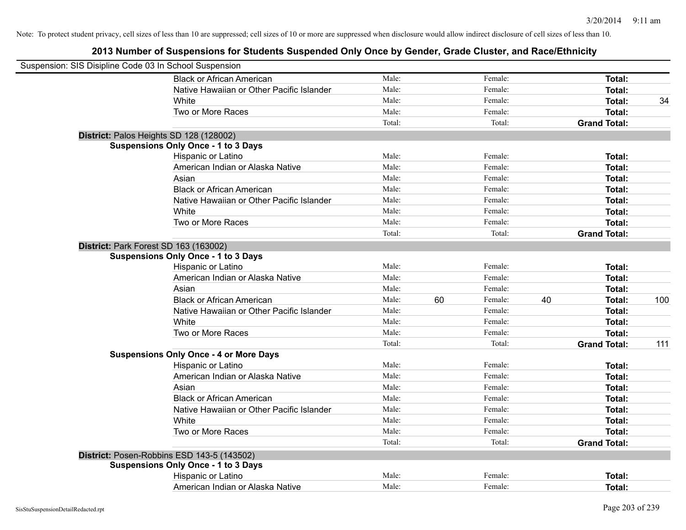| Suspension: SIS Disipline Code 03 In School Suspension |                                               |        |    |         |    |                     |     |
|--------------------------------------------------------|-----------------------------------------------|--------|----|---------|----|---------------------|-----|
|                                                        | <b>Black or African American</b>              | Male:  |    | Female: |    | Total:              |     |
|                                                        | Native Hawaiian or Other Pacific Islander     | Male:  |    | Female: |    | <b>Total:</b>       |     |
|                                                        | White                                         | Male:  |    | Female: |    | <b>Total:</b>       | 34  |
|                                                        | Two or More Races                             | Male:  |    | Female: |    | <b>Total:</b>       |     |
|                                                        |                                               | Total: |    | Total:  |    | <b>Grand Total:</b> |     |
| District: Palos Heights SD 128 (128002)                |                                               |        |    |         |    |                     |     |
|                                                        | <b>Suspensions Only Once - 1 to 3 Days</b>    |        |    |         |    |                     |     |
|                                                        | Hispanic or Latino                            | Male:  |    | Female: |    | Total:              |     |
|                                                        | American Indian or Alaska Native              | Male:  |    | Female: |    | <b>Total:</b>       |     |
|                                                        | Asian                                         | Male:  |    | Female: |    | Total:              |     |
|                                                        | <b>Black or African American</b>              | Male:  |    | Female: |    | Total:              |     |
|                                                        | Native Hawaiian or Other Pacific Islander     | Male:  |    | Female: |    | Total:              |     |
|                                                        | White                                         | Male:  |    | Female: |    | <b>Total:</b>       |     |
|                                                        | Two or More Races                             | Male:  |    | Female: |    | <b>Total:</b>       |     |
|                                                        |                                               | Total: |    | Total:  |    | <b>Grand Total:</b> |     |
| District: Park Forest SD 163 (163002)                  |                                               |        |    |         |    |                     |     |
|                                                        | <b>Suspensions Only Once - 1 to 3 Days</b>    |        |    |         |    |                     |     |
|                                                        | Hispanic or Latino                            | Male:  |    | Female: |    | Total:              |     |
|                                                        | American Indian or Alaska Native              | Male:  |    | Female: |    | <b>Total:</b>       |     |
|                                                        | Asian                                         | Male:  |    | Female: |    | Total:              |     |
|                                                        | <b>Black or African American</b>              | Male:  | 60 | Female: | 40 | <b>Total:</b>       | 100 |
|                                                        | Native Hawaiian or Other Pacific Islander     | Male:  |    | Female: |    | <b>Total:</b>       |     |
|                                                        | White                                         | Male:  |    | Female: |    | <b>Total:</b>       |     |
|                                                        | Two or More Races                             | Male:  |    | Female: |    | Total:              |     |
|                                                        |                                               | Total: |    | Total:  |    | <b>Grand Total:</b> | 111 |
|                                                        | <b>Suspensions Only Once - 4 or More Days</b> |        |    |         |    |                     |     |
|                                                        | Hispanic or Latino                            | Male:  |    | Female: |    | Total:              |     |
|                                                        | American Indian or Alaska Native              | Male:  |    | Female: |    | <b>Total:</b>       |     |
|                                                        | Asian                                         | Male:  |    | Female: |    | Total:              |     |
|                                                        | <b>Black or African American</b>              | Male:  |    | Female: |    | Total:              |     |
|                                                        | Native Hawaiian or Other Pacific Islander     | Male:  |    | Female: |    | Total:              |     |
|                                                        | White                                         | Male:  |    | Female: |    | Total:              |     |
|                                                        | Two or More Races                             | Male:  |    | Female: |    | <b>Total:</b>       |     |
|                                                        |                                               | Total: |    | Total:  |    | <b>Grand Total:</b> |     |
|                                                        | District: Posen-Robbins ESD 143-5 (143502)    |        |    |         |    |                     |     |
|                                                        | <b>Suspensions Only Once - 1 to 3 Days</b>    |        |    |         |    |                     |     |
|                                                        | Hispanic or Latino                            | Male:  |    | Female: |    | <b>Total:</b>       |     |
|                                                        | American Indian or Alaska Native              | Male:  |    | Female: |    | Total:              |     |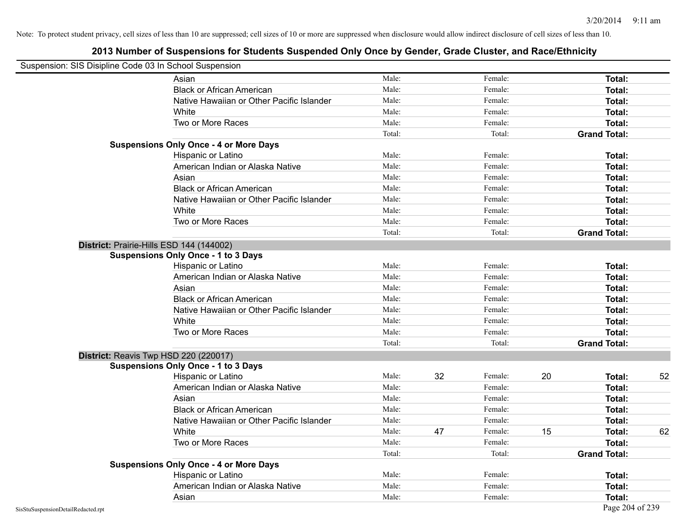| Suspension: SIS Disipline Code 03 In School Suspension |                                               |        |    |         |    |                     |    |
|--------------------------------------------------------|-----------------------------------------------|--------|----|---------|----|---------------------|----|
|                                                        | Asian                                         | Male:  |    | Female: |    | Total:              |    |
|                                                        | <b>Black or African American</b>              | Male:  |    | Female: |    | Total:              |    |
|                                                        | Native Hawaiian or Other Pacific Islander     | Male:  |    | Female: |    | Total:              |    |
|                                                        | White                                         | Male:  |    | Female: |    | Total:              |    |
|                                                        | Two or More Races                             | Male:  |    | Female: |    | Total:              |    |
|                                                        |                                               | Total: |    | Total:  |    | <b>Grand Total:</b> |    |
|                                                        | <b>Suspensions Only Once - 4 or More Days</b> |        |    |         |    |                     |    |
|                                                        | Hispanic or Latino                            | Male:  |    | Female: |    | Total:              |    |
|                                                        | American Indian or Alaska Native              | Male:  |    | Female: |    | Total:              |    |
|                                                        | Asian                                         | Male:  |    | Female: |    | Total:              |    |
|                                                        | <b>Black or African American</b>              | Male:  |    | Female: |    | Total:              |    |
|                                                        | Native Hawaiian or Other Pacific Islander     | Male:  |    | Female: |    | Total:              |    |
|                                                        | White                                         | Male:  |    | Female: |    | Total:              |    |
|                                                        | Two or More Races                             | Male:  |    | Female: |    | Total:              |    |
|                                                        |                                               | Total: |    | Total:  |    | <b>Grand Total:</b> |    |
|                                                        | District: Prairie-Hills ESD 144 (144002)      |        |    |         |    |                     |    |
|                                                        | <b>Suspensions Only Once - 1 to 3 Days</b>    |        |    |         |    |                     |    |
|                                                        | Hispanic or Latino                            | Male:  |    | Female: |    | Total:              |    |
|                                                        | American Indian or Alaska Native              | Male:  |    | Female: |    | Total:              |    |
|                                                        | Asian                                         | Male:  |    | Female: |    | Total:              |    |
|                                                        | <b>Black or African American</b>              | Male:  |    | Female: |    | Total:              |    |
|                                                        | Native Hawaiian or Other Pacific Islander     | Male:  |    | Female: |    | Total:              |    |
|                                                        | White                                         | Male:  |    | Female: |    | Total:              |    |
|                                                        | Two or More Races                             | Male:  |    | Female: |    | Total:              |    |
|                                                        |                                               | Total: |    | Total:  |    | <b>Grand Total:</b> |    |
|                                                        | District: Reavis Twp HSD 220 (220017)         |        |    |         |    |                     |    |
|                                                        | <b>Suspensions Only Once - 1 to 3 Days</b>    |        |    |         |    |                     |    |
|                                                        | Hispanic or Latino                            | Male:  | 32 | Female: | 20 | Total:              | 52 |
|                                                        | American Indian or Alaska Native              | Male:  |    | Female: |    | Total:              |    |
|                                                        | Asian                                         | Male:  |    | Female: |    | Total:              |    |
|                                                        | <b>Black or African American</b>              | Male:  |    | Female: |    | Total:              |    |
|                                                        | Native Hawaiian or Other Pacific Islander     | Male:  |    | Female: |    | Total:              |    |
|                                                        | White                                         | Male:  | 47 | Female: | 15 | Total:              | 62 |
|                                                        | Two or More Races                             | Male:  |    | Female: |    | Total:              |    |
|                                                        |                                               | Total: |    | Total:  |    | <b>Grand Total:</b> |    |
|                                                        | <b>Suspensions Only Once - 4 or More Days</b> |        |    |         |    |                     |    |
|                                                        | Hispanic or Latino                            | Male:  |    | Female: |    | Total:              |    |
|                                                        | American Indian or Alaska Native              | Male:  |    | Female: |    | Total:              |    |
|                                                        | Asian                                         | Male:  |    | Female: |    | Total:              |    |
| SisStuSuspensionDetailRedacted.rpt                     |                                               |        |    |         |    | Page 204 of 239     |    |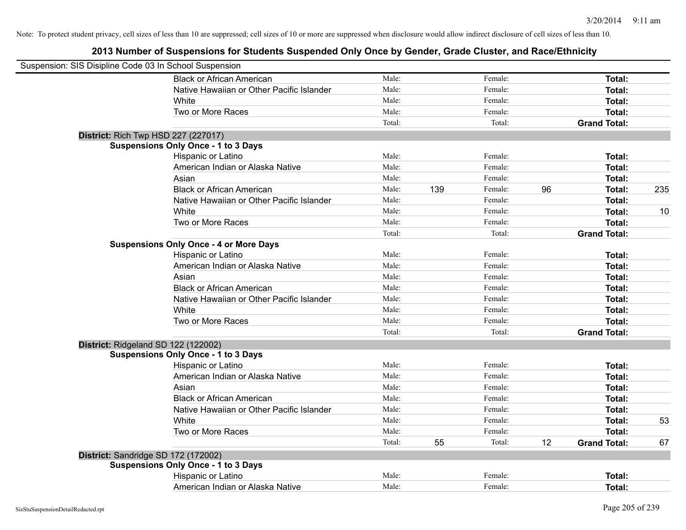| Suspension: SIS Disipline Code 03 In School Suspension |                                               |        |     |         |    |                     |     |
|--------------------------------------------------------|-----------------------------------------------|--------|-----|---------|----|---------------------|-----|
|                                                        | <b>Black or African American</b>              | Male:  |     | Female: |    | Total:              |     |
|                                                        | Native Hawaiian or Other Pacific Islander     | Male:  |     | Female: |    | Total:              |     |
|                                                        | White                                         | Male:  |     | Female: |    | Total:              |     |
|                                                        | Two or More Races                             | Male:  |     | Female: |    | Total:              |     |
|                                                        |                                               | Total: |     | Total:  |    | <b>Grand Total:</b> |     |
| <b>District: Rich Twp HSD 227 (227017)</b>             |                                               |        |     |         |    |                     |     |
|                                                        | <b>Suspensions Only Once - 1 to 3 Days</b>    |        |     |         |    |                     |     |
|                                                        | Hispanic or Latino                            | Male:  |     | Female: |    | Total:              |     |
|                                                        | American Indian or Alaska Native              | Male:  |     | Female: |    | Total:              |     |
|                                                        | Asian                                         | Male:  |     | Female: |    | Total:              |     |
|                                                        | <b>Black or African American</b>              | Male:  | 139 | Female: | 96 | Total:              | 235 |
|                                                        | Native Hawaiian or Other Pacific Islander     | Male:  |     | Female: |    | Total:              |     |
|                                                        | White                                         | Male:  |     | Female: |    | Total:              | 10  |
|                                                        | Two or More Races                             | Male:  |     | Female: |    | Total:              |     |
|                                                        |                                               | Total: |     | Total:  |    | <b>Grand Total:</b> |     |
|                                                        | <b>Suspensions Only Once - 4 or More Days</b> |        |     |         |    |                     |     |
|                                                        | Hispanic or Latino                            | Male:  |     | Female: |    | Total:              |     |
|                                                        | American Indian or Alaska Native              | Male:  |     | Female: |    | Total:              |     |
|                                                        | Asian                                         | Male:  |     | Female: |    | Total:              |     |
|                                                        | <b>Black or African American</b>              | Male:  |     | Female: |    | Total:              |     |
|                                                        | Native Hawaiian or Other Pacific Islander     | Male:  |     | Female: |    | Total:              |     |
|                                                        | White                                         | Male:  |     | Female: |    | Total:              |     |
|                                                        | Two or More Races                             | Male:  |     | Female: |    | Total:              |     |
|                                                        |                                               | Total: |     | Total:  |    | <b>Grand Total:</b> |     |
| District: Ridgeland SD 122 (122002)                    |                                               |        |     |         |    |                     |     |
|                                                        | <b>Suspensions Only Once - 1 to 3 Days</b>    |        |     |         |    |                     |     |
|                                                        | Hispanic or Latino                            | Male:  |     | Female: |    | Total:              |     |
|                                                        | American Indian or Alaska Native              | Male:  |     | Female: |    | Total:              |     |
|                                                        | Asian                                         | Male:  |     | Female: |    | Total:              |     |
|                                                        | <b>Black or African American</b>              | Male:  |     | Female: |    | Total:              |     |
|                                                        | Native Hawaiian or Other Pacific Islander     | Male:  |     | Female: |    | Total:              |     |
|                                                        | White                                         | Male:  |     | Female: |    | Total:              | 53  |
|                                                        | Two or More Races                             | Male:  |     | Female: |    | Total:              |     |
|                                                        |                                               | Total: | 55  | Total:  | 12 | <b>Grand Total:</b> | 67  |
| District: Sandridge SD 172 (172002)                    |                                               |        |     |         |    |                     |     |
|                                                        | <b>Suspensions Only Once - 1 to 3 Days</b>    |        |     |         |    |                     |     |
|                                                        | Hispanic or Latino                            | Male:  |     | Female: |    | Total:              |     |
|                                                        | American Indian or Alaska Native              | Male:  |     | Female: |    | Total:              |     |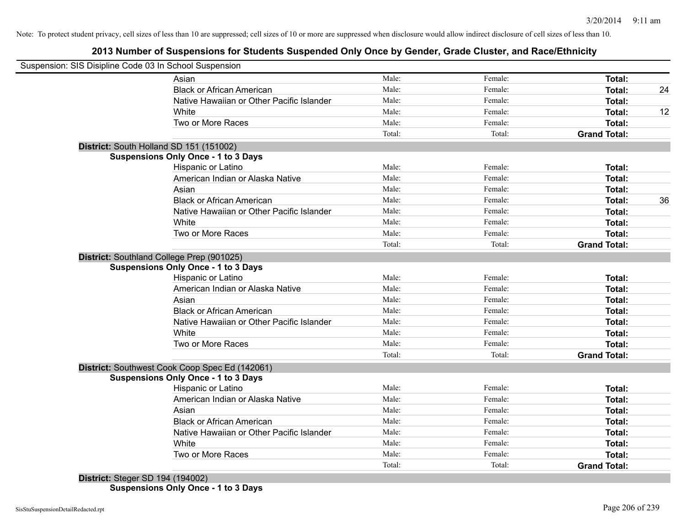# **2013 Number of Suspensions for Students Suspended Only Once by Gender, Grade Cluster, and Race/Ethnicity**

| Suspension: SIS Disipline Code 03 In School Suspension |        |         |                     |    |
|--------------------------------------------------------|--------|---------|---------------------|----|
| Asian                                                  | Male:  | Female: | Total:              |    |
| <b>Black or African American</b>                       | Male:  | Female: | Total:              | 24 |
| Native Hawaiian or Other Pacific Islander              | Male:  | Female: | Total:              |    |
| White                                                  | Male:  | Female: | Total:              | 12 |
| Two or More Races                                      | Male:  | Female: | Total:              |    |
|                                                        | Total: | Total:  | <b>Grand Total:</b> |    |
| District: South Holland SD 151 (151002)                |        |         |                     |    |
| <b>Suspensions Only Once - 1 to 3 Days</b>             |        |         |                     |    |
| <b>Hispanic or Latino</b>                              | Male:  | Female: | Total:              |    |
| American Indian or Alaska Native                       | Male:  | Female: | Total:              |    |
| Asian                                                  | Male:  | Female: | Total:              |    |
| <b>Black or African American</b>                       | Male:  | Female: | Total:              | 36 |
| Native Hawaiian or Other Pacific Islander              | Male:  | Female: | Total:              |    |
| White                                                  | Male:  | Female: | Total:              |    |
| Two or More Races                                      | Male:  | Female: | Total:              |    |
|                                                        | Total: | Total:  | <b>Grand Total:</b> |    |
| District: Southland College Prep (901025)              |        |         |                     |    |
| <b>Suspensions Only Once - 1 to 3 Days</b>             |        |         |                     |    |
| Hispanic or Latino                                     | Male:  | Female: | Total:              |    |
| American Indian or Alaska Native                       | Male:  | Female: | Total:              |    |
| Asian                                                  | Male:  | Female: | Total:              |    |
| <b>Black or African American</b>                       | Male:  | Female: | Total:              |    |
| Native Hawaiian or Other Pacific Islander              | Male:  | Female: | Total:              |    |
| White                                                  | Male:  | Female: | Total:              |    |
| Two or More Races                                      | Male:  | Female: | Total:              |    |
|                                                        | Total: | Total:  | <b>Grand Total:</b> |    |
| District: Southwest Cook Coop Spec Ed (142061)         |        |         |                     |    |
| <b>Suspensions Only Once - 1 to 3 Days</b>             |        |         |                     |    |
| Hispanic or Latino                                     | Male:  | Female: | Total:              |    |
| American Indian or Alaska Native                       | Male:  | Female: | Total:              |    |
| Asian                                                  | Male:  | Female: | Total:              |    |
| <b>Black or African American</b>                       | Male:  | Female: | Total:              |    |
| Native Hawaiian or Other Pacific Islander              | Male:  | Female: | Total:              |    |
| White                                                  | Male:  | Female: | Total:              |    |
| Two or More Races                                      | Male:  | Female: | Total:              |    |
|                                                        | Total: | Total:  | <b>Grand Total:</b> |    |

**Suspensions Only Once - 1 to 3 Days**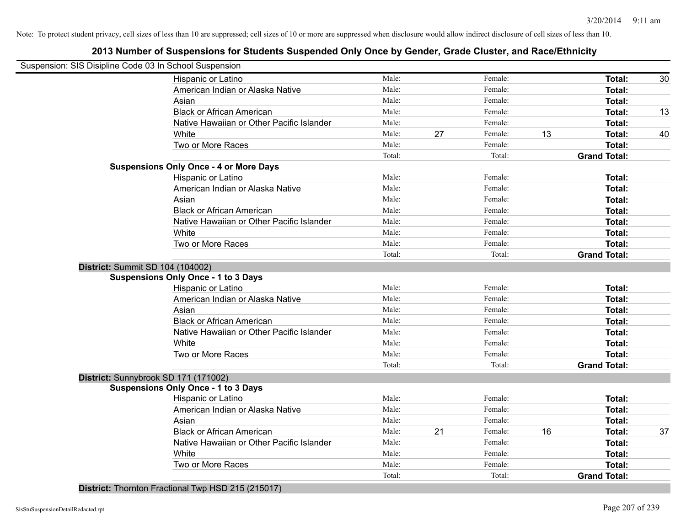|                                  | Suspension: SIS Disipline Code 03 In School Suspension |        |    |         |    |                     |    |
|----------------------------------|--------------------------------------------------------|--------|----|---------|----|---------------------|----|
|                                  | Hispanic or Latino                                     | Male:  |    | Female: |    | Total:              | 30 |
|                                  | American Indian or Alaska Native                       | Male:  |    | Female: |    | Total:              |    |
|                                  | Asian                                                  | Male:  |    | Female: |    | Total:              |    |
|                                  | <b>Black or African American</b>                       | Male:  |    | Female: |    | Total:              | 13 |
|                                  | Native Hawaiian or Other Pacific Islander              | Male:  |    | Female: |    | Total:              |    |
|                                  | White                                                  | Male:  | 27 | Female: | 13 | Total:              | 40 |
|                                  | Two or More Races                                      | Male:  |    | Female: |    | Total:              |    |
|                                  |                                                        | Total: |    | Total:  |    | <b>Grand Total:</b> |    |
|                                  | <b>Suspensions Only Once - 4 or More Days</b>          |        |    |         |    |                     |    |
|                                  | Hispanic or Latino                                     | Male:  |    | Female: |    | Total:              |    |
|                                  | American Indian or Alaska Native                       | Male:  |    | Female: |    | Total:              |    |
|                                  | Asian                                                  | Male:  |    | Female: |    | Total:              |    |
|                                  | <b>Black or African American</b>                       | Male:  |    | Female: |    | Total:              |    |
|                                  | Native Hawaiian or Other Pacific Islander              | Male:  |    | Female: |    | Total:              |    |
|                                  | White                                                  | Male:  |    | Female: |    | Total:              |    |
|                                  | Two or More Races                                      | Male:  |    | Female: |    | Total:              |    |
|                                  |                                                        | Total: |    | Total:  |    | <b>Grand Total:</b> |    |
| District: Summit SD 104 (104002) |                                                        |        |    |         |    |                     |    |
|                                  | <b>Suspensions Only Once - 1 to 3 Days</b>             |        |    |         |    |                     |    |
|                                  | Hispanic or Latino                                     | Male:  |    | Female: |    | Total:              |    |
|                                  | American Indian or Alaska Native                       | Male:  |    | Female: |    | Total:              |    |
|                                  | Asian                                                  | Male:  |    | Female: |    | Total:              |    |
|                                  | <b>Black or African American</b>                       | Male:  |    | Female: |    | Total:              |    |
|                                  | Native Hawaiian or Other Pacific Islander              | Male:  |    | Female: |    | Total:              |    |
|                                  | White                                                  | Male:  |    | Female: |    | Total:              |    |
|                                  | Two or More Races                                      | Male:  |    | Female: |    | Total:              |    |
|                                  |                                                        | Total: |    | Total:  |    | <b>Grand Total:</b> |    |
|                                  | District: Sunnybrook SD 171 (171002)                   |        |    |         |    |                     |    |
|                                  | <b>Suspensions Only Once - 1 to 3 Days</b>             |        |    |         |    |                     |    |
|                                  | Hispanic or Latino                                     | Male:  |    | Female: |    | Total:              |    |
|                                  | American Indian or Alaska Native                       | Male:  |    | Female: |    | Total:              |    |
|                                  | Asian                                                  | Male:  |    | Female: |    | Total:              |    |
|                                  | <b>Black or African American</b>                       | Male:  | 21 | Female: | 16 | Total:              | 37 |
|                                  | Native Hawaiian or Other Pacific Islander              | Male:  |    | Female: |    | Total:              |    |
|                                  | White                                                  | Male:  |    | Female: |    | Total:              |    |
|                                  | Two or More Races                                      | Male:  |    | Female: |    | Total:              |    |
|                                  |                                                        | Total: |    | Total:  |    | <b>Grand Total:</b> |    |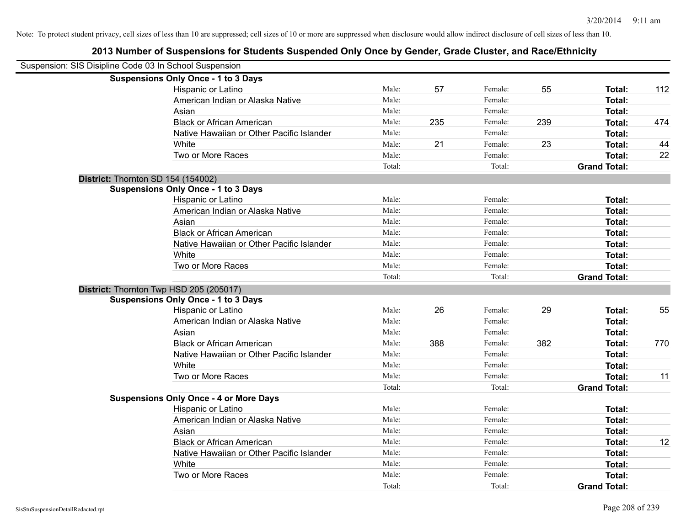| Suspension: SIS Disipline Code 03 In School Suspension |                                               |        |     |         |     |                     |     |
|--------------------------------------------------------|-----------------------------------------------|--------|-----|---------|-----|---------------------|-----|
|                                                        | <b>Suspensions Only Once - 1 to 3 Days</b>    |        |     |         |     |                     |     |
|                                                        | Hispanic or Latino                            | Male:  | 57  | Female: | 55  | Total:              | 112 |
|                                                        | American Indian or Alaska Native              | Male:  |     | Female: |     | Total:              |     |
|                                                        | Asian                                         | Male:  |     | Female: |     | Total:              |     |
|                                                        | <b>Black or African American</b>              | Male:  | 235 | Female: | 239 | Total:              | 474 |
|                                                        | Native Hawaiian or Other Pacific Islander     | Male:  |     | Female: |     | Total:              |     |
|                                                        | White                                         | Male:  | 21  | Female: | 23  | Total:              | 44  |
|                                                        | Two or More Races                             | Male:  |     | Female: |     | Total:              | 22  |
|                                                        |                                               | Total: |     | Total:  |     | <b>Grand Total:</b> |     |
| District: Thornton SD 154 (154002)                     |                                               |        |     |         |     |                     |     |
|                                                        | <b>Suspensions Only Once - 1 to 3 Days</b>    |        |     |         |     |                     |     |
|                                                        | Hispanic or Latino                            | Male:  |     | Female: |     | Total:              |     |
|                                                        | American Indian or Alaska Native              | Male:  |     | Female: |     | Total:              |     |
|                                                        | Asian                                         | Male:  |     | Female: |     | Total:              |     |
|                                                        | <b>Black or African American</b>              | Male:  |     | Female: |     | Total:              |     |
|                                                        | Native Hawaiian or Other Pacific Islander     | Male:  |     | Female: |     | Total:              |     |
|                                                        | White                                         | Male:  |     | Female: |     | Total:              |     |
|                                                        | Two or More Races                             | Male:  |     | Female: |     | Total:              |     |
|                                                        |                                               | Total: |     | Total:  |     | <b>Grand Total:</b> |     |
| District: Thornton Twp HSD 205 (205017)                |                                               |        |     |         |     |                     |     |
|                                                        | <b>Suspensions Only Once - 1 to 3 Days</b>    |        |     |         |     |                     |     |
|                                                        | Hispanic or Latino                            | Male:  | 26  | Female: | 29  | Total:              | 55  |
|                                                        | American Indian or Alaska Native              | Male:  |     | Female: |     | Total:              |     |
|                                                        | Asian                                         | Male:  |     | Female: |     | Total:              |     |
|                                                        | <b>Black or African American</b>              | Male:  | 388 | Female: | 382 | Total:              | 770 |
|                                                        | Native Hawaiian or Other Pacific Islander     | Male:  |     | Female: |     | Total:              |     |
|                                                        | White                                         | Male:  |     | Female: |     | Total:              |     |
|                                                        | Two or More Races                             | Male:  |     | Female: |     | Total:              | 11  |
|                                                        |                                               | Total: |     | Total:  |     | <b>Grand Total:</b> |     |
|                                                        | <b>Suspensions Only Once - 4 or More Days</b> |        |     |         |     |                     |     |
|                                                        | Hispanic or Latino                            | Male:  |     | Female: |     | Total:              |     |
|                                                        | American Indian or Alaska Native              | Male:  |     | Female: |     | Total:              |     |
|                                                        | Asian                                         | Male:  |     | Female: |     | Total:              |     |
|                                                        | <b>Black or African American</b>              | Male:  |     | Female: |     | Total:              | 12  |
|                                                        | Native Hawaiian or Other Pacific Islander     | Male:  |     | Female: |     | Total:              |     |
|                                                        | White                                         | Male:  |     | Female: |     | Total:              |     |
|                                                        | Two or More Races                             | Male:  |     | Female: |     | <b>Total:</b>       |     |
|                                                        |                                               | Total: |     | Total:  |     | <b>Grand Total:</b> |     |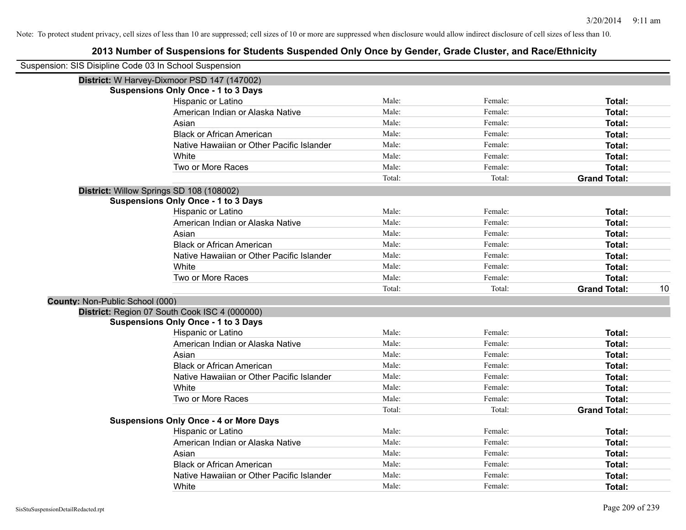|                                 | Suspension: SIS Disipline Code 03 In School Suspension |        |         |                     |    |
|---------------------------------|--------------------------------------------------------|--------|---------|---------------------|----|
|                                 | District: W Harvey-Dixmoor PSD 147 (147002)            |        |         |                     |    |
|                                 | <b>Suspensions Only Once - 1 to 3 Days</b>             |        |         |                     |    |
|                                 | Hispanic or Latino                                     | Male:  | Female: | Total:              |    |
|                                 | American Indian or Alaska Native                       | Male:  | Female: | Total:              |    |
|                                 | Asian                                                  | Male:  | Female: | Total:              |    |
|                                 | <b>Black or African American</b>                       | Male:  | Female: | Total:              |    |
|                                 | Native Hawaiian or Other Pacific Islander              | Male:  | Female: | Total:              |    |
|                                 | White                                                  | Male:  | Female: | Total:              |    |
|                                 | Two or More Races                                      | Male:  | Female: | Total:              |    |
|                                 |                                                        | Total: | Total:  | <b>Grand Total:</b> |    |
|                                 | District: Willow Springs SD 108 (108002)               |        |         |                     |    |
|                                 | <b>Suspensions Only Once - 1 to 3 Days</b>             |        |         |                     |    |
|                                 | Hispanic or Latino                                     | Male:  | Female: | Total:              |    |
|                                 | American Indian or Alaska Native                       | Male:  | Female: | Total:              |    |
|                                 | Asian                                                  | Male:  | Female: | Total:              |    |
|                                 | <b>Black or African American</b>                       | Male:  | Female: | Total:              |    |
|                                 | Native Hawaiian or Other Pacific Islander              | Male:  | Female: | Total:              |    |
|                                 | White                                                  | Male:  | Female: | Total:              |    |
|                                 | Two or More Races                                      | Male:  | Female: | Total:              |    |
|                                 |                                                        | Total: | Total:  | <b>Grand Total:</b> | 10 |
| County: Non-Public School (000) |                                                        |        |         |                     |    |
|                                 | District: Region 07 South Cook ISC 4 (000000)          |        |         |                     |    |
|                                 | <b>Suspensions Only Once - 1 to 3 Days</b>             |        |         |                     |    |
|                                 | Hispanic or Latino                                     | Male:  | Female: | Total:              |    |
|                                 | American Indian or Alaska Native                       | Male:  | Female: | Total:              |    |
|                                 | Asian                                                  | Male:  | Female: | Total:              |    |
|                                 | <b>Black or African American</b>                       | Male:  | Female: | Total:              |    |
|                                 | Native Hawaiian or Other Pacific Islander              | Male:  | Female: | Total:              |    |
|                                 | White                                                  | Male:  | Female: | Total:              |    |
|                                 | Two or More Races                                      | Male:  | Female: | Total:              |    |
|                                 |                                                        | Total: | Total:  | <b>Grand Total:</b> |    |
|                                 | <b>Suspensions Only Once - 4 or More Days</b>          |        |         |                     |    |
|                                 | Hispanic or Latino                                     | Male:  | Female: | Total:              |    |
|                                 | American Indian or Alaska Native                       | Male:  | Female: | Total:              |    |
|                                 | Asian                                                  | Male:  | Female: | Total:              |    |
|                                 | <b>Black or African American</b>                       | Male:  | Female: | Total:              |    |
|                                 | Native Hawaiian or Other Pacific Islander              | Male:  | Female: | <b>Total:</b>       |    |
|                                 | White                                                  | Male:  | Female: | Total:              |    |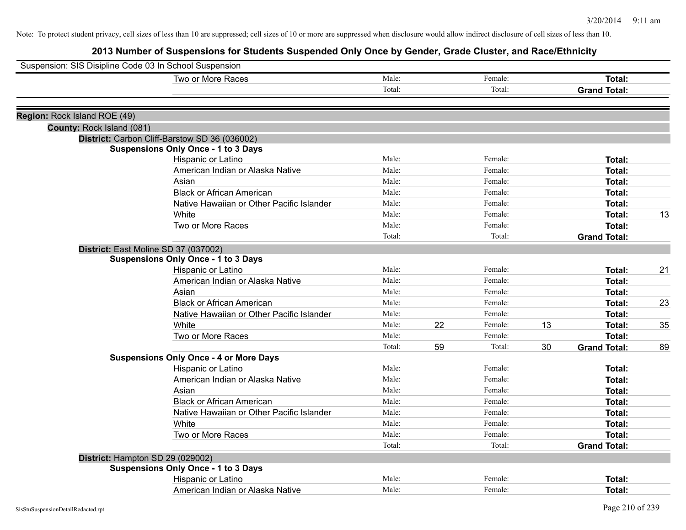| Suspension: SIS Disipline Code 03 In School Suspension |        |               |    |                     |    |
|--------------------------------------------------------|--------|---------------|----|---------------------|----|
| Two or More Races                                      | Male:  | Female:       |    | Total:              |    |
|                                                        | Total: | Total:        |    | <b>Grand Total:</b> |    |
| Region: Rock Island ROE (49)                           |        |               |    |                     |    |
| County: Rock Island (081)                              |        |               |    |                     |    |
| District: Carbon Cliff-Barstow SD 36 (036002)          |        |               |    |                     |    |
| <b>Suspensions Only Once - 1 to 3 Days</b>             |        |               |    |                     |    |
| Hispanic or Latino                                     | Male:  | Female:       |    | Total:              |    |
| American Indian or Alaska Native                       | Male:  | Female:       |    | <b>Total:</b>       |    |
| Asian                                                  | Male:  | Female:       |    | Total:              |    |
| <b>Black or African American</b>                       | Male:  | Female:       |    | Total:              |    |
| Native Hawaiian or Other Pacific Islander              | Male:  | Female:       |    | <b>Total:</b>       |    |
| White                                                  | Male:  | Female:       |    | <b>Total:</b>       | 13 |
| Two or More Races                                      | Male:  | Female:       |    | <b>Total:</b>       |    |
|                                                        | Total: | Total:        |    | <b>Grand Total:</b> |    |
| District: East Moline SD 37 (037002)                   |        |               |    |                     |    |
| <b>Suspensions Only Once - 1 to 3 Days</b>             |        |               |    |                     |    |
| Hispanic or Latino                                     | Male:  | Female:       |    | Total:              | 21 |
| American Indian or Alaska Native                       | Male:  | Female:       |    | <b>Total:</b>       |    |
| Asian                                                  | Male:  | Female:       |    | Total:              |    |
| <b>Black or African American</b>                       | Male:  | Female:       |    | Total:              | 23 |
| Native Hawaiian or Other Pacific Islander              | Male:  | Female:       |    | Total:              |    |
| White                                                  | Male:  | 22<br>Female: | 13 | <b>Total:</b>       | 35 |
| Two or More Races                                      | Male:  | Female:       |    | Total:              |    |
|                                                        | Total: | 59<br>Total:  | 30 | <b>Grand Total:</b> | 89 |
| <b>Suspensions Only Once - 4 or More Days</b>          |        |               |    |                     |    |
| Hispanic or Latino                                     | Male:  | Female:       |    | Total:              |    |
| American Indian or Alaska Native                       | Male:  | Female:       |    | Total:              |    |
| Asian                                                  | Male:  | Female:       |    | Total:              |    |
| <b>Black or African American</b>                       | Male:  | Female:       |    | Total:              |    |
| Native Hawaiian or Other Pacific Islander              | Male:  | Female:       |    | Total:              |    |
| White                                                  | Male:  | Female:       |    | Total:              |    |
| Two or More Races                                      | Male:  | Female:       |    | <b>Total:</b>       |    |
|                                                        | Total: | Total:        |    | <b>Grand Total:</b> |    |
| District: Hampton SD 29 (029002)                       |        |               |    |                     |    |
| <b>Suspensions Only Once - 1 to 3 Days</b>             |        |               |    |                     |    |
| Hispanic or Latino                                     | Male:  | Female:       |    | Total:              |    |
| American Indian or Alaska Native                       | Male:  | Female:       |    | <b>Total:</b>       |    |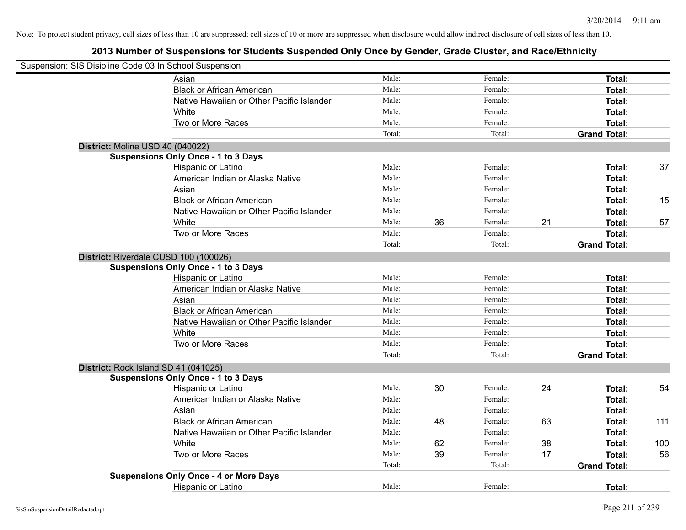| Suspension: SIS Disipline Code 03 In School Suspension |                                               |        |    |         |    |                     |     |
|--------------------------------------------------------|-----------------------------------------------|--------|----|---------|----|---------------------|-----|
|                                                        | Asian                                         | Male:  |    | Female: |    | Total:              |     |
|                                                        | <b>Black or African American</b>              | Male:  |    | Female: |    | Total:              |     |
|                                                        | Native Hawaiian or Other Pacific Islander     | Male:  |    | Female: |    | Total:              |     |
|                                                        | White                                         | Male:  |    | Female: |    | Total:              |     |
|                                                        | Two or More Races                             | Male:  |    | Female: |    | Total:              |     |
|                                                        |                                               | Total: |    | Total:  |    | <b>Grand Total:</b> |     |
| District: Moline USD 40 (040022)                       |                                               |        |    |         |    |                     |     |
|                                                        | <b>Suspensions Only Once - 1 to 3 Days</b>    |        |    |         |    |                     |     |
|                                                        | Hispanic or Latino                            | Male:  |    | Female: |    | Total:              | 37  |
|                                                        | American Indian or Alaska Native              | Male:  |    | Female: |    | Total:              |     |
|                                                        | Asian                                         | Male:  |    | Female: |    | Total:              |     |
|                                                        | <b>Black or African American</b>              | Male:  |    | Female: |    | Total:              | 15  |
|                                                        | Native Hawaiian or Other Pacific Islander     | Male:  |    | Female: |    | Total:              |     |
|                                                        | White                                         | Male:  | 36 | Female: | 21 | Total:              | 57  |
|                                                        | Two or More Races                             | Male:  |    | Female: |    | Total:              |     |
|                                                        |                                               | Total: |    | Total:  |    | <b>Grand Total:</b> |     |
|                                                        | District: Riverdale CUSD 100 (100026)         |        |    |         |    |                     |     |
|                                                        | <b>Suspensions Only Once - 1 to 3 Days</b>    |        |    |         |    |                     |     |
|                                                        | Hispanic or Latino                            | Male:  |    | Female: |    | Total:              |     |
|                                                        | American Indian or Alaska Native              | Male:  |    | Female: |    | Total:              |     |
|                                                        | Asian                                         | Male:  |    | Female: |    | Total:              |     |
|                                                        | <b>Black or African American</b>              | Male:  |    | Female: |    | Total:              |     |
|                                                        | Native Hawaiian or Other Pacific Islander     | Male:  |    | Female: |    | Total:              |     |
|                                                        | White                                         | Male:  |    | Female: |    | Total:              |     |
|                                                        | Two or More Races                             | Male:  |    | Female: |    | Total:              |     |
|                                                        |                                               | Total: |    | Total:  |    | <b>Grand Total:</b> |     |
|                                                        | District: Rock Island SD 41 (041025)          |        |    |         |    |                     |     |
|                                                        | <b>Suspensions Only Once - 1 to 3 Days</b>    |        |    |         |    |                     |     |
|                                                        | Hispanic or Latino                            | Male:  | 30 | Female: | 24 | Total:              | 54  |
|                                                        | American Indian or Alaska Native              | Male:  |    | Female: |    | Total:              |     |
|                                                        | Asian                                         | Male:  |    | Female: |    | Total:              |     |
|                                                        | <b>Black or African American</b>              | Male:  | 48 | Female: | 63 | Total:              | 111 |
|                                                        | Native Hawaiian or Other Pacific Islander     | Male:  |    | Female: |    | Total:              |     |
|                                                        | White                                         | Male:  | 62 | Female: | 38 | Total:              | 100 |
|                                                        | Two or More Races                             | Male:  | 39 | Female: | 17 | Total:              | 56  |
|                                                        |                                               | Total: |    | Total:  |    | <b>Grand Total:</b> |     |
|                                                        | <b>Suspensions Only Once - 4 or More Days</b> |        |    |         |    |                     |     |
|                                                        | <b>Hispanic or Latino</b>                     | Male:  |    | Female: |    | Total:              |     |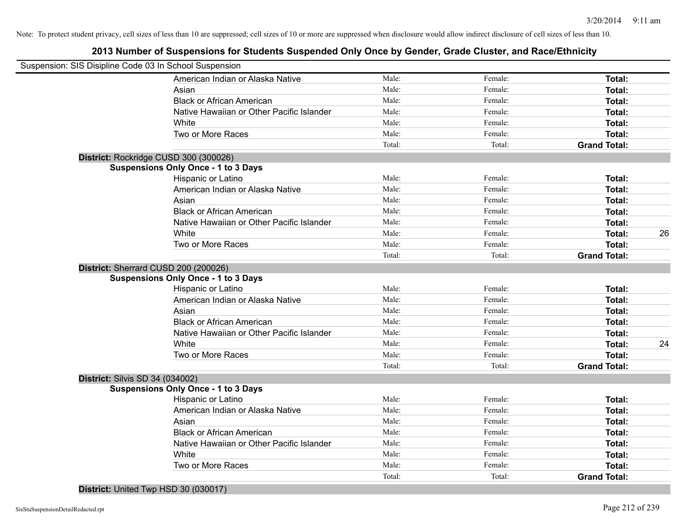# **2013 Number of Suspensions for Students Suspended Only Once by Gender, Grade Cluster, and Race/Ethnicity**

|                                        | Suspension: SIS Disipline Code 03 In School Suspension |        |         |                     |    |
|----------------------------------------|--------------------------------------------------------|--------|---------|---------------------|----|
|                                        | American Indian or Alaska Native                       | Male:  | Female: | Total:              |    |
|                                        | Asian                                                  | Male:  | Female: | Total:              |    |
|                                        | <b>Black or African American</b>                       | Male:  | Female: | Total:              |    |
|                                        | Native Hawaiian or Other Pacific Islander              | Male:  | Female: | Total:              |    |
|                                        | White                                                  | Male:  | Female: | Total:              |    |
|                                        | Two or More Races                                      | Male:  | Female: | Total:              |    |
|                                        |                                                        | Total: | Total:  | <b>Grand Total:</b> |    |
|                                        | District: Rockridge CUSD 300 (300026)                  |        |         |                     |    |
|                                        | <b>Suspensions Only Once - 1 to 3 Days</b>             |        |         |                     |    |
|                                        | Hispanic or Latino                                     | Male:  | Female: | Total:              |    |
|                                        | American Indian or Alaska Native                       | Male:  | Female: | Total:              |    |
|                                        | Asian                                                  | Male:  | Female: | Total:              |    |
|                                        | <b>Black or African American</b>                       | Male:  | Female: | Total:              |    |
|                                        | Native Hawaiian or Other Pacific Islander              | Male:  | Female: | Total:              |    |
|                                        | White                                                  | Male:  | Female: | Total:              | 26 |
|                                        | Two or More Races                                      | Male:  | Female: | Total:              |    |
|                                        |                                                        | Total: | Total:  | <b>Grand Total:</b> |    |
|                                        | District: Sherrard CUSD 200 (200026)                   |        |         |                     |    |
|                                        | <b>Suspensions Only Once - 1 to 3 Days</b>             |        |         |                     |    |
|                                        | Hispanic or Latino                                     | Male:  | Female: | Total:              |    |
|                                        | American Indian or Alaska Native                       | Male:  | Female: | Total:              |    |
|                                        | Asian                                                  | Male:  | Female: | Total:              |    |
|                                        | <b>Black or African American</b>                       | Male:  | Female: | Total:              |    |
|                                        | Native Hawaiian or Other Pacific Islander              | Male:  | Female: | Total:              |    |
|                                        | White                                                  | Male:  | Female: | Total:              | 24 |
|                                        | Two or More Races                                      | Male:  | Female: | Total:              |    |
|                                        |                                                        | Total: | Total:  | <b>Grand Total:</b> |    |
| <b>District: Silvis SD 34 (034002)</b> |                                                        |        |         |                     |    |
|                                        | <b>Suspensions Only Once - 1 to 3 Days</b>             |        |         |                     |    |
|                                        | Hispanic or Latino                                     | Male:  | Female: | Total:              |    |
|                                        | American Indian or Alaska Native                       | Male:  | Female: | Total:              |    |
|                                        | Asian                                                  | Male:  | Female: | Total:              |    |
|                                        | <b>Black or African American</b>                       | Male:  | Female: | Total:              |    |
|                                        | Native Hawaiian or Other Pacific Islander              | Male:  | Female: | Total:              |    |
|                                        | White                                                  | Male:  | Female: | Total:              |    |
|                                        | Two or More Races                                      | Male:  | Female: | Total:              |    |
|                                        |                                                        | Total: | Total:  | <b>Grand Total:</b> |    |
|                                        |                                                        |        |         |                     |    |

**District:** United Twp HSD 30 (030017)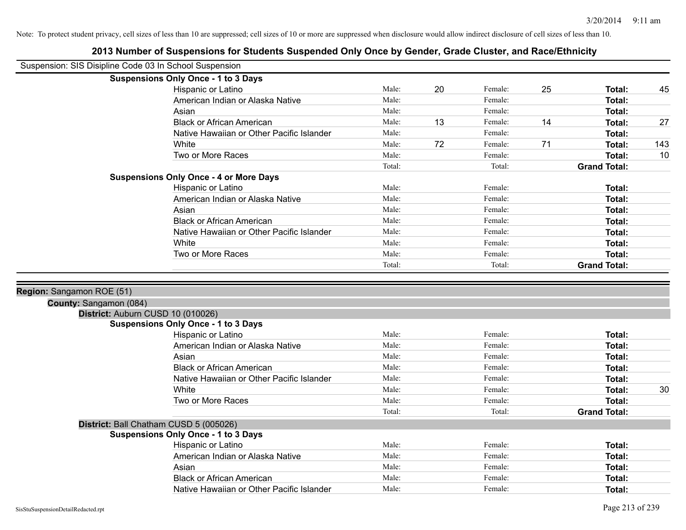| Suspension: SIS Disipline Code 03 In School Suspension |                                               |        |    |         |    |                     |     |
|--------------------------------------------------------|-----------------------------------------------|--------|----|---------|----|---------------------|-----|
|                                                        | <b>Suspensions Only Once - 1 to 3 Days</b>    |        |    |         |    |                     |     |
|                                                        | Hispanic or Latino                            | Male:  | 20 | Female: | 25 | Total:              | 45  |
|                                                        | American Indian or Alaska Native              | Male:  |    | Female: |    | Total:              |     |
|                                                        | Asian                                         | Male:  |    | Female: |    | <b>Total:</b>       |     |
|                                                        | <b>Black or African American</b>              | Male:  | 13 | Female: | 14 | <b>Total:</b>       | 27  |
|                                                        | Native Hawaiian or Other Pacific Islander     | Male:  |    | Female: |    | <b>Total:</b>       |     |
|                                                        | White                                         | Male:  | 72 | Female: | 71 | Total:              | 143 |
|                                                        | Two or More Races                             | Male:  |    | Female: |    | Total:              | 10  |
|                                                        |                                               | Total: |    | Total:  |    | <b>Grand Total:</b> |     |
|                                                        | <b>Suspensions Only Once - 4 or More Days</b> |        |    |         |    |                     |     |
|                                                        | Hispanic or Latino                            | Male:  |    | Female: |    | Total:              |     |
|                                                        | American Indian or Alaska Native              | Male:  |    | Female: |    | <b>Total:</b>       |     |
|                                                        | Asian                                         | Male:  |    | Female: |    | <b>Total:</b>       |     |
|                                                        | <b>Black or African American</b>              | Male:  |    | Female: |    | <b>Total:</b>       |     |
|                                                        | Native Hawaiian or Other Pacific Islander     | Male:  |    | Female: |    | Total:              |     |
|                                                        | White                                         | Male:  |    | Female: |    | Total:              |     |
|                                                        | Two or More Races                             | Male:  |    | Female: |    | Total:              |     |
|                                                        |                                               | Total: |    | Total:  |    | <b>Grand Total:</b> |     |
|                                                        |                                               |        |    |         |    |                     |     |
| Region: Sangamon ROE (51)                              |                                               |        |    |         |    |                     |     |
| County: Sangamon (084)                                 |                                               |        |    |         |    |                     |     |
|                                                        | District: Auburn CUSD 10 (010026)             |        |    |         |    |                     |     |
|                                                        | <b>Suspensions Only Once - 1 to 3 Days</b>    |        |    |         |    |                     |     |
|                                                        | Hispanic or Latino                            | Male:  |    | Female: |    | Total:              |     |
|                                                        | American Indian or Alaska Native              | Male:  |    | Female: |    | Total:              |     |
|                                                        | Asian                                         | Male:  |    | Female: |    | <b>Total:</b>       |     |
|                                                        | <b>Black or African American</b>              | Male:  |    | Female: |    | <b>Total:</b>       |     |
|                                                        | Native Hawaiian or Other Pacific Islander     | Male:  |    | Female: |    | <b>Total:</b>       |     |
|                                                        | White                                         | Male:  |    | Female: |    | <b>Total:</b>       | 30  |
|                                                        | Two or More Races                             | Male:  |    | Female: |    | Total:              |     |
|                                                        |                                               | Total: |    | Total:  |    | <b>Grand Total:</b> |     |
|                                                        | District: Ball Chatham CUSD 5 (005026)        |        |    |         |    |                     |     |
|                                                        | <b>Suspensions Only Once - 1 to 3 Days</b>    |        |    |         |    |                     |     |
|                                                        | Hispanic or Latino                            | Male:  |    | Female: |    | Total:              |     |
|                                                        | American Indian or Alaska Native              | Male:  |    | Female: |    | <b>Total:</b>       |     |
|                                                        | Asian                                         | Male:  |    | Female: |    | <b>Total:</b>       |     |
|                                                        | <b>Black or African American</b>              | Male:  |    | Female: |    | <b>Total:</b>       |     |
|                                                        | Native Hawaiian or Other Pacific Islander     | Male:  |    | Female: |    | Total:              |     |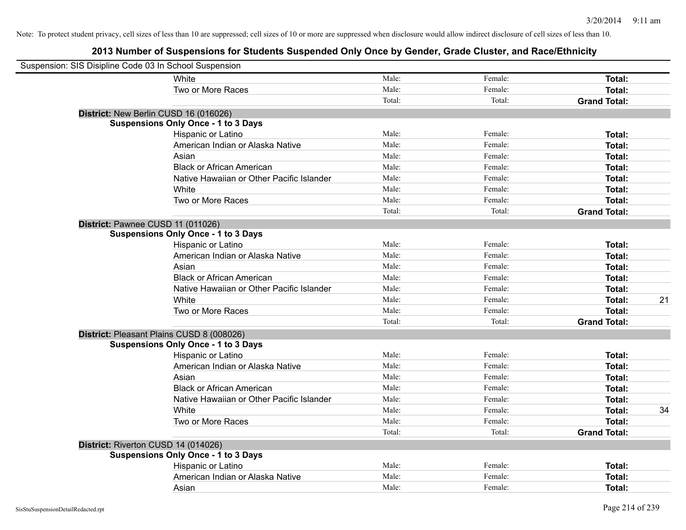| Suspension: SIS Disipline Code 03 In School Suspension |                                            |        |         |                     |    |
|--------------------------------------------------------|--------------------------------------------|--------|---------|---------------------|----|
|                                                        | White                                      | Male:  | Female: | Total:              |    |
|                                                        | Two or More Races                          | Male:  | Female: | Total:              |    |
|                                                        |                                            | Total: | Total:  | <b>Grand Total:</b> |    |
| District: New Berlin CUSD 16 (016026)                  |                                            |        |         |                     |    |
|                                                        | <b>Suspensions Only Once - 1 to 3 Days</b> |        |         |                     |    |
|                                                        | Hispanic or Latino                         | Male:  | Female: | Total:              |    |
|                                                        | American Indian or Alaska Native           | Male:  | Female: | Total:              |    |
|                                                        | Asian                                      | Male:  | Female: | Total:              |    |
|                                                        | <b>Black or African American</b>           | Male:  | Female: | Total:              |    |
|                                                        | Native Hawaiian or Other Pacific Islander  | Male:  | Female: | Total:              |    |
|                                                        | White                                      | Male:  | Female: | Total:              |    |
|                                                        | Two or More Races                          | Male:  | Female: | Total:              |    |
|                                                        |                                            | Total: | Total:  | <b>Grand Total:</b> |    |
| District: Pawnee CUSD 11 (011026)                      |                                            |        |         |                     |    |
|                                                        | <b>Suspensions Only Once - 1 to 3 Days</b> |        |         |                     |    |
|                                                        | Hispanic or Latino                         | Male:  | Female: | Total:              |    |
|                                                        | American Indian or Alaska Native           | Male:  | Female: | Total:              |    |
|                                                        | Asian                                      | Male:  | Female: | Total:              |    |
|                                                        | <b>Black or African American</b>           | Male:  | Female: | Total:              |    |
|                                                        | Native Hawaiian or Other Pacific Islander  | Male:  | Female: | Total:              |    |
|                                                        | White                                      | Male:  | Female: | Total:              | 21 |
|                                                        | Two or More Races                          | Male:  | Female: | Total:              |    |
|                                                        |                                            | Total: | Total:  | <b>Grand Total:</b> |    |
| District: Pleasant Plains CUSD 8 (008026)              |                                            |        |         |                     |    |
|                                                        | <b>Suspensions Only Once - 1 to 3 Days</b> |        |         |                     |    |
|                                                        | Hispanic or Latino                         | Male:  | Female: | Total:              |    |
|                                                        | American Indian or Alaska Native           | Male:  | Female: | Total:              |    |
|                                                        | Asian                                      | Male:  | Female: | Total:              |    |
|                                                        | <b>Black or African American</b>           | Male:  | Female: | Total:              |    |
|                                                        | Native Hawaiian or Other Pacific Islander  | Male:  | Female: | Total:              |    |
|                                                        | White                                      | Male:  | Female: | Total:              | 34 |
|                                                        | Two or More Races                          | Male:  | Female: | Total:              |    |
|                                                        |                                            | Total: | Total:  | <b>Grand Total:</b> |    |
| District: Riverton CUSD 14 (014026)                    |                                            |        |         |                     |    |
|                                                        | <b>Suspensions Only Once - 1 to 3 Days</b> |        |         |                     |    |
|                                                        | Hispanic or Latino                         | Male:  | Female: | Total:              |    |
|                                                        | American Indian or Alaska Native           | Male:  | Female: | Total:              |    |
|                                                        | Asian                                      | Male:  | Female: | Total:              |    |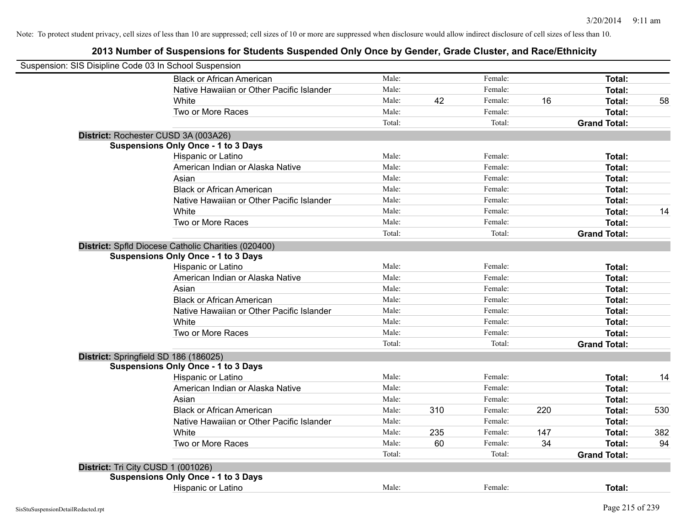| Suspension: SIS Disipline Code 03 In School Suspension |                                                     |        |     |         |     |                     |     |
|--------------------------------------------------------|-----------------------------------------------------|--------|-----|---------|-----|---------------------|-----|
|                                                        | <b>Black or African American</b>                    | Male:  |     | Female: |     | Total:              |     |
|                                                        | Native Hawaiian or Other Pacific Islander           | Male:  |     | Female: |     | Total:              |     |
|                                                        | White                                               | Male:  | 42  | Female: | 16  | <b>Total:</b>       | 58  |
|                                                        | Two or More Races                                   | Male:  |     | Female: |     | Total:              |     |
|                                                        |                                                     | Total: |     | Total:  |     | <b>Grand Total:</b> |     |
| District: Rochester CUSD 3A (003A26)                   |                                                     |        |     |         |     |                     |     |
|                                                        | <b>Suspensions Only Once - 1 to 3 Days</b>          |        |     |         |     |                     |     |
|                                                        | Hispanic or Latino                                  | Male:  |     | Female: |     | Total:              |     |
|                                                        | American Indian or Alaska Native                    | Male:  |     | Female: |     | Total:              |     |
|                                                        | Asian                                               | Male:  |     | Female: |     | Total:              |     |
|                                                        | <b>Black or African American</b>                    | Male:  |     | Female: |     | <b>Total:</b>       |     |
|                                                        | Native Hawaiian or Other Pacific Islander           | Male:  |     | Female: |     | <b>Total:</b>       |     |
|                                                        | White                                               | Male:  |     | Female: |     | Total:              | 14  |
|                                                        | Two or More Races                                   | Male:  |     | Female: |     | Total:              |     |
|                                                        |                                                     | Total: |     | Total:  |     | <b>Grand Total:</b> |     |
|                                                        | District: Spfld Diocese Catholic Charities (020400) |        |     |         |     |                     |     |
|                                                        | <b>Suspensions Only Once - 1 to 3 Days</b>          |        |     |         |     |                     |     |
|                                                        | Hispanic or Latino                                  | Male:  |     | Female: |     | Total:              |     |
|                                                        | American Indian or Alaska Native                    | Male:  |     | Female: |     | Total:              |     |
|                                                        | Asian                                               | Male:  |     | Female: |     | <b>Total:</b>       |     |
|                                                        | <b>Black or African American</b>                    | Male:  |     | Female: |     | <b>Total:</b>       |     |
|                                                        | Native Hawaiian or Other Pacific Islander           | Male:  |     | Female: |     | Total:              |     |
|                                                        | White                                               | Male:  |     | Female: |     | <b>Total:</b>       |     |
|                                                        | Two or More Races                                   | Male:  |     | Female: |     | Total:              |     |
|                                                        |                                                     | Total: |     | Total:  |     | <b>Grand Total:</b> |     |
| District: Springfield SD 186 (186025)                  |                                                     |        |     |         |     |                     |     |
|                                                        | <b>Suspensions Only Once - 1 to 3 Days</b>          |        |     |         |     |                     |     |
|                                                        | Hispanic or Latino                                  | Male:  |     | Female: |     | Total:              | 14  |
|                                                        | American Indian or Alaska Native                    | Male:  |     | Female: |     | Total:              |     |
|                                                        | Asian                                               | Male:  |     | Female: |     | <b>Total:</b>       |     |
|                                                        | <b>Black or African American</b>                    | Male:  | 310 | Female: | 220 | <b>Total:</b>       | 530 |
|                                                        | Native Hawaiian or Other Pacific Islander           | Male:  |     | Female: |     | <b>Total:</b>       |     |
|                                                        | White                                               | Male:  | 235 | Female: | 147 | <b>Total:</b>       | 382 |
|                                                        | Two or More Races                                   | Male:  | 60  | Female: | 34  | <b>Total:</b>       | 94  |
|                                                        |                                                     | Total: |     | Total:  |     | <b>Grand Total:</b> |     |
| District: Tri City CUSD 1 (001026)                     |                                                     |        |     |         |     |                     |     |
|                                                        | <b>Suspensions Only Once - 1 to 3 Days</b>          |        |     |         |     |                     |     |
|                                                        | Hispanic or Latino                                  | Male:  |     | Female: |     | Total:              |     |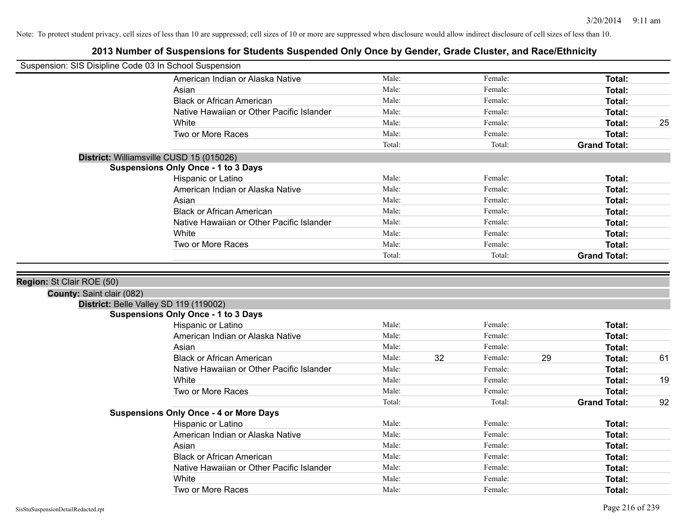| Suspension: SIS Disipline Code 03 In School Suspension |                                               |        |    |         |    |                     |    |
|--------------------------------------------------------|-----------------------------------------------|--------|----|---------|----|---------------------|----|
|                                                        | American Indian or Alaska Native              | Male:  |    | Female: |    | Total:              |    |
|                                                        | Asian                                         | Male:  |    | Female: |    | Total:              |    |
|                                                        | <b>Black or African American</b>              | Male:  |    | Female: |    | Total:              |    |
|                                                        | Native Hawaiian or Other Pacific Islander     | Male:  |    | Female: |    | Total:              |    |
|                                                        | White                                         | Male:  |    | Female: |    | Total:              | 25 |
|                                                        | Two or More Races                             | Male:  |    | Female: |    | Total:              |    |
|                                                        |                                               | Total: |    | Total:  |    | <b>Grand Total:</b> |    |
|                                                        | District: Williamsville CUSD 15 (015026)      |        |    |         |    |                     |    |
|                                                        | <b>Suspensions Only Once - 1 to 3 Days</b>    |        |    |         |    |                     |    |
|                                                        | Hispanic or Latino                            | Male:  |    | Female: |    | Total:              |    |
|                                                        | American Indian or Alaska Native              | Male:  |    | Female: |    | Total:              |    |
|                                                        | Asian                                         | Male:  |    | Female: |    | Total:              |    |
|                                                        | <b>Black or African American</b>              | Male:  |    | Female: |    | Total:              |    |
|                                                        | Native Hawaiian or Other Pacific Islander     | Male:  |    | Female: |    | Total:              |    |
|                                                        | White                                         | Male:  |    | Female: |    | Total:              |    |
|                                                        | Two or More Races                             | Male:  |    | Female: |    | Total:              |    |
|                                                        |                                               | Total: |    | Total:  |    | <b>Grand Total:</b> |    |
| Region: St Clair ROE (50)<br>County: Saint clair (082) |                                               |        |    |         |    |                     |    |
|                                                        | District: Belle Valley SD 119 (119002)        |        |    |         |    |                     |    |
|                                                        | <b>Suspensions Only Once - 1 to 3 Days</b>    |        |    |         |    |                     |    |
|                                                        | Hispanic or Latino                            | Male:  |    | Female: |    | Total:              |    |
|                                                        | American Indian or Alaska Native              | Male:  |    | Female: |    | Total:              |    |
|                                                        | Asian                                         | Male:  |    | Female: |    | Total:              |    |
|                                                        | <b>Black or African American</b>              | Male:  | 32 | Female: | 29 | Total:              | 61 |
|                                                        | Native Hawaiian or Other Pacific Islander     | Male:  |    | Female: |    | Total:              |    |
|                                                        | White                                         | Male:  |    | Female: |    | Total:              | 19 |
|                                                        | Two or More Races                             | Male:  |    | Female: |    | Total:              |    |
|                                                        |                                               | Total: |    | Total:  |    | <b>Grand Total:</b> | 92 |
|                                                        | <b>Suspensions Only Once - 4 or More Days</b> |        |    |         |    |                     |    |
|                                                        | Hispanic or Latino                            | Male:  |    | Female: |    | Total:              |    |
|                                                        | American Indian or Alaska Native              | Male:  |    | Female: |    | Total:              |    |
|                                                        | Asian                                         | Male:  |    | Female: |    | Total:              |    |
|                                                        | <b>Black or African American</b>              | Male:  |    | Female: |    | Total:              |    |
|                                                        | Native Hawaiian or Other Pacific Islander     | Male:  |    | Female: |    | Total:              |    |
|                                                        | White                                         | Male:  |    | Female: |    | Total:              |    |
|                                                        | Two or More Races                             | Male:  |    | Female: |    | Total:              |    |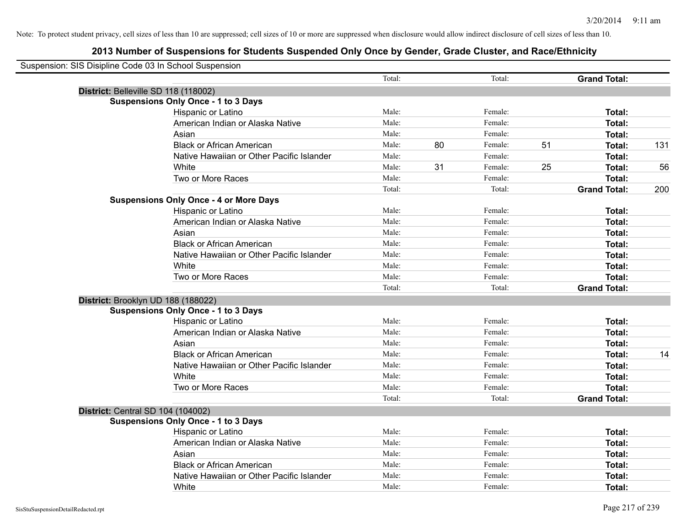| Suspension: SIS Disipline Code 03 In School Suspension |                                               |        |    |         |    |                     |     |
|--------------------------------------------------------|-----------------------------------------------|--------|----|---------|----|---------------------|-----|
|                                                        |                                               | Total: |    | Total:  |    | <b>Grand Total:</b> |     |
| District: Belleville SD 118 (118002)                   |                                               |        |    |         |    |                     |     |
|                                                        | <b>Suspensions Only Once - 1 to 3 Days</b>    |        |    |         |    |                     |     |
|                                                        | Hispanic or Latino                            | Male:  |    | Female: |    | Total:              |     |
|                                                        | American Indian or Alaska Native              | Male:  |    | Female: |    | Total:              |     |
|                                                        | Asian                                         | Male:  |    | Female: |    | Total:              |     |
|                                                        | <b>Black or African American</b>              | Male:  | 80 | Female: | 51 | Total:              | 131 |
|                                                        | Native Hawaiian or Other Pacific Islander     | Male:  |    | Female: |    | Total:              |     |
|                                                        | White                                         | Male:  | 31 | Female: | 25 | Total:              | 56  |
|                                                        | Two or More Races                             | Male:  |    | Female: |    | Total:              |     |
|                                                        |                                               | Total: |    | Total:  |    | <b>Grand Total:</b> | 200 |
|                                                        | <b>Suspensions Only Once - 4 or More Days</b> |        |    |         |    |                     |     |
|                                                        | Hispanic or Latino                            | Male:  |    | Female: |    | Total:              |     |
|                                                        | American Indian or Alaska Native              | Male:  |    | Female: |    | Total:              |     |
|                                                        | Asian                                         | Male:  |    | Female: |    | Total:              |     |
|                                                        | <b>Black or African American</b>              | Male:  |    | Female: |    | Total:              |     |
|                                                        | Native Hawaiian or Other Pacific Islander     | Male:  |    | Female: |    | Total:              |     |
|                                                        | White                                         | Male:  |    | Female: |    | Total:              |     |
|                                                        | Two or More Races                             | Male:  |    | Female: |    | Total:              |     |
|                                                        |                                               | Total: |    | Total:  |    | <b>Grand Total:</b> |     |
| District: Brooklyn UD 188 (188022)                     |                                               |        |    |         |    |                     |     |
|                                                        | <b>Suspensions Only Once - 1 to 3 Days</b>    |        |    |         |    |                     |     |
|                                                        | Hispanic or Latino                            | Male:  |    | Female: |    | Total:              |     |
|                                                        | American Indian or Alaska Native              | Male:  |    | Female: |    | Total:              |     |
|                                                        | Asian                                         | Male:  |    | Female: |    | Total:              |     |
|                                                        | <b>Black or African American</b>              | Male:  |    | Female: |    | Total:              | 14  |
|                                                        | Native Hawaiian or Other Pacific Islander     | Male:  |    | Female: |    | Total:              |     |
|                                                        | White                                         | Male:  |    | Female: |    | <b>Total:</b>       |     |
|                                                        | Two or More Races                             | Male:  |    | Female: |    | Total:              |     |
|                                                        |                                               | Total: |    | Total:  |    | <b>Grand Total:</b> |     |
| <b>District: Central SD 104 (104002)</b>               |                                               |        |    |         |    |                     |     |
|                                                        | <b>Suspensions Only Once - 1 to 3 Days</b>    |        |    |         |    |                     |     |
|                                                        | Hispanic or Latino                            | Male:  |    | Female: |    | Total:              |     |
|                                                        | American Indian or Alaska Native              | Male:  |    | Female: |    | Total:              |     |
|                                                        | Asian                                         | Male:  |    | Female: |    | Total:              |     |
|                                                        | <b>Black or African American</b>              | Male:  |    | Female: |    | Total:              |     |
|                                                        | Native Hawaiian or Other Pacific Islander     | Male:  |    | Female: |    | <b>Total:</b>       |     |
|                                                        | White                                         | Male:  |    | Female: |    | Total:              |     |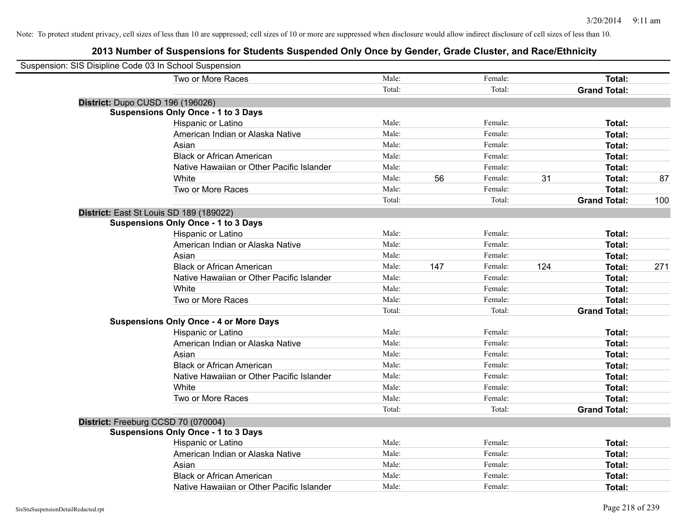| Suspension: SIS Disipline Code 03 In School Suspension |                                               |        |     |         |     |                     |     |
|--------------------------------------------------------|-----------------------------------------------|--------|-----|---------|-----|---------------------|-----|
|                                                        | Two or More Races                             | Male:  |     | Female: |     | Total:              |     |
|                                                        |                                               | Total: |     | Total:  |     | <b>Grand Total:</b> |     |
| District: Dupo CUSD 196 (196026)                       |                                               |        |     |         |     |                     |     |
|                                                        | <b>Suspensions Only Once - 1 to 3 Days</b>    |        |     |         |     |                     |     |
|                                                        | Hispanic or Latino                            | Male:  |     | Female: |     | Total:              |     |
|                                                        | American Indian or Alaska Native              | Male:  |     | Female: |     | Total:              |     |
|                                                        | Asian                                         | Male:  |     | Female: |     | Total:              |     |
|                                                        | <b>Black or African American</b>              | Male:  |     | Female: |     | Total:              |     |
|                                                        | Native Hawaiian or Other Pacific Islander     | Male:  |     | Female: |     | Total:              |     |
|                                                        | White                                         | Male:  | 56  | Female: | 31  | Total:              | 87  |
|                                                        | Two or More Races                             | Male:  |     | Female: |     | Total:              |     |
|                                                        |                                               | Total: |     | Total:  |     | <b>Grand Total:</b> | 100 |
| District: East St Louis SD 189 (189022)                |                                               |        |     |         |     |                     |     |
|                                                        | <b>Suspensions Only Once - 1 to 3 Days</b>    |        |     |         |     |                     |     |
|                                                        | Hispanic or Latino                            | Male:  |     | Female: |     | Total:              |     |
|                                                        | American Indian or Alaska Native              | Male:  |     | Female: |     | Total:              |     |
|                                                        | Asian                                         | Male:  |     | Female: |     | Total:              |     |
|                                                        | <b>Black or African American</b>              | Male:  | 147 | Female: | 124 | Total:              | 271 |
|                                                        | Native Hawaiian or Other Pacific Islander     | Male:  |     | Female: |     | Total:              |     |
|                                                        | White                                         | Male:  |     | Female: |     | Total:              |     |
|                                                        | Two or More Races                             | Male:  |     | Female: |     | Total:              |     |
|                                                        |                                               | Total: |     | Total:  |     | <b>Grand Total:</b> |     |
|                                                        | <b>Suspensions Only Once - 4 or More Days</b> |        |     |         |     |                     |     |
|                                                        | <b>Hispanic or Latino</b>                     | Male:  |     | Female: |     | Total:              |     |
|                                                        | American Indian or Alaska Native              | Male:  |     | Female: |     | Total:              |     |
|                                                        | Asian                                         | Male:  |     | Female: |     | Total:              |     |
|                                                        | <b>Black or African American</b>              | Male:  |     | Female: |     | Total:              |     |
|                                                        | Native Hawaiian or Other Pacific Islander     | Male:  |     | Female: |     | Total:              |     |
|                                                        | White                                         | Male:  |     | Female: |     | Total:              |     |
|                                                        | Two or More Races                             | Male:  |     | Female: |     | Total:              |     |
|                                                        |                                               | Total: |     | Total:  |     | <b>Grand Total:</b> |     |
| District: Freeburg CCSD 70 (070004)                    |                                               |        |     |         |     |                     |     |
|                                                        | <b>Suspensions Only Once - 1 to 3 Days</b>    |        |     |         |     |                     |     |
|                                                        | Hispanic or Latino                            | Male:  |     | Female: |     | Total:              |     |
|                                                        | American Indian or Alaska Native              | Male:  |     | Female: |     | Total:              |     |
|                                                        | Asian                                         | Male:  |     | Female: |     | Total:              |     |
|                                                        | <b>Black or African American</b>              | Male:  |     | Female: |     | Total:              |     |
|                                                        | Native Hawaiian or Other Pacific Islander     | Male:  |     | Female: |     | Total:              |     |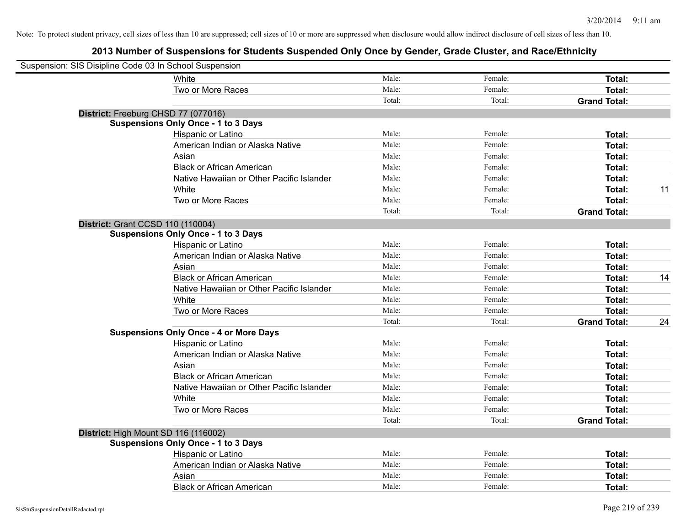| Suspension: SIS Disipline Code 03 In School Suspension |                                               |        |         |                     |    |
|--------------------------------------------------------|-----------------------------------------------|--------|---------|---------------------|----|
|                                                        | White                                         | Male:  | Female: | Total:              |    |
|                                                        | Two or More Races                             | Male:  | Female: | Total:              |    |
|                                                        |                                               | Total: | Total:  | <b>Grand Total:</b> |    |
| District: Freeburg CHSD 77 (077016)                    |                                               |        |         |                     |    |
|                                                        | <b>Suspensions Only Once - 1 to 3 Days</b>    |        |         |                     |    |
|                                                        | Hispanic or Latino                            | Male:  | Female: | Total:              |    |
|                                                        | American Indian or Alaska Native              | Male:  | Female: | Total:              |    |
|                                                        | Asian                                         | Male:  | Female: | Total:              |    |
|                                                        | <b>Black or African American</b>              | Male:  | Female: | Total:              |    |
|                                                        | Native Hawaiian or Other Pacific Islander     | Male:  | Female: | Total:              |    |
|                                                        | White                                         | Male:  | Female: | Total:              | 11 |
|                                                        | Two or More Races                             | Male:  | Female: | Total:              |    |
|                                                        |                                               | Total: | Total:  | <b>Grand Total:</b> |    |
| <b>District: Grant CCSD 110 (110004)</b>               |                                               |        |         |                     |    |
|                                                        | <b>Suspensions Only Once - 1 to 3 Days</b>    |        |         |                     |    |
|                                                        | Hispanic or Latino                            | Male:  | Female: | Total:              |    |
|                                                        | American Indian or Alaska Native              | Male:  | Female: | Total:              |    |
|                                                        | Asian                                         | Male:  | Female: | Total:              |    |
|                                                        | <b>Black or African American</b>              | Male:  | Female: | Total:              | 14 |
|                                                        | Native Hawaiian or Other Pacific Islander     | Male:  | Female: | Total:              |    |
|                                                        | White                                         | Male:  | Female: | Total:              |    |
|                                                        | Two or More Races                             | Male:  | Female: | Total:              |    |
|                                                        |                                               | Total: | Total:  | <b>Grand Total:</b> | 24 |
|                                                        | <b>Suspensions Only Once - 4 or More Days</b> |        |         |                     |    |
|                                                        | Hispanic or Latino                            | Male:  | Female: | Total:              |    |
|                                                        | American Indian or Alaska Native              | Male:  | Female: | Total:              |    |
|                                                        | Asian                                         | Male:  | Female: | Total:              |    |
|                                                        | <b>Black or African American</b>              | Male:  | Female: | Total:              |    |
|                                                        | Native Hawaiian or Other Pacific Islander     | Male:  | Female: | Total:              |    |
|                                                        | White                                         | Male:  | Female: | Total:              |    |
|                                                        | Two or More Races                             | Male:  | Female: | Total:              |    |
|                                                        |                                               | Total: | Total:  | <b>Grand Total:</b> |    |
| District: High Mount SD 116 (116002)                   |                                               |        |         |                     |    |
|                                                        | <b>Suspensions Only Once - 1 to 3 Days</b>    |        |         |                     |    |
|                                                        | Hispanic or Latino                            | Male:  | Female: | Total:              |    |
|                                                        | American Indian or Alaska Native              | Male:  | Female: | Total:              |    |
|                                                        | Asian                                         | Male:  | Female: | Total:              |    |
|                                                        | <b>Black or African American</b>              | Male:  | Female: | Total:              |    |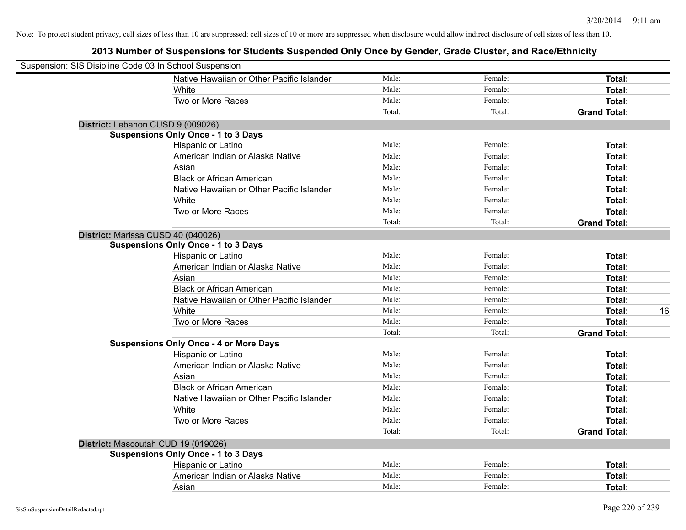| Suspension: SIS Disipline Code 03 In School Suspension |                                               |        |         |                     |
|--------------------------------------------------------|-----------------------------------------------|--------|---------|---------------------|
|                                                        | Native Hawaiian or Other Pacific Islander     | Male:  | Female: | Total:              |
|                                                        | White                                         | Male:  | Female: | Total:              |
|                                                        | Two or More Races                             | Male:  | Female: | Total:              |
|                                                        |                                               | Total: | Total:  | <b>Grand Total:</b> |
| District: Lebanon CUSD 9 (009026)                      |                                               |        |         |                     |
|                                                        | <b>Suspensions Only Once - 1 to 3 Days</b>    |        |         |                     |
|                                                        | Hispanic or Latino                            | Male:  | Female: | Total:              |
|                                                        | American Indian or Alaska Native              | Male:  | Female: | Total:              |
|                                                        | Asian                                         | Male:  | Female: | Total:              |
|                                                        | <b>Black or African American</b>              | Male:  | Female: | Total:              |
|                                                        | Native Hawaiian or Other Pacific Islander     | Male:  | Female: | Total:              |
|                                                        | White                                         | Male:  | Female: | Total:              |
|                                                        | Two or More Races                             | Male:  | Female: | Total:              |
|                                                        |                                               | Total: | Total:  | <b>Grand Total:</b> |
| District: Marissa CUSD 40 (040026)                     |                                               |        |         |                     |
|                                                        | <b>Suspensions Only Once - 1 to 3 Days</b>    |        |         |                     |
|                                                        | Hispanic or Latino                            | Male:  | Female: | Total:              |
|                                                        | American Indian or Alaska Native              | Male:  | Female: | Total:              |
|                                                        | Asian                                         | Male:  | Female: | Total:              |
|                                                        | <b>Black or African American</b>              | Male:  | Female: | Total:              |
|                                                        | Native Hawaiian or Other Pacific Islander     | Male:  | Female: | Total:              |
|                                                        | White                                         | Male:  | Female: | Total:<br>16        |
|                                                        | Two or More Races                             | Male:  | Female: | Total:              |
|                                                        |                                               | Total: | Total:  | <b>Grand Total:</b> |
|                                                        | <b>Suspensions Only Once - 4 or More Days</b> |        |         |                     |
|                                                        | Hispanic or Latino                            | Male:  | Female: | Total:              |
|                                                        | American Indian or Alaska Native              | Male:  | Female: | Total:              |
|                                                        | Asian                                         | Male:  | Female: | Total:              |
|                                                        | <b>Black or African American</b>              | Male:  | Female: | Total:              |
|                                                        | Native Hawaiian or Other Pacific Islander     | Male:  | Female: | Total:              |
|                                                        | White                                         | Male:  | Female: | Total:              |
|                                                        | Two or More Races                             | Male:  | Female: | Total:              |
|                                                        |                                               | Total: | Total:  | <b>Grand Total:</b> |
| District: Mascoutah CUD 19 (019026)                    |                                               |        |         |                     |
|                                                        | <b>Suspensions Only Once - 1 to 3 Days</b>    |        |         |                     |
|                                                        | Hispanic or Latino                            | Male:  | Female: | Total:              |
|                                                        | American Indian or Alaska Native              | Male:  | Female: | Total:              |
|                                                        | Asian                                         | Male:  | Female: | Total:              |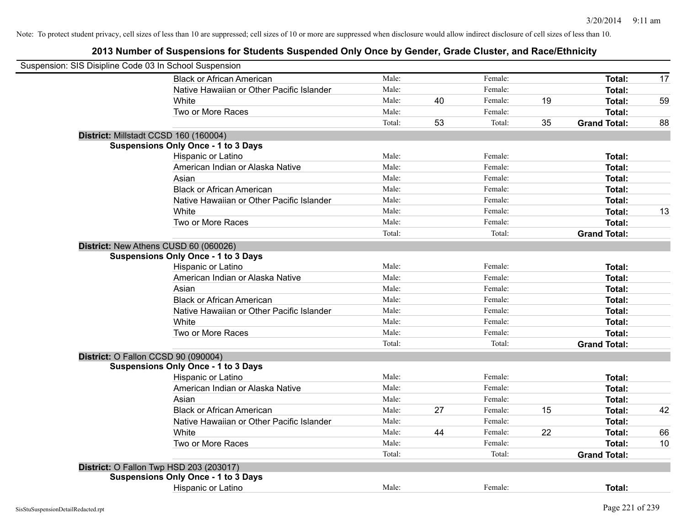| Suspension: SIS Disipline Code 03 In School Suspension |        |    |         |    |                     |    |
|--------------------------------------------------------|--------|----|---------|----|---------------------|----|
| <b>Black or African American</b>                       | Male:  |    | Female: |    | Total:              | 17 |
| Native Hawaiian or Other Pacific Islander              | Male:  |    | Female: |    | Total:              |    |
| White                                                  | Male:  | 40 | Female: | 19 | <b>Total:</b>       | 59 |
| Two or More Races                                      | Male:  |    | Female: |    | Total:              |    |
|                                                        | Total: | 53 | Total:  | 35 | <b>Grand Total:</b> | 88 |
| District: Millstadt CCSD 160 (160004)                  |        |    |         |    |                     |    |
| <b>Suspensions Only Once - 1 to 3 Days</b>             |        |    |         |    |                     |    |
| Hispanic or Latino                                     | Male:  |    | Female: |    | Total:              |    |
| American Indian or Alaska Native                       | Male:  |    | Female: |    | <b>Total:</b>       |    |
| Asian                                                  | Male:  |    | Female: |    | Total:              |    |
| <b>Black or African American</b>                       | Male:  |    | Female: |    | <b>Total:</b>       |    |
| Native Hawaiian or Other Pacific Islander              | Male:  |    | Female: |    | <b>Total:</b>       |    |
| White                                                  | Male:  |    | Female: |    | <b>Total:</b>       | 13 |
| Two or More Races                                      | Male:  |    | Female: |    | <b>Total:</b>       |    |
|                                                        | Total: |    | Total:  |    | <b>Grand Total:</b> |    |
| District: New Athens CUSD 60 (060026)                  |        |    |         |    |                     |    |
| <b>Suspensions Only Once - 1 to 3 Days</b>             |        |    |         |    |                     |    |
| Hispanic or Latino                                     | Male:  |    | Female: |    | Total:              |    |
| American Indian or Alaska Native                       | Male:  |    | Female: |    | Total:              |    |
| Asian                                                  | Male:  |    | Female: |    | Total:              |    |
| <b>Black or African American</b>                       | Male:  |    | Female: |    | Total:              |    |
| Native Hawaiian or Other Pacific Islander              | Male:  |    | Female: |    | Total:              |    |
| White                                                  | Male:  |    | Female: |    | <b>Total:</b>       |    |
| Two or More Races                                      | Male:  |    | Female: |    | <b>Total:</b>       |    |
|                                                        | Total: |    | Total:  |    | <b>Grand Total:</b> |    |
| District: O Fallon CCSD 90 (090004)                    |        |    |         |    |                     |    |
| <b>Suspensions Only Once - 1 to 3 Days</b>             |        |    |         |    |                     |    |
| Hispanic or Latino                                     | Male:  |    | Female: |    | <b>Total:</b>       |    |
| American Indian or Alaska Native                       | Male:  |    | Female: |    | Total:              |    |
| Asian                                                  | Male:  |    | Female: |    | Total:              |    |
| <b>Black or African American</b>                       | Male:  | 27 | Female: | 15 | Total:              | 42 |
| Native Hawaiian or Other Pacific Islander              | Male:  |    | Female: |    | Total:              |    |
| White                                                  | Male:  | 44 | Female: | 22 | <b>Total:</b>       | 66 |
| Two or More Races                                      | Male:  |    | Female: |    | <b>Total:</b>       | 10 |
|                                                        | Total: |    | Total:  |    | <b>Grand Total:</b> |    |
| District: O Fallon Twp HSD 203 (203017)                |        |    |         |    |                     |    |
| <b>Suspensions Only Once - 1 to 3 Days</b>             |        |    |         |    |                     |    |
| Hispanic or Latino                                     | Male:  |    | Female: |    | Total:              |    |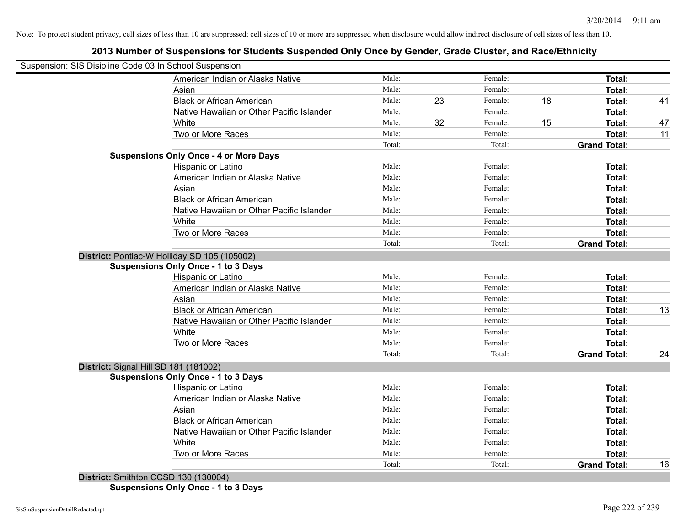# **2013 Number of Suspensions for Students Suspended Only Once by Gender, Grade Cluster, and Race/Ethnicity**

|                                       | Suspension: SIS Disipline Code 03 In School Suspension |        |    |         |    |                     |    |
|---------------------------------------|--------------------------------------------------------|--------|----|---------|----|---------------------|----|
|                                       | American Indian or Alaska Native                       | Male:  |    | Female: |    | Total:              |    |
|                                       | Asian                                                  | Male:  |    | Female: |    | Total:              |    |
|                                       | <b>Black or African American</b>                       | Male:  | 23 | Female: | 18 | Total:              | 41 |
|                                       | Native Hawaiian or Other Pacific Islander              | Male:  |    | Female: |    | Total:              |    |
|                                       | White                                                  | Male:  | 32 | Female: | 15 | Total:              | 47 |
|                                       | Two or More Races                                      | Male:  |    | Female: |    | Total:              | 11 |
|                                       |                                                        | Total: |    | Total:  |    | <b>Grand Total:</b> |    |
|                                       | <b>Suspensions Only Once - 4 or More Days</b>          |        |    |         |    |                     |    |
|                                       | Hispanic or Latino                                     | Male:  |    | Female: |    | Total:              |    |
|                                       | American Indian or Alaska Native                       | Male:  |    | Female: |    | Total:              |    |
|                                       | Asian                                                  | Male:  |    | Female: |    | Total:              |    |
|                                       | <b>Black or African American</b>                       | Male:  |    | Female: |    | Total:              |    |
|                                       | Native Hawaiian or Other Pacific Islander              | Male:  |    | Female: |    | Total:              |    |
|                                       | White                                                  | Male:  |    | Female: |    | Total:              |    |
|                                       | Two or More Races                                      | Male:  |    | Female: |    | Total:              |    |
|                                       |                                                        | Total: |    | Total:  |    | <b>Grand Total:</b> |    |
|                                       | District: Pontiac-W Holliday SD 105 (105002)           |        |    |         |    |                     |    |
|                                       | <b>Suspensions Only Once - 1 to 3 Days</b>             |        |    |         |    |                     |    |
|                                       | Hispanic or Latino                                     | Male:  |    | Female: |    | Total:              |    |
|                                       | American Indian or Alaska Native                       | Male:  |    | Female: |    | Total:              |    |
|                                       | Asian                                                  | Male:  |    | Female: |    | Total:              |    |
|                                       | <b>Black or African American</b>                       | Male:  |    | Female: |    | Total:              | 13 |
|                                       | Native Hawaiian or Other Pacific Islander              | Male:  |    | Female: |    | Total:              |    |
|                                       | White                                                  | Male:  |    | Female: |    | Total:              |    |
|                                       | Two or More Races                                      | Male:  |    | Female: |    | <b>Total:</b>       |    |
|                                       |                                                        | Total: |    | Total:  |    | <b>Grand Total:</b> | 24 |
| District: Signal Hill SD 181 (181002) |                                                        |        |    |         |    |                     |    |
|                                       | <b>Suspensions Only Once - 1 to 3 Days</b>             |        |    |         |    |                     |    |
|                                       | Hispanic or Latino                                     | Male:  |    | Female: |    | Total:              |    |
|                                       | American Indian or Alaska Native                       | Male:  |    | Female: |    | Total:              |    |
|                                       | Asian                                                  | Male:  |    | Female: |    | Total:              |    |
|                                       | <b>Black or African American</b>                       | Male:  |    | Female: |    | Total:              |    |
|                                       | Native Hawaiian or Other Pacific Islander              | Male:  |    | Female: |    | Total:              |    |
|                                       | White                                                  | Male:  |    | Female: |    | Total:              |    |
|                                       | Two or More Races                                      | Male:  |    | Female: |    | Total:              |    |
|                                       |                                                        | Total: |    | Total:  |    | <b>Grand Total:</b> | 16 |

**Suspensions Only Once - 1 to 3 Days**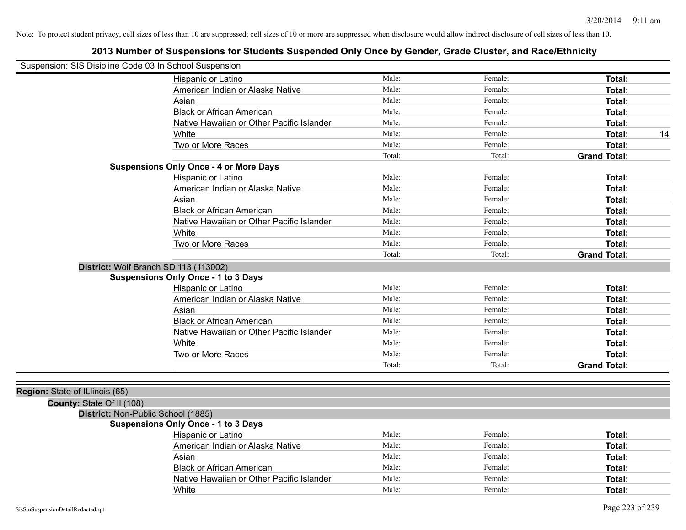| Suspension: SIS Disipline Code 03 In School Suspension |                                               |        |         |                     |
|--------------------------------------------------------|-----------------------------------------------|--------|---------|---------------------|
|                                                        | Hispanic or Latino                            | Male:  | Female: | Total:              |
|                                                        | American Indian or Alaska Native              | Male:  | Female: | Total:              |
|                                                        | Asian                                         | Male:  | Female: | Total:              |
|                                                        | <b>Black or African American</b>              | Male:  | Female: | Total:              |
|                                                        | Native Hawaiian or Other Pacific Islander     | Male:  | Female: | Total:              |
|                                                        | White                                         | Male:  | Female: | Total:<br>14        |
|                                                        | Two or More Races                             | Male:  | Female: | Total:              |
|                                                        |                                               | Total: | Total:  | <b>Grand Total:</b> |
|                                                        | <b>Suspensions Only Once - 4 or More Days</b> |        |         |                     |
|                                                        | Hispanic or Latino                            | Male:  | Female: | Total:              |
|                                                        | American Indian or Alaska Native              | Male:  | Female: | Total:              |
|                                                        | Asian                                         | Male:  | Female: | Total:              |
|                                                        | <b>Black or African American</b>              | Male:  | Female: | Total:              |
|                                                        | Native Hawaiian or Other Pacific Islander     | Male:  | Female: | Total:              |
|                                                        | White                                         | Male:  | Female: | Total:              |
|                                                        | Two or More Races                             | Male:  | Female: | Total:              |
|                                                        |                                               | Total: | Total:  | <b>Grand Total:</b> |
|                                                        | District: Wolf Branch SD 113 (113002)         |        |         |                     |
|                                                        | <b>Suspensions Only Once - 1 to 3 Days</b>    |        |         |                     |
|                                                        | Hispanic or Latino                            | Male:  | Female: | Total:              |
|                                                        | American Indian or Alaska Native              | Male:  | Female: | Total:              |
|                                                        | Asian                                         | Male:  | Female: | Total:              |
|                                                        | <b>Black or African American</b>              | Male:  | Female: | Total:              |
|                                                        | Native Hawaiian or Other Pacific Islander     | Male:  | Female: | Total:              |
|                                                        | White                                         | Male:  | Female: | Total:              |
|                                                        | Two or More Races                             | Male:  | Female: | Total:              |
|                                                        |                                               | Total: | Total:  | <b>Grand Total:</b> |
|                                                        |                                               |        |         |                     |
| Region: State of ILlinois (65)                         |                                               |        |         |                     |
| County: State Of II (108)                              |                                               |        |         |                     |
| District: Non-Public School (1885)                     |                                               |        |         |                     |
|                                                        | <b>Suspensions Only Once - 1 to 3 Days</b>    |        |         |                     |
|                                                        | Hispanic or Latino                            | Male:  | Female: | Total:              |
|                                                        | American Indian or Alaska Native              | Male:  | Female: | Total:              |
|                                                        | Asian                                         | Male:  | Female: | Total:              |
|                                                        | <b>Black or African American</b>              | Male:  | Female: | Total:              |
|                                                        | Native Hawaiian or Other Pacific Islander     | Male:  | Female: | Total:              |
|                                                        | White                                         | Male:  | Female: | Total:              |
|                                                        |                                               |        |         |                     |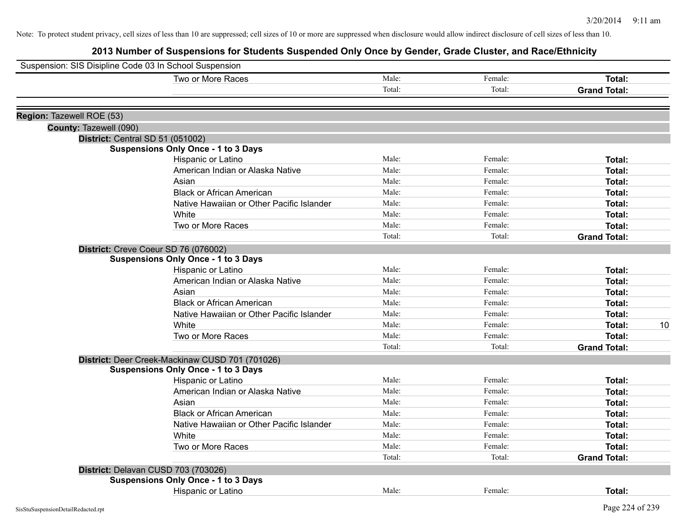| Suspension: SIS Disipline Code 03 In School Suspension |                                                 |        |         |                     |
|--------------------------------------------------------|-------------------------------------------------|--------|---------|---------------------|
|                                                        | Two or More Races                               | Male:  | Female: | Total:              |
|                                                        |                                                 | Total: | Total:  | <b>Grand Total:</b> |
|                                                        |                                                 |        |         |                     |
| Region: Tazewell ROE (53)                              |                                                 |        |         |                     |
| County: Tazewell (090)                                 |                                                 |        |         |                     |
|                                                        | District: Central SD 51 (051002)                |        |         |                     |
|                                                        | <b>Suspensions Only Once - 1 to 3 Days</b>      |        |         |                     |
|                                                        | Hispanic or Latino                              | Male:  | Female: | Total:              |
|                                                        | American Indian or Alaska Native                | Male:  | Female: | Total:              |
|                                                        | Asian                                           | Male:  | Female: | Total:              |
|                                                        | <b>Black or African American</b>                | Male:  | Female: | Total:              |
|                                                        | Native Hawaiian or Other Pacific Islander       | Male:  | Female: | Total:              |
|                                                        | White                                           | Male:  | Female: | Total:              |
|                                                        | Two or More Races                               | Male:  | Female: | Total:              |
|                                                        |                                                 | Total: | Total:  | <b>Grand Total:</b> |
|                                                        | District: Creve Coeur SD 76 (076002)            |        |         |                     |
|                                                        | <b>Suspensions Only Once - 1 to 3 Days</b>      |        |         |                     |
|                                                        | Hispanic or Latino                              | Male:  | Female: | Total:              |
|                                                        | American Indian or Alaska Native                | Male:  | Female: | Total:              |
|                                                        | Asian                                           | Male:  | Female: | Total:              |
|                                                        | <b>Black or African American</b>                | Male:  | Female: | Total:              |
|                                                        | Native Hawaiian or Other Pacific Islander       | Male:  | Female: | Total:              |
|                                                        | White                                           | Male:  | Female: | Total:<br>10        |
|                                                        | Two or More Races                               | Male:  | Female: | Total:              |
|                                                        |                                                 | Total: | Total:  | <b>Grand Total:</b> |
|                                                        | District: Deer Creek-Mackinaw CUSD 701 (701026) |        |         |                     |
|                                                        | <b>Suspensions Only Once - 1 to 3 Days</b>      |        |         |                     |
|                                                        | Hispanic or Latino                              | Male:  | Female: | Total:              |
|                                                        | American Indian or Alaska Native                | Male:  | Female: | Total:              |
|                                                        | Asian                                           | Male:  | Female: | Total:              |
|                                                        | <b>Black or African American</b>                | Male:  | Female: | Total:              |
|                                                        | Native Hawaiian or Other Pacific Islander       | Male:  | Female: | Total:              |
|                                                        | White                                           | Male:  | Female: | Total:              |
|                                                        | Two or More Races                               | Male:  | Female: | Total:              |
|                                                        |                                                 | Total: | Total:  | <b>Grand Total:</b> |
|                                                        | District: Delavan CUSD 703 (703026)             |        |         |                     |
|                                                        | <b>Suspensions Only Once - 1 to 3 Days</b>      |        |         |                     |
|                                                        | <b>Hispanic or Latino</b>                       | Male:  | Female: | Total:              |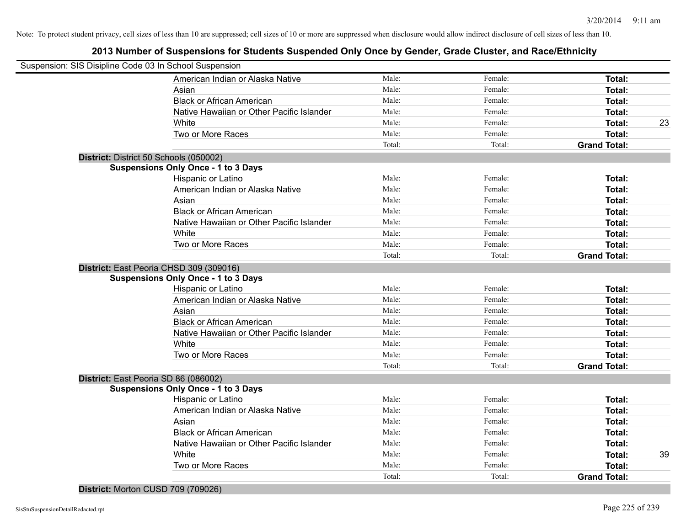| Suspension: SIS Disipline Code 03 In School Suspension |        |         |                     |    |
|--------------------------------------------------------|--------|---------|---------------------|----|
| American Indian or Alaska Native                       | Male:  | Female: | Total:              |    |
| Asian                                                  | Male:  | Female: | Total:              |    |
| <b>Black or African American</b>                       | Male:  | Female: | Total:              |    |
| Native Hawaiian or Other Pacific Islander              | Male:  | Female: | Total:              |    |
| White                                                  | Male:  | Female: | Total:              | 23 |
| Two or More Races                                      | Male:  | Female: | <b>Total:</b>       |    |
|                                                        | Total: | Total:  | <b>Grand Total:</b> |    |
| District: District 50 Schools (050002)                 |        |         |                     |    |
| <b>Suspensions Only Once - 1 to 3 Days</b>             |        |         |                     |    |
| Hispanic or Latino                                     | Male:  | Female: | Total:              |    |
| American Indian or Alaska Native                       | Male:  | Female: | Total:              |    |
| Asian                                                  | Male:  | Female: | Total:              |    |
| <b>Black or African American</b>                       | Male:  | Female: | Total:              |    |
| Native Hawaiian or Other Pacific Islander              | Male:  | Female: | Total:              |    |
| White                                                  | Male:  | Female: | Total:              |    |
| Two or More Races                                      | Male:  | Female: | Total:              |    |
|                                                        | Total: | Total:  | <b>Grand Total:</b> |    |
| District: East Peoria CHSD 309 (309016)                |        |         |                     |    |
| <b>Suspensions Only Once - 1 to 3 Days</b>             |        |         |                     |    |
| Hispanic or Latino                                     | Male:  | Female: | Total:              |    |
| American Indian or Alaska Native                       | Male:  | Female: | Total:              |    |
| Asian                                                  | Male:  | Female: | Total:              |    |
| <b>Black or African American</b>                       | Male:  | Female: | <b>Total:</b>       |    |
| Native Hawaiian or Other Pacific Islander              | Male:  | Female: | Total:              |    |
| White                                                  | Male:  | Female: | <b>Total:</b>       |    |
| Two or More Races                                      | Male:  | Female: | Total:              |    |
|                                                        | Total: | Total:  | <b>Grand Total:</b> |    |
| District: East Peoria SD 86 (086002)                   |        |         |                     |    |
| <b>Suspensions Only Once - 1 to 3 Days</b>             |        |         |                     |    |
| Hispanic or Latino                                     | Male:  | Female: | <b>Total:</b>       |    |
| American Indian or Alaska Native                       | Male:  | Female: | Total:              |    |
| Asian                                                  | Male:  | Female: | Total:              |    |
| <b>Black or African American</b>                       | Male:  | Female: | Total:              |    |
| Native Hawaiian or Other Pacific Islander              | Male:  | Female: | Total:              |    |
| White                                                  | Male:  | Female: | Total:              | 39 |
| Two or More Races                                      | Male:  | Female: | Total:              |    |
|                                                        | Total: | Total:  | <b>Grand Total:</b> |    |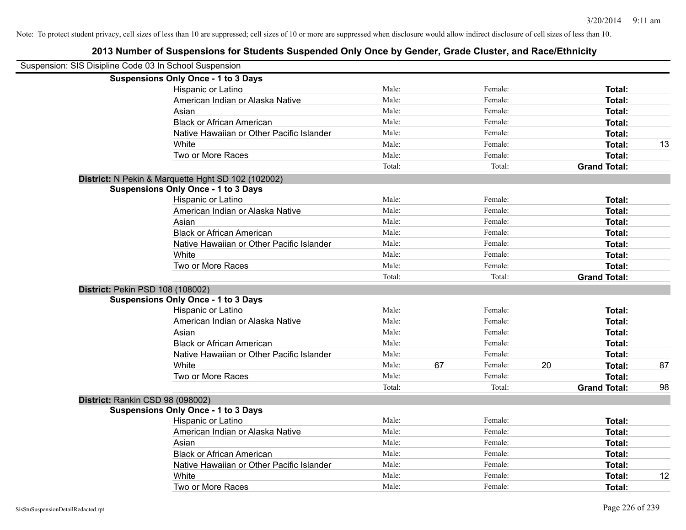| Suspension: SIS Disipline Code 03 In School Suspension |        |    |         |    |                     |    |
|--------------------------------------------------------|--------|----|---------|----|---------------------|----|
| <b>Suspensions Only Once - 1 to 3 Days</b>             |        |    |         |    |                     |    |
| Hispanic or Latino                                     | Male:  |    | Female: |    | Total:              |    |
| American Indian or Alaska Native                       | Male:  |    | Female: |    | Total:              |    |
| Asian                                                  | Male:  |    | Female: |    | Total:              |    |
| <b>Black or African American</b>                       | Male:  |    | Female: |    | Total:              |    |
| Native Hawaiian or Other Pacific Islander              | Male:  |    | Female: |    | Total:              |    |
| White                                                  | Male:  |    | Female: |    | Total:              | 13 |
| Two or More Races                                      | Male:  |    | Female: |    | Total:              |    |
|                                                        | Total: |    | Total:  |    | <b>Grand Total:</b> |    |
| District: N Pekin & Marquette Hght SD 102 (102002)     |        |    |         |    |                     |    |
| <b>Suspensions Only Once - 1 to 3 Days</b>             |        |    |         |    |                     |    |
| Hispanic or Latino                                     | Male:  |    | Female: |    | Total:              |    |
| American Indian or Alaska Native                       | Male:  |    | Female: |    | Total:              |    |
| Asian                                                  | Male:  |    | Female: |    | Total:              |    |
| <b>Black or African American</b>                       | Male:  |    | Female: |    | Total:              |    |
| Native Hawaiian or Other Pacific Islander              | Male:  |    | Female: |    | Total:              |    |
| White                                                  | Male:  |    | Female: |    | Total:              |    |
| Two or More Races                                      | Male:  |    | Female: |    | Total:              |    |
|                                                        | Total: |    | Total:  |    | <b>Grand Total:</b> |    |
| <b>District: Pekin PSD 108 (108002)</b>                |        |    |         |    |                     |    |
| <b>Suspensions Only Once - 1 to 3 Days</b>             |        |    |         |    |                     |    |
| Hispanic or Latino                                     | Male:  |    | Female: |    | Total:              |    |
| American Indian or Alaska Native                       | Male:  |    | Female: |    | Total:              |    |
| Asian                                                  | Male:  |    | Female: |    | Total:              |    |
| <b>Black or African American</b>                       | Male:  |    | Female: |    | Total:              |    |
| Native Hawaiian or Other Pacific Islander              | Male:  |    | Female: |    | Total:              |    |
| White                                                  | Male:  | 67 | Female: | 20 | Total:              | 87 |
| Two or More Races                                      | Male:  |    | Female: |    | Total:              |    |
|                                                        | Total: |    | Total:  |    | <b>Grand Total:</b> | 98 |
| District: Rankin CSD 98 (098002)                       |        |    |         |    |                     |    |
| <b>Suspensions Only Once - 1 to 3 Days</b>             |        |    |         |    |                     |    |
| Hispanic or Latino                                     | Male:  |    | Female: |    | Total:              |    |
| American Indian or Alaska Native                       | Male:  |    | Female: |    | Total:              |    |
| Asian                                                  | Male:  |    | Female: |    | Total:              |    |
| <b>Black or African American</b>                       | Male:  |    | Female: |    |                     |    |
|                                                        | Male:  |    |         |    | Total:              |    |
| Native Hawaiian or Other Pacific Islander              | Male:  |    | Female: |    | Total:              |    |
| White                                                  |        |    | Female: |    | Total:              | 12 |
| Two or More Races                                      | Male:  |    | Female: |    | Total:              |    |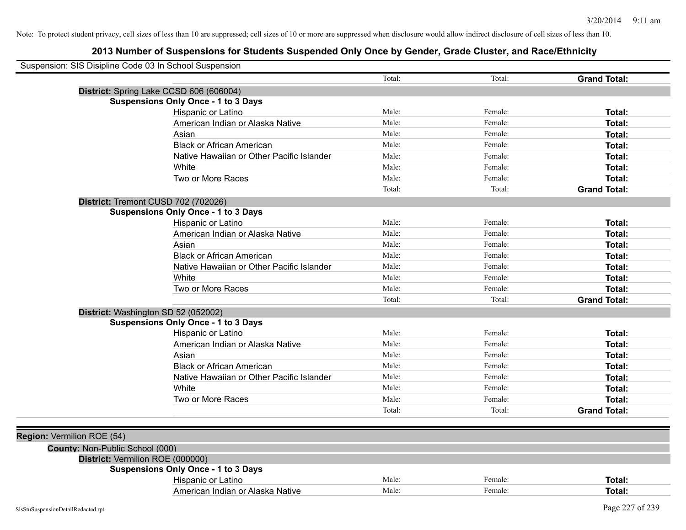|                                 | Suspension: SIS Disipline Code 03 In School Suspension |        |         |                     |
|---------------------------------|--------------------------------------------------------|--------|---------|---------------------|
|                                 |                                                        | Total: | Total:  | <b>Grand Total:</b> |
|                                 | District: Spring Lake CCSD 606 (606004)                |        |         |                     |
|                                 | <b>Suspensions Only Once - 1 to 3 Days</b>             |        |         |                     |
|                                 | Hispanic or Latino                                     | Male:  | Female: | Total:              |
|                                 | American Indian or Alaska Native                       | Male:  | Female: | Total:              |
|                                 | Asian                                                  | Male:  | Female: | Total:              |
|                                 | <b>Black or African American</b>                       | Male:  | Female: | Total:              |
|                                 | Native Hawaiian or Other Pacific Islander              | Male:  | Female: | Total:              |
|                                 | White                                                  | Male:  | Female: | Total:              |
|                                 | Two or More Races                                      | Male:  | Female: | Total:              |
|                                 |                                                        | Total: | Total:  | <b>Grand Total:</b> |
|                                 | District: Tremont CUSD 702 (702026)                    |        |         |                     |
|                                 | <b>Suspensions Only Once - 1 to 3 Days</b>             |        |         |                     |
|                                 | Hispanic or Latino                                     | Male:  | Female: | Total:              |
|                                 | American Indian or Alaska Native                       | Male:  | Female: | Total:              |
|                                 | Asian                                                  | Male:  | Female: | Total:              |
|                                 | <b>Black or African American</b>                       | Male:  | Female: | Total:              |
|                                 | Native Hawaiian or Other Pacific Islander              | Male:  | Female: | Total:              |
|                                 | White                                                  | Male:  | Female: | Total:              |
|                                 | Two or More Races                                      | Male:  | Female: | Total:              |
|                                 |                                                        | Total: | Total:  | <b>Grand Total:</b> |
|                                 | District: Washington SD 52 (052002)                    |        |         |                     |
|                                 | <b>Suspensions Only Once - 1 to 3 Days</b>             |        |         |                     |
|                                 | Hispanic or Latino                                     | Male:  | Female: | Total:              |
|                                 | American Indian or Alaska Native                       | Male:  | Female: | Total:              |
|                                 | Asian                                                  | Male:  | Female: | Total:              |
|                                 | <b>Black or African American</b>                       | Male:  | Female: | Total:              |
|                                 | Native Hawaiian or Other Pacific Islander              | Male:  | Female: | Total:              |
|                                 | White                                                  | Male:  | Female: | Total:              |
|                                 | Two or More Races                                      | Male:  | Female: | Total:              |
|                                 |                                                        | Total: | Total:  | <b>Grand Total:</b> |
|                                 |                                                        |        |         |                     |
| Region: Vermilion ROE (54)      |                                                        |        |         |                     |
| County: Non-Public School (000) |                                                        |        |         |                     |
|                                 | District: Vermilion ROE (000000)                       |        |         |                     |
|                                 | <b>Suspensions Only Once - 1 to 3 Days</b>             |        |         |                     |
|                                 | Hispanic or Latino                                     | Male:  | Female: | Total:              |
|                                 | American Indian or Alaska Native                       | Male:  | Female: | Total:              |
|                                 |                                                        |        |         |                     |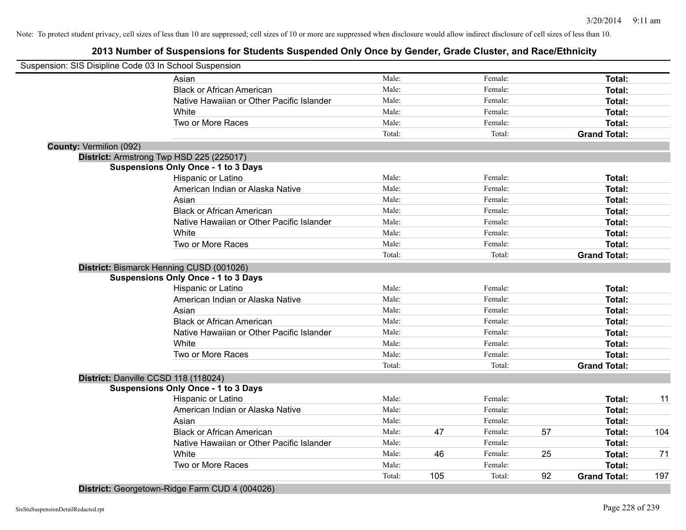# **2013 Number of Suspensions for Students Suspended Only Once by Gender, Grade Cluster, and Race/Ethnicity**

| Suspension: SIS Disipline Code 03 In School Suspension |                                            |        |     |         |    |                     |     |
|--------------------------------------------------------|--------------------------------------------|--------|-----|---------|----|---------------------|-----|
|                                                        | Asian                                      | Male:  |     | Female: |    | Total:              |     |
|                                                        | <b>Black or African American</b>           | Male:  |     | Female: |    | Total:              |     |
|                                                        | Native Hawaiian or Other Pacific Islander  | Male:  |     | Female: |    | Total:              |     |
|                                                        | White                                      | Male:  |     | Female: |    | Total:              |     |
|                                                        | Two or More Races                          | Male:  |     | Female: |    | Total:              |     |
|                                                        |                                            | Total: |     | Total:  |    | <b>Grand Total:</b> |     |
| <b>County: Vermilion (092)</b>                         |                                            |        |     |         |    |                     |     |
|                                                        | District: Armstrong Twp HSD 225 (225017)   |        |     |         |    |                     |     |
|                                                        | <b>Suspensions Only Once - 1 to 3 Days</b> |        |     |         |    |                     |     |
|                                                        | Hispanic or Latino                         | Male:  |     | Female: |    | Total:              |     |
|                                                        | American Indian or Alaska Native           | Male:  |     | Female: |    | Total:              |     |
|                                                        | Asian                                      | Male:  |     | Female: |    | Total:              |     |
|                                                        | <b>Black or African American</b>           | Male:  |     | Female: |    | Total:              |     |
|                                                        | Native Hawaiian or Other Pacific Islander  | Male:  |     | Female: |    | Total:              |     |
|                                                        | White                                      | Male:  |     | Female: |    | Total:              |     |
|                                                        | Two or More Races                          | Male:  |     | Female: |    | Total:              |     |
|                                                        |                                            | Total: |     | Total:  |    | <b>Grand Total:</b> |     |
|                                                        | District: Bismarck Henning CUSD (001026)   |        |     |         |    |                     |     |
|                                                        | <b>Suspensions Only Once - 1 to 3 Days</b> |        |     |         |    |                     |     |
|                                                        | Hispanic or Latino                         | Male:  |     | Female: |    | Total:              |     |
|                                                        | American Indian or Alaska Native           | Male:  |     | Female: |    | Total:              |     |
|                                                        | Asian                                      | Male:  |     | Female: |    | Total:              |     |
|                                                        | <b>Black or African American</b>           | Male:  |     | Female: |    | Total:              |     |
|                                                        | Native Hawaiian or Other Pacific Islander  | Male:  |     | Female: |    | Total:              |     |
|                                                        | White                                      | Male:  |     | Female: |    | Total:              |     |
|                                                        | Two or More Races                          | Male:  |     | Female: |    | Total:              |     |
|                                                        |                                            | Total: |     | Total:  |    | <b>Grand Total:</b> |     |
|                                                        | District: Danville CCSD 118 (118024)       |        |     |         |    |                     |     |
|                                                        | <b>Suspensions Only Once - 1 to 3 Days</b> |        |     |         |    |                     |     |
|                                                        | Hispanic or Latino                         | Male:  |     | Female: |    | Total:              | 11  |
|                                                        | American Indian or Alaska Native           | Male:  |     | Female: |    | Total:              |     |
|                                                        | Asian                                      | Male:  |     | Female: |    | Total:              |     |
|                                                        | <b>Black or African American</b>           | Male:  | 47  | Female: | 57 | Total:              | 104 |
|                                                        | Native Hawaiian or Other Pacific Islander  | Male:  |     | Female: |    | Total:              |     |
|                                                        | White                                      | Male:  | 46  | Female: | 25 | Total:              | 71  |
|                                                        | Two or More Races                          | Male:  |     | Female: |    | Total:              |     |
|                                                        |                                            | Total: | 105 | Total:  | 92 | <b>Grand Total:</b> | 197 |
|                                                        |                                            |        |     |         |    |                     |     |

**District:** Georgetown-Ridge Farm CUD 4 (004026)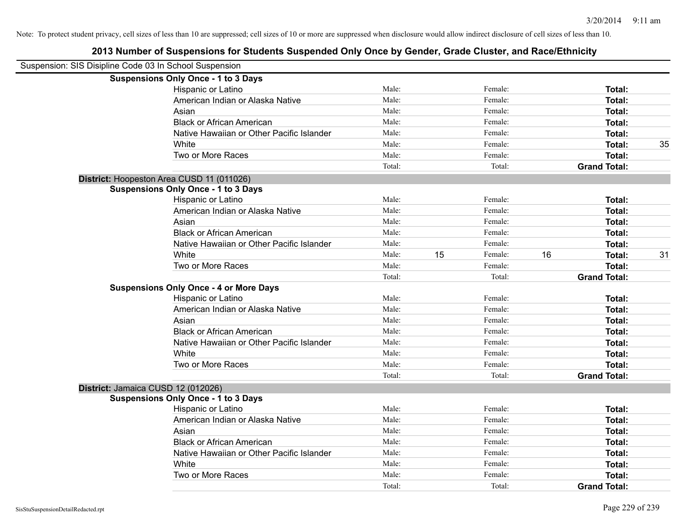| Suspension: SIS Disipline Code 03 In School Suspension |                                               |                |    |         |    |                     |    |
|--------------------------------------------------------|-----------------------------------------------|----------------|----|---------|----|---------------------|----|
|                                                        |                                               |                |    |         |    |                     |    |
|                                                        | <b>Suspensions Only Once - 1 to 3 Days</b>    |                |    |         |    |                     |    |
|                                                        | Hispanic or Latino                            | Male:<br>Male: |    | Female: |    | Total:              |    |
|                                                        | American Indian or Alaska Native              |                |    | Female: |    | Total:              |    |
|                                                        | Asian                                         | Male:          |    | Female: |    | Total:              |    |
|                                                        | <b>Black or African American</b>              | Male:          |    | Female: |    | Total:              |    |
|                                                        | Native Hawaiian or Other Pacific Islander     | Male:          |    | Female: |    | Total:              |    |
|                                                        | White                                         | Male:          |    | Female: |    | Total:              | 35 |
|                                                        | Two or More Races                             | Male:          |    | Female: |    | Total:              |    |
|                                                        |                                               | Total:         |    | Total:  |    | <b>Grand Total:</b> |    |
|                                                        | District: Hoopeston Area CUSD 11 (011026)     |                |    |         |    |                     |    |
|                                                        | <b>Suspensions Only Once - 1 to 3 Days</b>    |                |    |         |    |                     |    |
|                                                        | Hispanic or Latino                            | Male:          |    | Female: |    | Total:              |    |
|                                                        | American Indian or Alaska Native              | Male:          |    | Female: |    | Total:              |    |
|                                                        | Asian                                         | Male:          |    | Female: |    | Total:              |    |
|                                                        | <b>Black or African American</b>              | Male:          |    | Female: |    | Total:              |    |
|                                                        | Native Hawaiian or Other Pacific Islander     | Male:          |    | Female: |    | Total:              |    |
|                                                        | White                                         | Male:          | 15 | Female: | 16 | Total:              | 31 |
|                                                        | Two or More Races                             | Male:          |    | Female: |    | Total:              |    |
|                                                        |                                               | Total:         |    | Total:  |    | <b>Grand Total:</b> |    |
|                                                        | <b>Suspensions Only Once - 4 or More Days</b> |                |    |         |    |                     |    |
|                                                        | Hispanic or Latino                            | Male:          |    | Female: |    | Total:              |    |
|                                                        | American Indian or Alaska Native              | Male:          |    | Female: |    | Total:              |    |
|                                                        | Asian                                         | Male:          |    | Female: |    | Total:              |    |
|                                                        | <b>Black or African American</b>              | Male:          |    | Female: |    | Total:              |    |
|                                                        | Native Hawaiian or Other Pacific Islander     | Male:          |    | Female: |    | Total:              |    |
|                                                        | White                                         | Male:          |    | Female: |    | Total:              |    |
|                                                        | Two or More Races                             | Male:          |    | Female: |    | Total:              |    |
|                                                        |                                               | Total:         |    | Total:  |    | <b>Grand Total:</b> |    |
|                                                        | District: Jamaica CUSD 12 (012026)            |                |    |         |    |                     |    |
|                                                        | <b>Suspensions Only Once - 1 to 3 Days</b>    |                |    |         |    |                     |    |
|                                                        | Hispanic or Latino                            | Male:          |    | Female: |    | Total:              |    |
|                                                        | American Indian or Alaska Native              | Male:          |    | Female: |    | Total:              |    |
|                                                        | Asian                                         | Male:          |    | Female: |    | Total:              |    |
|                                                        | <b>Black or African American</b>              | Male:          |    | Female: |    | Total:              |    |
|                                                        | Native Hawaiian or Other Pacific Islander     | Male:          |    | Female: |    | Total:              |    |
|                                                        | White                                         | Male:          |    | Female: |    | Total:              |    |
|                                                        | Two or More Races                             | Male:          |    | Female: |    | Total:              |    |
|                                                        |                                               | Total:         |    | Total:  |    | <b>Grand Total:</b> |    |
|                                                        |                                               |                |    |         |    |                     |    |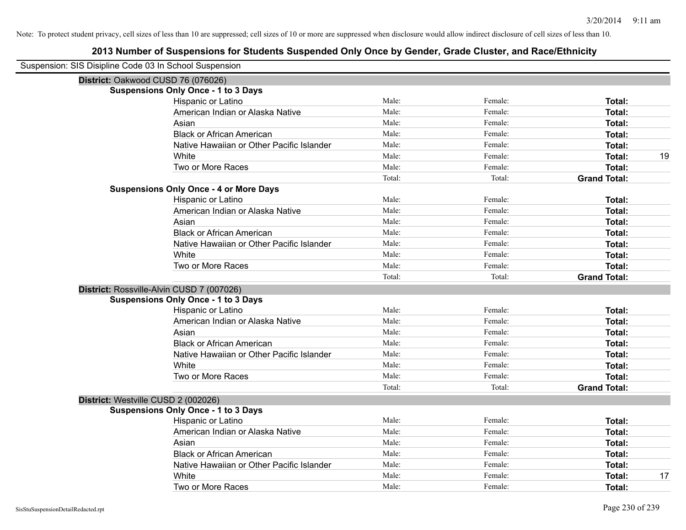| Suspension: SIS Disipline Code 03 In School Suspension |                                               |        |         |                     |
|--------------------------------------------------------|-----------------------------------------------|--------|---------|---------------------|
| District: Oakwood CUSD 76 (076026)                     |                                               |        |         |                     |
|                                                        | <b>Suspensions Only Once - 1 to 3 Days</b>    |        |         |                     |
|                                                        | Hispanic or Latino                            | Male:  | Female: | Total:              |
|                                                        | American Indian or Alaska Native              | Male:  | Female: | <b>Total:</b>       |
|                                                        | Asian                                         | Male:  | Female: | <b>Total:</b>       |
|                                                        | <b>Black or African American</b>              | Male:  | Female: | <b>Total:</b>       |
|                                                        | Native Hawaiian or Other Pacific Islander     | Male:  | Female: | <b>Total:</b>       |
|                                                        | White                                         | Male:  | Female: | 19<br><b>Total:</b> |
|                                                        | Two or More Races                             | Male:  | Female: | <b>Total:</b>       |
|                                                        |                                               | Total: | Total:  | <b>Grand Total:</b> |
|                                                        | <b>Suspensions Only Once - 4 or More Days</b> |        |         |                     |
|                                                        | Hispanic or Latino                            | Male:  | Female: | Total:              |
|                                                        | American Indian or Alaska Native              | Male:  | Female: | Total:              |
|                                                        | Asian                                         | Male:  | Female: | <b>Total:</b>       |
|                                                        | <b>Black or African American</b>              | Male:  | Female: | <b>Total:</b>       |
|                                                        | Native Hawaiian or Other Pacific Islander     | Male:  | Female: | <b>Total:</b>       |
|                                                        | White                                         | Male:  | Female: | <b>Total:</b>       |
|                                                        | Two or More Races                             | Male:  | Female: | <b>Total:</b>       |
|                                                        |                                               | Total: | Total:  | <b>Grand Total:</b> |
|                                                        | District: Rossville-Alvin CUSD 7 (007026)     |        |         |                     |
|                                                        | <b>Suspensions Only Once - 1 to 3 Days</b>    |        |         |                     |
|                                                        | Hispanic or Latino                            | Male:  | Female: | Total:              |
|                                                        | American Indian or Alaska Native              | Male:  | Female: | <b>Total:</b>       |
|                                                        | Asian                                         | Male:  | Female: | Total:              |
|                                                        | <b>Black or African American</b>              | Male:  | Female: | <b>Total:</b>       |
|                                                        | Native Hawaiian or Other Pacific Islander     | Male:  | Female: | <b>Total:</b>       |
|                                                        | White                                         | Male:  | Female: | <b>Total:</b>       |
|                                                        | Two or More Races                             | Male:  | Female: | <b>Total:</b>       |
|                                                        |                                               | Total: | Total:  | <b>Grand Total:</b> |
| District: Westville CUSD 2 (002026)                    |                                               |        |         |                     |
|                                                        | <b>Suspensions Only Once - 1 to 3 Days</b>    |        |         |                     |
|                                                        | Hispanic or Latino                            | Male:  | Female: | Total:              |
|                                                        | American Indian or Alaska Native              | Male:  | Female: | Total:              |
|                                                        | Asian                                         | Male:  | Female: | Total:              |
|                                                        | <b>Black or African American</b>              | Male:  | Female: | <b>Total:</b>       |
|                                                        | Native Hawaiian or Other Pacific Islander     | Male:  | Female: | <b>Total:</b>       |
|                                                        | White                                         | Male:  | Female: | 17<br><b>Total:</b> |
|                                                        | Two or More Races                             | Male:  | Female: | Total:              |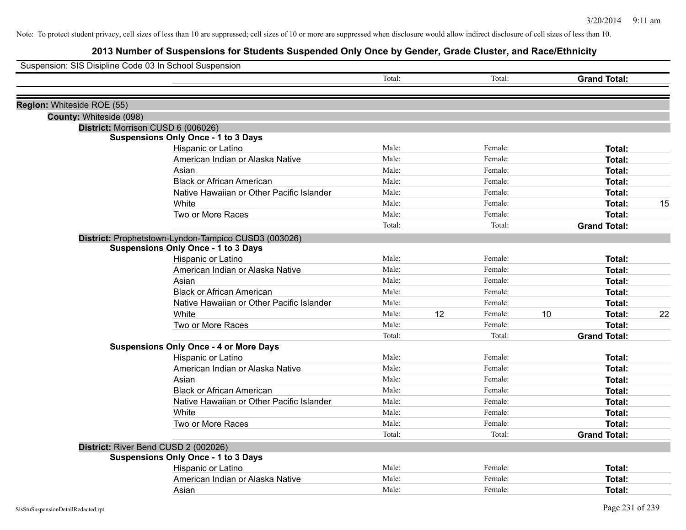| Suspension: SIS Disipline Code 03 In School Suspension |                                                      |        |    |         |    |                     |    |
|--------------------------------------------------------|------------------------------------------------------|--------|----|---------|----|---------------------|----|
|                                                        |                                                      | Total: |    | Total:  |    | <b>Grand Total:</b> |    |
| Region: Whiteside ROE (55)                             |                                                      |        |    |         |    |                     |    |
| County: Whiteside (098)                                |                                                      |        |    |         |    |                     |    |
|                                                        | District: Morrison CUSD 6 (006026)                   |        |    |         |    |                     |    |
|                                                        | <b>Suspensions Only Once - 1 to 3 Days</b>           |        |    |         |    |                     |    |
|                                                        | Hispanic or Latino                                   | Male:  |    | Female: |    | Total:              |    |
|                                                        | American Indian or Alaska Native                     | Male:  |    | Female: |    | Total:              |    |
|                                                        | Asian                                                | Male:  |    | Female: |    | Total:              |    |
|                                                        | <b>Black or African American</b>                     | Male:  |    | Female: |    | Total:              |    |
|                                                        | Native Hawaiian or Other Pacific Islander            | Male:  |    | Female: |    | Total:              |    |
|                                                        | White                                                | Male:  |    | Female: |    | Total:              | 15 |
|                                                        | Two or More Races                                    | Male:  |    | Female: |    | <b>Total:</b>       |    |
|                                                        |                                                      | Total: |    | Total:  |    | <b>Grand Total:</b> |    |
|                                                        | District: Prophetstown-Lyndon-Tampico CUSD3 (003026) |        |    |         |    |                     |    |
|                                                        | <b>Suspensions Only Once - 1 to 3 Days</b>           |        |    |         |    |                     |    |
|                                                        | Hispanic or Latino                                   | Male:  |    | Female: |    | Total:              |    |
|                                                        | American Indian or Alaska Native                     | Male:  |    | Female: |    | Total:              |    |
|                                                        | Asian                                                | Male:  |    | Female: |    | <b>Total:</b>       |    |
|                                                        | <b>Black or African American</b>                     | Male:  |    | Female: |    | Total:              |    |
|                                                        | Native Hawaiian or Other Pacific Islander            | Male:  |    | Female: |    | Total:              |    |
|                                                        | White                                                | Male:  | 12 | Female: | 10 | <b>Total:</b>       | 22 |
|                                                        | Two or More Races                                    | Male:  |    | Female: |    | <b>Total:</b>       |    |
|                                                        |                                                      | Total: |    | Total:  |    | <b>Grand Total:</b> |    |
|                                                        | <b>Suspensions Only Once - 4 or More Days</b>        |        |    |         |    |                     |    |
|                                                        | Hispanic or Latino                                   | Male:  |    | Female: |    | Total:              |    |
|                                                        | American Indian or Alaska Native                     | Male:  |    | Female: |    | Total:              |    |
|                                                        | Asian                                                | Male:  |    | Female: |    | Total:              |    |
|                                                        | <b>Black or African American</b>                     | Male:  |    | Female: |    | Total:              |    |
|                                                        | Native Hawaiian or Other Pacific Islander            | Male:  |    | Female: |    | Total:              |    |
|                                                        | White                                                | Male:  |    | Female: |    | Total:              |    |
|                                                        | Two or More Races                                    | Male:  |    | Female: |    | Total:              |    |
|                                                        |                                                      | Total: |    | Total:  |    | <b>Grand Total:</b> |    |
|                                                        | District: River Bend CUSD 2 (002026)                 |        |    |         |    |                     |    |
|                                                        | <b>Suspensions Only Once - 1 to 3 Days</b>           |        |    |         |    |                     |    |
|                                                        | Hispanic or Latino                                   | Male:  |    | Female: |    | <b>Total:</b>       |    |
|                                                        | American Indian or Alaska Native                     | Male:  |    | Female: |    | Total:              |    |
|                                                        | Asian                                                | Male:  |    | Female: |    | Total:              |    |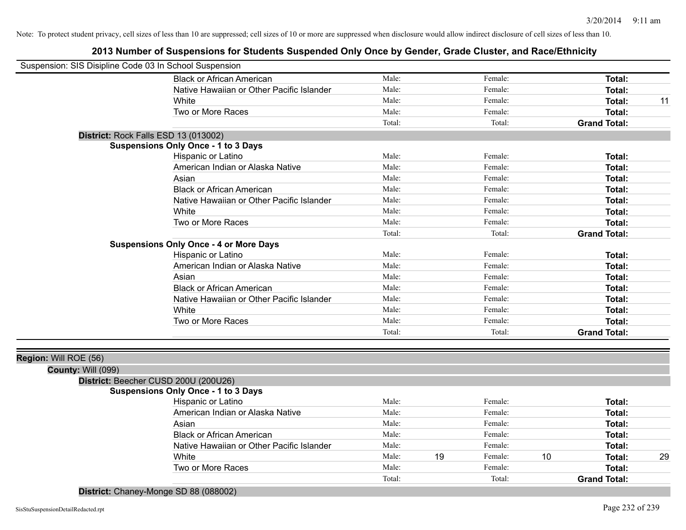# **2013 Number of Suspensions for Students Suspended Only Once by Gender, Grade Cluster, and Race/Ethnicity**

| Suspension: SIS Disipline Code 03 In School Suspension |                                               |        |         |                     |
|--------------------------------------------------------|-----------------------------------------------|--------|---------|---------------------|
|                                                        | <b>Black or African American</b>              | Male:  | Female: | Total:              |
|                                                        | Native Hawaiian or Other Pacific Islander     | Male:  | Female: | Total:              |
|                                                        | White                                         | Male:  | Female: | Total:<br>11        |
|                                                        | Two or More Races                             | Male:  | Female: | Total:              |
|                                                        |                                               | Total: | Total:  | <b>Grand Total:</b> |
|                                                        | District: Rock Falls ESD 13 (013002)          |        |         |                     |
|                                                        | <b>Suspensions Only Once - 1 to 3 Days</b>    |        |         |                     |
|                                                        | Hispanic or Latino                            | Male:  | Female: | Total:              |
|                                                        | American Indian or Alaska Native              | Male:  | Female: | Total:              |
|                                                        | Asian                                         | Male:  | Female: | Total:              |
|                                                        | <b>Black or African American</b>              | Male:  | Female: | <b>Total:</b>       |
|                                                        | Native Hawaiian or Other Pacific Islander     | Male:  | Female: | <b>Total:</b>       |
|                                                        | White                                         | Male:  | Female: | Total:              |
|                                                        | Two or More Races                             | Male:  | Female: | Total:              |
|                                                        |                                               | Total: | Total:  | <b>Grand Total:</b> |
|                                                        | <b>Suspensions Only Once - 4 or More Days</b> |        |         |                     |
|                                                        | Hispanic or Latino                            | Male:  | Female: | Total:              |
|                                                        | American Indian or Alaska Native              | Male:  | Female: | <b>Total:</b>       |
|                                                        | Asian                                         | Male:  | Female: | <b>Total:</b>       |
|                                                        | <b>Black or African American</b>              | Male:  | Female: | Total:              |
|                                                        | Native Hawaiian or Other Pacific Islander     | Male:  | Female: | Total:              |
|                                                        | White                                         | Male:  | Female: | <b>Total:</b>       |
|                                                        | Two or More Races                             | Male:  | Female: | Total:              |
|                                                        |                                               | Total: | Total:  | <b>Grand Total:</b> |
|                                                        |                                               |        |         |                     |
| Region: Will ROE (56)                                  |                                               |        |         |                     |
| County: Will (099)                                     |                                               |        |         |                     |
|                                                        | District: Beecher CUSD 200U (200U26)          |        |         |                     |
|                                                        | <b>Suspensions Only Once - 1 to 3 Days</b>    |        |         |                     |
|                                                        | Hispanic or Latino                            | Male:  | Female: | Total:              |

| Hispanic or Latino                        | Male:  |    | Female: |    | Total:              |    |
|-------------------------------------------|--------|----|---------|----|---------------------|----|
| American Indian or Alaska Native          | Male:  |    | Female: |    | Total:              |    |
| Asian                                     | Male:  |    | Female: |    | Total:              |    |
| <b>Black or African American</b>          | Male:  |    | Female: |    | Total:              |    |
| Native Hawaiian or Other Pacific Islander | Male:  |    | Female: |    | Total:              |    |
| White                                     | Male:  | 19 | Female: | 10 | Total:              | 29 |
| Two or More Races                         | Male:  |    | Female: |    | Total:              |    |
|                                           | Total: |    | Total:  |    | <b>Grand Total:</b> |    |
|                                           |        |    |         |    |                     |    |

**District:** Chaney-Monge SD 88 (088002)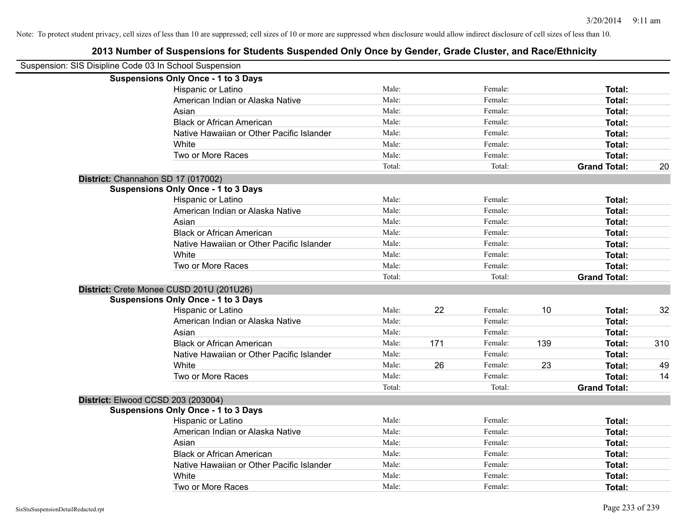| Suspension: SIS Disipline Code 03 In School Suspension |                                            |        |     |         |     |                     |     |
|--------------------------------------------------------|--------------------------------------------|--------|-----|---------|-----|---------------------|-----|
|                                                        | <b>Suspensions Only Once - 1 to 3 Days</b> |        |     |         |     |                     |     |
|                                                        | Hispanic or Latino                         | Male:  |     | Female: |     | Total:              |     |
|                                                        | American Indian or Alaska Native           | Male:  |     | Female: |     | Total:              |     |
|                                                        | Asian                                      | Male:  |     | Female: |     | Total:              |     |
|                                                        | <b>Black or African American</b>           | Male:  |     | Female: |     | Total:              |     |
|                                                        | Native Hawaiian or Other Pacific Islander  | Male:  |     | Female: |     | Total:              |     |
|                                                        | White                                      | Male:  |     | Female: |     | Total:              |     |
|                                                        | Two or More Races                          | Male:  |     | Female: |     | Total:              |     |
|                                                        |                                            | Total: |     | Total:  |     | <b>Grand Total:</b> | 20  |
|                                                        | District: Channahon SD 17 (017002)         |        |     |         |     |                     |     |
|                                                        | <b>Suspensions Only Once - 1 to 3 Days</b> |        |     |         |     |                     |     |
|                                                        | Hispanic or Latino                         | Male:  |     | Female: |     | Total:              |     |
|                                                        | American Indian or Alaska Native           | Male:  |     | Female: |     | Total:              |     |
|                                                        | Asian                                      | Male:  |     | Female: |     | Total:              |     |
|                                                        | <b>Black or African American</b>           | Male:  |     | Female: |     | Total:              |     |
|                                                        | Native Hawaiian or Other Pacific Islander  | Male:  |     | Female: |     | Total:              |     |
|                                                        | White                                      | Male:  |     | Female: |     | Total:              |     |
|                                                        | Two or More Races                          | Male:  |     | Female: |     | Total:              |     |
|                                                        |                                            | Total: |     | Total:  |     | <b>Grand Total:</b> |     |
|                                                        | District: Crete Monee CUSD 201U (201U26)   |        |     |         |     |                     |     |
|                                                        | <b>Suspensions Only Once - 1 to 3 Days</b> |        |     |         |     |                     |     |
|                                                        | Hispanic or Latino                         | Male:  | 22  | Female: | 10  | Total:              | 32  |
|                                                        | American Indian or Alaska Native           | Male:  |     | Female: |     | Total:              |     |
|                                                        | Asian                                      | Male:  |     | Female: |     | Total:              |     |
|                                                        | <b>Black or African American</b>           | Male:  | 171 | Female: | 139 | Total:              | 310 |
|                                                        | Native Hawaiian or Other Pacific Islander  | Male:  |     | Female: |     | Total:              |     |
|                                                        | White                                      | Male:  | 26  | Female: | 23  | Total:              | 49  |
|                                                        | Two or More Races                          | Male:  |     | Female: |     | Total:              | 14  |
|                                                        |                                            | Total: |     | Total:  |     | <b>Grand Total:</b> |     |
|                                                        | District: Elwood CCSD 203 (203004)         |        |     |         |     |                     |     |
|                                                        | <b>Suspensions Only Once - 1 to 3 Days</b> |        |     |         |     |                     |     |
|                                                        | Hispanic or Latino                         | Male:  |     | Female: |     | Total:              |     |
|                                                        | American Indian or Alaska Native           | Male:  |     | Female: |     | Total:              |     |
|                                                        | Asian                                      | Male:  |     | Female: |     | Total:              |     |
|                                                        | <b>Black or African American</b>           | Male:  |     | Female: |     | Total:              |     |
|                                                        | Native Hawaiian or Other Pacific Islander  | Male:  |     | Female: |     | Total:              |     |
|                                                        | White                                      | Male:  |     | Female: |     | Total:              |     |
|                                                        | Two or More Races                          | Male:  |     | Female: |     | Total:              |     |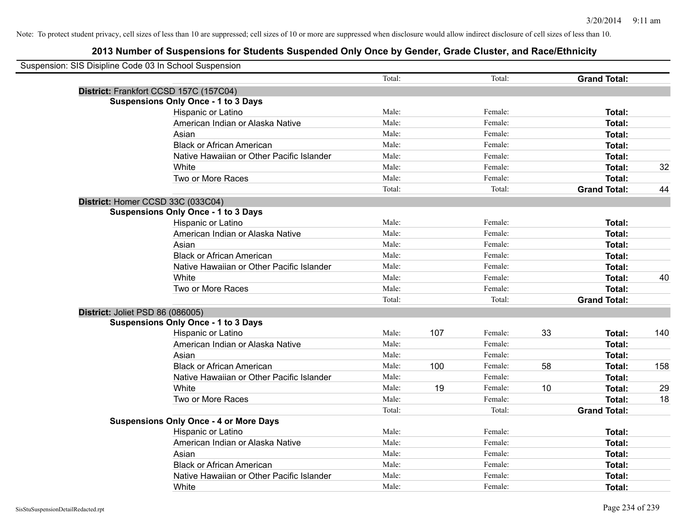| Suspension: SIS Disipline Code 03 In School Suspension |                                               |        |     |         |    |                     |     |
|--------------------------------------------------------|-----------------------------------------------|--------|-----|---------|----|---------------------|-----|
|                                                        |                                               | Total: |     | Total:  |    | <b>Grand Total:</b> |     |
|                                                        | District: Frankfort CCSD 157C (157C04)        |        |     |         |    |                     |     |
|                                                        | <b>Suspensions Only Once - 1 to 3 Days</b>    |        |     |         |    |                     |     |
|                                                        | Hispanic or Latino                            | Male:  |     | Female: |    | Total:              |     |
|                                                        | American Indian or Alaska Native              | Male:  |     | Female: |    | Total:              |     |
|                                                        | Asian                                         | Male:  |     | Female: |    | Total:              |     |
|                                                        | <b>Black or African American</b>              | Male:  |     | Female: |    | Total:              |     |
|                                                        | Native Hawaiian or Other Pacific Islander     | Male:  |     | Female: |    | Total:              |     |
|                                                        | White                                         | Male:  |     | Female: |    | Total:              | 32  |
|                                                        | Two or More Races                             | Male:  |     | Female: |    | Total:              |     |
|                                                        |                                               | Total: |     | Total:  |    | <b>Grand Total:</b> | 44  |
|                                                        | District: Homer CCSD 33C (033C04)             |        |     |         |    |                     |     |
|                                                        | <b>Suspensions Only Once - 1 to 3 Days</b>    |        |     |         |    |                     |     |
|                                                        | Hispanic or Latino                            | Male:  |     | Female: |    | Total:              |     |
|                                                        | American Indian or Alaska Native              | Male:  |     | Female: |    | Total:              |     |
|                                                        | Asian                                         | Male:  |     | Female: |    | Total:              |     |
|                                                        | <b>Black or African American</b>              | Male:  |     | Female: |    | Total:              |     |
|                                                        | Native Hawaiian or Other Pacific Islander     | Male:  |     | Female: |    | Total:              |     |
|                                                        | White                                         | Male:  |     | Female: |    | Total:              | 40  |
|                                                        | Two or More Races                             | Male:  |     | Female: |    | Total:              |     |
|                                                        |                                               | Total: |     | Total:  |    | <b>Grand Total:</b> |     |
| District: Joliet PSD 86 (086005)                       |                                               |        |     |         |    |                     |     |
|                                                        | <b>Suspensions Only Once - 1 to 3 Days</b>    |        |     |         |    |                     |     |
|                                                        | Hispanic or Latino                            | Male:  | 107 | Female: | 33 | Total:              | 140 |
|                                                        | American Indian or Alaska Native              | Male:  |     | Female: |    | Total:              |     |
|                                                        | Asian                                         | Male:  |     | Female: |    | Total:              |     |
|                                                        | <b>Black or African American</b>              | Male:  | 100 | Female: | 58 | Total:              | 158 |
|                                                        | Native Hawaiian or Other Pacific Islander     | Male:  |     | Female: |    | Total:              |     |
|                                                        | White                                         | Male:  | 19  | Female: | 10 | Total:              | 29  |
|                                                        | Two or More Races                             | Male:  |     | Female: |    | Total:              | 18  |
|                                                        |                                               | Total: |     | Total:  |    | <b>Grand Total:</b> |     |
|                                                        | <b>Suspensions Only Once - 4 or More Days</b> |        |     |         |    |                     |     |
|                                                        | Hispanic or Latino                            | Male:  |     | Female: |    | Total:              |     |
|                                                        | American Indian or Alaska Native              | Male:  |     | Female: |    | Total:              |     |
|                                                        | Asian                                         | Male:  |     | Female: |    | Total:              |     |
|                                                        | <b>Black or African American</b>              | Male:  |     | Female: |    | Total:              |     |
|                                                        | Native Hawaiian or Other Pacific Islander     | Male:  |     | Female: |    | Total:              |     |
|                                                        | White                                         | Male:  |     | Female: |    | Total:              |     |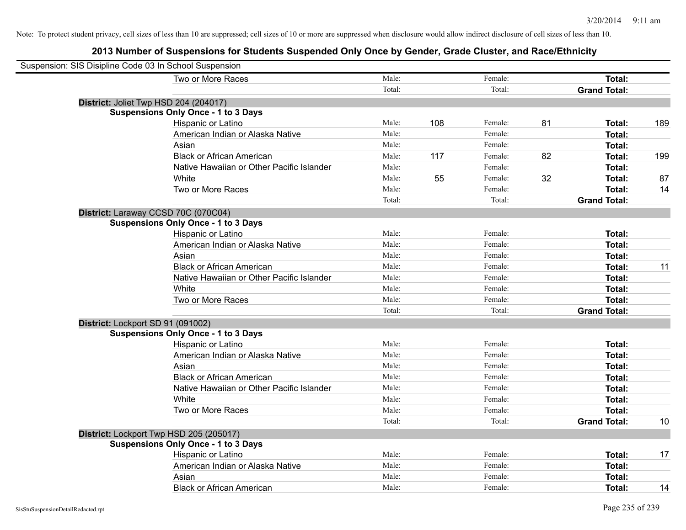| Suspension: SIS Disipline Code 03 In School Suspension |        |     |         |    |                     |     |
|--------------------------------------------------------|--------|-----|---------|----|---------------------|-----|
| Two or More Races                                      | Male:  |     | Female: |    | Total:              |     |
|                                                        | Total: |     | Total:  |    | <b>Grand Total:</b> |     |
| District: Joliet Twp HSD 204 (204017)                  |        |     |         |    |                     |     |
| <b>Suspensions Only Once - 1 to 3 Days</b>             |        |     |         |    |                     |     |
| Hispanic or Latino                                     | Male:  | 108 | Female: | 81 | Total:              | 189 |
| American Indian or Alaska Native                       | Male:  |     | Female: |    | Total:              |     |
| Asian                                                  | Male:  |     | Female: |    | Total:              |     |
| <b>Black or African American</b>                       | Male:  | 117 | Female: | 82 | Total:              | 199 |
| Native Hawaiian or Other Pacific Islander              | Male:  |     | Female: |    | Total:              |     |
| White                                                  | Male:  | 55  | Female: | 32 | Total:              | 87  |
| Two or More Races                                      | Male:  |     | Female: |    | Total:              | 14  |
|                                                        | Total: |     | Total:  |    | <b>Grand Total:</b> |     |
| District: Laraway CCSD 70C (070C04)                    |        |     |         |    |                     |     |
| <b>Suspensions Only Once - 1 to 3 Days</b>             |        |     |         |    |                     |     |
| Hispanic or Latino                                     | Male:  |     | Female: |    | Total:              |     |
| American Indian or Alaska Native                       | Male:  |     | Female: |    | Total:              |     |
| Asian                                                  | Male:  |     | Female: |    | Total:              |     |
| <b>Black or African American</b>                       | Male:  |     | Female: |    | Total:              | 11  |
| Native Hawaiian or Other Pacific Islander              | Male:  |     | Female: |    | Total:              |     |
| White                                                  | Male:  |     | Female: |    | Total:              |     |
| Two or More Races                                      | Male:  |     | Female: |    | Total:              |     |
|                                                        | Total: |     | Total:  |    | <b>Grand Total:</b> |     |
| District: Lockport SD 91 (091002)                      |        |     |         |    |                     |     |
| <b>Suspensions Only Once - 1 to 3 Days</b>             |        |     |         |    |                     |     |
| Hispanic or Latino                                     | Male:  |     | Female: |    | Total:              |     |
| American Indian or Alaska Native                       | Male:  |     | Female: |    | Total:              |     |
| Asian                                                  | Male:  |     | Female: |    | Total:              |     |
| <b>Black or African American</b>                       | Male:  |     | Female: |    | Total:              |     |
| Native Hawaiian or Other Pacific Islander              | Male:  |     | Female: |    | Total:              |     |
| White                                                  | Male:  |     | Female: |    | Total:              |     |
| Two or More Races                                      | Male:  |     | Female: |    | Total:              |     |
|                                                        | Total: |     | Total:  |    | <b>Grand Total:</b> | 10  |
| District: Lockport Twp HSD 205 (205017)                |        |     |         |    |                     |     |
| <b>Suspensions Only Once - 1 to 3 Days</b>             |        |     |         |    |                     |     |
| Hispanic or Latino                                     | Male:  |     | Female: |    | Total:              | 17  |
| American Indian or Alaska Native                       | Male:  |     | Female: |    | Total:              |     |
| Asian                                                  | Male:  |     | Female: |    | Total:              |     |
| <b>Black or African American</b>                       | Male:  |     | Female: |    | Total:              | 14  |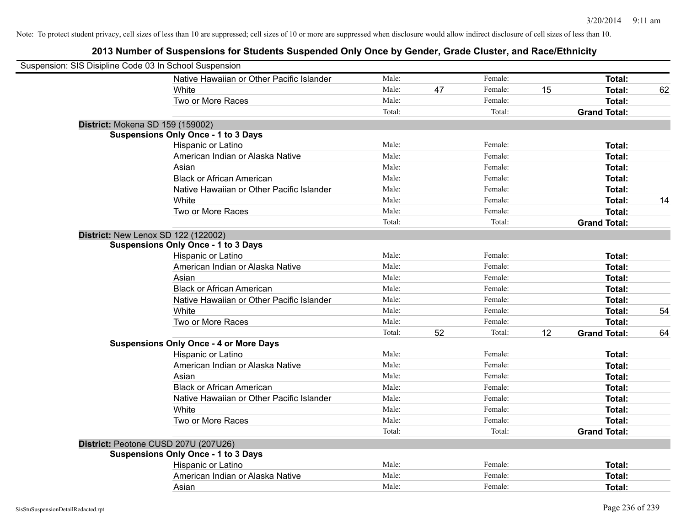| Suspension: SIS Disipline Code 03 In School Suspension |                                               |        |    |         |    |                     |    |
|--------------------------------------------------------|-----------------------------------------------|--------|----|---------|----|---------------------|----|
|                                                        | Native Hawaiian or Other Pacific Islander     | Male:  |    | Female: |    | Total:              |    |
|                                                        | White                                         | Male:  | 47 | Female: | 15 | <b>Total:</b>       | 62 |
|                                                        | Two or More Races                             | Male:  |    | Female: |    | Total:              |    |
|                                                        |                                               | Total: |    | Total:  |    | <b>Grand Total:</b> |    |
| District: Mokena SD 159 (159002)                       |                                               |        |    |         |    |                     |    |
|                                                        | <b>Suspensions Only Once - 1 to 3 Days</b>    |        |    |         |    |                     |    |
|                                                        | Hispanic or Latino                            | Male:  |    | Female: |    | Total:              |    |
|                                                        | American Indian or Alaska Native              | Male:  |    | Female: |    | <b>Total:</b>       |    |
|                                                        | Asian                                         | Male:  |    | Female: |    | Total:              |    |
|                                                        | <b>Black or African American</b>              | Male:  |    | Female: |    | Total:              |    |
|                                                        | Native Hawaiian or Other Pacific Islander     | Male:  |    | Female: |    | <b>Total:</b>       |    |
|                                                        | White                                         | Male:  |    | Female: |    | <b>Total:</b>       | 14 |
|                                                        | Two or More Races                             | Male:  |    | Female: |    | <b>Total:</b>       |    |
|                                                        |                                               | Total: |    | Total:  |    | <b>Grand Total:</b> |    |
| <b>District: New Lenox SD 122 (122002)</b>             |                                               |        |    |         |    |                     |    |
|                                                        | <b>Suspensions Only Once - 1 to 3 Days</b>    |        |    |         |    |                     |    |
|                                                        | Hispanic or Latino                            | Male:  |    | Female: |    | Total:              |    |
|                                                        | American Indian or Alaska Native              | Male:  |    | Female: |    | Total:              |    |
|                                                        | Asian                                         | Male:  |    | Female: |    | Total:              |    |
|                                                        | <b>Black or African American</b>              | Male:  |    | Female: |    | <b>Total:</b>       |    |
|                                                        | Native Hawaiian or Other Pacific Islander     | Male:  |    | Female: |    | Total:              |    |
|                                                        | White                                         | Male:  |    | Female: |    | <b>Total:</b>       | 54 |
|                                                        | Two or More Races                             | Male:  |    | Female: |    | <b>Total:</b>       |    |
|                                                        |                                               | Total: | 52 | Total:  | 12 | <b>Grand Total:</b> | 64 |
|                                                        | <b>Suspensions Only Once - 4 or More Days</b> |        |    |         |    |                     |    |
|                                                        | Hispanic or Latino                            | Male:  |    | Female: |    | Total:              |    |
|                                                        | American Indian or Alaska Native              | Male:  |    | Female: |    | Total:              |    |
|                                                        | Asian                                         | Male:  |    | Female: |    | Total:              |    |
|                                                        | <b>Black or African American</b>              | Male:  |    | Female: |    | Total:              |    |
|                                                        | Native Hawaiian or Other Pacific Islander     | Male:  |    | Female: |    | Total:              |    |
|                                                        | White                                         | Male:  |    | Female: |    | <b>Total:</b>       |    |
|                                                        | Two or More Races                             | Male:  |    | Female: |    | Total:              |    |
|                                                        |                                               | Total: |    | Total:  |    | <b>Grand Total:</b> |    |
| District: Peotone CUSD 207U (207U26)                   |                                               |        |    |         |    |                     |    |
|                                                        | <b>Suspensions Only Once - 1 to 3 Days</b>    |        |    |         |    |                     |    |
|                                                        | Hispanic or Latino                            | Male:  |    | Female: |    | <b>Total:</b>       |    |
|                                                        | American Indian or Alaska Native              | Male:  |    | Female: |    | <b>Total:</b>       |    |
|                                                        | Asian                                         | Male:  |    | Female: |    | Total:              |    |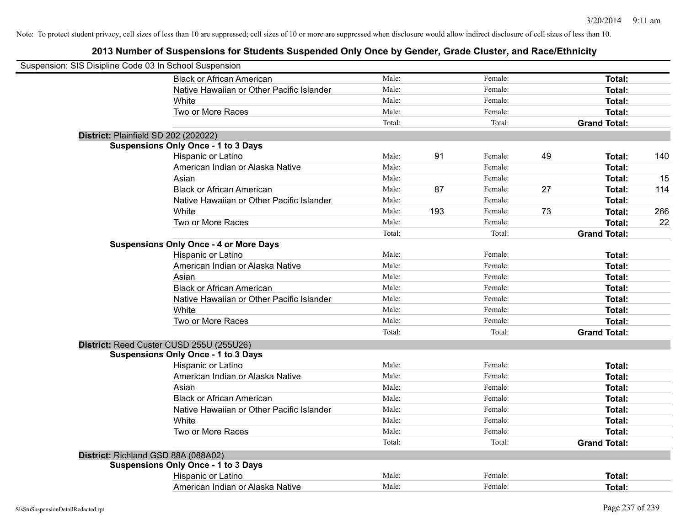| Suspension: SIS Disipline Code 03 In School Suspension |                                               |        |     |         |    |                     |     |
|--------------------------------------------------------|-----------------------------------------------|--------|-----|---------|----|---------------------|-----|
|                                                        | <b>Black or African American</b>              | Male:  |     | Female: |    | Total:              |     |
|                                                        | Native Hawaiian or Other Pacific Islander     | Male:  |     | Female: |    | Total:              |     |
|                                                        | White                                         | Male:  |     | Female: |    | Total:              |     |
|                                                        | Two or More Races                             | Male:  |     | Female: |    | Total:              |     |
|                                                        |                                               | Total: |     | Total:  |    | <b>Grand Total:</b> |     |
| District: Plainfield SD 202 (202022)                   |                                               |        |     |         |    |                     |     |
|                                                        | <b>Suspensions Only Once - 1 to 3 Days</b>    |        |     |         |    |                     |     |
|                                                        | Hispanic or Latino                            | Male:  | 91  | Female: | 49 | Total:              | 140 |
|                                                        | American Indian or Alaska Native              | Male:  |     | Female: |    | Total:              |     |
|                                                        | Asian                                         | Male:  |     | Female: |    | Total:              | 15  |
|                                                        | <b>Black or African American</b>              | Male:  | 87  | Female: | 27 | Total:              | 114 |
|                                                        | Native Hawaiian or Other Pacific Islander     | Male:  |     | Female: |    | Total:              |     |
|                                                        | White                                         | Male:  | 193 | Female: | 73 | Total:              | 266 |
|                                                        | Two or More Races                             | Male:  |     | Female: |    | Total:              | 22  |
|                                                        |                                               | Total: |     | Total:  |    | <b>Grand Total:</b> |     |
|                                                        | <b>Suspensions Only Once - 4 or More Days</b> |        |     |         |    |                     |     |
|                                                        | Hispanic or Latino                            | Male:  |     | Female: |    | Total:              |     |
|                                                        | American Indian or Alaska Native              | Male:  |     | Female: |    | Total:              |     |
|                                                        | Asian                                         | Male:  |     | Female: |    | Total:              |     |
|                                                        | <b>Black or African American</b>              | Male:  |     | Female: |    | Total:              |     |
|                                                        | Native Hawaiian or Other Pacific Islander     | Male:  |     | Female: |    | Total:              |     |
|                                                        | White                                         | Male:  |     | Female: |    | Total:              |     |
|                                                        | Two or More Races                             | Male:  |     | Female: |    | Total:              |     |
|                                                        |                                               | Total: |     | Total:  |    | <b>Grand Total:</b> |     |
|                                                        | District: Reed Custer CUSD 255U (255U26)      |        |     |         |    |                     |     |
|                                                        | <b>Suspensions Only Once - 1 to 3 Days</b>    |        |     |         |    |                     |     |
|                                                        | Hispanic or Latino                            | Male:  |     | Female: |    | Total:              |     |
|                                                        | American Indian or Alaska Native              | Male:  |     | Female: |    | Total:              |     |
|                                                        | Asian                                         | Male:  |     | Female: |    | Total:              |     |
|                                                        | <b>Black or African American</b>              | Male:  |     | Female: |    | Total:              |     |
|                                                        | Native Hawaiian or Other Pacific Islander     | Male:  |     | Female: |    | Total:              |     |
|                                                        | White                                         | Male:  |     | Female: |    | Total:              |     |
|                                                        | Two or More Races                             | Male:  |     | Female: |    | Total:              |     |
|                                                        |                                               | Total: |     | Total:  |    | <b>Grand Total:</b> |     |
| District: Richland GSD 88A (088A02)                    |                                               |        |     |         |    |                     |     |
|                                                        | <b>Suspensions Only Once - 1 to 3 Days</b>    |        |     |         |    |                     |     |
|                                                        | Hispanic or Latino                            | Male:  |     | Female: |    | Total:              |     |
|                                                        | American Indian or Alaska Native              | Male:  |     | Female: |    | Total:              |     |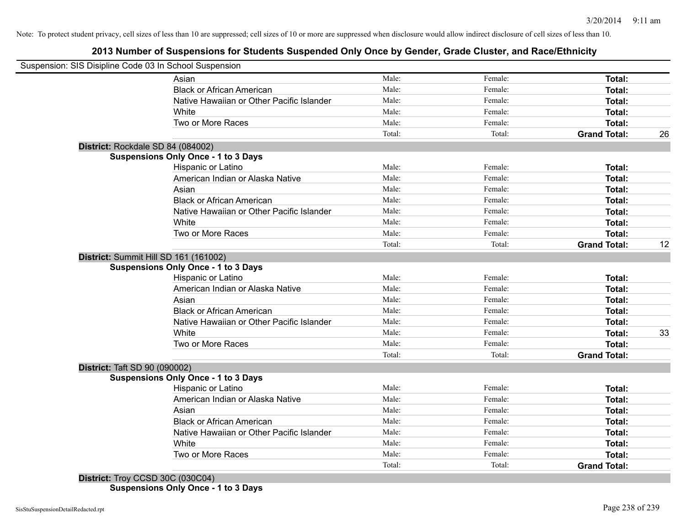# **2013 Number of Suspensions for Students Suspended Only Once by Gender, Grade Cluster, and Race/Ethnicity**

|                                      | Suspension: SIS Disipline Code 03 In School Suspension |        |         |                     |    |
|--------------------------------------|--------------------------------------------------------|--------|---------|---------------------|----|
|                                      | Asian                                                  | Male:  | Female: | Total:              |    |
|                                      | <b>Black or African American</b>                       | Male:  | Female: | Total:              |    |
|                                      | Native Hawaiian or Other Pacific Islander              | Male:  | Female: | Total:              |    |
|                                      | White                                                  | Male:  | Female: | Total:              |    |
|                                      | Two or More Races                                      | Male:  | Female: | Total:              |    |
|                                      |                                                        | Total: | Total:  | <b>Grand Total:</b> | 26 |
| District: Rockdale SD 84 (084002)    |                                                        |        |         |                     |    |
|                                      | <b>Suspensions Only Once - 1 to 3 Days</b>             |        |         |                     |    |
|                                      | <b>Hispanic or Latino</b>                              | Male:  | Female: | Total:              |    |
|                                      | American Indian or Alaska Native                       | Male:  | Female: | <b>Total:</b>       |    |
|                                      | Asian                                                  | Male:  | Female: | Total:              |    |
|                                      | <b>Black or African American</b>                       | Male:  | Female: | Total:              |    |
|                                      | Native Hawaiian or Other Pacific Islander              | Male:  | Female: | Total:              |    |
|                                      | White                                                  | Male:  | Female: | Total:              |    |
|                                      | Two or More Races                                      | Male:  | Female: | Total:              |    |
|                                      |                                                        | Total: | Total:  | <b>Grand Total:</b> | 12 |
|                                      | District: Summit Hill SD 161 (161002)                  |        |         |                     |    |
|                                      | <b>Suspensions Only Once - 1 to 3 Days</b>             |        |         |                     |    |
|                                      | Hispanic or Latino                                     | Male:  | Female: | Total:              |    |
|                                      | American Indian or Alaska Native                       | Male:  | Female: | Total:              |    |
|                                      | Asian                                                  | Male:  | Female: | Total:              |    |
|                                      | <b>Black or African American</b>                       | Male:  | Female: | Total:              |    |
|                                      | Native Hawaiian or Other Pacific Islander              | Male:  | Female: | Total:              |    |
|                                      | White                                                  | Male:  | Female: | Total:              | 33 |
|                                      | Two or More Races                                      | Male:  | Female: | <b>Total:</b>       |    |
|                                      |                                                        | Total: | Total:  | <b>Grand Total:</b> |    |
| <b>District: Taft SD 90 (090002)</b> |                                                        |        |         |                     |    |
|                                      | <b>Suspensions Only Once - 1 to 3 Days</b>             |        |         |                     |    |
|                                      | Hispanic or Latino                                     | Male:  | Female: | Total:              |    |
|                                      | American Indian or Alaska Native                       | Male:  | Female: | Total:              |    |
|                                      | Asian                                                  | Male:  | Female: | Total:              |    |
|                                      | <b>Black or African American</b>                       | Male:  | Female: | Total:              |    |
|                                      | Native Hawaiian or Other Pacific Islander              | Male:  | Female: | Total:              |    |
|                                      | White                                                  | Male:  | Female: | Total:              |    |
|                                      | Two or More Races                                      | Male:  | Female: | Total:              |    |
|                                      |                                                        | Total: | Total:  | <b>Grand Total:</b> |    |

**Suspensions Only Once - 1 to 3 Days**